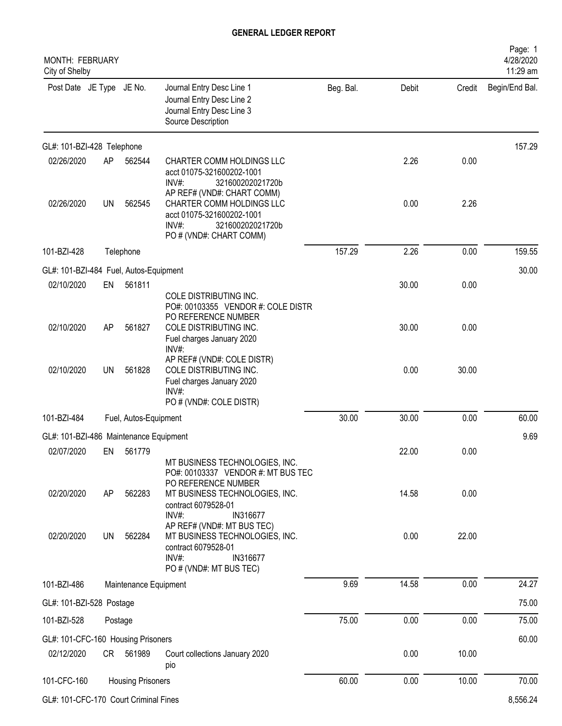| MONTH: FEBRUARY<br>City of Shelby      |         |                          |                                                                                                                                                 |           |       |        | Page: 1<br>4/28/2020<br>11:29 am |
|----------------------------------------|---------|--------------------------|-------------------------------------------------------------------------------------------------------------------------------------------------|-----------|-------|--------|----------------------------------|
| Post Date JE Type JE No.               |         |                          | Journal Entry Desc Line 1<br>Journal Entry Desc Line 2<br>Journal Entry Desc Line 3<br>Source Description                                       | Beg. Bal. | Debit | Credit | Begin/End Bal.                   |
| GL#: 101-BZI-428 Telephone             |         |                          |                                                                                                                                                 |           |       |        | 157.29                           |
| 02/26/2020                             | AP      | 562544                   | CHARTER COMM HOLDINGS LLC<br>acct 01075-321600202-1001<br>INV#<br>321600202021720b                                                              |           | 2.26  | 0.00   |                                  |
| 02/26/2020                             | UN      | 562545                   | AP REF# (VND#: CHART COMM)<br>CHARTER COMM HOLDINGS LLC<br>acct 01075-321600202-1001<br>$INV#$ :<br>321600202021720b<br>PO # (VND#: CHART COMM) |           | 0.00  | 2.26   |                                  |
| 101-BZI-428                            |         | Telephone                |                                                                                                                                                 | 157.29    | 2.26  | 0.00   | 159.55                           |
| GL#: 101-BZI-484 Fuel, Autos-Equipment |         |                          |                                                                                                                                                 |           |       |        | 30.00                            |
| 02/10/2020                             | EN      | 561811                   | COLE DISTRIBUTING INC.<br>PO#: 00103355 VENDOR #: COLE DISTR<br>PO REFERENCE NUMBER                                                             |           | 30.00 | 0.00   |                                  |
| 02/10/2020                             | AP      | 561827                   | COLE DISTRIBUTING INC.<br>Fuel charges January 2020<br>INV#                                                                                     |           | 30.00 | 0.00   |                                  |
| 02/10/2020                             | UN      | 561828                   | AP REF# (VND#: COLE DISTR)<br>COLE DISTRIBUTING INC.<br>Fuel charges January 2020<br>INV#<br>PO # (VND#: COLE DISTR)                            |           | 0.00  | 30.00  |                                  |
| 101-BZI-484                            |         | Fuel, Autos-Equipment    |                                                                                                                                                 | 30.00     | 30.00 | 0.00   | 60.00                            |
| GL#: 101-BZI-486 Maintenance Equipment |         |                          |                                                                                                                                                 |           |       |        | 9.69                             |
| 02/07/2020                             | EN      | 561779                   | MT BUSINESS TECHNOLOGIES, INC.<br>PO#: 00103337 VENDOR #: MT BUS TEC                                                                            |           | 22.00 | 0.00   |                                  |
| 02/20/2020                             | AP      | 562283                   | PO REFERENCE NUMBER<br>MT BUSINESS TECHNOLOGIES, INC.<br>contract 6079528-01<br>$INV#$ :<br>IN316677                                            |           | 14.58 | 0.00   |                                  |
| 02/20/2020                             | UN      | 562284                   | AP REF# (VND#: MT BUS TEC)<br>MT BUSINESS TECHNOLOGIES, INC.<br>contract 6079528-01<br>$INV#$ :<br>IN316677<br>PO # (VND#: MT BUS TEC)          |           | 0.00  | 22.00  |                                  |
| 101-BZI-486                            |         | Maintenance Equipment    |                                                                                                                                                 | 9.69      | 14.58 | 0.00   | 24.27                            |
| GL#: 101-BZI-528 Postage               |         |                          |                                                                                                                                                 |           |       |        | 75.00                            |
| 101-BZI-528                            | Postage |                          |                                                                                                                                                 | 75.00     | 0.00  | 0.00   | 75.00                            |
| GL#: 101-CFC-160 Housing Prisoners     |         |                          |                                                                                                                                                 |           |       |        | 60.00                            |
| 02/12/2020                             |         | CR 561989                | Court collections January 2020<br>pio                                                                                                           |           | 0.00  | 10.00  |                                  |
| 101-CFC-160                            |         | <b>Housing Prisoners</b> |                                                                                                                                                 | 60.00     | 0.00  | 10.00  | 70.00                            |
| GL#: 101-CFC-170 Court Criminal Fines  |         |                          |                                                                                                                                                 |           |       |        | 8,556.24                         |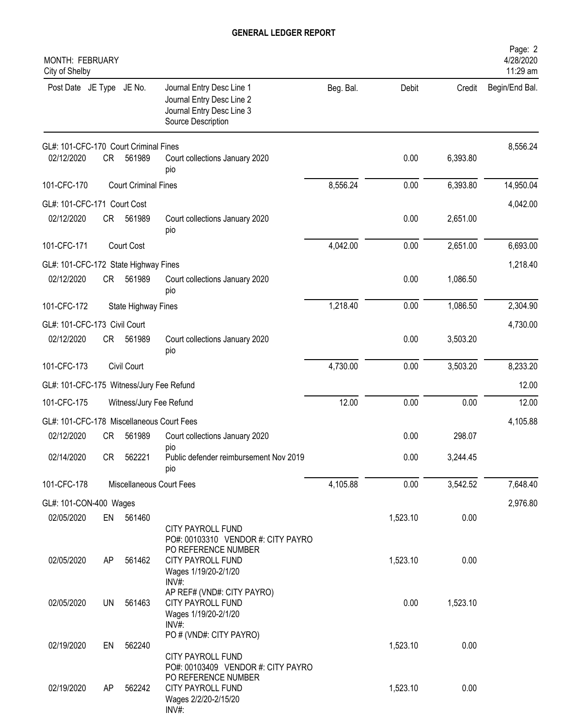| MONTH: FEBRUARY<br>City of Shelby         |           |                             |                                                                                                                 |           |          |          | Page: 2<br>4/28/2020<br>11:29 am |
|-------------------------------------------|-----------|-----------------------------|-----------------------------------------------------------------------------------------------------------------|-----------|----------|----------|----------------------------------|
| Post Date JE Type JE No.                  |           |                             | Journal Entry Desc Line 1<br>Journal Entry Desc Line 2<br>Journal Entry Desc Line 3<br>Source Description       | Beg. Bal. | Debit    | Credit   | Begin/End Bal.                   |
| GL#: 101-CFC-170 Court Criminal Fines     |           |                             |                                                                                                                 |           |          |          | 8,556.24                         |
| 02/12/2020                                | CR        | 561989                      | Court collections January 2020<br>pio                                                                           |           | 0.00     | 6,393.80 |                                  |
| 101-CFC-170                               |           | <b>Court Criminal Fines</b> |                                                                                                                 | 8,556.24  | 0.00     | 6,393.80 | 14,950.04                        |
| GL#: 101-CFC-171 Court Cost               |           |                             |                                                                                                                 |           |          |          | 4,042.00                         |
| 02/12/2020                                | CR        | 561989                      | Court collections January 2020<br>pio                                                                           |           | 0.00     | 2,651.00 |                                  |
| 101-CFC-171                               |           | Court Cost                  |                                                                                                                 | 4,042.00  | 0.00     | 2,651.00 | 6,693.00                         |
| GL#: 101-CFC-172 State Highway Fines      |           |                             |                                                                                                                 |           |          |          | 1,218.40                         |
| 02/12/2020                                | CR        | 561989                      | Court collections January 2020<br>pio                                                                           |           | 0.00     | 1,086.50 |                                  |
| 101-CFC-172                               |           | State Highway Fines         |                                                                                                                 | 1,218.40  | 0.00     | 1,086.50 | 2,304.90                         |
| GL#: 101-CFC-173 Civil Court              |           |                             |                                                                                                                 |           |          |          | 4,730.00                         |
| 02/12/2020                                | CR        | 561989                      | Court collections January 2020<br>pio                                                                           |           | 0.00     | 3,503.20 |                                  |
| 101-CFC-173                               |           | Civil Court                 |                                                                                                                 | 4,730.00  | 0.00     | 3,503.20 | 8,233.20                         |
| GL#: 101-CFC-175 Witness/Jury Fee Refund  |           |                             |                                                                                                                 |           |          |          | 12.00                            |
| 101-CFC-175                               |           | Witness/Jury Fee Refund     |                                                                                                                 | 12.00     | 0.00     | 0.00     | 12.00                            |
| GL#: 101-CFC-178 Miscellaneous Court Fees |           |                             |                                                                                                                 |           |          |          | 4,105.88                         |
| 02/12/2020                                | <b>CR</b> | 561989                      | Court collections January 2020                                                                                  |           | 0.00     | 298.07   |                                  |
| 02/14/2020                                | CR        | 562221                      | pio<br>Public defender reimbursement Nov 2019<br>pio                                                            |           | 0.00     | 3,244.45 |                                  |
| 101-CFC-178                               |           |                             | Miscellaneous Court Fees                                                                                        | 4,105.88  | 0.00     | 3,542.52 | 7,648.40                         |
| GL#: 101-CON-400 Wages                    |           |                             |                                                                                                                 |           |          |          | 2,976.80                         |
| 02/05/2020                                | EN        | 561460                      | CITY PAYROLL FUND<br>PO#: 00103310 VENDOR #: CITY PAYRO                                                         |           | 1,523.10 | 0.00     |                                  |
| 02/05/2020                                | AP        | 561462                      | PO REFERENCE NUMBER<br>CITY PAYROLL FUND<br>Wages 1/19/20-2/1/20<br>$INV#$ :                                    |           | 1,523.10 | 0.00     |                                  |
| 02/05/2020                                | <b>UN</b> | 561463                      | AP REF# (VND#: CITY PAYRO)<br>CITY PAYROLL FUND<br>Wages 1/19/20-2/1/20<br>INV#:                                |           | 0.00     | 1,523.10 |                                  |
| 02/19/2020                                | EN        | 562240                      | PO # (VND#: CITY PAYRO)<br>CITY PAYROLL FUND                                                                    |           | 1,523.10 | 0.00     |                                  |
| 02/19/2020                                | AP        | 562242                      | PO#: 00103409 VENDOR #: CITY PAYRO<br>PO REFERENCE NUMBER<br>CITY PAYROLL FUND<br>Wages 2/2/20-2/15/20<br>INV#: |           | 1,523.10 | 0.00     |                                  |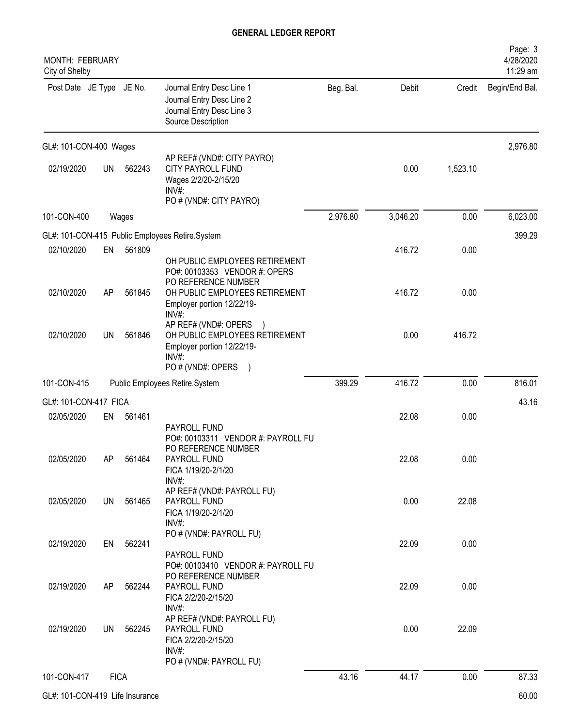| MONTH: FEBRUARY<br>City of Shelby |             |        |                                                                                                                |           |          |          | Page: 3<br>4/28/2020<br>11:29 am |
|-----------------------------------|-------------|--------|----------------------------------------------------------------------------------------------------------------|-----------|----------|----------|----------------------------------|
| Post Date JE Type JE No.          |             |        | Journal Entry Desc Line 1<br>Journal Entry Desc Line 2<br>Journal Entry Desc Line 3<br>Source Description      | Beg. Bal. | Debit    | Credit   | Begin/End Bal.                   |
| GL#: 101-CON-400 Wages            |             |        |                                                                                                                |           |          |          | 2,976.80                         |
| 02/19/2020                        | <b>UN</b>   | 562243 | AP REF# (VND#: CITY PAYRO)<br>CITY PAYROLL FUND<br>Wages 2/2/20-2/15/20<br>$INV#$ :<br>PO # (VND#: CITY PAYRO) |           | 0.00     | 1,523.10 |                                  |
| 101-CON-400                       |             | Wages  |                                                                                                                | 2,976.80  | 3,046.20 | 0.00     | 6,023.00                         |
|                                   |             |        | GL#: 101-CON-415 Public Employees Retire.System                                                                |           |          |          | 399.29                           |
| 02/10/2020                        | EN          | 561809 | OH PUBLIC EMPLOYEES RETIREMENT<br>PO#: 00103353 VENDOR #: OPERS                                                |           | 416.72   | 0.00     |                                  |
| 02/10/2020                        | AP          | 561845 | PO REFERENCE NUMBER<br>OH PUBLIC EMPLOYEES RETIREMENT<br>Employer portion 12/22/19-                            |           | 416.72   | 0.00     |                                  |
| 02/10/2020                        | UN          | 561846 | INV#<br>AP REF# (VND#: OPERS<br>OH PUBLIC EMPLOYEES RETIREMENT<br>Employer portion 12/22/19-<br>INV#           |           | 0.00     | 416.72   |                                  |
|                                   |             |        | PO # (VND#: OPERS<br>$\rightarrow$                                                                             |           |          |          |                                  |
| 101-CON-415                       |             |        | Public Employees Retire.System                                                                                 | 399.29    | 416.72   | 0.00     | 816.01                           |
| GL#: 101-CON-417 FICA             |             |        |                                                                                                                |           |          |          | 43.16                            |
| 02/05/2020                        | EN          | 561461 | PAYROLL FUND<br>PO#: 00103311 VENDOR #: PAYROLL FU<br>PO REFERENCE NUMBER                                      |           | 22.08    | 0.00     |                                  |
| 02/05/2020                        | AP          | 561464 | PAYROLL FUND<br>FICA 1/19/20-2/1/20<br>INV#:                                                                   |           | 22.08    | 0.00     |                                  |
| 02/05/2020                        | UN          | 561465 | AP REF# (VND#: PAYROLL FU)<br>PAYROLL FUND<br>FICA 1/19/20-2/1/20<br>$INV#$ :                                  |           | 0.00     | 22.08    |                                  |
| 02/19/2020                        | EN          | 562241 | PO # (VND#: PAYROLL FU)<br>PAYROLL FUND<br>PO#: 00103410 VENDOR #: PAYROLL FU                                  |           | 22.09    | 0.00     |                                  |
| 02/19/2020                        | AP          | 562244 | PO REFERENCE NUMBER<br>PAYROLL FUND<br>FICA 2/2/20-2/15/20<br>INV#:                                            |           | 22.09    | 0.00     |                                  |
| 02/19/2020                        | UN          | 562245 | AP REF# (VND#: PAYROLL FU)<br>PAYROLL FUND<br>FICA 2/2/20-2/15/20<br>$INV#$ :<br>PO # (VND#: PAYROLL FU)       |           | 0.00     | 22.09    |                                  |
| 101-CON-417                       | <b>FICA</b> |        |                                                                                                                | 43.16     | 44.17    | 0.00     | 87.33                            |
| GL#: 101-CON-419 Life Insurance   |             |        |                                                                                                                |           |          |          | 60.00                            |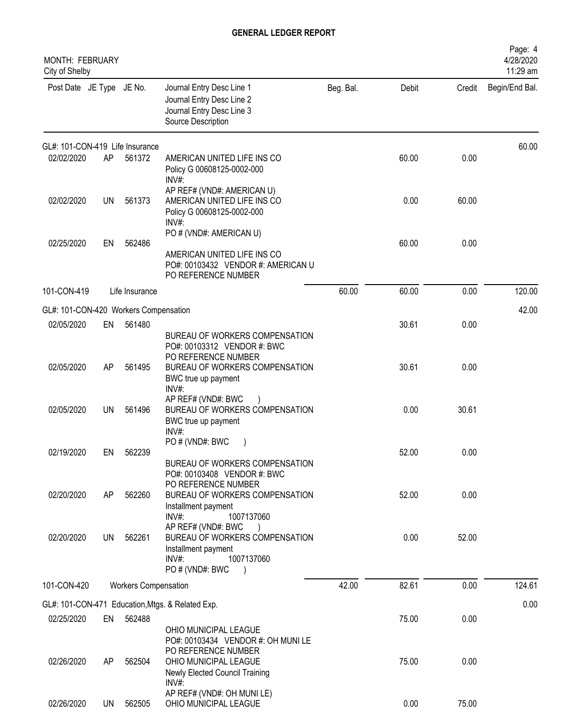| MONTH: FEBRUARY<br>City of Shelby     |           |                             |                                                                                                                              |           |       |        | Page: 4<br>4/28/2020<br>11:29 am |
|---------------------------------------|-----------|-----------------------------|------------------------------------------------------------------------------------------------------------------------------|-----------|-------|--------|----------------------------------|
| Post Date JE Type JE No.              |           |                             | Journal Entry Desc Line 1<br>Journal Entry Desc Line 2<br>Journal Entry Desc Line 3<br>Source Description                    | Beg. Bal. | Debit | Credit | Begin/End Bal.                   |
| GL#: 101-CON-419 Life Insurance       |           |                             |                                                                                                                              |           |       |        | 60.00                            |
| 02/02/2020                            | AP        | 561372                      | AMERICAN UNITED LIFE INS CO<br>Policy G 00608125-0002-000<br>INV#:                                                           |           | 60.00 | 0.00   |                                  |
| 02/02/2020                            | <b>UN</b> | 561373                      | AP REF# (VND#: AMERICAN U)<br>AMERICAN UNITED LIFE INS CO<br>Policy G 00608125-0002-000<br>INV#:                             |           | 0.00  | 60.00  |                                  |
| 02/25/2020                            | EN        | 562486                      | PO # (VND#: AMERICAN U)                                                                                                      |           | 60.00 | 0.00   |                                  |
|                                       |           |                             | AMERICAN UNITED LIFE INS CO<br>PO#: 00103432 VENDOR #: AMERICAN U<br>PO REFERENCE NUMBER                                     |           |       |        |                                  |
| 101-CON-419                           |           | Life Insurance              |                                                                                                                              | 60.00     | 60.00 | 0.00   | 120.00                           |
| GL#: 101-CON-420 Workers Compensation |           |                             |                                                                                                                              |           |       |        | 42.00                            |
| 02/05/2020                            | EN        | 561480                      | BUREAU OF WORKERS COMPENSATION<br>PO#: 00103312 VENDOR #: BWC                                                                |           | 30.61 | 0.00   |                                  |
| 02/05/2020                            | AP        | 561495                      | PO REFERENCE NUMBER<br>BUREAU OF WORKERS COMPENSATION<br>BWC true up payment<br>INV#:                                        |           | 30.61 | 0.00   |                                  |
| 02/05/2020                            | <b>UN</b> | 561496                      | AP REF# (VND#: BWC<br>BUREAU OF WORKERS COMPENSATION<br>BWC true up payment<br>INV#:                                         |           | 0.00  | 30.61  |                                  |
| 02/19/2020                            | EN        | 562239                      | PO#(VND#: BWC                                                                                                                |           | 52.00 | 0.00   |                                  |
|                                       |           |                             | BUREAU OF WORKERS COMPENSATION<br>PO#: 00103408 VENDOR #: BWC<br>PO REFERENCE NUMBER                                         |           |       |        |                                  |
| 02/20/2020                            | AP        | 562260                      | BUREAU OF WORKERS COMPENSATION<br>Installment payment<br>$INV#$ :<br>1007137060                                              |           | 52.00 | 0.00   |                                  |
| 02/20/2020                            | UN        | 562261                      | AP REF# (VND#: BWC<br>BUREAU OF WORKERS COMPENSATION<br>Installment payment<br>INV#:<br>1007137060<br>PO # (VND#: BWC        |           | 0.00  | 52.00  |                                  |
| 101-CON-420                           |           | <b>Workers Compensation</b> |                                                                                                                              | 42.00     | 82.61 | 0.00   | 124.61                           |
|                                       |           |                             | GL#: 101-CON-471 Education, Mtgs. & Related Exp.                                                                             |           |       |        | 0.00                             |
| 02/25/2020                            | EN        | 562488                      | OHIO MUNICIPAL LEAGUE                                                                                                        |           | 75.00 | 0.00   |                                  |
| 02/26/2020                            | AP        | 562504                      | PO#: 00103434 VENDOR #: OH MUNILE<br>PO REFERENCE NUMBER<br>OHIO MUNICIPAL LEAGUE<br>Newly Elected Council Training<br>INV#: |           | 75.00 | 0.00   |                                  |
| 02/26/2020                            |           | UN 562505                   | AP REF# (VND#: OH MUNILE)<br>OHIO MUNICIPAL LEAGUE                                                                           |           | 0.00  | 75.00  |                                  |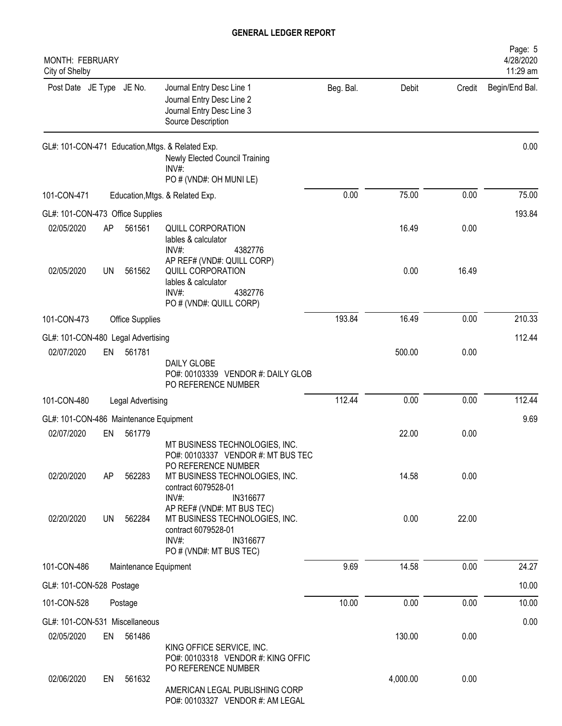| MONTH: FEBRUARY<br>City of Shelby      |    |                       |                                                                                                                          |           |          |        | Page: 5<br>4/28/2020<br>11:29 am |
|----------------------------------------|----|-----------------------|--------------------------------------------------------------------------------------------------------------------------|-----------|----------|--------|----------------------------------|
| Post Date JE Type JE No.               |    |                       | Journal Entry Desc Line 1<br>Journal Entry Desc Line 2<br>Journal Entry Desc Line 3<br>Source Description                | Beg. Bal. | Debit    | Credit | Begin/End Bal.                   |
|                                        |    |                       | GL#: 101-CON-471 Education, Mtgs. & Related Exp.<br>Newly Elected Council Training<br>INV#:<br>PO # (VND#: OH MUNI LE)   |           |          |        | 0.00                             |
| 101-CON-471                            |    |                       | Education, Mtgs. & Related Exp.                                                                                          | 0.00      | 75.00    | 0.00   | 75.00                            |
| GL#: 101-CON-473 Office Supplies       |    |                       |                                                                                                                          |           |          |        | 193.84                           |
| 02/05/2020                             | AP | 561561                | QUILL CORPORATION<br>lables & calculator<br>4382776<br>INV#:                                                             |           | 16.49    | 0.00   |                                  |
| 02/05/2020                             | UN | 561562                | AP REF# (VND#: QUILL CORP)<br>QUILL CORPORATION<br>lables & calculator<br>$INV#$ :<br>4382776<br>PO # (VND#: QUILL CORP) |           | 0.00     | 16.49  |                                  |
| 101-CON-473                            |    | Office Supplies       |                                                                                                                          | 193.84    | 16.49    | 0.00   | 210.33                           |
| GL#: 101-CON-480 Legal Advertising     |    |                       |                                                                                                                          |           |          |        | 112.44                           |
| 02/07/2020                             | EN | 561781                | <b>DAILY GLOBE</b><br>PO#: 00103339 VENDOR #: DAILY GLOB<br>PO REFERENCE NUMBER                                          |           | 500.00   | 0.00   |                                  |
| 101-CON-480                            |    | Legal Advertising     |                                                                                                                          | 112.44    | 0.00     | 0.00   | 112.44                           |
| GL#: 101-CON-486 Maintenance Equipment |    |                       |                                                                                                                          |           |          |        | 9.69                             |
| 02/07/2020                             | EN | 561779                | MT BUSINESS TECHNOLOGIES, INC.<br>PO#: 00103337 VENDOR #: MT BUS TEC<br>PO REFERENCE NUMBER                              |           | 22.00    | 0.00   |                                  |
| 02/20/2020                             | AP | 562283                | MT BUSINESS TECHNOLOGIES, INC.<br>contract 6079528-01<br>INV#:<br>IN316677<br>AP REF# (VND#: MT BUS TEC)                 |           | 14.58    | 0.00   |                                  |
| 02/20/2020                             | UN | 562284                | MT BUSINESS TECHNOLOGIES, INC.<br>contract 6079528-01<br>$INV#$ :<br>IN316677<br>PO # (VND#: MT BUS TEC)                 |           | 0.00     | 22.00  |                                  |
| 101-CON-486                            |    | Maintenance Equipment |                                                                                                                          | 9.69      | 14.58    | 0.00   | 24.27                            |
| GL#: 101-CON-528 Postage               |    |                       |                                                                                                                          |           |          |        | 10.00                            |
| 101-CON-528                            |    | Postage               |                                                                                                                          | 10.00     | 0.00     | 0.00   | 10.00                            |
| GL#: 101-CON-531 Miscellaneous         |    |                       |                                                                                                                          |           |          |        | 0.00                             |
| 02/05/2020                             | EN | 561486                | KING OFFICE SERVICE, INC.<br>PO#: 00103318 VENDOR #: KING OFFIC                                                          |           | 130.00   | 0.00   |                                  |
| 02/06/2020                             | EN | 561632                | PO REFERENCE NUMBER<br>AMERICAN LEGAL PUBLISHING CORP<br>PO#: 00103327 VENDOR #: AM LEGAL                                |           | 4,000.00 | 0.00   |                                  |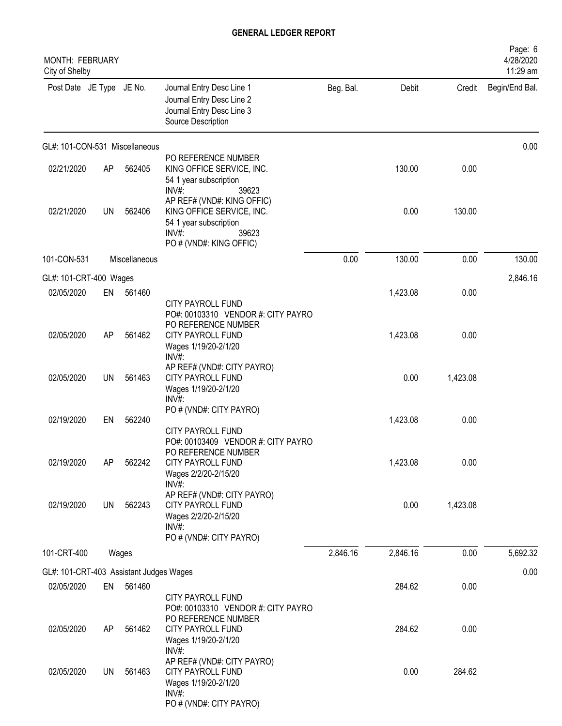| MONTH: FEBRUARY<br>City of Shelby                     |           |               |                                                                                                                               |           |          |          | Page: 6<br>4/28/2020<br>11:29 am |
|-------------------------------------------------------|-----------|---------------|-------------------------------------------------------------------------------------------------------------------------------|-----------|----------|----------|----------------------------------|
| Post Date JE Type JE No.                              |           |               | Journal Entry Desc Line 1<br>Journal Entry Desc Line 2<br>Journal Entry Desc Line 3<br>Source Description                     | Beg. Bal. | Debit    | Credit   | Begin/End Bal.                   |
| GL#: 101-CON-531 Miscellaneous                        |           |               |                                                                                                                               |           |          |          | 0.00                             |
| 02/21/2020                                            | AP        | 562405        | PO REFERENCE NUMBER<br>KING OFFICE SERVICE, INC.<br>54 1 year subscription<br>INV#:<br>39623                                  |           | 130.00   | 0.00     |                                  |
| 02/21/2020                                            | UN        | 562406        | AP REF# (VND#: KING OFFIC)<br>KING OFFICE SERVICE, INC.<br>54 1 year subscription<br>INV#<br>39623<br>PO # (VND#: KING OFFIC) |           | 0.00     | 130.00   |                                  |
| 101-CON-531                                           |           | Miscellaneous |                                                                                                                               | 0.00      | 130.00   | 0.00     | 130.00                           |
| GL#: 101-CRT-400 Wages                                |           |               |                                                                                                                               |           |          |          | 2,846.16                         |
| 02/05/2020                                            | EN        | 561460        |                                                                                                                               |           | 1,423.08 | 0.00     |                                  |
| 02/05/2020                                            | AP        | 561462        | CITY PAYROLL FUND<br>PO#: 00103310 VENDOR #: CITY PAYRO<br>PO REFERENCE NUMBER<br><b>CITY PAYROLL FUND</b>                    |           | 1,423.08 | 0.00     |                                  |
|                                                       |           |               | Wages 1/19/20-2/1/20<br>$INV#$ :                                                                                              |           |          |          |                                  |
| 02/05/2020                                            | <b>UN</b> | 561463        | AP REF# (VND#: CITY PAYRO)<br>CITY PAYROLL FUND<br>Wages 1/19/20-2/1/20<br>INV#:                                              |           | 0.00     | 1,423.08 |                                  |
| 02/19/2020                                            | EN        | 562240        | PO # (VND#: CITY PAYRO)<br>CITY PAYROLL FUND                                                                                  |           | 1,423.08 | 0.00     |                                  |
| 02/19/2020                                            | AP        | 562242        | PO#: 00103409 VENDOR #: CITY PAYRO<br>PO REFERENCE NUMBER<br><b>CITY PAYROLL FUND</b><br>Wages 2/2/20-2/15/20                 |           | 1,423.08 | 0.00     |                                  |
| 02/19/2020                                            | <b>UN</b> | 562243        | INV#:<br>AP REF# (VND#: CITY PAYRO)<br>CITY PAYROLL FUND<br>Wages 2/2/20-2/15/20<br>INV#:                                     |           | 0.00     | 1,423.08 |                                  |
|                                                       |           |               | PO # (VND#: CITY PAYRO)                                                                                                       | 2,846.16  | 2,846.16 | 0.00     | 5,692.32                         |
| 101-CRT-400                                           |           | Wages         |                                                                                                                               |           |          |          |                                  |
| GL#: 101-CRT-403 Assistant Judges Wages<br>02/05/2020 | EN        | 561460        |                                                                                                                               |           | 284.62   | 0.00     | 0.00                             |
| 02/05/2020                                            | AP        | 561462        | CITY PAYROLL FUND<br>PO#: 00103310 VENDOR #: CITY PAYRO<br>PO REFERENCE NUMBER<br>CITY PAYROLL FUND                           |           | 284.62   | 0.00     |                                  |
| 02/05/2020                                            | UN        | 561463        | Wages 1/19/20-2/1/20<br>INV#<br>AP REF# (VND#: CITY PAYRO)<br>CITY PAYROLL FUND                                               |           | 0.00     | 284.62   |                                  |
|                                                       |           |               | Wages 1/19/20-2/1/20<br>$INV#$ :<br>PO # (VND#: CITY PAYRO)                                                                   |           |          |          |                                  |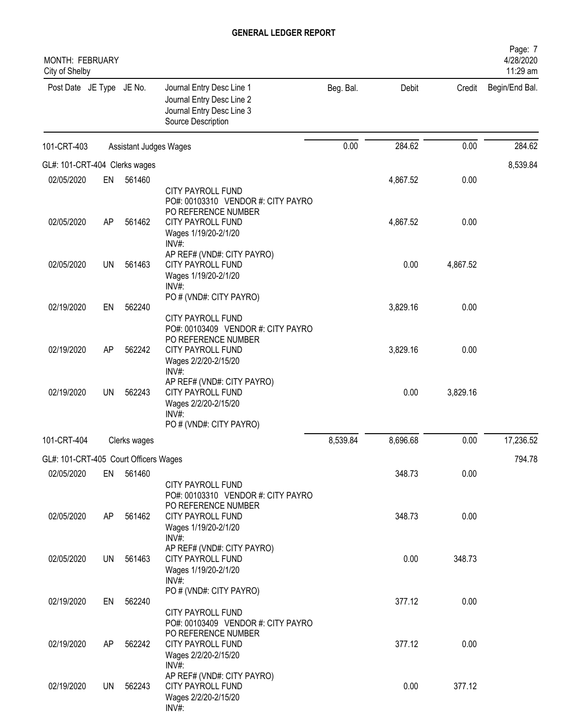| <b>MONTH: FEBRUARY</b><br>City of Shelby |           |                        |                                                                                                                    |           |          |          | Page: 7<br>4/28/2020<br>11:29 am |
|------------------------------------------|-----------|------------------------|--------------------------------------------------------------------------------------------------------------------|-----------|----------|----------|----------------------------------|
| Post Date JE Type JE No.                 |           |                        | Journal Entry Desc Line 1<br>Journal Entry Desc Line 2<br>Journal Entry Desc Line 3<br>Source Description          | Beg. Bal. | Debit    | Credit   | Begin/End Bal.                   |
| 101-CRT-403                              |           | Assistant Judges Wages |                                                                                                                    | 0.00      | 284.62   | 0.00     | 284.62                           |
| GL#: 101-CRT-404 Clerks wages            |           |                        |                                                                                                                    |           |          |          | 8,539.84                         |
| 02/05/2020                               | EN        | 561460                 |                                                                                                                    |           | 4,867.52 | 0.00     |                                  |
|                                          |           |                        | <b>CITY PAYROLL FUND</b><br>PO#: 00103310 VENDOR #: CITY PAYRO<br>PO REFERENCE NUMBER                              |           |          |          |                                  |
| 02/05/2020                               | AP        | 561462                 | <b>CITY PAYROLL FUND</b><br>Wages 1/19/20-2/1/20<br>$INV#$ :<br>AP REF# (VND#: CITY PAYRO)                         |           | 4,867.52 | 0.00     |                                  |
| 02/05/2020                               | <b>UN</b> | 561463                 | <b>CITY PAYROLL FUND</b><br>Wages 1/19/20-2/1/20<br>$INV#$ :                                                       |           | 0.00     | 4,867.52 |                                  |
| 02/19/2020                               | EN        | 562240                 | PO # (VND#: CITY PAYRO)                                                                                            |           | 3,829.16 | 0.00     |                                  |
|                                          |           |                        | CITY PAYROLL FUND<br>PO#: 00103409 VENDOR #: CITY PAYRO<br>PO REFERENCE NUMBER                                     |           |          |          |                                  |
| 02/19/2020                               | AP        | 562242                 | <b>CITY PAYROLL FUND</b><br>Wages 2/2/20-2/15/20<br>INV#:                                                          |           | 3,829.16 | 0.00     |                                  |
| 02/19/2020                               | <b>UN</b> | 562243                 | AP REF# (VND#: CITY PAYRO)<br>CITY PAYROLL FUND<br>Wages 2/2/20-2/15/20<br>INV#:<br>PO # (VND#: CITY PAYRO)        |           | 0.00     | 3,829.16 |                                  |
| 101-CRT-404                              |           | Clerks wages           |                                                                                                                    | 8,539.84  | 8,696.68 | 0.00     | 17,236.52                        |
| GL#: 101-CRT-405 Court Officers Wages    |           |                        |                                                                                                                    |           |          |          | 794.78                           |
| 02/05/2020                               |           | EN 561460              |                                                                                                                    |           | 348.73   | 0.00     |                                  |
|                                          |           |                        | CITY PAYROLL FUND<br>PO#: 00103310 VENDOR #: CITY PAYRO<br>PO REFERENCE NUMBER                                     |           |          |          |                                  |
| 02/05/2020                               | AP        | 561462                 | CITY PAYROLL FUND<br>Wages 1/19/20-2/1/20<br>$INV#$ :                                                              |           | 348.73   | 0.00     |                                  |
| 02/05/2020                               | UN        | 561463                 | AP REF# (VND#: CITY PAYRO)<br>CITY PAYROLL FUND<br>Wages 1/19/20-2/1/20<br>$INV#$ :                                |           | 0.00     | 348.73   |                                  |
| 02/19/2020                               | EN        | 562240                 | PO # (VND#: CITY PAYRO)<br>CITY PAYROLL FUND                                                                       |           | 377.12   | 0.00     |                                  |
| 02/19/2020                               | AP        | 562242                 | PO#: 00103409 VENDOR #: CITY PAYRO<br>PO REFERENCE NUMBER<br>CITY PAYROLL FUND<br>Wages 2/2/20-2/15/20<br>$INV#$ : |           | 377.12   | 0.00     |                                  |
| 02/19/2020                               | <b>UN</b> | 562243                 | AP REF# (VND#: CITY PAYRO)<br>CITY PAYROLL FUND<br>Wages 2/2/20-2/15/20<br>INV#:                                   |           | 0.00     | 377.12   |                                  |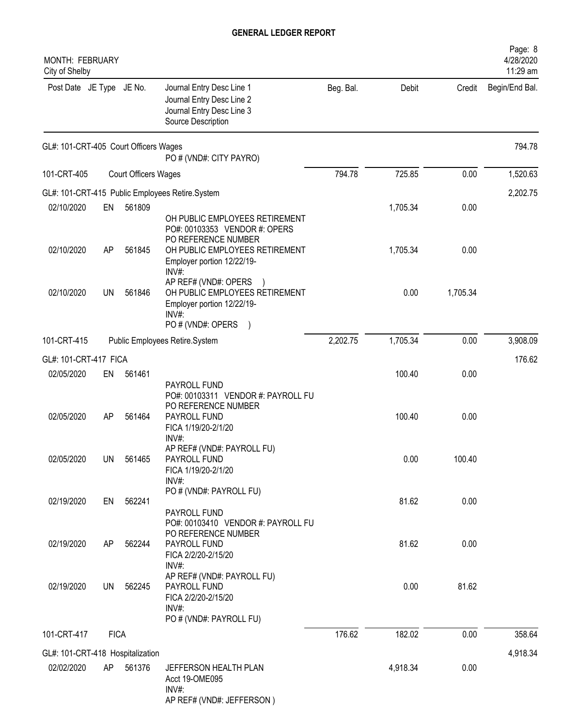| MONTH: FEBRUARY<br>City of Shelby     |             |                             |                                                                                                                                                        |           |          |          | Page: 8<br>4/28/2020<br>11:29 am |
|---------------------------------------|-------------|-----------------------------|--------------------------------------------------------------------------------------------------------------------------------------------------------|-----------|----------|----------|----------------------------------|
| Post Date JE Type JE No.              |             |                             | Journal Entry Desc Line 1<br>Journal Entry Desc Line 2<br>Journal Entry Desc Line 3<br>Source Description                                              | Beg. Bal. | Debit    | Credit   | Begin/End Bal.                   |
| GL#: 101-CRT-405 Court Officers Wages |             |                             | PO # (VND#: CITY PAYRO)                                                                                                                                |           |          |          | 794.78                           |
| 101-CRT-405                           |             | <b>Court Officers Wages</b> |                                                                                                                                                        | 794.78    | 725.85   | 0.00     | 1,520.63                         |
|                                       |             |                             | GL#: 101-CRT-415 Public Employees Retire.System                                                                                                        |           |          |          | 2,202.75                         |
| 02/10/2020                            | EN          | 561809                      |                                                                                                                                                        |           | 1,705.34 | 0.00     |                                  |
| 02/10/2020                            | AP          | 561845                      | OH PUBLIC EMPLOYEES RETIREMENT<br>PO#: 00103353 VENDOR #: OPERS<br>PO REFERENCE NUMBER<br>OH PUBLIC EMPLOYEES RETIREMENT<br>Employer portion 12/22/19- |           | 1,705.34 | 0.00     |                                  |
| 02/10/2020                            | <b>UN</b>   | 561846                      | INV#:<br>AP REF# (VND#: OPERS<br>OH PUBLIC EMPLOYEES RETIREMENT<br>Employer portion 12/22/19-<br>INV#<br>PO # (VND#: OPERS<br>$\big)$                  |           | 0.00     | 1,705.34 |                                  |
| 101-CRT-415                           |             |                             | Public Employees Retire.System                                                                                                                         | 2,202.75  | 1,705.34 | 0.00     | 3,908.09                         |
| GL#: 101-CRT-417 FICA                 |             |                             |                                                                                                                                                        |           |          |          | 176.62                           |
| 02/05/2020                            | EN          | 561461                      |                                                                                                                                                        |           | 100.40   | 0.00     |                                  |
| 02/05/2020                            | AP          | 561464                      | PAYROLL FUND<br>PO#: 00103311 VENDOR #: PAYROLL FU<br>PO REFERENCE NUMBER<br>PAYROLL FUND<br>FICA 1/19/20-2/1/20<br>INV#:                              |           | 100.40   | 0.00     |                                  |
| 02/05/2020                            | UN          | 561465                      | AP REF# (VND#: PAYROLL FU)<br>PAYROLL FUND<br>FICA 1/19/20-2/1/20<br>$INV#$ :                                                                          |           | 0.00     | 100.40   |                                  |
| 02/19/2020                            | EN          | 562241                      | PO # (VND#: PAYROLL FU)<br>PAYROLL FUND                                                                                                                |           | 81.62    | 0.00     |                                  |
| 02/19/2020                            | AP          | 562244                      | PO#: 00103410 VENDOR #: PAYROLL FU<br>PO REFERENCE NUMBER<br>PAYROLL FUND<br>FICA 2/2/20-2/15/20<br>$INV#$ :                                           |           | 81.62    | 0.00     |                                  |
| 02/19/2020                            | <b>UN</b>   | 562245                      | AP REF# (VND#: PAYROLL FU)<br>PAYROLL FUND<br>FICA 2/2/20-2/15/20<br>INV#:<br>PO # (VND#: PAYROLL FU)                                                  |           | 0.00     | 81.62    |                                  |
| 101-CRT-417                           | <b>FICA</b> |                             |                                                                                                                                                        | 176.62    | 182.02   | 0.00     | 358.64                           |
| GL#: 101-CRT-418 Hospitalization      |             |                             |                                                                                                                                                        |           |          |          | 4,918.34                         |
| 02/02/2020                            | AP          | 561376                      | JEFFERSON HEALTH PLAN<br>Acct 19-OME095<br>$INV#$ :<br>AP REF# (VND#: JEFFERSON)                                                                       |           | 4,918.34 | 0.00     |                                  |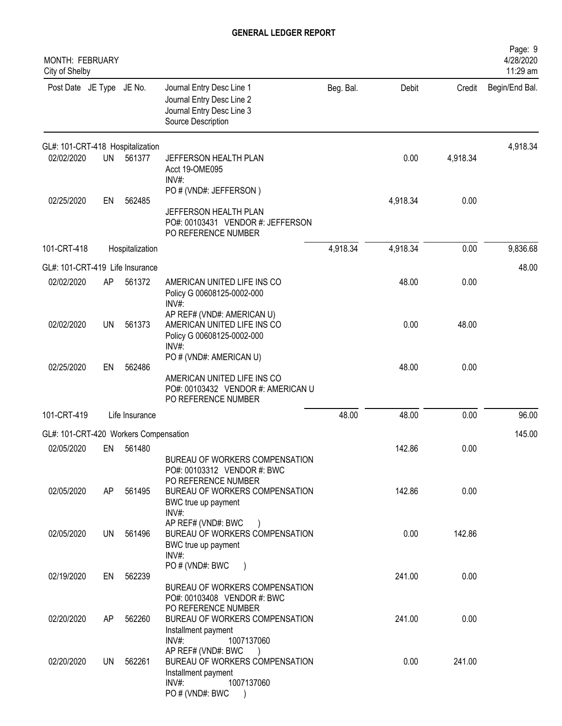| <b>MONTH: FEBRUARY</b><br>City of Shelby |           |                 |                                                                                                                                                                        |           |          |          | Page: 9<br>4/28/2020<br>11:29 am |
|------------------------------------------|-----------|-----------------|------------------------------------------------------------------------------------------------------------------------------------------------------------------------|-----------|----------|----------|----------------------------------|
| Post Date JE Type JE No.                 |           |                 | Journal Entry Desc Line 1<br>Journal Entry Desc Line 2<br>Journal Entry Desc Line 3<br>Source Description                                                              | Beg. Bal. | Debit    | Credit   | Begin/End Bal.                   |
| GL#: 101-CRT-418 Hospitalization         |           |                 |                                                                                                                                                                        |           |          |          | 4,918.34                         |
| 02/02/2020                               | <b>UN</b> | 561377          | JEFFERSON HEALTH PLAN<br>Acct 19-OME095<br>$INV#$ :                                                                                                                    |           | 0.00     | 4,918.34 |                                  |
|                                          |           |                 | PO # (VND#: JEFFERSON)                                                                                                                                                 |           |          |          |                                  |
| 02/25/2020                               | EN        | 562485          | JEFFERSON HEALTH PLAN<br>PO#: 00103431 VENDOR #: JEFFERSON<br>PO REFERENCE NUMBER                                                                                      |           | 4,918.34 | 0.00     |                                  |
| 101-CRT-418                              |           | Hospitalization |                                                                                                                                                                        | 4,918.34  | 4,918.34 | 0.00     | 9,836.68                         |
| GL#: 101-CRT-419 Life Insurance          |           |                 |                                                                                                                                                                        |           |          |          | 48.00                            |
| 02/02/2020                               | AP        | 561372          | AMERICAN UNITED LIFE INS CO<br>Policy G 00608125-0002-000<br>$INV#$ :                                                                                                  |           | 48.00    | 0.00     |                                  |
| 02/02/2020                               | <b>UN</b> | 561373          | AP REF# (VND#: AMERICAN U)<br>AMERICAN UNITED LIFE INS CO<br>Policy G 00608125-0002-000<br>$INV#$ :                                                                    |           | 0.00     | 48.00    |                                  |
|                                          |           |                 | PO # (VND#: AMERICAN U)                                                                                                                                                |           |          |          |                                  |
| 02/25/2020                               | EN        | 562486          | AMERICAN UNITED LIFE INS CO<br>PO#: 00103432 VENDOR #: AMERICAN U<br>PO REFERENCE NUMBER                                                                               |           | 48.00    | 0.00     |                                  |
| 101-CRT-419                              |           | Life Insurance  |                                                                                                                                                                        | 48.00     | 48.00    | 0.00     | 96.00                            |
| GL#: 101-CRT-420 Workers Compensation    |           |                 |                                                                                                                                                                        |           |          |          | 145.00                           |
| 02/05/2020                               | EN        | 561480          |                                                                                                                                                                        |           | 142.86   | 0.00     |                                  |
|                                          |           |                 | BUREAU OF WORKERS COMPENSATION<br>PO#: 00103312 VENDOR #: BWC<br>PO REFERENCE NUMBER                                                                                   |           |          |          |                                  |
| 02/05/2020                               | AP        | 561495          | BUREAU OF WORKERS COMPENSATION<br>BWC true up payment<br>$INV#$ :                                                                                                      |           | 142.86   | 0.00     |                                  |
| 02/05/2020                               | UN        | 561496          | AP REF# (VND#: BWC<br>BUREAU OF WORKERS COMPENSATION<br>BWC true up payment<br>$INV#$ :                                                                                |           | 0.00     | 142.86   |                                  |
| 02/19/2020                               | EN        | 562239          | PO # (VND#: BWC<br>$\rightarrow$<br>BUREAU OF WORKERS COMPENSATION                                                                                                     |           | 241.00   | 0.00     |                                  |
| 02/20/2020                               | AP        | 562260          | PO#: 00103408 VENDOR #: BWC<br>PO REFERENCE NUMBER<br>BUREAU OF WORKERS COMPENSATION                                                                                   |           | 241.00   | 0.00     |                                  |
| 02/20/2020                               | UN.       | 562261          | Installment payment<br>INV#:<br>1007137060<br>AP REF# (VND#: BWC<br>BUREAU OF WORKERS COMPENSATION<br>Installment payment<br>$INV#$ :<br>1007137060<br>PO # (VND#: BWC |           | 0.00     | 241.00   |                                  |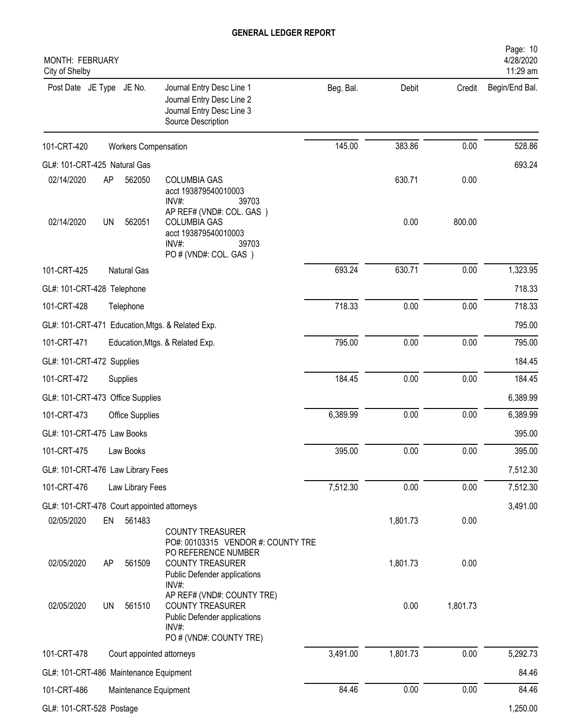| MONTH: FEBRUARY<br>City of Shelby          |           |                             |                                                                                                                           |           |          |          | Page: 10<br>4/28/2020<br>11:29 am |
|--------------------------------------------|-----------|-----------------------------|---------------------------------------------------------------------------------------------------------------------------|-----------|----------|----------|-----------------------------------|
| Post Date JE Type JE No.                   |           |                             | Journal Entry Desc Line 1<br>Journal Entry Desc Line 2<br>Journal Entry Desc Line 3<br>Source Description                 | Beg. Bal. | Debit    | Credit   | Begin/End Bal.                    |
| 101-CRT-420                                |           | <b>Workers Compensation</b> |                                                                                                                           | 145.00    | 383.86   | 0.00     | 528.86                            |
| GL#: 101-CRT-425 Natural Gas               |           |                             |                                                                                                                           |           |          |          | 693.24                            |
| 02/14/2020                                 | AP        | 562050                      | <b>COLUMBIA GAS</b><br>acct 193879540010003<br>39703<br>INV#<br>AP REF# (VND#: COL. GAS)                                  |           | 630.71   | 0.00     |                                   |
| 02/14/2020                                 | <b>UN</b> | 562051                      | <b>COLUMBIA GAS</b><br>acct 193879540010003<br>INV#:<br>39703<br>PO # (VND#: COL. GAS)                                    |           | 0.00     | 800.00   |                                   |
| 101-CRT-425                                |           | <b>Natural Gas</b>          |                                                                                                                           | 693.24    | 630.71   | 0.00     | 1,323.95                          |
| GL#: 101-CRT-428 Telephone                 |           |                             |                                                                                                                           |           |          |          | 718.33                            |
| 101-CRT-428                                |           | Telephone                   |                                                                                                                           | 718.33    | 0.00     | 0.00     | 718.33                            |
|                                            |           |                             | GL#: 101-CRT-471 Education, Mtgs. & Related Exp.                                                                          |           |          |          | 795.00                            |
| 101-CRT-471                                |           |                             | Education, Mtgs. & Related Exp.                                                                                           | 795.00    | 0.00     | 0.00     | 795.00                            |
| GL#: 101-CRT-472 Supplies                  |           |                             |                                                                                                                           |           |          |          | 184.45                            |
| 101-CRT-472                                |           | Supplies                    |                                                                                                                           | 184.45    | 0.00     | 0.00     | 184.45                            |
| GL#: 101-CRT-473 Office Supplies           |           |                             |                                                                                                                           |           |          |          | 6,389.99                          |
| 101-CRT-473                                |           | <b>Office Supplies</b>      |                                                                                                                           | 6,389.99  | 0.00     | 0.00     | 6,389.99                          |
| GL#: 101-CRT-475 Law Books                 |           |                             |                                                                                                                           |           |          |          | 395.00                            |
| 101-CRT-475                                |           | Law Books                   |                                                                                                                           | 395.00    | 0.00     | 0.00     | 395.00                            |
| GL#: 101-CRT-476 Law Library Fees          |           |                             |                                                                                                                           |           |          |          | 7,512.30                          |
| 101-CRT-476                                |           | Law Library Fees            |                                                                                                                           | 7,512.30  | 0.00     | 0.00     | 7,512.30                          |
| GL#: 101-CRT-478 Court appointed attorneys |           |                             |                                                                                                                           |           |          |          | 3,491.00                          |
| 02/05/2020                                 | EN        | 561483                      | COUNTY TREASURER<br>PO#: 00103315 VENDOR #: COUNTY TRE                                                                    |           | 1,801.73 | 0.00     |                                   |
| 02/05/2020                                 | AP        | 561509                      | PO REFERENCE NUMBER<br><b>COUNTY TREASURER</b><br>Public Defender applications<br>INV#:                                   |           | 1,801.73 | 0.00     |                                   |
| 02/05/2020                                 | <b>UN</b> | 561510                      | AP REF# (VND#: COUNTY TRE)<br><b>COUNTY TREASURER</b><br>Public Defender applications<br>INV#:<br>PO # (VND#: COUNTY TRE) |           | 0.00     | 1,801.73 |                                   |
| 101-CRT-478                                |           | Court appointed attorneys   |                                                                                                                           | 3,491.00  | 1,801.73 | 0.00     | 5,292.73                          |
| GL#: 101-CRT-486 Maintenance Equipment     |           |                             |                                                                                                                           |           |          |          | 84.46                             |
| 101-CRT-486                                |           | Maintenance Equipment       |                                                                                                                           | 84.46     | 0.00     | 0.00     | 84.46                             |
| GL#: 101-CRT-528 Postage                   |           |                             |                                                                                                                           |           |          |          | 1,250.00                          |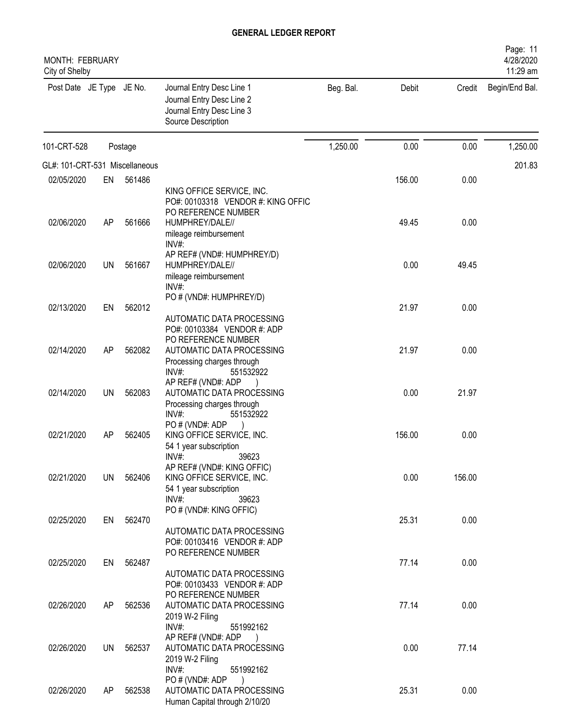| MONTH: FEBRUARY<br>City of Shelby |           |         |                                                                                                           |           |        |        | Page: 11<br>4/28/2020<br>11:29 am |
|-----------------------------------|-----------|---------|-----------------------------------------------------------------------------------------------------------|-----------|--------|--------|-----------------------------------|
| Post Date JE Type JE No.          |           |         | Journal Entry Desc Line 1<br>Journal Entry Desc Line 2<br>Journal Entry Desc Line 3<br>Source Description | Beg. Bal. | Debit  | Credit | Begin/End Bal.                    |
| 101-CRT-528                       |           | Postage |                                                                                                           | 1,250.00  | 0.00   | 0.00   | 1,250.00                          |
| GL#: 101-CRT-531 Miscellaneous    |           |         |                                                                                                           |           |        |        | 201.83                            |
| 02/05/2020                        | EN        | 561486  |                                                                                                           |           | 156.00 | 0.00   |                                   |
|                                   |           |         | KING OFFICE SERVICE, INC.<br>PO#: 00103318 VENDOR #: KING OFFIC<br>PO REFERENCE NUMBER                    |           |        |        |                                   |
| 02/06/2020                        | AP        | 561666  | HUMPHREY/DALE//<br>mileage reimbursement<br>$INV#$ :                                                      |           | 49.45  | 0.00   |                                   |
| 02/06/2020                        | <b>UN</b> | 561667  | AP REF# (VND#: HUMPHREY/D)<br>HUMPHREY/DALE//<br>mileage reimbursement<br>$INV#$ :                        |           | 0.00   | 49.45  |                                   |
|                                   |           |         | PO # (VND#: HUMPHREY/D)                                                                                   |           |        |        |                                   |
| 02/13/2020                        | EN        | 562012  | AUTOMATIC DATA PROCESSING<br>PO#: 00103384 VENDOR #: ADP<br>PO REFERENCE NUMBER                           |           | 21.97  | 0.00   |                                   |
| 02/14/2020                        | AP        | 562082  | AUTOMATIC DATA PROCESSING<br>Processing charges through<br>$INV#$ :<br>551532922                          |           | 21.97  | 0.00   |                                   |
| 02/14/2020                        | UN        | 562083  | AP REF# (VND#: ADP<br>AUTOMATIC DATA PROCESSING<br>Processing charges through<br>$INV#$ :<br>551532922    |           | 0.00   | 21.97  |                                   |
| 02/21/2020                        | AP        | 562405  | PO#(VND#: ADP<br>KING OFFICE SERVICE, INC.<br>54 1 year subscription<br>39623<br>$INV#$ :                 |           | 156.00 | 0.00   |                                   |
| 02/21/2020                        | UN        | 562406  | AP REF# (VND#: KING OFFIC)<br>KING OFFICE SERVICE, INC.<br>54 1 year subscription<br>39623<br>$INV#$ :    |           | 0.00   | 156.00 |                                   |
|                                   |           |         | PO # (VND#: KING OFFIC)                                                                                   |           |        |        |                                   |
| 02/25/2020                        | EN        | 562470  | AUTOMATIC DATA PROCESSING<br>PO#: 00103416 VENDOR #: ADP<br>PO REFERENCE NUMBER                           |           | 25.31  | 0.00   |                                   |
| 02/25/2020                        | EN        | 562487  | AUTOMATIC DATA PROCESSING<br>PO#: 00103433 VENDOR #: ADP                                                  |           | 77.14  | 0.00   |                                   |
| 02/26/2020                        | AP        | 562536  | PO REFERENCE NUMBER<br>AUTOMATIC DATA PROCESSING<br>2019 W-2 Filing<br>INV#:<br>551992162                 |           | 77.14  | 0.00   |                                   |
| 02/26/2020                        | <b>UN</b> | 562537  | AP REF# (VND#: ADP<br>AUTOMATIC DATA PROCESSING<br>2019 W-2 Filing<br>INV#:<br>551992162                  |           | 0.00   | 77.14  |                                   |
| 02/26/2020                        | AP        | 562538  | PO # (VND#: ADP<br>AUTOMATIC DATA PROCESSING<br>Human Capital through 2/10/20                             |           | 25.31  | 0.00   |                                   |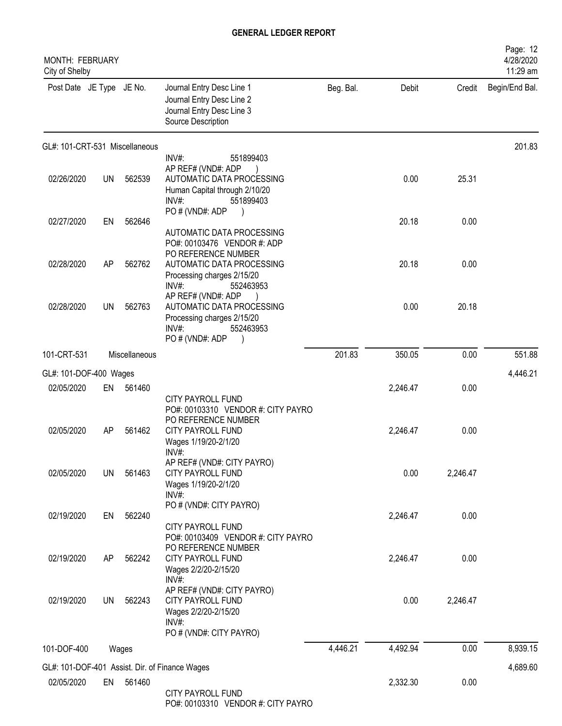| MONTH: FEBRUARY<br>City of Shelby |           |               |                                                                                                                                 |           |          |          | Page: 12<br>4/28/2020<br>11:29 am |
|-----------------------------------|-----------|---------------|---------------------------------------------------------------------------------------------------------------------------------|-----------|----------|----------|-----------------------------------|
| Post Date JE Type JE No.          |           |               | Journal Entry Desc Line 1<br>Journal Entry Desc Line 2<br>Journal Entry Desc Line 3<br>Source Description                       | Beg. Bal. | Debit    | Credit   | Begin/End Bal.                    |
| GL#: 101-CRT-531 Miscellaneous    |           |               |                                                                                                                                 |           |          |          | 201.83                            |
| 02/26/2020                        | <b>UN</b> | 562539        | INV#:<br>551899403<br>AP REF# (VND#: ADP<br>AUTOMATIC DATA PROCESSING<br>Human Capital through 2/10/20<br>$INV#$ :<br>551899403 |           | 0.00     | 25.31    |                                   |
| 02/27/2020                        | EN        | 562646        | PO#(VND#: ADP<br>AUTOMATIC DATA PROCESSING<br>PO#: 00103476 VENDOR #: ADP                                                       |           | 20.18    | 0.00     |                                   |
| 02/28/2020                        | <b>AP</b> | 562762        | PO REFERENCE NUMBER<br>AUTOMATIC DATA PROCESSING<br>Processing charges 2/15/20<br>INV#:<br>552463953                            |           | 20.18    | 0.00     |                                   |
| 02/28/2020                        | UN        | 562763        | AP REF# (VND#: ADP<br>AUTOMATIC DATA PROCESSING<br>Processing charges 2/15/20<br>INV#:<br>552463953<br>PO # (VND#: ADP          |           | 0.00     | 20.18    |                                   |
| 101-CRT-531                       |           | Miscellaneous |                                                                                                                                 | 201.83    | 350.05   | 0.00     | 551.88                            |
| GL#: 101-DOF-400 Wages            |           |               |                                                                                                                                 |           |          |          | 4,446.21                          |
| 02/05/2020                        | EN        | 561460        | CITY PAYROLL FUND                                                                                                               |           | 2,246.47 | 0.00     |                                   |
| 02/05/2020                        | AP        | 561462        | PO#: 00103310 VENDOR #: CITY PAYRO<br>PO REFERENCE NUMBER<br>CITY PAYROLL FUND<br>Wages 1/19/20-2/1/20<br>INV#:                 |           | 2,246.47 | 0.00     |                                   |
| 02/05/2020                        | UN        | 561463        | AP REF# (VND#: CITY PAYRO)<br><b>CITY PAYROLL FUND</b><br>Wages 1/19/20-2/1/20<br>INV#:                                         |           | 0.00     | 2,246.47 |                                   |
| 02/19/2020                        | EN        | 562240        | PO # (VND#: CITY PAYRO)<br>CITY PAYROLL FUND                                                                                    |           | 2,246.47 | 0.00     |                                   |
| 02/19/2020                        | AP        | 562242        | PO#: 00103409 VENDOR #: CITY PAYRO<br>PO REFERENCE NUMBER<br>CITY PAYROLL FUND<br>Wages 2/2/20-2/15/20<br>INV#:                 |           | 2,246.47 | 0.00     |                                   |
| 02/19/2020                        | <b>UN</b> | 562243        | AP REF# (VND#: CITY PAYRO)<br>CITY PAYROLL FUND<br>Wages 2/2/20-2/15/20<br>$INV#$ :<br>PO # (VND#: CITY PAYRO)                  |           | 0.00     | 2,246.47 |                                   |
| 101-DOF-400                       |           | Wages         |                                                                                                                                 | 4,446.21  | 4,492.94 | 0.00     | 8,939.15                          |
|                                   |           |               | GL#: 101-DOF-401 Assist. Dir. of Finance Wages                                                                                  |           |          |          | 4,689.60                          |
| 02/05/2020                        | EN        | 561460        | CITY PAYROLL FUND<br>PO#: 00103310 VENDOR #: CITY PAYRO                                                                         |           | 2,332.30 | 0.00     |                                   |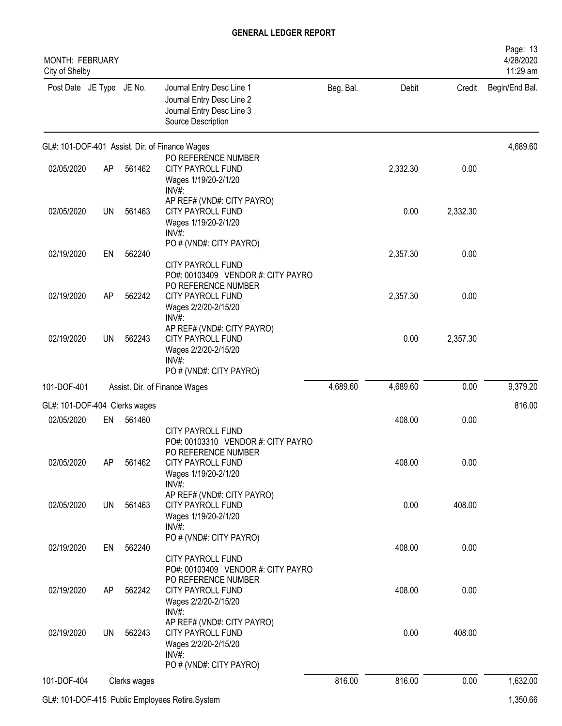| MONTH: FEBRUARY<br>City of Shelby |           |              |                                                                                                                    |           |          |          | Page: 13<br>4/28/2020<br>11:29 am |
|-----------------------------------|-----------|--------------|--------------------------------------------------------------------------------------------------------------------|-----------|----------|----------|-----------------------------------|
| Post Date JE Type JE No.          |           |              | Journal Entry Desc Line 1<br>Journal Entry Desc Line 2<br>Journal Entry Desc Line 3<br>Source Description          | Beg. Bal. | Debit    | Credit   | Begin/End Bal.                    |
|                                   |           |              | GL#: 101-DOF-401 Assist. Dir. of Finance Wages                                                                     |           |          |          | 4,689.60                          |
| 02/05/2020                        | AP        | 561462       | PO REFERENCE NUMBER<br><b>CITY PAYROLL FUND</b><br>Wages 1/19/20-2/1/20<br>INV#:                                   |           | 2,332.30 | 0.00     |                                   |
| 02/05/2020                        | <b>UN</b> | 561463       | AP REF# (VND#: CITY PAYRO)<br><b>CITY PAYROLL FUND</b><br>Wages 1/19/20-2/1/20<br>$INV#$ :                         |           | 0.00     | 2,332.30 |                                   |
| 02/19/2020                        | EN        | 562240       | PO # (VND#: CITY PAYRO)<br><b>CITY PAYROLL FUND</b><br>PO#: 00103409 VENDOR #: CITY PAYRO                          |           | 2,357.30 | 0.00     |                                   |
| 02/19/2020                        | AP        | 562242       | PO REFERENCE NUMBER<br><b>CITY PAYROLL FUND</b><br>Wages 2/2/20-2/15/20<br>INV#:                                   |           | 2,357.30 | 0.00     |                                   |
| 02/19/2020                        | <b>UN</b> | 562243       | AP REF# (VND#: CITY PAYRO)<br>CITY PAYROLL FUND<br>Wages 2/2/20-2/15/20<br>$INV#$ :<br>PO # (VND#: CITY PAYRO)     |           | 0.00     | 2,357.30 |                                   |
| 101-DOF-401                       |           |              | Assist. Dir. of Finance Wages                                                                                      | 4,689.60  | 4,689.60 | 0.00     | 9,379.20                          |
| GL#: 101-DOF-404 Clerks wages     |           |              |                                                                                                                    |           |          |          | 816.00                            |
| 02/05/2020                        | EN        | 561460       | <b>CITY PAYROLL FUND</b>                                                                                           |           | 408.00   | 0.00     |                                   |
| 02/05/2020                        | AP        | 561462       | PO#: 00103310 VENDOR #: CITY PAYRO<br>PO REFERENCE NUMBER<br>CITY PAYROLL FUND<br>Wages 1/19/20-2/1/20<br>$INV#$ : |           | 408.00   | 0.00     |                                   |
| 02/05/2020                        | UN        | 561463       | AP REF# (VND#: CITY PAYRO)<br>CITY PAYROLL FUND<br>Wages 1/19/20-2/1/20<br>INV#:                                   |           | 0.00     | 408.00   |                                   |
| 02/19/2020                        | EN        | 562240       | PO # (VND#: CITY PAYRO)<br>CITY PAYROLL FUND                                                                       |           | 408.00   | 0.00     |                                   |
| 02/19/2020                        | AP        | 562242       | PO#: 00103409 VENDOR #: CITY PAYRO<br>PO REFERENCE NUMBER<br>CITY PAYROLL FUND<br>Wages 2/2/20-2/15/20<br>$INV#$ : |           | 408.00   | 0.00     |                                   |
| 02/19/2020                        | <b>UN</b> | 562243       | AP REF# (VND#: CITY PAYRO)<br>CITY PAYROLL FUND<br>Wages 2/2/20-2/15/20<br>$INV#$ :                                |           | 0.00     | 408.00   |                                   |
|                                   |           |              | PO # (VND#: CITY PAYRO)                                                                                            |           |          |          |                                   |
| 101-DOF-404                       |           | Clerks wages |                                                                                                                    | 816.00    | 816.00   | 0.00     | 1,632.00                          |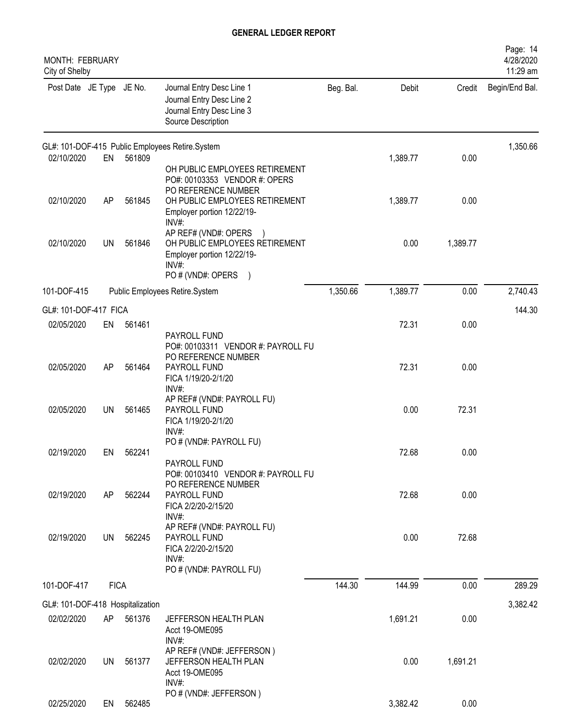| <b>MONTH: FEBRUARY</b><br>City of Shelby |             |        |                                                                                                                                 |           |          |          | Page: 14<br>4/28/2020<br>11:29 am |
|------------------------------------------|-------------|--------|---------------------------------------------------------------------------------------------------------------------------------|-----------|----------|----------|-----------------------------------|
| Post Date JE Type JE No.                 |             |        | Journal Entry Desc Line 1<br>Journal Entry Desc Line 2<br>Journal Entry Desc Line 3<br>Source Description                       | Beg. Bal. | Debit    | Credit   | Begin/End Bal.                    |
|                                          |             |        | GL#: 101-DOF-415 Public Employees Retire.System                                                                                 |           |          |          | 1,350.66                          |
| 02/10/2020                               | EN          | 561809 | OH PUBLIC EMPLOYEES RETIREMENT<br>PO#: 00103353 VENDOR #: OPERS<br>PO REFERENCE NUMBER                                          |           | 1,389.77 | 0.00     |                                   |
| 02/10/2020                               | AP          | 561845 | OH PUBLIC EMPLOYEES RETIREMENT<br>Employer portion 12/22/19-<br>INV#:                                                           |           | 1,389.77 | 0.00     |                                   |
| 02/10/2020                               | <b>UN</b>   | 561846 | AP REF# (VND#: OPERS<br>OH PUBLIC EMPLOYEES RETIREMENT<br>Employer portion 12/22/19-<br>INV#:<br>PO # (VND#: OPERS<br>$\lambda$ |           | 0.00     | 1,389.77 |                                   |
| 101-DOF-415                              |             |        | Public Employees Retire.System                                                                                                  | 1,350.66  | 1,389.77 | 0.00     | 2,740.43                          |
| GL#: 101-DOF-417 FICA                    |             |        |                                                                                                                                 |           |          |          | 144.30                            |
| 02/05/2020                               | EN          | 561461 | PAYROLL FUND<br>PO#: 00103311 VENDOR #: PAYROLL FU                                                                              |           | 72.31    | 0.00     |                                   |
| 02/05/2020                               | AP          | 561464 | PO REFERENCE NUMBER<br>PAYROLL FUND<br>FICA 1/19/20-2/1/20<br>INV#:                                                             |           | 72.31    | 0.00     |                                   |
| 02/05/2020                               | <b>UN</b>   | 561465 | AP REF# (VND#: PAYROLL FU)<br>PAYROLL FUND<br>FICA 1/19/20-2/1/20<br>INV#:                                                      |           | 0.00     | 72.31    |                                   |
| 02/19/2020                               | FN -        | 562241 | PO # (VND#: PAYROLL FU)<br>PAYROLL FUND<br>PO#: 00103410 VENDOR #: PAYROLL FU                                                   |           | 72.68    | 0.00     |                                   |
| 02/19/2020                               | AP          | 562244 | PO REFERENCE NUMBER<br>PAYROLL FUND<br>FICA 2/2/20-2/15/20                                                                      |           | 72.68    | 0.00     |                                   |
| 02/19/2020                               | <b>UN</b>   | 562245 | INV#:<br>AP REF# (VND#: PAYROLL FU)<br>PAYROLL FUND<br>FICA 2/2/20-2/15/20<br>INV#:<br>PO # (VND#: PAYROLL FU)                  |           | 0.00     | 72.68    |                                   |
| 101-DOF-417                              | <b>FICA</b> |        |                                                                                                                                 | 144.30    | 144.99   | 0.00     | 289.29                            |
| GL#: 101-DOF-418 Hospitalization         |             |        |                                                                                                                                 |           |          |          | 3,382.42                          |
| 02/02/2020                               | AP          | 561376 | JEFFERSON HEALTH PLAN<br>Acct 19-OME095<br>INV#:                                                                                |           | 1,691.21 | 0.00     |                                   |
| 02/02/2020                               | UN.         | 561377 | AP REF# (VND#: JEFFERSON)<br>JEFFERSON HEALTH PLAN<br>Acct 19-OME095<br>$INV#$ :                                                |           | 0.00     | 1,691.21 |                                   |
| 02/25/2020                               | EN          | 562485 | PO # (VND#: JEFFERSON)                                                                                                          |           | 3,382.42 | 0.00     |                                   |
|                                          |             |        |                                                                                                                                 |           |          |          |                                   |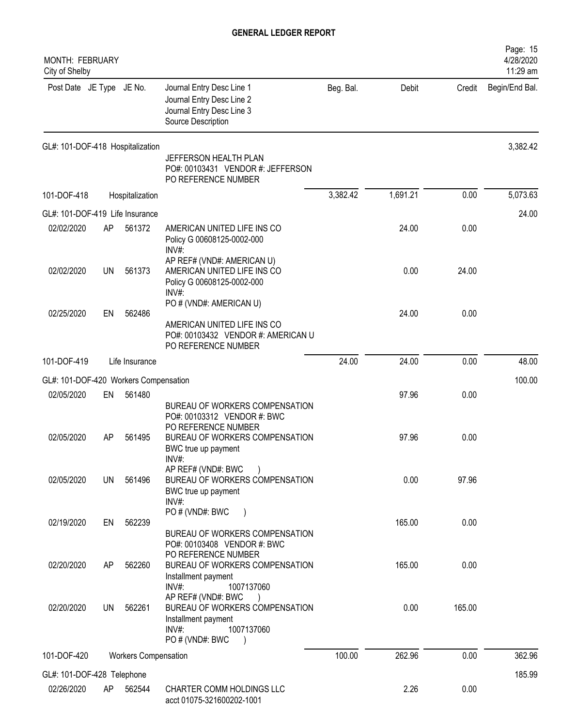| MONTH: FEBRUARY<br>City of Shelby     |                                 |                             |                                                                                                                                                  |           |          |        | Page: 15<br>4/28/2020<br>11:29 am |
|---------------------------------------|---------------------------------|-----------------------------|--------------------------------------------------------------------------------------------------------------------------------------------------|-----------|----------|--------|-----------------------------------|
| Post Date JE Type JE No.              |                                 |                             | Journal Entry Desc Line 1<br>Journal Entry Desc Line 2<br>Journal Entry Desc Line 3<br>Source Description                                        | Beg. Bal. | Debit    | Credit | Begin/End Bal.                    |
| GL#: 101-DOF-418 Hospitalization      |                                 |                             | JEFFERSON HEALTH PLAN<br>PO#: 00103431 VENDOR #: JEFFERSON<br>PO REFERENCE NUMBER                                                                |           |          |        | 3,382.42                          |
| 101-DOF-418                           |                                 | Hospitalization             |                                                                                                                                                  | 3,382.42  | 1,691.21 | 0.00   | 5,073.63                          |
|                                       | GL#: 101-DOF-419 Life Insurance |                             |                                                                                                                                                  |           |          |        | 24.00                             |
| 02/02/2020                            | AP                              | 561372                      | AMERICAN UNITED LIFE INS CO<br>Policy G 00608125-0002-000<br>INV#:                                                                               |           | 24.00    | 0.00   |                                   |
| 02/02/2020                            | UN                              | 561373                      | AP REF# (VND#: AMERICAN U)<br>AMERICAN UNITED LIFE INS CO<br>Policy G 00608125-0002-000<br>$INV#$ :                                              |           | 0.00     | 24.00  |                                   |
| 02/25/2020                            | EN                              | 562486                      | PO # (VND#: AMERICAN U)<br>AMERICAN UNITED LIFE INS CO<br>PO#: 00103432 VENDOR #: AMERICAN U<br>PO REFERENCE NUMBER                              |           | 24.00    | 0.00   |                                   |
| 101-DOF-419                           |                                 | Life Insurance              |                                                                                                                                                  | 24.00     | 24.00    | 0.00   | 48.00                             |
| GL#: 101-DOF-420 Workers Compensation |                                 |                             |                                                                                                                                                  |           |          |        | 100.00                            |
| 02/05/2020                            | EN                              | 561480                      | BUREAU OF WORKERS COMPENSATION<br>PO#: 00103312 VENDOR #: BWC                                                                                    |           | 97.96    | 0.00   |                                   |
| 02/05/2020                            | AP                              | 561495                      | PO REFERENCE NUMBER<br>BUREAU OF WORKERS COMPENSATION<br>BWC true up payment<br>INV#:                                                            |           | 97.96    | 0.00   |                                   |
| 02/05/2020                            | UN                              | 561496                      | AP REF# (VND#: BWC<br>BUREAU OF WORKERS COMPENSATION<br>BWC true up payment<br>$INV#$ :                                                          |           | 0.00     | 97.96  |                                   |
| 02/19/2020                            | EN                              | 562239                      | PO # (VND#: BWC<br>BUREAU OF WORKERS COMPENSATION                                                                                                |           | 165.00   | 0.00   |                                   |
| 02/20/2020                            | AP                              | 562260                      | PO#: 00103408 VENDOR #: BWC<br>PO REFERENCE NUMBER<br>BUREAU OF WORKERS COMPENSATION<br>Installment payment                                      |           | 165.00   | 0.00   |                                   |
| 02/20/2020                            | UN.                             | 562261                      | $INV#$ :<br>1007137060<br>AP REF# (VND#: BWC<br>BUREAU OF WORKERS COMPENSATION<br>Installment payment<br>$INV#$ :<br>1007137060<br>PO#(VND#: BWC |           | 0.00     | 165.00 |                                   |
| 101-DOF-420                           |                                 | <b>Workers Compensation</b> |                                                                                                                                                  | 100.00    | 262.96   | 0.00   | 362.96                            |
| GL#: 101-DOF-428 Telephone            |                                 |                             |                                                                                                                                                  |           |          |        | 185.99                            |
| 02/26/2020                            | AP                              | 562544                      | CHARTER COMM HOLDINGS LLC<br>acct 01075-321600202-1001                                                                                           |           | 2.26     | 0.00   |                                   |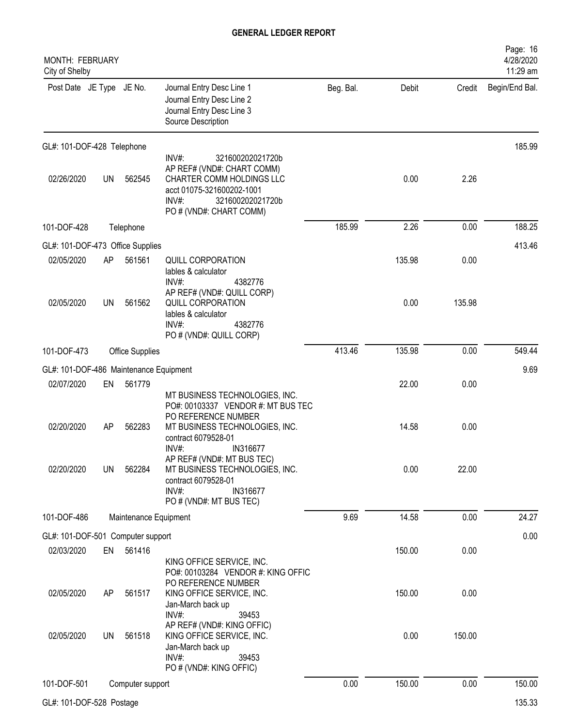| MONTH: FEBRUARY<br>City of Shelby      |    |                        |                                                                                                                                                                                 |           |        |        | Page: 16<br>4/28/2020<br>11:29 am |
|----------------------------------------|----|------------------------|---------------------------------------------------------------------------------------------------------------------------------------------------------------------------------|-----------|--------|--------|-----------------------------------|
| Post Date JE Type JE No.               |    |                        | Journal Entry Desc Line 1<br>Journal Entry Desc Line 2<br>Journal Entry Desc Line 3<br>Source Description                                                                       | Beg. Bal. | Debit  |        | Credit Begin/End Bal.             |
| GL#: 101-DOF-428 Telephone             |    |                        |                                                                                                                                                                                 |           |        |        | 185.99                            |
| 02/26/2020                             | UN | 562545                 | $INV#$ :<br>321600202021720b<br>AP REF# (VND#: CHART COMM)<br>CHARTER COMM HOLDINGS LLC<br>acct 01075-321600202-1001<br>$INV#$ :<br>321600202021720b<br>PO # (VND#: CHART COMM) |           | 0.00   | 2.26   |                                   |
| 101-DOF-428                            |    | Telephone              |                                                                                                                                                                                 | 185.99    | 2.26   | 0.00   | 188.25                            |
| GL#: 101-DOF-473 Office Supplies       |    |                        |                                                                                                                                                                                 |           |        |        | 413.46                            |
| 02/05/2020                             | AP | 561561                 | <b>QUILL CORPORATION</b><br>lables & calculator<br>$INV#$ :<br>4382776                                                                                                          |           | 135.98 | 0.00   |                                   |
| 02/05/2020                             | UN | 561562                 | AP REF# (VND#: QUILL CORP)<br><b>QUILL CORPORATION</b><br>lables & calculator<br>$INV#$ :<br>4382776<br>PO # (VND#: QUILL CORP)                                                 |           | 0.00   | 135.98 |                                   |
| 101-DOF-473                            |    | <b>Office Supplies</b> |                                                                                                                                                                                 | 413.46    | 135.98 | 0.00   | 549.44                            |
| GL#: 101-DOF-486 Maintenance Equipment |    |                        |                                                                                                                                                                                 |           |        |        | 9.69                              |
| 02/07/2020                             | EN | 561779                 | MT BUSINESS TECHNOLOGIES, INC.<br>PO#: 00103337 VENDOR #: MT BUS TEC                                                                                                            |           | 22.00  | 0.00   |                                   |
| 02/20/2020                             | AP | 562283                 | PO REFERENCE NUMBER<br>MT BUSINESS TECHNOLOGIES, INC.<br>contract 6079528-01<br>$INV#$ :<br>IN316677                                                                            |           | 14.58  | 0.00   |                                   |
| 02/20/2020                             | UN | 562284                 | AP REF# (VND#: MT BUS TEC)<br>MT BUSINESS TECHNOLOGIES, INC.<br>contract 6079528-01<br>INV#:<br>IN316677<br>PO # (VND#: MT BUS TEC)                                             |           | 0.00   | 22.00  |                                   |
| 101-DOF-486                            |    | Maintenance Equipment  |                                                                                                                                                                                 | 9.69      | 14.58  | 0.00   | 24.27                             |
| GL#: 101-DOF-501 Computer support      |    |                        |                                                                                                                                                                                 |           |        |        | 0.00                              |
| 02/03/2020                             | EN | 561416                 | KING OFFICE SERVICE, INC.<br>PO#: 00103284 VENDOR #: KING OFFIC                                                                                                                 |           | 150.00 | 0.00   |                                   |
| 02/05/2020                             | AP | 561517                 | PO REFERENCE NUMBER<br>KING OFFICE SERVICE, INC.<br>Jan-March back up<br>$INV#$ :<br>39453                                                                                      |           | 150.00 | 0.00   |                                   |
| 02/05/2020                             | UN | 561518                 | AP REF# (VND#: KING OFFIC)<br>KING OFFICE SERVICE, INC.<br>Jan-March back up<br>39453<br>INV#<br>PO # (VND#: KING OFFIC)                                                        |           | 0.00   | 150.00 |                                   |
| 101-DOF-501                            |    | Computer support       |                                                                                                                                                                                 | 0.00      | 150.00 | 0.00   | 150.00                            |
| GL#: 101-DOF-528 Postage               |    |                        |                                                                                                                                                                                 |           |        |        | 135.33                            |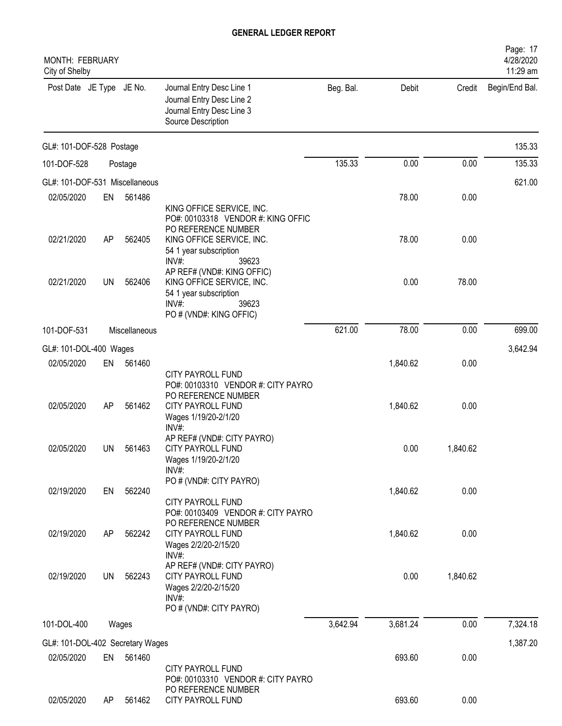| MONTH: FEBRUARY<br>City of Shelby |     |               |                                                                                                                   |           |          |          | Page: 17<br>4/28/2020<br>11:29 am |
|-----------------------------------|-----|---------------|-------------------------------------------------------------------------------------------------------------------|-----------|----------|----------|-----------------------------------|
| Post Date JE Type JE No.          |     |               | Journal Entry Desc Line 1<br>Journal Entry Desc Line 2<br>Journal Entry Desc Line 3<br>Source Description         | Beg. Bal. | Debit    | Credit   | Begin/End Bal.                    |
| GL#: 101-DOF-528 Postage          |     |               |                                                                                                                   |           |          |          | 135.33                            |
| 101-DOF-528                       |     | Postage       |                                                                                                                   | 135.33    | 0.00     | 0.00     | 135.33                            |
| GL#: 101-DOF-531 Miscellaneous    |     |               |                                                                                                                   |           |          |          | 621.00                            |
| 02/05/2020                        | EN  | 561486        |                                                                                                                   |           | 78.00    | 0.00     |                                   |
|                                   |     |               | KING OFFICE SERVICE, INC.<br>PO#: 00103318 VENDOR #: KING OFFIC<br>PO REFERENCE NUMBER                            |           |          |          |                                   |
| 02/21/2020                        | AP  | 562405        | KING OFFICE SERVICE, INC.<br>54 1 year subscription<br>$INV#$ :<br>39623                                          |           | 78.00    | 0.00     |                                   |
| 02/21/2020                        | UN  | 562406        | AP REF# (VND#: KING OFFIC)<br>KING OFFICE SERVICE, INC.                                                           |           | 0.00     | 78.00    |                                   |
|                                   |     |               | 54 1 year subscription<br>$INV#$ :<br>39623<br>PO # (VND#: KING OFFIC)                                            |           |          |          |                                   |
| 101-DOF-531                       |     | Miscellaneous |                                                                                                                   | 621.00    | 78.00    | 0.00     | 699.00                            |
| GL#: 101-DOL-400 Wages            |     |               |                                                                                                                   |           |          |          | 3,642.94                          |
| 02/05/2020                        | EN  | 561460        |                                                                                                                   |           | 1,840.62 | 0.00     |                                   |
| 02/05/2020                        | AP  | 561462        | <b>CITY PAYROLL FUND</b><br>PO#: 00103310 VENDOR #: CITY PAYRO<br>PO REFERENCE NUMBER<br><b>CITY PAYROLL FUND</b> |           | 1,840.62 | 0.00     |                                   |
|                                   |     |               | Wages 1/19/20-2/1/20<br>$INV#$ :                                                                                  |           |          |          |                                   |
| 02/05/2020                        | UN  | 561463        | AP REF# (VND#: CITY PAYRO)<br><b>CITY PAYROLL FUND</b><br>Wages 1/19/20-2/1/20<br>$INV#$ :                        |           | 0.00     | 1,840.62 |                                   |
| 02/19/2020                        | EN  | 562240        | PO # (VND#: CITY PAYRO)                                                                                           |           | 1,840.62 | 0.00     |                                   |
|                                   |     |               | <b>CITY PAYROLL FUND</b><br>PO#: 00103409 VENDOR #: CITY PAYRO<br>PO REFERENCE NUMBER                             |           |          |          |                                   |
| 02/19/2020                        | AP  | 562242        | CITY PAYROLL FUND<br>Wages 2/2/20-2/15/20<br>INV#:                                                                |           | 1,840.62 | 0.00     |                                   |
| 02/19/2020                        | UN  | 562243        | AP REF# (VND#: CITY PAYRO)<br><b>CITY PAYROLL FUND</b><br>Wages 2/2/20-2/15/20<br>INV#<br>PO # (VND#: CITY PAYRO) |           | 0.00     | 1,840.62 |                                   |
| 101-DOL-400                       |     | Wages         |                                                                                                                   | 3,642.94  | 3,681.24 | 0.00     | 7,324.18                          |
| GL#: 101-DOL-402 Secretary Wages  |     |               |                                                                                                                   |           |          |          | 1,387.20                          |
| 02/05/2020                        | EN  | 561460        | CITY PAYROLL FUND<br>PO#: 00103310 VENDOR #: CITY PAYRO                                                           |           | 693.60   | 0.00     |                                   |
| 02/05/2020                        | AP. | 561462        | PO REFERENCE NUMBER<br>CITY PAYROLL FUND                                                                          |           | 693.60   | 0.00     |                                   |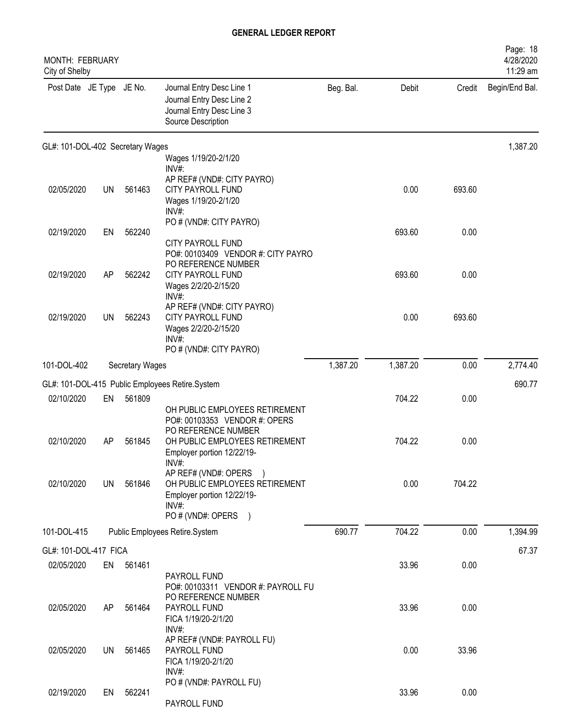| <b>MONTH: FEBRUARY</b><br>City of Shelby |           |                 |                                                                                                                      |           |          |        | Page: 18<br>4/28/2020<br>11:29 am |
|------------------------------------------|-----------|-----------------|----------------------------------------------------------------------------------------------------------------------|-----------|----------|--------|-----------------------------------|
| Post Date JE Type JE No.                 |           |                 | Journal Entry Desc Line 1<br>Journal Entry Desc Line 2<br>Journal Entry Desc Line 3<br>Source Description            | Beg. Bal. | Debit    | Credit | Begin/End Bal.                    |
| GL#: 101-DOL-402 Secretary Wages         |           |                 |                                                                                                                      |           |          |        | 1,387.20                          |
|                                          |           |                 | Wages 1/19/20-2/1/20<br>$INV#$ :                                                                                     |           |          |        |                                   |
| 02/05/2020                               | <b>UN</b> | 561463          | AP REF# (VND#: CITY PAYRO)<br>CITY PAYROLL FUND<br>Wages 1/19/20-2/1/20<br>$INV#$ :                                  |           | 0.00     | 693.60 |                                   |
| 02/19/2020                               | EN        | 562240          | PO # (VND#: CITY PAYRO)                                                                                              |           | 693.60   | 0.00   |                                   |
|                                          |           |                 | CITY PAYROLL FUND<br>PO#: 00103409 VENDOR #: CITY PAYRO<br>PO REFERENCE NUMBER                                       |           |          |        |                                   |
| 02/19/2020                               | AP        | 562242          | <b>CITY PAYROLL FUND</b><br>Wages 2/2/20-2/15/20<br>INV#:                                                            |           | 693.60   | 0.00   |                                   |
| 02/19/2020                               | <b>UN</b> | 562243          | AP REF# (VND#: CITY PAYRO)<br>CITY PAYROLL FUND<br>Wages 2/2/20-2/15/20<br>INV#<br>PO # (VND#: CITY PAYRO)           |           | 0.00     | 693.60 |                                   |
| 101-DOL-402                              |           | Secretary Wages |                                                                                                                      | 1,387.20  | 1,387.20 | 0.00   | 2,774.40                          |
|                                          |           |                 | GL#: 101-DOL-415 Public Employees Retire.System                                                                      |           |          |        | 690.77                            |
| 02/10/2020                               | EN        | 561809          |                                                                                                                      |           | 704.22   | 0.00   |                                   |
|                                          |           |                 | OH PUBLIC EMPLOYEES RETIREMENT<br>PO#: 00103353 VENDOR #: OPERS<br>PO REFERENCE NUMBER                               |           |          |        |                                   |
| 02/10/2020                               | AP        | 561845          | OH PUBLIC EMPLOYEES RETIREMENT<br>Employer portion 12/22/19-<br>INV#                                                 |           | 704.22   | 0.00   |                                   |
| 02/10/2020                               | <b>UN</b> | 561846          | AP REF# (VND#: OPERS<br>OH PUBLIC EMPLOYEES RETIREMENT<br>Employer portion 12/22/19-<br>INV#:<br>PO # (VND#: OPERS ) |           | 0.00     | 704.22 |                                   |
| 101-DOL-415                              |           |                 | Public Employees Retire.System                                                                                       | 690.77    | 704.22   | 0.00   | 1,394.99                          |
| GL#: 101-DOL-417 FICA                    |           |                 |                                                                                                                      |           |          |        | 67.37                             |
| 02/05/2020                               | EN        | 561461          |                                                                                                                      |           | 33.96    | 0.00   |                                   |
|                                          |           |                 | PAYROLL FUND<br>PO#: 00103311 VENDOR #: PAYROLL FU<br>PO REFERENCE NUMBER                                            |           |          |        |                                   |
| 02/05/2020                               | AP        | 561464          | PAYROLL FUND<br>FICA 1/19/20-2/1/20<br>INV#:                                                                         |           | 33.96    | 0.00   |                                   |
| 02/05/2020                               | <b>UN</b> | 561465          | AP REF# (VND#: PAYROLL FU)<br>PAYROLL FUND<br>FICA 1/19/20-2/1/20<br>$INV#$ :                                        |           | 0.00     | 33.96  |                                   |
| 02/19/2020                               | EN        | 562241          | PO # (VND#: PAYROLL FU)<br>PAYROLL FUND                                                                              |           | 33.96    | 0.00   |                                   |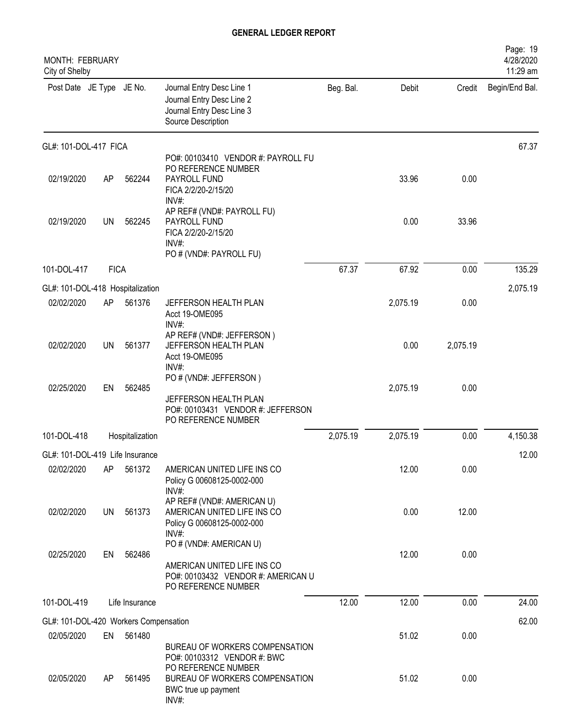| MONTH: FEBRUARY<br>City of Shelby     |             |                 |                                                                                                                      |           |          |          | Page: 19<br>4/28/2020<br>11:29 am |
|---------------------------------------|-------------|-----------------|----------------------------------------------------------------------------------------------------------------------|-----------|----------|----------|-----------------------------------|
| Post Date JE Type JE No.              |             |                 | Journal Entry Desc Line 1<br>Journal Entry Desc Line 2<br>Journal Entry Desc Line 3<br>Source Description            | Beg. Bal. | Debit    | Credit   | Begin/End Bal.                    |
| GL#: 101-DOL-417 FICA                 |             |                 |                                                                                                                      |           |          |          | 67.37                             |
| 02/19/2020                            | AP          | 562244          | PO#: 00103410 VENDOR #: PAYROLL FU<br>PO REFERENCE NUMBER<br>PAYROLL FUND<br>FICA 2/2/20-2/15/20<br>$INV#$ :         |           | 33.96    | 0.00     |                                   |
| 02/19/2020                            | UN          | 562245          | AP REF# (VND#: PAYROLL FU)<br>PAYROLL FUND<br>FICA 2/2/20-2/15/20<br>INV#:<br>PO # (VND#: PAYROLL FU)                |           | 0.00     | 33.96    |                                   |
| 101-DOL-417                           | <b>FICA</b> |                 |                                                                                                                      | 67.37     | 67.92    | 0.00     | 135.29                            |
| GL#: 101-DOL-418 Hospitalization      |             |                 |                                                                                                                      |           |          |          | 2,075.19                          |
| 02/02/2020                            | AP          | 561376          | JEFFERSON HEALTH PLAN<br>Acct 19-OME095<br>$INV#$ :                                                                  |           | 2,075.19 | 0.00     |                                   |
| 02/02/2020                            | <b>UN</b>   | 561377          | AP REF# (VND#: JEFFERSON)<br>JEFFERSON HEALTH PLAN<br>Acct 19-OME095<br>$INV#$ :                                     |           | 0.00     | 2,075.19 |                                   |
| 02/25/2020                            | EN          | 562485          | PO # (VND#: JEFFERSON)<br>JEFFERSON HEALTH PLAN<br>PO#: 00103431 VENDOR #: JEFFERSON<br>PO REFERENCE NUMBER          |           | 2,075.19 | 0.00     |                                   |
| 101-DOL-418                           |             | Hospitalization |                                                                                                                      | 2,075.19  | 2,075.19 | 0.00     | 4,150.38                          |
| GL#: 101-DOL-419 Life Insurance       |             |                 |                                                                                                                      |           |          |          | 12.00                             |
| 02/02/2020                            | AP          | 561372          | AMERICAN UNITED LIFE INS CO<br>Policy G 00608125-0002-000<br>INV#:                                                   |           | 12.00    | 0.00     |                                   |
| 02/02/2020                            | UN          | 561373          | AP REF# (VND#: AMERICAN U)<br>AMERICAN UNITED LIFE INS CO<br>Policy G 00608125-0002-000<br>INV#:                     |           | 0.00     | 12.00    |                                   |
| 02/25/2020                            | EN          | 562486          | PO # (VND#: AMERICAN U)<br>AMERICAN UNITED LIFE INS CO<br>PO#: 00103432 VENDOR #: AMERICAN U<br>PO REFERENCE NUMBER  |           | 12.00    | 0.00     |                                   |
| 101-DOL-419                           |             | Life Insurance  |                                                                                                                      | 12.00     | 12.00    | 0.00     | 24.00                             |
| GL#: 101-DOL-420 Workers Compensation |             |                 |                                                                                                                      |           |          |          | 62.00                             |
| 02/05/2020                            | EN          | 561480          | BUREAU OF WORKERS COMPENSATION                                                                                       |           | 51.02    | 0.00     |                                   |
| 02/05/2020                            | AP.         | 561495          | PO#: 00103312 VENDOR #: BWC<br>PO REFERENCE NUMBER<br>BUREAU OF WORKERS COMPENSATION<br>BWC true up payment<br>INV#: |           | 51.02    | 0.00     |                                   |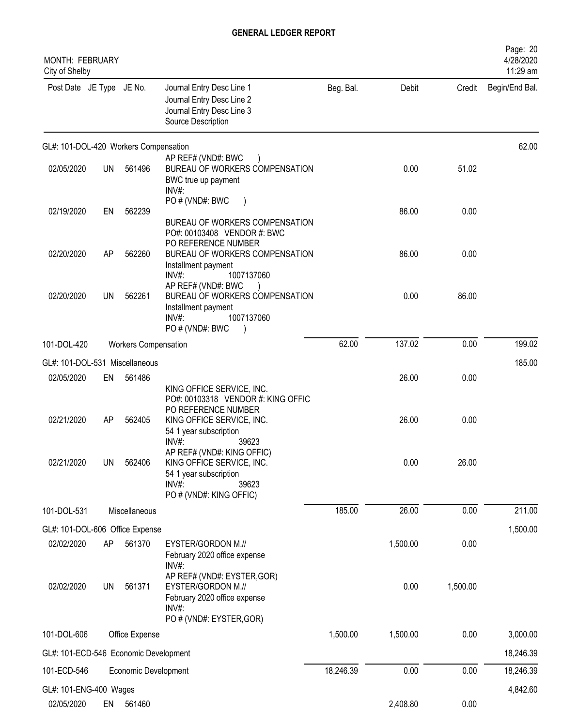| <b>MONTH: FEBRUARY</b><br>City of Shelby |           |                             |                                                                                                                                                                 |           |          |          | Page: 20<br>4/28/2020<br>11:29 am |
|------------------------------------------|-----------|-----------------------------|-----------------------------------------------------------------------------------------------------------------------------------------------------------------|-----------|----------|----------|-----------------------------------|
| Post Date JE Type JE No.                 |           |                             | Journal Entry Desc Line 1<br>Journal Entry Desc Line 2<br>Journal Entry Desc Line 3<br>Source Description                                                       | Beg. Bal. | Debit    | Credit   | Begin/End Bal.                    |
| GL#: 101-DOL-420 Workers Compensation    |           |                             |                                                                                                                                                                 |           |          |          | 62.00                             |
| 02/05/2020                               | UN.       | 561496                      | AP REF# (VND#: BWC<br>BUREAU OF WORKERS COMPENSATION<br>BWC true up payment<br>INV#:                                                                            |           | 0.00     | 51.02    |                                   |
| 02/19/2020                               | EN        | 562239                      | PO # (VND#: BWC<br>BUREAU OF WORKERS COMPENSATION<br>PO#: 00103408 VENDOR #: BWC<br>PO REFERENCE NUMBER                                                         |           | 86.00    | 0.00     |                                   |
| 02/20/2020                               | AP        | 562260                      | BUREAU OF WORKERS COMPENSATION<br>Installment payment<br>INV#:<br>1007137060                                                                                    |           | 86.00    | 0.00     |                                   |
| 02/20/2020                               | <b>UN</b> | 562261                      | AP REF# (VND#: BWC<br>BUREAU OF WORKERS COMPENSATION<br>Installment payment<br>1007137060<br>INV#<br>PO # (VND#: BWC                                            |           | 0.00     | 86.00    |                                   |
| 101-DOL-420                              |           | <b>Workers Compensation</b> |                                                                                                                                                                 | 62.00     | 137.02   | 0.00     | 199.02                            |
| GL#: 101-DOL-531 Miscellaneous           |           |                             |                                                                                                                                                                 |           |          |          | 185.00                            |
| 02/05/2020                               | EN        | 561486                      |                                                                                                                                                                 |           | 26.00    | 0.00     |                                   |
| 02/21/2020                               | AP        | 562405                      | KING OFFICE SERVICE, INC.<br>PO#: 00103318 VENDOR #: KING OFFIC<br>PO REFERENCE NUMBER<br>KING OFFICE SERVICE, INC.<br>54 1 year subscription<br>INV#:<br>39623 |           | 26.00    | 0.00     |                                   |
| 02/21/2020                               | <b>UN</b> | 562406                      | AP REF# (VND#: KING OFFIC)<br>KING OFFICE SERVICE, INC.<br>54 1 year subscription<br>INV#:<br>39623<br>PO # (VND#: KING OFFIC)                                  |           | 0.00     | 26.00    |                                   |
| 101-DOL-531                              |           | Miscellaneous               |                                                                                                                                                                 | 185.00    | 26.00    | 0.00     | 211.00                            |
| GL#: 101-DOL-606 Office Expense          |           |                             |                                                                                                                                                                 |           |          |          | 1,500.00                          |
| 02/02/2020                               | AP        | 561370                      | EYSTER/GORDON M.//<br>February 2020 office expense<br>INV#                                                                                                      |           | 1,500.00 | 0.00     |                                   |
| 02/02/2020                               | <b>UN</b> | 561371                      | AP REF# (VND#: EYSTER, GOR)<br>EYSTER/GORDON M.//<br>February 2020 office expense<br>INV#:<br>PO # (VND#: EYSTER, GOR)                                          |           | 0.00     | 1,500.00 |                                   |
| 101-DOL-606                              |           | Office Expense              |                                                                                                                                                                 | 1,500.00  | 1,500.00 | 0.00     | 3,000.00                          |
| GL#: 101-ECD-546 Economic Development    |           |                             |                                                                                                                                                                 |           |          |          | 18,246.39                         |
| 101-ECD-546                              |           | Economic Development        |                                                                                                                                                                 | 18,246.39 | 0.00     | 0.00     | 18,246.39                         |
| GL#: 101-ENG-400 Wages                   |           |                             |                                                                                                                                                                 |           |          |          | 4,842.60                          |
| 02/05/2020                               | EN        | 561460                      |                                                                                                                                                                 |           | 2,408.80 | 0.00     |                                   |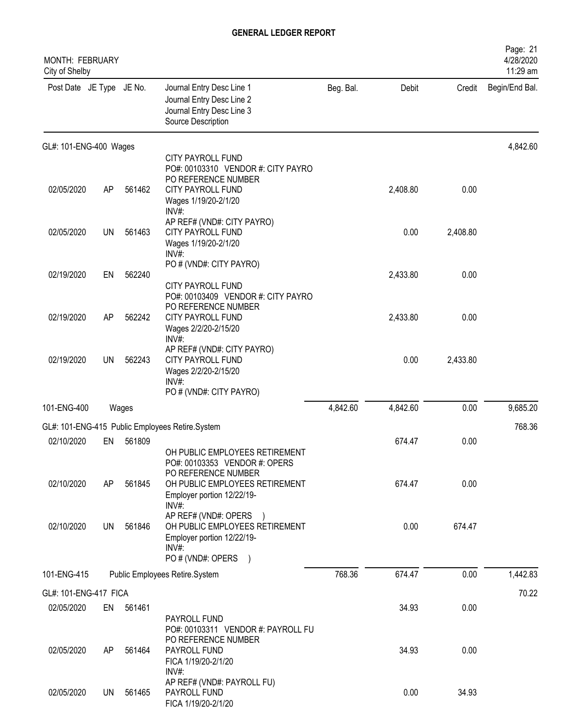| MONTH: FEBRUARY<br>City of Shelby |           |           |                                                                                                                                    |           |          |          | Page: 21<br>4/28/2020<br>11:29 am |
|-----------------------------------|-----------|-----------|------------------------------------------------------------------------------------------------------------------------------------|-----------|----------|----------|-----------------------------------|
| Post Date JE Type JE No.          |           |           | Journal Entry Desc Line 1<br>Journal Entry Desc Line 2<br>Journal Entry Desc Line 3<br>Source Description                          | Beg. Bal. | Debit    | Credit   | Begin/End Bal.                    |
| GL#: 101-ENG-400 Wages            |           |           |                                                                                                                                    |           |          |          | 4,842.60                          |
| 02/05/2020                        | AP        | 561462    | CITY PAYROLL FUND<br>PO#: 00103310 VENDOR #: CITY PAYRO<br>PO REFERENCE NUMBER<br><b>CITY PAYROLL FUND</b><br>Wages 1/19/20-2/1/20 |           | 2,408.80 | 0.00     |                                   |
| 02/05/2020                        | <b>UN</b> | 561463    | INV#:<br>AP REF# (VND#: CITY PAYRO)<br><b>CITY PAYROLL FUND</b><br>Wages 1/19/20-2/1/20<br>$INV#$ :                                |           | 0.00     | 2,408.80 |                                   |
| 02/19/2020                        | EN        | 562240    | PO # (VND#: CITY PAYRO)<br><b>CITY PAYROLL FUND</b>                                                                                |           | 2,433.80 | 0.00     |                                   |
| 02/19/2020                        | AP        | 562242    | PO#: 00103409 VENDOR #: CITY PAYRO<br>PO REFERENCE NUMBER<br><b>CITY PAYROLL FUND</b><br>Wages 2/2/20-2/15/20<br>INV#:             |           | 2,433.80 | 0.00     |                                   |
| 02/19/2020                        | UN        | 562243    | AP REF# (VND#: CITY PAYRO)<br>CITY PAYROLL FUND<br>Wages 2/2/20-2/15/20<br>INV#<br>PO # (VND#: CITY PAYRO)                         |           | 0.00     | 2,433.80 |                                   |
| 101-ENG-400                       |           | Wages     |                                                                                                                                    | 4,842.60  | 4,842.60 | 0.00     | 9,685.20                          |
|                                   |           |           | GL#: 101-ENG-415 Public Employees Retire.System                                                                                    |           |          |          | 768.36                            |
| 02/10/2020                        | EN        | 561809    | OH PUBLIC EMPLOYEES RETIREMENT                                                                                                     |           | 674.47   | 0.00     |                                   |
| 02/10/2020                        | AP        | 561845    | PO#: 00103353 VENDOR #: OPERS<br>PO REFERENCE NUMBER<br>OH PUBLIC EMPLOYEES RETIREMENT<br>Employer portion 12/22/19-<br>$INV#$ :   |           | 674.47   | 0.00     |                                   |
| 02/10/2020                        | UN        | 561846    | AP REF# (VND#: OPERS )<br>OH PUBLIC EMPLOYEES RETIREMENT<br>Employer portion 12/22/19-<br>$INV#$ :<br>PO # (VND#: OPERS            |           | 0.00     | 674.47   |                                   |
| 101-ENG-415                       |           |           | Public Employees Retire.System                                                                                                     | 768.36    | 674.47   | 0.00     | 1,442.83                          |
| GL#: 101-ENG-417 FICA             |           |           |                                                                                                                                    |           |          |          | 70.22                             |
| 02/05/2020                        |           | EN 561461 | PAYROLL FUND                                                                                                                       |           | 34.93    | 0.00     |                                   |
| 02/05/2020                        | AP.       | 561464    | PO#: 00103311 VENDOR #: PAYROLL FU<br>PO REFERENCE NUMBER<br>PAYROLL FUND<br>FICA 1/19/20-2/1/20<br>$INV#$ :                       |           | 34.93    | 0.00     |                                   |
| 02/05/2020                        | UN        | 561465    | AP REF# (VND#: PAYROLL FU)<br>PAYROLL FUND<br>FICA 1/19/20-2/1/20                                                                  |           | 0.00     | 34.93    |                                   |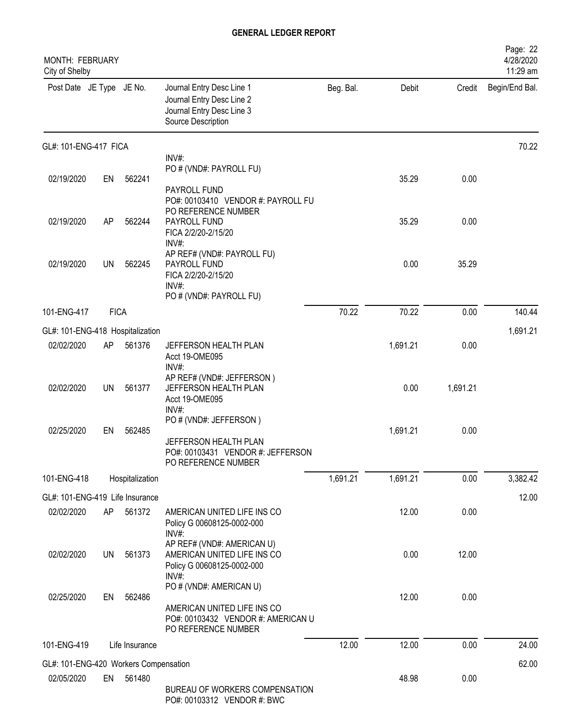| MONTH: FEBRUARY<br>City of Shelby              |             |                 |                                                                                                             |           |          |          | Page: 22<br>4/28/2020<br>11:29 am |
|------------------------------------------------|-------------|-----------------|-------------------------------------------------------------------------------------------------------------|-----------|----------|----------|-----------------------------------|
| Post Date JE Type JE No.                       |             |                 | Journal Entry Desc Line 1<br>Journal Entry Desc Line 2<br>Journal Entry Desc Line 3<br>Source Description   | Beg. Bal. | Debit    | Credit   | Begin/End Bal.                    |
| GL#: 101-ENG-417 FICA                          |             |                 |                                                                                                             |           |          |          | 70.22                             |
|                                                |             |                 | INV#:<br>PO # (VND#: PAYROLL FU)                                                                            |           |          |          |                                   |
| 02/19/2020                                     | EN          | 562241          |                                                                                                             |           | 35.29    | 0.00     |                                   |
| 02/19/2020                                     | AP          | 562244          | PAYROLL FUND<br>PO#: 00103410 VENDOR #: PAYROLL FU<br>PO REFERENCE NUMBER<br>PAYROLL FUND                   |           | 35.29    | 0.00     |                                   |
|                                                |             |                 | FICA 2/2/20-2/15/20<br>INV#:                                                                                |           |          |          |                                   |
| 02/19/2020                                     | UN          | 562245          | AP REF# (VND#: PAYROLL FU)<br>PAYROLL FUND<br>FICA 2/2/20-2/15/20<br>INV#:<br>PO # (VND#: PAYROLL FU)       |           | 0.00     | 35.29    |                                   |
| 101-ENG-417                                    | <b>FICA</b> |                 |                                                                                                             | 70.22     | 70.22    | 0.00     | 140.44                            |
|                                                |             |                 |                                                                                                             |           |          |          | 1,691.21                          |
| GL#: 101-ENG-418 Hospitalization<br>02/02/2020 | AP          | 561376          | JEFFERSON HEALTH PLAN                                                                                       |           | 1,691.21 | 0.00     |                                   |
|                                                |             |                 | Acct 19-OME095<br>INV#:                                                                                     |           |          |          |                                   |
| 02/02/2020                                     | <b>UN</b>   | 561377          | AP REF# (VND#: JEFFERSON)<br>JEFFERSON HEALTH PLAN<br>Acct 19-OME095<br>$INV#$ :                            |           | 0.00     | 1,691.21 |                                   |
| 02/25/2020                                     | EN          | 562485          | PO # (VND#: JEFFERSON)<br>JEFFERSON HEALTH PLAN<br>PO#: 00103431 VENDOR #: JEFFERSON<br>PO REFERENCE NUMBER |           | 1,691.21 | 0.00     |                                   |
| 101-ENG-418                                    |             | Hospitalization |                                                                                                             | 1,691.21  | 1,691.21 | 0.00     | 3,382.42                          |
|                                                |             |                 |                                                                                                             |           |          |          |                                   |
| GL#: 101-ENG-419 Life Insurance                | AP          | 561372          | AMERICAN UNITED LIFE INS CO                                                                                 |           | 12.00    | 0.00     | 12.00                             |
| 02/02/2020                                     |             |                 | Policy G 00608125-0002-000<br>INV#:<br>AP REF# (VND#: AMERICAN U)                                           |           |          |          |                                   |
| 02/02/2020                                     | <b>UN</b>   | 561373          | AMERICAN UNITED LIFE INS CO<br>Policy G 00608125-0002-000<br>INV#:                                          |           | 0.00     | 12.00    |                                   |
| 02/25/2020                                     | EN          | 562486          | PO # (VND#: AMERICAN U)                                                                                     |           | 12.00    | 0.00     |                                   |
|                                                |             |                 | AMERICAN UNITED LIFE INS CO<br>PO#: 00103432 VENDOR #: AMERICAN U<br>PO REFERENCE NUMBER                    |           |          |          |                                   |
| 101-ENG-419                                    |             | Life Insurance  |                                                                                                             | 12.00     | 12.00    | 0.00     | 24.00                             |
| GL#: 101-ENG-420 Workers Compensation          |             |                 |                                                                                                             |           |          |          | 62.00                             |
| 02/05/2020                                     | EN          | 561480          |                                                                                                             |           | 48.98    | 0.00     |                                   |
|                                                |             |                 | BUREAU OF WORKERS COMPENSATION<br>PO#: 00103312 VENDOR #: BWC                                               |           |          |          |                                   |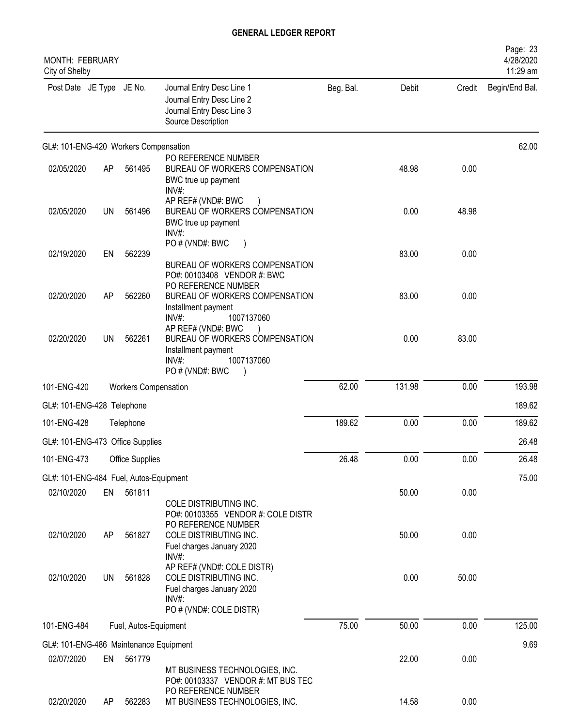| MONTH: FEBRUARY<br>City of Shelby      |           |                       |                                                                                                                       |           |        |        | Page: 23<br>4/28/2020<br>11:29 am |
|----------------------------------------|-----------|-----------------------|-----------------------------------------------------------------------------------------------------------------------|-----------|--------|--------|-----------------------------------|
| Post Date JE Type JE No.               |           |                       | Journal Entry Desc Line 1<br>Journal Entry Desc Line 2<br>Journal Entry Desc Line 3<br>Source Description             | Beg. Bal. | Debit  | Credit | Begin/End Bal.                    |
| GL#: 101-ENG-420 Workers Compensation  |           |                       |                                                                                                                       |           |        |        | 62.00                             |
| 02/05/2020                             | AP        | 561495                | PO REFERENCE NUMBER<br>BUREAU OF WORKERS COMPENSATION<br>BWC true up payment<br>INV#:                                 |           | 48.98  | 0.00   |                                   |
| 02/05/2020                             | UN        | 561496                | AP REF# (VND#: BWC<br>BUREAU OF WORKERS COMPENSATION<br>BWC true up payment<br>INV#:                                  |           | 0.00   | 48.98  |                                   |
| 02/19/2020                             | EN        | 562239                | PO # (VND#: BWC<br>BUREAU OF WORKERS COMPENSATION<br>PO#: 00103408 VENDOR #: BWC                                      |           | 83.00  | 0.00   |                                   |
| 02/20/2020                             | AP        | 562260                | PO REFERENCE NUMBER<br>BUREAU OF WORKERS COMPENSATION<br>Installment payment<br>1007137060<br>INV#                    |           | 83.00  | 0.00   |                                   |
| 02/20/2020                             | <b>UN</b> | 562261                | AP REF# (VND#: BWC<br>BUREAU OF WORKERS COMPENSATION<br>Installment payment<br>INV#:<br>1007137060<br>PO#(VND#: BWC   |           | 0.00   | 83.00  |                                   |
| 101-ENG-420                            |           | Workers Compensation  |                                                                                                                       | 62.00     | 131.98 | 0.00   | 193.98                            |
| GL#: 101-ENG-428 Telephone             |           |                       |                                                                                                                       |           |        |        | 189.62                            |
| 101-ENG-428                            |           | Telephone             |                                                                                                                       | 189.62    | 0.00   | 0.00   | 189.62                            |
| GL#: 101-ENG-473 Office Supplies       |           |                       |                                                                                                                       |           |        |        | 26.48                             |
| 101-ENG-473                            |           | Office Supplies       |                                                                                                                       | 26.48     | 0.00   | 0.00   | 26.48                             |
| GL#: 101-ENG-484 Fuel, Autos-Equipment |           |                       |                                                                                                                       |           |        |        | 75.00                             |
| 02/10/2020                             | EN        | 561811                | COLE DISTRIBUTING INC.<br>PO#: 00103355 VENDOR #: COLE DISTR<br>PO REFERENCE NUMBER                                   |           | 50.00  | 0.00   |                                   |
| 02/10/2020                             | AP        | 561827                | COLE DISTRIBUTING INC.<br>Fuel charges January 2020<br>INV#:                                                          |           | 50.00  | 0.00   |                                   |
| 02/10/2020                             | <b>UN</b> | 561828                | AP REF# (VND#: COLE DISTR)<br>COLE DISTRIBUTING INC.<br>Fuel charges January 2020<br>INV#:<br>PO # (VND#: COLE DISTR) |           | 0.00   | 50.00  |                                   |
| 101-ENG-484                            |           | Fuel, Autos-Equipment |                                                                                                                       | 75.00     | 50.00  | 0.00   | 125.00                            |
| GL#: 101-ENG-486 Maintenance Equipment |           |                       |                                                                                                                       |           |        |        | 9.69                              |
| 02/07/2020                             | EN        | 561779                | MT BUSINESS TECHNOLOGIES, INC.<br>PO#: 00103337 VENDOR #: MT BUS TEC                                                  |           | 22.00  | 0.00   |                                   |
| 02/20/2020                             | AP.       | 562283                | PO REFERENCE NUMBER<br>MT BUSINESS TECHNOLOGIES, INC.                                                                 |           | 14.58  | 0.00   |                                   |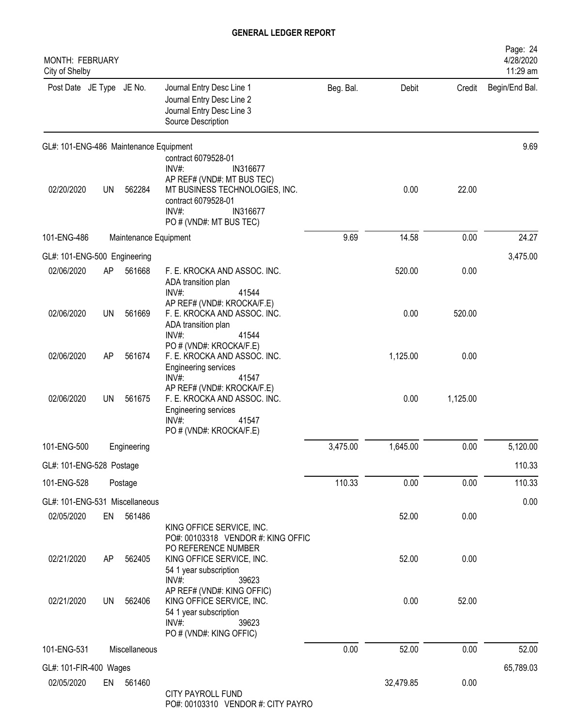| <b>MONTH: FEBRUARY</b><br>City of Shelby |           |                       |                                                                                                                                                                                    |           |           |          | Page: 24<br>4/28/2020<br>11:29 am |
|------------------------------------------|-----------|-----------------------|------------------------------------------------------------------------------------------------------------------------------------------------------------------------------------|-----------|-----------|----------|-----------------------------------|
| Post Date JE Type JE No.                 |           |                       | Journal Entry Desc Line 1<br>Journal Entry Desc Line 2<br>Journal Entry Desc Line 3<br>Source Description                                                                          | Beg. Bal. | Debit     | Credit   | Begin/End Bal.                    |
| GL#: 101-ENG-486 Maintenance Equipment   |           |                       |                                                                                                                                                                                    |           |           |          | 9.69                              |
| 02/20/2020                               | <b>UN</b> | 562284                | contract 6079528-01<br>$INV#$ :<br>IN316677<br>AP REF# (VND#: MT BUS TEC)<br>MT BUSINESS TECHNOLOGIES, INC.<br>contract 6079528-01<br>INV#:<br>IN316677<br>PO # (VND#: MT BUS TEC) |           | 0.00      | 22.00    |                                   |
| 101-ENG-486                              |           | Maintenance Equipment |                                                                                                                                                                                    | 9.69      | 14.58     | 0.00     | 24.27                             |
| GL#: 101-ENG-500 Engineering             |           |                       |                                                                                                                                                                                    |           |           |          | 3,475.00                          |
| 02/06/2020                               | AP        | 561668                | F. E. KROCKA AND ASSOC. INC.<br>ADA transition plan<br>INV#:<br>41544                                                                                                              |           | 520.00    | 0.00     |                                   |
| 02/06/2020                               | UN        | 561669                | AP REF# (VND#: KROCKA/F.E)<br>F. E. KROCKA AND ASSOC. INC.<br>ADA transition plan<br>$INV#$ :<br>41544                                                                             |           | 0.00      | 520.00   |                                   |
| 02/06/2020                               | AP        | 561674                | PO # (VND#: KROCKA/F.E)<br>F. E. KROCKA AND ASSOC. INC.<br>Engineering services<br>INV#:<br>41547                                                                                  |           | 1,125.00  | 0.00     |                                   |
| 02/06/2020                               | <b>UN</b> | 561675                | AP REF# (VND#: KROCKA/F.E)<br>F. E. KROCKA AND ASSOC. INC.<br><b>Engineering services</b><br>$INV#$ :<br>41547<br>PO # (VND#: KROCKA/F.E)                                          |           | 0.00      | 1,125.00 |                                   |
| 101-ENG-500                              |           | Engineering           |                                                                                                                                                                                    | 3,475.00  | 1,645.00  | 0.00     | 5,120.00                          |
| GL#: 101-ENG-528 Postage                 |           |                       |                                                                                                                                                                                    |           |           |          | 110.33                            |
| 101-ENG-528                              |           | Postage               |                                                                                                                                                                                    | 110.33    | 0.00      | 0.00     | 110.33                            |
| GL#: 101-ENG-531 Miscellaneous           |           |                       |                                                                                                                                                                                    |           |           |          | 0.00                              |
| 02/05/2020                               | EN        | 561486                | KING OFFICE SERVICE, INC.<br>PO#: 00103318 VENDOR #: KING OFFIC                                                                                                                    |           | 52.00     | 0.00     |                                   |
| 02/21/2020                               | AP        | 562405                | PO REFERENCE NUMBER<br>KING OFFICE SERVICE, INC.<br>54 1 year subscription<br>INV#:<br>39623                                                                                       |           | 52.00     | 0.00     |                                   |
| 02/21/2020                               | <b>UN</b> | 562406                | AP REF# (VND#: KING OFFIC)<br>KING OFFICE SERVICE, INC.<br>54 1 year subscription<br>INV#:<br>39623<br>PO # (VND#: KING OFFIC)                                                     |           | 0.00      | 52.00    |                                   |
| 101-ENG-531                              |           | Miscellaneous         |                                                                                                                                                                                    | 0.00      | 52.00     | 0.00     | 52.00                             |
| GL#: 101-FIR-400 Wages                   |           |                       |                                                                                                                                                                                    |           |           |          | 65,789.03                         |
| 02/05/2020                               |           | EN 561460             | <b>CITY PAYROLL FUND</b><br>PO#: 00103310 VENDOR #: CITY PAYRO                                                                                                                     |           | 32,479.85 | 0.00     |                                   |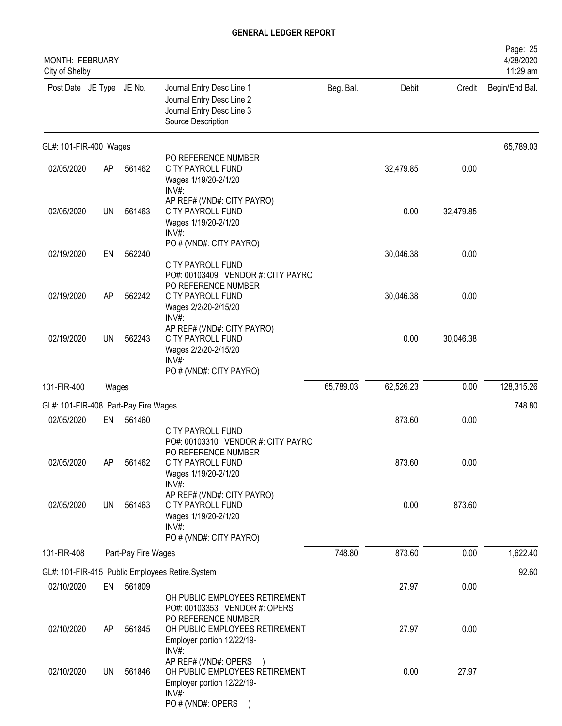| <b>MONTH: FEBRUARY</b><br>City of Shelby |           |                     |                                                                                                                    |           |           |           | Page: 25<br>4/28/2020<br>11:29 am |
|------------------------------------------|-----------|---------------------|--------------------------------------------------------------------------------------------------------------------|-----------|-----------|-----------|-----------------------------------|
| Post Date JE Type JE No.                 |           |                     | Journal Entry Desc Line 1<br>Journal Entry Desc Line 2<br>Journal Entry Desc Line 3<br>Source Description          | Beg. Bal. | Debit     | Credit    | Begin/End Bal.                    |
| GL#: 101-FIR-400 Wages                   |           |                     |                                                                                                                    |           |           |           | 65,789.03                         |
| 02/05/2020                               | AP        | 561462              | PO REFERENCE NUMBER<br><b>CITY PAYROLL FUND</b><br>Wages 1/19/20-2/1/20<br>$INV#$ :                                |           | 32,479.85 | 0.00      |                                   |
| 02/05/2020                               | <b>UN</b> | 561463              | AP REF# (VND#: CITY PAYRO)<br>CITY PAYROLL FUND<br>Wages 1/19/20-2/1/20<br>INV#:                                   |           | 0.00      | 32,479.85 |                                   |
| 02/19/2020                               | EN        | 562240              | PO # (VND#: CITY PAYRO)<br><b>CITY PAYROLL FUND</b>                                                                |           | 30,046.38 | 0.00      |                                   |
| 02/19/2020                               | AP        | 562242              | PO#: 00103409 VENDOR #: CITY PAYRO<br>PO REFERENCE NUMBER<br>CITY PAYROLL FUND<br>Wages 2/2/20-2/15/20<br>INV#:    |           | 30,046.38 | 0.00      |                                   |
| 02/19/2020                               | <b>UN</b> | 562243              | AP REF# (VND#: CITY PAYRO)<br><b>CITY PAYROLL FUND</b><br>Wages 2/2/20-2/15/20<br>INV#                             |           | 0.00      | 30,046.38 |                                   |
| 101-FIR-400                              | Wages     |                     | PO # (VND#: CITY PAYRO)                                                                                            | 65,789.03 | 62,526.23 | 0.00      | 128,315.26                        |
| GL#: 101-FIR-408 Part-Pay Fire Wages     |           |                     |                                                                                                                    |           |           |           | 748.80                            |
| 02/05/2020                               | EN        | 561460              |                                                                                                                    |           | 873.60    | 0.00      |                                   |
|                                          |           |                     | <b>CITY PAYROLL FUND</b><br>PO#: 00103310 VENDOR #: CITY PAYRO<br>PO REFERENCE NUMBER                              |           |           |           |                                   |
| 02/05/2020                               | AP        | 561462              | <b>CITY PAYROLL FUND</b><br>Wages 1/19/20-2/1/20<br>$INV#$ :                                                       |           | 873.60    | 0.00      |                                   |
| 02/05/2020                               | UN        | 561463              | AP REF# (VND#: CITY PAYRO)<br><b>CITY PAYROLL FUND</b><br>Wages 1/19/20-2/1/20<br>INV#:<br>PO # (VND#: CITY PAYRO) |           | 0.00      | 873.60    |                                   |
| 101-FIR-408                              |           | Part-Pay Fire Wages |                                                                                                                    | 748.80    | 873.60    | 0.00      | 1,622.40                          |
|                                          |           |                     | GL#: 101-FIR-415 Public Employees Retire.System                                                                    |           |           |           | 92.60                             |
| 02/10/2020                               | EN        | 561809              | OH PUBLIC EMPLOYEES RETIREMENT<br>PO#: 00103353 VENDOR #: OPERS                                                    |           | 27.97     | 0.00      |                                   |
| 02/10/2020                               | AP        | 561845              | PO REFERENCE NUMBER<br>OH PUBLIC EMPLOYEES RETIREMENT<br>Employer portion 12/22/19-<br>INV#:                       |           | 27.97     | 0.00      |                                   |
| 02/10/2020                               | UN        | 561846              | AP REF# (VND#: OPERS<br>OH PUBLIC EMPLOYEES RETIREMENT<br>Employer portion 12/22/19-<br>INV#:                      |           | 0.00      | 27.97     |                                   |
|                                          |           |                     | PO # (VND#: OPERS                                                                                                  |           |           |           |                                   |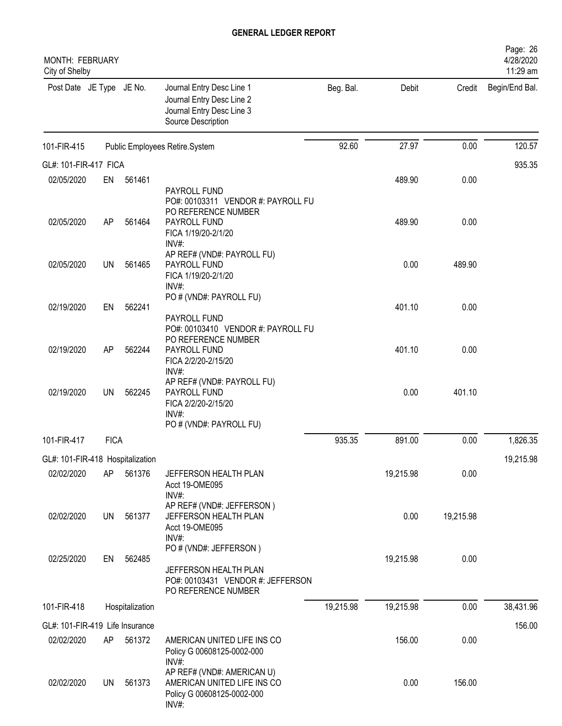| <b>MONTH: FEBRUARY</b><br>City of Shelby |             |                 |                                                                                                                  |           |           |           | Page: 26<br>4/28/2020<br>11:29 am |
|------------------------------------------|-------------|-----------------|------------------------------------------------------------------------------------------------------------------|-----------|-----------|-----------|-----------------------------------|
| Post Date JE Type JE No.                 |             |                 | Journal Entry Desc Line 1<br>Journal Entry Desc Line 2<br>Journal Entry Desc Line 3<br>Source Description        | Beg. Bal. | Debit     | Credit    | Begin/End Bal.                    |
| 101-FIR-415                              |             |                 | Public Employees Retire.System                                                                                   | 92.60     | 27.97     | 0.00      | 120.57                            |
| GL#: 101-FIR-417 FICA                    |             |                 |                                                                                                                  |           |           |           | 935.35                            |
| 02/05/2020                               | EN          | 561461          |                                                                                                                  |           | 489.90    | 0.00      |                                   |
| 02/05/2020                               | AP          | 561464          | PAYROLL FUND<br>PO#: 00103311 VENDOR #: PAYROLL FU<br>PO REFERENCE NUMBER<br>PAYROLL FUND<br>FICA 1/19/20-2/1/20 |           | 489.90    | 0.00      |                                   |
| 02/05/2020                               | <b>UN</b>   | 561465          | INV#:<br>AP REF# (VND#: PAYROLL FU)<br>PAYROLL FUND<br>FICA 1/19/20-2/1/20<br>INV#                               |           | 0.00      | 489.90    |                                   |
| 02/19/2020                               | EN          | 562241          | PO # (VND#: PAYROLL FU)<br>PAYROLL FUND                                                                          |           | 401.10    | 0.00      |                                   |
| 02/19/2020                               | AP          | 562244          | PO#: 00103410 VENDOR #: PAYROLL FU<br>PO REFERENCE NUMBER<br>PAYROLL FUND<br>FICA 2/2/20-2/15/20<br>INV#:        |           | 401.10    | 0.00      |                                   |
| 02/19/2020                               | <b>UN</b>   | 562245          | AP REF# (VND#: PAYROLL FU)<br>PAYROLL FUND<br>FICA 2/2/20-2/15/20<br>INV#:                                       |           | 0.00      | 401.10    |                                   |
|                                          |             |                 | PO # (VND#: PAYROLL FU)                                                                                          | 935.35    | 891.00    | 0.00      | 1,826.35                          |
| 101-FIR-417                              | <b>FICA</b> |                 |                                                                                                                  |           |           |           |                                   |
| GL#: 101-FIR-418 Hospitalization         |             |                 |                                                                                                                  |           |           |           | 19,215.98                         |
| 02/02/2020                               | AΡ          | 561376          | JEFFERSON HEALTH PLAN<br>Acct 19-OME095<br>$INV#$ :                                                              |           | 19,215.98 | 0.00      |                                   |
| 02/02/2020                               | <b>UN</b>   | 561377          | AP REF# (VND#: JEFFERSON)<br>JEFFERSON HEALTH PLAN<br>Acct 19-OME095<br>INV#:                                    |           | 0.00      | 19,215.98 |                                   |
| 02/25/2020                               | EN          | 562485          | PO # (VND#: JEFFERSON)<br>JEFFERSON HEALTH PLAN<br>PO#: 00103431 VENDOR #: JEFFERSON<br>PO REFERENCE NUMBER      |           | 19,215.98 | 0.00      |                                   |
| 101-FIR-418                              |             | Hospitalization |                                                                                                                  | 19,215.98 | 19,215.98 | 0.00      | 38,431.96                         |
| GL#: 101-FIR-419 Life Insurance          |             |                 |                                                                                                                  |           |           |           | 156.00                            |
| 02/02/2020                               | AP          | 561372          | AMERICAN UNITED LIFE INS CO<br>Policy G 00608125-0002-000                                                        |           | 156.00    | 0.00      |                                   |
| 02/02/2020                               | UN          | 561373          | INV#:<br>AP REF# (VND#: AMERICAN U)<br>AMERICAN UNITED LIFE INS CO<br>Policy G 00608125-0002-000<br>INV#:        |           | 0.00      | 156.00    |                                   |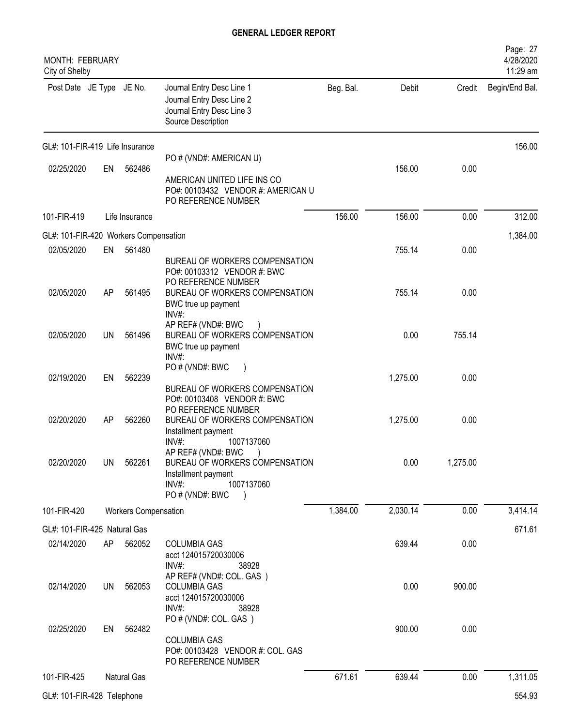| MONTH: FEBRUARY<br>City of Shelby     |           |                             |                                                                                                                                            |           |          |          | Page: 27<br>4/28/2020<br>11:29 am |
|---------------------------------------|-----------|-----------------------------|--------------------------------------------------------------------------------------------------------------------------------------------|-----------|----------|----------|-----------------------------------|
| Post Date JE Type JE No.              |           |                             | Journal Entry Desc Line 1<br>Journal Entry Desc Line 2<br>Journal Entry Desc Line 3<br>Source Description                                  | Beg. Bal. | Debit    | Credit   | Begin/End Bal.                    |
| GL#: 101-FIR-419 Life Insurance       |           |                             |                                                                                                                                            |           |          |          | 156.00                            |
| 02/25/2020                            | EN        | 562486                      | PO # (VND#: AMERICAN U)<br>AMERICAN UNITED LIFE INS CO<br>PO#: 00103432 VENDOR #: AMERICAN U<br>PO REFERENCE NUMBER                        |           | 156.00   | 0.00     |                                   |
| 101-FIR-419                           |           | Life Insurance              |                                                                                                                                            | 156.00    | 156.00   | 0.00     | 312.00                            |
| GL#: 101-FIR-420 Workers Compensation |           |                             |                                                                                                                                            |           |          |          | 1,384.00                          |
| 02/05/2020                            | EN        | 561480                      | BUREAU OF WORKERS COMPENSATION<br>PO#: 00103312 VENDOR #: BWC                                                                              |           | 755.14   | 0.00     |                                   |
| 02/05/2020                            | AP        | 561495                      | PO REFERENCE NUMBER<br>BUREAU OF WORKERS COMPENSATION<br>BWC true up payment<br>INV#:                                                      |           | 755.14   | 0.00     |                                   |
| 02/05/2020                            | UN.       | 561496                      | AP REF# (VND#: BWC<br>BUREAU OF WORKERS COMPENSATION<br>BWC true up payment<br>INV#                                                        |           | 0.00     | 755.14   |                                   |
| 02/19/2020                            | EN        | 562239                      | PO # (VND#: BWC<br>BUREAU OF WORKERS COMPENSATION<br>PO#: 00103408 VENDOR #: BWC                                                           |           | 1,275.00 | 0.00     |                                   |
| 02/20/2020                            | AP        | 562260                      | PO REFERENCE NUMBER<br>BUREAU OF WORKERS COMPENSATION<br>Installment payment<br>INV#<br>1007137060                                         |           | 1,275.00 | 0.00     |                                   |
| 02/20/2020                            | <b>UN</b> | 562261                      | AP REF# (VND#: BWC)<br>BUREAU OF WORKERS COMPENSATION<br>Installment payment<br>$INV#$ :<br>1007137060<br>PO # (VND#: BWC<br>$\rightarrow$ |           | 0.00     | 1,275.00 |                                   |
| 101-FIR-420                           |           | <b>Workers Compensation</b> |                                                                                                                                            | 1,384.00  | 2,030.14 | 0.00     | 3,414.14                          |
| GL#: 101-FIR-425 Natural Gas          |           |                             |                                                                                                                                            |           |          |          | 671.61                            |
| 02/14/2020                            | AP        | 562052                      | <b>COLUMBIA GAS</b><br>acct 124015720030006<br>INV#:<br>38928                                                                              |           | 639.44   | 0.00     |                                   |
| 02/14/2020                            | UN        | 562053                      | AP REF# (VND#: COL. GAS)<br><b>COLUMBIA GAS</b><br>acct 124015720030006<br>$INV#$ :<br>38928                                               |           | 0.00     | 900.00   |                                   |
| 02/25/2020                            | EN        | 562482                      | PO # (VND#: COL. GAS)<br><b>COLUMBIA GAS</b><br>PO#: 00103428 VENDOR #: COL. GAS<br>PO REFERENCE NUMBER                                    |           | 900.00   | 0.00     |                                   |
| 101-FIR-425                           |           | Natural Gas                 |                                                                                                                                            | 671.61    | 639.44   | 0.00     | 1,311.05                          |
| GL#: 101-FIR-428 Telephone            |           |                             |                                                                                                                                            |           |          |          | 554.93                            |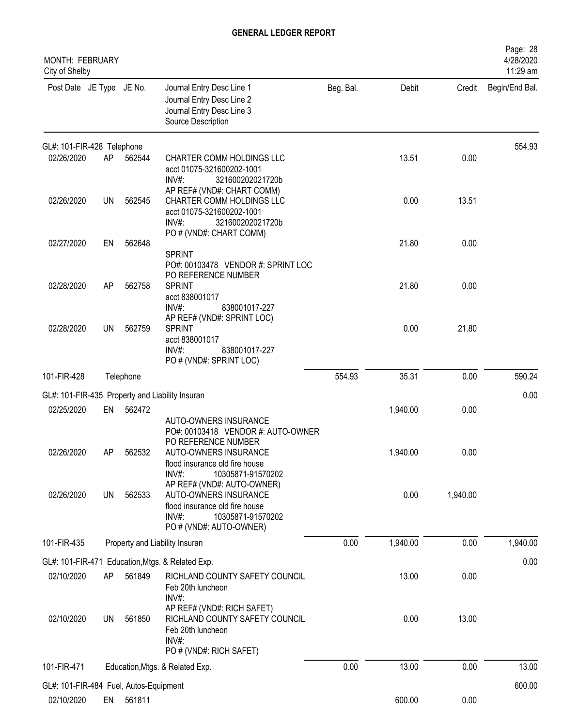| MONTH: FEBRUARY<br>City of Shelby      |           |           |                                                                                                                                                |           |          |          | Page: 28<br>4/28/2020<br>11:29 am |
|----------------------------------------|-----------|-----------|------------------------------------------------------------------------------------------------------------------------------------------------|-----------|----------|----------|-----------------------------------|
| Post Date JE Type JE No.               |           |           | Journal Entry Desc Line 1<br>Journal Entry Desc Line 2<br>Journal Entry Desc Line 3<br>Source Description                                      | Beg. Bal. | Debit    | Credit   | Begin/End Bal.                    |
| GL#: 101-FIR-428 Telephone             |           |           |                                                                                                                                                |           |          |          | 554.93                            |
| 02/26/2020                             | AP        | 562544    | CHARTER COMM HOLDINGS LLC<br>acct 01075-321600202-1001<br>$INV#$ :<br>321600202021720b<br>AP REF# (VND#: CHART COMM)                           |           | 13.51    | 0.00     |                                   |
| 02/26/2020                             | <b>UN</b> | 562545    | CHARTER COMM HOLDINGS LLC<br>acct 01075-321600202-1001<br>$INV#$ :<br>321600202021720b                                                         |           | 0.00     | 13.51    |                                   |
| 02/27/2020                             | EN        | 562648    | PO # (VND#: CHART COMM)                                                                                                                        |           | 21.80    | 0.00     |                                   |
|                                        |           |           | <b>SPRINT</b><br>PO#: 00103478 VENDOR #: SPRINT LOC<br>PO REFERENCE NUMBER                                                                     |           |          |          |                                   |
| 02/28/2020                             | AP        | 562758    | <b>SPRINT</b><br>acct 838001017<br>$INV#$ :<br>838001017-227                                                                                   |           | 21.80    | 0.00     |                                   |
| 02/28/2020                             | <b>UN</b> | 562759    | AP REF# (VND#: SPRINT LOC)<br><b>SPRINT</b><br>acct 838001017<br>$INV#$ :<br>838001017-227<br>PO # (VND#: SPRINT LOC)                          |           | 0.00     | 21.80    |                                   |
| 101-FIR-428                            |           | Telephone |                                                                                                                                                | 554.93    | 35.31    | 0.00     | 590.24                            |
|                                        |           |           | GL#: 101-FIR-435 Property and Liability Insuran                                                                                                |           |          |          | 0.00                              |
| 02/25/2020                             | EN        | 562472    | AUTO-OWNERS INSURANCE<br>PO#: 00103418 VENDOR #: AUTO-OWNER<br>PO REFERENCE NUMBER                                                             |           | 1,940.00 | 0.00     |                                   |
| 02/26/2020                             | AΡ        | 562532    | AUTO-OWNERS INSURANCE<br>flood insurance old fire house<br>$INV#$ :<br>10305871-91570202                                                       |           | 1,940.00 | 0.00     |                                   |
| 02/26/2020                             | <b>UN</b> | 562533    | AP REF# (VND#: AUTO-OWNER)<br>AUTO-OWNERS INSURANCE<br>flood insurance old fire house<br>INV#:<br>10305871-91570202<br>PO # (VND#: AUTO-OWNER) |           | 0.00     | 1,940.00 |                                   |
| 101-FIR-435                            |           |           | Property and Liability Insuran                                                                                                                 | 0.00      | 1,940.00 | 0.00     | 1,940.00                          |
| GL#: 101-FIR-471                       |           |           | Education, Mtgs. & Related Exp.                                                                                                                |           |          |          | 0.00                              |
| 02/10/2020                             | AP        | 561849    | RICHLAND COUNTY SAFETY COUNCIL<br>Feb 20th luncheon<br>INV#:                                                                                   |           | 13.00    | 0.00     |                                   |
| 02/10/2020                             | UN        | 561850    | AP REF# (VND#: RICH SAFET)<br>RICHLAND COUNTY SAFETY COUNCIL<br>Feb 20th luncheon<br>$INV#$ :<br>PO # (VND#: RICH SAFET)                       |           | 0.00     | 13.00    |                                   |
| 101-FIR-471                            |           |           | Education, Mtgs. & Related Exp.                                                                                                                | 0.00      | 13.00    | 0.00     | 13.00                             |
| GL#: 101-FIR-484 Fuel, Autos-Equipment |           |           |                                                                                                                                                |           |          |          | 600.00                            |
| 02/10/2020                             | EN        | 561811    |                                                                                                                                                |           | 600.00   | 0.00     |                                   |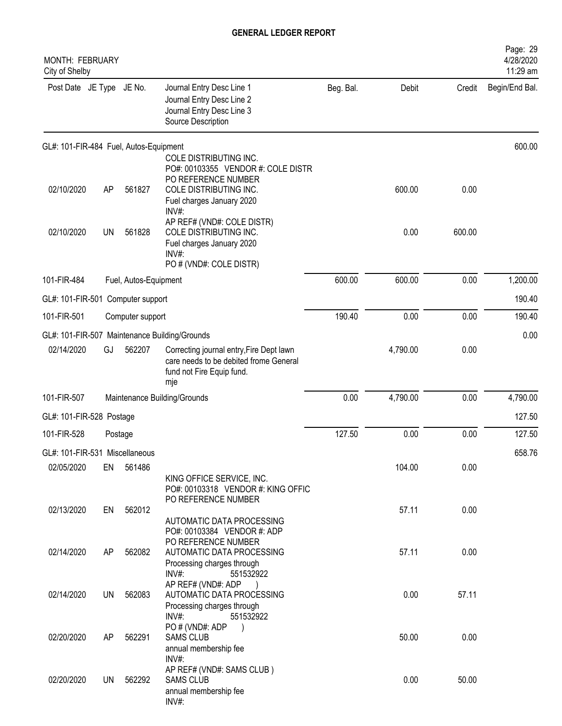| <b>MONTH: FEBRUARY</b><br>City of Shelby |           |                       |                                                                                                                        |           |          |        | Page: 29<br>4/28/2020<br>11:29 am |
|------------------------------------------|-----------|-----------------------|------------------------------------------------------------------------------------------------------------------------|-----------|----------|--------|-----------------------------------|
| Post Date JE Type JE No.                 |           |                       | Journal Entry Desc Line 1<br>Journal Entry Desc Line 2<br>Journal Entry Desc Line 3<br>Source Description              | Beg. Bal. | Debit    | Credit | Begin/End Bal.                    |
| GL#: 101-FIR-484 Fuel, Autos-Equipment   |           |                       | COLE DISTRIBUTING INC.<br>PO#: 00103355 VENDOR #: COLE DISTR                                                           |           |          |        | 600.00                            |
| 02/10/2020                               | AP        | 561827                | PO REFERENCE NUMBER<br>COLE DISTRIBUTING INC.<br>Fuel charges January 2020<br>INV#:                                    |           | 600.00   | 0.00   |                                   |
| 02/10/2020                               | <b>UN</b> | 561828                | AP REF# (VND#: COLE DISTR)<br>COLE DISTRIBUTING INC.<br>Fuel charges January 2020<br>INV#:<br>PO # (VND#: COLE DISTR)  |           | 0.00     | 600.00 |                                   |
| 101-FIR-484                              |           | Fuel, Autos-Equipment |                                                                                                                        | 600.00    | 600.00   | 0.00   | 1,200.00                          |
| GL#: 101-FIR-501 Computer support        |           |                       |                                                                                                                        |           |          |        | 190.40                            |
| 101-FIR-501                              |           | Computer support      |                                                                                                                        | 190.40    | 0.00     | 0.00   | 190.40                            |
|                                          |           |                       | GL#: 101-FIR-507 Maintenance Building/Grounds                                                                          |           |          |        | 0.00                              |
| 02/14/2020                               | GJ        | 562207                | Correcting journal entry, Fire Dept lawn<br>care needs to be debited frome General<br>fund not Fire Equip fund.<br>mje |           | 4,790.00 | 0.00   |                                   |
| 101-FIR-507                              |           |                       | Maintenance Building/Grounds                                                                                           | 0.00      | 4,790.00 | 0.00   | 4,790.00                          |
| GL#: 101-FIR-528 Postage                 |           |                       |                                                                                                                        |           |          |        | 127.50                            |
| 101-FIR-528                              | Postage   |                       |                                                                                                                        | 127.50    | 0.00     | 0.00   | 127.50                            |
| GL#: 101-FIR-531 Miscellaneous           |           |                       |                                                                                                                        |           |          |        | 658.76                            |
| 02/05/2020                               | EN        | 561486                | KING OFFICE SERVICE, INC.<br>PO#: 00103318 VENDOR #: KING OFFIC                                                        |           | 104.00   | 0.00   |                                   |
| 02/13/2020                               | EN        | 562012                | PO REFERENCE NUMBER<br>AUTOMATIC DATA PROCESSING                                                                       |           | 57.11    | 0.00   |                                   |
| 02/14/2020                               | AP        | 562082                | PO#: 00103384 VENDOR #: ADP<br>PO REFERENCE NUMBER<br>AUTOMATIC DATA PROCESSING                                        |           | 57.11    | 0.00   |                                   |
| 02/14/2020                               | UN.       | 562083                | Processing charges through<br>INV#:<br>551532922<br>AP REF# (VND#: ADP<br>AUTOMATIC DATA PROCESSING                    |           | 0.00     | 57.11  |                                   |
|                                          |           |                       | Processing charges through<br>$INV#$ :<br>551532922                                                                    |           |          |        |                                   |
| 02/20/2020                               | AP        | 562291                | PO#(VND#: ADP<br><b>SAMS CLUB</b><br>annual membership fee                                                             |           | 50.00    | 0.00   |                                   |
| 02/20/2020                               | UN        | 562292                | INV#:<br>AP REF# (VND#: SAMS CLUB)<br><b>SAMS CLUB</b><br>annual membership fee<br>INV#:                               |           | 0.00     | 50.00  |                                   |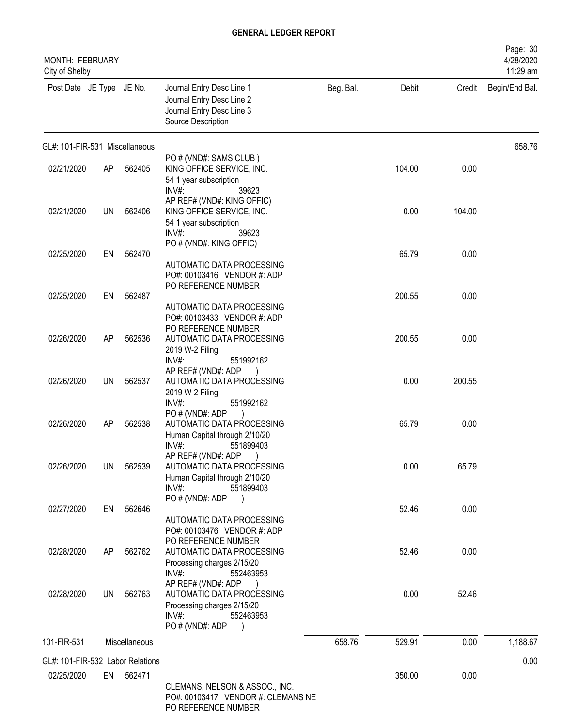| MONTH: FEBRUARY<br>City of Shelby |           |               |                                                                                                                                                    |           |        |        | Page: 30<br>4/28/2020<br>11:29 am |
|-----------------------------------|-----------|---------------|----------------------------------------------------------------------------------------------------------------------------------------------------|-----------|--------|--------|-----------------------------------|
| Post Date JE Type JE No.          |           |               | Journal Entry Desc Line 1<br>Journal Entry Desc Line 2<br>Journal Entry Desc Line 3<br>Source Description                                          | Beg. Bal. | Debit  | Credit | Begin/End Bal.                    |
| GL#: 101-FIR-531 Miscellaneous    |           |               |                                                                                                                                                    |           |        |        | 658.76                            |
| 02/21/2020                        | AP        | 562405        | PO # (VND#: SAMS CLUB)<br>KING OFFICE SERVICE, INC.<br>54 1 year subscription<br>$INV#$ :<br>39623                                                 |           | 104.00 | 0.00   |                                   |
| 02/21/2020                        | UN        | 562406        | AP REF# (VND#: KING OFFIC)<br>KING OFFICE SERVICE, INC.<br>54 1 year subscription<br>$INV#$ :<br>39623                                             |           | 0.00   | 104.00 |                                   |
| 02/25/2020                        | EN        | 562470        | PO # (VND#: KING OFFIC)<br>AUTOMATIC DATA PROCESSING<br>PO#: 00103416 VENDOR #: ADP                                                                |           | 65.79  | 0.00   |                                   |
| 02/25/2020                        | EN        | 562487        | PO REFERENCE NUMBER<br>AUTOMATIC DATA PROCESSING<br>PO#: 00103433 VENDOR #: ADP                                                                    |           | 200.55 | 0.00   |                                   |
| 02/26/2020                        | AP        | 562536        | PO REFERENCE NUMBER<br>AUTOMATIC DATA PROCESSING<br>2019 W-2 Filing<br>INV#:<br>551992162                                                          |           | 200.55 | 0.00   |                                   |
| 02/26/2020                        | <b>UN</b> | 562537        | AP REF# (VND#: ADP<br>AUTOMATIC DATA PROCESSING<br>2019 W-2 Filing<br>INV#:<br>551992162                                                           |           | 0.00   | 200.55 |                                   |
| 02/26/2020                        | AP        | 562538        | PO#(VND#: ADP<br>AUTOMATIC DATA PROCESSING<br>Human Capital through 2/10/20<br>$INV#$ :<br>551899403                                               |           | 65.79  | 0.00   |                                   |
| 02/26/2020                        | UN        | 562539        | AP REF# (VND#: ADP)<br>AUTOMATIC DATA PROCESSING<br>Human Capital through 2/10/20<br>INV#:<br>551899403                                            |           | 0.00   | 65.79  |                                   |
| 02/27/2020                        | EN        | 562646        | PO#(VND#: ADP<br>$\rightarrow$<br>AUTOMATIC DATA PROCESSING<br>PO#: 00103476 VENDOR #: ADP                                                         |           | 52.46  | 0.00   |                                   |
| 02/28/2020                        | AP        | 562762        | PO REFERENCE NUMBER<br>AUTOMATIC DATA PROCESSING<br>Processing charges 2/15/20<br>$INV#$ :<br>552463953                                            |           | 52.46  | 0.00   |                                   |
| 02/28/2020                        | UN        | 562763        | AP REF# (VND#: ADP<br>AUTOMATIC DATA PROCESSING<br>Processing charges 2/15/20<br>INV#:<br>552463953<br>PO # (VND#: ADP<br>$\overline{\phantom{a}}$ |           | 0.00   | 52.46  |                                   |
| 101-FIR-531                       |           | Miscellaneous |                                                                                                                                                    | 658.76    | 529.91 | 0.00   | 1,188.67                          |
| GL#: 101-FIR-532 Labor Relations  |           |               |                                                                                                                                                    |           |        |        | 0.00                              |
| 02/25/2020                        |           | EN 562471     | CLEMANS, NELSON & ASSOC., INC.<br>PO#: 00103417 VENDOR #: CLEMANS NE<br>PO REFERENCE NUMBER                                                        |           | 350.00 | 0.00   |                                   |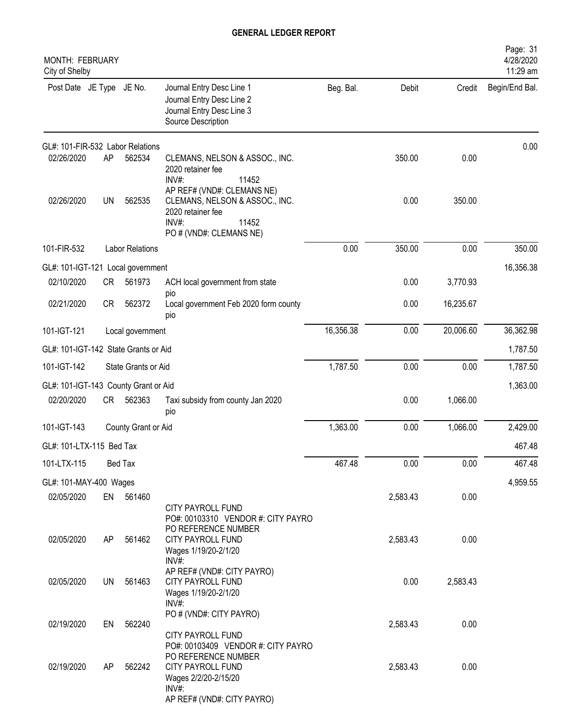| <b>MONTH: FEBRUARY</b><br>City of Shelby |           |                        |                                                                                                                                                  |           |          |           | Page: 31<br>4/28/2020<br>11:29 am |
|------------------------------------------|-----------|------------------------|--------------------------------------------------------------------------------------------------------------------------------------------------|-----------|----------|-----------|-----------------------------------|
| Post Date JE Type JE No.                 |           |                        | Journal Entry Desc Line 1<br>Journal Entry Desc Line 2<br>Journal Entry Desc Line 3<br>Source Description                                        | Beg. Bal. | Debit    | Credit    | Begin/End Bal.                    |
| GL#: 101-FIR-532 Labor Relations         |           |                        |                                                                                                                                                  |           |          |           | 0.00                              |
| 02/26/2020                               | AP        | 562534                 | CLEMANS, NELSON & ASSOC., INC.<br>2020 retainer fee<br>INV#:<br>11452                                                                            |           | 350.00   | 0.00      |                                   |
| 02/26/2020                               | <b>UN</b> | 562535                 | AP REF# (VND#: CLEMANS NE)<br>CLEMANS, NELSON & ASSOC., INC.<br>2020 retainer fee<br>11452<br>$INV#$ :<br>PO # (VND#: CLEMANS NE)                |           | 0.00     | 350.00    |                                   |
| 101-FIR-532                              |           | <b>Labor Relations</b> |                                                                                                                                                  | 0.00      | 350.00   | 0.00      | 350.00                            |
| GL#: 101-IGT-121 Local government        |           |                        |                                                                                                                                                  |           |          |           | 16,356.38                         |
| 02/10/2020                               | <b>CR</b> | 561973                 | ACH local government from state                                                                                                                  |           | 0.00     | 3,770.93  |                                   |
| 02/21/2020                               | <b>CR</b> | 562372                 | pio<br>Local government Feb 2020 form county<br>pio                                                                                              |           | 0.00     | 16,235.67 |                                   |
| 101-IGT-121                              |           | Local government       |                                                                                                                                                  | 16,356.38 | 0.00     | 20,006.60 | 36,362.98                         |
| GL#: 101-IGT-142 State Grants or Aid     |           |                        |                                                                                                                                                  |           |          |           | 1,787.50                          |
| 101-IGT-142                              |           | State Grants or Aid    |                                                                                                                                                  | 1,787.50  | 0.00     | 0.00      | 1,787.50                          |
| GL#: 101-IGT-143 County Grant or Aid     |           |                        |                                                                                                                                                  |           |          |           | 1,363.00                          |
| 02/20/2020                               | CR        | 562363                 | Taxi subsidy from county Jan 2020<br>pio                                                                                                         |           | 0.00     | 1,066.00  |                                   |
| 101-IGT-143                              |           | County Grant or Aid    |                                                                                                                                                  | 1,363.00  | 0.00     | 1,066.00  | 2,429.00                          |
| GL#: 101-LTX-115 Bed Tax                 |           |                        |                                                                                                                                                  |           |          |           | 467.48                            |
| 101-LTX-115                              |           | Bed Tax                |                                                                                                                                                  | 467.48    | 0.00     | 0.00      | 467.48                            |
| GL#: 101-MAY-400 Wages                   |           |                        |                                                                                                                                                  |           |          |           | 4,959.55                          |
| 02/05/2020                               |           | EN 561460              | CITY PAYROLL FUND<br>PO#: 00103310 VENDOR #: CITY PAYRO                                                                                          |           | 2,583.43 | 0.00      |                                   |
| 02/05/2020                               | AP        | 561462                 | PO REFERENCE NUMBER<br>CITY PAYROLL FUND<br>Wages 1/19/20-2/1/20<br>INV#:                                                                        |           | 2,583.43 | 0.00      |                                   |
| 02/05/2020                               | <b>UN</b> | 561463                 | AP REF# (VND#: CITY PAYRO)<br><b>CITY PAYROLL FUND</b><br>Wages 1/19/20-2/1/20<br>INV#:                                                          |           | 0.00     | 2,583.43  |                                   |
| 02/19/2020                               | EN        | 562240                 | PO # (VND#: CITY PAYRO)<br>CITY PAYROLL FUND                                                                                                     |           | 2,583.43 | 0.00      |                                   |
| 02/19/2020                               | AP        | 562242                 | PO#: 00103409 VENDOR #: CITY PAYRO<br>PO REFERENCE NUMBER<br>CITY PAYROLL FUND<br>Wages 2/2/20-2/15/20<br>$INV#$ :<br>AP REF# (VND#: CITY PAYRO) |           | 2,583.43 | 0.00      |                                   |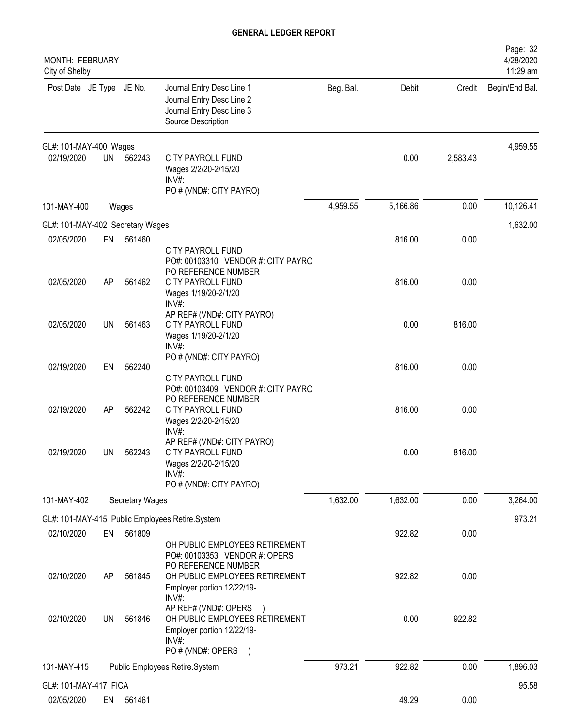| <b>MONTH: FEBRUARY</b><br>City of Shelby |           |                 |                                                                                                                       |           |          |          | Page: 32<br>4/28/2020<br>11:29 am |
|------------------------------------------|-----------|-----------------|-----------------------------------------------------------------------------------------------------------------------|-----------|----------|----------|-----------------------------------|
| Post Date JE Type JE No.                 |           |                 | Journal Entry Desc Line 1<br>Journal Entry Desc Line 2<br>Journal Entry Desc Line 3<br>Source Description             | Beg. Bal. | Debit    | Credit   | Begin/End Bal.                    |
| GL#: 101-MAY-400 Wages                   |           |                 |                                                                                                                       |           |          |          | 4,959.55                          |
| 02/19/2020                               | <b>UN</b> | 562243          | CITY PAYROLL FUND<br>Wages 2/2/20-2/15/20<br>$INV#$ :<br>PO # (VND#: CITY PAYRO)                                      |           | 0.00     | 2,583.43 |                                   |
| 101-MAY-400                              |           | Wages           |                                                                                                                       | 4,959.55  | 5,166.86 | 0.00     | 10,126.41                         |
| GL#: 101-MAY-402 Secretary Wages         |           |                 |                                                                                                                       |           |          |          | 1,632.00                          |
| 02/05/2020                               | EN        | 561460          | <b>CITY PAYROLL FUND</b><br>PO#: 00103310 VENDOR #: CITY PAYRO<br>PO REFERENCE NUMBER                                 |           | 816.00   | 0.00     |                                   |
| 02/05/2020                               | AP        | 561462          | <b>CITY PAYROLL FUND</b><br>Wages 1/19/20-2/1/20<br>$INV#$ :                                                          |           | 816.00   | 0.00     |                                   |
| 02/05/2020                               | UN        | 561463          | AP REF# (VND#: CITY PAYRO)<br><b>CITY PAYROLL FUND</b><br>Wages 1/19/20-2/1/20<br>$INV#$ :                            |           | 0.00     | 816.00   |                                   |
| 02/19/2020                               | EN        | 562240          | PO # (VND#: CITY PAYRO)<br>CITY PAYROLL FUND<br>PO#: 00103409 VENDOR #: CITY PAYRO                                    |           | 816.00   | 0.00     |                                   |
| 02/19/2020                               | AP        | 562242          | PO REFERENCE NUMBER<br>CITY PAYROLL FUND<br>Wages 2/2/20-2/15/20<br>INV#:                                             |           | 816.00   | 0.00     |                                   |
| 02/19/2020                               | UN –      | 562243          | AP REF# (VND#: CITY PAYRO)<br>CITY PAYROLL FUND<br>Wages 2/2/20-2/15/20<br>$INV#$ :<br>PO # (VND#: CITY PAYRO)        |           | 0.00     | 816.00   |                                   |
| 101-MAY-402                              |           | Secretary Wages |                                                                                                                       | 1,632.00  | 1,632.00 | 0.00     | 3,264.00                          |
|                                          |           |                 | GL#: 101-MAY-415 Public Employees Retire.System                                                                       |           |          |          | 973.21                            |
| 02/10/2020                               | EN        | 561809          | OH PUBLIC EMPLOYEES RETIREMENT<br>PO#: 00103353 VENDOR #: OPERS<br>PO REFERENCE NUMBER                                |           | 922.82   | 0.00     |                                   |
| 02/10/2020                               | AP        | 561845          | OH PUBLIC EMPLOYEES RETIREMENT<br>Employer portion 12/22/19-<br>INV#:                                                 |           | 922.82   | 0.00     |                                   |
| 02/10/2020                               | UN        | 561846          | AP REF# (VND#: OPERS<br>OH PUBLIC EMPLOYEES RETIREMENT<br>Employer portion 12/22/19-<br>$INV#$ :<br>PO # (VND#: OPERS |           | 0.00     | 922.82   |                                   |
| 101-MAY-415                              |           |                 | Public Employees Retire.System                                                                                        | 973.21    | 922.82   | 0.00     | 1,896.03                          |
| GL#: 101-MAY-417 FICA                    |           |                 |                                                                                                                       |           |          |          | 95.58                             |
| 02/05/2020                               |           | EN 561461       |                                                                                                                       |           | 49.29    | 0.00     |                                   |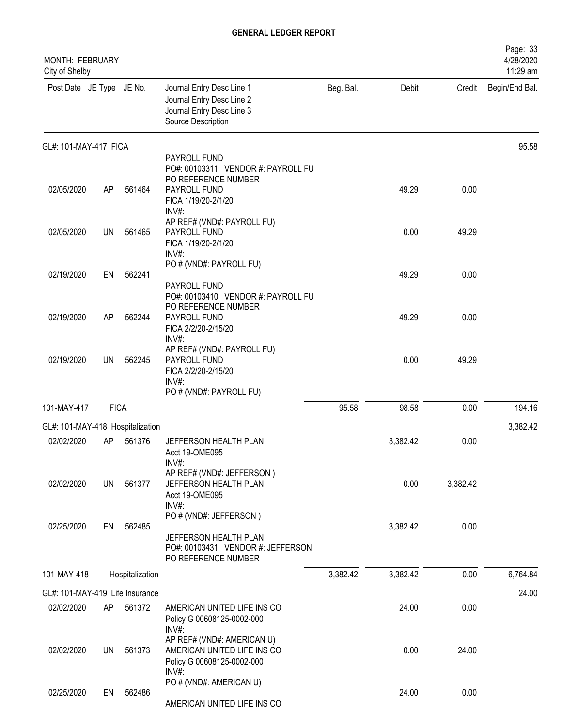| <b>MONTH: FEBRUARY</b><br>City of Shelby |             |                 |                                                                                                                           |           |          |          | Page: 33<br>4/28/2020<br>11:29 am |
|------------------------------------------|-------------|-----------------|---------------------------------------------------------------------------------------------------------------------------|-----------|----------|----------|-----------------------------------|
| Post Date JE Type JE No.                 |             |                 | Journal Entry Desc Line 1<br>Journal Entry Desc Line 2<br>Journal Entry Desc Line 3<br>Source Description                 | Beg. Bal. | Debit    | Credit   | Begin/End Bal.                    |
| GL#: 101-MAY-417 FICA                    |             |                 |                                                                                                                           |           |          |          | 95.58                             |
| 02/05/2020                               | AP          | 561464          | PAYROLL FUND<br>PO#: 00103311 VENDOR #: PAYROLL FU<br>PO REFERENCE NUMBER<br>PAYROLL FUND<br>FICA 1/19/20-2/1/20<br>INV#: |           | 49.29    | 0.00     |                                   |
| 02/05/2020                               | <b>UN</b>   | 561465          | AP REF# (VND#: PAYROLL FU)<br>PAYROLL FUND<br>FICA 1/19/20-2/1/20<br>$INV#$ :                                             |           | 0.00     | 49.29    |                                   |
| 02/19/2020                               | EN          | 562241          | PO # (VND#: PAYROLL FU)<br>PAYROLL FUND                                                                                   |           | 49.29    | 0.00     |                                   |
| 02/19/2020                               | AP          | 562244          | PO#: 00103410 VENDOR #: PAYROLL FU<br>PO REFERENCE NUMBER<br>PAYROLL FUND<br>FICA 2/2/20-2/15/20<br>INV#:                 |           | 49.29    | 0.00     |                                   |
| 02/19/2020                               | <b>UN</b>   | 562245          | AP REF# (VND#: PAYROLL FU)<br>PAYROLL FUND<br>FICA 2/2/20-2/15/20<br>INV#<br>PO # (VND#: PAYROLL FU)                      |           | 0.00     | 49.29    |                                   |
| 101-MAY-417                              | <b>FICA</b> |                 |                                                                                                                           | 95.58     | 98.58    | 0.00     | 194.16                            |
| GL#: 101-MAY-418 Hospitalization         |             |                 |                                                                                                                           |           |          |          | 3,382.42                          |
| 02/02/2020                               | AP          | 561376          | JEFFERSON HEALTH PLAN<br>Acct 19-OME095                                                                                   |           | 3,382.42 | 0.00     |                                   |
| 02/02/2020                               | <b>UN</b>   | 561377          | INV#<br>AP REF# (VND#: JEFFERSON)<br>JEFFERSON HEALTH PLAN<br>Acct 19-OME095<br>$INV#$ :                                  |           | 0.00     | 3,382.42 |                                   |
| 02/25/2020                               | EN          | 562485          | PO # (VND#: JEFFERSON)<br>JEFFERSON HEALTH PLAN<br>PO#: 00103431 VENDOR #: JEFFERSON<br>PO REFERENCE NUMBER               |           | 3,382.42 | 0.00     |                                   |
| 101-MAY-418                              |             | Hospitalization |                                                                                                                           | 3,382.42  | 3,382.42 | 0.00     | 6,764.84                          |
| GL#: 101-MAY-419 Life Insurance          |             |                 |                                                                                                                           |           |          |          | 24.00                             |
| 02/02/2020                               | AP          | 561372          | AMERICAN UNITED LIFE INS CO<br>Policy G 00608125-0002-000<br>INV#:                                                        |           | 24.00    | 0.00     |                                   |
| 02/02/2020                               | <b>UN</b>   | 561373          | AP REF# (VND#: AMERICAN U)<br>AMERICAN UNITED LIFE INS CO<br>Policy G 00608125-0002-000<br>$INV#$ :                       |           | 0.00     | 24.00    |                                   |
| 02/25/2020                               | EN          | 562486          | PO # (VND#: AMERICAN U)<br>AMERICAN UNITED LIFE INS CO                                                                    |           | 24.00    | 0.00     |                                   |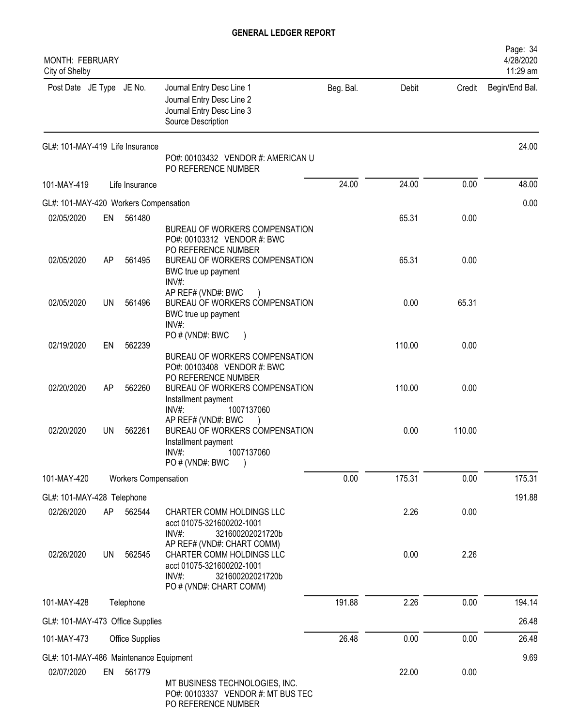| <b>MONTH: FEBRUARY</b><br>City of Shelby |           |                             |                                                                                                                                               |           |        |        | Page: 34<br>4/28/2020<br>11:29 am |
|------------------------------------------|-----------|-----------------------------|-----------------------------------------------------------------------------------------------------------------------------------------------|-----------|--------|--------|-----------------------------------|
| Post Date JE Type JE No.                 |           |                             | Journal Entry Desc Line 1<br>Journal Entry Desc Line 2<br>Journal Entry Desc Line 3<br>Source Description                                     | Beg. Bal. | Debit  | Credit | Begin/End Bal.                    |
| GL#: 101-MAY-419 Life Insurance          |           |                             | PO#: 00103432 VENDOR #: AMERICAN U<br>PO REFERENCE NUMBER                                                                                     |           |        |        | 24.00                             |
| 101-MAY-419                              |           | Life Insurance              |                                                                                                                                               | 24.00     | 24.00  | 0.00   | 48.00                             |
| GL#: 101-MAY-420 Workers Compensation    |           |                             |                                                                                                                                               |           |        |        | 0.00                              |
| 02/05/2020                               | EN        | 561480                      |                                                                                                                                               |           | 65.31  | 0.00   |                                   |
| 02/05/2020                               | AP        | 561495                      | BUREAU OF WORKERS COMPENSATION<br>PO#: 00103312 VENDOR #: BWC<br>PO REFERENCE NUMBER<br>BUREAU OF WORKERS COMPENSATION                        |           | 65.31  | 0.00   |                                   |
|                                          |           |                             | BWC true up payment<br>INV#:                                                                                                                  |           |        |        |                                   |
| 02/05/2020                               | UN.       | 561496                      | AP REF# (VND#: BWC<br>BUREAU OF WORKERS COMPENSATION<br>BWC true up payment<br>INV#:                                                          |           | 0.00   | 65.31  |                                   |
| 02/19/2020                               | EN        | 562239                      | PO # (VND#: BWC                                                                                                                               |           | 110.00 | 0.00   |                                   |
| 02/20/2020                               | AP        | 562260                      | BUREAU OF WORKERS COMPENSATION<br>PO#: 00103408 VENDOR #: BWC<br>PO REFERENCE NUMBER<br>BUREAU OF WORKERS COMPENSATION<br>Installment payment |           | 110.00 | 0.00   |                                   |
| 02/20/2020                               | UN        | 562261                      | INV#:<br>1007137060<br>AP REF# (VND#: BWC<br>BUREAU OF WORKERS COMPENSATION<br>Installment payment<br>1007137060<br>INV#:<br>PO # (VND#: BWC  |           | 0.00   | 110.00 |                                   |
| 101-MAY-420                              |           | <b>Workers Compensation</b> |                                                                                                                                               | 0.00      | 175.31 | 0.00   | 175.31                            |
| GL#: 101-MAY-428 Telephone               |           |                             |                                                                                                                                               |           |        |        | 191.88                            |
| 02/26/2020                               | AP        | 562544                      | CHARTER COMM HOLDINGS LLC<br>acct 01075-321600202-1001<br>INV#:<br>321600202021720b                                                           |           | 2.26   | 0.00   |                                   |
| 02/26/2020                               | <b>UN</b> | 562545                      | AP REF# (VND#: CHART COMM)<br>CHARTER COMM HOLDINGS LLC<br>acct 01075-321600202-1001<br>INV#:<br>321600202021720b<br>PO # (VND#: CHART COMM)  |           | 0.00   | 2.26   |                                   |
| 101-MAY-428                              |           | Telephone                   |                                                                                                                                               | 191.88    | 2.26   | 0.00   | 194.14                            |
| GL#: 101-MAY-473 Office Supplies         |           |                             |                                                                                                                                               |           |        |        | 26.48                             |
| 101-MAY-473                              |           | Office Supplies             |                                                                                                                                               | 26.48     | 0.00   | 0.00   | 26.48                             |
| GL#: 101-MAY-486 Maintenance Equipment   |           |                             |                                                                                                                                               |           |        |        | 9.69                              |
| 02/07/2020                               | EN        | 561779                      |                                                                                                                                               |           | 22.00  | 0.00   |                                   |
|                                          |           |                             | MT BUSINESS TECHNOLOGIES, INC.<br>PO#: 00103337 VENDOR #: MT BUS TEC                                                                          |           |        |        |                                   |

PO REFERENCE NUMBER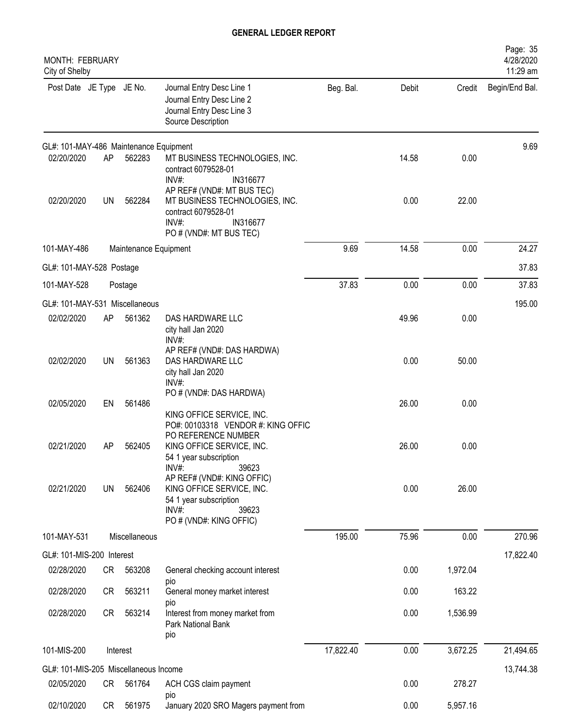| <b>MONTH: FEBRUARY</b><br>City of Shelby |           |                       |                                                                                                                                       |           |       |          | Page: 35<br>4/28/2020<br>11:29 am |
|------------------------------------------|-----------|-----------------------|---------------------------------------------------------------------------------------------------------------------------------------|-----------|-------|----------|-----------------------------------|
| Post Date JE Type JE No.                 |           |                       | Journal Entry Desc Line 1<br>Journal Entry Desc Line 2<br>Journal Entry Desc Line 3<br>Source Description                             | Beg. Bal. | Debit | Credit   | Begin/End Bal.                    |
| GL#: 101-MAY-486 Maintenance Equipment   |           |                       |                                                                                                                                       |           |       |          | 9.69                              |
| 02/20/2020                               | AP        | 562283                | MT BUSINESS TECHNOLOGIES, INC.<br>contract 6079528-01<br>INV#:<br>IN316677<br>AP REF# (VND#: MT BUS TEC)                              |           | 14.58 | 0.00     |                                   |
| 02/20/2020                               | UN        | 562284                | MT BUSINESS TECHNOLOGIES, INC.<br>contract 6079528-01<br>INV#:<br>IN316677<br>PO # (VND#: MT BUS TEC)                                 |           | 0.00  | 22.00    |                                   |
| 101-MAY-486                              |           | Maintenance Equipment |                                                                                                                                       | 9.69      | 14.58 | 0.00     | 24.27                             |
| GL#: 101-MAY-528 Postage                 |           |                       |                                                                                                                                       |           |       |          | 37.83                             |
| 101-MAY-528                              |           | Postage               |                                                                                                                                       | 37.83     | 0.00  | 0.00     | 37.83                             |
| GL#: 101-MAY-531 Miscellaneous           |           |                       |                                                                                                                                       |           |       |          | 195.00                            |
| 02/02/2020                               | AP        | 561362                | DAS HARDWARE LLC<br>city hall Jan 2020<br>INV#:                                                                                       |           | 49.96 | 0.00     |                                   |
| 02/02/2020                               | UN        | 561363                | AP REF# (VND#: DAS HARDWA)<br>DAS HARDWARE LLC<br>city hall Jan 2020<br>INV#:                                                         |           | 0.00  | 50.00    |                                   |
| 02/05/2020                               | EN        | 561486                | PO # (VND#: DAS HARDWA)<br>KING OFFICE SERVICE, INC.                                                                                  |           | 26.00 | 0.00     |                                   |
| 02/21/2020                               | AP        | 562405                | PO#: 00103318 VENDOR #: KING OFFIC<br>PO REFERENCE NUMBER<br>KING OFFICE SERVICE, INC.<br>54 1 year subscription<br>39623<br>$INV#$ : |           | 26.00 | 0.00     |                                   |
| 02/21/2020                               | UN        | 562406                | AP REF# (VND#: KING OFFIC)<br>KING OFFICE SERVICE, INC.<br>54 1 year subscription<br>$INV#$ :<br>39623<br>PO # (VND#: KING OFFIC)     |           | 0.00  | 26.00    |                                   |
| 101-MAY-531                              |           | Miscellaneous         |                                                                                                                                       | 195.00    | 75.96 | 0.00     | 270.96                            |
| GL#: 101-MIS-200 Interest                |           |                       |                                                                                                                                       |           |       |          | 17,822.40                         |
| 02/28/2020                               | CR        | 563208                | General checking account interest                                                                                                     |           | 0.00  | 1,972.04 |                                   |
| 02/28/2020                               | <b>CR</b> | 563211                | pio<br>General money market interest<br>pio                                                                                           |           | 0.00  | 163.22   |                                   |
| 02/28/2020                               | <b>CR</b> | 563214                | Interest from money market from<br>Park National Bank<br>pio                                                                          |           | 0.00  | 1,536.99 |                                   |
| 101-MIS-200                              |           | Interest              |                                                                                                                                       | 17,822.40 | 0.00  | 3,672.25 | 21,494.65                         |
| GL#: 101-MIS-205 Miscellaneous Income    |           |                       |                                                                                                                                       |           |       |          | 13,744.38                         |
| 02/05/2020                               | CR        | 561764                | ACH CGS claim payment                                                                                                                 |           | 0.00  | 278.27   |                                   |
| 02/10/2020                               | <b>CR</b> | 561975                | pio<br>January 2020 SRO Magers payment from                                                                                           |           | 0.00  | 5,957.16 |                                   |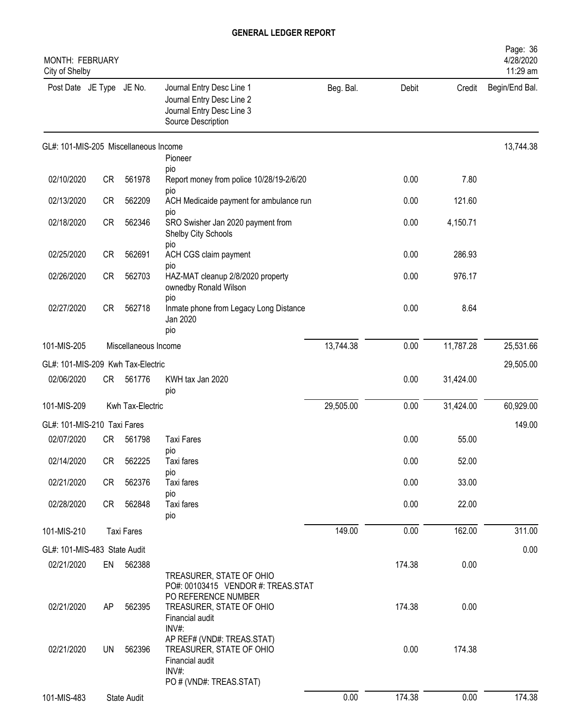| <b>MONTH: FEBRUARY</b><br>City of Shelby |           |                      |                                                                                                               |           |        |           | Page: 36<br>4/28/2020<br>11:29 am |
|------------------------------------------|-----------|----------------------|---------------------------------------------------------------------------------------------------------------|-----------|--------|-----------|-----------------------------------|
| Post Date JE Type JE No.                 |           |                      | Journal Entry Desc Line 1<br>Journal Entry Desc Line 2<br>Journal Entry Desc Line 3<br>Source Description     | Beg. Bal. | Debit  | Credit    | Begin/End Bal.                    |
| GL#: 101-MIS-205 Miscellaneous Income    |           |                      | Pioneer                                                                                                       |           |        |           | 13,744.38                         |
|                                          |           |                      | pio                                                                                                           |           |        |           |                                   |
| 02/10/2020                               | <b>CR</b> | 561978               | Report money from police 10/28/19-2/6/20                                                                      |           | 0.00   | 7.80      |                                   |
| 02/13/2020                               | <b>CR</b> | 562209               | pio<br>ACH Medicaide payment for ambulance run<br>pio                                                         |           | 0.00   | 121.60    |                                   |
| 02/18/2020                               | <b>CR</b> | 562346               | SRO Swisher Jan 2020 payment from<br>Shelby City Schools<br>pio                                               |           | 0.00   | 4,150.71  |                                   |
| 02/25/2020                               | <b>CR</b> | 562691               | ACH CGS claim payment                                                                                         |           | 0.00   | 286.93    |                                   |
| 02/26/2020                               | <b>CR</b> | 562703               | pio<br>HAZ-MAT cleanup 2/8/2020 property<br>ownedby Ronald Wilson                                             |           | 0.00   | 976.17    |                                   |
| 02/27/2020                               | <b>CR</b> | 562718               | pio<br>Inmate phone from Legacy Long Distance<br>Jan 2020<br>pio                                              |           | 0.00   | 8.64      |                                   |
| 101-MIS-205                              |           | Miscellaneous Income |                                                                                                               | 13,744.38 | 0.00   | 11,787.28 | 25,531.66                         |
| GL#: 101-MIS-209 Kwh Tax-Electric        |           |                      |                                                                                                               |           |        |           | 29,505.00                         |
| 02/06/2020                               | CR        | 561776               | KWH tax Jan 2020<br>pio                                                                                       |           | 0.00   | 31,424.00 |                                   |
| 101-MIS-209                              |           | Kwh Tax-Electric     |                                                                                                               | 29,505.00 | 0.00   | 31,424.00 | 60,929.00                         |
| GL#: 101-MIS-210 Taxi Fares              |           |                      |                                                                                                               |           |        |           | 149.00                            |
| 02/07/2020                               | <b>CR</b> | 561798               | <b>Taxi Fares</b>                                                                                             |           | 0.00   | 55.00     |                                   |
| 02/14/2020                               | CR        | 562225               | pio<br>Taxi fares                                                                                             |           | 0.00   | 52.00     |                                   |
| 02/21/2020                               | CR        | 562376               | pio<br>Taxi fares                                                                                             |           | 0.00   | 33.00     |                                   |
| 02/28/2020                               | CR        | 562848               | pio<br>Taxi fares<br>pio                                                                                      |           | 0.00   | 22.00     |                                   |
| 101-MIS-210                              |           | <b>Taxi Fares</b>    |                                                                                                               | 149.00    | 0.00   | 162.00    | 311.00                            |
| GL#: 101-MIS-483 State Audit             |           |                      |                                                                                                               |           |        |           | 0.00                              |
| 02/21/2020                               | EN        | 562388               |                                                                                                               |           | 174.38 | 0.00      |                                   |
|                                          |           |                      | TREASURER, STATE OF OHIO<br>PO#: 00103415 VENDOR #: TREAS.STAT<br>PO REFERENCE NUMBER                         |           |        |           |                                   |
| 02/21/2020                               | AP        | 562395               | TREASURER, STATE OF OHIO<br>Financial audit<br>INV#:                                                          |           | 174.38 | 0.00      |                                   |
| 02/21/2020                               | UN        | 562396               | AP REF# (VND#: TREAS.STAT)<br>TREASURER, STATE OF OHIO<br>Financial audit<br>INV#:<br>PO # (VND#: TREAS.STAT) |           | 0.00   | 174.38    |                                   |
| 101-MIS-483                              |           | State Audit          |                                                                                                               | 0.00      | 174.38 | 0.00      | 174.38                            |
|                                          |           |                      |                                                                                                               |           |        |           |                                   |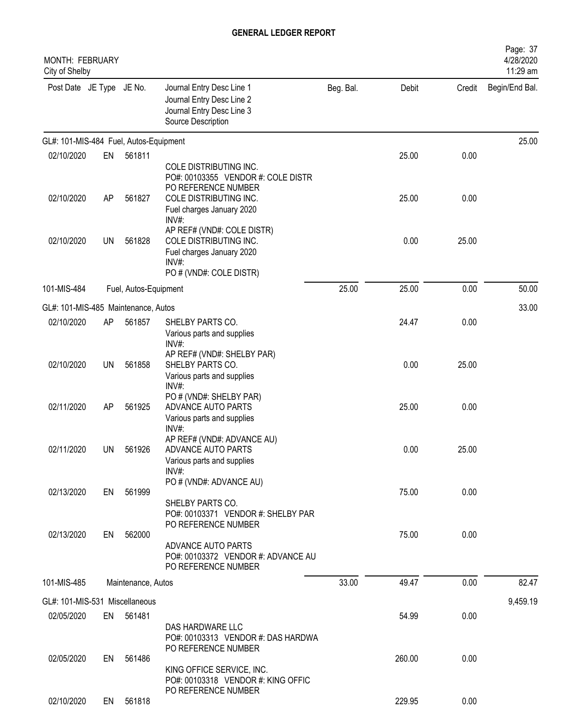| MONTH: FEBRUARY<br>City of Shelby      |           |                       |                                                                                                                       |           |        |        | Page: 37<br>4/28/2020<br>11:29 am |
|----------------------------------------|-----------|-----------------------|-----------------------------------------------------------------------------------------------------------------------|-----------|--------|--------|-----------------------------------|
| Post Date JE Type JE No.               |           |                       | Journal Entry Desc Line 1<br>Journal Entry Desc Line 2<br>Journal Entry Desc Line 3<br>Source Description             | Beg. Bal. | Debit  | Credit | Begin/End Bal.                    |
| GL#: 101-MIS-484 Fuel, Autos-Equipment |           |                       |                                                                                                                       |           |        |        | 25.00                             |
| 02/10/2020                             | EN        | 561811                |                                                                                                                       |           | 25.00  | 0.00   |                                   |
| 02/10/2020                             | AP        | 561827                | COLE DISTRIBUTING INC.<br>PO#: 00103355 VENDOR #: COLE DISTR<br>PO REFERENCE NUMBER<br>COLE DISTRIBUTING INC.         |           | 25.00  | 0.00   |                                   |
|                                        |           |                       | Fuel charges January 2020<br>INV#:                                                                                    |           |        |        |                                   |
| 02/10/2020                             | <b>UN</b> | 561828                | AP REF# (VND#: COLE DISTR)<br>COLE DISTRIBUTING INC.<br>Fuel charges January 2020<br>INV#:<br>PO # (VND#: COLE DISTR) |           | 0.00   | 25.00  |                                   |
| 101-MIS-484                            |           | Fuel, Autos-Equipment |                                                                                                                       | 25.00     | 25.00  | 0.00   | 50.00                             |
| GL#: 101-MIS-485 Maintenance, Autos    |           |                       |                                                                                                                       |           |        |        | 33.00                             |
| 02/10/2020                             | AP        | 561857                | SHELBY PARTS CO.<br>Various parts and supplies<br>$INV#$ :                                                            |           | 24.47  | 0.00   |                                   |
| 02/10/2020                             | <b>UN</b> | 561858                | AP REF# (VND#: SHELBY PAR)<br>SHELBY PARTS CO.<br>Various parts and supplies<br>INV#:                                 |           | 0.00   | 25.00  |                                   |
| 02/11/2020                             | AP        | 561925                | PO # (VND#: SHELBY PAR)<br>ADVANCE AUTO PARTS<br>Various parts and supplies<br>INV#:                                  |           | 25.00  | 0.00   |                                   |
| 02/11/2020                             | UN        | 561926                | AP REF# (VND#: ADVANCE AU)<br>ADVANCE AUTO PARTS<br>Various parts and supplies<br>$INV#$ :                            |           | 0.00   | 25.00  |                                   |
| 02/13/2020                             | EN        | 561999                | PO # (VND#: ADVANCE AU)<br>SHELBY PARTS CO.<br>PO#: 00103371 VENDOR #: SHELBY PAR                                     |           | 75.00  | 0.00   |                                   |
| 02/13/2020                             | EN        | 562000                | PO REFERENCE NUMBER<br>ADVANCE AUTO PARTS<br>PO#: 00103372 VENDOR #: ADVANCE AU<br>PO REFERENCE NUMBER                |           | 75.00  | 0.00   |                                   |
| 101-MIS-485                            |           | Maintenance, Autos    |                                                                                                                       | 33.00     | 49.47  | 0.00   | 82.47                             |
| GL#: 101-MIS-531 Miscellaneous         |           |                       |                                                                                                                       |           |        |        | 9,459.19                          |
| 02/05/2020                             |           | EN 561481             | DAS HARDWARE LLC<br>PO#: 00103313 VENDOR #: DAS HARDWA                                                                |           | 54.99  | 0.00   |                                   |
| 02/05/2020                             | EN        | 561486                | PO REFERENCE NUMBER<br>KING OFFICE SERVICE, INC.<br>PO#: 00103318 VENDOR #: KING OFFIC                                |           | 260.00 | 0.00   |                                   |
| 02/10/2020                             | EN        | 561818                | PO REFERENCE NUMBER                                                                                                   |           | 229.95 | 0.00   |                                   |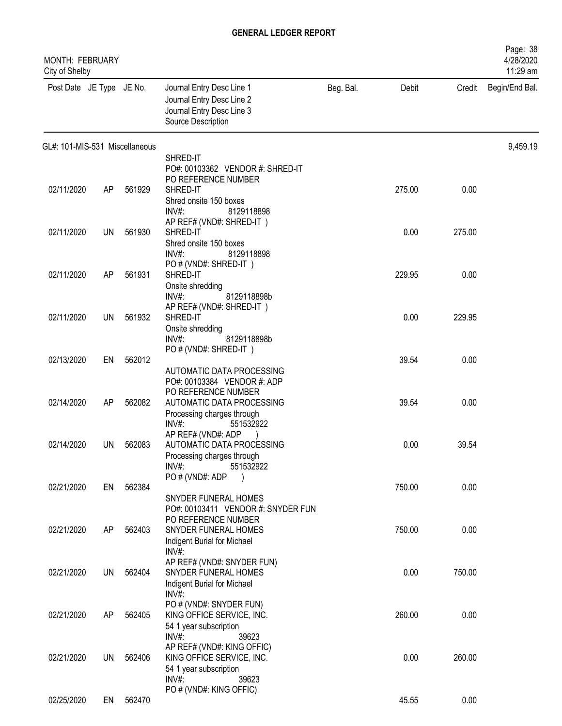| MONTH: FEBRUARY<br>City of Shelby |           |        |                                                                                                           |           |        |        | Page: 38<br>4/28/2020<br>11:29 am |
|-----------------------------------|-----------|--------|-----------------------------------------------------------------------------------------------------------|-----------|--------|--------|-----------------------------------|
| Post Date JE Type JE No.          |           |        | Journal Entry Desc Line 1<br>Journal Entry Desc Line 2<br>Journal Entry Desc Line 3<br>Source Description | Beg. Bal. | Debit  | Credit | Begin/End Bal.                    |
| GL#: 101-MIS-531 Miscellaneous    |           |        |                                                                                                           |           |        |        | 9,459.19                          |
|                                   |           |        | SHRED-IT<br>PO#: 00103362 VENDOR #: SHRED-IT                                                              |           |        |        |                                   |
|                                   |           |        | PO REFERENCE NUMBER                                                                                       |           |        |        |                                   |
| 02/11/2020                        | AP        | 561929 | SHRED-IT                                                                                                  |           | 275.00 | 0.00   |                                   |
|                                   |           |        | Shred onsite 150 boxes<br>$INV#$ :<br>8129118898                                                          |           |        |        |                                   |
|                                   |           |        | AP REF# (VND#: SHRED-IT)                                                                                  |           |        |        |                                   |
| 02/11/2020                        | UN        | 561930 | SHRED-IT                                                                                                  |           | 0.00   | 275.00 |                                   |
|                                   |           |        | Shred onsite 150 boxes<br>INV#:<br>8129118898                                                             |           |        |        |                                   |
|                                   |           |        | PO # (VND#: SHRED-IT)                                                                                     |           |        |        |                                   |
| 02/11/2020                        | AP        | 561931 | SHRED-IT                                                                                                  |           | 229.95 | 0.00   |                                   |
|                                   |           |        | Onsite shredding<br>INV#:<br>8129118898b                                                                  |           |        |        |                                   |
|                                   |           |        | AP REF# (VND#: SHRED-IT)                                                                                  |           |        |        |                                   |
| 02/11/2020                        | <b>UN</b> | 561932 | SHRED-IT<br>Onsite shredding                                                                              |           | 0.00   | 229.95 |                                   |
|                                   |           |        | INV#:<br>8129118898b                                                                                      |           |        |        |                                   |
|                                   |           |        | PO # (VND#: SHRED-IT)                                                                                     |           |        |        |                                   |
| 02/13/2020                        | EN        | 562012 | AUTOMATIC DATA PROCESSING                                                                                 |           | 39.54  | 0.00   |                                   |
|                                   |           |        | PO#: 00103384 VENDOR #: ADP                                                                               |           |        |        |                                   |
|                                   |           |        | PO REFERENCE NUMBER                                                                                       |           |        |        |                                   |
| 02/14/2020                        | AP        | 562082 | AUTOMATIC DATA PROCESSING<br>Processing charges through                                                   |           | 39.54  | 0.00   |                                   |
|                                   |           |        | INV#:<br>551532922                                                                                        |           |        |        |                                   |
|                                   |           |        | AP REF# (VND#: ADP                                                                                        |           |        |        |                                   |
| 02/14/2020                        | UN        | 562083 | AUTOMATIC DATA PROCESSING<br>Processing charges through                                                   |           | 0.00   | 39.54  |                                   |
|                                   |           |        | INV#:<br>551532922                                                                                        |           |        |        |                                   |
| 02/21/2020                        | EN        | 562384 | PO#(VND#: ADP<br>$\overline{\phantom{a}}$                                                                 |           | 750.00 | 0.00   |                                   |
|                                   |           |        | SNYDER FUNERAL HOMES                                                                                      |           |        |        |                                   |
|                                   |           |        | PO#: 00103411 VENDOR #: SNYDER FUN                                                                        |           |        |        |                                   |
| 02/21/2020                        | AP        | 562403 | PO REFERENCE NUMBER<br>SNYDER FUNERAL HOMES                                                               |           | 750.00 | 0.00   |                                   |
|                                   |           |        | Indigent Burial for Michael                                                                               |           |        |        |                                   |
|                                   |           |        | $INV#$ :                                                                                                  |           |        |        |                                   |
| 02/21/2020                        | UN        | 562404 | AP REF# (VND#: SNYDER FUN)<br>SNYDER FUNERAL HOMES                                                        |           | 0.00   | 750.00 |                                   |
|                                   |           |        | Indigent Burial for Michael                                                                               |           |        |        |                                   |
|                                   |           |        | $INV#$ :<br>PO # (VND#: SNYDER FUN)                                                                       |           |        |        |                                   |
| 02/21/2020                        | AP        | 562405 | KING OFFICE SERVICE, INC.                                                                                 |           | 260.00 | 0.00   |                                   |
|                                   |           |        | 54 1 year subscription                                                                                    |           |        |        |                                   |
|                                   |           |        | $INV#$ :<br>39623<br>AP REF# (VND#: KING OFFIC)                                                           |           |        |        |                                   |
| 02/21/2020                        | UN        | 562406 | KING OFFICE SERVICE, INC.                                                                                 |           | 0.00   | 260.00 |                                   |
|                                   |           |        | 54 1 year subscription                                                                                    |           |        |        |                                   |
|                                   |           |        | $INV#$ :<br>39623<br>PO # (VND#: KING OFFIC)                                                              |           |        |        |                                   |
| 02/25/2020                        | EN        | 562470 |                                                                                                           |           | 45.55  | 0.00   |                                   |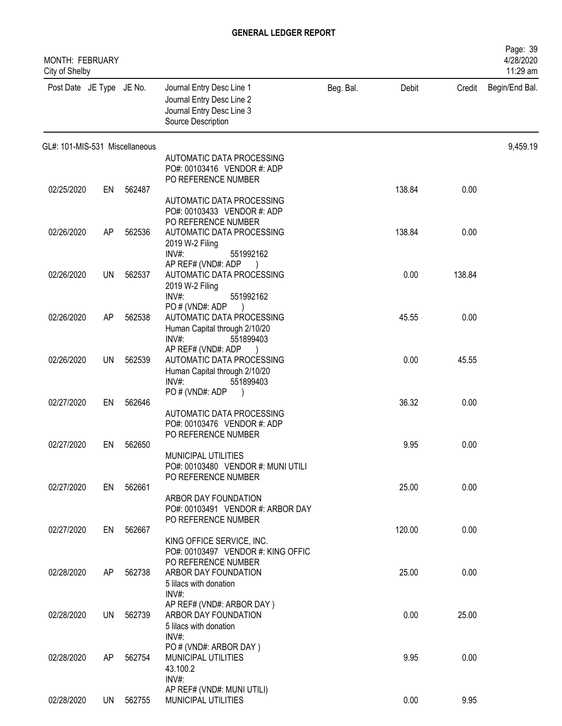| <b>MONTH: FEBRUARY</b><br>City of Shelby |    |           |                                                                                                           |           |        |        | Page: 39<br>4/28/2020<br>11:29 am |
|------------------------------------------|----|-----------|-----------------------------------------------------------------------------------------------------------|-----------|--------|--------|-----------------------------------|
| Post Date JE Type JE No.                 |    |           | Journal Entry Desc Line 1<br>Journal Entry Desc Line 2<br>Journal Entry Desc Line 3<br>Source Description | Beg. Bal. | Debit  | Credit | Begin/End Bal.                    |
| GL#: 101-MIS-531 Miscellaneous           |    |           |                                                                                                           |           |        |        | 9,459.19                          |
|                                          |    |           | AUTOMATIC DATA PROCESSING<br>PO#: 00103416 VENDOR #: ADP<br>PO REFERENCE NUMBER                           |           |        |        |                                   |
| 02/25/2020                               | EN | 562487    |                                                                                                           |           | 138.84 | 0.00   |                                   |
|                                          |    |           | AUTOMATIC DATA PROCESSING<br>PO#: 00103433 VENDOR #: ADP<br>PO REFERENCE NUMBER                           |           |        |        |                                   |
| 02/26/2020                               | AP | 562536    | AUTOMATIC DATA PROCESSING                                                                                 |           | 138.84 | 0.00   |                                   |
|                                          |    |           | 2019 W-2 Filing<br>INV#:<br>551992162<br>AP REF# (VND#: ADP                                               |           |        |        |                                   |
| 02/26/2020                               | UN | 562537    | AUTOMATIC DATA PROCESSING                                                                                 |           | 0.00   | 138.84 |                                   |
|                                          |    |           | 2019 W-2 Filing<br>INV#:<br>551992162<br>PO#(VND#: ADP                                                    |           |        |        |                                   |
| 02/26/2020                               | AP | 562538    | AUTOMATIC DATA PROCESSING                                                                                 |           | 45.55  | 0.00   |                                   |
|                                          |    |           | Human Capital through 2/10/20<br>$INV#$ :<br>551899403                                                    |           |        |        |                                   |
|                                          |    |           | AP REF# (VND#: ADP                                                                                        |           |        |        |                                   |
| 02/26/2020                               | UN | 562539    | AUTOMATIC DATA PROCESSING<br>Human Capital through 2/10/20                                                |           | 0.00   | 45.55  |                                   |
|                                          |    |           | $INV#$ :<br>551899403                                                                                     |           |        |        |                                   |
| 02/27/2020                               | EN | 562646    | PO#(VND#: ADP                                                                                             |           | 36.32  | 0.00   |                                   |
|                                          |    |           | AUTOMATIC DATA PROCESSING                                                                                 |           |        |        |                                   |
|                                          |    |           | PO#: 00103476 VENDOR #: ADP<br>PO REFERENCE NUMBER                                                        |           |        |        |                                   |
| 02/27/2020                               | EN | 562650    |                                                                                                           |           | 9.95   | 0.00   |                                   |
|                                          |    |           | MUNICIPAL UTILITIES<br>PO#: 00103480 VENDOR #: MUNI UTILI                                                 |           |        |        |                                   |
|                                          |    |           | PO REFERENCE NUMBER                                                                                       |           |        |        |                                   |
| 02/27/2020                               | EN | 562661    |                                                                                                           |           | 25.00  | 0.00   |                                   |
|                                          |    |           | ARBOR DAY FOUNDATION<br>PO#: 00103491 VENDOR #: ARBOR DAY                                                 |           |        |        |                                   |
|                                          |    |           | PO REFERENCE NUMBER                                                                                       |           |        |        |                                   |
| 02/27/2020                               | EN | 562667    | KING OFFICE SERVICE, INC.                                                                                 |           | 120.00 | 0.00   |                                   |
|                                          |    |           | PO#: 00103497 VENDOR #: KING OFFIC                                                                        |           |        |        |                                   |
| 02/28/2020                               | AP | 562738    | PO REFERENCE NUMBER<br>ARBOR DAY FOUNDATION                                                               |           | 25.00  | 0.00   |                                   |
|                                          |    |           | 5 lilacs with donation                                                                                    |           |        |        |                                   |
|                                          |    |           | INV#:<br>AP REF# (VND#: ARBOR DAY)                                                                        |           |        |        |                                   |
| 02/28/2020                               | UN | 562739    | ARBOR DAY FOUNDATION                                                                                      |           | 0.00   | 25.00  |                                   |
|                                          |    |           | 5 lilacs with donation<br>INV#:                                                                           |           |        |        |                                   |
|                                          |    |           | PO # (VND#: ARBOR DAY)                                                                                    |           |        |        |                                   |
| 02/28/2020                               | AP | 562754    | MUNICIPAL UTILITIES                                                                                       |           | 9.95   | 0.00   |                                   |
|                                          |    |           | 43.100.2<br>$INV#$ :                                                                                      |           |        |        |                                   |
|                                          |    |           | AP REF# (VND#: MUNI UTILI)                                                                                |           |        |        |                                   |
| 02/28/2020                               |    | UN 562755 | MUNICIPAL UTILITIES                                                                                       |           | 0.00   | 9.95   |                                   |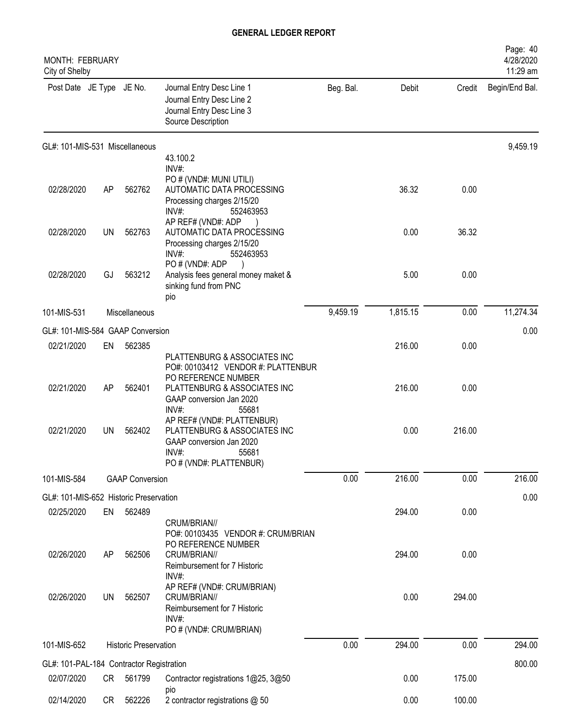| <b>MONTH: FEBRUARY</b><br>City of Shelby               |           |                              |                                                                                                                                                       |           |          |        | Page: 40<br>4/28/2020<br>11:29 am |
|--------------------------------------------------------|-----------|------------------------------|-------------------------------------------------------------------------------------------------------------------------------------------------------|-----------|----------|--------|-----------------------------------|
| Post Date JE Type JE No.                               |           |                              | Journal Entry Desc Line 1<br>Journal Entry Desc Line 2<br>Journal Entry Desc Line 3<br>Source Description                                             | Beg. Bal. | Debit    | Credit | Begin/End Bal.                    |
| GL#: 101-MIS-531 Miscellaneous                         |           |                              |                                                                                                                                                       |           |          |        | 9,459.19                          |
|                                                        |           |                              | 43.100.2<br>INV#:                                                                                                                                     |           |          |        |                                   |
| 02/28/2020                                             | AP        | 562762                       | PO # (VND#: MUNI UTILI)<br>AUTOMATIC DATA PROCESSING<br>Processing charges 2/15/20<br>$INV#$ :<br>552463953                                           |           | 36.32    | 0.00   |                                   |
| 02/28/2020                                             | <b>UN</b> | 562763                       | AP REF# (VND#: ADP<br>AUTOMATIC DATA PROCESSING<br>Processing charges 2/15/20<br>INV#:<br>552463953                                                   |           | 0.00     | 36.32  |                                   |
| 02/28/2020                                             | GJ        | 563212                       | PO#(VND#: ADP<br>Analysis fees general money maket &<br>sinking fund from PNC<br>pio                                                                  |           | 5.00     | 0.00   |                                   |
| 101-MIS-531                                            |           | Miscellaneous                |                                                                                                                                                       | 9,459.19  | 1,815.15 | 0.00   | 11,274.34                         |
| GL#: 101-MIS-584 GAAP Conversion                       |           |                              |                                                                                                                                                       |           |          |        | 0.00                              |
| 02/21/2020                                             | EN        | 562385                       |                                                                                                                                                       |           | 216.00   | 0.00   |                                   |
| 02/21/2020                                             | AP        | 562401                       | PLATTENBURG & ASSOCIATES INC<br>PO#: 00103412 VENDOR #: PLATTENBUR<br>PO REFERENCE NUMBER<br>PLATTENBURG & ASSOCIATES INC<br>GAAP conversion Jan 2020 |           | 216.00   | 0.00   |                                   |
| 02/21/2020                                             | <b>UN</b> | 562402                       | INV#:<br>55681<br>AP REF# (VND#: PLATTENBUR)<br>PLATTENBURG & ASSOCIATES INC<br>GAAP conversion Jan 2020<br>INV#<br>55681<br>PO # (VND#: PLATTENBUR)  |           | 0.00     | 216.00 |                                   |
| 101-MIS-584                                            |           | <b>GAAP Conversion</b>       |                                                                                                                                                       | 0.00      | 216.00   | 0.00   | 216.00                            |
| GL#: 101-MIS-652 Historic Preservation                 |           |                              |                                                                                                                                                       |           |          |        | 0.00                              |
| 02/25/2020                                             | EN        | 562489                       |                                                                                                                                                       |           | 294.00   | 0.00   |                                   |
| 02/26/2020                                             | AP        | 562506                       | CRUM/BRIAN//<br>PO#: 00103435 VENDOR #: CRUM/BRIAN<br>PO REFERENCE NUMBER<br>CRUM/BRIAN//<br>Reimbursement for 7 Historic                             |           | 294.00   | 0.00   |                                   |
| 02/26/2020                                             | <b>UN</b> | 562507                       | INV#:<br>AP REF# (VND#: CRUM/BRIAN)<br>CRUM/BRIAN//<br>Reimbursement for 7 Historic<br>INV#:<br>PO # (VND#: CRUM/BRIAN)                               |           | 0.00     | 294.00 |                                   |
| 101-MIS-652                                            |           | <b>Historic Preservation</b> |                                                                                                                                                       | 0.00      | 294.00   | 0.00   | 294.00                            |
|                                                        |           |                              |                                                                                                                                                       |           |          |        |                                   |
| GL#: 101-PAL-184 Contractor Registration<br>02/07/2020 | CR        | 561799                       | Contractor registrations 1@25, 3@50                                                                                                                   |           | 0.00     | 175.00 | 800.00                            |
|                                                        |           |                              | pio                                                                                                                                                   |           |          |        |                                   |
| 02/14/2020                                             | CR        | 562226                       | 2 contractor registrations @ 50                                                                                                                       |           | 0.00     | 100.00 |                                   |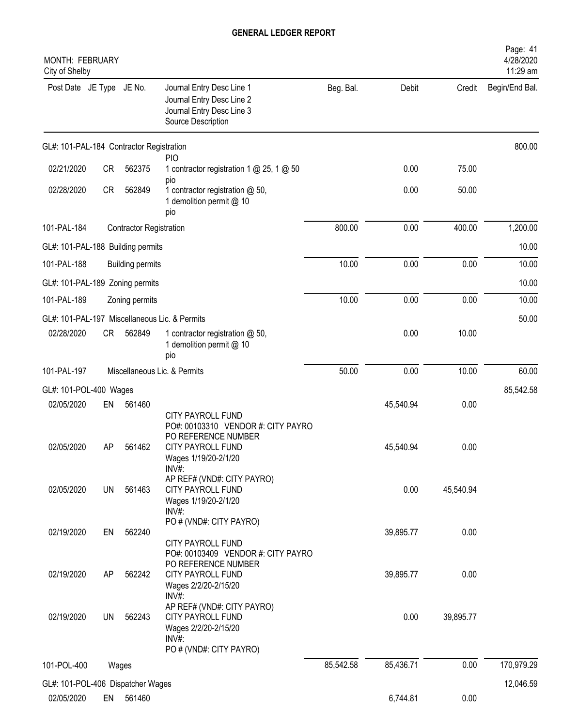| <b>MONTH: FEBRUARY</b><br>City of Shelby |           |                                |                                                                                                                                                       |           |           |           | Page: 41<br>4/28/2020<br>11:29 am |
|------------------------------------------|-----------|--------------------------------|-------------------------------------------------------------------------------------------------------------------------------------------------------|-----------|-----------|-----------|-----------------------------------|
| Post Date JE Type JE No.                 |           |                                | Journal Entry Desc Line 1<br>Journal Entry Desc Line 2<br>Journal Entry Desc Line 3<br>Source Description                                             | Beg. Bal. | Debit     | Credit    | Begin/End Bal.                    |
| GL#: 101-PAL-184 Contractor Registration |           |                                |                                                                                                                                                       |           |           |           | 800.00                            |
| 02/21/2020                               | <b>CR</b> | 562375                         | <b>PIO</b><br>1 contractor registration 1 @ 25, 1 @ 50<br>pio                                                                                         |           | 0.00      | 75.00     |                                   |
| 02/28/2020                               | <b>CR</b> | 562849                         | 1 contractor registration @ 50,<br>1 demolition permit @ 10<br>pio                                                                                    |           | 0.00      | 50.00     |                                   |
| 101-PAL-184                              |           | <b>Contractor Registration</b> |                                                                                                                                                       | 800.00    | 0.00      | 400.00    | 1,200.00                          |
| GL#: 101-PAL-188 Building permits        |           |                                |                                                                                                                                                       |           |           |           | 10.00                             |
| 101-PAL-188                              |           | <b>Building permits</b>        |                                                                                                                                                       | 10.00     | 0.00      | 0.00      | 10.00                             |
| GL#: 101-PAL-189 Zoning permits          |           |                                |                                                                                                                                                       |           |           |           | 10.00                             |
| 101-PAL-189                              |           | Zoning permits                 |                                                                                                                                                       | 10.00     | 0.00      | 0.00      | 10.00                             |
|                                          |           |                                | GL#: 101-PAL-197 Miscellaneous Lic. & Permits                                                                                                         |           |           |           | 50.00                             |
| 02/28/2020                               | CR        | 562849                         | 1 contractor registration @ 50,<br>1 demolition permit @ 10<br>pio                                                                                    |           | 0.00      | 10.00     |                                   |
| 101-PAL-197                              |           |                                | Miscellaneous Lic. & Permits                                                                                                                          | 50.00     | 0.00      | 10.00     | 60.00                             |
| GL#: 101-POL-400 Wages                   |           |                                |                                                                                                                                                       |           |           |           | 85,542.58                         |
| 02/05/2020                               | EN        | 561460                         |                                                                                                                                                       |           | 45,540.94 | 0.00      |                                   |
| 02/05/2020                               | AP        | 561462                         | <b>CITY PAYROLL FUND</b><br>PO#: 00103310 VENDOR #: CITY PAYRO<br>PO REFERENCE NUMBER<br><b>CITY PAYROLL FUND</b><br>Wages 1/19/20-2/1/20<br>$INV#$ : |           | 45,540.94 | 0.00      |                                   |
| 02/05/2020                               | <b>UN</b> | 561463                         | AP REF# (VND#: CITY PAYRO)<br><b>CITY PAYROLL FUND</b><br>Wages 1/19/20-2/1/20<br>INV#:                                                               |           | 0.00      | 45,540.94 |                                   |
| 02/19/2020                               | EN        | 562240                         | PO # (VND#: CITY PAYRO)<br>CITY PAYROLL FUND                                                                                                          |           | 39,895.77 | 0.00      |                                   |
| 02/19/2020                               | AP        | 562242                         | PO#: 00103409 VENDOR #: CITY PAYRO<br>PO REFERENCE NUMBER<br><b>CITY PAYROLL FUND</b><br>Wages 2/2/20-2/15/20<br>INV#:                                |           | 39,895.77 | 0.00      |                                   |
| 02/19/2020                               | <b>UN</b> | 562243                         | AP REF# (VND#: CITY PAYRO)<br><b>CITY PAYROLL FUND</b><br>Wages 2/2/20-2/15/20<br>$INV#$ :                                                            |           | 0.00      | 39,895.77 |                                   |
| 101-POL-400                              |           | Wages                          | PO # (VND#: CITY PAYRO)                                                                                                                               | 85,542.58 | 85,436.71 | 0.00      | 170,979.29                        |
| GL#: 101-POL-406 Dispatcher Wages        |           |                                |                                                                                                                                                       |           |           |           | 12,046.59                         |
| 02/05/2020                               | EN        | 561460                         |                                                                                                                                                       |           | 6,744.81  | 0.00      |                                   |
|                                          |           |                                |                                                                                                                                                       |           |           |           |                                   |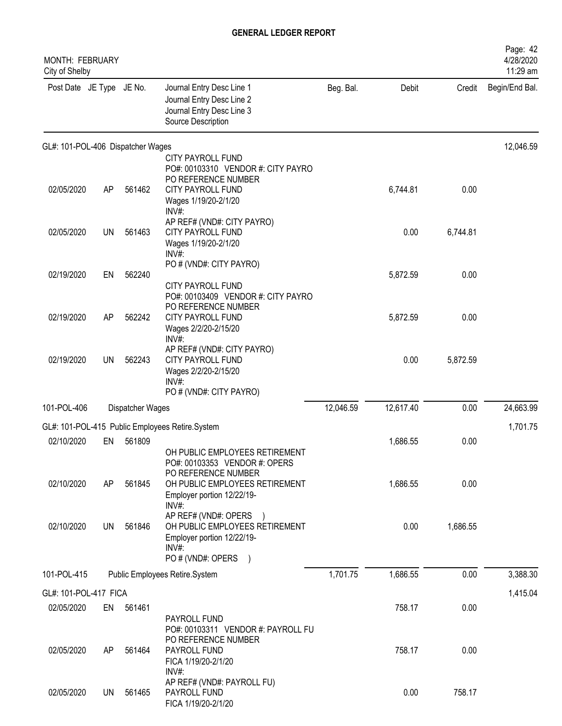| <b>MONTH: FEBRUARY</b><br>City of Shelby |           |                  |                                                                                                                                      |           |           |          | Page: 42<br>4/28/2020<br>11:29 am |
|------------------------------------------|-----------|------------------|--------------------------------------------------------------------------------------------------------------------------------------|-----------|-----------|----------|-----------------------------------|
| Post Date JE Type JE No.                 |           |                  | Journal Entry Desc Line 1<br>Journal Entry Desc Line 2<br>Journal Entry Desc Line 3<br>Source Description                            | Beg. Bal. | Debit     | Credit   | Begin/End Bal.                    |
| GL#: 101-POL-406 Dispatcher Wages        |           |                  |                                                                                                                                      |           |           |          | 12,046.59                         |
| 02/05/2020                               | AP        | 561462           | CITY PAYROLL FUND<br>PO#: 00103310 VENDOR #: CITY PAYRO<br>PO REFERENCE NUMBER<br>CITY PAYROLL FUND<br>Wages 1/19/20-2/1/20<br>INV#: |           | 6,744.81  | 0.00     |                                   |
| 02/05/2020                               | <b>UN</b> | 561463           | AP REF# (VND#: CITY PAYRO)<br><b>CITY PAYROLL FUND</b><br>Wages 1/19/20-2/1/20<br>INV#                                               |           | 0.00      | 6,744.81 |                                   |
| 02/19/2020                               | EN        | 562240           | PO # (VND#: CITY PAYRO)<br>CITY PAYROLL FUND                                                                                         |           | 5,872.59  | 0.00     |                                   |
| 02/19/2020                               | AP        | 562242           | PO#: 00103409 VENDOR #: CITY PAYRO<br>PO REFERENCE NUMBER<br><b>CITY PAYROLL FUND</b><br>Wages 2/2/20-2/15/20<br>INV#:               |           | 5,872.59  | 0.00     |                                   |
| 02/19/2020                               | UN        | 562243           | AP REF# (VND#: CITY PAYRO)<br><b>CITY PAYROLL FUND</b><br>Wages 2/2/20-2/15/20<br>INV#<br>PO # (VND#: CITY PAYRO)                    |           | 0.00      | 5,872.59 |                                   |
| 101-POL-406                              |           | Dispatcher Wages |                                                                                                                                      | 12,046.59 | 12,617.40 | 0.00     | 24,663.99                         |
|                                          |           |                  | GL#: 101-POL-415 Public Employees Retire.System                                                                                      |           |           |          | 1,701.75                          |
| 02/10/2020                               | EN        | 561809           | OH PUBLIC EMPLOYEES RETIREMENT<br>PO#: 00103353 VENDOR #: OPERS                                                                      |           | 1,686.55  | 0.00     |                                   |
| 02/10/2020                               | AP        | 561845           | PO REFERENCE NUMBER<br>OH PUBLIC EMPLOYEES RETIREMENT<br>Employer portion 12/22/19-<br>INV#:                                         |           | 1,686.55  | 0.00     |                                   |
| 02/10/2020                               | <b>UN</b> | 561846           | AP REF# (VND#: OPERS )<br>OH PUBLIC EMPLOYEES RETIREMENT<br>Employer portion 12/22/19-<br>$INV#$ :<br>PO # (VND#: OPERS              |           | 0.00      | 1,686.55 |                                   |
| 101-POL-415                              |           |                  | Public Employees Retire.System                                                                                                       | 1,701.75  | 1,686.55  | 0.00     | 3,388.30                          |
| GL#: 101-POL-417 FICA                    |           |                  |                                                                                                                                      |           |           |          | 1,415.04                          |
| 02/05/2020                               | EN        | 561461           | PAYROLL FUND<br>PO#: 00103311 VENDOR #: PAYROLL FU                                                                                   |           | 758.17    | 0.00     |                                   |
| 02/05/2020                               | AP        | 561464           | PO REFERENCE NUMBER<br>PAYROLL FUND<br>FICA 1/19/20-2/1/20<br>$INV#$ :                                                               |           | 758.17    | 0.00     |                                   |
| 02/05/2020                               | UN.       | 561465           | AP REF# (VND#: PAYROLL FU)<br>PAYROLL FUND<br>FICA 1/19/20-2/1/20                                                                    |           | 0.00      | 758.17   |                                   |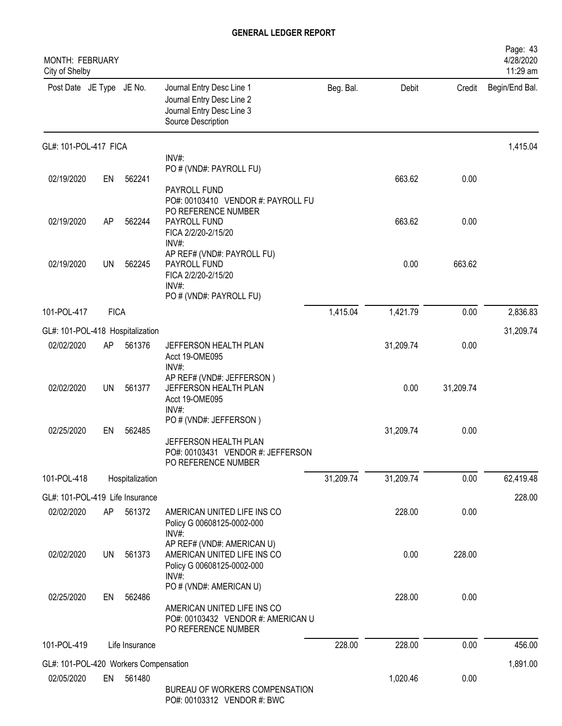| <b>MONTH: FEBRUARY</b><br>City of Shelby |             |                 |                                                                                                                  |           |           |           | Page: 43<br>4/28/2020<br>11:29 am |
|------------------------------------------|-------------|-----------------|------------------------------------------------------------------------------------------------------------------|-----------|-----------|-----------|-----------------------------------|
| Post Date JE Type JE No.                 |             |                 | Journal Entry Desc Line 1<br>Journal Entry Desc Line 2<br>Journal Entry Desc Line 3<br>Source Description        | Beg. Bal. | Debit     | Credit    | Begin/End Bal.                    |
| GL#: 101-POL-417 FICA                    |             |                 |                                                                                                                  |           |           |           | 1,415.04                          |
|                                          |             |                 | INV#:<br>PO # (VND#: PAYROLL FU)                                                                                 |           |           |           |                                   |
| 02/19/2020                               | EN          | 562241          |                                                                                                                  |           | 663.62    | 0.00      |                                   |
| 02/19/2020                               | AP          | 562244          | PAYROLL FUND<br>PO#: 00103410 VENDOR #: PAYROLL FU<br>PO REFERENCE NUMBER<br>PAYROLL FUND<br>FICA 2/2/20-2/15/20 |           | 663.62    | 0.00      |                                   |
| 02/19/2020                               | <b>UN</b>   | 562245          | INV#:<br>AP REF# (VND#: PAYROLL FU)<br>PAYROLL FUND<br>FICA 2/2/20-2/15/20<br>INV#:<br>PO # (VND#: PAYROLL FU)   |           | 0.00      | 663.62    |                                   |
| 101-POL-417                              | <b>FICA</b> |                 |                                                                                                                  | 1,415.04  | 1,421.79  | 0.00      | 2,836.83                          |
| GL#: 101-POL-418 Hospitalization         |             |                 |                                                                                                                  |           |           |           | 31,209.74                         |
| 02/02/2020                               | AP          | 561376          | JEFFERSON HEALTH PLAN                                                                                            |           | 31,209.74 | 0.00      |                                   |
|                                          |             |                 | Acct 19-OME095<br>$INV#$ :                                                                                       |           |           |           |                                   |
| 02/02/2020                               | <b>UN</b>   | 561377          | AP REF# (VND#: JEFFERSON)<br>JEFFERSON HEALTH PLAN<br>Acct 19-OME095<br>$INV#$ :                                 |           | 0.00      | 31,209.74 |                                   |
| 02/25/2020                               | EN          | 562485          | PO # (VND#: JEFFERSON)<br>JEFFERSON HEALTH PLAN<br>PO#: 00103431 VENDOR #: JEFFERSON<br>PO REFERENCE NUMBER      |           | 31,209.74 | 0.00      |                                   |
| 101-POL-418                              |             | Hospitalization |                                                                                                                  | 31,209.74 | 31,209.74 | 0.00      | 62,419.48                         |
| GL#: 101-POL-419 Life Insurance          |             |                 |                                                                                                                  |           |           |           | 228.00                            |
| 02/02/2020                               | AP          | 561372          | AMERICAN UNITED LIFE INS CO<br>Policy G 00608125-0002-000<br>INV#:                                               |           | 228.00    | 0.00      |                                   |
| 02/02/2020                               | UN          | 561373          | AP REF# (VND#: AMERICAN U)<br>AMERICAN UNITED LIFE INS CO<br>Policy G 00608125-0002-000<br>$INV#$ :              |           | 0.00      | 228.00    |                                   |
| 02/25/2020                               | EN          | 562486          | PO # (VND#: AMERICAN U)<br>AMERICAN UNITED LIFE INS CO<br>PO#: 00103432 VENDOR #: AMERICAN U                     |           | 228.00    | 0.00      |                                   |
|                                          |             |                 | PO REFERENCE NUMBER                                                                                              |           |           |           |                                   |
| 101-POL-419                              |             | Life Insurance  |                                                                                                                  | 228.00    | 228.00    | 0.00      | 456.00                            |
| GL#: 101-POL-420 Workers Compensation    |             |                 |                                                                                                                  |           |           |           | 1,891.00                          |
| 02/05/2020                               | EN          | 561480          | BUREAU OF WORKERS COMPENSATION<br>PO#: 00103312 VENDOR #: BWC                                                    |           | 1,020.46  | 0.00      |                                   |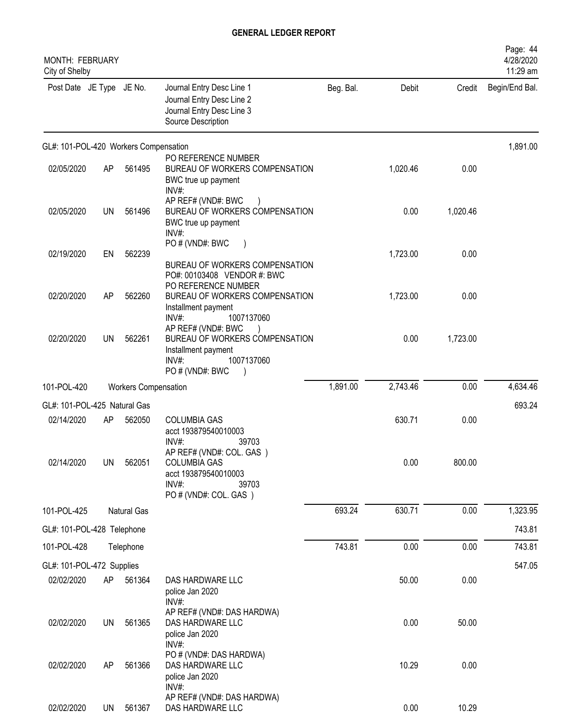| <b>MONTH: FEBRUARY</b><br>City of Shelby |           |                             |                                                                                                                       |           |          |          | Page: 44<br>4/28/2020<br>11:29 am |
|------------------------------------------|-----------|-----------------------------|-----------------------------------------------------------------------------------------------------------------------|-----------|----------|----------|-----------------------------------|
| Post Date JE Type JE No.                 |           |                             | Journal Entry Desc Line 1<br>Journal Entry Desc Line 2<br>Journal Entry Desc Line 3<br>Source Description             | Beg. Bal. | Debit    | Credit   | Begin/End Bal.                    |
| GL#: 101-POL-420 Workers Compensation    |           |                             |                                                                                                                       |           |          |          | 1,891.00                          |
| 02/05/2020                               | AP        | 561495                      | PO REFERENCE NUMBER<br>BUREAU OF WORKERS COMPENSATION<br>BWC true up payment<br>INV#:                                 |           | 1,020.46 | 0.00     |                                   |
| 02/05/2020                               | UN        | 561496                      | AP REF# (VND#: BWC<br>BUREAU OF WORKERS COMPENSATION<br>BWC true up payment<br>INV#:                                  |           | 0.00     | 1,020.46 |                                   |
| 02/19/2020                               | EN        | 562239                      | PO#(VND#: BWC<br>BUREAU OF WORKERS COMPENSATION<br>PO#: 00103408 VENDOR #: BWC                                        |           | 1,723.00 | 0.00     |                                   |
| 02/20/2020                               | AP        | 562260                      | PO REFERENCE NUMBER<br>BUREAU OF WORKERS COMPENSATION<br>Installment payment<br>$INV#$ :<br>1007137060                |           | 1,723.00 | 0.00     |                                   |
| 02/20/2020                               | UN        | 562261                      | AP REF# (VND#: BWC<br>BUREAU OF WORKERS COMPENSATION<br>Installment payment<br>1007137060<br>INV#:<br>PO # (VND#: BWC |           | 0.00     | 1,723.00 |                                   |
| 101-POL-420                              |           | <b>Workers Compensation</b> |                                                                                                                       | 1,891.00  | 2,743.46 | 0.00     | 4,634.46                          |
| GL#: 101-POL-425 Natural Gas             |           |                             |                                                                                                                       |           |          |          | 693.24                            |
| 02/14/2020                               | AP        | 562050                      | <b>COLUMBIA GAS</b><br>acct 193879540010003<br>INV#:<br>39703                                                         |           | 630.71   | 0.00     |                                   |
| 02/14/2020                               | <b>UN</b> | 562051                      | AP REF# (VND#: COL. GAS)<br><b>COLUMBIA GAS</b><br>acct 193879540010003<br>$INV#$ :<br>39703<br>PO # (VND#: COL. GAS) |           | 0.00     | 800.00   |                                   |
| 101-POL-425                              |           | Natural Gas                 |                                                                                                                       | 693.24    | 630.71   | 0.00     | 1,323.95                          |
| GL#: 101-POL-428 Telephone               |           |                             |                                                                                                                       |           |          |          | 743.81                            |
| 101-POL-428                              |           | Telephone                   |                                                                                                                       | 743.81    | 0.00     | 0.00     | 743.81                            |
| GL#: 101-POL-472 Supplies                |           |                             |                                                                                                                       |           |          |          | 547.05                            |
| 02/02/2020                               | AP        | 561364                      | DAS HARDWARE LLC<br>police Jan 2020<br>INV#:                                                                          |           | 50.00    | 0.00     |                                   |
| 02/02/2020                               | <b>UN</b> | 561365                      | AP REF# (VND#: DAS HARDWA)<br>DAS HARDWARE LLC<br>police Jan 2020<br>INV#:                                            |           | 0.00     | 50.00    |                                   |
| 02/02/2020                               | AP        | 561366                      | PO # (VND#: DAS HARDWA)<br>DAS HARDWARE LLC<br>police Jan 2020<br>$INV#$ :                                            |           | 10.29    | 0.00     |                                   |
| 02/02/2020                               | <b>UN</b> | 561367                      | AP REF# (VND#: DAS HARDWA)<br>DAS HARDWARE LLC                                                                        |           | 0.00     | 10.29    |                                   |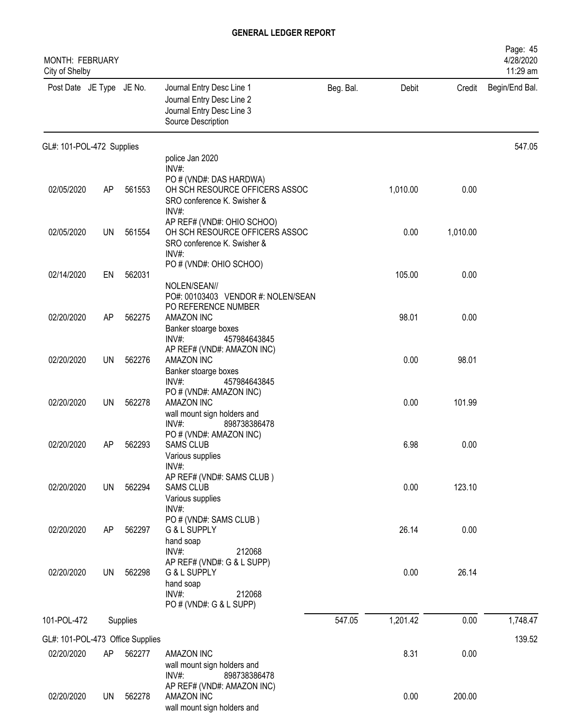| <b>MONTH: FEBRUARY</b><br>City of Shelby |           |          |                                                                                                                             |           |          |          | Page: 45<br>4/28/2020<br>11:29 am |
|------------------------------------------|-----------|----------|-----------------------------------------------------------------------------------------------------------------------------|-----------|----------|----------|-----------------------------------|
| Post Date JE Type JE No.                 |           |          | Journal Entry Desc Line 1<br>Journal Entry Desc Line 2<br>Journal Entry Desc Line 3<br>Source Description                   | Beg. Bal. | Debit    | Credit   | Begin/End Bal.                    |
| GL#: 101-POL-472 Supplies                |           |          |                                                                                                                             |           |          |          | 547.05                            |
|                                          |           |          | police Jan 2020<br>INV#:                                                                                                    |           |          |          |                                   |
| 02/05/2020                               | AP        | 561553   | PO # (VND#: DAS HARDWA)<br>OH SCH RESOURCE OFFICERS ASSOC<br>SRO conference K. Swisher &<br>INV#:                           |           | 1,010.00 | 0.00     |                                   |
| 02/05/2020                               | UN        | 561554   | AP REF# (VND#: OHIO SCHOO)<br>OH SCH RESOURCE OFFICERS ASSOC<br>SRO conference K. Swisher &<br>$INV#$ :                     |           | 0.00     | 1,010.00 |                                   |
|                                          |           |          | PO # (VND#: OHIO SCHOO)                                                                                                     |           |          |          |                                   |
| 02/14/2020                               | EN        | 562031   | NOLEN/SEAN//<br>PO#: 00103403 VENDOR #: NOLEN/SEAN                                                                          |           | 105.00   | 0.00     |                                   |
| 02/20/2020                               | AP        | 562275   | PO REFERENCE NUMBER<br><b>AMAZON INC</b><br>Banker stoarge boxes<br>INV#:<br>457984643845                                   |           | 98.01    | 0.00     |                                   |
| 02/20/2020                               | <b>UN</b> | 562276   | AP REF# (VND#: AMAZON INC)<br>AMAZON INC<br>Banker stoarge boxes                                                            |           | 0.00     | 98.01    |                                   |
| 02/20/2020                               | UN        | 562278   | INV#:<br>457984643845<br>PO # (VND#: AMAZON INC)<br>AMAZON INC<br>wall mount sign holders and                               |           | 0.00     | 101.99   |                                   |
| 02/20/2020                               | AP        | 562293   | $INV#$ :<br>898738386478<br>PO # (VND#: AMAZON INC)<br><b>SAMS CLUB</b><br>Various supplies<br>$INV#$ :                     |           | 6.98     | 0.00     |                                   |
| 02/20/2020                               | <b>UN</b> | 562294   | AP REF# (VND#: SAMS CLUB)<br><b>SAMS CLUB</b><br>Various supplies<br>INV#:                                                  |           | 0.00     | 123.10   |                                   |
| 02/20/2020                               | AP        | 562297   | PO # (VND#: SAMS CLUB)<br>G & L SUPPLY<br>hand soap                                                                         |           | 26.14    | 0.00     |                                   |
| 02/20/2020                               | UN        | 562298   | INV#:<br>212068<br>AP REF# (VND#: G & L SUPP)<br>G & L SUPPLY<br>hand soap<br>$INV#$ :<br>212068<br>PO # (VND#: G & L SUPP) |           | 0.00     | 26.14    |                                   |
| 101-POL-472                              |           | Supplies |                                                                                                                             | 547.05    | 1,201.42 | 0.00     | 1,748.47                          |
| GL#: 101-POL-473 Office Supplies         |           |          |                                                                                                                             |           |          |          | 139.52                            |
| 02/20/2020                               | AP        | 562277   | <b>AMAZON INC</b><br>wall mount sign holders and<br>$INV#$ :<br>898738386478                                                |           | 8.31     | 0.00     |                                   |
| 02/20/2020                               | UN        | 562278   | AP REF# (VND#: AMAZON INC)<br>AMAZON INC<br>wall mount sign holders and                                                     |           | 0.00     | 200.00   |                                   |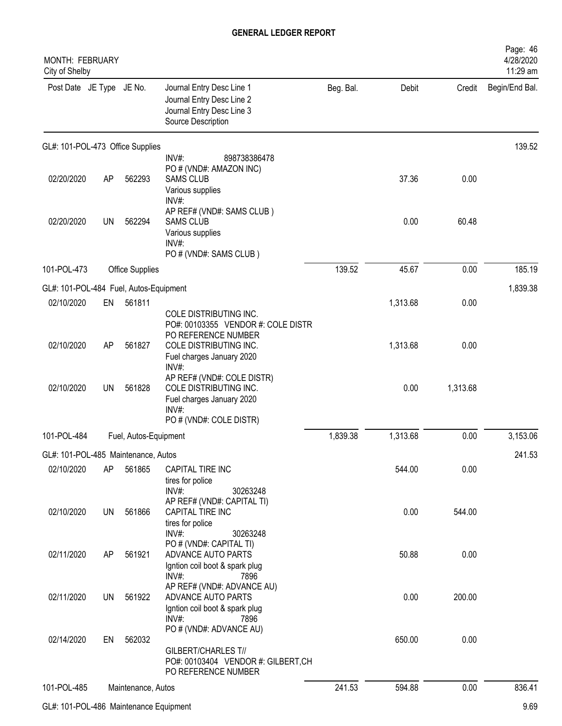| MONTH: FEBRUARY<br>City of Shelby      |           |                       |                                                                                                                                                     |           |          |          | Page: 46<br>4/28/2020<br>11:29 am |
|----------------------------------------|-----------|-----------------------|-----------------------------------------------------------------------------------------------------------------------------------------------------|-----------|----------|----------|-----------------------------------|
| Post Date JE Type JE No.               |           |                       | Journal Entry Desc Line 1<br>Journal Entry Desc Line 2<br>Journal Entry Desc Line 3<br>Source Description                                           | Beg. Bal. | Debit    | Credit   | Begin/End Bal.                    |
| GL#: 101-POL-473 Office Supplies       |           |                       |                                                                                                                                                     |           |          |          | 139.52                            |
| 02/20/2020                             | AP        | 562293                | $INV#$ :<br>898738386478<br>PO # (VND#: AMAZON INC)<br><b>SAMS CLUB</b><br>Various supplies<br>INV#:                                                |           | 37.36    | 0.00     |                                   |
| 02/20/2020                             | <b>UN</b> | 562294                | AP REF# (VND#: SAMS CLUB)<br><b>SAMS CLUB</b><br>Various supplies<br>INV#<br>PO # (VND#: SAMS CLUB)                                                 |           | 0.00     | 60.48    |                                   |
| 101-POL-473                            |           | Office Supplies       |                                                                                                                                                     | 139.52    | 45.67    | 0.00     | 185.19                            |
| GL#: 101-POL-484 Fuel, Autos-Equipment |           |                       |                                                                                                                                                     |           |          |          | 1,839.38                          |
| 02/10/2020                             | EN        | 561811                |                                                                                                                                                     |           | 1,313.68 | 0.00     |                                   |
| 02/10/2020                             | AP        | 561827                | COLE DISTRIBUTING INC.<br>PO#: 00103355 VENDOR #: COLE DISTR<br>PO REFERENCE NUMBER<br>COLE DISTRIBUTING INC.<br>Fuel charges January 2020<br>INV#: |           | 1,313.68 | 0.00     |                                   |
| 02/10/2020                             | <b>UN</b> | 561828                | AP REF# (VND#: COLE DISTR)<br>COLE DISTRIBUTING INC.<br>Fuel charges January 2020<br>INV#:<br>PO # (VND#: COLE DISTR)                               |           | 0.00     | 1,313.68 |                                   |
| 101-POL-484                            |           | Fuel, Autos-Equipment |                                                                                                                                                     | 1,839.38  | 1,313.68 | 0.00     | 3,153.06                          |
| GL#: 101-POL-485 Maintenance, Autos    |           |                       |                                                                                                                                                     |           |          |          | 241.53                            |
| 02/10/2020                             | AP        | 561865                | <b>CAPITAL TIRE INC</b><br>tires for police<br>INV#:<br>30263248<br>AP REF# (VND#: CAPITAL TI)                                                      |           | 544.00   | 0.00     |                                   |
| 02/10/2020                             | <b>UN</b> | 561866                | CAPITAL TIRE INC<br>tires for police<br>INV#:<br>30263248<br>PO # (VND#: CAPITAL TI)                                                                |           | 0.00     | 544.00   |                                   |
| 02/11/2020                             | AP        | 561921                | ADVANCE AUTO PARTS<br>Igntion coil boot & spark plug<br>INV#:<br>7896                                                                               |           | 50.88    | 0.00     |                                   |
| 02/11/2020                             | UN        | 561922                | AP REF# (VND#: ADVANCE AU)<br>ADVANCE AUTO PARTS<br>Igntion coil boot & spark plug<br>INV#:<br>7896                                                 |           | 0.00     | 200.00   |                                   |
| 02/14/2020                             | EN        | 562032                | PO # (VND#: ADVANCE AU)<br>GILBERT/CHARLES T//<br>PO#: 00103404 VENDOR #: GILBERT,CH<br>PO REFERENCE NUMBER                                         |           | 650.00   | 0.00     |                                   |
| 101-POL-485                            |           | Maintenance, Autos    |                                                                                                                                                     | 241.53    | 594.88   | 0.00     | 836.41                            |
|                                        |           |                       |                                                                                                                                                     |           |          |          |                                   |

GL#: 101-POL-486 Maintenance Equipment 9.69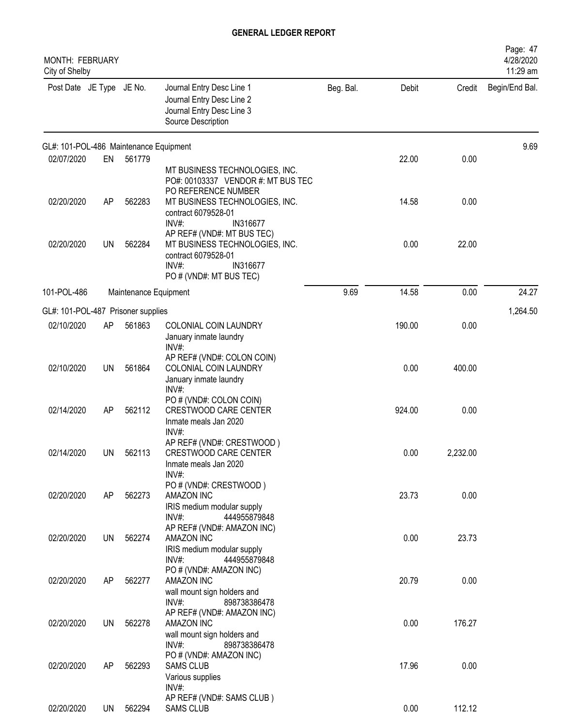| <b>MONTH: FEBRUARY</b><br>City of Shelby |           |                       |                                                                                                                                        |           |        |          | Page: 47<br>4/28/2020<br>11:29 am |
|------------------------------------------|-----------|-----------------------|----------------------------------------------------------------------------------------------------------------------------------------|-----------|--------|----------|-----------------------------------|
| Post Date JE Type JE No.                 |           |                       | Journal Entry Desc Line 1<br>Journal Entry Desc Line 2<br>Journal Entry Desc Line 3<br>Source Description                              | Beg. Bal. | Debit  | Credit   | Begin/End Bal.                    |
| GL#: 101-POL-486 Maintenance Equipment   |           |                       |                                                                                                                                        |           |        |          | 9.69                              |
| 02/07/2020                               | EN        | 561779                | MT BUSINESS TECHNOLOGIES, INC.<br>PO#: 00103337 VENDOR #: MT BUS TEC<br>PO REFERENCE NUMBER                                            |           | 22.00  | 0.00     |                                   |
| 02/20/2020                               | <b>AP</b> | 562283                | MT BUSINESS TECHNOLOGIES, INC.<br>contract 6079528-01<br>$INV#$ :<br>IN316677                                                          |           | 14.58  | 0.00     |                                   |
| 02/20/2020                               | <b>UN</b> | 562284                | AP REF# (VND#: MT BUS TEC)<br>MT BUSINESS TECHNOLOGIES, INC.<br>contract 6079528-01<br>$INV#$ :<br>IN316677<br>PO # (VND#: MT BUS TEC) |           | 0.00   | 22.00    |                                   |
| 101-POL-486                              |           | Maintenance Equipment |                                                                                                                                        | 9.69      | 14.58  | 0.00     | 24.27                             |
| GL#: 101-POL-487 Prisoner supplies       |           |                       |                                                                                                                                        |           |        |          | 1,264.50                          |
| 02/10/2020                               | AP        | 561863                | COLONIAL COIN LAUNDRY<br>January inmate laundry<br>INV#:                                                                               |           | 190.00 | 0.00     |                                   |
| 02/10/2020                               | UN        | 561864                | AP REF# (VND#: COLON COIN)<br>COLONIAL COIN LAUNDRY<br>January inmate laundry<br>INV#:                                                 |           | 0.00   | 400.00   |                                   |
| 02/14/2020                               | AP        | 562112                | PO # (VND#: COLON COIN)<br><b>CRESTWOOD CARE CENTER</b><br>Inmate meals Jan 2020<br>INV#:                                              |           | 924.00 | 0.00     |                                   |
| 02/14/2020                               | UN        | 562113                | AP REF# (VND#: CRESTWOOD)<br>CRESTWOOD CARE CENTER<br>Inmate meals Jan 2020<br>INV#:                                                   |           | 0.00   | 2,232.00 |                                   |
| 02/20/2020                               | AP        | 562273                | PO # (VND#: CRESTWOOD)<br>AMAZON INC<br>IRIS medium modular supply<br>$INV#$ :<br>444955879848                                         |           | 23.73  | 0.00     |                                   |
| 02/20/2020                               | <b>UN</b> | 562274                | AP REF# (VND#: AMAZON INC)<br>AMAZON INC<br>IRIS medium modular supply<br>$INV#$ :<br>444955879848                                     |           | 0.00   | 23.73    |                                   |
| 02/20/2020                               | AP        | 562277                | PO # (VND#: AMAZON INC)<br>AMAZON INC<br>wall mount sign holders and<br>INV#:<br>898738386478                                          |           | 20.79  | 0.00     |                                   |
| 02/20/2020                               | <b>UN</b> | 562278                | AP REF# (VND#: AMAZON INC)<br>AMAZON INC<br>wall mount sign holders and<br>INV#:<br>898738386478                                       |           | 0.00   | 176.27   |                                   |
| 02/20/2020                               | AP        | 562293                | PO # (VND#: AMAZON INC)<br><b>SAMS CLUB</b><br>Various supplies<br>$INV#$ :                                                            |           | 17.96  | 0.00     |                                   |
| 02/20/2020                               | <b>UN</b> | 562294                | AP REF# (VND#: SAMS CLUB)<br><b>SAMS CLUB</b>                                                                                          |           | 0.00   | 112.12   |                                   |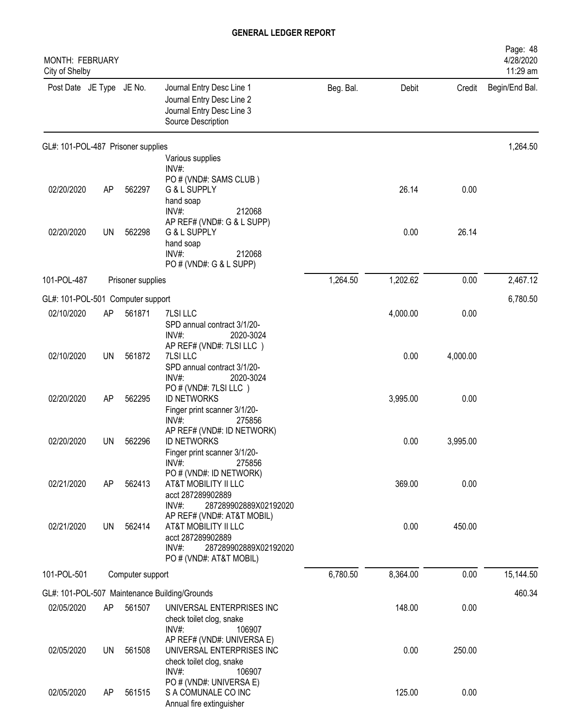| <b>MONTH: FEBRUARY</b><br>City of Shelby |           |                   |                                                                                                                    |           |          |          | Page: 48<br>4/28/2020<br>11:29 am |
|------------------------------------------|-----------|-------------------|--------------------------------------------------------------------------------------------------------------------|-----------|----------|----------|-----------------------------------|
| Post Date JE Type JE No.                 |           |                   | Journal Entry Desc Line 1<br>Journal Entry Desc Line 2<br>Journal Entry Desc Line 3<br>Source Description          | Beg. Bal. | Debit    | Credit   | Begin/End Bal.                    |
| GL#: 101-POL-487 Prisoner supplies       |           |                   |                                                                                                                    |           |          |          | 1,264.50                          |
|                                          |           |                   | Various supplies<br>INV#:                                                                                          |           |          |          |                                   |
| 02/20/2020                               | AP        | 562297            | PO # (VND#: SAMS CLUB)<br>G & L SUPPLY<br>hand soap<br>INV#:<br>212068                                             |           | 26.14    | 0.00     |                                   |
| 02/20/2020                               | <b>UN</b> | 562298            | AP REF# (VND#: G & L SUPP)<br>G & L SUPPLY<br>hand soap<br>$INV#$ :<br>212068<br>PO # (VND#: G & L SUPP)           |           | 0.00     | 26.14    |                                   |
| 101-POL-487                              |           | Prisoner supplies |                                                                                                                    | 1,264.50  | 1,202.62 | 0.00     | 2,467.12                          |
| GL#: 101-POL-501 Computer support        |           |                   |                                                                                                                    |           |          |          | 6,780.50                          |
| 02/10/2020                               | AP        | 561871            | 7LSI LLC                                                                                                           |           | 4,000.00 | 0.00     |                                   |
|                                          |           |                   | SPD annual contract 3/1/20-<br>INV#:<br>2020-3024<br>AP REF# (VND#: 7LSI LLC)                                      |           |          |          |                                   |
| 02/10/2020                               | UN        | 561872            | 7LSI LLC<br>SPD annual contract 3/1/20-<br>INV#:<br>2020-3024                                                      |           | 0.00     | 4,000.00 |                                   |
| 02/20/2020                               | AP        | 562295            | PO # (VND#: 7LSI LLC)<br><b>ID NETWORKS</b><br>Finger print scanner 3/1/20-                                        |           | 3,995.00 | 0.00     |                                   |
|                                          |           |                   | INV#:<br>275856                                                                                                    |           |          |          |                                   |
| 02/20/2020                               | UN        | 562296            | AP REF# (VND#: ID NETWORK)<br><b>ID NETWORKS</b><br>Finger print scanner 3/1/20-                                   |           | 0.00     | 3,995.00 |                                   |
| 02/21/2020                               | AP        | 562413            | INV#<br>275856<br>PO # (VND#: ID NETWORK)<br>AT&T MOBILITY II LLC                                                  |           | 369.00   | 0.00     |                                   |
|                                          |           |                   | acct 287289902889<br>$INV#$ :<br>287289902889X02192020                                                             |           |          |          |                                   |
| 02/21/2020                               | UN        | 562414            | AP REF# (VND#: AT&T MOBIL)<br>AT&T MOBILITY II LLC<br>acct 287289902889<br>$INV#$ :<br>287289902889X02192020       |           | 0.00     | 450.00   |                                   |
| 101-POL-501                              |           | Computer support  | PO # (VND#: AT&T MOBIL)                                                                                            | 6,780.50  | 8,364.00 | 0.00     | 15,144.50                         |
|                                          |           |                   |                                                                                                                    |           |          |          | 460.34                            |
| 02/05/2020                               | AP        | 561507            | GL#: 101-POL-507 Maintenance Building/Grounds<br>UNIVERSAL ENTERPRISES INC<br>check toilet clog, snake             |           | 148.00   | 0.00     |                                   |
| 02/05/2020                               | UN        | 561508            | INV#:<br>106907<br>AP REF# (VND#: UNIVERSA E)<br>UNIVERSAL ENTERPRISES INC<br>check toilet clog, snake<br>$INV#$ : |           | 0.00     | 250.00   |                                   |
| 02/05/2020                               | AP        | 561515            | 106907<br>PO # (VND#: UNIVERSA E)<br>S A COMUNALE CO INC<br>Annual fire extinguisher                               |           | 125.00   | 0.00     |                                   |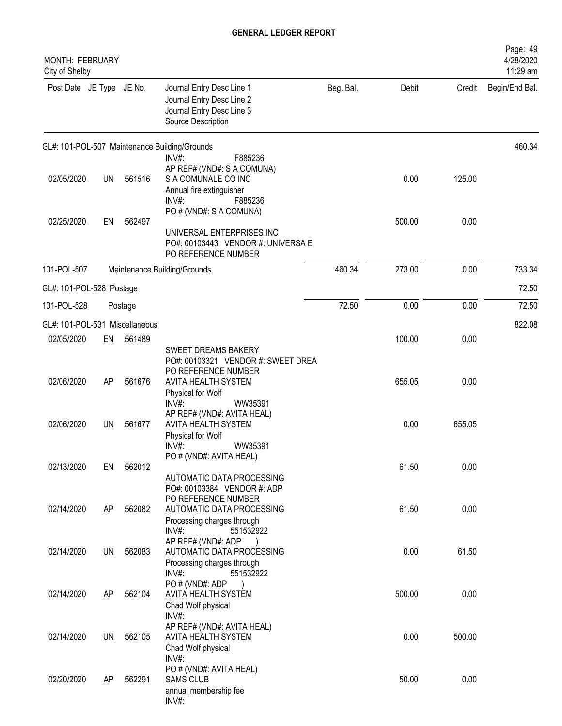| MONTH: FEBRUARY<br>City of Shelby |           |         |                                                                                                                                                        |           |        |        | Page: 49<br>4/28/2020<br>11:29 am |
|-----------------------------------|-----------|---------|--------------------------------------------------------------------------------------------------------------------------------------------------------|-----------|--------|--------|-----------------------------------|
| Post Date JE Type JE No.          |           |         | Journal Entry Desc Line 1<br>Journal Entry Desc Line 2<br>Journal Entry Desc Line 3<br>Source Description                                              | Beg. Bal. | Debit  | Credit | Begin/End Bal.                    |
|                                   |           |         | GL#: 101-POL-507 Maintenance Building/Grounds                                                                                                          |           |        |        | 460.34                            |
| 02/05/2020                        | <b>UN</b> | 561516  | $INV#$ :<br>F885236<br>AP REF# (VND#: S A COMUNA)<br>S A COMUNALE CO INC<br>Annual fire extinguisher<br>$INV#$ :<br>F885236<br>PO # (VND#: S A COMUNA) |           | 0.00   | 125.00 |                                   |
| 02/25/2020                        | EN        | 562497  | UNIVERSAL ENTERPRISES INC<br>PO#: 00103443 VENDOR #: UNIVERSA E<br>PO REFERENCE NUMBER                                                                 |           | 500.00 | 0.00   |                                   |
| 101-POL-507                       |           |         | Maintenance Building/Grounds                                                                                                                           | 460.34    | 273.00 | 0.00   | 733.34                            |
| GL#: 101-POL-528 Postage          |           |         |                                                                                                                                                        |           |        |        | 72.50                             |
| 101-POL-528                       |           | Postage |                                                                                                                                                        | 72.50     | 0.00   | 0.00   | 72.50                             |
| GL#: 101-POL-531 Miscellaneous    |           |         |                                                                                                                                                        |           |        |        | 822.08                            |
| 02/05/2020                        | EN        | 561489  | SWEET DREAMS BAKERY<br>PO#: 00103321 VENDOR #: SWEET DREA                                                                                              |           | 100.00 | 0.00   |                                   |
| 02/06/2020                        | AP        | 561676  | PO REFERENCE NUMBER<br>AVITA HEALTH SYSTEM<br>Physical for Wolf<br>$INV#$ :<br>WW35391                                                                 |           | 655.05 | 0.00   |                                   |
| 02/06/2020                        | UN        | 561677  | AP REF# (VND#: AVITA HEAL)<br>AVITA HEALTH SYSTEM<br>Physical for Wolf<br>$INV#$ :<br>WW35391                                                          |           | 0.00   | 655.05 |                                   |
| 02/13/2020                        | EN        | 562012  | PO # (VND#: AVITA HEAL)<br>AUTOMATIC DATA PROCESSING                                                                                                   |           | 61.50  | 0.00   |                                   |
| 02/14/2020                        | AP        | 562082  | PO#: 00103384 VENDOR #: ADP<br>PO REFERENCE NUMBER<br>AUTOMATIC DATA PROCESSING                                                                        |           | 61.50  | 0.00   |                                   |
| 02/14/2020                        | UN        | 562083  | Processing charges through<br>INV#:<br>551532922<br>AP REF# (VND#: ADP<br>AUTOMATIC DATA PROCESSING                                                    |           | 0.00   | 61.50  |                                   |
|                                   |           |         | Processing charges through<br>$INV#$ :<br>551532922<br>PO#(VND#: ADP                                                                                   |           |        |        |                                   |
| 02/14/2020                        | AP        | 562104  | AVITA HEALTH SYSTEM<br>Chad Wolf physical<br>$INV#$ :                                                                                                  |           | 500.00 | 0.00   |                                   |
| 02/14/2020                        | UN        | 562105  | AP REF# (VND#: AVITA HEAL)<br>AVITA HEALTH SYSTEM<br>Chad Wolf physical                                                                                |           | 0.00   | 500.00 |                                   |
| 02/20/2020                        | AP        | 562291  | INV#:<br>PO # (VND#: AVITA HEAL)<br><b>SAMS CLUB</b><br>annual membership fee<br>INV#:                                                                 |           | 50.00  | 0.00   |                                   |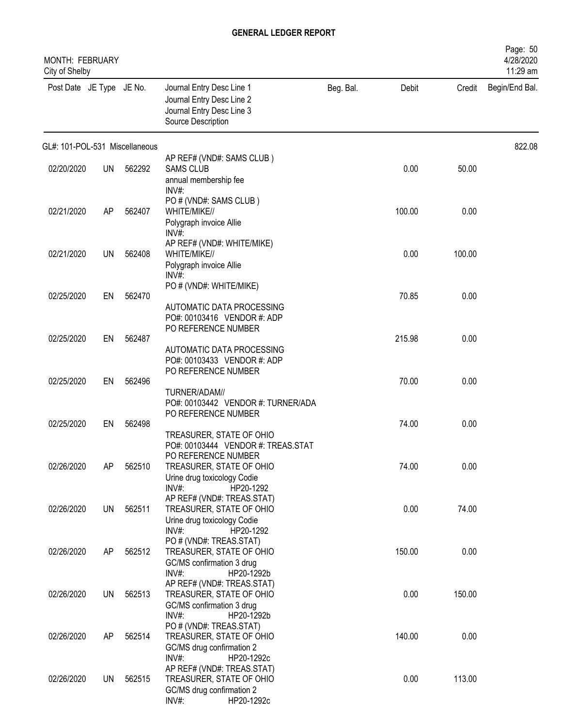| MONTH: FEBRUARY<br>City of Shelby |           |        |                                                                                                                                      |           |        |        | Page: 50<br>4/28/2020<br>11:29 am |
|-----------------------------------|-----------|--------|--------------------------------------------------------------------------------------------------------------------------------------|-----------|--------|--------|-----------------------------------|
| Post Date JE Type JE No.          |           |        | Journal Entry Desc Line 1<br>Journal Entry Desc Line 2<br>Journal Entry Desc Line 3<br>Source Description                            | Beg. Bal. | Debit  | Credit | Begin/End Bal.                    |
| GL#: 101-POL-531 Miscellaneous    |           |        |                                                                                                                                      |           |        |        | 822.08                            |
| 02/20/2020                        | UN        | 562292 | AP REF# (VND#: SAMS CLUB)<br><b>SAMS CLUB</b><br>annual membership fee                                                               |           | 0.00   | 50.00  |                                   |
| 02/21/2020                        | AP        | 562407 | $INV#$ :<br>PO # (VND#: SAMS CLUB)<br>WHITE/MIKE//<br>Polygraph invoice Allie                                                        |           | 100.00 | 0.00   |                                   |
| 02/21/2020                        | UN        | 562408 | INV#<br>AP REF# (VND#: WHITE/MIKE)<br>WHITE/MIKE//<br>Polygraph invoice Allie                                                        |           | 0.00   | 100.00 |                                   |
|                                   |           |        | $INV#$ :<br>PO # (VND#: WHITE/MIKE)                                                                                                  |           |        |        |                                   |
| 02/25/2020                        | EN        | 562470 | AUTOMATIC DATA PROCESSING<br>PO#: 00103416 VENDOR #: ADP                                                                             |           | 70.85  | 0.00   |                                   |
| 02/25/2020                        | EN        | 562487 | PO REFERENCE NUMBER<br>AUTOMATIC DATA PROCESSING<br>PO#: 00103433 VENDOR #: ADP                                                      |           | 215.98 | 0.00   |                                   |
| 02/25/2020                        | EN        | 562496 | PO REFERENCE NUMBER<br>TURNER/ADAM//<br>PO#: 00103442 VENDOR #: TURNER/ADA                                                           |           | 70.00  | 0.00   |                                   |
| 02/25/2020                        | EN        | 562498 | PO REFERENCE NUMBER                                                                                                                  |           | 74.00  | 0.00   |                                   |
|                                   |           |        | TREASURER, STATE OF OHIO<br>PO#: 00103444 VENDOR #: TREAS.STAT<br>PO REFERENCE NUMBER                                                |           |        | 0.00   |                                   |
| 02/26/2020                        | AP        | 562510 | TREASURER, STATE OF OHIO<br>Urine drug toxicology Codie<br>INV#:<br>HP20-1292                                                        |           | 74.00  |        |                                   |
| 02/26/2020                        | <b>UN</b> | 562511 | AP REF# (VND#: TREAS.STAT)<br>TREASURER, STATE OF OHIO<br>Urine drug toxicology Codie                                                |           | 0.00   | 74.00  |                                   |
| 02/26/2020                        | AP        | 562512 | $INV#$ :<br>HP20-1292<br>PO # (VND#: TREAS.STAT)<br>TREASURER, STATE OF OHIO<br>GC/MS confirmation 3 drug                            |           | 150.00 | 0.00   |                                   |
| 02/26/2020                        | UN        | 562513 | INV#:<br>HP20-1292b<br>AP REF# (VND#: TREAS.STAT)<br>TREASURER, STATE OF OHIO<br>GC/MS confirmation 3 drug                           |           | 0.00   | 150.00 |                                   |
| 02/26/2020                        | AP        | 562514 | INV#:<br>HP20-1292b<br>PO # (VND#: TREAS.STAT)<br>TREASURER, STATE OF OHIO<br>GC/MS drug confirmation 2                              |           | 140.00 | 0.00   |                                   |
| 02/26/2020                        | UN        | 562515 | $INV#$ :<br>HP20-1292c<br>AP REF# (VND#: TREAS.STAT)<br>TREASURER, STATE OF OHIO<br>GC/MS drug confirmation 2<br>INV#:<br>HP20-1292c |           | 0.00   | 113.00 |                                   |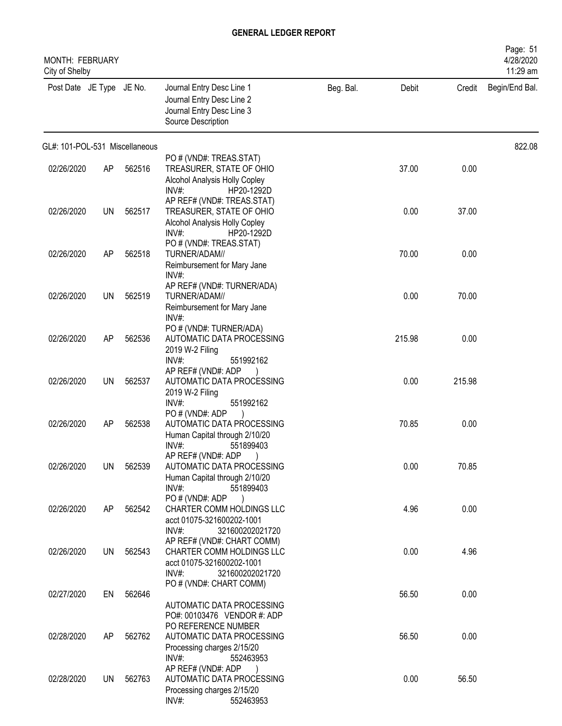| <b>MONTH: FEBRUARY</b><br>City of Shelby |    |        |                                                                                                                                     |           |        |        | Page: 51<br>4/28/2020<br>11:29 am |
|------------------------------------------|----|--------|-------------------------------------------------------------------------------------------------------------------------------------|-----------|--------|--------|-----------------------------------|
| Post Date JE Type JE No.                 |    |        | Journal Entry Desc Line 1<br>Journal Entry Desc Line 2<br>Journal Entry Desc Line 3<br>Source Description                           | Beg. Bal. | Debit  | Credit | Begin/End Bal.                    |
| GL#: 101-POL-531 Miscellaneous           |    |        |                                                                                                                                     |           |        |        | 822.08                            |
| 02/26/2020                               | AP | 562516 | PO # (VND#: TREAS.STAT)<br>TREASURER, STATE OF OHIO<br>Alcohol Analysis Holly Copley<br>$INV#$ :<br>HP20-1292D                      |           | 37.00  | 0.00   |                                   |
| 02/26/2020                               | UN | 562517 | AP REF# (VND#: TREAS.STAT)<br>TREASURER, STATE OF OHIO<br>Alcohol Analysis Holly Copley<br>$INV#$ :<br>HP20-1292D                   |           | 0.00   | 37.00  |                                   |
| 02/26/2020                               | AP | 562518 | PO # (VND#: TREAS.STAT)<br>TURNER/ADAM//<br>Reimbursement for Mary Jane<br>INV#:                                                    |           | 70.00  | 0.00   |                                   |
| 02/26/2020                               | UN | 562519 | AP REF# (VND#: TURNER/ADA)<br>TURNER/ADAM//<br>Reimbursement for Mary Jane<br>INV#:                                                 |           | 0.00   | 70.00  |                                   |
| 02/26/2020                               | AP | 562536 | PO # (VND#: TURNER/ADA)<br>AUTOMATIC DATA PROCESSING<br>2019 W-2 Filing<br>$INV#$ :<br>551992162                                    |           | 215.98 | 0.00   |                                   |
| 02/26/2020                               | UN | 562537 | AP REF# (VND#: ADP<br>AUTOMATIC DATA PROCESSING<br>2019 W-2 Filing<br>$INV#$ :                                                      |           | 0.00   | 215.98 |                                   |
| 02/26/2020                               | AP | 562538 | 551992162<br>PO#(VND#: ADP<br>AUTOMATIC DATA PROCESSING<br>Human Capital through 2/10/20                                            |           | 70.85  | 0.00   |                                   |
| 02/26/2020                               | UN | 562539 | $INV#$ :<br>551899403<br>AP REF# (VND#: ADP)<br>AUTOMATIC DATA PROCESSING<br>Human Capital through 2/10/20<br>$INV#$ :<br>551899403 |           | 0.00   | 70.85  |                                   |
| 02/26/2020                               | AP | 562542 | PO#(VND#: ADP<br>CHARTER COMM HOLDINGS LLC<br>acct 01075-321600202-1001<br>$INV#$ :<br>321600202021720                              |           | 4.96   | 0.00   |                                   |
| 02/26/2020                               | UN | 562543 | AP REF# (VND#: CHART COMM)<br>CHARTER COMM HOLDINGS LLC<br>acct 01075-321600202-1001<br>$INV#$ :<br>321600202021720                 |           | 0.00   | 4.96   |                                   |
| 02/27/2020                               | EN | 562646 | PO # (VND#: CHART COMM)<br>AUTOMATIC DATA PROCESSING                                                                                |           | 56.50  | 0.00   |                                   |
| 02/28/2020                               | AP | 562762 | PO#: 00103476 VENDOR #: ADP<br>PO REFERENCE NUMBER<br>AUTOMATIC DATA PROCESSING<br>Processing charges 2/15/20                       |           | 56.50  | 0.00   |                                   |
| 02/28/2020                               | UN | 562763 | $INV#$ :<br>552463953<br>AP REF# (VND#: ADP<br>AUTOMATIC DATA PROCESSING<br>Processing charges 2/15/20<br>INV#:<br>552463953        |           | 0.00   | 56.50  |                                   |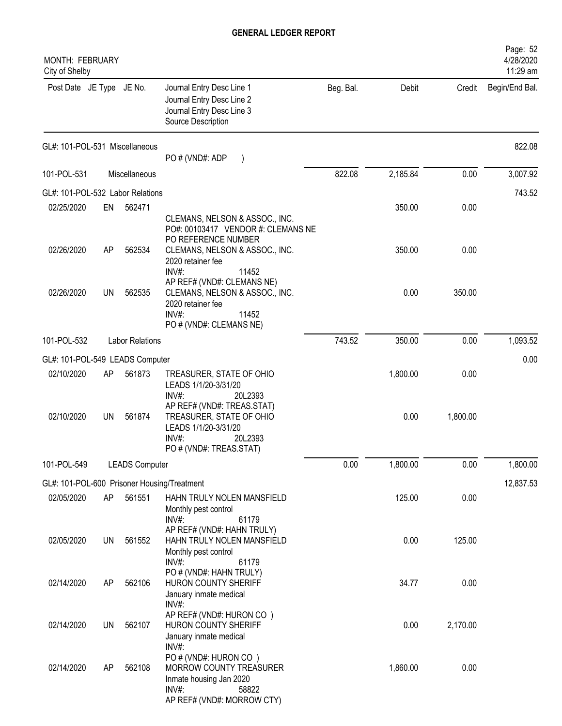| <b>MONTH: FEBRUARY</b><br>City of Shelby      |           |                        |                                                                                                                                                                              |           |          |          | Page: 52<br>4/28/2020<br>11:29 am |
|-----------------------------------------------|-----------|------------------------|------------------------------------------------------------------------------------------------------------------------------------------------------------------------------|-----------|----------|----------|-----------------------------------|
| Post Date JE Type JE No.                      |           |                        | Journal Entry Desc Line 1<br>Journal Entry Desc Line 2<br>Journal Entry Desc Line 3<br>Source Description                                                                    | Beg. Bal. | Debit    | Credit   | Begin/End Bal.                    |
| GL#: 101-POL-531 Miscellaneous                |           |                        | PO # (VND#: ADP                                                                                                                                                              |           |          |          | 822.08                            |
| 101-POL-531                                   |           | Miscellaneous          |                                                                                                                                                                              | 822.08    | 2,185.84 | 0.00     | 3,007.92                          |
| GL#: 101-POL-532 Labor Relations              |           |                        |                                                                                                                                                                              |           |          |          | 743.52                            |
| 02/25/2020                                    | EN        | 562471                 |                                                                                                                                                                              |           | 350.00   | 0.00     |                                   |
| 02/26/2020                                    | AP        | 562534                 | CLEMANS, NELSON & ASSOC., INC.<br>PO#: 00103417 VENDOR #: CLEMANS NE<br>PO REFERENCE NUMBER<br>CLEMANS, NELSON & ASSOC., INC.                                                |           | 350.00   | 0.00     |                                   |
| 02/26/2020                                    | UN        | 562535                 | 2020 retainer fee<br>INV#:<br>11452<br>AP REF# (VND#: CLEMANS NE)<br>CLEMANS, NELSON & ASSOC., INC.<br>2020 retainer fee<br>$INV#$ :<br>11452<br>PO # (VND#: CLEMANS NE)     |           | 0.00     | 350.00   |                                   |
| 101-POL-532                                   |           | <b>Labor Relations</b> |                                                                                                                                                                              | 743.52    | 350.00   | 0.00     | 1,093.52                          |
|                                               |           |                        |                                                                                                                                                                              |           |          |          | 0.00                              |
| GL#: 101-POL-549 LEADS Computer<br>02/10/2020 | AP        | 561873                 | TREASURER, STATE OF OHIO                                                                                                                                                     |           | 1,800.00 | 0.00     |                                   |
| 02/10/2020                                    | UN        | 561874                 | LEADS 1/1/20-3/31/20<br>$INV#$ :<br>20L2393<br>AP REF# (VND#: TREAS.STAT)<br>TREASURER, STATE OF OHIO<br>LEADS 1/1/20-3/31/20<br>INV#:<br>20L2393<br>PO # (VND#: TREAS.STAT) |           | 0.00     | 1,800.00 |                                   |
| 101-POL-549                                   |           | <b>LEADS Computer</b>  |                                                                                                                                                                              | 0.00      | 1,800.00 | 0.00     | 1,800.00                          |
| GL#: 101-POL-600 Prisoner Housing/Treatment   |           |                        |                                                                                                                                                                              |           |          |          | 12,837.53                         |
| 02/05/2020                                    | AP        | 561551                 | HAHN TRULY NOLEN MANSFIELD<br>Monthly pest control<br>$INV#$ :                                                                                                               |           | 125.00   | 0.00     |                                   |
| 02/05/2020                                    | <b>UN</b> | 561552                 | 61179<br>AP REF# (VND#: HAHN TRULY)<br>HAHN TRULY NOLEN MANSFIELD<br>Monthly pest control<br>INV#:<br>61179                                                                  |           | 0.00     | 125.00   |                                   |
| 02/14/2020                                    | AP        | 562106                 | PO # (VND#: HAHN TRULY)<br>HURON COUNTY SHERIFF<br>January inmate medical                                                                                                    |           | 34.77    | 0.00     |                                   |
| 02/14/2020                                    | UN        | 562107                 | INV#:<br>AP REF# (VND#: HURON CO)<br>HURON COUNTY SHERIFF<br>January inmate medical                                                                                          |           | 0.00     | 2,170.00 |                                   |
| 02/14/2020                                    | AP        | 562108                 | INV#:<br>PO # (VND#: HURON CO)<br>MORROW COUNTY TREASURER<br>Inmate housing Jan 2020<br>INV#:<br>58822<br>AP REF# (VND#: MORROW CTY)                                         |           | 1,860.00 | 0.00     |                                   |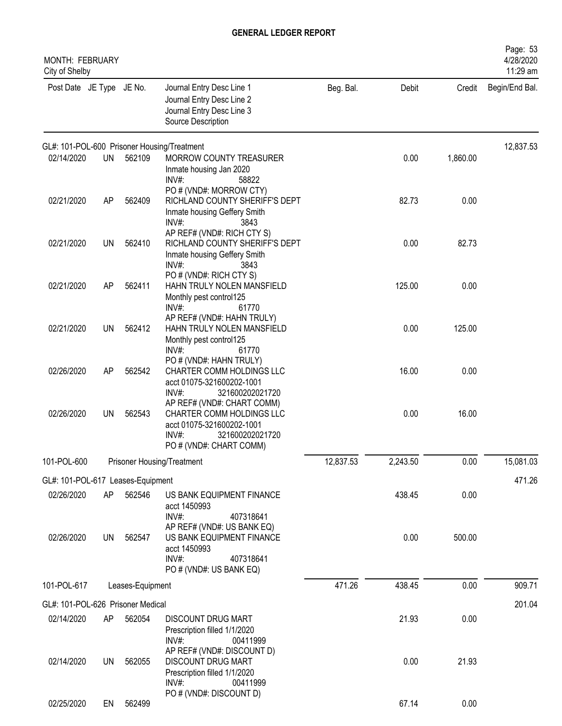| MONTH: FEBRUARY<br>City of Shelby |           |                  |                                                                                                                                            |           |          |          | Page: 53<br>4/28/2020<br>11:29 am |
|-----------------------------------|-----------|------------------|--------------------------------------------------------------------------------------------------------------------------------------------|-----------|----------|----------|-----------------------------------|
| Post Date JE Type JE No.          |           |                  | Journal Entry Desc Line 1<br>Journal Entry Desc Line 2<br>Journal Entry Desc Line 3<br>Source Description                                  | Beg. Bal. | Debit    | Credit   | Begin/End Bal.                    |
|                                   |           |                  | GL#: 101-POL-600 Prisoner Housing/Treatment                                                                                                |           |          |          | 12,837.53                         |
| 02/14/2020                        | <b>UN</b> | 562109           | MORROW COUNTY TREASURER<br>Inmate housing Jan 2020<br>INV#:<br>58822                                                                       |           | 0.00     | 1,860.00 |                                   |
| 02/21/2020                        | AP        | 562409           | PO # (VND#: MORROW CTY)<br>RICHLAND COUNTY SHERIFF'S DEPT<br>Inmate housing Geffery Smith<br>INV#:<br>3843                                 |           | 82.73    | 0.00     |                                   |
| 02/21/2020                        | <b>UN</b> | 562410           | AP REF# (VND#: RICH CTY S)<br>RICHLAND COUNTY SHERIFF'S DEPT<br>Inmate housing Geffery Smith<br>INV#:<br>3843                              |           | 0.00     | 82.73    |                                   |
| 02/21/2020                        | AP        | 562411           | PO # (VND#: RICH CTY S)<br>HAHN TRULY NOLEN MANSFIELD<br>Monthly pest control125<br>INV#:<br>61770                                         |           | 125.00   | 0.00     |                                   |
| 02/21/2020                        | <b>UN</b> | 562412           | AP REF# (VND#: HAHN TRULY)<br>HAHN TRULY NOLEN MANSFIELD<br>Monthly pest control125<br>INV#:<br>61770                                      |           | 0.00     | 125.00   |                                   |
| 02/26/2020                        | AP        | 562542           | PO # (VND#: HAHN TRULY)<br>CHARTER COMM HOLDINGS LLC<br>acct 01075-321600202-1001<br>INV#<br>321600202021720                               |           | 16.00    | 0.00     |                                   |
| 02/26/2020                        | UN        | 562543           | AP REF# (VND#: CHART COMM)<br>CHARTER COMM HOLDINGS LLC<br>acct 01075-321600202-1001<br>INV#<br>321600202021720<br>PO # (VND#: CHART COMM) |           | 0.00     | 16.00    |                                   |
| 101-POL-600                       |           |                  | Prisoner Housing/Treatment                                                                                                                 | 12,837.53 | 2,243.50 | 0.00     | 15,081.03                         |
| GL#: 101-POL-617 Leases-Equipment |           |                  |                                                                                                                                            |           |          |          | 471.26                            |
| 02/26/2020                        | AP        | 562546           | US BANK EQUIPMENT FINANCE<br>acct 1450993<br>INV#:<br>407318641                                                                            |           | 438.45   | 0.00     |                                   |
| 02/26/2020                        | <b>UN</b> | 562547           | AP REF# (VND#: US BANK EQ)<br>US BANK EQUIPMENT FINANCE<br>acct 1450993<br>INV#:<br>407318641<br>PO # (VND#: US BANK EQ)                   |           | 0.00     | 500.00   |                                   |
| 101-POL-617                       |           | Leases-Equipment |                                                                                                                                            | 471.26    | 438.45   | 0.00     | 909.71                            |
| GL#: 101-POL-626 Prisoner Medical |           |                  |                                                                                                                                            |           |          |          | 201.04                            |
| 02/14/2020                        | AP        | 562054           | DISCOUNT DRUG MART<br>Prescription filled 1/1/2020<br>$INV#$ :<br>00411999                                                                 |           | 21.93    | 0.00     |                                   |
| 02/14/2020                        | UN        | 562055           | AP REF# (VND#: DISCOUNT D)<br>DISCOUNT DRUG MART<br>Prescription filled 1/1/2020<br>$INV#$ :<br>00411999                                   |           | 0.00     | 21.93    |                                   |
| 02/25/2020                        | EN        | 562499           | PO # (VND#: DISCOUNT D)                                                                                                                    |           | 67.14    | 0.00     |                                   |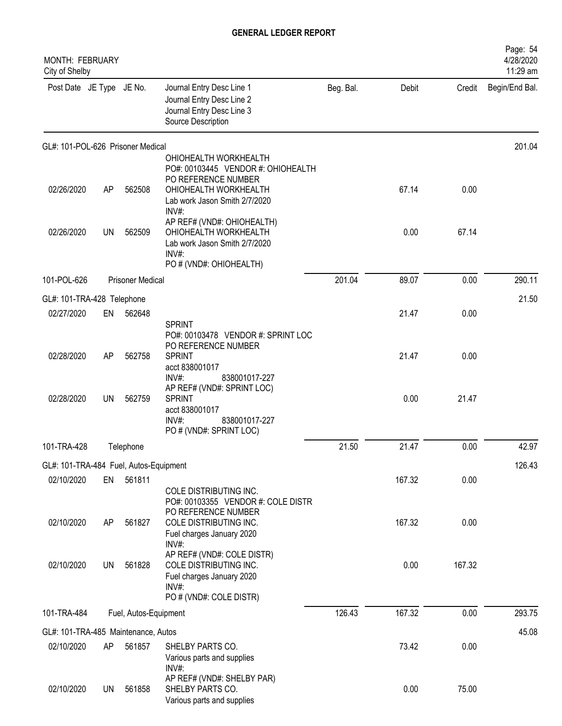| <b>MONTH: FEBRUARY</b><br>City of Shelby |           |                         |                                                                                                                    |           |        |        | Page: 54<br>4/28/2020<br>11:29 am |
|------------------------------------------|-----------|-------------------------|--------------------------------------------------------------------------------------------------------------------|-----------|--------|--------|-----------------------------------|
| Post Date JE Type JE No.                 |           |                         | Journal Entry Desc Line 1<br>Journal Entry Desc Line 2<br>Journal Entry Desc Line 3<br>Source Description          | Beg. Bal. | Debit  | Credit | Begin/End Bal.                    |
| GL#: 101-POL-626 Prisoner Medical        |           |                         |                                                                                                                    |           |        |        | 201.04                            |
|                                          |           |                         | OHIOHEALTH WORKHEALTH<br>PO#: 00103445 VENDOR #: OHIOHEALTH                                                        |           |        |        |                                   |
| 02/26/2020                               | AP        | 562508                  | PO REFERENCE NUMBER<br>OHIOHEALTH WORKHEALTH<br>Lab work Jason Smith 2/7/2020<br>INV#:                             |           | 67.14  | 0.00   |                                   |
| 02/26/2020                               | UN        | 562509                  | AP REF# (VND#: OHIOHEALTH)<br>OHIOHEALTH WORKHEALTH<br>Lab work Jason Smith 2/7/2020<br>INV#:                      |           | 0.00   | 67.14  |                                   |
| 101-POL-626                              |           | <b>Prisoner Medical</b> | PO # (VND#: OHIOHEALTH)                                                                                            | 201.04    | 89.07  | 0.00   | 290.11                            |
| GL#: 101-TRA-428 Telephone               |           |                         |                                                                                                                    |           |        |        | 21.50                             |
| 02/27/2020                               | EN        | 562648                  |                                                                                                                    |           | 21.47  | 0.00   |                                   |
|                                          |           |                         | <b>SPRINT</b><br>PO#: 00103478 VENDOR #: SPRINT LOC<br>PO REFERENCE NUMBER                                         |           |        |        |                                   |
| 02/28/2020                               | AP        | 562758                  | <b>SPRINT</b><br>acct 838001017<br>INV#:<br>838001017-227                                                          |           | 21.47  | 0.00   |                                   |
| 02/28/2020                               | <b>UN</b> | 562759                  | AP REF# (VND#: SPRINT LOC)<br><b>SPRINT</b><br>acct 838001017<br>INV#:<br>838001017-227<br>PO # (VND#: SPRINT LOC) |           | 0.00   | 21.47  |                                   |
| 101-TRA-428                              |           | Telephone               |                                                                                                                    | 21.50     | 21.47  | 0.00   | 42.97                             |
| GL#: 101-TRA-484 Fuel, Autos-Equipment   |           |                         |                                                                                                                    |           |        |        | 126.43                            |
| 02/10/2020                               | EN        | 561811                  | COLE DISTRIBUTING INC.<br>PO#: 00103355 VENDOR #: COLE DISTR                                                       |           | 167.32 | 0.00   |                                   |
| 02/10/2020                               | AP        | 561827                  | PO REFERENCE NUMBER<br>COLE DISTRIBUTING INC.<br>Fuel charges January 2020<br>INV#:                                |           | 167.32 | 0.00   |                                   |
| 02/10/2020                               | <b>UN</b> | 561828                  | AP REF# (VND#: COLE DISTR)<br>COLE DISTRIBUTING INC.<br>Fuel charges January 2020<br>INV#:                         |           | 0.00   | 167.32 |                                   |
|                                          |           |                         | PO # (VND#: COLE DISTR)                                                                                            |           |        |        |                                   |
| 101-TRA-484                              |           | Fuel, Autos-Equipment   |                                                                                                                    | 126.43    | 167.32 | 0.00   | 293.75                            |
| GL#: 101-TRA-485 Maintenance, Autos      |           |                         |                                                                                                                    |           |        |        | 45.08                             |
| 02/10/2020                               | AP        | 561857                  | SHELBY PARTS CO.<br>Various parts and supplies<br>INV#:                                                            |           | 73.42  | 0.00   |                                   |
| 02/10/2020                               | <b>UN</b> | 561858                  | AP REF# (VND#: SHELBY PAR)<br>SHELBY PARTS CO.<br>Various parts and supplies                                       |           | 0.00   | 75.00  |                                   |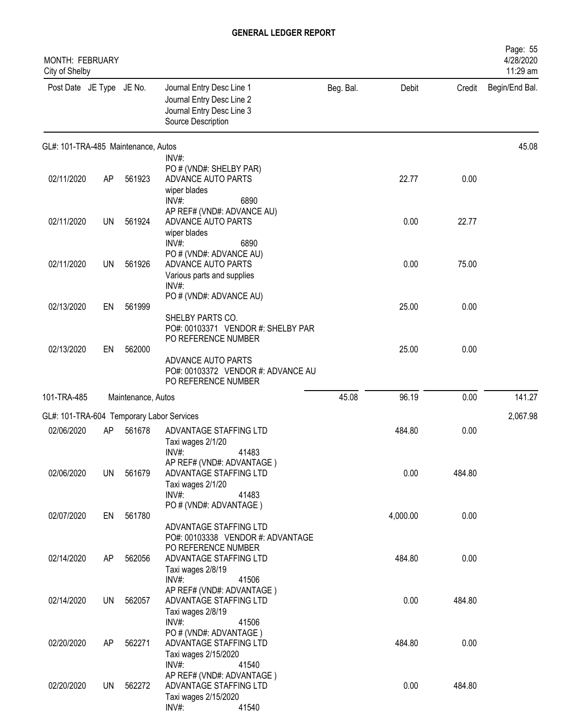| MONTH: FEBRUARY<br>City of Shelby         |           |                    |                                                                                                                                              |           |          |        | Page: 55<br>4/28/2020<br>11:29 am |
|-------------------------------------------|-----------|--------------------|----------------------------------------------------------------------------------------------------------------------------------------------|-----------|----------|--------|-----------------------------------|
| Post Date JE Type JE No.                  |           |                    | Journal Entry Desc Line 1<br>Journal Entry Desc Line 2<br>Journal Entry Desc Line 3<br>Source Description                                    | Beg. Bal. | Debit    | Credit | Begin/End Bal.                    |
| GL#: 101-TRA-485 Maintenance, Autos       |           |                    |                                                                                                                                              |           |          |        | 45.08                             |
| 02/11/2020                                | <b>AP</b> | 561923             | $INV#$ :<br>PO # (VND#: SHELBY PAR)<br>ADVANCE AUTO PARTS<br>wiper blades<br>INV#:<br>6890                                                   |           | 22.77    | 0.00   |                                   |
| 02/11/2020                                | <b>UN</b> | 561924             | AP REF# (VND#: ADVANCE AU)<br>ADVANCE AUTO PARTS<br>wiper blades<br>INV#:<br>6890                                                            |           | 0.00     | 22.77  |                                   |
| 02/11/2020                                | <b>UN</b> | 561926             | PO # (VND#: ADVANCE AU)<br>ADVANCE AUTO PARTS<br>Various parts and supplies                                                                  |           | 0.00     | 75.00  |                                   |
| 02/13/2020                                | EN        | 561999             | INV#:<br>PO # (VND#: ADVANCE AU)<br>SHELBY PARTS CO.                                                                                         |           | 25.00    | 0.00   |                                   |
| 02/13/2020                                | EN        | 562000             | PO#: 00103371 VENDOR #: SHELBY PAR<br>PO REFERENCE NUMBER<br>ADVANCE AUTO PARTS<br>PO#: 00103372 VENDOR #: ADVANCE AU<br>PO REFERENCE NUMBER |           | 25.00    | 0.00   |                                   |
| 101-TRA-485                               |           | Maintenance, Autos |                                                                                                                                              | 45.08     | 96.19    | 0.00   | 141.27                            |
| GL#: 101-TRA-604 Temporary Labor Services |           |                    |                                                                                                                                              |           |          |        | 2,067.98                          |
| 02/06/2020                                | AP        | 561678             | ADVANTAGE STAFFING LTD<br>Taxi wages 2/1/20<br>41483<br>$INV#$ :                                                                             |           | 484.80   | 0.00   |                                   |
| 02/06/2020                                | UN        | 561679             | AP REF# (VND#: ADVANTAGE)<br>ADVANTAGE STAFFING LTD<br>Taxi wages 2/1/20<br>INV#:<br>41483                                                   |           | 0.00     | 484.80 |                                   |
| 02/07/2020                                | EN        | 561780             | PO # (VND#: ADVANTAGE)<br>ADVANTAGE STAFFING LTD                                                                                             |           | 4,000.00 | 0.00   |                                   |
| 02/14/2020                                | AP        | 562056             | PO#: 00103338 VENDOR #: ADVANTAGE<br>PO REFERENCE NUMBER<br>ADVANTAGE STAFFING LTD<br>Taxi wages 2/8/19                                      |           | 484.80   | 0.00   |                                   |
| 02/14/2020                                | UN        | 562057             | INV#:<br>41506<br>AP REF# (VND#: ADVANTAGE)<br>ADVANTAGE STAFFING LTD<br>Taxi wages 2/8/19<br>$INV#$ :<br>41506                              |           | 0.00     | 484.80 |                                   |
| 02/20/2020                                | AP        | 562271             | PO # (VND#: ADVANTAGE)<br>ADVANTAGE STAFFING LTD<br>Taxi wages 2/15/2020<br>INV#:<br>41540                                                   |           | 484.80   | 0.00   |                                   |
| 02/20/2020                                | UN        | 562272             | AP REF# (VND#: ADVANTAGE)<br>ADVANTAGE STAFFING LTD<br>Taxi wages 2/15/2020<br>$INV#$ :<br>41540                                             |           | 0.00     | 484.80 |                                   |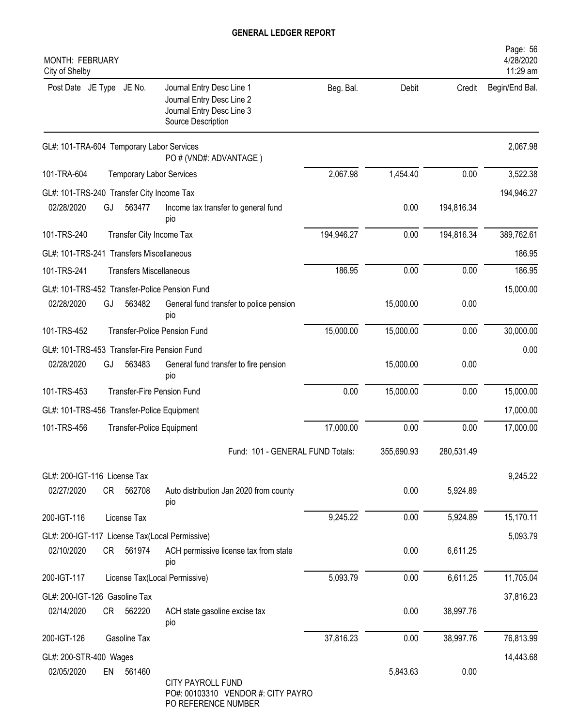| <b>MONTH: FEBRUARY</b><br>City of Shelby    |    |                                |                                                                                                           |            |            |            | Page: 56<br>4/28/2020<br>11:29 am |
|---------------------------------------------|----|--------------------------------|-----------------------------------------------------------------------------------------------------------|------------|------------|------------|-----------------------------------|
| Post Date JE Type JE No.                    |    |                                | Journal Entry Desc Line 1<br>Journal Entry Desc Line 2<br>Journal Entry Desc Line 3<br>Source Description | Beg. Bal.  | Debit      | Credit     | Begin/End Bal.                    |
| GL#: 101-TRA-604 Temporary Labor Services   |    |                                | PO # (VND#: ADVANTAGE)                                                                                    |            |            |            | 2,067.98                          |
| 101-TRA-604                                 |    |                                | <b>Temporary Labor Services</b>                                                                           | 2,067.98   | 1,454.40   | 0.00       | 3,522.38                          |
| GL#: 101-TRS-240 Transfer City Income Tax   |    |                                |                                                                                                           |            |            |            | 194,946.27                        |
| 02/28/2020                                  | GJ | 563477                         | Income tax transfer to general fund<br>pio                                                                |            | 0.00       | 194,816.34 |                                   |
| 101-TRS-240                                 |    | Transfer City Income Tax       |                                                                                                           | 194,946.27 | 0.00       | 194,816.34 | 389,762.61                        |
| GL#: 101-TRS-241 Transfers Miscellaneous    |    |                                |                                                                                                           |            |            |            | 186.95                            |
| 101-TRS-241                                 |    | <b>Transfers Miscellaneous</b> |                                                                                                           | 186.95     | 0.00       | 0.00       | 186.95                            |
|                                             |    |                                | GL#: 101-TRS-452 Transfer-Police Pension Fund                                                             |            |            |            | 15,000.00                         |
| 02/28/2020                                  | GJ | 563482                         | General fund transfer to police pension<br>pio                                                            |            | 15,000.00  | 0.00       |                                   |
| 101-TRS-452                                 |    |                                | <b>Transfer-Police Pension Fund</b>                                                                       | 15,000.00  | 15,000.00  | 0.00       | 30,000.00                         |
| GL#: 101-TRS-453 Transfer-Fire Pension Fund |    |                                |                                                                                                           |            |            |            | 0.00                              |
| 02/28/2020                                  | GJ | 563483                         | General fund transfer to fire pension<br>pio                                                              |            | 15,000.00  | 0.00       |                                   |
| 101-TRS-453                                 |    |                                | <b>Transfer-Fire Pension Fund</b>                                                                         | 0.00       | 15,000.00  | 0.00       | 15,000.00                         |
| GL#: 101-TRS-456 Transfer-Police Equipment  |    |                                |                                                                                                           |            |            |            | 17,000.00                         |
| 101-TRS-456                                 |    |                                | <b>Transfer-Police Equipment</b>                                                                          | 17,000.00  | 0.00       | 0.00       | 17,000.00                         |
|                                             |    |                                | Fund: 101 - GENERAL FUND Totals:                                                                          |            | 355,690.93 | 280,531.49 |                                   |
| GL#: 200-IGT-116 License Tax                |    |                                |                                                                                                           |            |            |            | 9,245.22                          |
| 02/27/2020                                  | CR | 562708                         | Auto distribution Jan 2020 from county<br>pio                                                             |            | 0.00       | 5,924.89   |                                   |
| 200-IGT-116                                 |    | License Tax                    |                                                                                                           | 9,245.22   | 0.00       | 5,924.89   | 15,170.11                         |
|                                             |    |                                | GL#: 200-IGT-117 License Tax(Local Permissive)                                                            |            |            |            | 5,093.79                          |
| 02/10/2020                                  | CR | 561974                         | ACH permissive license tax from state<br>pio                                                              |            | 0.00       | 6,611.25   |                                   |
| 200-IGT-117                                 |    |                                | License Tax(Local Permissive)                                                                             | 5,093.79   | 0.00       | 6,611.25   | 11,705.04                         |
| GL#: 200-IGT-126 Gasoline Tax               |    |                                |                                                                                                           |            |            |            | 37,816.23                         |
| 02/14/2020                                  | CR | 562220                         | ACH state gasoline excise tax<br>pio                                                                      |            | 0.00       | 38,997.76  |                                   |
| 200-IGT-126                                 |    | Gasoline Tax                   |                                                                                                           | 37,816.23  | 0.00       | 38,997.76  | 76,813.99                         |
| GL#: 200-STR-400 Wages                      |    |                                |                                                                                                           |            |            |            | 14,443.68                         |
| 02/05/2020                                  | EN | 561460                         | <b>CITY PAYROLL FUND</b><br>PO#: 00103310 VENDOR #: CITY PAYRO<br>PO REFERENCE NUMBER                     |            | 5,843.63   | 0.00       |                                   |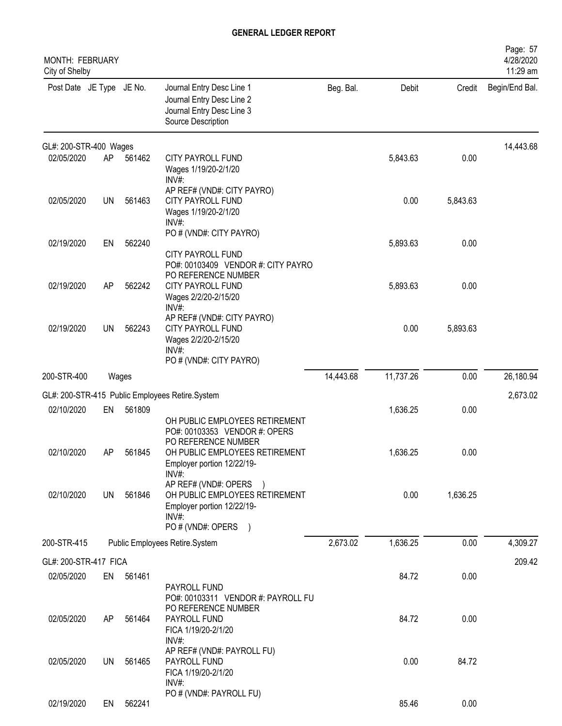| <b>MONTH: FEBRUARY</b><br>City of Shelby |           |        |                                                                                                                                    |           |           |          | Page: 57<br>4/28/2020<br>11:29 am |
|------------------------------------------|-----------|--------|------------------------------------------------------------------------------------------------------------------------------------|-----------|-----------|----------|-----------------------------------|
| Post Date JE Type JE No.                 |           |        | Journal Entry Desc Line 1<br>Journal Entry Desc Line 2<br>Journal Entry Desc Line 3<br>Source Description                          | Beg. Bal. | Debit     | Credit   | Begin/End Bal.                    |
| GL#: 200-STR-400 Wages                   |           |        |                                                                                                                                    |           |           |          | 14,443.68                         |
| 02/05/2020                               | AP        | 561462 | CITY PAYROLL FUND<br>Wages 1/19/20-2/1/20<br>INV#:                                                                                 |           | 5,843.63  | 0.00     |                                   |
| 02/05/2020                               | <b>UN</b> | 561463 | AP REF# (VND#: CITY PAYRO)<br>CITY PAYROLL FUND<br>Wages 1/19/20-2/1/20<br>INV#:                                                   |           | 0.00      | 5,843.63 |                                   |
| 02/19/2020                               | EN        | 562240 | PO # (VND#: CITY PAYRO)<br><b>CITY PAYROLL FUND</b><br>PO#: 00103409 VENDOR #: CITY PAYRO<br>PO REFERENCE NUMBER                   |           | 5,893.63  | 0.00     |                                   |
| 02/19/2020                               | AP        | 562242 | CITY PAYROLL FUND<br>Wages 2/2/20-2/15/20<br>INV#:                                                                                 |           | 5,893.63  | 0.00     |                                   |
| 02/19/2020                               | UN        | 562243 | AP REF# (VND#: CITY PAYRO)<br>CITY PAYROLL FUND<br>Wages 2/2/20-2/15/20<br>INV#<br>PO # (VND#: CITY PAYRO)                         |           | 0.00      | 5,893.63 |                                   |
| 200-STR-400                              |           | Wages  |                                                                                                                                    | 14,443.68 | 11,737.26 | 0.00     | 26,180.94                         |
|                                          |           |        | GL#: 200-STR-415 Public Employees Retire.System                                                                                    |           |           |          | 2,673.02                          |
| 02/10/2020                               | EN        | 561809 | OH PUBLIC EMPLOYEES RETIREMENT<br>PO#: 00103353 VENDOR #: OPERS                                                                    |           | 1,636.25  | 0.00     |                                   |
| 02/10/2020                               | AP        | 561845 | PO REFERENCE NUMBER<br>OH PUBLIC EMPLOYEES RETIREMENT<br>Employer portion 12/22/19-<br>$INV#$ :                                    |           | 1,636.25  | 0.00     |                                   |
| 02/10/2020                               | UN        | 561846 | AP REF# (VND#: OPERS<br>OH PUBLIC EMPLOYEES RETIREMENT<br>Employer portion 12/22/19-<br>$INV#$ :<br>PO # (VND#: OPERS<br>$\lambda$ |           | 0.00      | 1,636.25 |                                   |
| 200-STR-415                              |           |        | Public Employees Retire.System                                                                                                     | 2,673.02  | 1,636.25  | 0.00     | 4,309.27                          |
| GL#: 200-STR-417 FICA                    |           |        |                                                                                                                                    |           |           |          | 209.42                            |
| 02/05/2020                               | EN        | 561461 | PAYROLL FUND<br>PO#: 00103311 VENDOR #: PAYROLL FU                                                                                 |           | 84.72     | 0.00     |                                   |
| 02/05/2020                               | AP.       | 561464 | PO REFERENCE NUMBER<br>PAYROLL FUND<br>FICA 1/19/20-2/1/20<br>INV#:                                                                |           | 84.72     | 0.00     |                                   |
| 02/05/2020                               | UN        | 561465 | AP REF# (VND#: PAYROLL FU)<br>PAYROLL FUND<br>FICA 1/19/20-2/1/20<br>INV#:                                                         |           | 0.00      | 84.72    |                                   |
| 02/19/2020                               | EN        | 562241 | PO # (VND#: PAYROLL FU)                                                                                                            |           | 85.46     | 0.00     |                                   |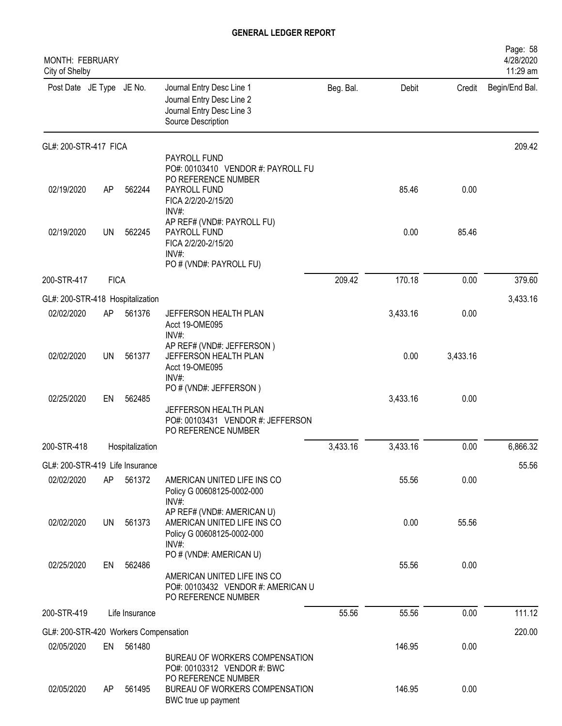| <b>MONTH: FEBRUARY</b><br>City of Shelby |             |                 |                                                                                                                     |           |          |          | Page: 58<br>4/28/2020<br>11:29 am |
|------------------------------------------|-------------|-----------------|---------------------------------------------------------------------------------------------------------------------|-----------|----------|----------|-----------------------------------|
| Post Date JE Type JE No.                 |             |                 | Journal Entry Desc Line 1<br>Journal Entry Desc Line 2<br>Journal Entry Desc Line 3<br>Source Description           | Beg. Bal. | Debit    | Credit   | Begin/End Bal.                    |
| GL#: 200-STR-417 FICA                    |             |                 |                                                                                                                     |           |          |          | 209.42                            |
| 02/19/2020                               | AP          | 562244          | PAYROLL FUND<br>PO#: 00103410 VENDOR #: PAYROLL FU<br>PO REFERENCE NUMBER<br>PAYROLL FUND<br>FICA 2/2/20-2/15/20    |           | 85.46    | 0.00     |                                   |
| 02/19/2020                               | <b>UN</b>   | 562245          | INV#:<br>AP REF# (VND#: PAYROLL FU)<br>PAYROLL FUND<br>FICA 2/2/20-2/15/20<br>INV#:<br>PO # (VND#: PAYROLL FU)      |           | 0.00     | 85.46    |                                   |
| 200-STR-417                              | <b>FICA</b> |                 |                                                                                                                     | 209.42    | 170.18   | 0.00     | 379.60                            |
| GL#: 200-STR-418 Hospitalization         |             |                 |                                                                                                                     |           |          |          | 3,433.16                          |
| 02/02/2020                               | AP          | 561376          | JEFFERSON HEALTH PLAN<br>Acct 19-OME095<br>INV#:                                                                    |           | 3,433.16 | 0.00     |                                   |
| 02/02/2020                               | <b>UN</b>   | 561377          | AP REF# (VND#: JEFFERSON)<br>JEFFERSON HEALTH PLAN<br>Acct 19-OME095<br>$INV#$ :                                    |           | 0.00     | 3,433.16 |                                   |
| 02/25/2020                               | EN          | 562485          | PO # (VND#: JEFFERSON)<br>JEFFERSON HEALTH PLAN<br>PO#: 00103431 VENDOR #: JEFFERSON<br>PO REFERENCE NUMBER         |           | 3,433.16 | 0.00     |                                   |
| 200-STR-418                              |             | Hospitalization |                                                                                                                     | 3,433.16  | 3,433.16 | 0.00     | 6,866.32                          |
| GL#: 200-STR-419 Life Insurance          |             |                 |                                                                                                                     |           |          |          | 55.56                             |
| 02/02/2020                               | AP          | 561372          | AMERICAN UNITED LIFE INS CO<br>Policy G 00608125-0002-000<br>$INV#$ :                                               |           | 55.56    | 0.00     |                                   |
| 02/02/2020                               | <b>UN</b>   | 561373          | AP REF# (VND#: AMERICAN U)<br>AMERICAN UNITED LIFE INS CO<br>Policy G 00608125-0002-000<br>INV#:                    |           | 0.00     | 55.56    |                                   |
| 02/25/2020                               | EN          | 562486          | PO # (VND#: AMERICAN U)<br>AMERICAN UNITED LIFE INS CO<br>PO#: 00103432 VENDOR #: AMERICAN U<br>PO REFERENCE NUMBER |           | 55.56    | 0.00     |                                   |
| 200-STR-419                              |             | Life Insurance  |                                                                                                                     | 55.56     | 55.56    | 0.00     | 111.12                            |
| GL#: 200-STR-420 Workers Compensation    |             |                 |                                                                                                                     |           |          |          | 220.00                            |
| 02/05/2020                               | EN          | 561480          | BUREAU OF WORKERS COMPENSATION<br>PO#: 00103312 VENDOR #: BWC                                                       |           | 146.95   | 0.00     |                                   |
| 02/05/2020                               | AP          | 561495          | PO REFERENCE NUMBER<br>BUREAU OF WORKERS COMPENSATION<br>BWC true up payment                                        |           | 146.95   | 0.00     |                                   |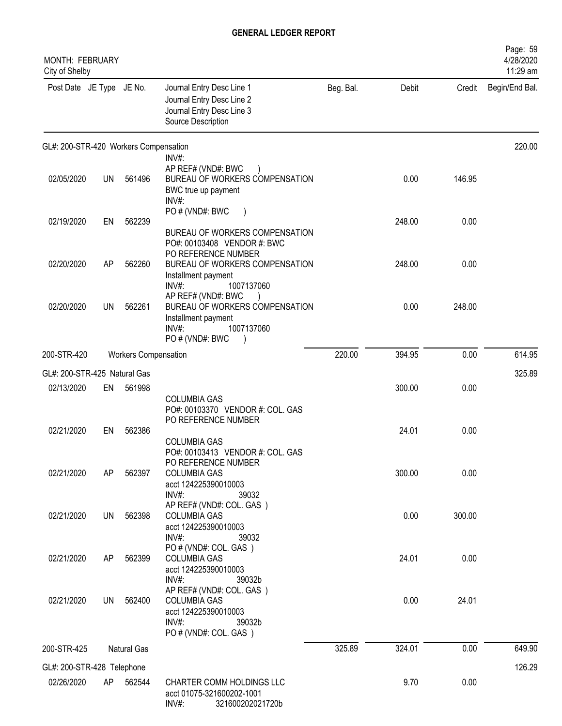| <b>MONTH: FEBRUARY</b><br>City of Shelby |           |                             |                                                                                                                          |           |        |        | Page: 59<br>4/28/2020<br>11:29 am |
|------------------------------------------|-----------|-----------------------------|--------------------------------------------------------------------------------------------------------------------------|-----------|--------|--------|-----------------------------------|
| Post Date JE Type JE No.                 |           |                             | Journal Entry Desc Line 1<br>Journal Entry Desc Line 2<br>Journal Entry Desc Line 3<br>Source Description                | Beg. Bal. | Debit  | Credit | Begin/End Bal.                    |
| GL#: 200-STR-420 Workers Compensation    |           |                             |                                                                                                                          |           |        |        | 220.00                            |
| 02/05/2020                               | UN        | 561496                      | $INV#$ :<br>AP REF# (VND#: BWC<br>BUREAU OF WORKERS COMPENSATION<br>BWC true up payment<br>INV#:                         |           | 0.00   | 146.95 |                                   |
| 02/19/2020                               | EN        | 562239                      | PO # (VND#: BWC<br>BUREAU OF WORKERS COMPENSATION<br>PO#: 00103408 VENDOR #: BWC                                         |           | 248.00 | 0.00   |                                   |
| 02/20/2020                               | AP        | 562260                      | PO REFERENCE NUMBER<br>BUREAU OF WORKERS COMPENSATION<br>Installment payment<br>$INV#$ :<br>1007137060                   |           | 248.00 | 0.00   |                                   |
| 02/20/2020                               | <b>UN</b> | 562261                      | AP REF# (VND#: BWC<br>BUREAU OF WORKERS COMPENSATION<br>Installment payment<br>$INV#$ :<br>1007137060<br>PO # (VND#: BWC |           | 0.00   | 248.00 |                                   |
| 200-STR-420                              |           | <b>Workers Compensation</b> |                                                                                                                          | 220.00    | 394.95 | 0.00   | 614.95                            |
| GL#: 200-STR-425 Natural Gas             |           |                             |                                                                                                                          |           |        |        | 325.89                            |
| 02/13/2020                               | EN        | 561998                      | <b>COLUMBIA GAS</b><br>PO#: 00103370 VENDOR #: COL. GAS                                                                  |           | 300.00 | 0.00   |                                   |
| 02/21/2020                               | EN        | 562386                      | PO REFERENCE NUMBER<br><b>COLUMBIA GAS</b><br>PO#: 00103413 VENDOR #: COL. GAS                                           |           | 24.01  | 0.00   |                                   |
| 02/21/2020                               | AP        | 562397                      | PO REFERENCE NUMBER<br><b>COLUMBIA GAS</b><br>acct 124225390010003<br>$INV#$ :<br>39032                                  |           | 300.00 | 0.00   |                                   |
| 02/21/2020                               | UN        | 562398                      | AP REF# (VND#: COL. GAS)<br><b>COLUMBIA GAS</b><br>acct 124225390010003<br>$INV#$ :<br>39032                             |           | 0.00   | 300.00 |                                   |
| 02/21/2020                               | AP        | 562399                      | PO#(VND#: COL. GAS)<br><b>COLUMBIA GAS</b><br>acct 124225390010003<br>$INV#$ :<br>39032b                                 |           | 24.01  | 0.00   |                                   |
| 02/21/2020                               | UN        | 562400                      | AP REF# (VND#: COL. GAS)<br><b>COLUMBIA GAS</b><br>acct 124225390010003<br>$INV#$ :<br>39032b<br>PO # (VND#: COL. GAS)   |           | 0.00   | 24.01  |                                   |
| 200-STR-425                              |           | Natural Gas                 |                                                                                                                          | 325.89    | 324.01 | 0.00   | 649.90                            |
| GL#: 200-STR-428 Telephone               |           |                             |                                                                                                                          |           |        |        | 126.29                            |
| 02/26/2020                               | AP        | 562544                      | CHARTER COMM HOLDINGS LLC<br>acct 01075-321600202-1001<br>INV#:<br>321600202021720b                                      |           | 9.70   | 0.00   |                                   |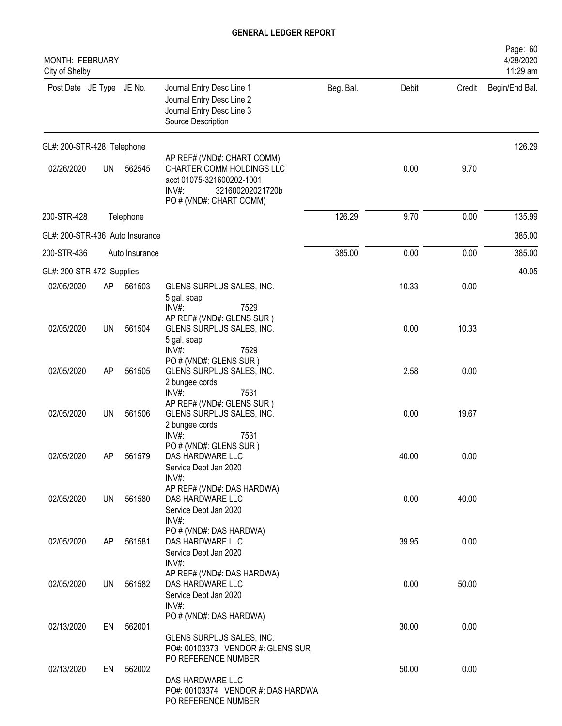| MONTH: FEBRUARY<br>City of Shelby |           |                |                                                                                                                                                 |           |       |        | Page: 60<br>4/28/2020<br>11:29 am |
|-----------------------------------|-----------|----------------|-------------------------------------------------------------------------------------------------------------------------------------------------|-----------|-------|--------|-----------------------------------|
| Post Date JE Type JE No.          |           |                | Journal Entry Desc Line 1<br>Journal Entry Desc Line 2<br>Journal Entry Desc Line 3<br>Source Description                                       | Beg. Bal. | Debit | Credit | Begin/End Bal.                    |
| GL#: 200-STR-428 Telephone        |           |                |                                                                                                                                                 |           |       |        | 126.29                            |
| 02/26/2020                        | <b>UN</b> | 562545         | AP REF# (VND#: CHART COMM)<br>CHARTER COMM HOLDINGS LLC<br>acct 01075-321600202-1001<br>$INV#$ :<br>321600202021720b<br>PO # (VND#: CHART COMM) |           | 0.00  | 9.70   |                                   |
| 200-STR-428                       |           | Telephone      |                                                                                                                                                 | 126.29    | 9.70  | 0.00   | 135.99                            |
| GL#: 200-STR-436 Auto Insurance   |           |                |                                                                                                                                                 |           |       |        | 385.00                            |
| 200-STR-436                       |           | Auto Insurance |                                                                                                                                                 | 385.00    | 0.00  | 0.00   | 385.00                            |
| GL#: 200-STR-472 Supplies         |           |                |                                                                                                                                                 |           |       |        | 40.05                             |
| 02/05/2020                        | AP        | 561503         | GLENS SURPLUS SALES, INC.<br>5 gal. soap<br>INV#:<br>7529                                                                                       |           | 10.33 | 0.00   |                                   |
| 02/05/2020                        | <b>UN</b> | 561504         | AP REF# (VND#: GLENS SUR)<br>GLENS SURPLUS SALES, INC.<br>5 gal. soap<br>INV#:<br>7529                                                          |           | 0.00  | 10.33  |                                   |
| 02/05/2020                        | <b>AP</b> | 561505         | PO # (VND#: GLENS SUR)<br>GLENS SURPLUS SALES, INC.<br>2 bungee cords<br>INV#:<br>7531                                                          |           | 2.58  | 0.00   |                                   |
| 02/05/2020                        | UN        | 561506         | AP REF# (VND#: GLENS SUR)<br>GLENS SURPLUS SALES, INC.<br>2 bungee cords                                                                        |           | 0.00  | 19.67  |                                   |
| 02/05/2020                        | AP        | 561579         | INV#:<br>7531<br>PO # (VND#: GLENS SUR)<br>DAS HARDWARE LLC<br>Service Dept Jan 2020                                                            |           | 40.00 | 0.00   |                                   |
| 02/05/2020                        | UN.       | 561580         | INV#:<br>AP REF# (VND#: DAS HARDWA)<br>DAS HARDWARE LLC<br>Service Dept Jan 2020                                                                |           | 0.00  | 40.00  |                                   |
| 02/05/2020                        | AP        | 561581         | INV#:<br>PO # (VND#: DAS HARDWA)<br>DAS HARDWARE LLC<br>Service Dept Jan 2020                                                                   |           | 39.95 | 0.00   |                                   |
| 02/05/2020                        | UN        | 561582         | $INV#$ :<br>AP REF# (VND#: DAS HARDWA)<br>DAS HARDWARE LLC<br>Service Dept Jan 2020                                                             |           | 0.00  | 50.00  |                                   |
| 02/13/2020                        | EN        | 562001         | INV#:<br>PO # (VND#: DAS HARDWA)<br>GLENS SURPLUS SALES, INC.                                                                                   |           | 30.00 | 0.00   |                                   |
| 02/13/2020                        | EN        | 562002         | PO#: 00103373 VENDOR #: GLENS SUR<br>PO REFERENCE NUMBER<br>DAS HARDWARE LLC<br>PO#: 00103374 VENDOR #: DAS HARDWA                              |           | 50.00 | 0.00   |                                   |
|                                   |           |                | PO REFERENCE NUMBER                                                                                                                             |           |       |        |                                   |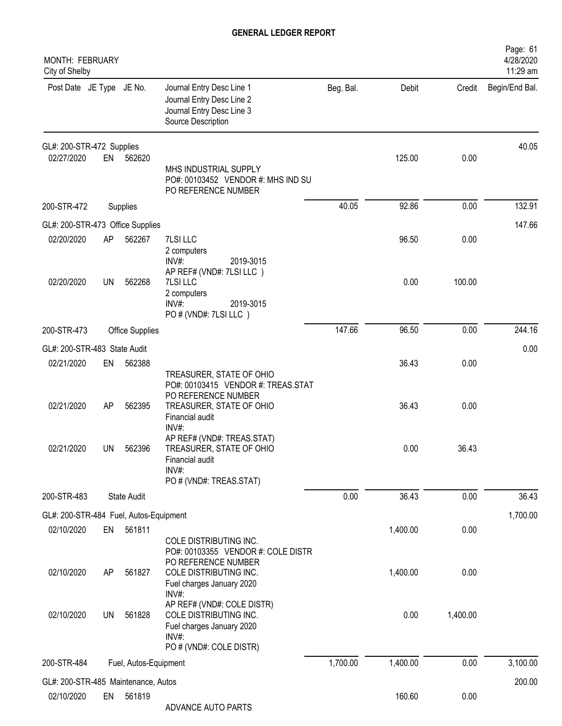| MONTH: FEBRUARY<br>City of Shelby      |    |                        |                                                                                                                                               |           |          |          | Page: 61<br>4/28/2020<br>11:29 am |
|----------------------------------------|----|------------------------|-----------------------------------------------------------------------------------------------------------------------------------------------|-----------|----------|----------|-----------------------------------|
| Post Date JE Type JE No.               |    |                        | Journal Entry Desc Line 1<br>Journal Entry Desc Line 2<br>Journal Entry Desc Line 3<br>Source Description                                     | Beg. Bal. | Debit    | Credit   | Begin/End Bal.                    |
| GL#: 200-STR-472 Supplies              |    |                        |                                                                                                                                               |           |          |          | 40.05                             |
| 02/27/2020                             |    | EN 562620              | MHS INDUSTRIAL SUPPLY<br>PO#: 00103452 VENDOR #: MHS IND SU<br>PO REFERENCE NUMBER                                                            |           | 125.00   | 0.00     |                                   |
| 200-STR-472                            |    | Supplies               |                                                                                                                                               | 40.05     | 92.86    | 0.00     | 132.91                            |
| GL#: 200-STR-473 Office Supplies       |    |                        |                                                                                                                                               |           |          |          | 147.66                            |
| 02/20/2020                             | AP | 562267                 | 7LSI LLC<br>2 computers<br>$INV#$ :<br>2019-3015                                                                                              |           | 96.50    | 0.00     |                                   |
| 02/20/2020                             | UN | 562268                 | AP REF# (VND#: 7LSI LLC)<br>7LSI LLC<br>2 computers<br>$INV#$ :<br>2019-3015<br>PO # (VND#: 7LSI LLC)                                         |           | 0.00     | 100.00   |                                   |
| 200-STR-473                            |    | <b>Office Supplies</b> |                                                                                                                                               | 147.66    | 96.50    | 0.00     | 244.16                            |
| GL#: 200-STR-483 State Audit           |    |                        |                                                                                                                                               |           |          |          | 0.00                              |
| 02/21/2020                             | EN | 562388                 |                                                                                                                                               |           | 36.43    | 0.00     |                                   |
| 02/21/2020                             | AP | 562395                 | TREASURER, STATE OF OHIO<br>PO#: 00103415 VENDOR #: TREAS.STAT<br>PO REFERENCE NUMBER<br>TREASURER, STATE OF OHIO<br>Financial audit<br>INV#: |           | 36.43    | 0.00     |                                   |
| 02/21/2020                             | UN | 562396                 | AP REF# (VND#: TREAS.STAT)<br>TREASURER, STATE OF OHIO<br>Financial audit<br>INV#:<br>PO # (VND#: TREAS.STAT)                                 |           | 0.00     | 36.43    |                                   |
| 200-STR-483                            |    | State Audit            |                                                                                                                                               | 0.00      | 36.43    | 0.00     | 36.43                             |
| GL#: 200-STR-484 Fuel, Autos-Equipment |    |                        |                                                                                                                                               |           |          |          | 1,700.00                          |
| 02/10/2020                             | EN | 561811                 | COLE DISTRIBUTING INC.<br>PO#: 00103355 VENDOR #: COLE DISTR                                                                                  |           | 1,400.00 | 0.00     |                                   |
| 02/10/2020                             | AP | 561827                 | PO REFERENCE NUMBER<br>COLE DISTRIBUTING INC.<br>Fuel charges January 2020<br>$INV#$ :                                                        |           | 1,400.00 | 0.00     |                                   |
| 02/10/2020                             | UN | 561828                 | AP REF# (VND#: COLE DISTR)<br>COLE DISTRIBUTING INC.<br>Fuel charges January 2020<br>INV#:<br>PO # (VND#: COLE DISTR)                         |           | 0.00     | 1,400.00 |                                   |
| 200-STR-484                            |    | Fuel, Autos-Equipment  |                                                                                                                                               | 1,700.00  | 1,400.00 | 0.00     | 3,100.00                          |
| GL#: 200-STR-485 Maintenance, Autos    |    |                        |                                                                                                                                               |           |          |          | 200.00                            |
| 02/10/2020                             | EN | 561819                 | ADVANCE AUTO PARTS                                                                                                                            |           | 160.60   | 0.00     |                                   |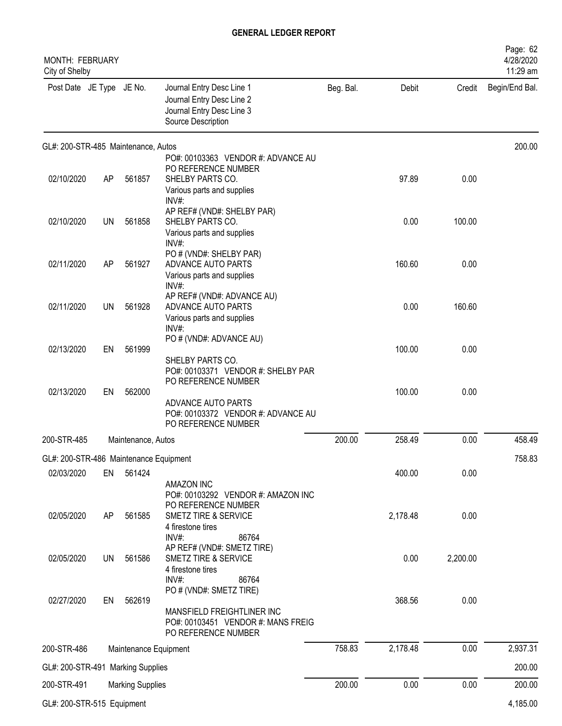| MONTH: FEBRUARY<br>City of Shelby      |           |                         |                                                                                                                                              |           |          |          | Page: 62<br>4/28/2020<br>11:29 am |
|----------------------------------------|-----------|-------------------------|----------------------------------------------------------------------------------------------------------------------------------------------|-----------|----------|----------|-----------------------------------|
| Post Date JE Type JE No.               |           |                         | Journal Entry Desc Line 1<br>Journal Entry Desc Line 2<br>Journal Entry Desc Line 3<br>Source Description                                    | Beg. Bal. | Debit    |          | Credit Begin/End Bal.             |
| GL#: 200-STR-485 Maintenance, Autos    |           |                         | PO#: 00103363 VENDOR #: ADVANCE AU                                                                                                           |           |          |          | 200.00                            |
| 02/10/2020                             | AP        | 561857                  | PO REFERENCE NUMBER<br>SHELBY PARTS CO.<br>Various parts and supplies                                                                        |           | 97.89    | 0.00     |                                   |
| 02/10/2020                             | <b>UN</b> | 561858                  | INV#<br>AP REF# (VND#: SHELBY PAR)<br>SHELBY PARTS CO.<br>Various parts and supplies                                                         |           | 0.00     | 100.00   |                                   |
| 02/11/2020                             | AP        | 561927                  | $INV#$ :<br>PO # (VND#: SHELBY PAR)<br>ADVANCE AUTO PARTS<br>Various parts and supplies                                                      |           | 160.60   | 0.00     |                                   |
| 02/11/2020                             | UN        | 561928                  | INV#:<br>AP REF# (VND#: ADVANCE AU)<br>ADVANCE AUTO PARTS<br>Various parts and supplies                                                      |           | 0.00     | 160.60   |                                   |
| 02/13/2020                             | EN        | 561999                  | INV#:<br>PO # (VND#: ADVANCE AU)<br>SHELBY PARTS CO.                                                                                         |           | 100.00   | 0.00     |                                   |
| 02/13/2020                             | EN        | 562000                  | PO#: 00103371 VENDOR #: SHELBY PAR<br>PO REFERENCE NUMBER<br>ADVANCE AUTO PARTS<br>PO#: 00103372 VENDOR #: ADVANCE AU<br>PO REFERENCE NUMBER |           | 100.00   | 0.00     |                                   |
| 200-STR-485                            |           | Maintenance, Autos      |                                                                                                                                              | 200.00    | 258.49   | 0.00     | 458.49                            |
| GL#: 200-STR-486 Maintenance Equipment |           |                         |                                                                                                                                              |           |          |          | 758.83                            |
| 02/03/2020                             | EN        | 561424                  |                                                                                                                                              |           | 400.00   | 0.00     |                                   |
| 02/05/2020                             | AP        | 561585                  | <b>AMAZON INC</b><br>PO#: 00103292 VENDOR #: AMAZON INC<br>PO REFERENCE NUMBER<br>SMETZ TIRE & SERVICE<br>4 firestone tires                  |           | 2,178.48 | 0.00     |                                   |
| 02/05/2020                             | UN        | 561586                  | $INV#$ :<br>86764<br>AP REF# (VND#: SMETZ TIRE)<br><b>SMETZ TIRE &amp; SERVICE</b><br>4 firestone tires<br>$INV#$ :<br>86764                 |           | 0.00     | 2,200.00 |                                   |
| 02/27/2020                             | EN        | 562619                  | PO # (VND#: SMETZ TIRE)<br>MANSFIELD FREIGHTLINER INC<br>PO#: 00103451 VENDOR #: MANS FREIG<br>PO REFERENCE NUMBER                           |           | 368.56   | 0.00     |                                   |
| 200-STR-486                            |           | Maintenance Equipment   |                                                                                                                                              | 758.83    | 2,178.48 | 0.00     | 2,937.31                          |
| GL#: 200-STR-491 Marking Supplies      |           |                         |                                                                                                                                              |           |          |          | 200.00                            |
| 200-STR-491                            |           | <b>Marking Supplies</b> |                                                                                                                                              | 200.00    | 0.00     | 0.00     | 200.00                            |
| GL#: 200-STR-515 Equipment             |           |                         |                                                                                                                                              |           |          |          | 4,185.00                          |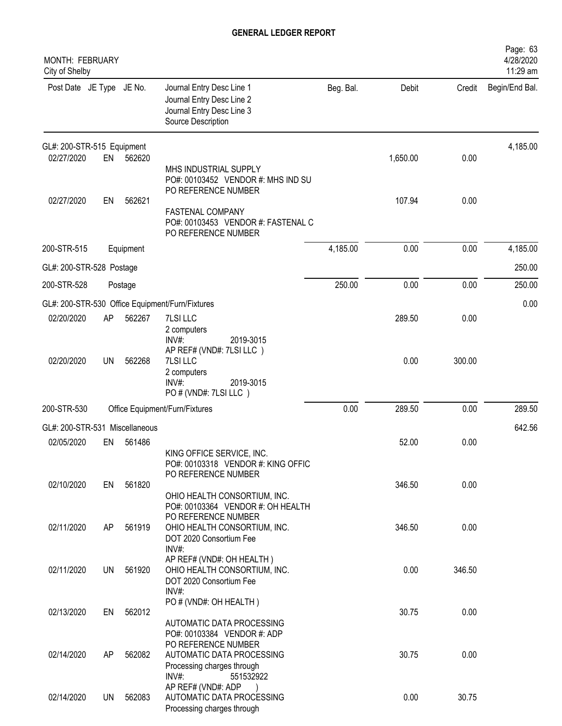| <b>MONTH: FEBRUARY</b><br>City of Shelby |           |               |                                                                                                           |           |          |        | Page: 63<br>4/28/2020<br>11:29 am |
|------------------------------------------|-----------|---------------|-----------------------------------------------------------------------------------------------------------|-----------|----------|--------|-----------------------------------|
| Post Date JE Type JE No.                 |           |               | Journal Entry Desc Line 1<br>Journal Entry Desc Line 2<br>Journal Entry Desc Line 3<br>Source Description | Beg. Bal. | Debit    | Credit | Begin/End Bal.                    |
| GL#: 200-STR-515 Equipment               |           |               |                                                                                                           |           |          |        | 4,185.00                          |
| 02/27/2020                               | EN        | 562620        | MHS INDUSTRIAL SUPPLY<br>PO#: 00103452 VENDOR #: MHS IND SU<br>PO REFERENCE NUMBER                        |           | 1,650.00 | 0.00   |                                   |
| 02/27/2020                               | EN        | 562621        | <b>FASTENAL COMPANY</b><br>PO#: 00103453 VENDOR #: FASTENAL C<br>PO REFERENCE NUMBER                      |           | 107.94   | 0.00   |                                   |
| 200-STR-515                              |           | Equipment     |                                                                                                           | 4,185.00  | 0.00     | 0.00   | 4,185.00                          |
| GL#: 200-STR-528 Postage                 |           |               |                                                                                                           |           |          |        | 250.00                            |
| 200-STR-528                              |           | Postage       |                                                                                                           | 250.00    | 0.00     | 0.00   | 250.00                            |
|                                          |           |               | GL#: 200-STR-530 Office Equipment/Furn/Fixtures                                                           |           |          |        | 0.00                              |
| 02/20/2020                               | AP        | 562267        | 7LSI LLC<br>2 computers<br>INV#:<br>2019-3015                                                             |           | 289.50   | 0.00   |                                   |
| 02/20/2020                               | <b>UN</b> | 562268        | AP REF# (VND#: 7LSI LLC)<br>7LSI LLC<br>2 computers<br>INV#:<br>2019-3015<br>PO # (VND#: 7LSI LLC)        |           | 0.00     | 300.00 |                                   |
| 200-STR-530                              |           |               | Office Equipment/Furn/Fixtures                                                                            | 0.00      | 289.50   | 0.00   | 289.50                            |
| GL#: 200-STR-531                         |           | Miscellaneous |                                                                                                           |           |          |        | 642.56                            |
| 02/05/2020                               | EN        | 561486        | KING OFFICE SERVICE, INC.<br>PO#: 00103318 VENDOR #: KING OFFIC<br>PO REFERENCE NUMBER                    |           | 52.00    | 0.00   |                                   |
| 02/10/2020                               | EN        | 561820        | OHIO HEALTH CONSORTIUM, INC.<br>PO#: 00103364 VENDOR #: OH HEALTH<br>PO REFERENCE NUMBER                  |           | 346.50   | 0.00   |                                   |
| 02/11/2020                               | AP        | 561919        | OHIO HEALTH CONSORTIUM, INC.<br>DOT 2020 Consortium Fee<br>$INV#$ :<br>AP REF# (VND#: OH HEALTH)          |           | 346.50   | 0.00   |                                   |
| 02/11/2020                               | UN        | 561920        | OHIO HEALTH CONSORTIUM, INC.<br>DOT 2020 Consortium Fee<br>INV#:                                          |           | 0.00     | 346.50 |                                   |
| 02/13/2020                               | EN        | 562012        | PO # (VND#: OH HEALTH)<br>AUTOMATIC DATA PROCESSING<br>PO#: 00103384 VENDOR #: ADP                        |           | 30.75    | 0.00   |                                   |
| 02/14/2020                               | AP        | 562082        | PO REFERENCE NUMBER<br>AUTOMATIC DATA PROCESSING<br>Processing charges through<br>$INV#$ :<br>551532922   |           | 30.75    | 0.00   |                                   |
| 02/14/2020                               | UN        | 562083        | AP REF# (VND#: ADP<br>AUTOMATIC DATA PROCESSING<br>Processing charges through                             |           | 0.00     | 30.75  |                                   |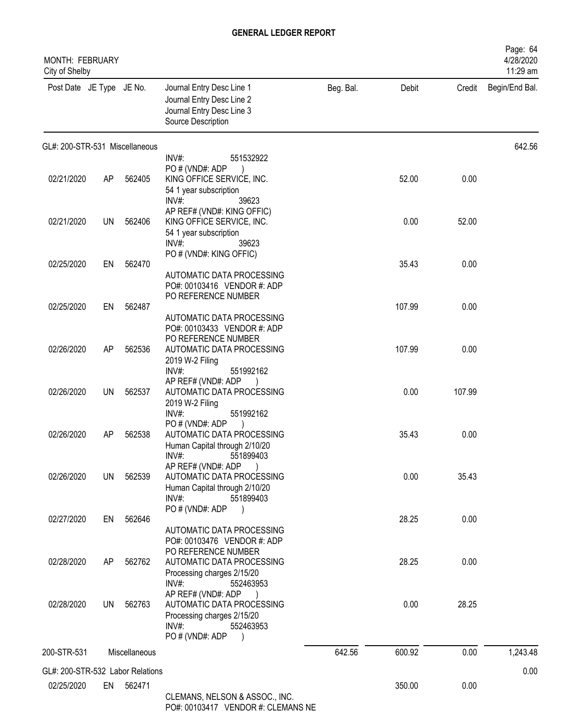| MONTH: FEBRUARY<br>City of Shelby |    |               |                                                                                                                        |           |        |        | Page: 64<br>4/28/2020<br>11:29 am |
|-----------------------------------|----|---------------|------------------------------------------------------------------------------------------------------------------------|-----------|--------|--------|-----------------------------------|
| Post Date JE Type JE No.          |    |               | Journal Entry Desc Line 1<br>Journal Entry Desc Line 2<br>Journal Entry Desc Line 3<br>Source Description              | Beg. Bal. | Debit  | Credit | Begin/End Bal.                    |
| GL#: 200-STR-531 Miscellaneous    |    |               |                                                                                                                        |           |        |        | 642.56                            |
|                                   |    |               | INV#:<br>551532922<br>PO # (VND#: ADP                                                                                  |           |        |        |                                   |
| 02/21/2020                        | AP | 562405        | KING OFFICE SERVICE, INC.<br>54 1 year subscription<br>$INV#$ :<br>39623                                               |           | 52.00  | 0.00   |                                   |
| 02/21/2020                        | UN | 562406        | AP REF# (VND#: KING OFFIC)<br>KING OFFICE SERVICE, INC.<br>54 1 year subscription                                      |           | 0.00   | 52.00  |                                   |
|                                   |    |               | $INV#$ :<br>39623<br>PO # (VND#: KING OFFIC)                                                                           |           |        |        |                                   |
| 02/25/2020                        | EN | 562470        | AUTOMATIC DATA PROCESSING<br>PO#: 00103416 VENDOR #: ADP                                                               |           | 35.43  | 0.00   |                                   |
| 02/25/2020                        | EN | 562487        | PO REFERENCE NUMBER                                                                                                    |           | 107.99 | 0.00   |                                   |
|                                   |    |               | AUTOMATIC DATA PROCESSING<br>PO#: 00103433 VENDOR #: ADP<br>PO REFERENCE NUMBER                                        |           |        |        |                                   |
| 02/26/2020                        | AP | 562536        | AUTOMATIC DATA PROCESSING<br>2019 W-2 Filing<br>$INV#$ :<br>551992162                                                  |           | 107.99 | 0.00   |                                   |
| 02/26/2020                        | UN | 562537        | AP REF# (VND#: ADP<br>AUTOMATIC DATA PROCESSING<br>2019 W-2 Filing                                                     |           | 0.00   | 107.99 |                                   |
|                                   |    |               | INV#:<br>551992162<br>PO#(VND#: ADP                                                                                    |           |        |        |                                   |
| 02/26/2020                        | AP | 562538        | AUTOMATIC DATA PROCESSING<br>Human Capital through 2/10/20<br>INV#:<br>551899403                                       |           | 35.43  | 0.00   |                                   |
| 02/26/2020                        | UN | 562539        | AP REF# (VND#: ADP<br>AUTOMATIC DATA PROCESSING<br>Human Capital through 2/10/20                                       |           | 0.00   | 35.43  |                                   |
|                                   |    |               | $INV#$ :<br>551899403                                                                                                  |           |        |        |                                   |
| 02/27/2020                        | EN | 562646        | PO#(VND#: ADP                                                                                                          |           | 28.25  | 0.00   |                                   |
|                                   |    |               | AUTOMATIC DATA PROCESSING<br>PO#: 00103476 VENDOR #: ADP<br>PO REFERENCE NUMBER                                        |           |        |        |                                   |
| 02/28/2020                        | AP | 562762        | AUTOMATIC DATA PROCESSING<br>Processing charges 2/15/20<br>INV#:<br>552463953                                          |           | 28.25  | 0.00   |                                   |
| 02/28/2020                        | UN | 562763        | AP REF# (VND#: ADP<br>AUTOMATIC DATA PROCESSING<br>Processing charges 2/15/20<br>INV#:<br>552463953<br>PO # (VND#: ADP |           | 0.00   | 28.25  |                                   |
| 200-STR-531                       |    | Miscellaneous |                                                                                                                        | 642.56    | 600.92 | 0.00   | 1,243.48                          |
| GL#: 200-STR-532 Labor Relations  |    |               |                                                                                                                        |           |        |        | 0.00                              |
| 02/25/2020                        |    | EN 562471     | CLEMANS, NELSON & ASSOC., INC.                                                                                         |           | 350.00 | 0.00   |                                   |

PO#: 00103417 VENDOR #: CLEMANS NE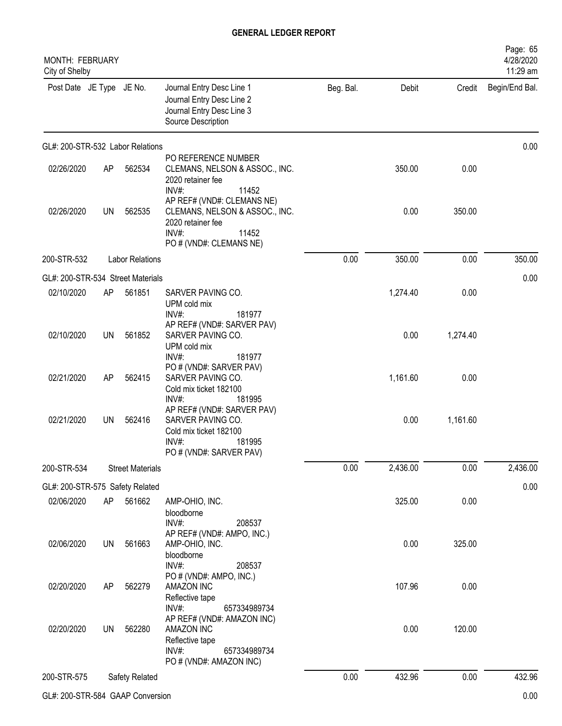| MONTH: FEBRUARY<br>City of Shelby |           |                         |                                                                                                                                   |           |          |          | Page: 65<br>4/28/2020<br>11:29 am |
|-----------------------------------|-----------|-------------------------|-----------------------------------------------------------------------------------------------------------------------------------|-----------|----------|----------|-----------------------------------|
| Post Date JE Type JE No.          |           |                         | Journal Entry Desc Line 1<br>Journal Entry Desc Line 2<br>Journal Entry Desc Line 3<br>Source Description                         | Beg. Bal. | Debit    | Credit   | Begin/End Bal.                    |
| GL#: 200-STR-532 Labor Relations  |           |                         |                                                                                                                                   |           |          | 0.00     |                                   |
| 02/26/2020                        | AP        | 562534                  | PO REFERENCE NUMBER<br>CLEMANS, NELSON & ASSOC., INC.<br>2020 retainer fee<br>INV#:<br>11452                                      |           | 350.00   | 0.00     |                                   |
| 02/26/2020                        | UN        | 562535                  | AP REF# (VND#: CLEMANS NE)<br>CLEMANS, NELSON & ASSOC., INC.<br>2020 retainer fee<br>$INV#$ :<br>11452<br>PO # (VND#: CLEMANS NE) |           | 0.00     | 350.00   |                                   |
| 200-STR-532                       |           | <b>Labor Relations</b>  |                                                                                                                                   | 0.00      | 350.00   | 0.00     | 350.00                            |
| GL#: 200-STR-534 Street Materials |           |                         |                                                                                                                                   |           |          |          | 0.00                              |
| 02/10/2020                        | AP        | 561851                  | SARVER PAVING CO.<br>UPM cold mix<br>INV#:<br>181977                                                                              |           | 1,274.40 | 0.00     |                                   |
| 02/10/2020                        | <b>UN</b> | 561852                  | AP REF# (VND#: SARVER PAV)<br>SARVER PAVING CO.<br>UPM cold mix<br>$INV#$ :<br>181977                                             |           | 0.00     | 1,274.40 |                                   |
| 02/21/2020                        | AP        | 562415                  | PO # (VND#: SARVER PAV)<br>SARVER PAVING CO.<br>Cold mix ticket 182100<br>$INV#$ :<br>181995                                      |           | 1,161.60 | 0.00     |                                   |
| 02/21/2020                        | <b>UN</b> | 562416                  | AP REF# (VND#: SARVER PAV)<br>SARVER PAVING CO.<br>Cold mix ticket 182100<br>INV#<br>181995<br>PO # (VND#: SARVER PAV)            |           | 0.00     | 1,161.60 |                                   |
| 200-STR-534                       |           | <b>Street Materials</b> |                                                                                                                                   | 0.00      | 2,436.00 | 0.00     | 2,436.00                          |
| GL#: 200-STR-575 Safety Related   |           |                         |                                                                                                                                   |           |          |          | 0.00                              |
| 02/06/2020                        | AP        | 561662                  | AMP-OHIO, INC.<br>bloodborne<br>INV#:<br>208537                                                                                   |           | 325.00   | 0.00     |                                   |
| 02/06/2020                        | UN        | 561663                  | AP REF# (VND#: AMPO, INC.)<br>AMP-OHIO, INC.<br>bloodborne<br>INV#:<br>208537                                                     |           | 0.00     | 325.00   |                                   |
| 02/20/2020                        | AP        | 562279                  | PO # (VND#: AMPO, INC.)<br>AMAZON INC<br>Reflective tape<br>INV#:<br>657334989734                                                 |           | 107.96   | 0.00     |                                   |
| 02/20/2020                        | UN        | 562280                  | AP REF# (VND#: AMAZON INC)<br>AMAZON INC<br>Reflective tape<br>$INV#$ :<br>657334989734<br>PO # (VND#: AMAZON INC)                |           | 0.00     | 120.00   |                                   |
| 200-STR-575                       |           | Safety Related          |                                                                                                                                   | 0.00      | 432.96   | 0.00     | 432.96                            |
| GL#: 200-STR-584 GAAP Conversion  |           |                         |                                                                                                                                   |           |          |          | 0.00                              |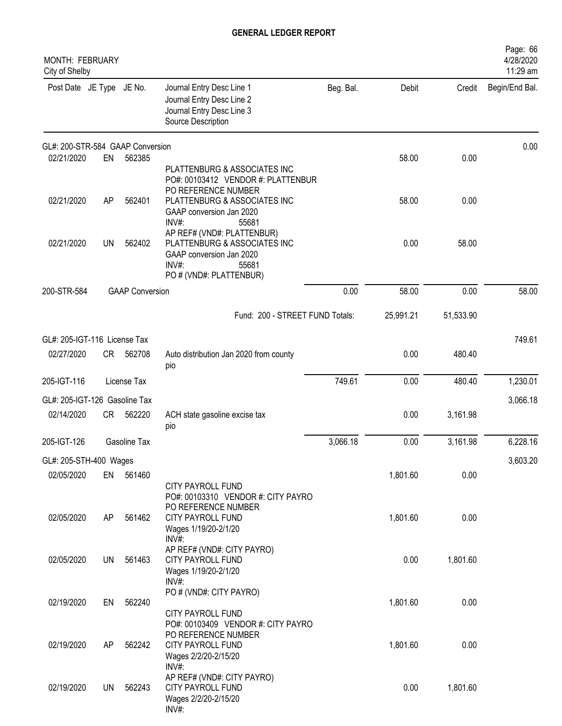| <b>MONTH: FEBRUARY</b><br>City of Shelby |           |                        |                                                                                                                                        |           |           |           | Page: 66<br>4/28/2020<br>11:29 am |
|------------------------------------------|-----------|------------------------|----------------------------------------------------------------------------------------------------------------------------------------|-----------|-----------|-----------|-----------------------------------|
| Post Date JE Type JE No.                 |           |                        | Journal Entry Desc Line 1<br>Journal Entry Desc Line 2<br>Journal Entry Desc Line 3<br>Source Description                              | Beg. Bal. | Debit     | Credit    | Begin/End Bal.                    |
| GL#: 200-STR-584 GAAP Conversion         |           |                        |                                                                                                                                        |           |           |           | 0.00                              |
| 02/21/2020                               | EN        | 562385                 | PLATTENBURG & ASSOCIATES INC<br>PO#: 00103412 VENDOR #: PLATTENBUR<br>PO REFERENCE NUMBER                                              |           | 58.00     | 0.00      |                                   |
| 02/21/2020                               | AP        | 562401                 | PLATTENBURG & ASSOCIATES INC<br>GAAP conversion Jan 2020<br>INV#:<br>55681                                                             |           | 58.00     | 0.00      |                                   |
| 02/21/2020                               | <b>UN</b> | 562402                 | AP REF# (VND#: PLATTENBUR)<br>PLATTENBURG & ASSOCIATES INC<br>GAAP conversion Jan 2020<br>$INV#$ :<br>55681<br>PO # (VND#: PLATTENBUR) |           | 0.00      | 58.00     |                                   |
| 200-STR-584                              |           | <b>GAAP Conversion</b> |                                                                                                                                        | 0.00      | 58.00     | 0.00      | 58.00                             |
|                                          |           |                        | Fund: 200 - STREET FUND Totals:                                                                                                        |           | 25,991.21 | 51,533.90 |                                   |
| GL#: 205-IGT-116 License Tax             |           |                        |                                                                                                                                        |           |           |           | 749.61                            |
| 02/27/2020                               | CR        | 562708                 | Auto distribution Jan 2020 from county<br>pio                                                                                          |           | 0.00      | 480.40    |                                   |
| 205-IGT-116                              |           | License Tax            |                                                                                                                                        | 749.61    | 0.00      | 480.40    | 1,230.01                          |
| GL#: 205-IGT-126 Gasoline Tax            |           |                        |                                                                                                                                        |           |           |           | 3,066.18                          |
| 02/14/2020                               | <b>CR</b> | 562220                 | ACH state gasoline excise tax<br>pio                                                                                                   |           | 0.00      | 3,161.98  |                                   |
| 205-IGT-126                              |           | Gasoline Tax           |                                                                                                                                        | 3,066.18  | 0.00      | 3,161.98  | 6,228.16                          |
| GL#: 205-STH-400 Wages                   |           |                        |                                                                                                                                        |           |           |           | 3,603.20                          |
| 02/05/2020                               |           | EN 561460              | CITY PAYROLL FUND                                                                                                                      |           | 1,801.60  | 0.00      |                                   |
| 02/05/2020                               | AP        | 561462                 | PO#: 00103310 VENDOR #: CITY PAYRO<br>PO REFERENCE NUMBER<br>CITY PAYROLL FUND<br>Wages 1/19/20-2/1/20<br>$INV#$ :                     |           | 1,801.60  | 0.00      |                                   |
| 02/05/2020                               | UN        | 561463                 | AP REF# (VND#: CITY PAYRO)<br>CITY PAYROLL FUND<br>Wages 1/19/20-2/1/20<br>INV#:                                                       |           | 0.00      | 1,801.60  |                                   |
| 02/19/2020                               | EN        | 562240                 | PO # (VND#: CITY PAYRO)<br>CITY PAYROLL FUND                                                                                           |           | 1,801.60  | 0.00      |                                   |
| 02/19/2020                               | AP        | 562242                 | PO#: 00103409 VENDOR #: CITY PAYRO<br>PO REFERENCE NUMBER<br>CITY PAYROLL FUND<br>Wages 2/2/20-2/15/20<br>INV#:                        |           | 1,801.60  | 0.00      |                                   |
| 02/19/2020                               | UN        | 562243                 | AP REF# (VND#: CITY PAYRO)<br>CITY PAYROLL FUND<br>Wages 2/2/20-2/15/20<br>INV#:                                                       |           | 0.00      | 1,801.60  |                                   |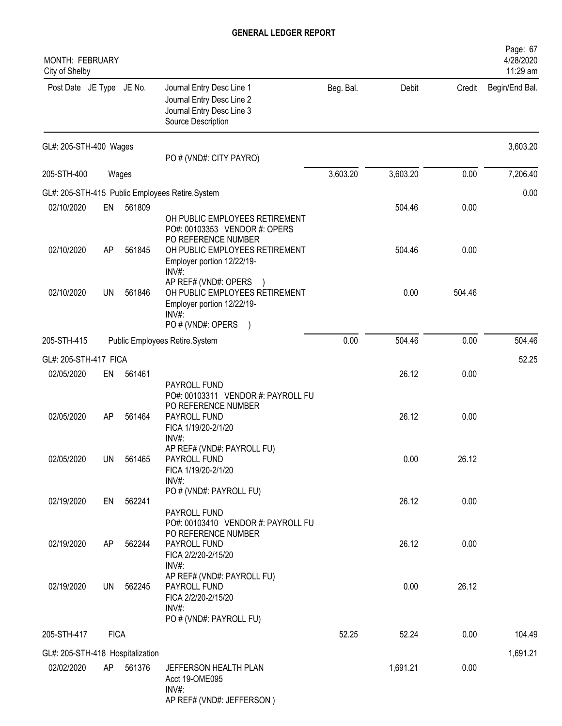| <b>MONTH: FEBRUARY</b><br>City of Shelby       |             |        |                                                                                                                                |           |          |        | Page: 67<br>4/28/2020<br>11:29 am |
|------------------------------------------------|-------------|--------|--------------------------------------------------------------------------------------------------------------------------------|-----------|----------|--------|-----------------------------------|
| Post Date JE Type JE No.                       |             |        | Journal Entry Desc Line 1<br>Journal Entry Desc Line 2<br>Journal Entry Desc Line 3<br>Source Description                      | Beg. Bal. | Debit    | Credit | Begin/End Bal.                    |
| GL#: 205-STH-400 Wages                         |             |        | PO # (VND#: CITY PAYRO)                                                                                                        |           |          |        | 3,603.20                          |
| 205-STH-400                                    |             | Wages  |                                                                                                                                | 3,603.20  | 3,603.20 | 0.00   | 7,206.40                          |
|                                                |             |        | GL#: 205-STH-415 Public Employees Retire.System                                                                                |           |          |        | 0.00                              |
| 02/10/2020                                     | EN          | 561809 | OH PUBLIC EMPLOYEES RETIREMENT<br>PO#: 00103353 VENDOR #: OPERS                                                                |           | 504.46   | 0.00   |                                   |
| 02/10/2020                                     | AP          | 561845 | PO REFERENCE NUMBER<br>OH PUBLIC EMPLOYEES RETIREMENT<br>Employer portion 12/22/19-                                            |           | 504.46   | 0.00   |                                   |
| 02/10/2020                                     | <b>UN</b>   | 561846 | INV#:<br>AP REF# (VND#: OPERS<br>OH PUBLIC EMPLOYEES RETIREMENT<br>Employer portion 12/22/19-<br>$INV#$ :<br>PO # (VND#: OPERS |           | 0.00     | 504.46 |                                   |
| 205-STH-415                                    |             |        | Public Employees Retire.System                                                                                                 | 0.00      | 504.46   | 0.00   | 504.46                            |
|                                                |             |        |                                                                                                                                |           |          |        |                                   |
| GL#: 205-STH-417 FICA<br>02/05/2020            | EN          | 561461 |                                                                                                                                |           | 26.12    | 0.00   | 52.25                             |
| 02/05/2020                                     | AP          | 561464 | PAYROLL FUND<br>PO#: 00103311 VENDOR #: PAYROLL FU<br>PO REFERENCE NUMBER<br>PAYROLL FUND<br>FICA 1/19/20-2/1/20<br>$INV#$ :   |           | 26.12    | 0.00   |                                   |
| 02/05/2020                                     | <b>UN</b>   | 561465 | AP REF# (VND#: PAYROLL FU)<br>PAYROLL FUND<br>FICA 1/19/20-2/1/20<br>INV#:                                                     |           | 0.00     | 26.12  |                                   |
| 02/19/2020                                     | EN          | 562241 | PO # (VND#: PAYROLL FU)<br>PAYROLL FUND                                                                                        |           | 26.12    | 0.00   |                                   |
| 02/19/2020                                     | AP          | 562244 | PO#: 00103410 VENDOR #: PAYROLL FU<br>PO REFERENCE NUMBER<br>PAYROLL FUND<br>FICA 2/2/20-2/15/20<br>$INV#$ :                   |           | 26.12    | 0.00   |                                   |
| 02/19/2020                                     | UN          | 562245 | AP REF# (VND#: PAYROLL FU)<br>PAYROLL FUND<br>FICA 2/2/20-2/15/20<br>INV#:<br>PO # (VND#: PAYROLL FU)                          |           | 0.00     | 26.12  |                                   |
| 205-STH-417                                    | <b>FICA</b> |        |                                                                                                                                | 52.25     | 52.24    | 0.00   | 104.49                            |
|                                                |             |        |                                                                                                                                |           |          |        | 1,691.21                          |
| GL#: 205-STH-418 Hospitalization<br>02/02/2020 | AP          | 561376 | JEFFERSON HEALTH PLAN<br>Acct 19-OME095<br>INV#:<br>AP REF# (VND#: JEFFERSON)                                                  |           | 1,691.21 | 0.00   |                                   |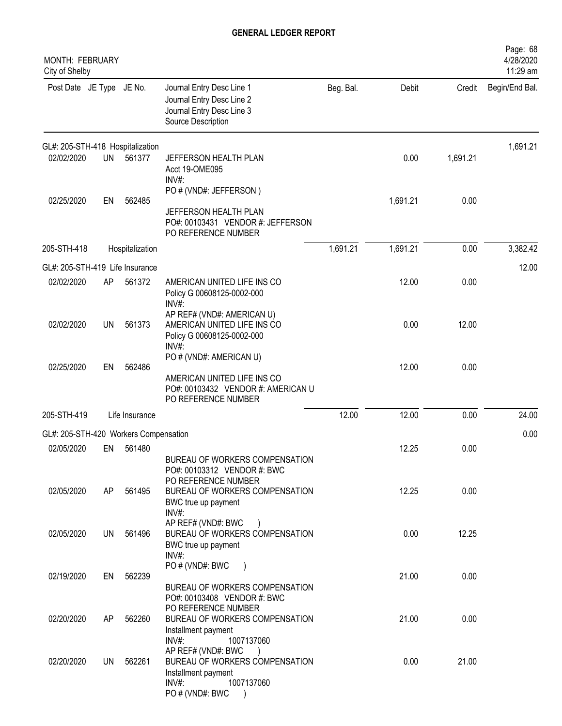| <b>MONTH: FEBRUARY</b><br>City of Shelby |           |                 |                                                                                                                                                                           |           |          |          | Page: 68<br>4/28/2020<br>11:29 am |
|------------------------------------------|-----------|-----------------|---------------------------------------------------------------------------------------------------------------------------------------------------------------------------|-----------|----------|----------|-----------------------------------|
| Post Date JE Type JE No.                 |           |                 | Journal Entry Desc Line 1<br>Journal Entry Desc Line 2<br>Journal Entry Desc Line 3<br>Source Description                                                                 | Beg. Bal. | Debit    | Credit   | Begin/End Bal.                    |
| GL#: 205-STH-418 Hospitalization         |           |                 |                                                                                                                                                                           |           |          |          | 1,691.21                          |
| 02/02/2020                               | <b>UN</b> | 561377          | JEFFERSON HEALTH PLAN<br>Acct 19-OME095<br>INV#:                                                                                                                          |           | 0.00     | 1,691.21 |                                   |
| 02/25/2020                               | EN        | 562485          | PO # (VND#: JEFFERSON)                                                                                                                                                    |           | 1,691.21 | 0.00     |                                   |
|                                          |           |                 | JEFFERSON HEALTH PLAN<br>PO#: 00103431 VENDOR #: JEFFERSON<br>PO REFERENCE NUMBER                                                                                         |           |          |          |                                   |
| 205-STH-418                              |           | Hospitalization |                                                                                                                                                                           | 1,691.21  | 1,691.21 | 0.00     | 3,382.42                          |
| GL#: 205-STH-419 Life Insurance          |           |                 |                                                                                                                                                                           |           |          |          | 12.00                             |
| 02/02/2020                               | AP        | 561372          | AMERICAN UNITED LIFE INS CO<br>Policy G 00608125-0002-000<br>$INV#$ :                                                                                                     |           | 12.00    | 0.00     |                                   |
| 02/02/2020                               | UN        | 561373          | AP REF# (VND#: AMERICAN U)<br>AMERICAN UNITED LIFE INS CO<br>Policy G 00608125-0002-000<br>INV#:                                                                          |           | 0.00     | 12.00    |                                   |
|                                          |           |                 | PO # (VND#: AMERICAN U)                                                                                                                                                   |           |          |          |                                   |
| 02/25/2020                               | EN        | 562486          | AMERICAN UNITED LIFE INS CO<br>PO#: 00103432 VENDOR #: AMERICAN U<br>PO REFERENCE NUMBER                                                                                  |           | 12.00    | 0.00     |                                   |
| 205-STH-419                              |           | Life Insurance  |                                                                                                                                                                           | 12.00     | 12.00    | 0.00     | 24.00                             |
| GL#: 205-STH-420 Workers Compensation    |           |                 |                                                                                                                                                                           |           |          |          | 0.00                              |
| 02/05/2020                               | EN        | 561480          | BUREAU OF WORKERS COMPENSATION                                                                                                                                            |           | 12.25    | 0.00     |                                   |
| 02/05/2020                               | AP        | 561495          | PO#: 00103312 VENDOR #: BWC<br>PO REFERENCE NUMBER<br>BUREAU OF WORKERS COMPENSATION<br>BWC true up payment                                                               |           | 12.25    | 0.00     |                                   |
| 02/05/2020                               | UN        | 561496          | INV#:<br>AP REF# (VND#: BWC<br>BUREAU OF WORKERS COMPENSATION<br>BWC true up payment                                                                                      |           | 0.00     | 12.25    |                                   |
| 02/19/2020                               | EN        | 562239          | INV#:<br>PO # (VND#: BWC<br>BUREAU OF WORKERS COMPENSATION                                                                                                                |           | 21.00    | 0.00     |                                   |
| 02/20/2020                               | AP.       | 562260          | PO#: 00103408 VENDOR #: BWC<br>PO REFERENCE NUMBER<br>BUREAU OF WORKERS COMPENSATION                                                                                      |           | 21.00    | 0.00     |                                   |
| 02/20/2020                               | UN        | 562261          | Installment payment<br>$INV#$ :<br>1007137060<br>AP REF# (VND#: BWC<br>BUREAU OF WORKERS COMPENSATION<br>Installment payment<br>$INV#$ :<br>1007137060<br>PO # (VND#: BWC |           | 0.00     | 21.00    |                                   |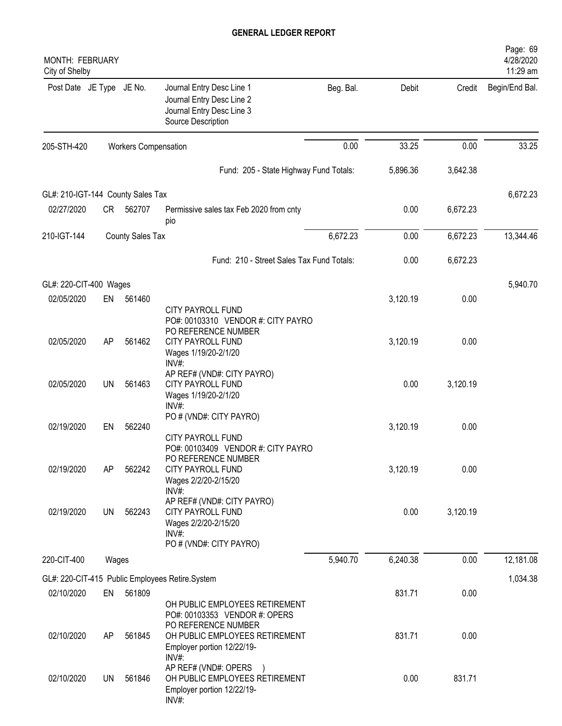| MONTH: FEBRUARY<br>City of Shelby |           |                             |                                                                                                                               |           |          |          | Page: 69<br>4/28/2020<br>11:29 am |
|-----------------------------------|-----------|-----------------------------|-------------------------------------------------------------------------------------------------------------------------------|-----------|----------|----------|-----------------------------------|
| Post Date JE Type JE No.          |           |                             | Journal Entry Desc Line 1<br>Journal Entry Desc Line 2<br>Journal Entry Desc Line 3<br>Source Description                     | Beg. Bal. | Debit    | Credit   | Begin/End Bal.                    |
| 205-STH-420                       |           | <b>Workers Compensation</b> |                                                                                                                               | 0.00      | 33.25    | 0.00     | 33.25                             |
|                                   |           |                             | Fund: 205 - State Highway Fund Totals:                                                                                        |           | 5,896.36 | 3,642.38 |                                   |
| GL#: 210-IGT-144 County Sales Tax |           |                             |                                                                                                                               |           |          |          | 6,672.23                          |
| 02/27/2020                        | CR        | 562707                      | Permissive sales tax Feb 2020 from cnty<br>pio                                                                                |           | 0.00     | 6,672.23 |                                   |
| 210-IGT-144                       |           | <b>County Sales Tax</b>     |                                                                                                                               | 6,672.23  | 0.00     | 6,672.23 | 13,344.46                         |
|                                   |           |                             | Fund: 210 - Street Sales Tax Fund Totals:                                                                                     |           | 0.00     | 6,672.23 |                                   |
| GL#: 220-CIT-400 Wages            |           |                             |                                                                                                                               |           |          |          | 5,940.70                          |
| 02/05/2020                        | EN        | 561460                      | <b>CITY PAYROLL FUND</b><br>PO#: 00103310 VENDOR #: CITY PAYRO                                                                |           | 3,120.19 | 0.00     |                                   |
| 02/05/2020                        | AP        | 561462                      | PO REFERENCE NUMBER<br>CITY PAYROLL FUND<br>Wages 1/19/20-2/1/20<br>INV#:                                                     |           | 3,120.19 | 0.00     |                                   |
| 02/05/2020                        | <b>UN</b> | 561463                      | AP REF# (VND#: CITY PAYRO)<br><b>CITY PAYROLL FUND</b><br>Wages 1/19/20-2/1/20                                                |           | 0.00     | 3,120.19 |                                   |
| 02/19/2020                        | EN        | 562240                      | $INV#$ :<br>PO # (VND#: CITY PAYRO)<br>CITY PAYROLL FUND                                                                      |           | 3,120.19 | 0.00     |                                   |
| 02/19/2020                        | AP        | 562242                      | PO#: 00103409 VENDOR #: CITY PAYRO<br>PO REFERENCE NUMBER<br>CITY PAYROLL FUND<br>Wages 2/2/20-2/15/20<br>INV#:               |           | 3,120.19 | 0.00     |                                   |
| 02/19/2020                        | UN        | 562243                      | AP REF# (VND#: CITY PAYRO)<br>CITY PAYROLL FUND<br>Wages 2/2/20-2/15/20<br>$INV#$ :                                           |           | 0.00     | 3,120.19 |                                   |
| 220-CIT-400                       | Wages     |                             | PO # (VND#: CITY PAYRO)                                                                                                       | 5,940.70  | 6,240.38 | 0.00     | 12,181.08                         |
|                                   |           |                             |                                                                                                                               |           |          |          |                                   |
| 02/10/2020                        | EN        | 561809                      | GL#: 220-CIT-415 Public Employees Retire.System<br>OH PUBLIC EMPLOYEES RETIREMENT                                             |           | 831.71   | 0.00     | 1,034.38                          |
| 02/10/2020                        | AP        | 561845                      | PO#: 00103353 VENDOR #: OPERS<br>PO REFERENCE NUMBER<br>OH PUBLIC EMPLOYEES RETIREMENT<br>Employer portion 12/22/19-<br>INV#: |           | 831.71   | 0.00     |                                   |
| 02/10/2020                        | UN        | 561846                      | AP REF# (VND#: OPERS )<br>OH PUBLIC EMPLOYEES RETIREMENT<br>Employer portion 12/22/19-<br>INV#:                               |           | 0.00     | 831.71   |                                   |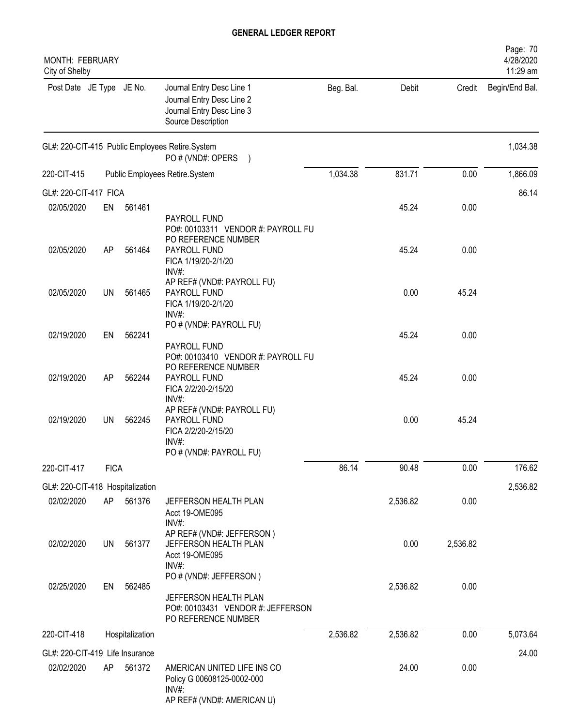| <b>MONTH: FEBRUARY</b><br>City of Shelby |             |                 |                                                                                                                           |           |          |          | Page: 70<br>4/28/2020<br>11:29 am |
|------------------------------------------|-------------|-----------------|---------------------------------------------------------------------------------------------------------------------------|-----------|----------|----------|-----------------------------------|
| Post Date JE Type JE No.                 |             |                 | Journal Entry Desc Line 1<br>Journal Entry Desc Line 2<br>Journal Entry Desc Line 3<br>Source Description                 | Beg. Bal. | Debit    | Credit   | Begin/End Bal.                    |
|                                          |             |                 | GL#: 220-CIT-415 Public Employees Retire.System<br>PO # (VND#: OPERS<br>$\lambda$                                         |           |          |          | 1,034.38                          |
| 220-CIT-415                              |             |                 | Public Employees Retire.System                                                                                            | 1,034.38  | 831.71   | 0.00     | 1,866.09                          |
| GL#: 220-CIT-417 FICA                    |             |                 |                                                                                                                           |           |          |          | 86.14                             |
| 02/05/2020                               | EN          | 561461          |                                                                                                                           |           | 45.24    | 0.00     |                                   |
| 02/05/2020                               | AP          | 561464          | PAYROLL FUND<br>PO#: 00103311 VENDOR #: PAYROLL FU<br>PO REFERENCE NUMBER<br>PAYROLL FUND<br>FICA 1/19/20-2/1/20<br>INV#: |           | 45.24    | 0.00     |                                   |
| 02/05/2020                               | <b>UN</b>   | 561465          | AP REF# (VND#: PAYROLL FU)<br><b>PAYROLL FUND</b><br>FICA 1/19/20-2/1/20<br>INV#                                          |           | 0.00     | 45.24    |                                   |
| 02/19/2020                               | EN          | 562241          | PO # (VND#: PAYROLL FU)<br>PAYROLL FUND                                                                                   |           | 45.24    | 0.00     |                                   |
| 02/19/2020                               | AP          | 562244          | PO#: 00103410 VENDOR #: PAYROLL FU<br>PO REFERENCE NUMBER<br>PAYROLL FUND<br>FICA 2/2/20-2/15/20<br>INV#:                 |           | 45.24    | 0.00     |                                   |
| 02/19/2020                               | <b>UN</b>   | 562245          | AP REF# (VND#: PAYROLL FU)<br>PAYROLL FUND<br>FICA 2/2/20-2/15/20<br>INV#:                                                |           | 0.00     | 45.24    |                                   |
|                                          |             |                 | PO # (VND#: PAYROLL FU)                                                                                                   |           |          |          |                                   |
| 220-CIT-417                              | <b>FICA</b> |                 |                                                                                                                           | 86.14     | 90.48    | 0.00     | 176.62                            |
| GL#: 220-CIT-418 Hospitalization         |             |                 |                                                                                                                           |           |          |          | 2,536.82                          |
| 02/02/2020                               | AP          | 561376          | JEFFERSON HEALTH PLAN<br>Acct 19-OME095<br>$INV#$ :                                                                       |           | 2,536.82 | 0.00     |                                   |
| 02/02/2020                               | <b>UN</b>   | 561377          | AP REF# (VND#: JEFFERSON)<br>JEFFERSON HEALTH PLAN<br>Acct 19-OME095<br>INV#:                                             |           | 0.00     | 2,536.82 |                                   |
| 02/25/2020                               | EN          | 562485          | PO # (VND#: JEFFERSON)<br>JEFFERSON HEALTH PLAN<br>PO#: 00103431 VENDOR #: JEFFERSON<br>PO REFERENCE NUMBER               |           | 2,536.82 | 0.00     |                                   |
| 220-CIT-418                              |             | Hospitalization |                                                                                                                           | 2,536.82  | 2,536.82 | 0.00     | 5,073.64                          |
| GL#: 220-CIT-419 Life Insurance          |             |                 |                                                                                                                           |           |          |          | 24.00                             |
| 02/02/2020                               | AP          | 561372          | AMERICAN UNITED LIFE INS CO<br>Policy G 00608125-0002-000<br>INV#:<br>AP REF# (VND#: AMERICAN U)                          |           | 24.00    | 0.00     |                                   |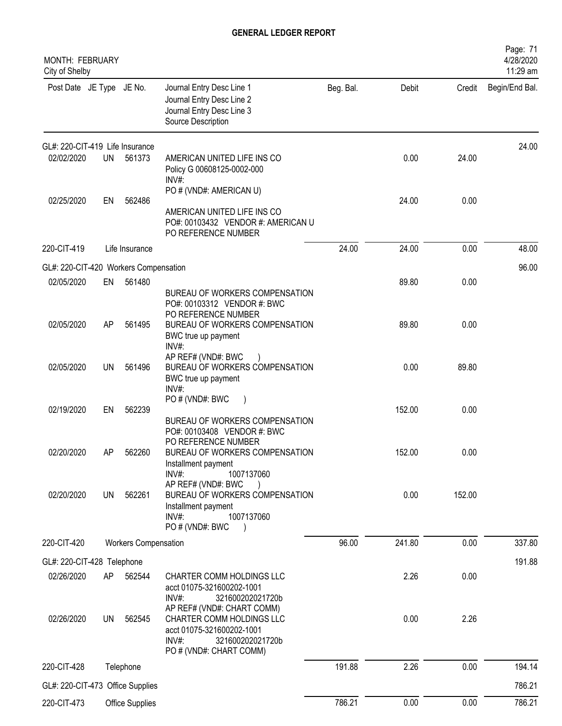| MONTH: FEBRUARY<br>City of Shelby     |     |                             |                                                                                                                                       |           |        |        | Page: 71<br>4/28/2020<br>11:29 am |
|---------------------------------------|-----|-----------------------------|---------------------------------------------------------------------------------------------------------------------------------------|-----------|--------|--------|-----------------------------------|
| Post Date JE Type JE No.              |     |                             | Journal Entry Desc Line 1<br>Journal Entry Desc Line 2<br>Journal Entry Desc Line 3<br>Source Description                             | Beg. Bal. | Debit  | Credit | Begin/End Bal.                    |
| GL#: 220-CIT-419 Life Insurance       |     |                             |                                                                                                                                       |           |        |        | 24.00                             |
| 02/02/2020                            | UN  | 561373                      | AMERICAN UNITED LIFE INS CO<br>Policy G 00608125-0002-000<br>INV#:                                                                    |           | 0.00   | 24.00  |                                   |
|                                       |     |                             | PO # (VND#: AMERICAN U)                                                                                                               |           |        |        |                                   |
| 02/25/2020                            | EN  | 562486                      | AMERICAN UNITED LIFE INS CO<br>PO#: 00103432 VENDOR #: AMERICAN U<br>PO REFERENCE NUMBER                                              |           | 24.00  | 0.00   |                                   |
| 220-CIT-419                           |     | Life Insurance              |                                                                                                                                       | 24.00     | 24.00  | 0.00   | 48.00                             |
| GL#: 220-CIT-420 Workers Compensation |     |                             |                                                                                                                                       |           |        |        | 96.00                             |
| 02/05/2020                            | EN  | 561480                      | BUREAU OF WORKERS COMPENSATION<br>PO#: 00103312 VENDOR #: BWC                                                                         |           | 89.80  | 0.00   |                                   |
| 02/05/2020                            | AP  | 561495                      | PO REFERENCE NUMBER<br>BUREAU OF WORKERS COMPENSATION<br>BWC true up payment<br>INV#                                                  |           | 89.80  | 0.00   |                                   |
| 02/05/2020                            | UN  | 561496                      | AP REF# (VND#: BWC<br>BUREAU OF WORKERS COMPENSATION<br>BWC true up payment<br>INV#:                                                  |           | 0.00   | 89.80  |                                   |
| 02/19/2020                            | EN  | 562239                      | PO#(VND#: BWC<br>BUREAU OF WORKERS COMPENSATION<br>PO#: 00103408 VENDOR #: BWC                                                        |           | 152.00 | 0.00   |                                   |
| 02/20/2020                            | AP  | 562260                      | PO REFERENCE NUMBER<br>BUREAU OF WORKERS COMPENSATION<br>Installment payment<br>$INV#$ :<br>1007137060                                |           | 152.00 | 0.00   |                                   |
| 02/20/2020                            | UN  | 562261                      | AP REF# (VND#: BWC<br>$\lambda$<br>BUREAU OF WORKERS COMPENSATION<br>Installment payment<br>$INV#$ :<br>1007137060<br>PO # (VND#: BWC |           | 0.00   | 152.00 |                                   |
| 220-CIT-420                           |     | <b>Workers Compensation</b> |                                                                                                                                       | 96.00     | 241.80 | 0.00   | 337.80                            |
| GL#: 220-CIT-428 Telephone            |     |                             |                                                                                                                                       |           |        |        | 191.88                            |
| 02/26/2020                            | AP  | 562544                      | CHARTER COMM HOLDINGS LLC<br>acct 01075-321600202-1001<br>$INV#$ :<br>321600202021720b<br>AP REF# (VND#: CHART COMM)                  |           | 2.26   | 0.00   |                                   |
| 02/26/2020                            | UN. | 562545                      | CHARTER COMM HOLDINGS LLC<br>acct 01075-321600202-1001<br>INV#:<br>321600202021720b<br>PO # (VND#: CHART COMM)                        |           | 0.00   | 2.26   |                                   |
| 220-CIT-428                           |     | Telephone                   |                                                                                                                                       | 191.88    | 2.26   | 0.00   | 194.14                            |
| GL#: 220-CIT-473 Office Supplies      |     |                             |                                                                                                                                       |           |        |        | 786.21                            |
| 220-CIT-473                           |     | Office Supplies             |                                                                                                                                       | 786.21    | 0.00   | 0.00   | 786.21                            |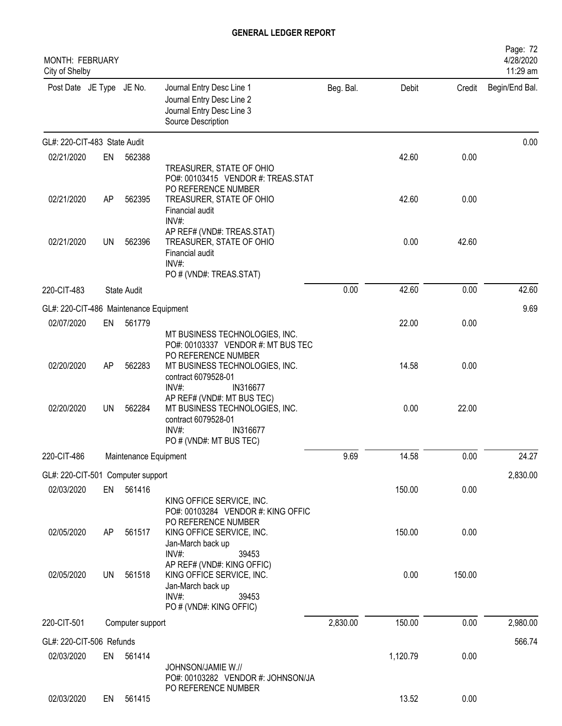| <b>MONTH: FEBRUARY</b><br>City of Shelby |           |                       |                                                                                                                                     |           |          |        | Page: 72<br>4/28/2020<br>11:29 am |
|------------------------------------------|-----------|-----------------------|-------------------------------------------------------------------------------------------------------------------------------------|-----------|----------|--------|-----------------------------------|
| Post Date JE Type JE No.                 |           |                       | Journal Entry Desc Line 1<br>Journal Entry Desc Line 2<br>Journal Entry Desc Line 3<br>Source Description                           | Beg. Bal. | Debit    | Credit | Begin/End Bal.                    |
| GL#: 220-CIT-483 State Audit             |           |                       |                                                                                                                                     |           |          |        | 0.00                              |
| 02/21/2020                               | EN        | 562388                | TREASURER, STATE OF OHIO<br>PO#: 00103415 VENDOR #: TREAS.STAT                                                                      |           | 42.60    | 0.00   |                                   |
| 02/21/2020                               | AP        | 562395                | PO REFERENCE NUMBER<br>TREASURER, STATE OF OHIO<br>Financial audit<br>INV#:                                                         |           | 42.60    | 0.00   |                                   |
| 02/21/2020                               | <b>UN</b> | 562396                | AP REF# (VND#: TREAS.STAT)<br>TREASURER, STATE OF OHIO<br>Financial audit<br>INV#<br>PO # (VND#: TREAS.STAT)                        |           | 0.00     | 42.60  |                                   |
| 220-CIT-483                              |           | <b>State Audit</b>    |                                                                                                                                     | 0.00      | 42.60    | 0.00   | 42.60                             |
| GL#: 220-CIT-486 Maintenance Equipment   |           |                       |                                                                                                                                     |           |          |        | 9.69                              |
| 02/07/2020                               | EN        | 561779                | MT BUSINESS TECHNOLOGIES, INC.<br>PO#: 00103337 VENDOR #: MT BUS TEC                                                                |           | 22.00    | 0.00   |                                   |
| 02/20/2020                               | AP        | 562283                | PO REFERENCE NUMBER<br>MT BUSINESS TECHNOLOGIES, INC.<br>contract 6079528-01<br>INV#:<br>IN316677                                   |           | 14.58    | 0.00   |                                   |
| 02/20/2020                               | <b>UN</b> | 562284                | AP REF# (VND#: MT BUS TEC)<br>MT BUSINESS TECHNOLOGIES, INC.<br>contract 6079528-01<br>INV#:<br>IN316677<br>PO # (VND#: MT BUS TEC) |           | 0.00     | 22.00  |                                   |
| 220-CIT-486                              |           | Maintenance Equipment |                                                                                                                                     | 9.69      | 14.58    | 0.00   | 24.27                             |
| GL#: 220-CIT-501 Computer support        |           |                       |                                                                                                                                     |           |          |        | 2,830.00                          |
| 02/03/2020                               | EN        | 561416                | KING OFFICE SERVICE, INC.<br>PO#: 00103284 VENDOR #: KING OFFIC<br>PO REFERENCE NUMBER                                              |           | 150.00   | 0.00   |                                   |
| 02/05/2020                               | AP        | 561517                | KING OFFICE SERVICE, INC.<br>Jan-March back up<br>INV#:<br>39453<br>AP REF# (VND#: KING OFFIC)                                      |           | 150.00   | 0.00   |                                   |
| 02/05/2020                               | <b>UN</b> | 561518                | KING OFFICE SERVICE, INC.<br>Jan-March back up<br>INV#:<br>39453<br>PO # (VND#: KING OFFIC)                                         |           | 0.00     | 150.00 |                                   |
| 220-CIT-501                              |           | Computer support      |                                                                                                                                     | 2,830.00  | 150.00   | 0.00   | 2,980.00                          |
| GL#: 220-CIT-506 Refunds                 |           |                       |                                                                                                                                     |           |          |        | 566.74                            |
| 02/03/2020                               | EN        | 561414                | JOHNSON/JAMIE W.//<br>PO#: 00103282 VENDOR #: JOHNSON/JA                                                                            |           | 1,120.79 | 0.00   |                                   |
| 02/03/2020                               | EN        | 561415                | PO REFERENCE NUMBER                                                                                                                 |           | 13.52    | 0.00   |                                   |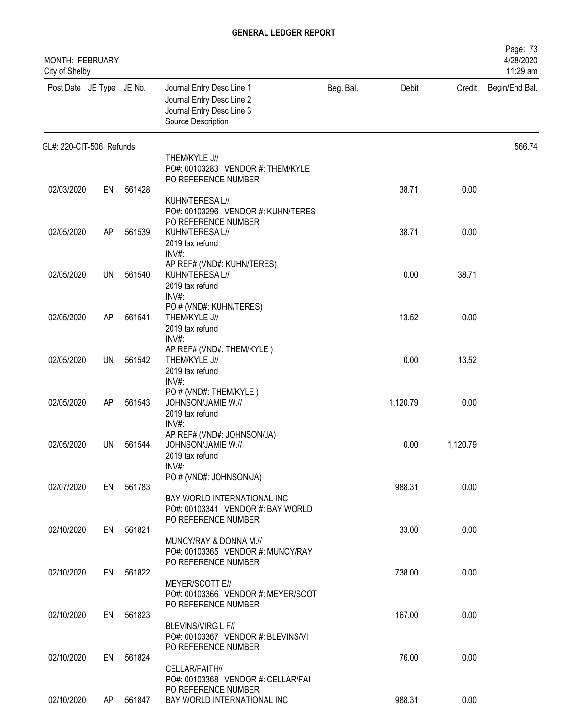| <b>MONTH: FEBRUARY</b><br>City of Shelby |    |           |                                                                                                           |           |          |          | Page: 73<br>4/28/2020<br>11:29 am |
|------------------------------------------|----|-----------|-----------------------------------------------------------------------------------------------------------|-----------|----------|----------|-----------------------------------|
| Post Date JE Type JE No.                 |    |           | Journal Entry Desc Line 1<br>Journal Entry Desc Line 2<br>Journal Entry Desc Line 3<br>Source Description | Beg. Bal. | Debit    | Credit   | Begin/End Bal.                    |
| GL#: 220-CIT-506 Refunds                 |    |           |                                                                                                           |           |          |          | 566.74                            |
|                                          |    |           | THEM/KYLE J//<br>PO#: 00103283 VENDOR #: THEM/KYLE<br>PO REFERENCE NUMBER                                 |           |          |          |                                   |
| 02/03/2020                               | EN | 561428    |                                                                                                           |           | 38.71    | 0.00     |                                   |
|                                          |    |           | KUHN/TERESA L//<br>PO#: 00103296 VENDOR #: KUHN/TERES<br>PO REFERENCE NUMBER                              |           |          |          |                                   |
| 02/05/2020                               | AP | 561539    | KUHN/TERESA L//                                                                                           |           | 38.71    | 0.00     |                                   |
|                                          |    |           | 2019 tax refund<br>INV#:<br>AP REF# (VND#: KUHN/TERES)                                                    |           |          |          |                                   |
| 02/05/2020                               | UN | 561540    | KUHN/TERESA L//<br>2019 tax refund                                                                        |           | 0.00     | 38.71    |                                   |
|                                          |    |           | INV#:                                                                                                     |           |          |          |                                   |
| 02/05/2020                               | AP | 561541    | PO # (VND#: KUHN/TERES)<br>THEM/KYLE J//                                                                  |           | 13.52    | 0.00     |                                   |
|                                          |    |           | 2019 tax refund                                                                                           |           |          |          |                                   |
|                                          |    |           | INV#:<br>AP REF# (VND#: THEM/KYLE)                                                                        |           |          |          |                                   |
| 02/05/2020                               | UN | 561542    | THEM/KYLE J//                                                                                             |           | 0.00     | 13.52    |                                   |
|                                          |    |           | 2019 tax refund<br>$INV#$ :                                                                               |           |          |          |                                   |
|                                          |    |           | PO # (VND#: THEM/KYLE)                                                                                    |           |          |          |                                   |
| 02/05/2020                               | AP | 561543    | JOHNSON/JAMIE W.//<br>2019 tax refund                                                                     |           | 1,120.79 | 0.00     |                                   |
|                                          |    |           | INV#:                                                                                                     |           |          |          |                                   |
| 02/05/2020                               | UN | 561544    | AP REF# (VND#: JOHNSON/JA)<br>JOHNSON/JAMIE W.//                                                          |           | 0.00     | 1,120.79 |                                   |
|                                          |    |           | 2019 tax refund                                                                                           |           |          |          |                                   |
|                                          |    |           | $INV#$ :<br>PO # (VND#: JOHNSON/JA)                                                                       |           |          |          |                                   |
| 02/07/2020                               |    | EN 561783 |                                                                                                           |           | 988.31   | 0.00     |                                   |
|                                          |    |           | BAY WORLD INTERNATIONAL INC<br>PO#: 00103341 VENDOR #: BAY WORLD                                          |           |          |          |                                   |
|                                          |    |           | PO REFERENCE NUMBER                                                                                       |           |          |          |                                   |
| 02/10/2020                               |    | EN 561821 |                                                                                                           |           | 33.00    | 0.00     |                                   |
|                                          |    |           | MUNCY/RAY & DONNA M.//<br>PO#: 00103365 VENDOR #: MUNCY/RAY                                               |           |          |          |                                   |
|                                          |    |           | PO REFERENCE NUMBER                                                                                       |           |          |          |                                   |
| 02/10/2020                               |    | EN 561822 | MEYER/SCOTT E//                                                                                           |           | 738.00   | 0.00     |                                   |
|                                          |    |           | PO#: 00103366 VENDOR #: MEYER/SCOT                                                                        |           |          |          |                                   |
| 02/10/2020                               |    | EN 561823 | PO REFERENCE NUMBER                                                                                       |           | 167.00   | 0.00     |                                   |
|                                          |    |           | <b>BLEVINS/VIRGIL F//</b>                                                                                 |           |          |          |                                   |
|                                          |    |           | PO#: 00103367 VENDOR #: BLEVINS/VI                                                                        |           |          |          |                                   |
| 02/10/2020                               | EN | 561824    | PO REFERENCE NUMBER                                                                                       |           | 76.00    | 0.00     |                                   |
|                                          |    |           | CELLAR/FAITH//                                                                                            |           |          |          |                                   |
|                                          |    |           | PO#: 00103368 VENDOR #: CELLAR/FAI<br>PO REFERENCE NUMBER                                                 |           |          |          |                                   |
| 02/10/2020                               | AP | 561847    | BAY WORLD INTERNATIONAL INC                                                                               |           | 988.31   | 0.00     |                                   |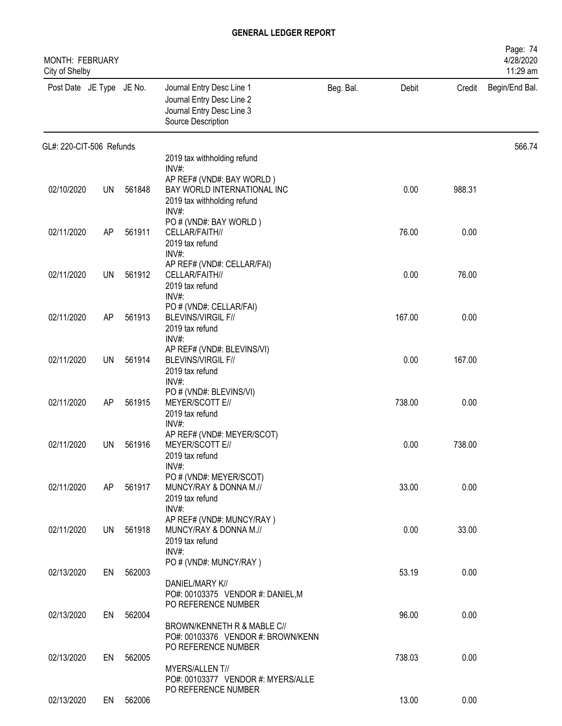| MONTH: FEBRUARY<br>City of Shelby |           |        |                                                                                                           |           |        |        | Page: 74<br>4/28/2020<br>11:29 am |
|-----------------------------------|-----------|--------|-----------------------------------------------------------------------------------------------------------|-----------|--------|--------|-----------------------------------|
| Post Date JE Type JE No.          |           |        | Journal Entry Desc Line 1<br>Journal Entry Desc Line 2<br>Journal Entry Desc Line 3<br>Source Description | Beg. Bal. | Debit  | Credit | Begin/End Bal.                    |
| GL#: 220-CIT-506 Refunds          |           |        |                                                                                                           |           |        |        | 566.74                            |
|                                   |           |        | 2019 tax withholding refund<br>INV#:                                                                      |           |        |        |                                   |
| 02/10/2020                        | UN        | 561848 | AP REF# (VND#: BAY WORLD)<br>BAY WORLD INTERNATIONAL INC<br>2019 tax withholding refund<br>INV#:          |           | 0.00   | 988.31 |                                   |
| 02/11/2020                        | AP        | 561911 | PO # (VND#: BAY WORLD)<br>CELLAR/FAITH//<br>2019 tax refund                                               |           | 76.00  | 0.00   |                                   |
| 02/11/2020                        | UN        | 561912 | $INV#$ :<br>AP REF# (VND#: CELLAR/FAI)<br>CELLAR/FAITH//<br>2019 tax refund<br>INV#:                      |           | 0.00   | 76.00  |                                   |
| 02/11/2020                        | AP        | 561913 | PO # (VND#: CELLAR/FAI)<br><b>BLEVINS/VIRGIL F//</b><br>2019 tax refund<br>INV#:                          |           | 167.00 | 0.00   |                                   |
| 02/11/2020                        | <b>UN</b> | 561914 | AP REF# (VND#: BLEVINS/VI)<br><b>BLEVINS/VIRGIL F//</b><br>2019 tax refund<br>$INV#$ :                    |           | 0.00   | 167.00 |                                   |
| 02/11/2020                        | AP        | 561915 | PO # (VND#: BLEVINS/VI)<br>MEYER/SCOTT E//<br>2019 tax refund<br>INV#:                                    |           | 738.00 | 0.00   |                                   |
| 02/11/2020                        | UN        | 561916 | AP REF# (VND#: MEYER/SCOT)<br>MEYER/SCOTT E//<br>2019 tax refund<br>INV#:                                 |           | 0.00   | 738.00 |                                   |
| 02/11/2020                        | AP        | 561917 | PO # (VND#: MEYER/SCOT)<br>MUNCY/RAY & DONNA M.//<br>2019 tax refund<br>INV#:                             |           | 33.00  | 0.00   |                                   |
| 02/11/2020                        | UN.       | 561918 | AP REF# (VND#: MUNCY/RAY)<br>MUNCY/RAY & DONNA M.//<br>2019 tax refund<br>$INV#$ :                        |           | 0.00   | 33.00  |                                   |
| 02/13/2020                        | EN        | 562003 | PO # (VND#: MUNCY/RAY)<br>DANIEL/MARY K//                                                                 |           | 53.19  | 0.00   |                                   |
|                                   |           |        | PO#: 00103375 VENDOR #: DANIEL, M<br>PO REFERENCE NUMBER                                                  |           |        |        |                                   |
| 02/13/2020                        | EN        | 562004 | BROWN/KENNETH R & MABLE C//<br>PO#: 00103376 VENDOR #: BROWN/KENN                                         |           | 96.00  | 0.00   |                                   |
| 02/13/2020                        | EN        | 562005 | PO REFERENCE NUMBER<br>MYERS/ALLENT//<br>PO#: 00103377 VENDOR #: MYERS/ALLE                               |           | 738.03 | 0.00   |                                   |
| 02/13/2020                        | EN        | 562006 | PO REFERENCE NUMBER                                                                                       |           | 13.00  | 0.00   |                                   |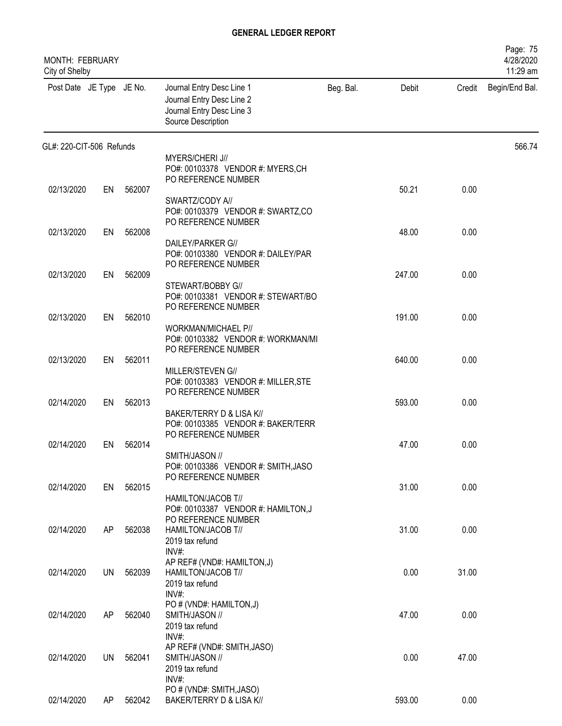| MONTH: FEBRUARY<br>City of Shelby |           |        |                                                                                                           |           |        |        | Page: 75<br>4/28/2020<br>11:29 am |
|-----------------------------------|-----------|--------|-----------------------------------------------------------------------------------------------------------|-----------|--------|--------|-----------------------------------|
| Post Date JE Type JE No.          |           |        | Journal Entry Desc Line 1<br>Journal Entry Desc Line 2<br>Journal Entry Desc Line 3<br>Source Description | Beg. Bal. | Debit  | Credit | Begin/End Bal.                    |
| GL#: 220-CIT-506 Refunds          |           |        |                                                                                                           |           |        |        | 566.74                            |
|                                   |           |        | MYERS/CHERI J//<br>PO#: 00103378 VENDOR #: MYERS,CH<br>PO REFERENCE NUMBER                                |           |        |        |                                   |
| 02/13/2020                        | EN        | 562007 | SWARTZ/CODY A//<br>PO#: 00103379 VENDOR #: SWARTZ,CO                                                      |           | 50.21  | 0.00   |                                   |
| 02/13/2020                        | EN        | 562008 | PO REFERENCE NUMBER                                                                                       |           | 48.00  | 0.00   |                                   |
|                                   |           |        | DAILEY/PARKER G//<br>PO#: 00103380 VENDOR #: DAILEY/PAR<br>PO REFERENCE NUMBER                            |           |        |        |                                   |
| 02/13/2020                        | EN        | 562009 |                                                                                                           |           | 247.00 | 0.00   |                                   |
|                                   |           |        | STEWART/BOBBY G//<br>PO#: 00103381 VENDOR #: STEWART/BO<br>PO REFERENCE NUMBER                            |           |        |        |                                   |
| 02/13/2020                        | EN        | 562010 |                                                                                                           |           | 191.00 | 0.00   |                                   |
|                                   |           |        | WORKMAN/MICHAEL P//<br>PO#: 00103382 VENDOR #: WORKMAN/MI<br>PO REFERENCE NUMBER                          |           |        |        |                                   |
| 02/13/2020                        | EN        | 562011 |                                                                                                           |           | 640.00 | 0.00   |                                   |
| 02/14/2020                        | EN        | 562013 | MILLER/STEVEN G//<br>PO#: 00103383 VENDOR #: MILLER, STE<br>PO REFERENCE NUMBER                           |           | 593.00 | 0.00   |                                   |
|                                   |           |        | BAKER/TERRY D & LISA K//<br>PO#: 00103385 VENDOR #: BAKER/TERR<br>PO REFERENCE NUMBER                     |           |        |        |                                   |
| 02/14/2020                        | EN        | 562014 |                                                                                                           |           | 47.00  | 0.00   |                                   |
|                                   |           |        | SMITH/JASON //<br>PO#: 00103386 VENDOR #: SMITH, JASO<br>PO REFERENCE NUMBER                              |           |        |        |                                   |
| 02/14/2020                        | EN        | 562015 | HAMILTON/JACOB T//<br>PO#: 00103387 VENDOR #: HAMILTON,J<br>PO REFERENCE NUMBER                           |           | 31.00  | 0.00   |                                   |
| 02/14/2020                        | AP        | 562038 | HAMILTON/JACOB T//<br>2019 tax refund<br>$INV#$ :                                                         |           | 31.00  | 0.00   |                                   |
| 02/14/2020                        | <b>UN</b> | 562039 | AP REF# (VND#: HAMILTON,J)<br>HAMILTON/JACOB T//<br>2019 tax refund<br>INV#:                              |           | 0.00   | 31.00  |                                   |
| 02/14/2020                        | AP        | 562040 | PO # (VND#: HAMILTON,J)<br>SMITH/JASON //<br>2019 tax refund                                              |           | 47.00  | 0.00   |                                   |
| 02/14/2020                        | <b>UN</b> | 562041 | INV#:<br>AP REF# (VND#: SMITH, JASO)<br>SMITH/JASON //<br>2019 tax refund<br>INV#:                        |           | 0.00   | 47.00  |                                   |
| 02/14/2020                        | AP        | 562042 | PO # (VND#: SMITH, JASO)<br>BAKER/TERRY D & LISA K//                                                      |           | 593.00 | 0.00   |                                   |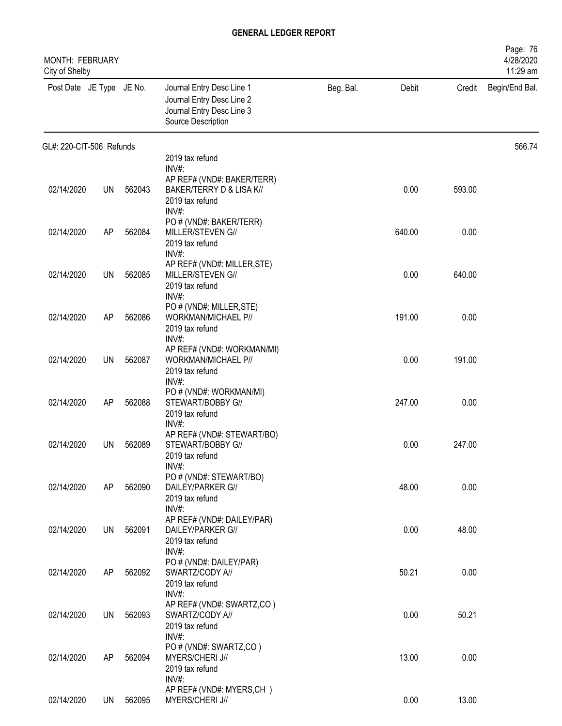| MONTH: FEBRUARY<br>City of Shelby |           |        |                                                                                                           |           |        |        | Page: 76<br>4/28/2020<br>11:29 am |
|-----------------------------------|-----------|--------|-----------------------------------------------------------------------------------------------------------|-----------|--------|--------|-----------------------------------|
| Post Date JE Type JE No.          |           |        | Journal Entry Desc Line 1<br>Journal Entry Desc Line 2<br>Journal Entry Desc Line 3<br>Source Description | Beg. Bal. | Debit  | Credit | Begin/End Bal.                    |
| GL#: 220-CIT-506 Refunds          |           |        |                                                                                                           |           |        |        | 566.74                            |
|                                   |           |        | 2019 tax refund<br>$INV#$ :                                                                               |           |        |        |                                   |
| 02/14/2020                        | <b>UN</b> | 562043 | AP REF# (VND#: BAKER/TERR)<br>BAKER/TERRY D & LISA K//<br>2019 tax refund<br>INV#:                        |           | 0.00   | 593.00 |                                   |
| 02/14/2020                        | AP        | 562084 | PO # (VND#: BAKER/TERR)<br>MILLER/STEVEN G//<br>2019 tax refund                                           |           | 640.00 | 0.00   |                                   |
| 02/14/2020                        | UN        | 562085 | $INV#$ :<br>AP REF# (VND#: MILLER, STE)<br>MILLER/STEVEN G//<br>2019 tax refund                           |           | 0.00   | 640.00 |                                   |
| 02/14/2020                        | AP        | 562086 | INV#:<br>PO # (VND#: MILLER, STE)<br>WORKMAN/MICHAEL P//<br>2019 tax refund<br>INV#:                      |           | 191.00 | 0.00   |                                   |
| 02/14/2020                        | UN        | 562087 | AP REF# (VND#: WORKMAN/MI)<br>WORKMAN/MICHAEL P//<br>2019 tax refund<br>$INV#$ :                          |           | 0.00   | 191.00 |                                   |
| 02/14/2020                        | AP        | 562088 | PO # (VND#: WORKMAN/MI)<br>STEWART/BOBBY G//<br>2019 tax refund<br>INV#:                                  |           | 247.00 | 0.00   |                                   |
| 02/14/2020                        | UN        | 562089 | AP REF# (VND#: STEWART/BO)<br>STEWART/BOBBY G//<br>2019 tax refund<br>INV#:                               |           | 0.00   | 247.00 |                                   |
| 02/14/2020                        | AP        | 562090 | PO # (VND#: STEWART/BO)<br>DAILEY/PARKER G//<br>2019 tax refund<br>INV#:                                  |           | 48.00  | 0.00   |                                   |
| 02/14/2020                        | <b>UN</b> | 562091 | AP REF# (VND#: DAILEY/PAR)<br>DAILEY/PARKER G//<br>2019 tax refund<br>$INV#$ :                            |           | 0.00   | 48.00  |                                   |
| 02/14/2020                        | AP        | 562092 | PO # (VND#: DAILEY/PAR)<br>SWARTZ/CODY A//<br>2019 tax refund<br>INV#:                                    |           | 50.21  | 0.00   |                                   |
| 02/14/2020                        | UN        | 562093 | AP REF# (VND#: SWARTZ,CO)<br>SWARTZ/CODY A//<br>2019 tax refund<br>INV#:                                  |           | 0.00   | 50.21  |                                   |
| 02/14/2020                        | AP        | 562094 | PO # (VND#: SWARTZ,CO)<br>MYERS/CHERI J//<br>2019 tax refund<br>INV#:                                     |           | 13.00  | 0.00   |                                   |
| 02/14/2020                        | UN        | 562095 | AP REF# (VND#: MYERS,CH)<br>MYERS/CHERI J//                                                               |           | 0.00   | 13.00  |                                   |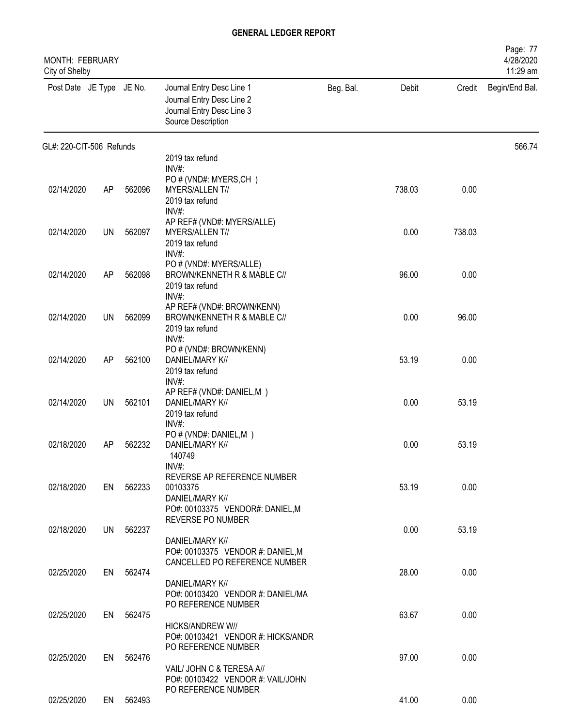| MONTH: FEBRUARY<br>City of Shelby |    |           |                                                                                                              |           |        |        | Page: 77<br>4/28/2020<br>11:29 am |
|-----------------------------------|----|-----------|--------------------------------------------------------------------------------------------------------------|-----------|--------|--------|-----------------------------------|
| Post Date JE Type JE No.          |    |           | Journal Entry Desc Line 1<br>Journal Entry Desc Line 2<br>Journal Entry Desc Line 3<br>Source Description    | Beg. Bal. | Debit  | Credit | Begin/End Bal.                    |
| GL#: 220-CIT-506 Refunds          |    |           |                                                                                                              |           |        |        | 566.74                            |
|                                   |    |           | 2019 tax refund<br>$INV#$ :                                                                                  |           |        |        |                                   |
| 02/14/2020                        | AP | 562096    | PO # (VND#: MYERS,CH)<br>MYERS/ALLENT//<br>2019 tax refund<br>INV#:                                          |           | 738.03 | 0.00   |                                   |
| 02/14/2020                        | UN | 562097    | AP REF# (VND#: MYERS/ALLE)<br>MYERS/ALLENT//<br>2019 tax refund                                              |           | 0.00   | 738.03 |                                   |
| 02/14/2020                        | AP | 562098    | $INV#$ :<br>PO # (VND#: MYERS/ALLE)<br>BROWN/KENNETH R & MABLE C//<br>2019 tax refund                        |           | 96.00  | 0.00   |                                   |
| 02/14/2020                        | UN | 562099    | INV#:<br>AP REF# (VND#: BROWN/KENN)<br>BROWN/KENNETH R & MABLE C//<br>2019 tax refund                        |           | 0.00   | 96.00  |                                   |
| 02/14/2020                        | AP | 562100    | INV#:<br>PO # (VND#: BROWN/KENN)<br>DANIEL/MARY K//<br>2019 tax refund                                       |           | 53.19  | 0.00   |                                   |
| 02/14/2020                        | UN | 562101    | $INV#$ :<br>AP REF# (VND#: DANIEL,M)<br>DANIEL/MARY K//<br>2019 tax refund                                   |           | 0.00   | 53.19  |                                   |
| 02/18/2020                        | AP | 562232    | INV#:<br>PO # (VND#: DANIEL,M)<br>DANIEL/MARY K//<br>140749                                                  |           | 0.00   | 53.19  |                                   |
| 02/18/2020                        |    | EN 562233 | INV#:<br>REVERSE AP REFERENCE NUMBER<br>00103375<br>DANIEL/MARY K//                                          |           | 53.19  | 0.00   |                                   |
| 02/18/2020                        |    | UN 562237 | PO#: 00103375 VENDOR#: DANIEL,M<br>REVERSE PO NUMBER<br>DANIEL/MARY K//<br>PO#: 00103375 VENDOR #: DANIEL, M |           | 0.00   | 53.19  |                                   |
| 02/25/2020                        |    | EN 562474 | CANCELLED PO REFERENCE NUMBER<br>DANIEL/MARY K//                                                             |           | 28.00  | 0.00   |                                   |
| 02/25/2020                        |    | EN 562475 | PO#: 00103420 VENDOR #: DANIEL/MA<br>PO REFERENCE NUMBER<br><b>HICKS/ANDREW W//</b>                          |           | 63.67  | 0.00   |                                   |
| 02/25/2020                        | EN | 562476    | PO#: 00103421 VENDOR #: HICKS/ANDR<br>PO REFERENCE NUMBER                                                    |           | 97.00  | 0.00   |                                   |
|                                   |    |           | VAIL/ JOHN C & TERESA A//<br>PO#: 00103422 VENDOR #: VAIL/JOHN<br>PO REFERENCE NUMBER                        |           |        |        |                                   |
| 02/25/2020                        |    | EN 562493 |                                                                                                              |           | 41.00  | 0.00   |                                   |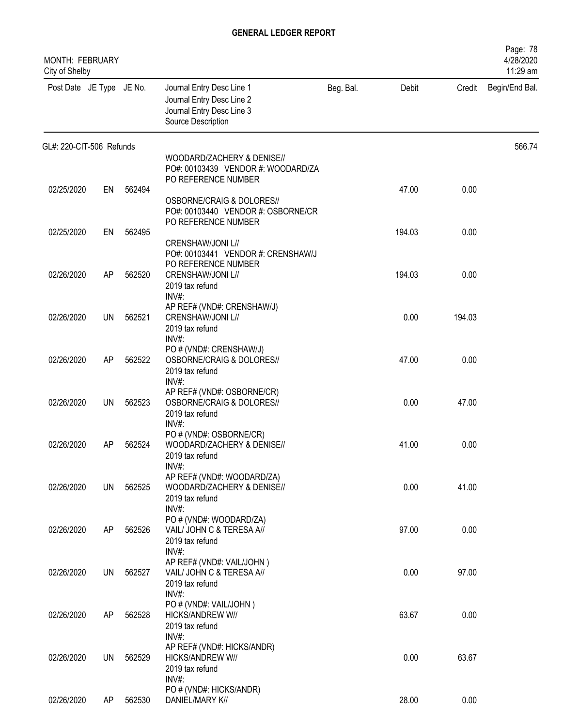| <b>MONTH: FEBRUARY</b><br>City of Shelby |           |        |                                                                                                           |           |        |        | Page: 78<br>4/28/2020<br>11:29 am |
|------------------------------------------|-----------|--------|-----------------------------------------------------------------------------------------------------------|-----------|--------|--------|-----------------------------------|
| Post Date JE Type JE No.                 |           |        | Journal Entry Desc Line 1<br>Journal Entry Desc Line 2<br>Journal Entry Desc Line 3<br>Source Description | Beg. Bal. | Debit  | Credit | Begin/End Bal.                    |
| GL#: 220-CIT-506 Refunds                 |           |        |                                                                                                           |           |        |        | 566.74                            |
|                                          |           |        | WOODARD/ZACHERY & DENISE//<br>PO#: 00103439 VENDOR #: WOODARD/ZA<br>PO REFERENCE NUMBER                   |           |        |        |                                   |
| 02/25/2020                               | EN        | 562494 | OSBORNE/CRAIG & DOLORES//<br>PO#: 00103440 VENDOR #: OSBORNE/CR                                           |           | 47.00  | 0.00   |                                   |
| 02/25/2020                               | EN        | 562495 | PO REFERENCE NUMBER<br>CRENSHAW/JONI L//                                                                  |           | 194.03 | 0.00   |                                   |
| 02/26/2020                               | AP        | 562520 | PO#: 00103441 VENDOR #: CRENSHAW/J<br>PO REFERENCE NUMBER<br>CRENSHAW/JONI L//<br>2019 tax refund         |           | 194.03 | 0.00   |                                   |
| 02/26/2020                               | UN        | 562521 | INV#:<br>AP REF# (VND#: CRENSHAW/J)<br>CRENSHAW/JONI L//<br>2019 tax refund<br>INV#:                      |           | 0.00   | 194.03 |                                   |
| 02/26/2020                               | AP        | 562522 | PO # (VND#: CRENSHAW/J)<br>OSBORNE/CRAIG & DOLORES//<br>2019 tax refund<br>$INV#$ :                       |           | 47.00  | 0.00   |                                   |
| 02/26/2020                               | UN        | 562523 | AP REF# (VND#: OSBORNE/CR)<br>OSBORNE/CRAIG & DOLORES//<br>2019 tax refund<br>$INV#$ :                    |           | 0.00   | 47.00  |                                   |
| 02/26/2020                               | AP        | 562524 | PO # (VND#: OSBORNE/CR)<br>WOODARD/ZACHERY & DENISE//<br>2019 tax refund<br>INV#:                         |           | 41.00  | 0.00   |                                   |
| 02/26/2020                               | <b>UN</b> | 562525 | AP REF# (VND#: WOODARD/ZA)<br>WOODARD/ZACHERY & DENISE//<br>2019 tax refund<br>INV#:                      |           | 0.00   | 41.00  |                                   |
| 02/26/2020                               | AP        | 562526 | PO # (VND#: WOODARD/ZA)<br>VAIL/ JOHN C & TERESA A//<br>2019 tax refund<br>$INV#$ :                       |           | 97.00  | 0.00   |                                   |
| 02/26/2020                               | <b>UN</b> | 562527 | AP REF# (VND#: VAIL/JOHN)<br>VAIL/ JOHN C & TERESA A//<br>2019 tax refund<br>INV#:                        |           | 0.00   | 97.00  |                                   |
| 02/26/2020                               | AP        | 562528 | PO # (VND#: VAIL/JOHN)<br>HICKS/ANDREW W//<br>2019 tax refund<br>INV#:                                    |           | 63.67  | 0.00   |                                   |
| 02/26/2020                               | <b>UN</b> | 562529 | AP REF# (VND#: HICKS/ANDR)<br>HICKS/ANDREW W//<br>2019 tax refund<br>$INV#$ :                             |           | 0.00   | 63.67  |                                   |
| 02/26/2020                               | AP        | 562530 | PO # (VND#: HICKS/ANDR)<br>DANIEL/MARY K//                                                                |           | 28.00  | 0.00   |                                   |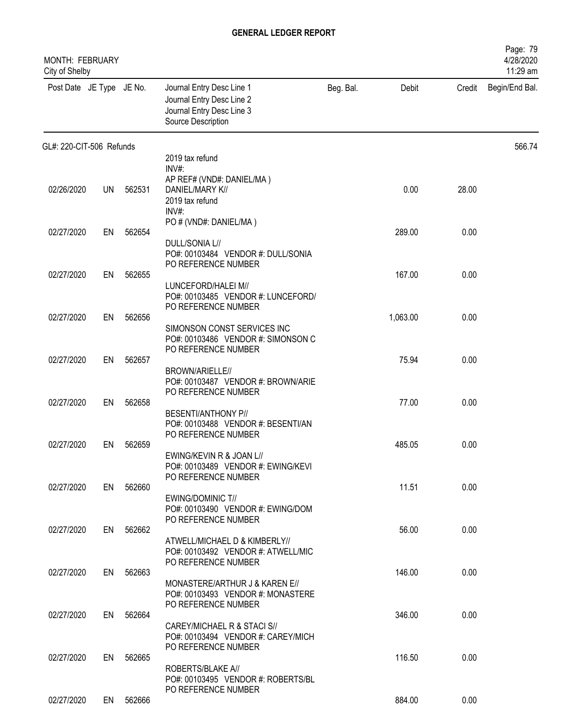| MONTH: FEBRUARY<br>City of Shelby |           |           |                                                                                                           |           |          |        | Page: 79<br>4/28/2020<br>11:29 am |
|-----------------------------------|-----------|-----------|-----------------------------------------------------------------------------------------------------------|-----------|----------|--------|-----------------------------------|
| Post Date JE Type JE No.          |           |           | Journal Entry Desc Line 1<br>Journal Entry Desc Line 2<br>Journal Entry Desc Line 3<br>Source Description | Beg. Bal. | Debit    | Credit | Begin/End Bal.                    |
| GL#: 220-CIT-506 Refunds          |           |           |                                                                                                           |           |          |        | 566.74                            |
|                                   |           |           | 2019 tax refund<br>$INV#$ :                                                                               |           |          |        |                                   |
| 02/26/2020                        | <b>UN</b> | 562531    | AP REF# (VND#: DANIEL/MA)<br>DANIEL/MARY K//<br>2019 tax refund<br>INV#:                                  |           | 0.00     | 28.00  |                                   |
| 02/27/2020                        | EN        | 562654    | PO # (VND#: DANIEL/MA)                                                                                    |           | 289.00   | 0.00   |                                   |
|                                   |           |           | DULL/SONIA L//<br>PO#: 00103484 VENDOR #: DULL/SONIA<br>PO REFERENCE NUMBER                               |           |          |        |                                   |
| 02/27/2020                        | EN        | 562655    |                                                                                                           |           | 167.00   | 0.00   |                                   |
|                                   |           |           | LUNCEFORD/HALEI M//<br>PO#: 00103485 VENDOR #: LUNCEFORD/<br>PO REFERENCE NUMBER                          |           |          |        |                                   |
| 02/27/2020                        | EN        | 562656    | SIMONSON CONST SERVICES INC<br>PO#: 00103486 VENDOR #: SIMONSON C<br>PO REFERENCE NUMBER                  |           | 1,063.00 | 0.00   |                                   |
| 02/27/2020                        | EN        | 562657    |                                                                                                           |           | 75.94    | 0.00   |                                   |
| 02/27/2020                        | EN        | 562658    | BROWN/ARIELLE//<br>PO#: 00103487 VENDOR #: BROWN/ARIE<br>PO REFERENCE NUMBER                              |           | 77.00    | 0.00   |                                   |
|                                   |           |           | <b>BESENTI/ANTHONY P//</b><br>PO#: 00103488 VENDOR #: BESENTI/AN<br>PO REFERENCE NUMBER                   |           |          |        |                                   |
| 02/27/2020                        | EN        | 562659    |                                                                                                           |           | 485.05   | 0.00   |                                   |
|                                   |           |           | EWING/KEVIN R & JOAN L//<br>PO#: 00103489 VENDOR #: EWING/KEVI<br>PO REFERENCE NUMBER                     |           |          |        |                                   |
| 02/27/2020                        |           | EN 562660 | EWING/DOMINIC T//<br>PO#: 00103490 VENDOR #: EWING/DOM<br>PO REFERENCE NUMBER                             |           | 11.51    | 0.00   |                                   |
| 02/27/2020                        |           | EN 562662 |                                                                                                           |           | 56.00    | 0.00   |                                   |
|                                   |           |           | ATWELL/MICHAEL D & KIMBERLY//<br>PO#: 00103492 VENDOR #: ATWELL/MIC<br>PO REFERENCE NUMBER                |           |          |        |                                   |
| 02/27/2020                        |           | EN 562663 | MONASTERE/ARTHUR J & KAREN E//<br>PO#: 00103493 VENDOR #: MONASTERE                                       |           | 146.00   | 0.00   |                                   |
| 02/27/2020                        |           | EN 562664 | PO REFERENCE NUMBER                                                                                       |           | 346.00   | 0.00   |                                   |
|                                   |           |           | CAREY/MICHAEL R & STACI S//<br>PO#: 00103494 VENDOR #: CAREY/MICH<br>PO REFERENCE NUMBER                  |           |          |        |                                   |
| 02/27/2020                        | EN        | 562665    | ROBERTS/BLAKE A//<br>PO#: 00103495 VENDOR #: ROBERTS/BL                                                   |           | 116.50   | 0.00   |                                   |
|                                   |           |           | PO REFERENCE NUMBER                                                                                       |           |          |        |                                   |
| 02/27/2020                        |           | EN 562666 |                                                                                                           |           | 884.00   | 0.00   |                                   |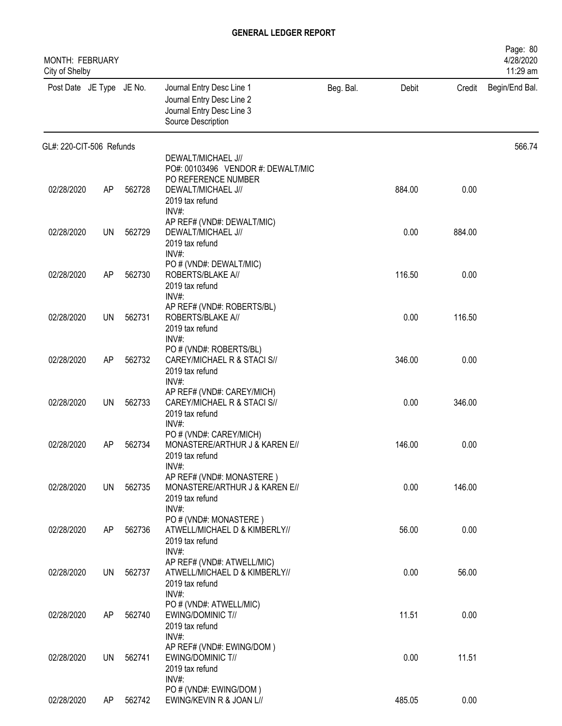| MONTH: FEBRUARY<br>City of Shelby |           |        |                                                                                                           |           |        |        | Page: 80<br>4/28/2020<br>11:29 am |
|-----------------------------------|-----------|--------|-----------------------------------------------------------------------------------------------------------|-----------|--------|--------|-----------------------------------|
| Post Date JE Type JE No.          |           |        | Journal Entry Desc Line 1<br>Journal Entry Desc Line 2<br>Journal Entry Desc Line 3<br>Source Description | Beg. Bal. | Debit  | Credit | Begin/End Bal.                    |
| GL#: 220-CIT-506 Refunds          |           |        |                                                                                                           |           |        |        | 566.74                            |
|                                   |           |        | DEWALT/MICHAEL J//<br>PO#: 00103496 VENDOR #: DEWALT/MIC                                                  |           |        |        |                                   |
| 02/28/2020                        | AP        | 562728 | PO REFERENCE NUMBER<br>DEWALT/MICHAEL J//<br>2019 tax refund<br>INV#:                                     |           | 884.00 | 0.00   |                                   |
| 02/28/2020                        | <b>UN</b> | 562729 | AP REF# (VND#: DEWALT/MIC)<br>DEWALT/MICHAEL J//<br>2019 tax refund<br>INV#:                              |           | 0.00   | 884.00 |                                   |
| 02/28/2020                        | AP        | 562730 | PO # (VND#: DEWALT/MIC)<br>ROBERTS/BLAKE A//<br>2019 tax refund                                           |           | 116.50 | 0.00   |                                   |
| 02/28/2020                        | UN        | 562731 | INV#:<br>AP REF# (VND#: ROBERTS/BL)<br>ROBERTS/BLAKE A//<br>2019 tax refund                               |           | 0.00   | 116.50 |                                   |
| 02/28/2020                        | AP        | 562732 | INV#:<br>PO # (VND#: ROBERTS/BL)<br>CAREY/MICHAEL R & STACI S//<br>2019 tax refund                        |           | 346.00 | 0.00   |                                   |
| 02/28/2020                        | UN        | 562733 | INV#:<br>AP REF# (VND#: CAREY/MICH)<br>CAREY/MICHAEL R & STACI S//<br>2019 tax refund                     |           | 0.00   | 346.00 |                                   |
| 02/28/2020                        | AP        | 562734 | $INV#$ :<br>PO # (VND#: CAREY/MICH)<br>MONASTERE/ARTHUR J & KAREN E//<br>2019 tax refund                  |           | 146.00 | 0.00   |                                   |
| 02/28/2020                        | UN.       | 562735 | $INV#$ :<br>AP REF# (VND#: MONASTERE)<br>MONASTERE/ARTHUR J & KAREN E//<br>2019 tax refund                |           | 0.00   | 146.00 |                                   |
| 02/28/2020                        | AP        | 562736 | $INV#$ :<br>PO # (VND#: MONASTERE)<br>ATWELL/MICHAEL D & KIMBERLY//<br>2019 tax refund                    |           | 56.00  | 0.00   |                                   |
| 02/28/2020                        | UN.       | 562737 | INV#:<br>AP REF# (VND#: ATWELL/MIC)<br>ATWELL/MICHAEL D & KIMBERLY//<br>2019 tax refund                   |           | 0.00   | 56.00  |                                   |
| 02/28/2020                        | AP        | 562740 | $INV#$ :<br>PO # (VND#: ATWELL/MIC)<br>EWING/DOMINIC T//<br>2019 tax refund                               |           | 11.51  | 0.00   |                                   |
| 02/28/2020                        | UN        | 562741 | INV#:<br>AP REF# (VND#: EWING/DOM)<br>EWING/DOMINIC T//<br>2019 tax refund                                |           | 0.00   | 11.51  |                                   |
| 02/28/2020                        | AP        | 562742 | INV#:<br>PO # (VND#: EWING/DOM)<br>EWING/KEVIN R & JOAN L//                                               |           | 485.05 | 0.00   |                                   |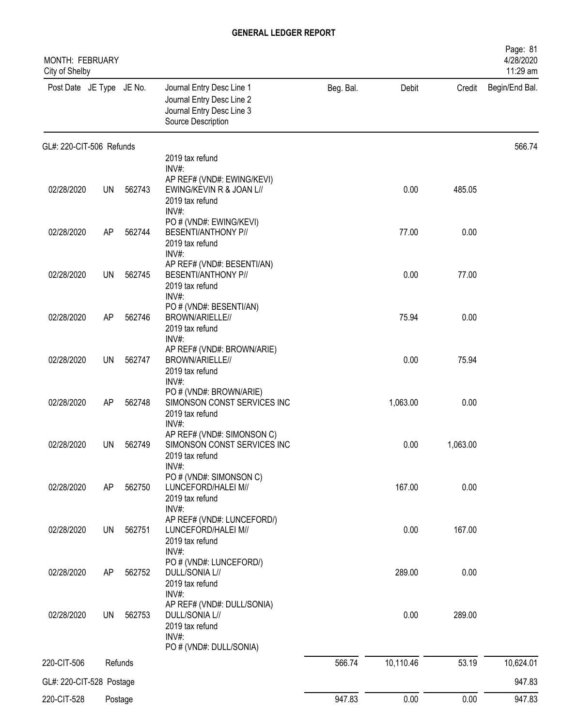| MONTH: FEBRUARY<br>City of Shelby |           |         |                                                                                                           |           |           |          | Page: 81<br>4/28/2020<br>11:29 am |
|-----------------------------------|-----------|---------|-----------------------------------------------------------------------------------------------------------|-----------|-----------|----------|-----------------------------------|
| Post Date JE Type JE No.          |           |         | Journal Entry Desc Line 1<br>Journal Entry Desc Line 2<br>Journal Entry Desc Line 3<br>Source Description | Beg. Bal. | Debit     | Credit   | Begin/End Bal.                    |
| GL#: 220-CIT-506 Refunds          |           |         |                                                                                                           |           |           |          | 566.74                            |
|                                   |           |         | 2019 tax refund<br>INV#:                                                                                  |           |           |          |                                   |
| 02/28/2020                        | <b>UN</b> | 562743  | AP REF# (VND#: EWING/KEVI)<br>EWING/KEVIN R & JOAN L//<br>2019 tax refund<br>INV#:                        |           | 0.00      | 485.05   |                                   |
| 02/28/2020                        | AP        | 562744  | PO # (VND#: EWING/KEVI)<br><b>BESENTI/ANTHONY P//</b><br>2019 tax refund                                  |           | 77.00     | 0.00     |                                   |
| 02/28/2020                        | <b>UN</b> | 562745  | INV#:<br>AP REF# (VND#: BESENTI/AN)<br>BESENTI/ANTHONY P//<br>2019 tax refund                             |           | 0.00      | 77.00    |                                   |
| 02/28/2020                        | AP        | 562746  | INV#:<br>PO # (VND#: BESENTI/AN)<br>BROWN/ARIELLE//<br>2019 tax refund                                    |           | 75.94     | 0.00     |                                   |
| 02/28/2020                        | <b>UN</b> | 562747  | INV#:<br>AP REF# (VND#: BROWN/ARIE)<br>BROWN/ARIELLE//<br>2019 tax refund                                 |           | 0.00      | 75.94    |                                   |
| 02/28/2020                        | AP        | 562748  | INV#:<br>PO # (VND#: BROWN/ARIE)<br>SIMONSON CONST SERVICES INC<br>2019 tax refund                        |           | 1,063.00  | 0.00     |                                   |
| 02/28/2020                        | UN        | 562749  | INV#:<br>AP REF# (VND#: SIMONSON C)<br>SIMONSON CONST SERVICES INC<br>2019 tax refund                     |           | 0.00      | 1,063.00 |                                   |
| 02/28/2020                        | AP        | 562750  | $INV#$ :<br>PO # (VND#: SIMONSON C)<br>LUNCEFORD/HALEI M//<br>2019 tax refund                             |           | 167.00    | 0.00     |                                   |
| 02/28/2020                        | <b>UN</b> | 562751  | INV#:<br>AP REF# (VND#: LUNCEFORD/)<br>LUNCEFORD/HALEI M//<br>2019 tax refund<br>INV#:                    |           | 0.00      | 167.00   |                                   |
| 02/28/2020                        | AP        | 562752  | PO # (VND#: LUNCEFORD/)<br>DULL/SONIA L//<br>2019 tax refund<br>INV#:                                     |           | 289.00    | 0.00     |                                   |
| 02/28/2020                        | <b>UN</b> | 562753  | AP REF# (VND#: DULL/SONIA)<br>DULL/SONIA L//<br>2019 tax refund<br>INV#:                                  |           | 0.00      | 289.00   |                                   |
|                                   |           |         | PO # (VND#: DULL/SONIA)                                                                                   |           |           |          |                                   |
| 220-CIT-506                       |           | Refunds |                                                                                                           | 566.74    | 10,110.46 | 53.19    | 10,624.01                         |
| GL#: 220-CIT-528 Postage          |           |         |                                                                                                           |           |           |          | 947.83                            |
| 220-CIT-528                       |           | Postage |                                                                                                           | 947.83    | 0.00      | 0.00     | 947.83                            |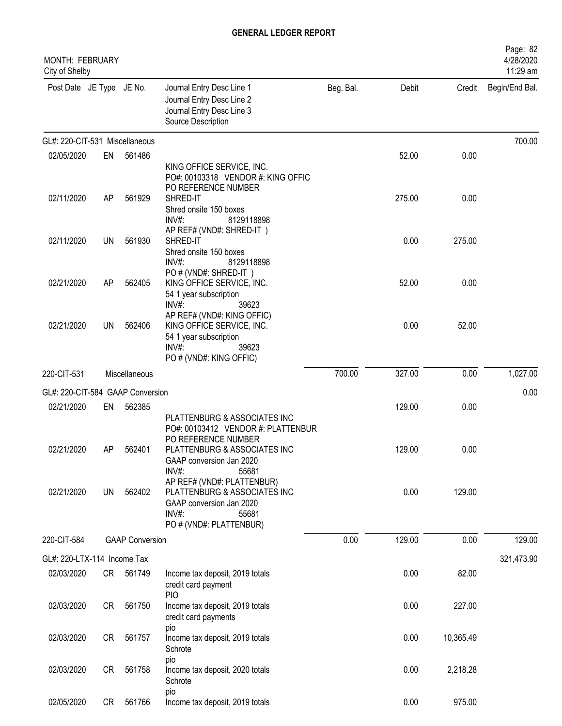| <b>MONTH: FEBRUARY</b><br>City of Shelby |           |                        |                                                                                                                                     |           |        |           | Page: 82<br>4/28/2020<br>11:29 am |
|------------------------------------------|-----------|------------------------|-------------------------------------------------------------------------------------------------------------------------------------|-----------|--------|-----------|-----------------------------------|
| Post Date JE Type JE No.                 |           |                        | Journal Entry Desc Line 1<br>Journal Entry Desc Line 2<br>Journal Entry Desc Line 3<br>Source Description                           | Beg. Bal. | Debit  | Credit    | Begin/End Bal.                    |
| GL#: 220-CIT-531 Miscellaneous           |           |                        |                                                                                                                                     |           |        |           | 700.00                            |
| 02/05/2020                               | EN        | 561486                 |                                                                                                                                     |           | 52.00  | 0.00      |                                   |
|                                          |           |                        | KING OFFICE SERVICE, INC.<br>PO#: 00103318 VENDOR #: KING OFFIC<br>PO REFERENCE NUMBER                                              |           |        |           |                                   |
| 02/11/2020                               | AP        | 561929                 | SHRED-IT<br>Shred onsite 150 boxes<br>INV#:<br>8129118898<br>AP REF# (VND#: SHRED-IT)                                               |           | 275.00 | 0.00      |                                   |
| 02/11/2020                               | UN        | 561930                 | SHRED-IT<br>Shred onsite 150 boxes<br>$INV#$ :<br>8129118898<br>PO # (VND#: SHRED-IT)                                               |           | 0.00   | 275.00    |                                   |
| 02/21/2020                               | AP        | 562405                 | KING OFFICE SERVICE, INC.<br>54 1 year subscription<br>INV#:<br>39623                                                               |           | 52.00  | 0.00      |                                   |
| 02/21/2020                               | <b>UN</b> | 562406                 | AP REF# (VND#: KING OFFIC)<br>KING OFFICE SERVICE, INC.<br>54 1 year subscription<br>$INV#$ :<br>39623<br>PO # (VND#: KING OFFIC)   |           | 0.00   | 52.00     |                                   |
| 220-CIT-531                              |           | Miscellaneous          |                                                                                                                                     | 700.00    | 327.00 | 0.00      | 1,027.00                          |
| GL#: 220-CIT-584 GAAP Conversion         |           |                        |                                                                                                                                     |           |        |           | 0.00                              |
| 02/21/2020                               | EN        | 562385                 |                                                                                                                                     |           | 129.00 | 0.00      |                                   |
|                                          |           |                        | PLATTENBURG & ASSOCIATES INC<br>PO#: 00103412 VENDOR #: PLATTENBUR<br>PO REFERENCE NUMBER                                           |           |        |           |                                   |
| 02/21/2020                               | AP        | 562401                 | PLATTENBURG & ASSOCIATES INC<br>GAAP conversion Jan 2020<br>INV#:<br>55681                                                          |           | 129.00 | 0.00      |                                   |
| 02/21/2020                               | <b>UN</b> | 562402                 | AP REF# (VND#: PLATTENBUR)<br>PLATTENBURG & ASSOCIATES INC<br>GAAP conversion Jan 2020<br>INV#:<br>55681<br>PO # (VND#: PLATTENBUR) |           | 0.00   | 129.00    |                                   |
| 220-CIT-584                              |           | <b>GAAP Conversion</b> |                                                                                                                                     | 0.00      | 129.00 | 0.00      | 129.00                            |
| GL#: 220-LTX-114 Income Tax              |           |                        |                                                                                                                                     |           |        |           | 321,473.90                        |
| 02/03/2020                               |           | CR 561749              | Income tax deposit, 2019 totals<br>credit card payment<br><b>PIO</b>                                                                |           | 0.00   | 82.00     |                                   |
| 02/03/2020                               | CR        | 561750                 | Income tax deposit, 2019 totals<br>credit card payments                                                                             |           | 0.00   | 227.00    |                                   |
| 02/03/2020                               | <b>CR</b> | 561757                 | pio<br>Income tax deposit, 2019 totals<br>Schrote                                                                                   |           | 0.00   | 10,365.49 |                                   |
| 02/03/2020                               | <b>CR</b> | 561758                 | pio<br>Income tax deposit, 2020 totals<br>Schrote                                                                                   |           | 0.00   | 2,218.28  |                                   |
| 02/05/2020                               | CR        | 561766                 | pio<br>Income tax deposit, 2019 totals                                                                                              |           | 0.00   | 975.00    |                                   |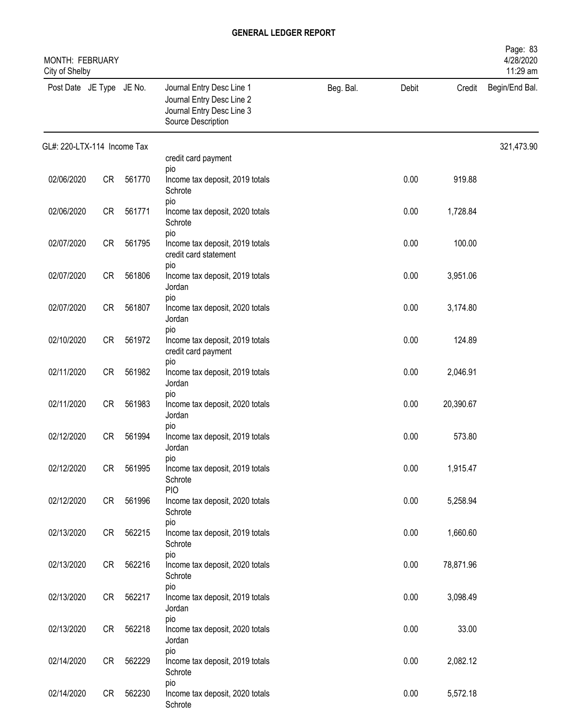| MONTH: FEBRUARY<br>City of Shelby |           |        |                                                                                                           |           |       |           | Page: 83<br>4/28/2020<br>11:29 am |
|-----------------------------------|-----------|--------|-----------------------------------------------------------------------------------------------------------|-----------|-------|-----------|-----------------------------------|
| Post Date JE Type JE No.          |           |        | Journal Entry Desc Line 1<br>Journal Entry Desc Line 2<br>Journal Entry Desc Line 3<br>Source Description | Beg. Bal. | Debit | Credit    | Begin/End Bal.                    |
| GL#: 220-LTX-114 Income Tax       |           |        |                                                                                                           |           |       |           | 321,473.90                        |
|                                   |           |        | credit card payment<br>pio                                                                                |           |       |           |                                   |
| 02/06/2020                        | <b>CR</b> | 561770 | Income tax deposit, 2019 totals<br>Schrote<br>pio                                                         |           | 0.00  | 919.88    |                                   |
| 02/06/2020                        | <b>CR</b> | 561771 | Income tax deposit, 2020 totals<br>Schrote<br>pio                                                         |           | 0.00  | 1,728.84  |                                   |
| 02/07/2020                        | <b>CR</b> | 561795 | Income tax deposit, 2019 totals<br>credit card statement<br>pio                                           |           | 0.00  | 100.00    |                                   |
| 02/07/2020                        | <b>CR</b> | 561806 | Income tax deposit, 2019 totals<br>Jordan                                                                 |           | 0.00  | 3,951.06  |                                   |
| 02/07/2020                        | <b>CR</b> | 561807 | pio<br>Income tax deposit, 2020 totals<br>Jordan                                                          |           | 0.00  | 3,174.80  |                                   |
| 02/10/2020                        | CR        | 561972 | pio<br>Income tax deposit, 2019 totals<br>credit card payment                                             |           | 0.00  | 124.89    |                                   |
| 02/11/2020                        | <b>CR</b> | 561982 | pio<br>Income tax deposit, 2019 totals<br>Jordan                                                          |           | 0.00  | 2,046.91  |                                   |
| 02/11/2020                        | <b>CR</b> | 561983 | pio<br>Income tax deposit, 2020 totals<br>Jordan                                                          |           | 0.00  | 20,390.67 |                                   |
| 02/12/2020                        | <b>CR</b> | 561994 | pio<br>Income tax deposit, 2019 totals<br>Jordan                                                          |           | 0.00  | 573.80    |                                   |
| 02/12/2020                        | CR        | 561995 | pio<br>Income tax deposit, 2019 totals<br>Schrote                                                         |           | 0.00  | 1,915.47  |                                   |
| 02/12/2020                        | CR        | 561996 | <b>PIO</b><br>Income tax deposit, 2020 totals<br>Schrote                                                  |           | 0.00  | 5,258.94  |                                   |
| 02/13/2020                        | CR        | 562215 | pio<br>Income tax deposit, 2019 totals<br>Schrote                                                         |           | 0.00  | 1,660.60  |                                   |
| 02/13/2020                        | CR        | 562216 | pio<br>Income tax deposit, 2020 totals<br>Schrote                                                         |           | 0.00  | 78,871.96 |                                   |
| 02/13/2020                        | CR        | 562217 | pio<br>Income tax deposit, 2019 totals<br>Jordan                                                          |           | 0.00  | 3,098.49  |                                   |
| 02/13/2020                        | CR        | 562218 | pio<br>Income tax deposit, 2020 totals<br>Jordan                                                          |           | 0.00  | 33.00     |                                   |
| 02/14/2020                        | CR        | 562229 | pio<br>Income tax deposit, 2019 totals<br>Schrote                                                         |           | 0.00  | 2,082.12  |                                   |
| 02/14/2020                        | CR        | 562230 | pio<br>Income tax deposit, 2020 totals<br>Schrote                                                         |           | 0.00  | 5,572.18  |                                   |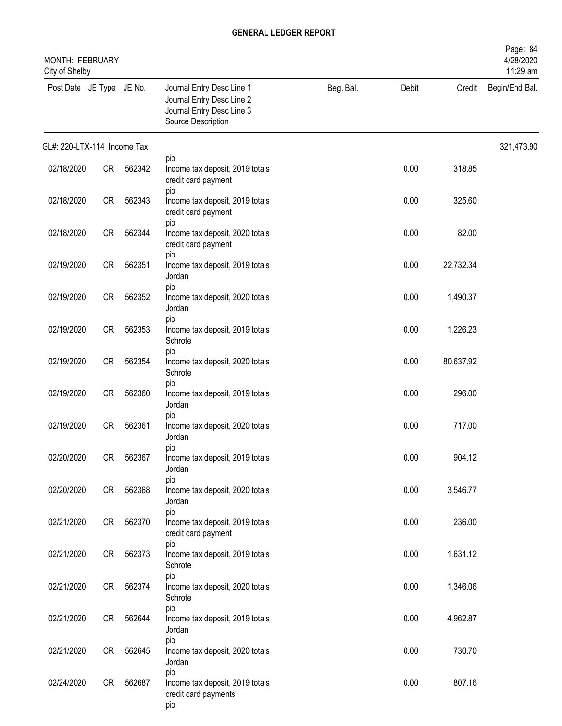| MONTH: FEBRUARY<br>City of Shelby |           |           |                                                                                                           |           |       |           | Page: 84<br>4/28/2020<br>11:29 am |
|-----------------------------------|-----------|-----------|-----------------------------------------------------------------------------------------------------------|-----------|-------|-----------|-----------------------------------|
| Post Date JE Type JE No.          |           |           | Journal Entry Desc Line 1<br>Journal Entry Desc Line 2<br>Journal Entry Desc Line 3<br>Source Description | Beg. Bal. | Debit | Credit    | Begin/End Bal.                    |
| GL#: 220-LTX-114 Income Tax       |           |           |                                                                                                           |           |       |           | 321,473.90                        |
| 02/18/2020                        | CR        | 562342    | pio<br>Income tax deposit, 2019 totals<br>credit card payment<br>pio                                      |           | 0.00  | 318.85    |                                   |
| 02/18/2020                        | CR        | 562343    | Income tax deposit, 2019 totals<br>credit card payment<br>pio                                             |           | 0.00  | 325.60    |                                   |
| 02/18/2020                        | CR        | 562344    | Income tax deposit, 2020 totals<br>credit card payment                                                    |           | 0.00  | 82.00     |                                   |
| 02/19/2020                        | CR        | 562351    | pio<br>Income tax deposit, 2019 totals<br>Jordan                                                          |           | 0.00  | 22,732.34 |                                   |
| 02/19/2020                        | <b>CR</b> | 562352    | pio<br>Income tax deposit, 2020 totals<br>Jordan                                                          |           | 0.00  | 1,490.37  |                                   |
| 02/19/2020                        | <b>CR</b> | 562353    | pio<br>Income tax deposit, 2019 totals<br>Schrote                                                         |           | 0.00  | 1,226.23  |                                   |
| 02/19/2020                        | <b>CR</b> | 562354    | pio<br>Income tax deposit, 2020 totals<br>Schrote                                                         |           | 0.00  | 80,637.92 |                                   |
| 02/19/2020                        | <b>CR</b> | 562360    | pio<br>Income tax deposit, 2019 totals<br>Jordan                                                          |           | 0.00  | 296.00    |                                   |
| 02/19/2020                        | <b>CR</b> | 562361    | pio<br>Income tax deposit, 2020 totals<br>Jordan                                                          |           | 0.00  | 717.00    |                                   |
| 02/20/2020                        |           | CR 562367 | pio<br>Income tax deposit, 2019 totals<br>Jordan                                                          |           | 0.00  | 904.12    |                                   |
| 02/20/2020                        | CR        | 562368    | pio<br>Income tax deposit, 2020 totals<br>Jordan                                                          |           | 0.00  | 3,546.77  |                                   |
| 02/21/2020                        | CR        | 562370    | pio<br>Income tax deposit, 2019 totals<br>credit card payment                                             |           | 0.00  | 236.00    |                                   |
| 02/21/2020                        | CR        | 562373    | pio<br>Income tax deposit, 2019 totals<br>Schrote                                                         |           | 0.00  | 1,631.12  |                                   |
| 02/21/2020                        | CR        | 562374    | pio<br>Income tax deposit, 2020 totals<br>Schrote                                                         |           | 0.00  | 1,346.06  |                                   |
| 02/21/2020                        | CR        | 562644    | pio<br>Income tax deposit, 2019 totals<br>Jordan                                                          |           | 0.00  | 4,962.87  |                                   |
| 02/21/2020                        | CR        | 562645    | pio<br>Income tax deposit, 2020 totals<br>Jordan                                                          |           | 0.00  | 730.70    |                                   |
| 02/24/2020                        | CR        | 562687    | pio<br>Income tax deposit, 2019 totals<br>credit card payments<br>pio                                     |           | 0.00  | 807.16    |                                   |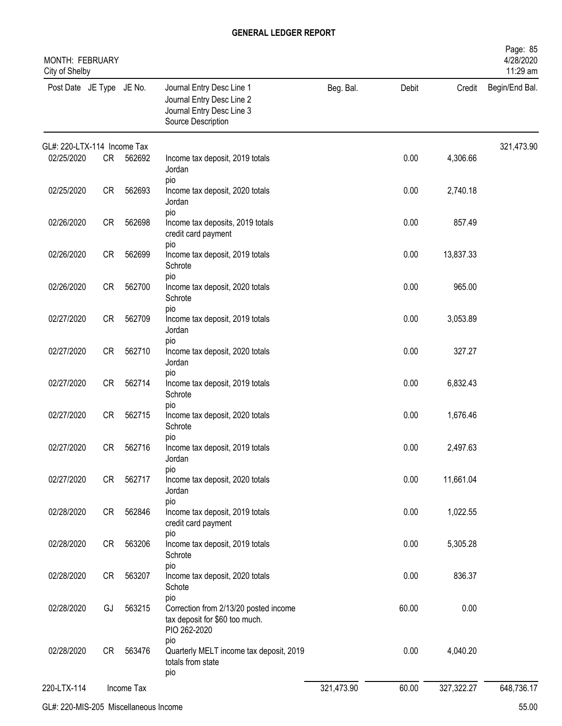| MONTH: FEBRUARY<br>City of Shelby |           |            |                                                                                                           |            |       |            | Page: 85<br>4/28/2020<br>11:29 am |
|-----------------------------------|-----------|------------|-----------------------------------------------------------------------------------------------------------|------------|-------|------------|-----------------------------------|
| Post Date JE Type JE No.          |           |            | Journal Entry Desc Line 1<br>Journal Entry Desc Line 2<br>Journal Entry Desc Line 3<br>Source Description | Beg. Bal.  | Debit | Credit     | Begin/End Bal.                    |
| GL#: 220-LTX-114 Income Tax       |           |            |                                                                                                           |            |       |            | 321,473.90                        |
| 02/25/2020                        | CR        | 562692     | Income tax deposit, 2019 totals<br>Jordan<br>pio                                                          |            | 0.00  | 4,306.66   |                                   |
| 02/25/2020                        | CR        | 562693     | Income tax deposit, 2020 totals<br>Jordan<br>pio                                                          |            | 0.00  | 2,740.18   |                                   |
| 02/26/2020                        | CR        | 562698     | Income tax deposits, 2019 totals<br>credit card payment<br>pio                                            |            | 0.00  | 857.49     |                                   |
| 02/26/2020                        | CR        | 562699     | Income tax deposit, 2019 totals<br>Schrote<br>pio                                                         |            | 0.00  | 13,837.33  |                                   |
| 02/26/2020                        | <b>CR</b> | 562700     | Income tax deposit, 2020 totals<br>Schrote                                                                |            | 0.00  | 965.00     |                                   |
| 02/27/2020                        | <b>CR</b> | 562709     | pio<br>Income tax deposit, 2019 totals<br>Jordan                                                          |            | 0.00  | 3,053.89   |                                   |
| 02/27/2020                        | <b>CR</b> | 562710     | pio<br>Income tax deposit, 2020 totals<br>Jordan                                                          |            | 0.00  | 327.27     |                                   |
| 02/27/2020                        | <b>CR</b> | 562714     | pio<br>Income tax deposit, 2019 totals<br>Schrote                                                         |            | 0.00  | 6,832.43   |                                   |
| 02/27/2020                        | <b>CR</b> | 562715     | pio<br>Income tax deposit, 2020 totals<br>Schrote                                                         |            | 0.00  | 1,676.46   |                                   |
| 02/27/2020                        | CR        | 562716     | pio<br>Income tax deposit, 2019 totals<br>Jordan                                                          |            | 0.00  | 2,497.63   |                                   |
| 02/27/2020                        | CR        | 562717     | pio<br>Income tax deposit, 2020 totals<br>Jordan                                                          |            | 0.00  | 11,661.04  |                                   |
| 02/28/2020                        | CR        | 562846     | pio<br>Income tax deposit, 2019 totals<br>credit card payment                                             |            | 0.00  | 1,022.55   |                                   |
| 02/28/2020                        | <b>CR</b> | 563206     | pio<br>Income tax deposit, 2019 totals<br>Schrote                                                         |            | 0.00  | 5,305.28   |                                   |
| 02/28/2020                        | CR        | 563207     | pio<br>Income tax deposit, 2020 totals<br>Schote                                                          |            | 0.00  | 836.37     |                                   |
| 02/28/2020                        | GJ        | 563215     | pio<br>Correction from 2/13/20 posted income<br>tax deposit for \$60 too much.<br>PIO 262-2020            |            | 60.00 | 0.00       |                                   |
| 02/28/2020                        | <b>CR</b> | 563476     | pio<br>Quarterly MELT income tax deposit, 2019<br>totals from state<br>pio                                |            | 0.00  | 4,040.20   |                                   |
| 220-LTX-114                       |           | Income Tax |                                                                                                           | 321,473.90 | 60.00 | 327,322.27 | 648,736.17                        |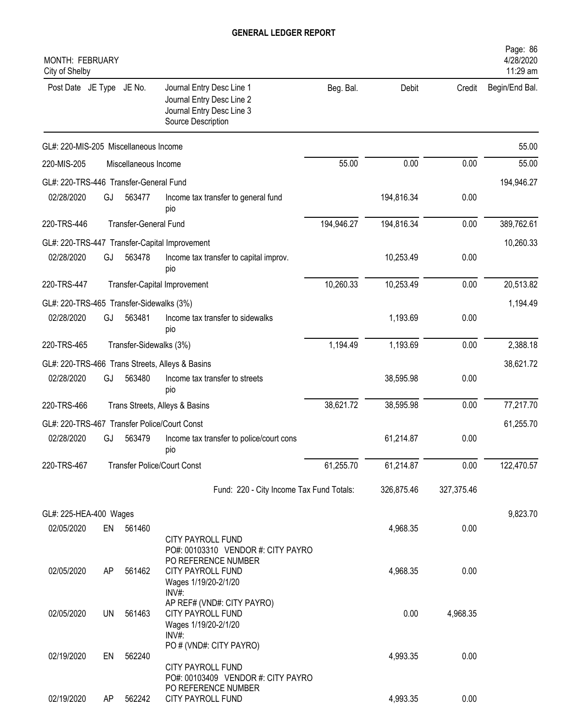| MONTH: FEBRUARY<br>City of Shelby            |           |                         |                                                                                                                                      |            |            |            | Page: 86<br>4/28/2020<br>11:29 am |
|----------------------------------------------|-----------|-------------------------|--------------------------------------------------------------------------------------------------------------------------------------|------------|------------|------------|-----------------------------------|
| Post Date JE Type JE No.                     |           |                         | Journal Entry Desc Line 1<br>Journal Entry Desc Line 2<br>Journal Entry Desc Line 3<br>Source Description                            | Beg. Bal.  | Debit      | Credit     | Begin/End Bal.                    |
| GL#: 220-MIS-205 Miscellaneous Income        |           |                         |                                                                                                                                      |            |            |            | 55.00                             |
| 220-MIS-205                                  |           | Miscellaneous Income    |                                                                                                                                      | 55.00      | 0.00       | 0.00       | 55.00                             |
| GL#: 220-TRS-446 Transfer-General Fund       |           |                         |                                                                                                                                      |            |            |            | 194,946.27                        |
| 02/28/2020                                   | GJ        | 563477                  | Income tax transfer to general fund<br>pio                                                                                           |            | 194,816.34 | 0.00       |                                   |
| 220-TRS-446                                  |           | Transfer-General Fund   |                                                                                                                                      | 194,946.27 | 194,816.34 | 0.00       | 389,762.61                        |
|                                              |           |                         | GL#: 220-TRS-447 Transfer-Capital Improvement                                                                                        |            |            |            | 10,260.33                         |
| 02/28/2020                                   | GJ        | 563478                  | Income tax transfer to capital improv.<br>pio                                                                                        |            | 10,253.49  | 0.00       |                                   |
| 220-TRS-447                                  |           |                         | Transfer-Capital Improvement                                                                                                         | 10,260.33  | 10,253.49  | 0.00       | 20,513.82                         |
| GL#: 220-TRS-465 Transfer-Sidewalks (3%)     |           |                         |                                                                                                                                      |            |            |            | 1,194.49                          |
| 02/28/2020                                   | GJ        | 563481                  | Income tax transfer to sidewalks<br>pio                                                                                              |            | 1,193.69   | 0.00       |                                   |
| 220-TRS-465                                  |           | Transfer-Sidewalks (3%) |                                                                                                                                      | 1,194.49   | 1,193.69   | 0.00       | 2,388.18                          |
|                                              |           |                         | GL#: 220-TRS-466 Trans Streets, Alleys & Basins                                                                                      |            |            |            | 38,621.72                         |
| 02/28/2020                                   | GJ        | 563480                  | Income tax transfer to streets<br>pio                                                                                                |            | 38,595.98  | 0.00       |                                   |
| 220-TRS-466                                  |           |                         | Trans Streets, Alleys & Basins                                                                                                       | 38,621.72  | 38,595.98  | 0.00       | 77,217.70                         |
| GL#: 220-TRS-467 Transfer Police/Court Const |           |                         |                                                                                                                                      |            |            |            | 61,255.70                         |
| 02/28/2020                                   | GJ        | 563479                  | Income tax transfer to police/court cons<br>pio                                                                                      |            | 61,214.87  | 0.00       |                                   |
| 220-TRS-467                                  |           |                         | <b>Transfer Police/Court Const</b>                                                                                                   | 61,255.70  | 61,214.87  | 0.00       | 122,470.57                        |
|                                              |           |                         | Fund: 220 - City Income Tax Fund Totals:                                                                                             |            | 326,875.46 | 327,375.46 |                                   |
| GL#: 225-HEA-400 Wages                       |           |                         |                                                                                                                                      |            |            |            | 9,823.70                          |
| 02/05/2020                                   | EN        | 561460                  |                                                                                                                                      |            | 4,968.35   | 0.00       |                                   |
| 02/05/2020                                   | AP        | 561462                  | CITY PAYROLL FUND<br>PO#: 00103310 VENDOR #: CITY PAYRO<br>PO REFERENCE NUMBER<br>CITY PAYROLL FUND<br>Wages 1/19/20-2/1/20<br>INV#: |            | 4,968.35   | 0.00       |                                   |
| 02/05/2020                                   | <b>UN</b> | 561463                  | AP REF# (VND#: CITY PAYRO)<br>CITY PAYROLL FUND<br>Wages 1/19/20-2/1/20<br>$INV#$ :                                                  |            | 0.00       | 4,968.35   |                                   |
| 02/19/2020                                   | EN        | 562240                  | PO # (VND#: CITY PAYRO)<br>CITY PAYROLL FUND                                                                                         |            | 4,993.35   | 0.00       |                                   |
| 02/19/2020                                   | AΡ        | 562242                  | PO#: 00103409 VENDOR #: CITY PAYRO<br>PO REFERENCE NUMBER<br>CITY PAYROLL FUND                                                       |            | 4,993.35   | 0.00       |                                   |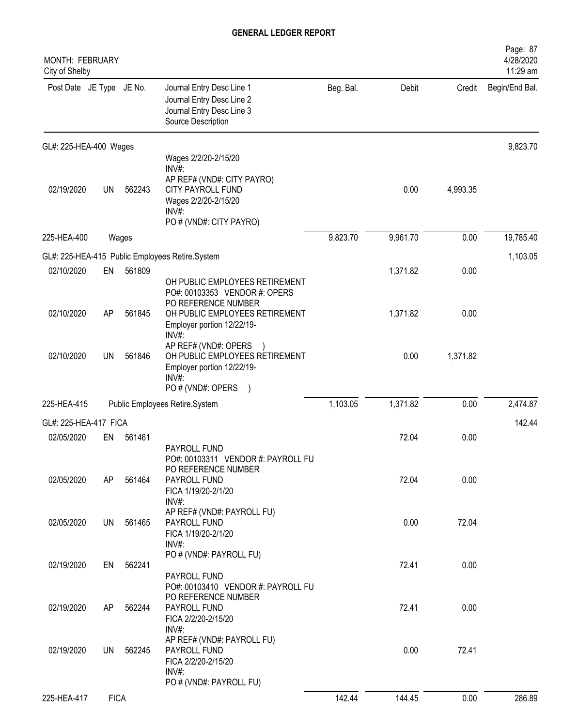| MONTH: FEBRUARY<br>City of Shelby |             |        |                                                                                                                                                    |           |          |          | Page: 87<br>4/28/2020<br>11:29 am |
|-----------------------------------|-------------|--------|----------------------------------------------------------------------------------------------------------------------------------------------------|-----------|----------|----------|-----------------------------------|
| Post Date JE Type JE No.          |             |        | Journal Entry Desc Line 1<br>Journal Entry Desc Line 2<br>Journal Entry Desc Line 3<br>Source Description                                          | Beg. Bal. | Debit    | Credit   | Begin/End Bal.                    |
| GL#: 225-HEA-400 Wages            |             |        |                                                                                                                                                    |           |          |          | 9,823.70                          |
| 02/19/2020                        | UN          | 562243 | Wages 2/2/20-2/15/20<br>INV#<br>AP REF# (VND#: CITY PAYRO)<br><b>CITY PAYROLL FUND</b><br>Wages 2/2/20-2/15/20<br>INV#:<br>PO # (VND#: CITY PAYRO) |           | 0.00     | 4,993.35 |                                   |
| 225-HEA-400                       |             | Wages  |                                                                                                                                                    | 9,823.70  | 9,961.70 | 0.00     | 19,785.40                         |
|                                   |             |        | GL#: 225-HEA-415 Public Employees Retire.System                                                                                                    |           |          |          | 1,103.05                          |
| 02/10/2020                        | EN          | 561809 | OH PUBLIC EMPLOYEES RETIREMENT<br>PO#: 00103353 VENDOR #: OPERS                                                                                    |           | 1,371.82 | 0.00     |                                   |
| 02/10/2020                        | AP          | 561845 | PO REFERENCE NUMBER<br>OH PUBLIC EMPLOYEES RETIREMENT<br>Employer portion 12/22/19-<br>INV#:                                                       |           | 1,371.82 | 0.00     |                                   |
| 02/10/2020                        | UN          | 561846 | AP REF# (VND#: OPERS<br>OH PUBLIC EMPLOYEES RETIREMENT<br>Employer portion 12/22/19-<br>INV#:<br>PO # (VND#: OPERS<br>$\lambda$                    |           | 0.00     | 1,371.82 |                                   |
| 225-HEA-415                       |             |        | Public Employees Retire.System                                                                                                                     | 1,103.05  | 1,371.82 | 0.00     | 2,474.87                          |
| GL#: 225-HEA-417 FICA             |             |        |                                                                                                                                                    |           |          |          | 142.44                            |
| 02/05/2020                        | EN          | 561461 | PAYROLL FUND                                                                                                                                       |           | 72.04    | 0.00     |                                   |
| 02/05/2020                        | AP          | 561464 | PO#: 00103311 VENDOR #: PAYROLL FU<br>PO REFERENCE NUMBER<br>PAYROLL FUND<br>FICA 1/19/20-2/1/20<br>INV#:                                          |           | 72.04    | 0.00     |                                   |
| 02/05/2020                        | UN          | 561465 | AP REF# (VND#: PAYROLL FU)<br>PAYROLL FUND<br>FICA 1/19/20-2/1/20<br>INV#:                                                                         |           | 0.00     | 72.04    |                                   |
| 02/19/2020                        | EN          | 562241 | PO # (VND#: PAYROLL FU)                                                                                                                            |           | 72.41    | 0.00     |                                   |
| 02/19/2020                        | AP          | 562244 | PAYROLL FUND<br>PO#: 00103410 VENDOR #: PAYROLL FU<br>PO REFERENCE NUMBER<br>PAYROLL FUND<br>FICA 2/2/20-2/15/20                                   |           | 72.41    | 0.00     |                                   |
| 02/19/2020                        | UN          | 562245 | INV#:<br>AP REF# (VND#: PAYROLL FU)<br>PAYROLL FUND<br>FICA 2/2/20-2/15/20<br>INV#:<br>PO # (VND#: PAYROLL FU)                                     |           | 0.00     | 72.41    |                                   |
| 225-HEA-417                       | <b>FICA</b> |        |                                                                                                                                                    | 142.44    | 144.45   | 0.00     | 286.89                            |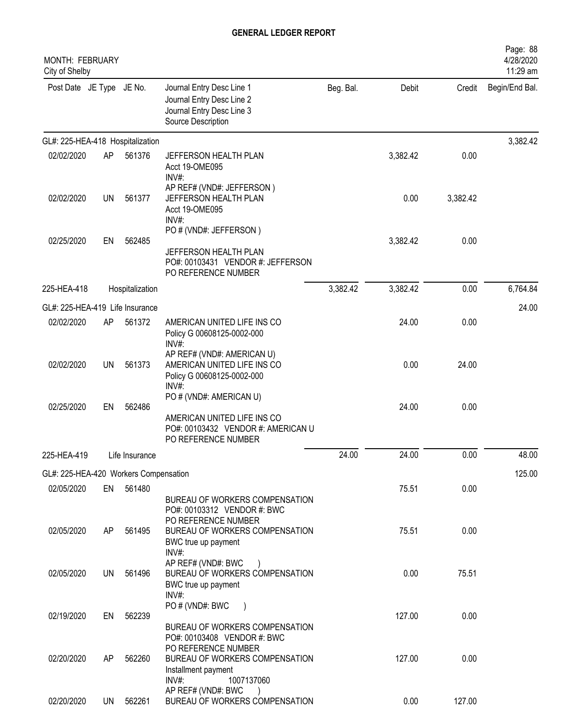| MONTH: FEBRUARY<br>City of Shelby     |           |                 |                                                                                                             |           |          |          | Page: 88<br>4/28/2020<br>11:29 am |
|---------------------------------------|-----------|-----------------|-------------------------------------------------------------------------------------------------------------|-----------|----------|----------|-----------------------------------|
| Post Date JE Type JE No.              |           |                 | Journal Entry Desc Line 1<br>Journal Entry Desc Line 2<br>Journal Entry Desc Line 3<br>Source Description   | Beg. Bal. | Debit    | Credit   | Begin/End Bal.                    |
| GL#: 225-HEA-418 Hospitalization      |           |                 |                                                                                                             |           |          |          | 3,382.42                          |
| 02/02/2020                            | AP        | 561376          | JEFFERSON HEALTH PLAN<br>Acct 19-OME095<br>$INV#$ :                                                         |           | 3,382.42 | 0.00     |                                   |
| 02/02/2020                            | <b>UN</b> | 561377          | AP REF# (VND#: JEFFERSON)<br>JEFFERSON HEALTH PLAN<br>Acct 19-OME095<br>$INV#$ :                            |           | 0.00     | 3,382.42 |                                   |
| 02/25/2020                            | EN        | 562485          | PO # (VND#: JEFFERSON)<br>JEFFERSON HEALTH PLAN<br>PO#: 00103431 VENDOR #: JEFFERSON<br>PO REFERENCE NUMBER |           | 3,382.42 | 0.00     |                                   |
| 225-HEA-418                           |           | Hospitalization |                                                                                                             | 3,382.42  | 3,382.42 | 0.00     | 6,764.84                          |
| GL#: 225-HEA-419 Life Insurance       |           |                 |                                                                                                             |           |          |          | 24.00                             |
| 02/02/2020                            | AP        | 561372          | AMERICAN UNITED LIFE INS CO<br>Policy G 00608125-0002-000<br>INV#:                                          |           | 24.00    | 0.00     |                                   |
| 02/02/2020                            | <b>UN</b> | 561373          | AP REF# (VND#: AMERICAN U)<br>AMERICAN UNITED LIFE INS CO<br>Policy G 00608125-0002-000<br>$INV#$ :         |           | 0.00     | 24.00    |                                   |
| 02/25/2020                            | EN        | 562486          | PO # (VND#: AMERICAN U)<br>AMERICAN UNITED LIFE INS CO<br>PO#: 00103432 VENDOR #: AMERICAN U                |           | 24.00    | 0.00     |                                   |
|                                       |           |                 | PO REFERENCE NUMBER                                                                                         | 24.00     | 24.00    | 0.00     | 48.00                             |
| 225-HEA-419                           |           | Life Insurance  |                                                                                                             |           |          |          |                                   |
| GL#: 225-HEA-420 Workers Compensation |           |                 |                                                                                                             |           |          |          | 125.00                            |
| 02/05/2020                            | EN        | 561480          | BUREAU OF WORKERS COMPENSATION<br>PO#: 00103312 VENDOR #: BWC                                               |           | 75.51    | 0.00     |                                   |
| 02/05/2020                            | AP.       | 561495          | PO REFERENCE NUMBER<br>BUREAU OF WORKERS COMPENSATION<br>BWC true up payment<br>INV#:                       |           | 75.51    | 0.00     |                                   |
| 02/05/2020                            | UN L      | 561496          | AP REF# (VND#: BWC<br>BUREAU OF WORKERS COMPENSATION<br>BWC true up payment<br>INV#:                        |           | 0.00     | 75.51    |                                   |
| 02/19/2020                            | EN        | 562239          | PO # (VND#: BWC<br>$\rightarrow$<br>BUREAU OF WORKERS COMPENSATION<br>PO#: 00103408 VENDOR #: BWC           |           | 127.00   | 0.00     |                                   |
| 02/20/2020                            | AP        | 562260          | PO REFERENCE NUMBER<br>BUREAU OF WORKERS COMPENSATION<br>Installment payment<br>INV#:<br>1007137060         |           | 127.00   | 0.00     |                                   |
| 02/20/2020                            |           | UN 562261       | AP REF# (VND#: BWC<br>BUREAU OF WORKERS COMPENSATION                                                        |           | 0.00     | 127.00   |                                   |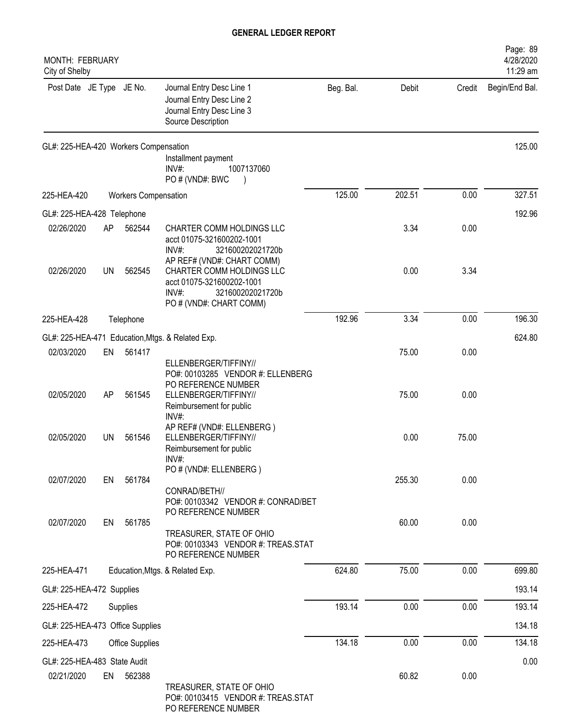| MONTH: FEBRUARY<br>City of Shelby     |    |                             |                                                                                                                                                    |           |        |        | Page: 89<br>4/28/2020<br>11:29 am |
|---------------------------------------|----|-----------------------------|----------------------------------------------------------------------------------------------------------------------------------------------------|-----------|--------|--------|-----------------------------------|
| Post Date JE Type JE No.              |    |                             | Journal Entry Desc Line 1<br>Journal Entry Desc Line 2<br>Journal Entry Desc Line 3<br>Source Description                                          | Beg. Bal. | Debit  | Credit | Begin/End Bal.                    |
| GL#: 225-HEA-420 Workers Compensation |    |                             | Installment payment<br>INV#:<br>1007137060<br>PO # (VND#: BWC                                                                                      |           |        |        | 125.00                            |
| 225-HEA-420                           |    | <b>Workers Compensation</b> |                                                                                                                                                    | 125.00    | 202.51 | 0.00   | 327.51                            |
| GL#: 225-HEA-428 Telephone            |    |                             |                                                                                                                                                    |           |        |        | 192.96                            |
| 02/26/2020                            | AΡ | 562544                      | CHARTER COMM HOLDINGS LLC<br>acct 01075-321600202-1001<br>INV#:<br>321600202021720b<br>AP REF# (VND#: CHART COMM)                                  |           | 3.34   | 0.00   |                                   |
| 02/26/2020                            | UN | 562545                      | CHARTER COMM HOLDINGS LLC<br>acct 01075-321600202-1001<br>$INV#$ :<br>321600202021720b<br>PO # (VND#: CHART COMM)                                  |           | 0.00   | 3.34   |                                   |
| 225-HEA-428                           |    | Telephone                   |                                                                                                                                                    | 192.96    | 3.34   | 0.00   | 196.30                            |
|                                       |    |                             | GL#: 225-HEA-471 Education, Mtgs. & Related Exp.                                                                                                   |           |        |        | 624.80                            |
| 02/03/2020                            | EN | 561417                      | ELLENBERGER/TIFFINY//<br>PO#: 00103285 VENDOR #: ELLENBERG                                                                                         |           | 75.00  | 0.00   |                                   |
| 02/05/2020                            | AP | 561545                      | PO REFERENCE NUMBER<br>ELLENBERGER/TIFFINY//<br>Reimbursement for public<br>INV#:                                                                  |           | 75.00  | 0.00   |                                   |
| 02/05/2020                            | UN | 561546                      | AP REF# (VND#: ELLENBERG)<br>ELLENBERGER/TIFFINY//<br>Reimbursement for public<br>INV#:                                                            |           | 0.00   | 75.00  |                                   |
| 02/07/2020                            | EN | 561784                      | PO # (VND#: ELLENBERG)<br>CONRAD/BETH//                                                                                                            |           | 255.30 | 0.00   |                                   |
| 02/07/2020                            | EN | 561785                      | PO#: 00103342 VENDOR #: CONRAD/BET<br>PO REFERENCE NUMBER<br>TREASURER, STATE OF OHIO<br>PO#: 00103343 VENDOR #: TREAS.STAT<br>PO REFERENCE NUMBER |           | 60.00  | 0.00   |                                   |
| 225-HEA-471                           |    |                             | Education, Mtgs. & Related Exp.                                                                                                                    | 624.80    | 75.00  | 0.00   | 699.80                            |
| GL#: 225-HEA-472 Supplies             |    |                             |                                                                                                                                                    |           |        |        | 193.14                            |
| 225-HEA-472                           |    | Supplies                    |                                                                                                                                                    | 193.14    | 0.00   | 0.00   | 193.14                            |
| GL#: 225-HEA-473 Office Supplies      |    |                             |                                                                                                                                                    |           |        |        | 134.18                            |
| 225-HEA-473                           |    | <b>Office Supplies</b>      |                                                                                                                                                    | 134.18    | 0.00   | 0.00   | 134.18                            |
| GL#: 225-HEA-483 State Audit          |    |                             |                                                                                                                                                    |           |        |        | 0.00                              |
| 02/21/2020                            | EN | 562388                      |                                                                                                                                                    |           | 60.82  | 0.00   |                                   |
|                                       |    |                             | TREASURER, STATE OF OHIO<br>PO#: 00103415 VENDOR #: TREAS.STAT                                                                                     |           |        |        |                                   |

PO REFERENCE NUMBER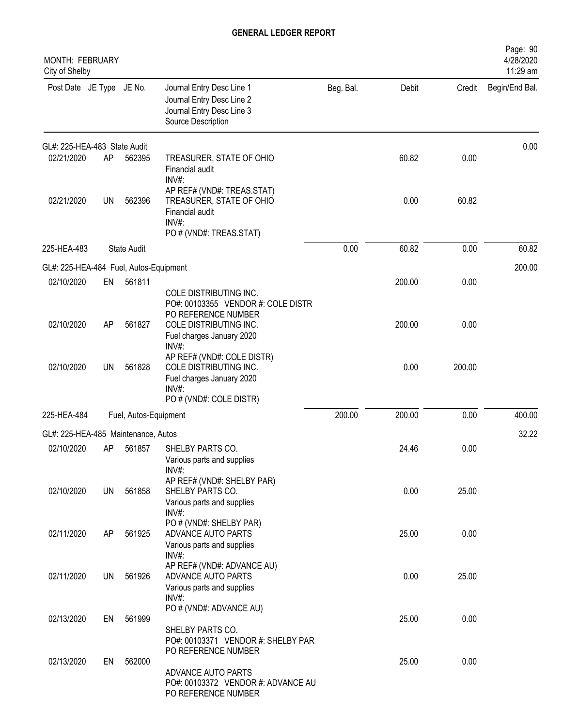| <b>MONTH: FEBRUARY</b><br>City of Shelby |           |                       |                                                                                                                                                                  |           |        |        | Page: 90<br>4/28/2020<br>11:29 am |
|------------------------------------------|-----------|-----------------------|------------------------------------------------------------------------------------------------------------------------------------------------------------------|-----------|--------|--------|-----------------------------------|
| Post Date JE Type JE No.                 |           |                       | Journal Entry Desc Line 1<br>Journal Entry Desc Line 2<br>Journal Entry Desc Line 3<br>Source Description                                                        | Beg. Bal. | Debit  | Credit | Begin/End Bal.                    |
| GL#: 225-HEA-483 State Audit             |           |                       |                                                                                                                                                                  |           |        |        | 0.00                              |
| 02/21/2020                               | AP        | 562395                | TREASURER, STATE OF OHIO<br>Financial audit<br>INV#:                                                                                                             |           | 60.82  | 0.00   |                                   |
| 02/21/2020                               | <b>UN</b> | 562396                | AP REF# (VND#: TREAS.STAT)<br>TREASURER, STATE OF OHIO<br>Financial audit<br>INV#:<br>PO # (VND#: TREAS.STAT)                                                    |           | 0.00   | 60.82  |                                   |
| 225-HEA-483                              |           | <b>State Audit</b>    |                                                                                                                                                                  | 0.00      | 60.82  | 0.00   | 60.82                             |
| GL#: 225-HEA-484 Fuel, Autos-Equipment   |           |                       |                                                                                                                                                                  |           |        |        | 200.00                            |
| 02/10/2020                               | EN        | 561811                |                                                                                                                                                                  |           | 200.00 | 0.00   |                                   |
|                                          |           |                       | COLE DISTRIBUTING INC.<br>PO#: 00103355 VENDOR #: COLE DISTR<br>PO REFERENCE NUMBER                                                                              |           |        |        |                                   |
| 02/10/2020                               | AP        | 561827                | COLE DISTRIBUTING INC.<br>Fuel charges January 2020<br>INV#:                                                                                                     |           | 200.00 | 0.00   |                                   |
| 02/10/2020                               | UN        | 561828                | AP REF# (VND#: COLE DISTR)<br>COLE DISTRIBUTING INC.<br>Fuel charges January 2020<br>INV#:<br>PO # (VND#: COLE DISTR)                                            |           | 0.00   | 200.00 |                                   |
| 225-HEA-484                              |           | Fuel, Autos-Equipment |                                                                                                                                                                  | 200.00    | 200.00 | 0.00   | 400.00                            |
| GL#: 225-HEA-485 Maintenance, Autos      |           |                       |                                                                                                                                                                  |           |        |        | 32.22                             |
| 02/10/2020                               | AP        | 561857                | SHELBY PARTS CO.<br>Various parts and supplies<br>INV#:                                                                                                          |           | 24.46  | 0.00   |                                   |
| 02/10/2020                               | <b>UN</b> | 561858                | AP REF# (VND#: SHELBY PAR)<br>SHELBY PARTS CO.<br>Various parts and supplies<br>$INV#$ :                                                                         |           | 0.00   | 25.00  |                                   |
| 02/11/2020                               | AP        | 561925                | PO # (VND#: SHELBY PAR)<br>ADVANCE AUTO PARTS<br>Various parts and supplies                                                                                      |           | 25.00  | 0.00   |                                   |
| 02/11/2020                               | UN        | 561926                | INV#:<br>AP REF# (VND#: ADVANCE AU)<br>ADVANCE AUTO PARTS<br>Various parts and supplies                                                                          |           | 0.00   | 25.00  |                                   |
| 02/13/2020                               | EN        | 561999                | INV#:<br>PO # (VND#: ADVANCE AU)                                                                                                                                 |           | 25.00  | 0.00   |                                   |
| 02/13/2020                               | EN        | 562000                | SHELBY PARTS CO.<br>PO#: 00103371 VENDOR #: SHELBY PAR<br>PO REFERENCE NUMBER<br>ADVANCE AUTO PARTS<br>PO#: 00103372 VENDOR #: ADVANCE AU<br>PO REFERENCE NUMBER |           | 25.00  | 0.00   |                                   |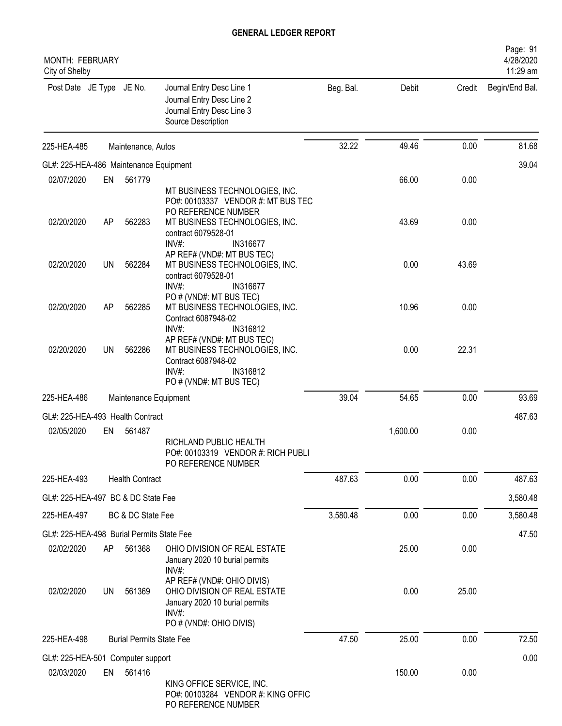| <b>MONTH: FEBRUARY</b><br>City of Shelby       |     |                                 |                                                                                                                                                                           |           |          |        | Page: 91<br>4/28/2020<br>11:29 am |
|------------------------------------------------|-----|---------------------------------|---------------------------------------------------------------------------------------------------------------------------------------------------------------------------|-----------|----------|--------|-----------------------------------|
| Post Date JE Type JE No.                       |     |                                 | Journal Entry Desc Line 1<br>Journal Entry Desc Line 2<br>Journal Entry Desc Line 3<br>Source Description                                                                 | Beg. Bal. | Debit    | Credit | Begin/End Bal.                    |
| 225-HEA-485                                    |     | Maintenance, Autos              |                                                                                                                                                                           | 32.22     | 49.46    | 0.00   | 81.68                             |
| GL#: 225-HEA-486 Maintenance Equipment         |     |                                 |                                                                                                                                                                           |           |          |        | 39.04                             |
| 02/07/2020                                     | EN  | 561779                          |                                                                                                                                                                           |           | 66.00    | 0.00   |                                   |
| 02/20/2020                                     | AP  | 562283                          | MT BUSINESS TECHNOLOGIES, INC.<br>PO#: 00103337 VENDOR #: MT BUS TEC<br>PO REFERENCE NUMBER<br>MT BUSINESS TECHNOLOGIES, INC.<br>contract 6079528-01<br>INV#:<br>IN316677 |           | 43.69    | 0.00   |                                   |
| 02/20/2020                                     | UN  | 562284                          | AP REF# (VND#: MT BUS TEC)<br>MT BUSINESS TECHNOLOGIES, INC.<br>contract 6079528-01<br>IN316677<br>INV#                                                                   |           | 0.00     | 43.69  |                                   |
| 02/20/2020                                     | AP  | 562285                          | PO # (VND#: MT BUS TEC)<br>MT BUSINESS TECHNOLOGIES, INC.<br>Contract 6087948-02                                                                                          |           | 10.96    | 0.00   |                                   |
| 02/20/2020                                     | UN  | 562286                          | INV#:<br>IN316812<br>AP REF# (VND#: MT BUS TEC)<br>MT BUSINESS TECHNOLOGIES, INC.<br>Contract 6087948-02<br>$INV#$ :<br>IN316812<br>PO # (VND#: MT BUS TEC)               |           | 0.00     | 22.31  |                                   |
| 225-HEA-486                                    |     | Maintenance Equipment           |                                                                                                                                                                           | 39.04     | 54.65    | 0.00   | 93.69                             |
|                                                |     |                                 |                                                                                                                                                                           |           |          |        |                                   |
| GL#: 225-HEA-493 Health Contract<br>02/05/2020 | EN  | 561487                          |                                                                                                                                                                           |           | 1,600.00 | 0.00   | 487.63                            |
|                                                |     |                                 | RICHLAND PUBLIC HEALTH<br>PO#: 00103319 VENDOR #: RICH PUBLI<br>PO REFERENCE NUMBER                                                                                       |           |          |        |                                   |
| 225-HEA-493                                    |     | <b>Health Contract</b>          |                                                                                                                                                                           | 487.63    | 0.00     | 0.00   | 487.63                            |
| GL#: 225-HEA-497 BC & DC State Fee             |     |                                 |                                                                                                                                                                           |           |          |        | 3,580.48                          |
| 225-HEA-497                                    |     | BC & DC State Fee               |                                                                                                                                                                           | 3,580.48  | 0.00     | 0.00   | 3,580.48                          |
| GL#: 225-HEA-498 Burial Permits State Fee      |     |                                 |                                                                                                                                                                           |           |          |        | 47.50                             |
| 02/02/2020                                     | AP. | 561368                          | OHIO DIVISION OF REAL ESTATE<br>January 2020 10 burial permits<br>INV#:                                                                                                   |           | 25.00    | 0.00   |                                   |
| 02/02/2020                                     | UN  | 561369                          | AP REF# (VND#: OHIO DIVIS)<br>OHIO DIVISION OF REAL ESTATE<br>January 2020 10 burial permits<br>INV#:<br>PO # (VND#: OHIO DIVIS)                                          |           | 0.00     | 25.00  |                                   |
| 225-HEA-498                                    |     | <b>Burial Permits State Fee</b> |                                                                                                                                                                           | 47.50     | 25.00    | 0.00   | 72.50                             |
| GL#: 225-HEA-501 Computer support              |     |                                 |                                                                                                                                                                           |           |          |        | 0.00                              |
| 02/03/2020                                     | EN  | 561416                          | KING OFFICE SERVICE, INC.<br>PO#: 00103284 VENDOR #: KING OFFIC<br>PO REFERENCE NUMBER                                                                                    |           | 150.00   | 0.00   |                                   |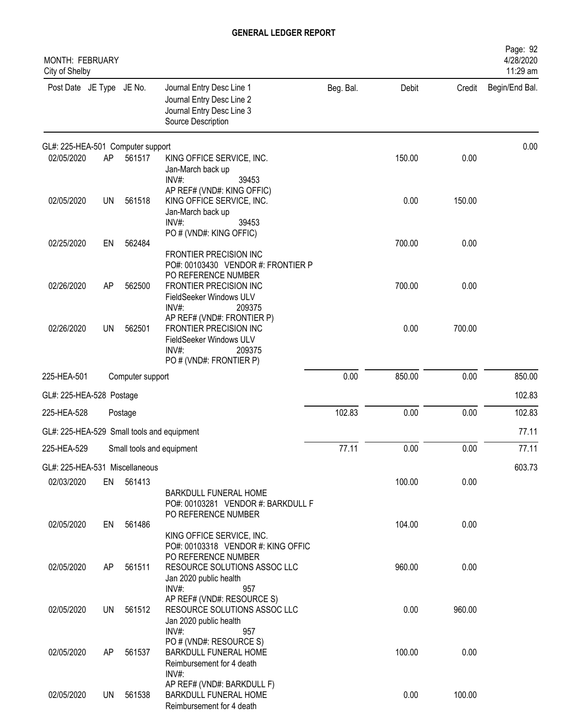| MONTH: FEBRUARY<br>City of Shelby          |           |                  |                                                                                                                                  |           |        |        | Page: 92<br>4/28/2020<br>11:29 am |
|--------------------------------------------|-----------|------------------|----------------------------------------------------------------------------------------------------------------------------------|-----------|--------|--------|-----------------------------------|
| Post Date JE Type JE No.                   |           |                  | Journal Entry Desc Line 1<br>Journal Entry Desc Line 2<br>Journal Entry Desc Line 3<br>Source Description                        | Beg. Bal. | Debit  | Credit | Begin/End Bal.                    |
| GL#: 225-HEA-501 Computer support          |           |                  |                                                                                                                                  |           |        |        | 0.00                              |
| 02/05/2020                                 | AP        | 561517           | KING OFFICE SERVICE, INC.<br>Jan-March back up<br>INV#:<br>39453                                                                 |           | 150.00 | 0.00   |                                   |
| 02/05/2020                                 | <b>UN</b> | 561518           | AP REF# (VND#: KING OFFIC)<br>KING OFFICE SERVICE, INC.<br>Jan-March back up<br>$INV#$ :<br>39453                                |           | 0.00   | 150.00 |                                   |
| 02/25/2020                                 | EN        | 562484           | PO # (VND#: KING OFFIC)<br>FRONTIER PRECISION INC<br>PO#: 00103430 VENDOR #: FRONTIER P                                          |           | 700.00 | 0.00   |                                   |
| 02/26/2020                                 | AP        | 562500           | PO REFERENCE NUMBER<br>FRONTIER PRECISION INC<br>FieldSeeker Windows ULV<br>INV#:<br>209375                                      |           | 700.00 | 0.00   |                                   |
| 02/26/2020                                 | <b>UN</b> | 562501           | AP REF# (VND#: FRONTIER P)<br>FRONTIER PRECISION INC<br>FieldSeeker Windows ULV<br>$INV#$ :<br>209375<br>PO # (VND#: FRONTIER P) |           | 0.00   | 700.00 |                                   |
| 225-HEA-501                                |           | Computer support |                                                                                                                                  | 0.00      | 850.00 | 0.00   | 850.00                            |
| GL#: 225-HEA-528 Postage                   |           |                  |                                                                                                                                  |           |        |        | 102.83                            |
| 225-HEA-528                                |           | Postage          |                                                                                                                                  | 102.83    | 0.00   | 0.00   | 102.83                            |
| GL#: 225-HEA-529 Small tools and equipment |           |                  |                                                                                                                                  |           |        |        | 77.11                             |
| 225-HEA-529                                |           |                  | Small tools and equipment                                                                                                        | 77.11     | 0.00   | 0.00   | 77.11                             |
| GL#: 225-HEA-531 Miscellaneous             |           |                  |                                                                                                                                  |           |        |        | 603.73                            |
| 02/03/2020                                 |           | EN 561413        | <b>BARKDULL FUNERAL HOME</b><br>PO#: 00103281 VENDOR #: BARKDULL F<br>PO REFERENCE NUMBER                                        |           | 100.00 | 0.00   |                                   |
| 02/05/2020                                 | EN        | 561486           | KING OFFICE SERVICE, INC.<br>PO#: 00103318 VENDOR #: KING OFFIC                                                                  |           | 104.00 | 0.00   |                                   |
| 02/05/2020                                 | AP        | 561511           | PO REFERENCE NUMBER<br>RESOURCE SOLUTIONS ASSOC LLC<br>Jan 2020 public health<br>$INV#$ :<br>957                                 |           | 960.00 | 0.00   |                                   |
| 02/05/2020                                 | UN        | 561512           | AP REF# (VND#: RESOURCE S)<br>RESOURCE SOLUTIONS ASSOC LLC<br>Jan 2020 public health<br>INV#:<br>957                             |           | 0.00   | 960.00 |                                   |
| 02/05/2020                                 | AP        | 561537           | PO # (VND#: RESOURCE S)<br><b>BARKDULL FUNERAL HOME</b><br>Reimbursement for 4 death                                             |           | 100.00 | 0.00   |                                   |
| 02/05/2020                                 | UN        | 561538           | INV#:<br>AP REF# (VND#: BARKDULL F)<br><b>BARKDULL FUNERAL HOME</b><br>Reimbursement for 4 death                                 |           | 0.00   | 100.00 |                                   |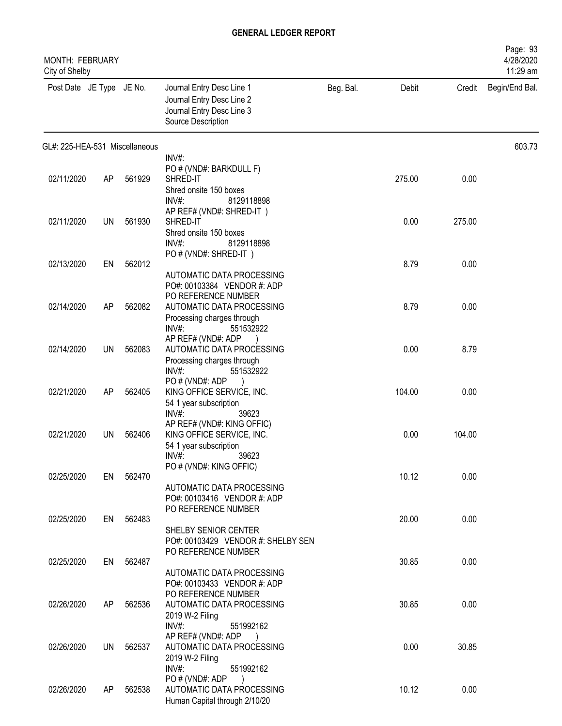| MONTH: FEBRUARY<br>City of Shelby |     |           |                                                                                                           |           |        |        | Page: 93<br>4/28/2020<br>11:29 am |
|-----------------------------------|-----|-----------|-----------------------------------------------------------------------------------------------------------|-----------|--------|--------|-----------------------------------|
| Post Date JE Type JE No.          |     |           | Journal Entry Desc Line 1<br>Journal Entry Desc Line 2<br>Journal Entry Desc Line 3<br>Source Description | Beg. Bal. | Debit  | Credit | Begin/End Bal.                    |
| GL#: 225-HEA-531 Miscellaneous    |     |           |                                                                                                           |           |        |        | 603.73                            |
|                                   |     |           | INV#:                                                                                                     |           |        |        |                                   |
| 02/11/2020                        | AP  | 561929    | PO # (VND#: BARKDULL F)<br>SHRED-IT                                                                       |           | 275.00 | 0.00   |                                   |
|                                   |     |           | Shred onsite 150 boxes                                                                                    |           |        |        |                                   |
|                                   |     |           | $INV#$ :<br>8129118898                                                                                    |           |        |        |                                   |
|                                   |     |           | AP REF# (VND#: SHRED-IT)                                                                                  |           |        |        |                                   |
| 02/11/2020                        | UN  | 561930    | SHRED-IT                                                                                                  |           | 0.00   | 275.00 |                                   |
|                                   |     |           | Shred onsite 150 boxes                                                                                    |           |        |        |                                   |
|                                   |     |           | INV#<br>8129118898                                                                                        |           |        |        |                                   |
| 02/13/2020                        | EN  | 562012    | PO#(VND#: SHRED-IT)                                                                                       |           | 8.79   | 0.00   |                                   |
|                                   |     |           | AUTOMATIC DATA PROCESSING                                                                                 |           |        |        |                                   |
|                                   |     |           | PO#: 00103384 VENDOR #: ADP                                                                               |           |        |        |                                   |
|                                   |     |           | PO REFERENCE NUMBER                                                                                       |           |        |        |                                   |
| 02/14/2020                        | AP  | 562082    | AUTOMATIC DATA PROCESSING                                                                                 |           | 8.79   | 0.00   |                                   |
|                                   |     |           | Processing charges through<br>INV#:<br>551532922                                                          |           |        |        |                                   |
|                                   |     |           | AP REF# (VND#: ADP                                                                                        |           |        |        |                                   |
| 02/14/2020                        | UN  | 562083    | AUTOMATIC DATA PROCESSING                                                                                 |           | 0.00   | 8.79   |                                   |
|                                   |     |           | Processing charges through                                                                                |           |        |        |                                   |
|                                   |     |           | INV#<br>551532922                                                                                         |           |        |        |                                   |
| 02/21/2020                        | AP  | 562405    | PO#(VND#: ADP<br>KING OFFICE SERVICE, INC.                                                                |           | 104.00 | 0.00   |                                   |
|                                   |     |           | 54 1 year subscription                                                                                    |           |        |        |                                   |
|                                   |     |           | INV#<br>39623                                                                                             |           |        |        |                                   |
|                                   |     |           | AP REF# (VND#: KING OFFIC)                                                                                |           |        |        |                                   |
| 02/21/2020                        | UN  | 562406    | KING OFFICE SERVICE, INC.                                                                                 |           | 0.00   | 104.00 |                                   |
|                                   |     |           | 54 1 year subscription<br>INV#<br>39623                                                                   |           |        |        |                                   |
|                                   |     |           | PO # (VND#: KING OFFIC)                                                                                   |           |        |        |                                   |
| 02/25/2020                        | EN  | 562470    |                                                                                                           |           | 10.12  | 0.00   |                                   |
|                                   |     |           | AUTOMATIC DATA PROCESSING                                                                                 |           |        |        |                                   |
|                                   |     |           | PO#: 00103416 VENDOR #: ADP                                                                               |           |        |        |                                   |
| 02/25/2020                        |     | EN 562483 | PO REFERENCE NUMBER                                                                                       |           | 20.00  | 0.00   |                                   |
|                                   |     |           | SHELBY SENIOR CENTER                                                                                      |           |        |        |                                   |
|                                   |     |           | PO#: 00103429 VENDOR #: SHELBY SEN                                                                        |           |        |        |                                   |
|                                   |     |           | PO REFERENCE NUMBER                                                                                       |           |        |        |                                   |
| 02/25/2020                        |     | EN 562487 |                                                                                                           |           | 30.85  | 0.00   |                                   |
|                                   |     |           | AUTOMATIC DATA PROCESSING<br>PO#: 00103433 VENDOR #: ADP                                                  |           |        |        |                                   |
|                                   |     |           | PO REFERENCE NUMBER                                                                                       |           |        |        |                                   |
| 02/26/2020                        | AP  | 562536    | AUTOMATIC DATA PROCESSING                                                                                 |           | 30.85  | 0.00   |                                   |
|                                   |     |           | 2019 W-2 Filing                                                                                           |           |        |        |                                   |
|                                   |     |           | INV#:<br>551992162                                                                                        |           |        |        |                                   |
| 02/26/2020                        | UN  | 562537    | AP REF# (VND#: ADP)<br>AUTOMATIC DATA PROCESSING                                                          |           | 0.00   | 30.85  |                                   |
|                                   |     |           | 2019 W-2 Filing                                                                                           |           |        |        |                                   |
|                                   |     |           | INV#:<br>551992162                                                                                        |           |        |        |                                   |
|                                   |     |           | PO # (VND#: ADP                                                                                           |           |        |        |                                   |
| 02/26/2020                        | AP. | 562538    | AUTOMATIC DATA PROCESSING                                                                                 |           | 10.12  | 0.00   |                                   |
|                                   |     |           | Human Capital through 2/10/20                                                                             |           |        |        |                                   |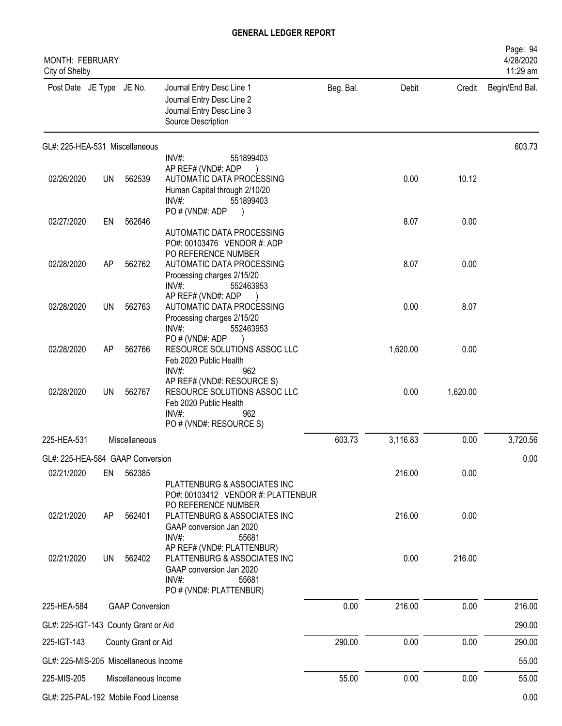| <b>MONTH: FEBRUARY</b><br>City of Shelby       |           |                        |                                                                                                                                            |           |          |          | Page: 94<br>4/28/2020<br>11:29 am |
|------------------------------------------------|-----------|------------------------|--------------------------------------------------------------------------------------------------------------------------------------------|-----------|----------|----------|-----------------------------------|
| Post Date JE Type JE No.                       |           |                        | Journal Entry Desc Line 1<br>Journal Entry Desc Line 2<br>Journal Entry Desc Line 3<br>Source Description                                  | Beg. Bal. | Debit    |          | Credit Begin/End Bal.             |
| GL#: 225-HEA-531 Miscellaneous                 |           |                        |                                                                                                                                            |           |          |          | 603.73                            |
| 02/26/2020                                     | <b>UN</b> | 562539                 | INV#:<br>551899403<br>AP REF# (VND#: ADP<br>AUTOMATIC DATA PROCESSING<br>Human Capital through 2/10/20<br>$INV#$ :<br>551899403            |           | 0.00     | 10.12    |                                   |
| 02/27/2020                                     | EN        | 562646                 | PO # (VND#: ADP                                                                                                                            |           | 8.07     | 0.00     |                                   |
| 02/28/2020                                     | AP        | 562762                 | AUTOMATIC DATA PROCESSING<br>PO#: 00103476 VENDOR #: ADP<br>PO REFERENCE NUMBER<br>AUTOMATIC DATA PROCESSING<br>Processing charges 2/15/20 |           | 8.07     | 0.00     |                                   |
| 02/28/2020                                     | <b>UN</b> | 562763                 | $INV#$ :<br>552463953<br>AP REF# (VND#: ADP<br>AUTOMATIC DATA PROCESSING<br>Processing charges 2/15/20                                     |           | 0.00     | 8.07     |                                   |
| 02/28/2020                                     | AP        | 562766                 | $INV#$ :<br>552463953<br>PO # (VND#: ADP<br>RESOURCE SOLUTIONS ASSOC LLC<br>Feb 2020 Public Health                                         |           | 1,620.00 | 0.00     |                                   |
| 02/28/2020                                     | UN        | 562767                 | INV#<br>962<br>AP REF# (VND#: RESOURCE S)<br>RESOURCE SOLUTIONS ASSOC LLC<br>Feb 2020 Public Health<br>$INV#$ :<br>962                     |           | 0.00     | 1,620.00 |                                   |
| 225-HEA-531                                    |           | Miscellaneous          | PO # (VND#: RESOURCE S)                                                                                                                    | 603.73    | 3,116.83 | 0.00     | 3,720.56                          |
|                                                |           |                        |                                                                                                                                            |           |          |          |                                   |
| GL#: 225-HEA-584 GAAP Conversion<br>02/21/2020 | EN        | 562385                 |                                                                                                                                            |           | 216.00   | 0.00     | 0.00                              |
|                                                |           |                        | PLATTENBURG & ASSOCIATES INC<br>PO#: 00103412 VENDOR #: PLATTENBUR<br>PO REFERENCE NUMBER                                                  |           |          |          |                                   |
| 02/21/2020                                     | AP        | 562401                 | PLATTENBURG & ASSOCIATES INC<br>GAAP conversion Jan 2020<br>55681<br>INV#:                                                                 |           | 216.00   | 0.00     |                                   |
| 02/21/2020                                     | <b>UN</b> | 562402                 | AP REF# (VND#: PLATTENBUR)<br>PLATTENBURG & ASSOCIATES INC<br>GAAP conversion Jan 2020<br>$INV#$ :<br>55681<br>PO # (VND#: PLATTENBUR)     |           | 0.00     | 216.00   |                                   |
| 225-HEA-584                                    |           | <b>GAAP Conversion</b> |                                                                                                                                            | 0.00      | 216.00   | 0.00     | 216.00                            |
| GL#: 225-IGT-143 County Grant or Aid           |           |                        |                                                                                                                                            |           |          |          | 290.00                            |
| 225-IGT-143                                    |           | County Grant or Aid    |                                                                                                                                            | 290.00    | 0.00     | 0.00     | 290.00                            |
| GL#: 225-MIS-205 Miscellaneous Income          |           |                        |                                                                                                                                            |           |          |          | 55.00                             |
| 225-MIS-205                                    |           | Miscellaneous Income   |                                                                                                                                            | 55.00     | 0.00     | 0.00     | 55.00                             |
| GL#: 225-PAL-192 Mobile Food License           |           |                        |                                                                                                                                            |           |          |          | 0.00                              |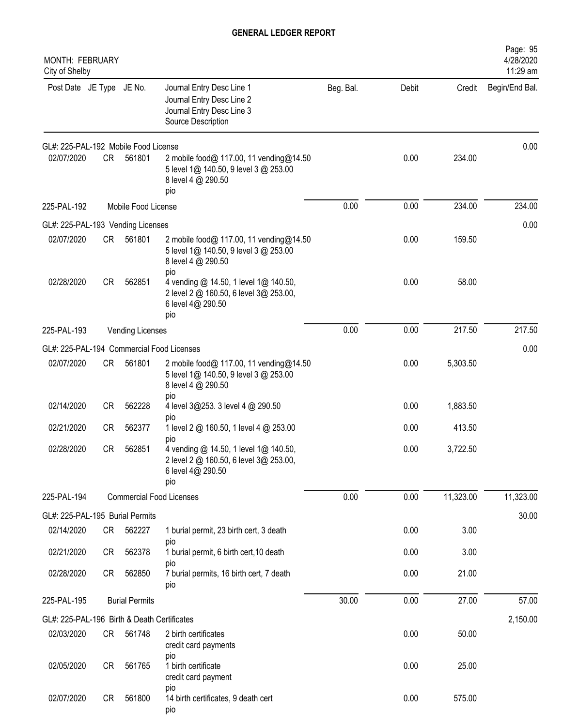| MONTH: FEBRUARY<br>City of Shelby           |           |                       |                                                                                                                    |           |       |           | Page: 95<br>4/28/2020<br>11:29 am |
|---------------------------------------------|-----------|-----------------------|--------------------------------------------------------------------------------------------------------------------|-----------|-------|-----------|-----------------------------------|
| Post Date JE Type JE No.                    |           |                       | Journal Entry Desc Line 1<br>Journal Entry Desc Line 2<br>Journal Entry Desc Line 3<br>Source Description          | Beg. Bal. | Debit | Credit    | Begin/End Bal.                    |
| GL#: 225-PAL-192 Mobile Food License        |           |                       |                                                                                                                    |           |       |           | 0.00                              |
| 02/07/2020                                  | CR        | 561801                | 2 mobile food@ 117.00, 11 vending@14.50<br>5 level 1@ 140.50, 9 level 3 @ 253.00<br>8 level 4 @ 290.50<br>pio      |           | 0.00  | 234.00    |                                   |
| 225-PAL-192                                 |           | Mobile Food License   |                                                                                                                    | 0.00      | 0.00  | 234.00    | 234.00                            |
| GL#: 225-PAL-193 Vending Licenses           |           |                       |                                                                                                                    |           |       |           | 0.00                              |
| 02/07/2020                                  | <b>CR</b> | 561801                | 2 mobile food@ 117.00, 11 vending@14.50<br>5 level 1@ 140.50, 9 level 3 @ 253.00<br>8 level 4 @ 290.50<br>pio      |           | 0.00  | 159.50    |                                   |
| 02/28/2020                                  | <b>CR</b> | 562851                | 4 vending @ 14.50, 1 level 1@ 140.50,<br>2 level 2 @ 160.50, 6 level 3@ 253.00,<br>6 level 4@ 290.50<br>pio        |           | 0.00  | 58.00     |                                   |
| 225-PAL-193                                 |           | Vending Licenses      |                                                                                                                    | 0.00      | 0.00  | 217.50    | 217.50                            |
| GL#: 225-PAL-194 Commercial Food Licenses   |           |                       |                                                                                                                    |           |       |           | 0.00                              |
| 02/07/2020                                  | CR        | 561801                | 2 mobile food@ 117.00, 11 vending@14.50<br>5 level 1@ 140.50, 9 level 3 @ 253.00<br>8 level 4 @ 290.50             |           | 0.00  | 5,303.50  |                                   |
| 02/14/2020                                  | <b>CR</b> | 562228                | pio<br>4 level 3@253. 3 level 4 @ 290.50<br>pio                                                                    |           | 0.00  | 1,883.50  |                                   |
| 02/21/2020                                  | <b>CR</b> | 562377                | 1 level 2 @ 160.50, 1 level 4 @ 253.00                                                                             |           | 0.00  | 413.50    |                                   |
| 02/28/2020                                  | <b>CR</b> | 562851                | pio<br>4 vending @ 14.50, 1 level 1@ 140.50,<br>2 level 2 @ 160.50, 6 level 3@ 253.00,<br>6 level 4@ 290.50<br>pio |           | 0.00  | 3,722.50  |                                   |
| 225-PAL-194                                 |           |                       | <b>Commercial Food Licenses</b>                                                                                    | 0.00      | 0.00  | 11,323.00 | 11,323.00                         |
| GL#: 225-PAL-195 Burial Permits             |           |                       |                                                                                                                    |           |       |           | 30.00                             |
| 02/14/2020                                  | CR        | 562227                | 1 burial permit, 23 birth cert, 3 death<br>pio                                                                     |           | 0.00  | 3.00      |                                   |
| 02/21/2020                                  | CR        | 562378                | 1 burial permit, 6 birth cert, 10 death                                                                            |           | 0.00  | 3.00      |                                   |
| 02/28/2020                                  | CR        | 562850                | pio<br>7 burial permits, 16 birth cert, 7 death<br>pio                                                             |           | 0.00  | 21.00     |                                   |
| 225-PAL-195                                 |           | <b>Burial Permits</b> |                                                                                                                    | 30.00     | 0.00  | 27.00     | 57.00                             |
| GL#: 225-PAL-196 Birth & Death Certificates |           |                       |                                                                                                                    |           |       |           | 2,150.00                          |
| 02/03/2020                                  | CR        | 561748                | 2 birth certificates<br>credit card payments                                                                       |           | 0.00  | 50.00     |                                   |
| 02/05/2020                                  | <b>CR</b> | 561765                | pio<br>1 birth certificate<br>credit card payment                                                                  |           | 0.00  | 25.00     |                                   |
| 02/07/2020                                  | <b>CR</b> | 561800                | pio<br>14 birth certificates, 9 death cert<br>pio                                                                  |           | 0.00  | 575.00    |                                   |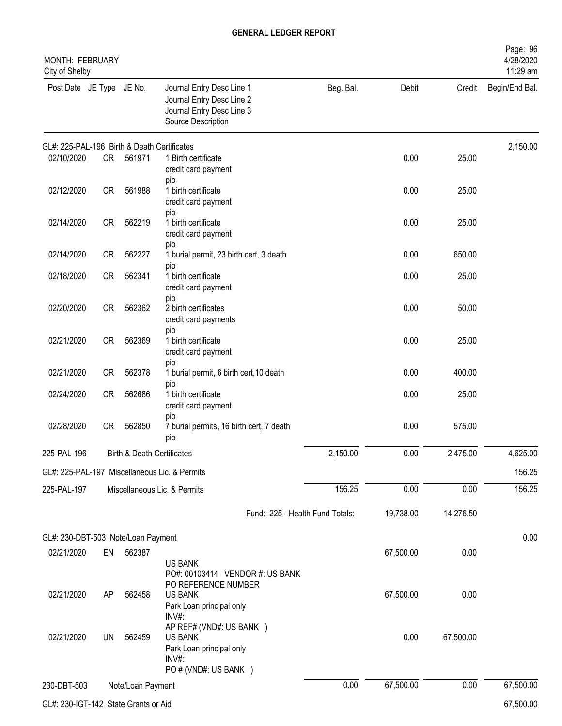| MONTH: FEBRUARY<br>City of Shelby           |           |                                       |                                                                                                           |           |           |           | Page: 96<br>4/28/2020<br>11:29 am |
|---------------------------------------------|-----------|---------------------------------------|-----------------------------------------------------------------------------------------------------------|-----------|-----------|-----------|-----------------------------------|
| Post Date JE Type JE No.                    |           |                                       | Journal Entry Desc Line 1<br>Journal Entry Desc Line 2<br>Journal Entry Desc Line 3<br>Source Description | Beg. Bal. | Debit     | Credit    | Begin/End Bal.                    |
| GL#: 225-PAL-196 Birth & Death Certificates |           |                                       |                                                                                                           |           |           |           | 2,150.00                          |
| 02/10/2020                                  | CR        | 561971                                | 1 Birth certificate<br>credit card payment<br>pio                                                         |           | 0.00      | 25.00     |                                   |
| 02/12/2020                                  | CR        | 561988                                | 1 birth certificate<br>credit card payment<br>pio                                                         |           | 0.00      | 25.00     |                                   |
| 02/14/2020                                  | CR        | 562219                                | 1 birth certificate<br>credit card payment<br>pio                                                         |           | 0.00      | 25.00     |                                   |
| 02/14/2020                                  | <b>CR</b> | 562227                                | 1 burial permit, 23 birth cert, 3 death                                                                   |           | 0.00      | 650.00    |                                   |
| 02/18/2020                                  | <b>CR</b> | 562341                                | pio<br>1 birth certificate<br>credit card payment<br>pio                                                  |           | 0.00      | 25.00     |                                   |
| 02/20/2020                                  | <b>CR</b> | 562362                                | 2 birth certificates<br>credit card payments                                                              |           | 0.00      | 50.00     |                                   |
| 02/21/2020                                  | <b>CR</b> | 562369                                | pio<br>1 birth certificate<br>credit card payment                                                         |           | 0.00      | 25.00     |                                   |
| 02/21/2020                                  | <b>CR</b> | 562378                                | pio<br>1 burial permit, 6 birth cert, 10 death                                                            |           | 0.00      | 400.00    |                                   |
| 02/24/2020                                  | <b>CR</b> | 562686                                | pio<br>1 birth certificate<br>credit card payment                                                         |           | 0.00      | 25.00     |                                   |
| 02/28/2020                                  | <b>CR</b> | 562850                                | pio<br>7 burial permits, 16 birth cert, 7 death<br>pio                                                    |           | 0.00      | 575.00    |                                   |
| 225-PAL-196                                 |           | <b>Birth &amp; Death Certificates</b> |                                                                                                           | 2,150.00  | 0.00      | 2,475.00  | 4,625.00                          |
|                                             |           |                                       | GL#: 225-PAL-197 Miscellaneous Lic. & Permits                                                             |           |           |           | 156.25                            |
| 225-PAL-197                                 |           |                                       | Miscellaneous Lic. & Permits                                                                              | 156.25    | 0.00      | 0.00      | 156.25                            |
|                                             |           |                                       | Fund: 225 - Health Fund Totals:                                                                           |           | 19,738.00 | 14,276.50 |                                   |
| GL#: 230-DBT-503 Note/Loan Payment          |           |                                       |                                                                                                           |           |           |           | 0.00                              |
| 02/21/2020                                  | EN        | 562387                                | <b>US BANK</b><br>PO#: 00103414 VENDOR #: US BANK                                                         |           | 67,500.00 | 0.00      |                                   |
| 02/21/2020                                  | AP        | 562458                                | PO REFERENCE NUMBER<br><b>US BANK</b><br>Park Loan principal only<br>$INV#$ :                             |           | 67,500.00 | 0.00      |                                   |
| 02/21/2020                                  | UN        | 562459                                | AP REF# (VND#: US BANK )<br><b>US BANK</b><br>Park Loan principal only<br>INV#:<br>PO # (VND#: US BANK )  |           | 0.00      | 67,500.00 |                                   |
| 230-DBT-503                                 |           | Note/Loan Payment                     |                                                                                                           | 0.00      | 67,500.00 | 0.00      | 67,500.00                         |
| GL#: 230-IGT-142 State Grants or Aid        |           |                                       |                                                                                                           |           |           |           | 67,500.00                         |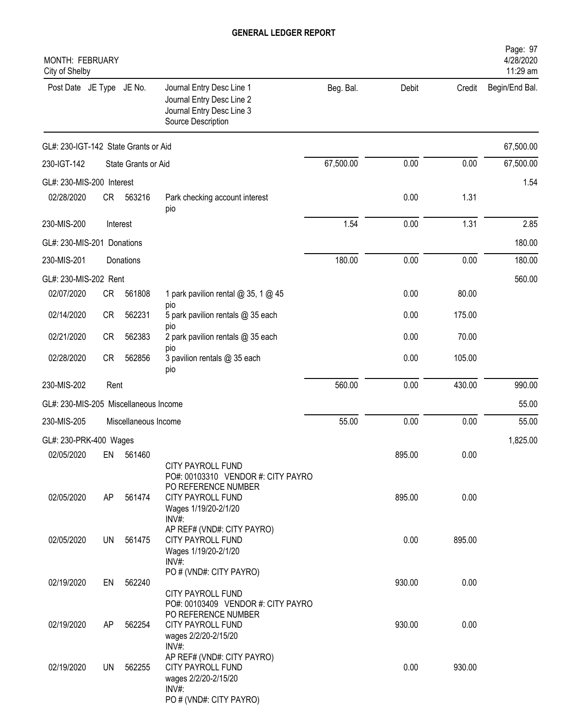| <b>MONTH: FEBRUARY</b><br>City of Shelby |           |                      |                                                                                                                        |           |        |        | Page: 97<br>4/28/2020<br>11:29 am |
|------------------------------------------|-----------|----------------------|------------------------------------------------------------------------------------------------------------------------|-----------|--------|--------|-----------------------------------|
| Post Date JE Type JE No.                 |           |                      | Journal Entry Desc Line 1<br>Journal Entry Desc Line 2<br>Journal Entry Desc Line 3<br>Source Description              | Beg. Bal. | Debit  | Credit | Begin/End Bal.                    |
| GL#: 230-IGT-142 State Grants or Aid     |           |                      |                                                                                                                        |           |        |        | 67,500.00                         |
| 230-IGT-142                              |           | State Grants or Aid  |                                                                                                                        | 67,500.00 | 0.00   | 0.00   | 67,500.00                         |
| GL#: 230-MIS-200 Interest                |           |                      |                                                                                                                        |           |        |        | 1.54                              |
| 02/28/2020                               | CR        | 563216               | Park checking account interest<br>pio                                                                                  |           | 0.00   | 1.31   |                                   |
| 230-MIS-200                              |           | Interest             |                                                                                                                        | 1.54      | 0.00   | 1.31   | 2.85                              |
| GL#: 230-MIS-201 Donations               |           |                      |                                                                                                                        |           |        |        | 180.00                            |
| 230-MIS-201                              |           | Donations            |                                                                                                                        | 180.00    | 0.00   | 0.00   | 180.00                            |
| GL#: 230-MIS-202 Rent                    |           |                      |                                                                                                                        |           |        |        | 560.00                            |
| 02/07/2020                               | <b>CR</b> | 561808               | 1 park pavilion rental @ 35, 1 @ 45                                                                                    |           | 0.00   | 80.00  |                                   |
| 02/14/2020                               | <b>CR</b> | 562231               | pio<br>5 park pavilion rentals @ 35 each<br>pio                                                                        |           | 0.00   | 175.00 |                                   |
| 02/21/2020                               | <b>CR</b> | 562383               | 2 park pavilion rentals @ 35 each                                                                                      |           | 0.00   | 70.00  |                                   |
| 02/28/2020                               | <b>CR</b> | 562856               | pio<br>3 pavilion rentals @ 35 each<br>pio                                                                             |           | 0.00   | 105.00 |                                   |
| 230-MIS-202                              | Rent      |                      |                                                                                                                        | 560.00    | 0.00   | 430.00 | 990.00                            |
| GL#: 230-MIS-205 Miscellaneous Income    |           |                      |                                                                                                                        |           |        |        | 55.00                             |
| 230-MIS-205                              |           | Miscellaneous Income |                                                                                                                        | 55.00     | 0.00   | 0.00   | 55.00                             |
| GL#: 230-PRK-400 Wages                   |           |                      |                                                                                                                        |           |        |        | 1,825.00                          |
| 02/05/2020                               |           | EN 561460            | CITY PAYROLL FUND                                                                                                      |           | 895.00 | 0.00   |                                   |
| 02/05/2020                               | AP        | 561474               | PO#: 00103310 VENDOR #: CITY PAYRO<br>PO REFERENCE NUMBER<br><b>CITY PAYROLL FUND</b><br>Wages 1/19/20-2/1/20<br>INV#: |           | 895.00 | 0.00   |                                   |
| 02/05/2020                               | UN        | 561475               | AP REF# (VND#: CITY PAYRO)<br><b>CITY PAYROLL FUND</b><br>Wages 1/19/20-2/1/20<br>$INV#$ :                             |           | 0.00   | 895.00 |                                   |
| 02/19/2020                               | EN        | 562240               | PO # (VND#: CITY PAYRO)<br>CITY PAYROLL FUND                                                                           |           | 930.00 | 0.00   |                                   |
| 02/19/2020                               | AP        | 562254               | PO#: 00103409 VENDOR #: CITY PAYRO<br>PO REFERENCE NUMBER<br><b>CITY PAYROLL FUND</b><br>wages 2/2/20-2/15/20<br>INV#: |           | 930.00 | 0.00   |                                   |
| 02/19/2020                               | <b>UN</b> | 562255               | AP REF# (VND#: CITY PAYRO)<br>CITY PAYROLL FUND<br>wages 2/2/20-2/15/20<br>INV#:                                       |           | 0.00   | 930.00 |                                   |
|                                          |           |                      | PO # (VND#: CITY PAYRO)                                                                                                |           |        |        |                                   |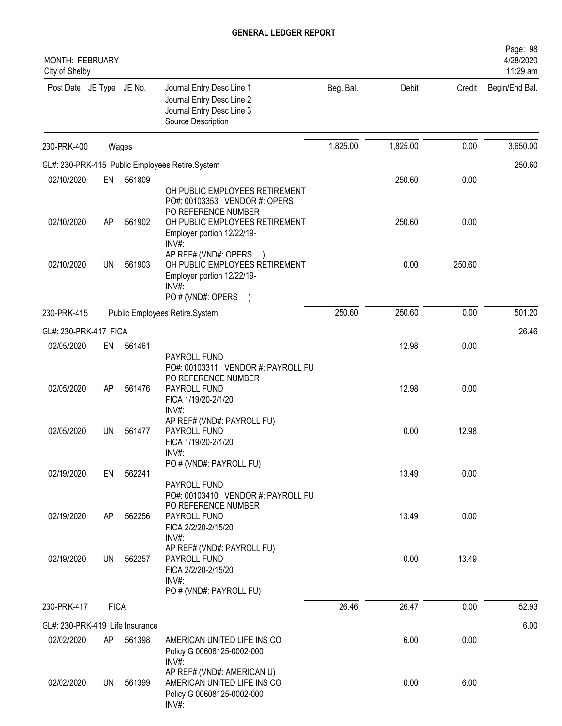| MONTH: FEBRUARY<br>City of Shelby |             |        |                                                                                                                                                        |           |          |        | Page: 98<br>4/28/2020<br>11:29 am |
|-----------------------------------|-------------|--------|--------------------------------------------------------------------------------------------------------------------------------------------------------|-----------|----------|--------|-----------------------------------|
| Post Date JE Type JE No.          |             |        | Journal Entry Desc Line 1<br>Journal Entry Desc Line 2<br>Journal Entry Desc Line 3<br>Source Description                                              | Beg. Bal. | Debit    | Credit | Begin/End Bal.                    |
| 230-PRK-400                       |             | Wages  |                                                                                                                                                        | 1,825.00  | 1,825.00 | 0.00   | 3,650.00                          |
|                                   |             |        | GL#: 230-PRK-415 Public Employees Retire.System                                                                                                        |           |          |        | 250.60                            |
| 02/10/2020                        | EN          | 561809 |                                                                                                                                                        |           | 250.60   | 0.00   |                                   |
| 02/10/2020                        | AP          | 561902 | OH PUBLIC EMPLOYEES RETIREMENT<br>PO#: 00103353 VENDOR #: OPERS<br>PO REFERENCE NUMBER<br>OH PUBLIC EMPLOYEES RETIREMENT<br>Employer portion 12/22/19- |           | 250.60   | 0.00   |                                   |
| 02/10/2020                        | UN          | 561903 | INV#:<br>AP REF# (VND#: OPERS<br>OH PUBLIC EMPLOYEES RETIREMENT<br>Employer portion 12/22/19-<br>INV#                                                  |           | 0.00     | 250.60 |                                   |
|                                   |             |        | PO # (VND#: OPERS<br>$\lambda$                                                                                                                         |           |          |        |                                   |
| 230-PRK-415                       |             |        | Public Employees Retire.System                                                                                                                         | 250.60    | 250.60   | 0.00   | 501.20                            |
| GL#: 230-PRK-417 FICA             |             |        |                                                                                                                                                        |           |          |        | 26.46                             |
| 02/05/2020                        | EN          | 561461 |                                                                                                                                                        |           | 12.98    | 0.00   |                                   |
| 02/05/2020                        | AP          | 561476 | PAYROLL FUND<br>PO#: 00103311 VENDOR #: PAYROLL FU<br>PO REFERENCE NUMBER<br>PAYROLL FUND<br>FICA 1/19/20-2/1/20                                       |           | 12.98    | 0.00   |                                   |
| 02/05/2020                        | UN          | 561477 | INV#:<br>AP REF# (VND#: PAYROLL FU)<br>PAYROLL FUND<br>FICA 1/19/20-2/1/20<br>INV#:                                                                    |           | 0.00     | 12.98  |                                   |
| 02/19/2020                        | EN          | 562241 | PO # (VND#: PAYROLL FU)<br>PAYROLL FUND                                                                                                                |           | 13.49    | 0.00   |                                   |
| 02/19/2020                        | AP          | 562256 | PO#: 00103410 VENDOR #: PAYROLL FU<br>PO REFERENCE NUMBER<br>PAYROLL FUND<br>FICA 2/2/20-2/15/20<br>INV#:                                              |           | 13.49    | 0.00   |                                   |
| 02/19/2020                        | UN          | 562257 | AP REF# (VND#: PAYROLL FU)<br>PAYROLL FUND<br>FICA 2/2/20-2/15/20<br>INV#:<br>PO # (VND#: PAYROLL FU)                                                  |           | 0.00     | 13.49  |                                   |
| 230-PRK-417                       | <b>FICA</b> |        |                                                                                                                                                        | 26.46     | 26.47    | 0.00   | 52.93                             |
|                                   |             |        |                                                                                                                                                        |           |          |        |                                   |
| GL#: 230-PRK-419 Life Insurance   |             |        |                                                                                                                                                        |           |          |        | 6.00                              |
| 02/02/2020                        | AP          | 561398 | AMERICAN UNITED LIFE INS CO<br>Policy G 00608125-0002-000<br>INV#:                                                                                     |           | 6.00     | 0.00   |                                   |
| 02/02/2020                        | UN          | 561399 | AP REF# (VND#: AMERICAN U)<br>AMERICAN UNITED LIFE INS CO<br>Policy G 00608125-0002-000<br>$INV#$ :                                                    |           | 0.00     | 6.00   |                                   |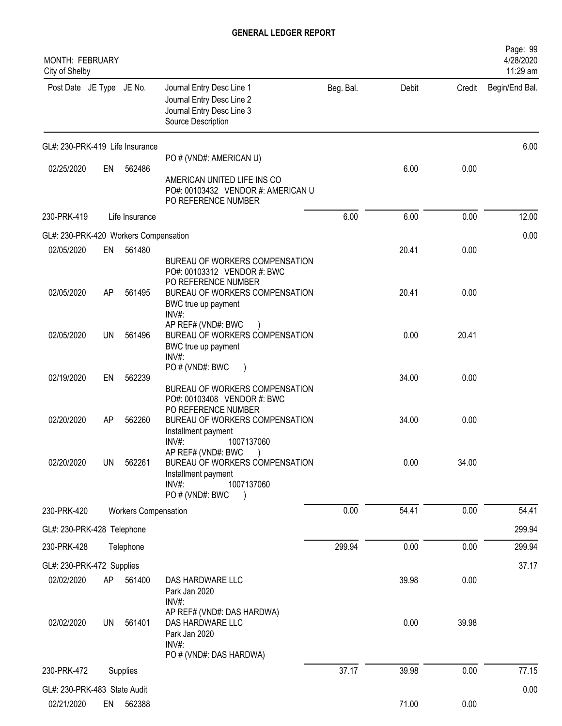| <b>MONTH: FEBRUARY</b><br>City of Shelby   |           |                             |                                                                                                                                         |           |       |        | Page: 99<br>4/28/2020<br>11:29 am |
|--------------------------------------------|-----------|-----------------------------|-----------------------------------------------------------------------------------------------------------------------------------------|-----------|-------|--------|-----------------------------------|
| Post Date JE Type JE No.                   |           |                             | Journal Entry Desc Line 1<br>Journal Entry Desc Line 2<br>Journal Entry Desc Line 3<br>Source Description                               | Beg. Bal. | Debit | Credit | Begin/End Bal.                    |
| GL#: 230-PRK-419 Life Insurance            |           |                             |                                                                                                                                         |           |       |        | 6.00                              |
| 02/25/2020                                 | EN        | 562486                      | PO # (VND#: AMERICAN U)<br>AMERICAN UNITED LIFE INS CO<br>PO#: 00103432 VENDOR #: AMERICAN U<br>PO REFERENCE NUMBER                     |           | 6.00  | 0.00   |                                   |
| 230-PRK-419                                |           | Life Insurance              |                                                                                                                                         | 6.00      | 6.00  | 0.00   | 12.00                             |
| GL#: 230-PRK-420 Workers Compensation      |           |                             |                                                                                                                                         |           |       |        | 0.00                              |
| 02/05/2020                                 | EN        | 561480                      | BUREAU OF WORKERS COMPENSATION                                                                                                          |           | 20.41 | 0.00   |                                   |
| 02/05/2020                                 | AP        | 561495                      | PO#: 00103312 VENDOR #: BWC<br>PO REFERENCE NUMBER<br>BUREAU OF WORKERS COMPENSATION<br>BWC true up payment<br>INV#:                    |           | 20.41 | 0.00   |                                   |
| 02/05/2020                                 | UN        | 561496                      | AP REF# (VND#: BWC<br>BUREAU OF WORKERS COMPENSATION<br>BWC true up payment<br>INV#                                                     |           | 0.00  | 20.41  |                                   |
| 02/19/2020                                 | EN        | 562239                      | PO # (VND#: BWC<br>BUREAU OF WORKERS COMPENSATION                                                                                       |           | 34.00 | 0.00   |                                   |
| 02/20/2020                                 | AP        | 562260                      | PO#: 00103408 VENDOR #: BWC<br>PO REFERENCE NUMBER<br>BUREAU OF WORKERS COMPENSATION<br>Installment payment<br>INV#:<br>1007137060      |           | 34.00 | 0.00   |                                   |
| 02/20/2020                                 | <b>UN</b> | 562261                      | AP REF# (VND#: BWC)<br>BUREAU OF WORKERS COMPENSATION<br>Installment payment<br>INV#:<br>1007137060<br>PO # (VND#: BWC<br>$\rightarrow$ |           | 0.00  | 34.00  |                                   |
| 230-PRK-420                                |           | <b>Workers Compensation</b> |                                                                                                                                         | 0.00      | 54.41 | 0.00   | 54.41                             |
| GL#: 230-PRK-428 Telephone                 |           |                             |                                                                                                                                         |           |       |        | 299.94                            |
| 230-PRK-428                                |           | Telephone                   |                                                                                                                                         | 299.94    | 0.00  | 0.00   | 299.94                            |
| GL#: 230-PRK-472 Supplies                  |           |                             |                                                                                                                                         |           |       |        | 37.17                             |
| 02/02/2020                                 | AP        | 561400                      | DAS HARDWARE LLC<br>Park Jan 2020                                                                                                       |           | 39.98 | 0.00   |                                   |
| 02/02/2020                                 | <b>UN</b> | 561401                      | INV#:<br>AP REF# (VND#: DAS HARDWA)<br>DAS HARDWARE LLC<br>Park Jan 2020<br>INV#:                                                       |           | 0.00  | 39.98  |                                   |
| 230-PRK-472                                |           |                             | PO # (VND#: DAS HARDWA)                                                                                                                 | 37.17     | 39.98 | 0.00   | 77.15                             |
|                                            |           | Supplies                    |                                                                                                                                         |           |       |        |                                   |
| GL#: 230-PRK-483 State Audit<br>02/21/2020 | EN        | 562388                      |                                                                                                                                         |           | 71.00 | 0.00   | 0.00                              |
|                                            |           |                             |                                                                                                                                         |           |       |        |                                   |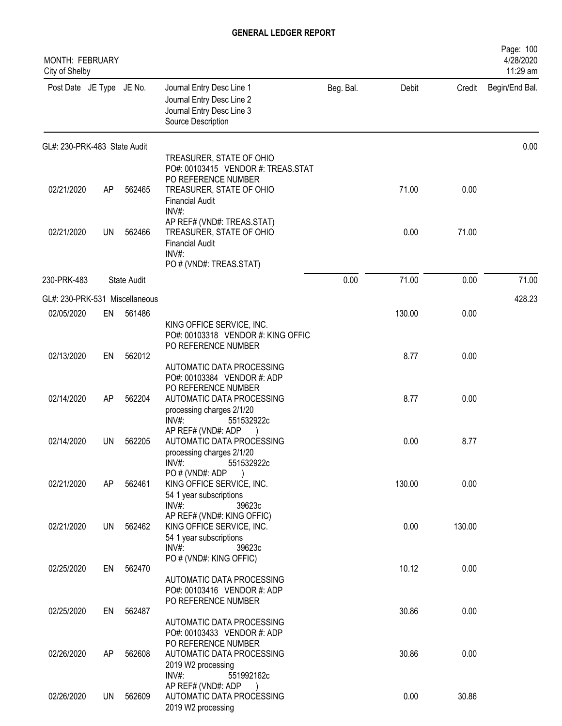| MONTH: FEBRUARY<br>City of Shelby |           |                    |                                                                                                                 |           |        |        | Page: 100<br>4/28/2020<br>11:29 am |
|-----------------------------------|-----------|--------------------|-----------------------------------------------------------------------------------------------------------------|-----------|--------|--------|------------------------------------|
| Post Date JE Type JE No.          |           |                    | Journal Entry Desc Line 1<br>Journal Entry Desc Line 2<br>Journal Entry Desc Line 3<br>Source Description       | Beg. Bal. | Debit  | Credit | Begin/End Bal.                     |
| GL#: 230-PRK-483 State Audit      |           |                    |                                                                                                                 |           |        |        | 0.00                               |
|                                   |           |                    | TREASURER, STATE OF OHIO                                                                                        |           |        |        |                                    |
| 02/21/2020                        | AP        | 562465             | PO#: 00103415 VENDOR #: TREAS.STAT<br>PO REFERENCE NUMBER<br>TREASURER, STATE OF OHIO<br><b>Financial Audit</b> |           | 71.00  | 0.00   |                                    |
| 02/21/2020                        | <b>UN</b> | 562466             | INV#:<br>AP REF# (VND#: TREAS.STAT)<br>TREASURER, STATE OF OHIO<br><b>Financial Audit</b><br>$INV#$ :           |           | 0.00   | 71.00  |                                    |
|                                   |           |                    | PO # (VND#: TREAS.STAT)                                                                                         |           |        |        |                                    |
| 230-PRK-483                       |           | <b>State Audit</b> |                                                                                                                 | 0.00      | 71.00  | 0.00   | 71.00                              |
| GL#: 230-PRK-531 Miscellaneous    |           |                    |                                                                                                                 |           |        |        | 428.23                             |
| 02/05/2020                        | EN        | 561486             |                                                                                                                 |           | 130.00 | 0.00   |                                    |
|                                   |           |                    | KING OFFICE SERVICE, INC.<br>PO#: 00103318 VENDOR #: KING OFFIC<br>PO REFERENCE NUMBER                          |           |        |        |                                    |
| 02/13/2020                        | EN        | 562012             |                                                                                                                 |           | 8.77   | 0.00   |                                    |
|                                   |           |                    | AUTOMATIC DATA PROCESSING<br>PO#: 00103384 VENDOR #: ADP                                                        |           |        |        |                                    |
|                                   |           |                    | PO REFERENCE NUMBER                                                                                             |           |        |        |                                    |
| 02/14/2020                        | AP        | 562204             | AUTOMATIC DATA PROCESSING<br>processing charges 2/1/20                                                          |           | 8.77   | 0.00   |                                    |
|                                   |           |                    | INV#:<br>551532922c                                                                                             |           |        |        |                                    |
|                                   |           |                    | AP REF# (VND#: ADP                                                                                              |           |        |        |                                    |
| 02/14/2020                        | <b>UN</b> | 562205             | AUTOMATIC DATA PROCESSING<br>processing charges 2/1/20                                                          |           | 0.00   | 8.77   |                                    |
|                                   |           |                    | $INV#$ :<br>551532922c                                                                                          |           |        |        |                                    |
|                                   |           |                    | PO # (VND#: ADP                                                                                                 |           |        |        |                                    |
| 02/21/2020                        | AP        | 562461             | KING OFFICE SERVICE, INC.<br>54 1 year subscriptions                                                            |           | 130.00 | 0.00   |                                    |
|                                   |           |                    | $INV#$ :<br>39623c                                                                                              |           |        |        |                                    |
| 02/21/2020                        | UN        | 562462             | AP REF# (VND#: KING OFFIC)<br>KING OFFICE SERVICE, INC.                                                         |           | 0.00   | 130.00 |                                    |
|                                   |           |                    | 54 1 year subscriptions                                                                                         |           |        |        |                                    |
|                                   |           |                    | $INV#$ :<br>39623c                                                                                              |           |        |        |                                    |
| 02/25/2020                        | EN        | 562470             | PO # (VND#: KING OFFIC)                                                                                         |           | 10.12  | 0.00   |                                    |
|                                   |           |                    | AUTOMATIC DATA PROCESSING                                                                                       |           |        |        |                                    |
|                                   |           |                    | PO#: 00103416 VENDOR #: ADP<br>PO REFERENCE NUMBER                                                              |           |        |        |                                    |
| 02/25/2020                        | EN        | 562487             |                                                                                                                 |           | 30.86  | 0.00   |                                    |
|                                   |           |                    | AUTOMATIC DATA PROCESSING                                                                                       |           |        |        |                                    |
|                                   |           |                    | PO#: 00103433 VENDOR #: ADP<br>PO REFERENCE NUMBER                                                              |           |        |        |                                    |
| 02/26/2020                        | AP        | 562608             | AUTOMATIC DATA PROCESSING                                                                                       |           | 30.86  | 0.00   |                                    |
|                                   |           |                    | 2019 W2 processing                                                                                              |           |        |        |                                    |
|                                   |           |                    | $INV#$ :<br>551992162c<br>AP REF# (VND#: ADP                                                                    |           |        |        |                                    |
| 02/26/2020                        | UN        | 562609             | AUTOMATIC DATA PROCESSING                                                                                       |           | 0.00   | 30.86  |                                    |
|                                   |           |                    | 2019 W2 processing                                                                                              |           |        |        |                                    |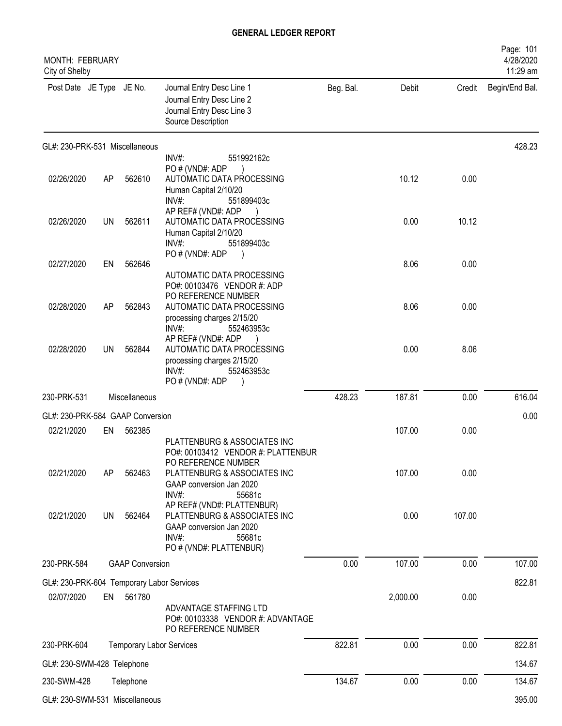| MONTH: FEBRUARY<br>City of Shelby         |    |                                 |                                                                                                                                                                          |           |          |        | Page: 101<br>4/28/2020<br>11:29 am |
|-------------------------------------------|----|---------------------------------|--------------------------------------------------------------------------------------------------------------------------------------------------------------------------|-----------|----------|--------|------------------------------------|
| Post Date JE Type JE No.                  |    |                                 | Journal Entry Desc Line 1<br>Journal Entry Desc Line 2<br>Journal Entry Desc Line 3<br>Source Description                                                                | Beg. Bal. | Debit    | Credit | Begin/End Bal.                     |
| GL#: 230-PRK-531 Miscellaneous            |    |                                 |                                                                                                                                                                          |           |          |        | 428.23                             |
| 02/26/2020                                | AP | 562610                          | INV#:<br>551992162c<br>PO # (VND#: ADP<br>AUTOMATIC DATA PROCESSING<br>Human Capital 2/10/20<br>INV#:<br>551899403c                                                      |           | 10.12    | 0.00   |                                    |
| 02/26/2020                                | UN | 562611                          | AP REF# (VND#: ADP<br>AUTOMATIC DATA PROCESSING<br>Human Capital 2/10/20<br>INV#<br>551899403c                                                                           |           | 0.00     | 10.12  |                                    |
| 02/27/2020                                | EN | 562646                          | PO # (VND#: ADP<br>AUTOMATIC DATA PROCESSING                                                                                                                             |           | 8.06     | 0.00   |                                    |
| 02/28/2020                                | AP | 562843                          | PO#: 00103476 VENDOR #: ADP<br>PO REFERENCE NUMBER<br>AUTOMATIC DATA PROCESSING<br>processing charges 2/15/20<br>INV#:<br>552463953c                                     |           | 8.06     | 0.00   |                                    |
| 02/28/2020                                | UN | 562844                          | AP REF# (VND#: ADP<br>AUTOMATIC DATA PROCESSING<br>processing charges 2/15/20<br>INV#:<br>552463953c<br>PO # (VND#: ADP                                                  |           | 0.00     | 8.06   |                                    |
| 230-PRK-531                               |    | Miscellaneous                   |                                                                                                                                                                          | 428.23    | 187.81   | 0.00   | 616.04                             |
| GL#: 230-PRK-584 GAAP Conversion          |    |                                 |                                                                                                                                                                          |           |          |        | 0.00                               |
| 02/21/2020                                | EN | 562385                          |                                                                                                                                                                          |           | 107.00   | 0.00   |                                    |
| 02/21/2020                                | AP | 562463                          | PLATTENBURG & ASSOCIATES INC<br>PO#: 00103412 VENDOR #: PLATTENBUR<br>PO REFERENCE NUMBER<br>PLATTENBURG & ASSOCIATES INC<br>GAAP conversion Jan 2020<br>INV#:<br>55681c |           | 107.00   | 0.00   |                                    |
| 02/21/2020                                | UN | 562464                          | AP REF# (VND#: PLATTENBUR)<br>PLATTENBURG & ASSOCIATES INC<br>GAAP conversion Jan 2020<br>INV#:<br>55681c<br>PO # (VND#: PLATTENBUR)                                     |           | 0.00     | 107.00 |                                    |
| 230-PRK-584                               |    | <b>GAAP Conversion</b>          |                                                                                                                                                                          | 0.00      | 107.00   | 0.00   | 107.00                             |
| GL#: 230-PRK-604 Temporary Labor Services |    |                                 |                                                                                                                                                                          |           |          |        | 822.81                             |
| 02/07/2020                                | EN | 561780                          | ADVANTAGE STAFFING LTD<br>PO#: 00103338 VENDOR #: ADVANTAGE<br>PO REFERENCE NUMBER                                                                                       |           | 2,000.00 | 0.00   |                                    |
| 230-PRK-604                               |    | <b>Temporary Labor Services</b> |                                                                                                                                                                          | 822.81    | 0.00     | 0.00   | 822.81                             |
| GL#: 230-SWM-428 Telephone                |    |                                 |                                                                                                                                                                          |           |          |        | 134.67                             |
| 230-SWM-428                               |    | Telephone                       |                                                                                                                                                                          | 134.67    | 0.00     | 0.00   | 134.67                             |
| GL#: 230-SWM-531 Miscellaneous            |    |                                 |                                                                                                                                                                          |           |          |        | 395.00                             |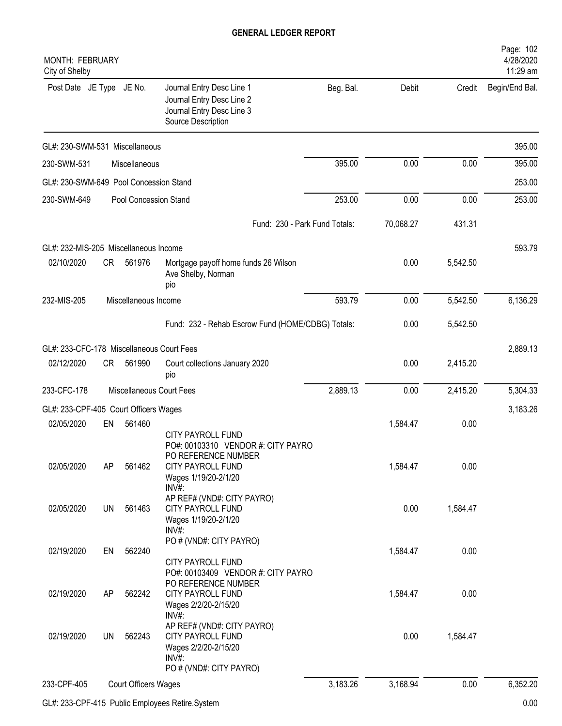| <b>MONTH: FEBRUARY</b><br>City of Shelby  |           |                             |                                                                                                                                             |                               |           |          | Page: 102<br>4/28/2020<br>11:29 am |
|-------------------------------------------|-----------|-----------------------------|---------------------------------------------------------------------------------------------------------------------------------------------|-------------------------------|-----------|----------|------------------------------------|
| Post Date JE Type JE No.                  |           |                             | Journal Entry Desc Line 1<br>Journal Entry Desc Line 2<br>Journal Entry Desc Line 3<br>Source Description                                   | Beg. Bal.                     | Debit     | Credit   | Begin/End Bal.                     |
| GL#: 230-SWM-531 Miscellaneous            |           |                             |                                                                                                                                             |                               |           |          | 395.00                             |
| 230-SWM-531                               |           | Miscellaneous               |                                                                                                                                             | 395.00                        | 0.00      | 0.00     | 395.00                             |
| GL#: 230-SWM-649 Pool Concession Stand    |           |                             |                                                                                                                                             |                               |           |          | 253.00                             |
| 230-SWM-649                               |           | Pool Concession Stand       |                                                                                                                                             | 253.00                        | 0.00      | 0.00     | 253.00                             |
|                                           |           |                             |                                                                                                                                             | Fund: 230 - Park Fund Totals: | 70,068.27 | 431.31   |                                    |
| GL#: 232-MIS-205 Miscellaneous Income     |           |                             |                                                                                                                                             |                               |           |          | 593.79                             |
| 02/10/2020                                | <b>CR</b> | 561976                      | Mortgage payoff home funds 26 Wilson<br>Ave Shelby, Norman<br>pio                                                                           |                               | 0.00      | 5,542.50 |                                    |
| 232-MIS-205                               |           | Miscellaneous Income        |                                                                                                                                             | 593.79                        | 0.00      | 5,542.50 | 6,136.29                           |
|                                           |           |                             | Fund: 232 - Rehab Escrow Fund (HOME/CDBG) Totals:                                                                                           |                               | 0.00      | 5,542.50 |                                    |
| GL#: 233-CFC-178 Miscellaneous Court Fees |           |                             |                                                                                                                                             |                               |           |          | 2,889.13                           |
| 02/12/2020                                | CR.       | 561990                      | Court collections January 2020<br>pio                                                                                                       |                               | 0.00      | 2,415.20 |                                    |
| 233-CFC-178                               |           |                             | Miscellaneous Court Fees                                                                                                                    | 2,889.13                      | 0.00      | 2,415.20 | 5,304.33                           |
| GL#: 233-CPF-405 Court Officers Wages     |           |                             |                                                                                                                                             |                               |           |          | 3,183.26                           |
| 02/05/2020                                | EN        | 561460                      |                                                                                                                                             |                               | 1,584.47  | 0.00     |                                    |
| 02/05/2020                                | AP        | 561462                      | <b>CITY PAYROLL FUND</b><br>PO#: 00103310 VENDOR #: CITY PAYRO<br>PO REFERENCE NUMBER<br>CITY PAYROLL FUND<br>Wages 1/19/20-2/1/20<br>INV#: |                               | 1,584.47  | 0.00     |                                    |
| 02/05/2020                                | <b>UN</b> | 561463                      | AP REF# (VND#: CITY PAYRO)<br>CITY PAYROLL FUND<br>Wages 1/19/20-2/1/20<br>$INV#$ :                                                         |                               | 0.00      | 1,584.47 |                                    |
| 02/19/2020                                | EN        | 562240                      | PO # (VND#: CITY PAYRO)<br>CITY PAYROLL FUND<br>PO#: 00103409 VENDOR #: CITY PAYRO                                                          |                               | 1,584.47  | 0.00     |                                    |
| 02/19/2020                                | AP        | 562242                      | PO REFERENCE NUMBER<br><b>CITY PAYROLL FUND</b><br>Wages 2/2/20-2/15/20                                                                     |                               | 1,584.47  | 0.00     |                                    |
| 02/19/2020                                | <b>UN</b> | 562243                      | $INV#$ :<br>AP REF# (VND#: CITY PAYRO)<br><b>CITY PAYROLL FUND</b><br>Wages 2/2/20-2/15/20<br>INV#:<br>PO # (VND#: CITY PAYRO)              |                               | 0.00      | 1,584.47 |                                    |
| 233-CPF-405                               |           | <b>Court Officers Wages</b> |                                                                                                                                             | 3,183.26                      | 3,168.94  | 0.00     | 6,352.20                           |
|                                           |           |                             |                                                                                                                                             |                               |           |          |                                    |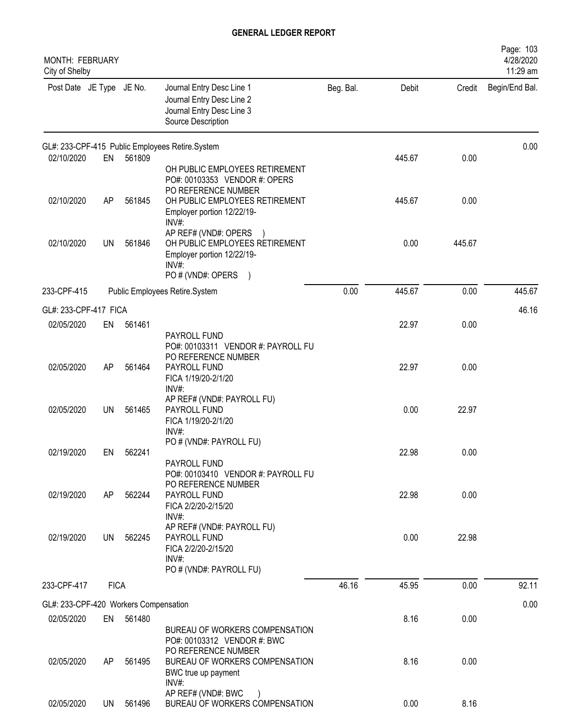| <b>MONTH: FEBRUARY</b><br>City of Shelby |             |        |                                                                                                                                 |           |        |        | Page: 103<br>4/28/2020<br>11:29 am |
|------------------------------------------|-------------|--------|---------------------------------------------------------------------------------------------------------------------------------|-----------|--------|--------|------------------------------------|
| Post Date JE Type JE No.                 |             |        | Journal Entry Desc Line 1<br>Journal Entry Desc Line 2<br>Journal Entry Desc Line 3<br>Source Description                       | Beg. Bal. | Debit  | Credit | Begin/End Bal.                     |
|                                          |             |        | GL#: 233-CPF-415 Public Employees Retire.System                                                                                 |           |        |        | 0.00                               |
| 02/10/2020                               | EN          | 561809 | OH PUBLIC EMPLOYEES RETIREMENT<br>PO#: 00103353 VENDOR #: OPERS<br>PO REFERENCE NUMBER                                          |           | 445.67 | 0.00   |                                    |
| 02/10/2020                               | AP          | 561845 | OH PUBLIC EMPLOYEES RETIREMENT<br>Employer portion 12/22/19-<br>INV#:                                                           |           | 445.67 | 0.00   |                                    |
| 02/10/2020                               | <b>UN</b>   | 561846 | AP REF# (VND#: OPERS<br>OH PUBLIC EMPLOYEES RETIREMENT<br>Employer portion 12/22/19-<br>INV#:<br>PO # (VND#: OPERS<br>$\lambda$ |           | 0.00   | 445.67 |                                    |
| 233-CPF-415                              |             |        | Public Employees Retire.System                                                                                                  | 0.00      | 445.67 | 0.00   | 445.67                             |
| GL#: 233-CPF-417 FICA                    |             |        |                                                                                                                                 |           |        |        | 46.16                              |
| 02/05/2020                               | EN          | 561461 | PAYROLL FUND<br>PO#: 00103311 VENDOR #: PAYROLL FU                                                                              |           | 22.97  | 0.00   |                                    |
| 02/05/2020                               | AP          | 561464 | PO REFERENCE NUMBER<br>PAYROLL FUND<br>FICA 1/19/20-2/1/20<br>INV#:                                                             |           | 22.97  | 0.00   |                                    |
| 02/05/2020                               | <b>UN</b>   | 561465 | AP REF# (VND#: PAYROLL FU)<br>PAYROLL FUND<br>FICA 1/19/20-2/1/20<br>INV#:                                                      |           | 0.00   | 22.97  |                                    |
| 02/19/2020                               | EN          | 562241 | PO # (VND#: PAYROLL FU)<br>PAYROLL FUND<br>PO#: 00103410 VENDOR #: PAYROLL FU                                                   |           | 22.98  | 0.00   |                                    |
| 02/19/2020                               | AP          | 562244 | PO REFERENCE NUMBER<br>PAYROLL FUND<br>FICA 2/2/20-2/15/20<br>INV#:                                                             |           | 22.98  | 0.00   |                                    |
| 02/19/2020                               | UN          | 562245 | AP REF# (VND#: PAYROLL FU)<br>PAYROLL FUND<br>FICA 2/2/20-2/15/20<br>INV#:<br>PO # (VND#: PAYROLL FU)                           |           | 0.00   | 22.98  |                                    |
| 233-CPF-417                              | <b>FICA</b> |        |                                                                                                                                 | 46.16     | 45.95  | 0.00   | 92.11                              |
| GL#: 233-CPF-420 Workers Compensation    |             |        |                                                                                                                                 |           |        |        | 0.00                               |
| 02/05/2020                               | EN          | 561480 | BUREAU OF WORKERS COMPENSATION<br>PO#: 00103312 VENDOR #: BWC                                                                   |           | 8.16   | 0.00   |                                    |
| 02/05/2020                               | AP          | 561495 | PO REFERENCE NUMBER<br>BUREAU OF WORKERS COMPENSATION<br>BWC true up payment<br>INV#:                                           |           | 8.16   | 0.00   |                                    |
| 02/05/2020                               | UN          | 561496 | AP REF# (VND#: BWC<br>BUREAU OF WORKERS COMPENSATION                                                                            |           | 0.00   | 8.16   |                                    |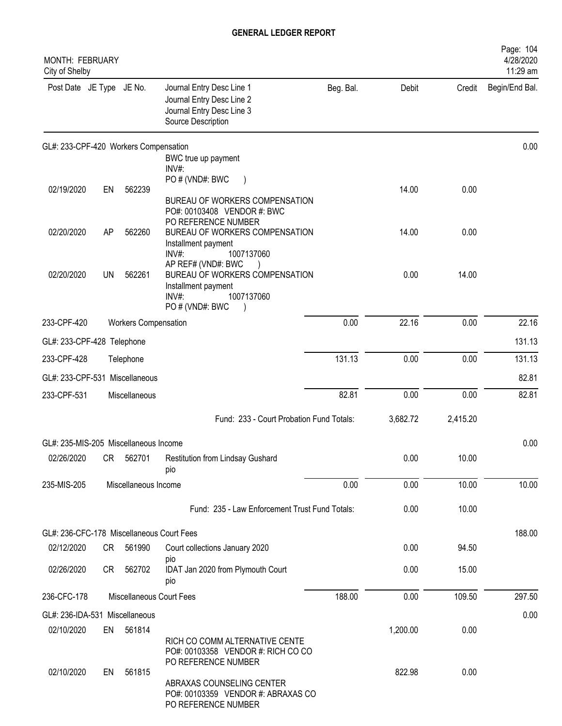| MONTH: FEBRUARY<br>City of Shelby         |    |                             |                                                                                                                          |           |          |          | Page: 104<br>4/28/2020<br>11:29 am |
|-------------------------------------------|----|-----------------------------|--------------------------------------------------------------------------------------------------------------------------|-----------|----------|----------|------------------------------------|
| Post Date JE Type JE No.                  |    |                             | Journal Entry Desc Line 1<br>Journal Entry Desc Line 2<br>Journal Entry Desc Line 3<br>Source Description                | Beg. Bal. | Debit    | Credit   | Begin/End Bal.                     |
| GL#: 233-CPF-420 Workers Compensation     |    |                             |                                                                                                                          |           |          |          | 0.00                               |
|                                           |    |                             | BWC true up payment<br>INV#:                                                                                             |           |          |          |                                    |
|                                           |    |                             | PO # (VND#: BWC                                                                                                          |           |          |          |                                    |
| 02/19/2020                                | EN | 562239                      | BUREAU OF WORKERS COMPENSATION<br>PO#: 00103408 VENDOR #: BWC<br>PO REFERENCE NUMBER                                     |           | 14.00    | 0.00     |                                    |
| 02/20/2020                                | AP | 562260                      | BUREAU OF WORKERS COMPENSATION<br>Installment payment<br>1007137060<br>INV#:                                             |           | 14.00    | 0.00     |                                    |
| 02/20/2020                                | UN | 562261                      | AP REF# (VND#: BWC<br>BUREAU OF WORKERS COMPENSATION<br>Installment payment<br>1007137060<br>$INV#$ :<br>PO # (VND#: BWC |           | 0.00     | 14.00    |                                    |
| 233-CPF-420                               |    | <b>Workers Compensation</b> |                                                                                                                          | 0.00      | 22.16    | 0.00     | 22.16                              |
| GL#: 233-CPF-428 Telephone                |    |                             |                                                                                                                          |           |          |          | 131.13                             |
| 233-CPF-428                               |    | Telephone                   |                                                                                                                          | 131.13    | 0.00     | 0.00     | 131.13                             |
| GL#: 233-CPF-531 Miscellaneous            |    |                             |                                                                                                                          |           |          |          | 82.81                              |
| 233-CPF-531                               |    | Miscellaneous               |                                                                                                                          | 82.81     | 0.00     | 0.00     | 82.81                              |
|                                           |    |                             | Fund: 233 - Court Probation Fund Totals:                                                                                 |           | 3,682.72 | 2,415.20 |                                    |
| GL#: 235-MIS-205 Miscellaneous Income     |    |                             |                                                                                                                          |           |          |          | 0.00                               |
| 02/26/2020                                | CR | 562701                      | Restitution from Lindsay Gushard<br>pio                                                                                  |           | 0.00     | 10.00    |                                    |
| 235-MIS-205                               |    | Miscellaneous Income        |                                                                                                                          | 0.00      | 0.00     | 10.00    | 10.00                              |
|                                           |    |                             | Fund: 235 - Law Enforcement Trust Fund Totals:                                                                           |           | 0.00     | 10.00    |                                    |
| GL#: 236-CFC-178 Miscellaneous Court Fees |    |                             |                                                                                                                          |           |          |          | 188.00                             |
| 02/12/2020                                | CR | 561990                      | Court collections January 2020                                                                                           |           | 0.00     | 94.50    |                                    |
| 02/26/2020                                | CR | 562702                      | pio<br>IDAT Jan 2020 from Plymouth Court<br>pio                                                                          |           | 0.00     | 15.00    |                                    |
| 236-CFC-178                               |    |                             | Miscellaneous Court Fees                                                                                                 | 188.00    | 0.00     | 109.50   | 297.50                             |
| GL#: 236-IDA-531 Miscellaneous            |    |                             |                                                                                                                          |           |          |          | 0.00                               |
| 02/10/2020                                |    | EN 561814                   | RICH CO COMM ALTERNATIVE CENTE<br>PO#: 00103358 VENDOR #: RICH CO CO<br>PO REFERENCE NUMBER                              |           | 1,200.00 | 0.00     |                                    |
| 02/10/2020                                | EN | 561815                      | ABRAXAS COUNSELING CENTER<br>PO#: 00103359 VENDOR #: ABRAXAS CO<br>PO REFERENCE NUMBER                                   |           | 822.98   | 0.00     |                                    |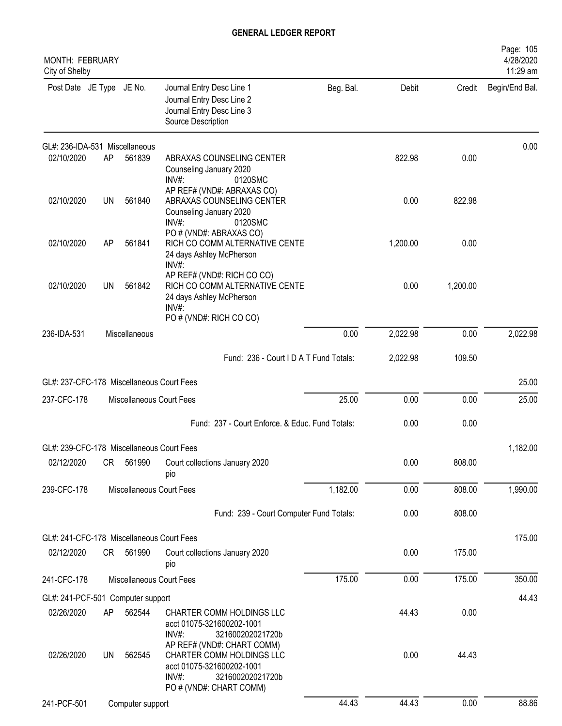| MONTH: FEBRUARY<br>City of Shelby         |           |                          |                                                                                                                   |           |          |          | Page: 105<br>4/28/2020<br>11:29 am |
|-------------------------------------------|-----------|--------------------------|-------------------------------------------------------------------------------------------------------------------|-----------|----------|----------|------------------------------------|
| Post Date JE Type JE No.                  |           |                          | Journal Entry Desc Line 1<br>Journal Entry Desc Line 2<br>Journal Entry Desc Line 3<br>Source Description         | Beg. Bal. | Debit    | Credit   | Begin/End Bal.                     |
| GL#: 236-IDA-531 Miscellaneous            |           |                          |                                                                                                                   |           |          |          | 0.00                               |
| 02/10/2020                                | AP        | 561839                   | ABRAXAS COUNSELING CENTER<br>Counseling January 2020<br>INV#:<br>0120SMC                                          |           | 822.98   | 0.00     |                                    |
| 02/10/2020                                | UN        | 561840                   | AP REF# (VND#: ABRAXAS CO)<br>ABRAXAS COUNSELING CENTER<br>Counseling January 2020<br>$INV#$ :<br>0120SMC         |           | 0.00     | 822.98   |                                    |
| 02/10/2020                                | AP        | 561841                   | PO # (VND#: ABRAXAS CO)<br>RICH CO COMM ALTERNATIVE CENTE<br>24 days Ashley McPherson<br>$INV#$ :                 |           | 1,200.00 | 0.00     |                                    |
| 02/10/2020                                | UN        | 561842                   | AP REF# (VND#: RICH CO CO)<br>RICH CO COMM ALTERNATIVE CENTE<br>24 days Ashley McPherson<br>INV#:                 |           | 0.00     | 1,200.00 |                                    |
| 236-IDA-531                               |           | Miscellaneous            | PO # (VND#: RICH CO CO)                                                                                           | 0.00      | 2,022.98 | 0.00     | 2,022.98                           |
|                                           |           |                          |                                                                                                                   |           |          |          |                                    |
|                                           |           |                          | Fund: 236 - Court I D A T Fund Totals:                                                                            |           | 2,022.98 | 109.50   |                                    |
| GL#: 237-CFC-178 Miscellaneous Court Fees |           |                          |                                                                                                                   |           |          |          | 25.00                              |
| 237-CFC-178                               |           | Miscellaneous Court Fees |                                                                                                                   | 25.00     | 0.00     | 0.00     | 25.00                              |
|                                           |           |                          | Fund: 237 - Court Enforce. & Educ. Fund Totals:                                                                   |           | 0.00     | 0.00     |                                    |
| GL#: 239-CFC-178 Miscellaneous Court Fees |           |                          |                                                                                                                   |           |          |          | 1,182.00                           |
| 02/12/2020                                | CR        | 561990                   | Court collections January 2020<br>pio                                                                             |           | 0.00     | 808.00   |                                    |
| 239-CFC-178                               |           | Miscellaneous Court Fees |                                                                                                                   | 1,182.00  | 0.00     | 808.00   | 1,990.00                           |
|                                           |           |                          | Fund: 239 - Court Computer Fund Totals:                                                                           |           | 0.00     | 808.00   |                                    |
| GL#: 241-CFC-178 Miscellaneous Court Fees |           |                          |                                                                                                                   |           |          |          | 175.00                             |
| 02/12/2020                                |           | CR 561990                | Court collections January 2020<br>pio                                                                             |           | 0.00     | 175.00   |                                    |
| 241-CFC-178                               |           | Miscellaneous Court Fees |                                                                                                                   | 175.00    | 0.00     | 175.00   | 350.00                             |
| GL#: 241-PCF-501 Computer support         |           |                          |                                                                                                                   |           |          |          | 44.43                              |
| 02/26/2020                                | AP        | 562544                   | CHARTER COMM HOLDINGS LLC<br>acct 01075-321600202-1001<br>321600202021720b<br>INV#:<br>AP REF# (VND#: CHART COMM) |           | 44.43    | 0.00     |                                    |
| 02/26/2020                                | <b>UN</b> | 562545                   | CHARTER COMM HOLDINGS LLC<br>acct 01075-321600202-1001<br>321600202021720b<br>$INV#$ :<br>PO # (VND#: CHART COMM) |           | 0.00     | 44.43    |                                    |
| 241-PCF-501                               |           | Computer support         |                                                                                                                   | 44.43     | 44.43    | 0.00     | 88.86                              |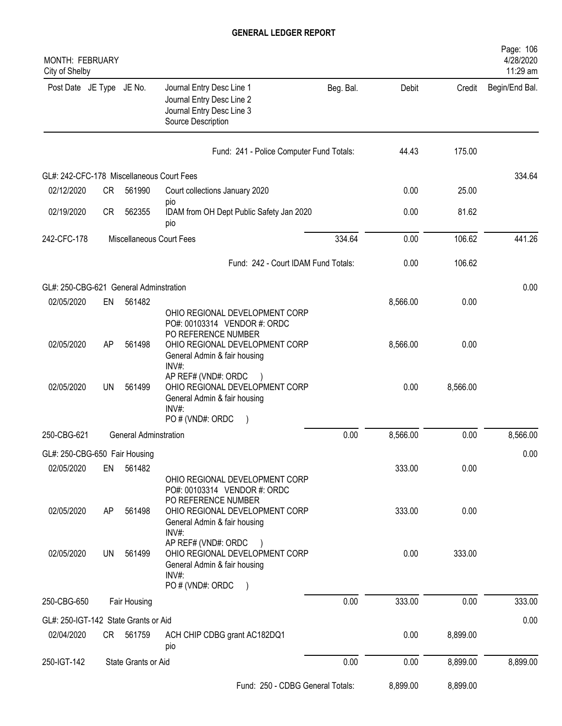| MONTH: FEBRUARY<br>City of Shelby         |    |                              |                                                                                                                         |           |          |          | Page: 106<br>4/28/2020<br>11:29 am |
|-------------------------------------------|----|------------------------------|-------------------------------------------------------------------------------------------------------------------------|-----------|----------|----------|------------------------------------|
| Post Date JE Type JE No.                  |    |                              | Journal Entry Desc Line 1<br>Journal Entry Desc Line 2<br>Journal Entry Desc Line 3<br>Source Description               | Beg. Bal. | Debit    | Credit   | Begin/End Bal.                     |
|                                           |    |                              | Fund: 241 - Police Computer Fund Totals:                                                                                |           | 44.43    | 175.00   |                                    |
| GL#: 242-CFC-178 Miscellaneous Court Fees |    |                              |                                                                                                                         |           |          |          | 334.64                             |
| 02/12/2020                                | CR | 561990                       | Court collections January 2020                                                                                          |           | 0.00     | 25.00    |                                    |
| 02/19/2020                                | CR | 562355                       | pio<br>IDAM from OH Dept Public Safety Jan 2020<br>pio                                                                  |           | 0.00     | 81.62    |                                    |
| 242-CFC-178                               |    |                              | Miscellaneous Court Fees                                                                                                | 334.64    | 0.00     | 106.62   | 441.26                             |
|                                           |    |                              | Fund: 242 - Court IDAM Fund Totals:                                                                                     |           | 0.00     | 106.62   |                                    |
| GL#: 250-CBG-621 General Adminstration    |    |                              |                                                                                                                         |           |          |          | 0.00                               |
| 02/05/2020                                | EN | 561482                       | OHIO REGIONAL DEVELOPMENT CORP<br>PO#: 00103314 VENDOR #: ORDC                                                          |           | 8,566.00 | 0.00     |                                    |
| 02/05/2020                                | AP | 561498                       | PO REFERENCE NUMBER<br>OHIO REGIONAL DEVELOPMENT CORP<br>General Admin & fair housing<br>INV#:                          |           | 8,566.00 | 0.00     |                                    |
| 02/05/2020                                | UN | 561499                       | AP REF# (VND#: ORDC<br>OHIO REGIONAL DEVELOPMENT CORP<br>General Admin & fair housing<br>INV#:<br>PO # (VND#: ORDC      |           | 0.00     | 8,566.00 |                                    |
| 250-CBG-621                               |    | <b>General Adminstration</b> |                                                                                                                         | 0.00      | 8,566.00 | 0.00     | 8,566.00                           |
| GL#: 250-CBG-650 Fair Housing             |    |                              |                                                                                                                         |           |          |          | 0.00                               |
| 02/05/2020                                | EN | 561482                       | OHIO REGIONAL DEVELOPMENT CORP<br>PO#: 00103314 VENDOR #: ORDC                                                          |           | 333.00   | 0.00     |                                    |
| 02/05/2020                                | AP | 561498                       | PO REFERENCE NUMBER<br>OHIO REGIONAL DEVELOPMENT CORP<br>General Admin & fair housing<br>$INV#$ :                       |           | 333.00   | 0.00     |                                    |
| 02/05/2020                                | UN | 561499                       | AP REF# (VND#: ORDC<br>OHIO REGIONAL DEVELOPMENT CORP<br>General Admin & fair housing<br>$INV#$ :<br>PO # (VND#: ORDC ) |           | 0.00     | 333.00   |                                    |
| 250-CBG-650                               |    | Fair Housing                 |                                                                                                                         | 0.00      | 333.00   | 0.00     | 333.00                             |
| GL#: 250-IGT-142 State Grants or Aid      |    |                              |                                                                                                                         |           |          |          | 0.00                               |
| 02/04/2020                                |    | CR 561759                    | ACH CHIP CDBG grant AC182DQ1<br>pio                                                                                     |           | 0.00     | 8,899.00 |                                    |
| 250-IGT-142                               |    | State Grants or Aid          |                                                                                                                         | 0.00      | 0.00     | 8,899.00 | 8,899.00                           |
|                                           |    |                              | Fund: 250 - CDBG General Totals:                                                                                        |           | 8,899.00 | 8,899.00 |                                    |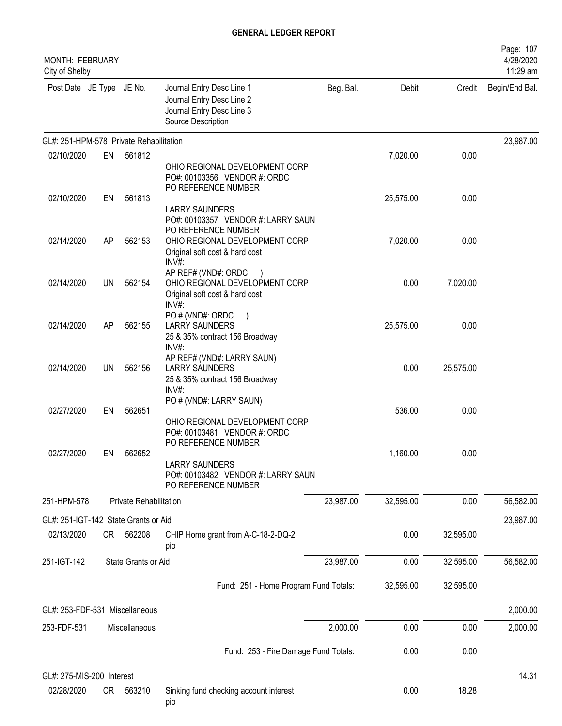| <b>MONTH: FEBRUARY</b><br>City of Shelby |    |                        |                                                                                                                                        |           |           |           | Page: 107<br>4/28/2020<br>11:29 am |
|------------------------------------------|----|------------------------|----------------------------------------------------------------------------------------------------------------------------------------|-----------|-----------|-----------|------------------------------------|
| Post Date JE Type JE No.                 |    |                        | Journal Entry Desc Line 1<br>Journal Entry Desc Line 2<br>Journal Entry Desc Line 3<br>Source Description                              | Beg. Bal. | Debit     | Credit    | Begin/End Bal.                     |
| GL#: 251-HPM-578 Private Rehabilitation  |    |                        |                                                                                                                                        |           |           |           | 23,987.00                          |
| 02/10/2020                               | EN | 561812                 | OHIO REGIONAL DEVELOPMENT CORP<br>PO#: 00103356 VENDOR #: ORDC                                                                         |           | 7,020.00  | 0.00      |                                    |
| 02/10/2020                               | EN | 561813                 | PO REFERENCE NUMBER<br><b>LARRY SAUNDERS</b>                                                                                           |           | 25,575.00 | 0.00      |                                    |
| 02/14/2020                               | AP | 562153                 | PO#: 00103357 VENDOR #: LARRY SAUN<br>PO REFERENCE NUMBER<br>OHIO REGIONAL DEVELOPMENT CORP<br>Original soft cost & hard cost<br>INV#: |           | 7,020.00  | 0.00      |                                    |
| 02/14/2020                               | UN | 562154                 | AP REF# (VND#: ORDC<br>OHIO REGIONAL DEVELOPMENT CORP<br>Original soft cost & hard cost<br>INV#:                                       |           | 0.00      | 7,020.00  |                                    |
| 02/14/2020                               | AP | 562155                 | PO # (VND#: ORDC<br><b>LARRY SAUNDERS</b><br>25 & 35% contract 156 Broadway<br>INV#:                                                   |           | 25,575.00 | 0.00      |                                    |
| 02/14/2020                               | UN | 562156                 | AP REF# (VND#: LARRY SAUN)<br><b>LARRY SAUNDERS</b><br>25 & 35% contract 156 Broadway<br>INV#:                                         |           | 0.00      | 25,575.00 |                                    |
| 02/27/2020                               | EN | 562651                 | PO # (VND#: LARRY SAUN)<br>OHIO REGIONAL DEVELOPMENT CORP<br>PO#: 00103481 VENDOR #: ORDC                                              |           | 536.00    | 0.00      |                                    |
| 02/27/2020                               | EN | 562652                 | PO REFERENCE NUMBER<br><b>LARRY SAUNDERS</b><br>PO#: 00103482 VENDOR #: LARRY SAUN<br>PO REFERENCE NUMBER                              |           | 1,160.00  | 0.00      |                                    |
| 251-HPM-578                              |    | Private Rehabilitation |                                                                                                                                        | 23,987.00 | 32,595.00 | 0.00      | 56,582.00                          |
| GL#: 251-IGT-142 State Grants or Aid     |    |                        |                                                                                                                                        |           |           |           | 23,987.00                          |
| 02/13/2020                               | CR | 562208                 | CHIP Home grant from A-C-18-2-DQ-2<br>pio                                                                                              |           | 0.00      | 32,595.00 |                                    |
| 251-IGT-142                              |    | State Grants or Aid    |                                                                                                                                        | 23,987.00 | 0.00      | 32,595.00 | 56,582.00                          |
|                                          |    |                        | Fund: 251 - Home Program Fund Totals:                                                                                                  |           | 32,595.00 | 32,595.00 |                                    |
| GL#: 253-FDF-531 Miscellaneous           |    |                        |                                                                                                                                        |           |           |           | 2,000.00                           |
| 253-FDF-531                              |    | Miscellaneous          |                                                                                                                                        | 2,000.00  | 0.00      | 0.00      | 2,000.00                           |
|                                          |    |                        | Fund: 253 - Fire Damage Fund Totals:                                                                                                   |           | 0.00      | 0.00      |                                    |
| GL#: 275-MIS-200 Interest                |    |                        |                                                                                                                                        |           |           |           | 14.31                              |
| 02/28/2020                               | CR | 563210                 | Sinking fund checking account interest<br>pio                                                                                          |           | 0.00      | 18.28     |                                    |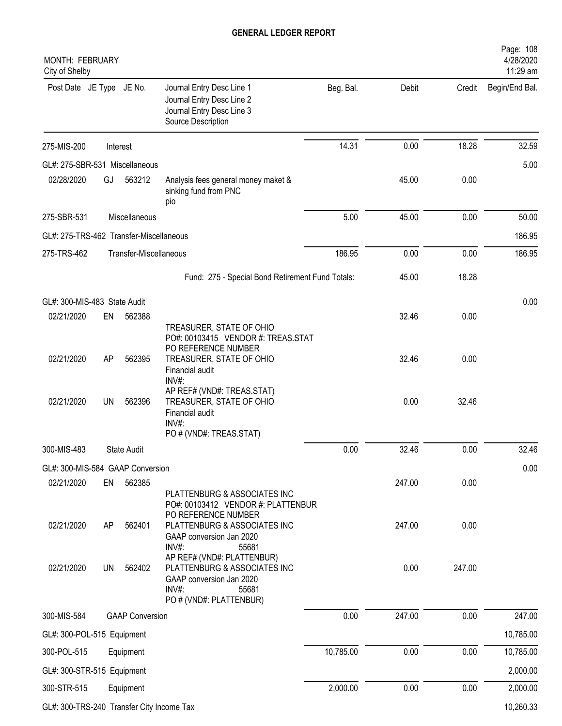| MONTH: FEBRUARY<br>City of Shelby              |    |                        |                                                                                                                                        |           |        |        | 4/28/2020<br>11:29 am |
|------------------------------------------------|----|------------------------|----------------------------------------------------------------------------------------------------------------------------------------|-----------|--------|--------|-----------------------|
| Post Date JE Type JE No.                       |    |                        | Journal Entry Desc Line 1<br>Journal Entry Desc Line 2<br>Journal Entry Desc Line 3<br>Source Description                              | Beg. Bal. | Debit  | Credit | Begin/End Bal.        |
| 275-MIS-200                                    |    | Interest               |                                                                                                                                        | 14.31     | 0.00   | 18.28  | 32.59                 |
| GL#: 275-SBR-531 Miscellaneous                 |    |                        |                                                                                                                                        |           |        |        | 5.00                  |
| 02/28/2020                                     | GJ | 563212                 | Analysis fees general money maket &<br>sinking fund from PNC<br>pio                                                                    |           | 45.00  | 0.00   |                       |
| 275-SBR-531                                    |    | Miscellaneous          |                                                                                                                                        | 5.00      | 45.00  | 0.00   | 50.00                 |
| GL#: 275-TRS-462 Transfer-Miscellaneous        |    |                        |                                                                                                                                        |           |        |        | 186.95                |
| 275-TRS-462                                    |    | Transfer-Miscellaneous |                                                                                                                                        | 186.95    | 0.00   | 0.00   | 186.95                |
|                                                |    |                        | Fund: 275 - Special Bond Retirement Fund Totals:                                                                                       |           | 45.00  | 18.28  |                       |
| GL#: 300-MIS-483 State Audit                   |    |                        |                                                                                                                                        |           |        |        | 0.00                  |
| 02/21/2020                                     | EN | 562388                 |                                                                                                                                        |           | 32.46  | 0.00   |                       |
| 02/21/2020                                     | AP | 562395                 | TREASURER, STATE OF OHIO<br>PO#: 00103415 VENDOR #: TREAS.STAT<br>PO REFERENCE NUMBER<br>TREASURER, STATE OF OHIO                      |           | 32.46  | 0.00   |                       |
|                                                |    |                        | Financial audit<br>INV#:                                                                                                               |           |        |        |                       |
| 02/21/2020                                     | UN | 562396                 | AP REF# (VND#: TREAS.STAT)<br>TREASURER, STATE OF OHIO<br>Financial audit<br>$INV#$ :                                                  |           | 0.00   | 32.46  |                       |
| 300-MIS-483                                    |    | <b>State Audit</b>     | PO # (VND#: TREAS.STAT)                                                                                                                | 0.00      | 32.46  | 0.00   | 32.46                 |
|                                                |    |                        |                                                                                                                                        |           |        |        |                       |
| GL#: 300-MIS-584 GAAP Conversion<br>02/21/2020 | EN | 562385                 |                                                                                                                                        |           | 247.00 | 0.00   | 0.00                  |
|                                                |    |                        | PLATTENBURG & ASSOCIATES INC<br>PO#: 00103412 VENDOR #: PLATTENBUR<br>PO REFERENCE NUMBER                                              |           |        |        |                       |
| 02/21/2020                                     | AP | 562401                 | PLATTENBURG & ASSOCIATES INC<br>GAAP conversion Jan 2020<br>INV#:<br>55681                                                             |           | 247.00 | 0.00   |                       |
| 02/21/2020                                     | UN | 562402                 | AP REF# (VND#: PLATTENBUR)<br>PLATTENBURG & ASSOCIATES INC<br>GAAP conversion Jan 2020<br>$INV#$ :<br>55681<br>PO # (VND#: PLATTENBUR) |           | 0.00   | 247.00 |                       |
| 300-MIS-584                                    |    | <b>GAAP Conversion</b> |                                                                                                                                        | 0.00      | 247.00 | 0.00   | 247.00                |
| GL#: 300-POL-515 Equipment                     |    |                        |                                                                                                                                        |           |        |        | 10,785.00             |
| 300-POL-515                                    |    | Equipment              |                                                                                                                                        | 10,785.00 | 0.00   | 0.00   | 10,785.00             |
| GL#: 300-STR-515 Equipment                     |    |                        |                                                                                                                                        |           |        |        | 2,000.00              |
| 300-STR-515                                    |    | Equipment              |                                                                                                                                        | 2,000.00  | 0.00   | 0.00   | 2,000.00              |
| GL#: 300-TRS-240 Transfer City Income Tax      |    |                        |                                                                                                                                        |           |        |        | 10,260.33             |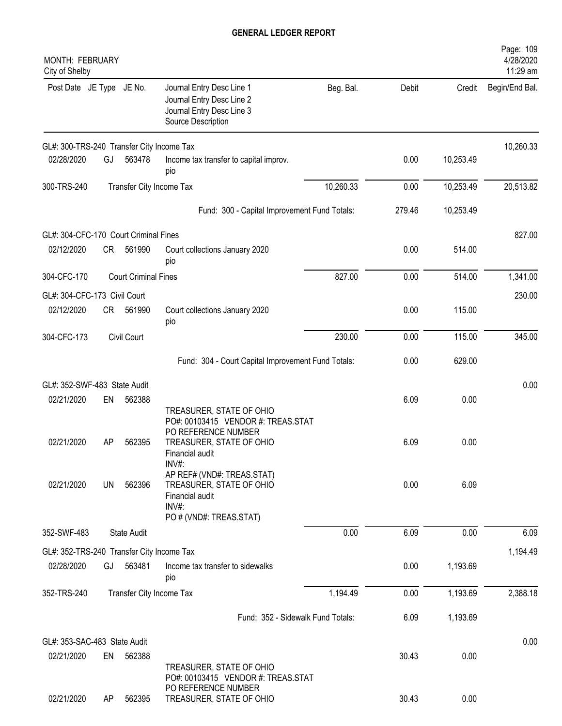| MONTH: FEBRUARY<br>City of Shelby         |    |                             |                                                                                                                                               |           |        |           | Page: 109<br>4/28/2020<br>11:29 am |
|-------------------------------------------|----|-----------------------------|-----------------------------------------------------------------------------------------------------------------------------------------------|-----------|--------|-----------|------------------------------------|
| Post Date JE Type JE No.                  |    |                             | Journal Entry Desc Line 1<br>Journal Entry Desc Line 2<br>Journal Entry Desc Line 3<br>Source Description                                     | Beg. Bal. | Debit  | Credit    | Begin/End Bal.                     |
| GL#: 300-TRS-240 Transfer City Income Tax |    |                             |                                                                                                                                               |           |        |           | 10,260.33                          |
| 02/28/2020                                | GJ | 563478                      | Income tax transfer to capital improv.<br>pio                                                                                                 |           | 0.00   | 10,253.49 |                                    |
| 300-TRS-240                               |    |                             | Transfer City Income Tax                                                                                                                      | 10,260.33 | 0.00   | 10,253.49 | 20,513.82                          |
|                                           |    |                             | Fund: 300 - Capital Improvement Fund Totals:                                                                                                  |           | 279.46 | 10,253.49 |                                    |
| GL#: 304-CFC-170 Court Criminal Fines     |    |                             |                                                                                                                                               |           |        |           | 827.00                             |
| 02/12/2020                                | CR | 561990                      | Court collections January 2020<br>pio                                                                                                         |           | 0.00   | 514.00    |                                    |
| 304-CFC-170                               |    | <b>Court Criminal Fines</b> |                                                                                                                                               | 827.00    | 0.00   | 514.00    | 1,341.00                           |
| GL#: 304-CFC-173 Civil Court              |    |                             |                                                                                                                                               |           |        |           | 230.00                             |
| 02/12/2020                                | CR | 561990                      | Court collections January 2020<br>pio                                                                                                         |           | 0.00   | 115.00    |                                    |
| 304-CFC-173                               |    | Civil Court                 |                                                                                                                                               | 230.00    | 0.00   | 115.00    | 345.00                             |
|                                           |    |                             | Fund: 304 - Court Capital Improvement Fund Totals:                                                                                            |           | 0.00   | 629.00    |                                    |
| GL#: 352-SWF-483 State Audit              |    |                             |                                                                                                                                               |           |        |           | 0.00                               |
| 02/21/2020                                | EN | 562388                      |                                                                                                                                               |           | 6.09   | 0.00      |                                    |
| 02/21/2020                                | AP | 562395                      | TREASURER, STATE OF OHIO<br>PO#: 00103415 VENDOR #: TREAS.STAT<br>PO REFERENCE NUMBER<br>TREASURER, STATE OF OHIO<br>Financial audit<br>INV#: |           | 6.09   | 0.00      |                                    |
| 02/21/2020                                | UN | 562396                      | AP REF# (VND#: TREAS.STAT)<br>TREASURER, STATE OF OHIO<br>Financial audit<br>INV#:<br>PO # (VND#: TREAS.STAT)                                 |           | 0.00   | 6.09      |                                    |
| 352-SWF-483                               |    | <b>State Audit</b>          |                                                                                                                                               | 0.00      | 6.09   | 0.00      | 6.09                               |
| GL#: 352-TRS-240 Transfer City Income Tax |    |                             |                                                                                                                                               |           |        |           | 1,194.49                           |
| 02/28/2020                                | GJ | 563481                      | Income tax transfer to sidewalks<br>pio                                                                                                       |           | 0.00   | 1,193.69  |                                    |
| 352-TRS-240                               |    |                             | Transfer City Income Tax                                                                                                                      | 1,194.49  | 0.00   | 1,193.69  | 2,388.18                           |
|                                           |    |                             | Fund: 352 - Sidewalk Fund Totals:                                                                                                             |           | 6.09   | 1,193.69  |                                    |
| GL#: 353-SAC-483 State Audit              |    |                             |                                                                                                                                               |           |        |           | 0.00                               |
| 02/21/2020                                | EN | 562388                      | TREASURER, STATE OF OHIO<br>PO#: 00103415 VENDOR #: TREAS.STAT                                                                                |           | 30.43  | 0.00      |                                    |
| 02/21/2020                                | AP | 562395                      | PO REFERENCE NUMBER<br>TREASURER, STATE OF OHIO                                                                                               |           | 30.43  | 0.00      |                                    |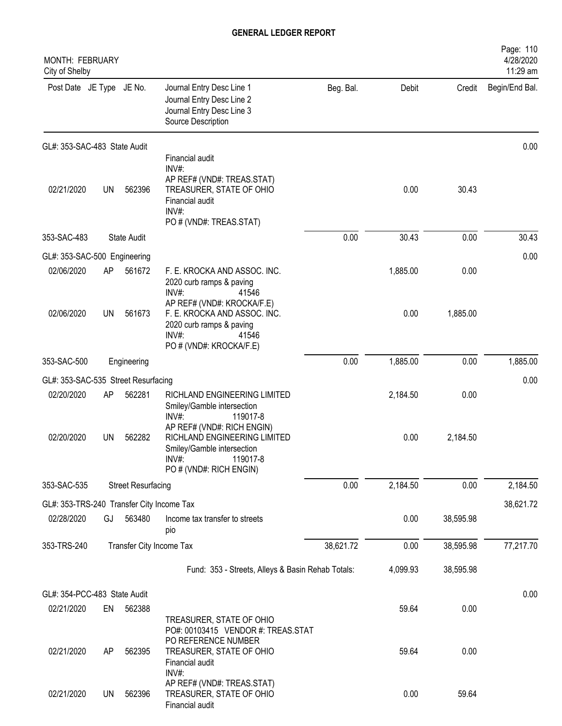| <b>MONTH: FEBRUARY</b><br>City of Shelby  |    |                           |                                                                                                                                                 |           |          |           | Page: 110<br>4/28/2020<br>11:29 am |
|-------------------------------------------|----|---------------------------|-------------------------------------------------------------------------------------------------------------------------------------------------|-----------|----------|-----------|------------------------------------|
| Post Date JE Type JE No.                  |    |                           | Journal Entry Desc Line 1<br>Journal Entry Desc Line 2<br>Journal Entry Desc Line 3<br>Source Description                                       | Beg. Bal. | Debit    | Credit    | Begin/End Bal.                     |
| GL#: 353-SAC-483 State Audit              |    |                           |                                                                                                                                                 |           |          |           | 0.00                               |
| 02/21/2020                                | UN | 562396                    | Financial audit<br>$INV#$ :<br>AP REF# (VND#: TREAS.STAT)<br>TREASURER, STATE OF OHIO<br>Financial audit<br>$INV#$ :<br>PO # (VND#: TREAS.STAT) |           | 0.00     | 30.43     |                                    |
| 353-SAC-483                               |    | <b>State Audit</b>        |                                                                                                                                                 | 0.00      | 30.43    | 0.00      | 30.43                              |
| GL#: 353-SAC-500 Engineering              |    |                           |                                                                                                                                                 |           |          |           | 0.00                               |
| 02/06/2020                                | AP | 561672                    | F. E. KROCKA AND ASSOC. INC.<br>2020 curb ramps & paving<br>$INV#$ :<br>41546<br>AP REF# (VND#: KROCKA/F.E)                                     |           | 1,885.00 | 0.00      |                                    |
| 02/06/2020                                | UN | 561673                    | F. E. KROCKA AND ASSOC. INC.<br>2020 curb ramps & paving<br>INV#:<br>41546<br>PO # (VND#: KROCKA/F.E)                                           |           | 0.00     | 1,885.00  |                                    |
| 353-SAC-500                               |    | Engineering               |                                                                                                                                                 | 0.00      | 1,885.00 | 0.00      | 1,885.00                           |
| GL#: 353-SAC-535 Street Resurfacing       |    |                           |                                                                                                                                                 |           |          |           | 0.00                               |
| 02/20/2020                                | AP | 562281                    | RICHLAND ENGINEERING LIMITED<br>Smiley/Gamble intersection<br>$INV#$ :<br>119017-8                                                              |           | 2,184.50 | 0.00      |                                    |
| 02/20/2020                                | UN | 562282                    | AP REF# (VND#: RICH ENGIN)<br>RICHLAND ENGINEERING LIMITED<br>Smiley/Gamble intersection<br>INV#<br>119017-8<br>PO # (VND#: RICH ENGIN)         |           | 0.00     | 2,184.50  |                                    |
| 353-SAC-535                               |    | <b>Street Resurfacing</b> |                                                                                                                                                 | 0.00      | 2,184.50 | 0.00      | 2,184.50                           |
| GL#: 353-TRS-240 Transfer City Income Tax |    |                           |                                                                                                                                                 |           |          |           | 38,621.72                          |
| 02/28/2020                                | GJ | 563480                    | Income tax transfer to streets<br>pio                                                                                                           |           | 0.00     | 38,595.98 |                                    |
| 353-TRS-240                               |    | Transfer City Income Tax  |                                                                                                                                                 | 38,621.72 | 0.00     | 38,595.98 | 77,217.70                          |
|                                           |    |                           | Fund: 353 - Streets, Alleys & Basin Rehab Totals:                                                                                               |           | 4,099.93 | 38,595.98 |                                    |
| GL#: 354-PCC-483 State Audit              |    |                           |                                                                                                                                                 |           |          |           | 0.00                               |
| 02/21/2020                                | EN | 562388                    | TREASURER, STATE OF OHIO<br>PO#: 00103415 VENDOR #: TREAS.STAT                                                                                  |           | 59.64    | 0.00      |                                    |
| 02/21/2020                                | AP | 562395                    | PO REFERENCE NUMBER<br>TREASURER, STATE OF OHIO<br>Financial audit                                                                              |           | 59.64    | 0.00      |                                    |
| 02/21/2020                                | UN | 562396                    | INV#:<br>AP REF# (VND#: TREAS.STAT)<br>TREASURER, STATE OF OHIO<br>Financial audit                                                              |           | 0.00     | 59.64     |                                    |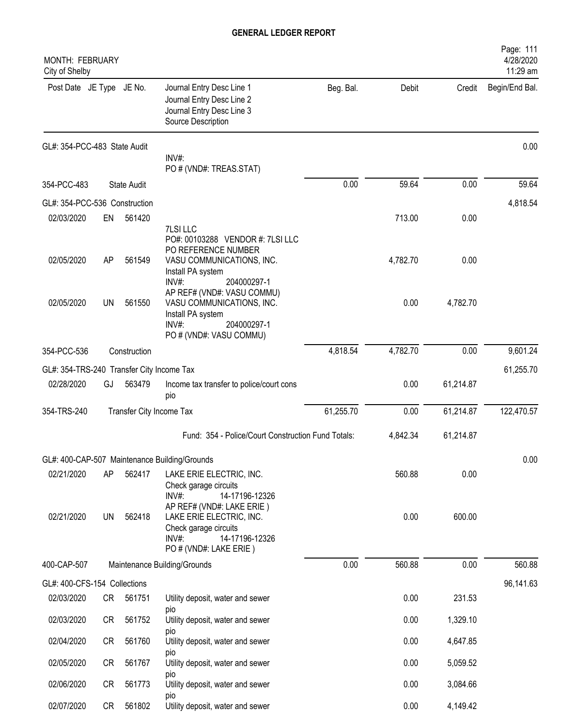| <b>MONTH: FEBRUARY</b><br>City of Shelby  |    |                          |                                                                                                                                      |           |          |           | Page: 111<br>4/28/2020<br>11:29 am |
|-------------------------------------------|----|--------------------------|--------------------------------------------------------------------------------------------------------------------------------------|-----------|----------|-----------|------------------------------------|
| Post Date JE Type JE No.                  |    |                          | Journal Entry Desc Line 1<br>Journal Entry Desc Line 2<br>Journal Entry Desc Line 3<br>Source Description                            | Beg. Bal. | Debit    | Credit    | Begin/End Bal.                     |
| GL#: 354-PCC-483 State Audit              |    |                          | INV#:<br>PO # (VND#: TREAS.STAT)                                                                                                     |           |          |           | 0.00                               |
| 354-PCC-483                               |    | <b>State Audit</b>       |                                                                                                                                      | 0.00      | 59.64    | 0.00      | 59.64                              |
| GL#: 354-PCC-536 Construction             |    |                          |                                                                                                                                      |           |          |           | 4,818.54                           |
| 02/03/2020                                | EN | 561420                   | 7LSI LLC                                                                                                                             |           | 713.00   | 0.00      |                                    |
| 02/05/2020                                | AP | 561549                   | PO#: 00103288 VENDOR #: 7LSI LLC<br>PO REFERENCE NUMBER<br>VASU COMMUNICATIONS, INC.<br>Install PA system<br>$INV#$ :<br>204000297-1 |           | 4,782.70 | 0.00      |                                    |
| 02/05/2020                                | UN | 561550                   | AP REF# (VND#: VASU COMMU)<br>VASU COMMUNICATIONS, INC.<br>Install PA system<br>INV#<br>204000297-1<br>PO # (VND#: VASU COMMU)       |           | 0.00     | 4,782.70  |                                    |
| 354-PCC-536                               |    | Construction             |                                                                                                                                      | 4,818.54  | 4,782.70 | 0.00      | 9,601.24                           |
| GL#: 354-TRS-240 Transfer City Income Tax |    |                          |                                                                                                                                      |           |          |           | 61,255.70                          |
| 02/28/2020                                | GJ | 563479                   | Income tax transfer to police/court cons<br>pio                                                                                      |           | 0.00     | 61,214.87 |                                    |
| 354-TRS-240                               |    | Transfer City Income Tax |                                                                                                                                      | 61,255.70 | 0.00     | 61,214.87 | 122,470.57                         |
|                                           |    |                          | Fund: 354 - Police/Court Construction Fund Totals:                                                                                   |           | 4,842.34 | 61,214.87 |                                    |
|                                           |    |                          | GL#: 400-CAP-507 Maintenance Building/Grounds                                                                                        |           |          |           | 0.00                               |
| 02/21/2020                                | AP | 562417                   | LAKE ERIE ELECTRIC, INC.<br>Check garage circuits<br>$INV#$ :<br>14-17196-12326                                                      |           | 560.88   | 0.00      |                                    |
| 02/21/2020                                | UN | 562418                   | AP REF# (VND#: LAKE ERIE)<br>LAKE ERIE ELECTRIC, INC.<br>Check garage circuits<br>INV#:<br>14-17196-12326<br>PO # (VND#: LAKE ERIE)  |           | 0.00     | 600.00    |                                    |
| 400-CAP-507                               |    |                          | Maintenance Building/Grounds                                                                                                         | 0.00      | 560.88   | 0.00      | 560.88                             |
| GL#: 400-CFS-154 Collections              |    |                          |                                                                                                                                      |           |          |           | 96,141.63                          |
| 02/03/2020                                | CR | 561751                   | Utility deposit, water and sewer                                                                                                     |           | 0.00     | 231.53    |                                    |
| 02/03/2020                                | CR | 561752                   | pio<br>Utility deposit, water and sewer                                                                                              |           | 0.00     | 1,329.10  |                                    |
| 02/04/2020                                | CR | 561760                   | pio<br>Utility deposit, water and sewer<br>pio                                                                                       |           | 0.00     | 4,647.85  |                                    |
| 02/05/2020                                | CR | 561767                   | Utility deposit, water and sewer<br><b>DIO</b>                                                                                       |           | 0.00     | 5,059.52  |                                    |
| 02/06/2020                                | CR | 561773                   | Utility deposit, water and sewer                                                                                                     |           | 0.00     | 3,084.66  |                                    |
| 02/07/2020                                | CR | 561802                   | pio<br>Utility deposit, water and sewer                                                                                              |           | 0.00     | 4,149.42  |                                    |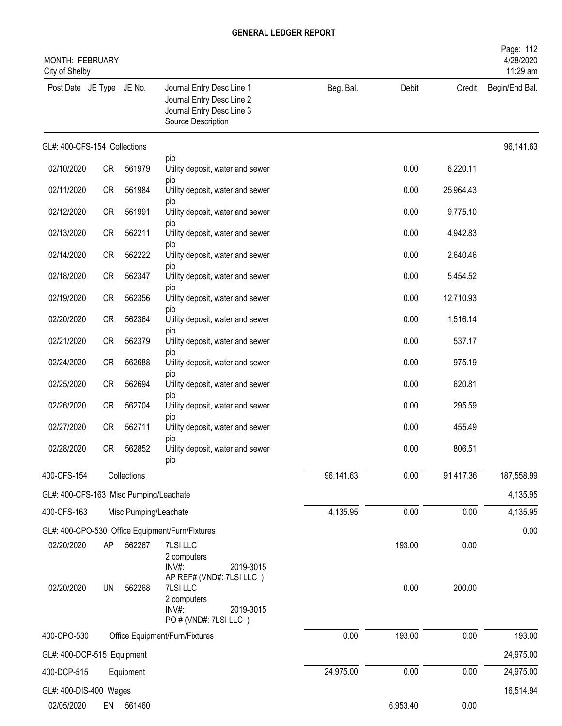| MONTH: FEBRUARY<br>City of Shelby      |           |                       |                                                                                                           |           |          |           | Page: 112<br>4/28/2020<br>11:29 am |
|----------------------------------------|-----------|-----------------------|-----------------------------------------------------------------------------------------------------------|-----------|----------|-----------|------------------------------------|
| Post Date JE Type JE No.               |           |                       | Journal Entry Desc Line 1<br>Journal Entry Desc Line 2<br>Journal Entry Desc Line 3<br>Source Description | Beg. Bal. | Debit    | Credit    | Begin/End Bal.                     |
| GL#: 400-CFS-154 Collections           |           |                       |                                                                                                           |           |          |           | 96,141.63                          |
| 02/10/2020                             | <b>CR</b> | 561979                | pio<br>Utility deposit, water and sewer                                                                   |           | 0.00     | 6,220.11  |                                    |
| 02/11/2020                             | <b>CR</b> | 561984                | pio<br>Utility deposit, water and sewer                                                                   |           | 0.00     | 25,964.43 |                                    |
| 02/12/2020                             | <b>CR</b> | 561991                | pio<br>Utility deposit, water and sewer                                                                   |           | 0.00     | 9,775.10  |                                    |
| 02/13/2020                             | <b>CR</b> | 562211                | <b>DIO</b><br>Utility deposit, water and sewer                                                            |           | 0.00     | 4,942.83  |                                    |
| 02/14/2020                             | <b>CR</b> | 562222                | <b>DIO</b><br>Utility deposit, water and sewer                                                            |           | 0.00     | 2,640.46  |                                    |
| 02/18/2020                             | <b>CR</b> | 562347                | pio<br>Utility deposit, water and sewer                                                                   |           | 0.00     | 5,454.52  |                                    |
| 02/19/2020                             | <b>CR</b> | 562356                | pio<br>Utility deposit, water and sewer                                                                   |           | 0.00     | 12,710.93 |                                    |
| 02/20/2020                             | <b>CR</b> | 562364                | pio<br>Utility deposit, water and sewer                                                                   |           | 0.00     | 1,516.14  |                                    |
| 02/21/2020                             | <b>CR</b> | 562379                | pio<br>Utility deposit, water and sewer                                                                   |           | 0.00     | 537.17    |                                    |
| 02/24/2020                             | <b>CR</b> | 562688                | <b>DIO</b><br>Utility deposit, water and sewer                                                            |           | 0.00     | 975.19    |                                    |
| 02/25/2020                             | <b>CR</b> | 562694                | <b>DIO</b><br>Utility deposit, water and sewer                                                            |           | 0.00     | 620.81    |                                    |
| 02/26/2020                             | <b>CR</b> | 562704                | pio<br>Utility deposit, water and sewer                                                                   |           | 0.00     | 295.59    |                                    |
| 02/27/2020                             | <b>CR</b> | 562711                | pio<br>Utility deposit, water and sewer                                                                   |           | 0.00     | 455.49    |                                    |
| 02/28/2020                             | <b>CR</b> | 562852                | pio<br>Utility deposit, water and sewer<br>pio                                                            |           | 0.00     | 806.51    |                                    |
| 400-CFS-154                            |           | Collections           |                                                                                                           | 96,141.63 | 0.00     | 91,417.36 | 187,558.99                         |
| GL#: 400-CFS-163 Misc Pumping/Leachate |           |                       |                                                                                                           |           |          |           | 4,135.95                           |
| 400-CFS-163                            |           | Misc Pumping/Leachate |                                                                                                           | 4,135.95  | 0.00     | 0.00      | 4,135.95                           |
|                                        |           |                       | GL#: 400-CPO-530 Office Equipment/Furn/Fixtures                                                           |           |          |           | 0.00                               |
| 02/20/2020                             | AP        | 562267                | 7LSI LLC<br>2 computers<br>INV#:<br>2019-3015<br>AP REF# (VND#: 7LSI LLC)                                 |           | 193.00   | 0.00      |                                    |
| 02/20/2020                             | <b>UN</b> | 562268                | 7LSI LLC<br>2 computers<br>INV#:<br>2019-3015<br>PO # (VND#: 7LSI LLC)                                    |           | 0.00     | 200.00    |                                    |
| 400-CPO-530                            |           |                       | Office Equipment/Furn/Fixtures                                                                            | 0.00      | 193.00   | 0.00      | 193.00                             |
| GL#: 400-DCP-515 Equipment             |           |                       |                                                                                                           |           |          |           | 24,975.00                          |
| 400-DCP-515                            |           | Equipment             |                                                                                                           | 24,975.00 | 0.00     | 0.00      | 24,975.00                          |
| GL#: 400-DIS-400 Wages                 |           |                       |                                                                                                           |           |          |           | 16,514.94                          |
| 02/05/2020                             | EN        | 561460                |                                                                                                           |           | 6,953.40 | 0.00      |                                    |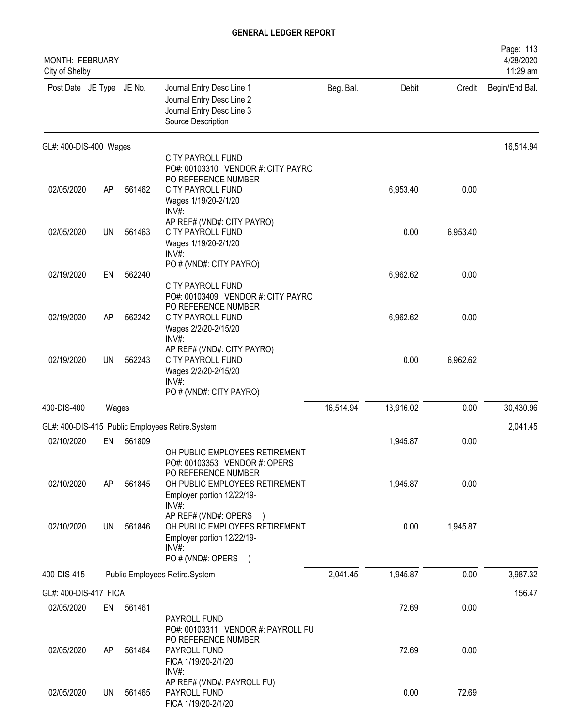| MONTH: FEBRUARY<br>City of Shelby |           |           |                                                                                                                                                        |           |           |          | Page: 113<br>4/28/2020<br>11:29 am |
|-----------------------------------|-----------|-----------|--------------------------------------------------------------------------------------------------------------------------------------------------------|-----------|-----------|----------|------------------------------------|
| Post Date JE Type JE No.          |           |           | Journal Entry Desc Line 1<br>Journal Entry Desc Line 2<br>Journal Entry Desc Line 3<br>Source Description                                              | Beg. Bal. | Debit     | Credit   | Begin/End Bal.                     |
| GL#: 400-DIS-400 Wages            |           |           |                                                                                                                                                        |           |           |          | 16,514.94                          |
|                                   |           |           | CITY PAYROLL FUND<br>PO#: 00103310 VENDOR #: CITY PAYRO                                                                                                |           |           |          |                                    |
| 02/05/2020                        | AP        | 561462    | PO REFERENCE NUMBER<br><b>CITY PAYROLL FUND</b><br>Wages 1/19/20-2/1/20<br>INV#:                                                                       |           | 6,953.40  | 0.00     |                                    |
| 02/05/2020                        | <b>UN</b> | 561463    | AP REF# (VND#: CITY PAYRO)<br><b>CITY PAYROLL FUND</b><br>Wages 1/19/20-2/1/20<br>$INV#$ :                                                             |           | 0.00      | 6,953.40 |                                    |
| 02/19/2020                        | EN        | 562240    | PO # (VND#: CITY PAYRO)<br><b>CITY PAYROLL FUND</b>                                                                                                    |           | 6,962.62  | 0.00     |                                    |
| 02/19/2020                        | AP        | 562242    | PO#: 00103409 VENDOR #: CITY PAYRO<br>PO REFERENCE NUMBER<br><b>CITY PAYROLL FUND</b><br>Wages 2/2/20-2/15/20<br>INV#:                                 |           | 6,962.62  | 0.00     |                                    |
| 02/19/2020                        | UN        | 562243    | AP REF# (VND#: CITY PAYRO)<br>CITY PAYROLL FUND<br>Wages 2/2/20-2/15/20<br>$INV#$ :<br>PO # (VND#: CITY PAYRO)                                         |           | 0.00      | 6,962.62 |                                    |
| 400-DIS-400                       | Wages     |           |                                                                                                                                                        | 16,514.94 | 13,916.02 | 0.00     | 30,430.96                          |
|                                   |           |           | GL#: 400-DIS-415 Public Employees Retire.System                                                                                                        |           |           |          | 2,041.45                           |
| 02/10/2020                        | EN        | 561809    |                                                                                                                                                        |           | 1,945.87  | 0.00     |                                    |
| 02/10/2020                        | AP        | 561845    | OH PUBLIC EMPLOYEES RETIREMENT<br>PO#: 00103353 VENDOR #: OPERS<br>PO REFERENCE NUMBER<br>OH PUBLIC EMPLOYEES RETIREMENT<br>Employer portion 12/22/19- |           | 1,945.87  | 0.00     |                                    |
| 02/10/2020                        | UN        | 561846    | INV#:<br>AP REF# (VND#: OPERS<br>OH PUBLIC EMPLOYEES RETIREMENT<br>Employer portion 12/22/19-<br>$INV#$ :<br>PO # (VND#: OPERS                         |           | 0.00      | 1,945.87 |                                    |
| 400-DIS-415                       |           |           | Public Employees Retire.System                                                                                                                         | 2,041.45  | 1,945.87  | 0.00     | 3,987.32                           |
| GL#: 400-DIS-417 FICA             |           |           |                                                                                                                                                        |           |           |          | 156.47                             |
| 02/05/2020                        |           | EN 561461 | PAYROLL FUND<br>PO#: 00103311 VENDOR #: PAYROLL FU                                                                                                     |           | 72.69     | 0.00     |                                    |
| 02/05/2020                        | AP.       | 561464    | PO REFERENCE NUMBER<br>PAYROLL FUND<br>FICA 1/19/20-2/1/20<br>$INV#$ :                                                                                 |           | 72.69     | 0.00     |                                    |
| 02/05/2020                        | UN        | 561465    | AP REF# (VND#: PAYROLL FU)<br>PAYROLL FUND<br>FICA 1/19/20-2/1/20                                                                                      |           | 0.00      | 72.69    |                                    |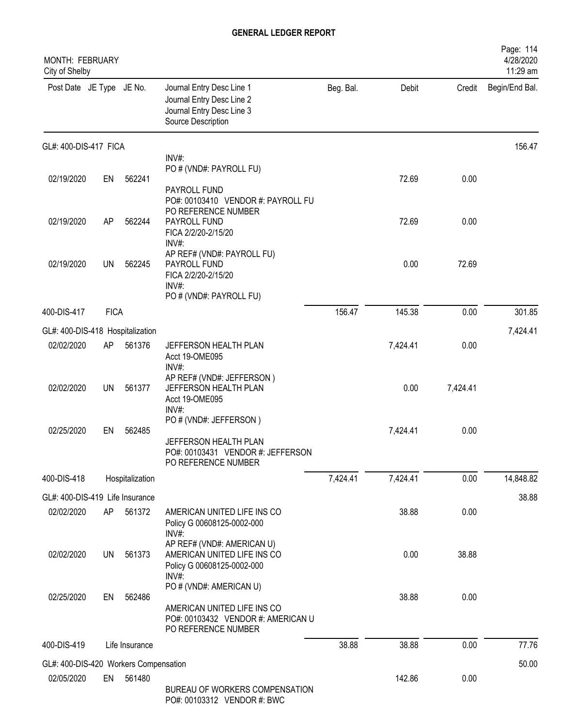| <b>MONTH: FEBRUARY</b><br>City of Shelby |             |                 |                                                                                                           |           |          |          | Page: 114<br>4/28/2020<br>11:29 am |
|------------------------------------------|-------------|-----------------|-----------------------------------------------------------------------------------------------------------|-----------|----------|----------|------------------------------------|
| Post Date JE Type JE No.                 |             |                 | Journal Entry Desc Line 1<br>Journal Entry Desc Line 2<br>Journal Entry Desc Line 3<br>Source Description | Beg. Bal. | Debit    | Credit   | Begin/End Bal.                     |
| GL#: 400-DIS-417 FICA                    |             |                 |                                                                                                           |           |          |          | 156.47                             |
|                                          |             |                 | INV#:<br>PO # (VND#: PAYROLL FU)                                                                          |           |          |          |                                    |
| 02/19/2020                               | EN          | 562241          |                                                                                                           |           | 72.69    | 0.00     |                                    |
| 02/19/2020                               | AP          | 562244          | PAYROLL FUND<br>PO#: 00103410 VENDOR #: PAYROLL FU<br>PO REFERENCE NUMBER<br>PAYROLL FUND                 |           | 72.69    | 0.00     |                                    |
|                                          |             |                 | FICA 2/2/20-2/15/20<br>INV#                                                                               |           |          |          |                                    |
| 02/19/2020                               | UN          | 562245          | AP REF# (VND#: PAYROLL FU)<br>PAYROLL FUND<br>FICA 2/2/20-2/15/20<br>INV#<br>PO # (VND#: PAYROLL FU)      |           | 0.00     | 72.69    |                                    |
| 400-DIS-417                              | <b>FICA</b> |                 |                                                                                                           | 156.47    | 145.38   | 0.00     | 301.85                             |
|                                          |             |                 |                                                                                                           |           |          |          |                                    |
| GL#: 400-DIS-418 Hospitalization         |             |                 |                                                                                                           |           |          |          | 7,424.41                           |
| 02/02/2020                               | AP          | 561376          | JEFFERSON HEALTH PLAN<br>Acct 19-OME095<br>$INV#$ :                                                       |           | 7,424.41 | 0.00     |                                    |
| 02/02/2020                               | <b>UN</b>   | 561377          | AP REF# (VND#: JEFFERSON)<br>JEFFERSON HEALTH PLAN<br>Acct 19-OME095<br>$INV#$ :                          |           | 0.00     | 7,424.41 |                                    |
| 02/25/2020                               | EN          | 562485          | PO # (VND#: JEFFERSON)<br>JEFFERSON HEALTH PLAN<br>PO#: 00103431 VENDOR #: JEFFERSON                      |           | 7,424.41 | 0.00     |                                    |
|                                          |             |                 | PO REFERENCE NUMBER                                                                                       |           |          |          |                                    |
| 400-DIS-418                              |             | Hospitalization |                                                                                                           | 7,424.41  | 7,424.41 | 0.00     | 14,848.82                          |
| GL#: 400-DIS-419 Life Insurance          |             |                 |                                                                                                           |           |          |          | 38.88                              |
| 02/02/2020                               | AP          | 561372          | AMERICAN UNITED LIFE INS CO<br>Policy G 00608125-0002-000<br>INV#:                                        |           | 38.88    | 0.00     |                                    |
| 02/02/2020                               | <b>UN</b>   | 561373          | AP REF# (VND#: AMERICAN U)<br>AMERICAN UNITED LIFE INS CO<br>Policy G 00608125-0002-000<br>$INV#$ :       |           | 0.00     | 38.88    |                                    |
| 02/25/2020                               | EN          | 562486          | PO # (VND#: AMERICAN U)<br>AMERICAN UNITED LIFE INS CO                                                    |           | 38.88    | 0.00     |                                    |
|                                          |             |                 | PO#: 00103432 VENDOR #: AMERICAN U<br>PO REFERENCE NUMBER                                                 |           |          |          |                                    |
| 400-DIS-419                              |             | Life Insurance  |                                                                                                           | 38.88     | 38.88    | 0.00     | 77.76                              |
| GL#: 400-DIS-420 Workers Compensation    |             |                 |                                                                                                           |           |          |          | 50.00                              |
| 02/05/2020                               | EN          | 561480          |                                                                                                           |           | 142.86   | 0.00     |                                    |
|                                          |             |                 | BUREAU OF WORKERS COMPENSATION<br>PO#: 00103312 VENDOR #: BWC                                             |           |          |          |                                    |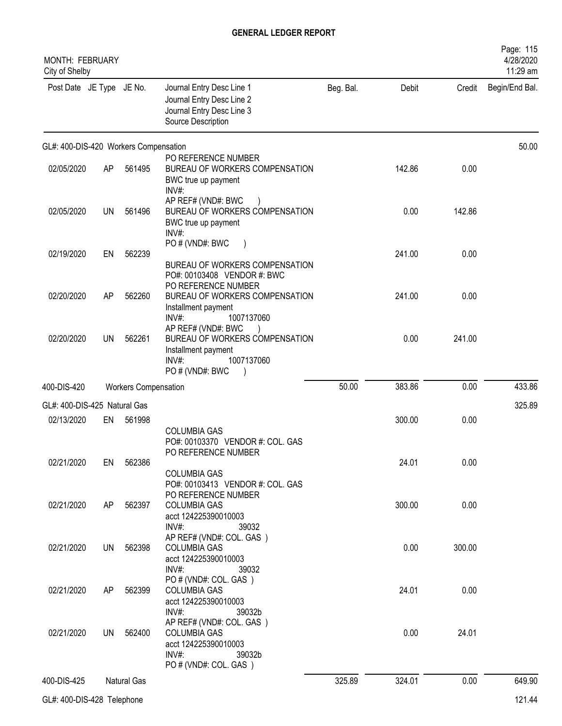| <b>MONTH: FEBRUARY</b><br>City of Shelby |           |                             |                                                                                                                        |           |        |        | Page: 115<br>4/28/2020<br>11:29 am |
|------------------------------------------|-----------|-----------------------------|------------------------------------------------------------------------------------------------------------------------|-----------|--------|--------|------------------------------------|
| Post Date JE Type JE No.                 |           |                             | Journal Entry Desc Line 1<br>Journal Entry Desc Line 2<br>Journal Entry Desc Line 3<br>Source Description              | Beg. Bal. | Debit  | Credit | Begin/End Bal.                     |
| GL#: 400-DIS-420 Workers Compensation    |           |                             |                                                                                                                        |           |        |        | 50.00                              |
| 02/05/2020                               | AP        | 561495                      | PO REFERENCE NUMBER<br>BUREAU OF WORKERS COMPENSATION<br>BWC true up payment<br>INV#:                                  |           | 142.86 | 0.00   |                                    |
| 02/05/2020                               | <b>UN</b> | 561496                      | AP REF# (VND#: BWC<br>BUREAU OF WORKERS COMPENSATION<br>BWC true up payment<br>INV#:                                   |           | 0.00   | 142.86 |                                    |
| 02/19/2020                               | EN        | 562239                      | PO # (VND#: BWC<br>BUREAU OF WORKERS COMPENSATION<br>PO#: 00103408 VENDOR #: BWC                                       |           | 241.00 | 0.00   |                                    |
| 02/20/2020                               | AP        | 562260                      | PO REFERENCE NUMBER<br>BUREAU OF WORKERS COMPENSATION<br>Installment payment<br>INV#:<br>1007137060                    |           | 241.00 | 0.00   |                                    |
| 02/20/2020                               | UN        | 562261                      | AP REF# (VND#: BWC<br>BUREAU OF WORKERS COMPENSATION<br>Installment payment<br>$INV#$ :<br>1007137060<br>PO#(VND#: BWC |           | 0.00   | 241.00 |                                    |
| 400-DIS-420                              |           | <b>Workers Compensation</b> |                                                                                                                        | 50.00     | 383.86 | 0.00   | 433.86                             |
| GL#: 400-DIS-425 Natural Gas             |           |                             |                                                                                                                        |           |        |        | 325.89                             |
| 02/13/2020                               | EN        | 561998                      | <b>COLUMBIA GAS</b><br>PO#: 00103370 VENDOR #: COL. GAS<br>PO REFERENCE NUMBER                                         |           | 300.00 | 0.00   |                                    |
| 02/21/2020                               | EN        | 562386                      | <b>COLUMBIA GAS</b><br>PO#: 00103413 VENDOR #: COL. GAS<br>PO REFERENCE NUMBER                                         |           | 24.01  | 0.00   |                                    |
| 02/21/2020                               | AP        | 562397                      | <b>COLUMBIA GAS</b><br>acct 124225390010003<br>$INV#$ :<br>39032                                                       |           | 300.00 | 0.00   |                                    |
| 02/21/2020                               | UN        | 562398                      | AP REF# (VND#: COL. GAS)<br><b>COLUMBIA GAS</b><br>acct 124225390010003<br>$INV#$ :<br>39032                           |           | 0.00   | 300.00 |                                    |
| 02/21/2020                               | AP        | 562399                      | PO#(VND#: COL. GAS)<br><b>COLUMBIA GAS</b><br>acct 124225390010003<br>$INV#$ :<br>39032b                               |           | 24.01  | 0.00   |                                    |
| 02/21/2020                               | <b>UN</b> | 562400                      | AP REF# (VND#: COL. GAS)<br><b>COLUMBIA GAS</b><br>acct 124225390010003<br>$INV#$ :<br>39032b<br>PO#(VND#: COL. GAS)   |           | 0.00   | 24.01  |                                    |
| 400-DIS-425                              |           | Natural Gas                 |                                                                                                                        | 325.89    | 324.01 | 0.00   | 649.90                             |
| GL#: 400-DIS-428 Telephone               |           |                             |                                                                                                                        |           |        |        | 121.44                             |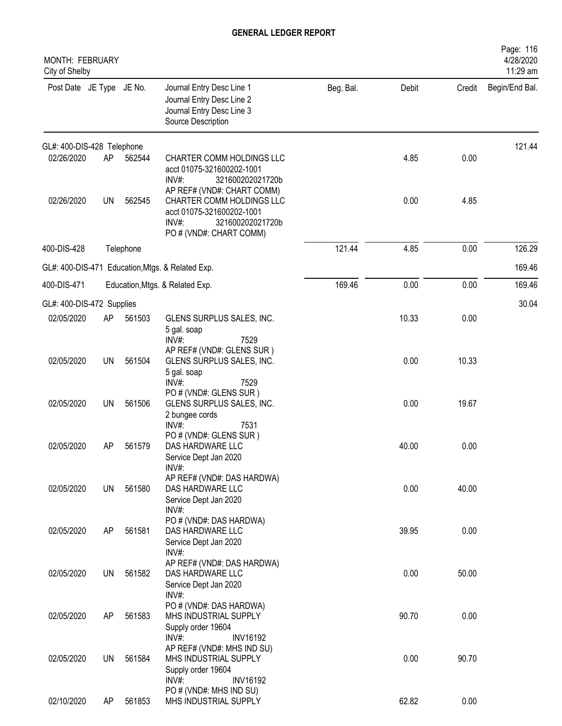| MONTH: FEBRUARY<br>City of Shelby |           |           |                                                                                                                   |           |       |        | Page: 116<br>4/28/2020<br>11:29 am |
|-----------------------------------|-----------|-----------|-------------------------------------------------------------------------------------------------------------------|-----------|-------|--------|------------------------------------|
| Post Date JE Type JE No.          |           |           | Journal Entry Desc Line 1<br>Journal Entry Desc Line 2<br>Journal Entry Desc Line 3<br>Source Description         | Beg. Bal. | Debit | Credit | Begin/End Bal.                     |
| GL#: 400-DIS-428 Telephone        |           |           |                                                                                                                   |           |       |        | 121.44                             |
| 02/26/2020                        | AP        | 562544    | CHARTER COMM HOLDINGS LLC<br>acct 01075-321600202-1001<br>INV#:<br>321600202021720b<br>AP REF# (VND#: CHART COMM) |           | 4.85  | 0.00   |                                    |
| 02/26/2020                        | <b>UN</b> | 562545    | CHARTER COMM HOLDINGS LLC<br>acct 01075-321600202-1001<br>$INV#$ :<br>321600202021720b<br>PO # (VND#: CHART COMM) |           | 0.00  | 4.85   |                                    |
| 400-DIS-428                       |           | Telephone |                                                                                                                   | 121.44    | 4.85  | 0.00   | 126.29                             |
|                                   |           |           | GL#: 400-DIS-471 Education, Mtgs. & Related Exp.                                                                  |           |       |        | 169.46                             |
| 400-DIS-471                       |           |           | Education, Mtgs. & Related Exp.                                                                                   | 169.46    | 0.00  | 0.00   | 169.46                             |
| GL#: 400-DIS-472 Supplies         |           |           |                                                                                                                   |           |       |        | 30.04                              |
| 02/05/2020                        | AP        | 561503    | GLENS SURPLUS SALES, INC.<br>5 gal. soap<br>INV#:<br>7529                                                         |           | 10.33 | 0.00   |                                    |
| 02/05/2020                        | <b>UN</b> | 561504    | AP REF# (VND#: GLENS SUR)<br>GLENS SURPLUS SALES, INC.<br>5 gal. soap                                             |           | 0.00  | 10.33  |                                    |
| 02/05/2020                        | UN        | 561506    | INV#:<br>7529<br>PO # (VND#: GLENS SUR)<br>GLENS SURPLUS SALES, INC.<br>2 bungee cords                            |           | 0.00  | 19.67  |                                    |
| 02/05/2020                        | AP        | 561579    | INV#:<br>7531<br>PO # (VND#: GLENS SUR)<br>DAS HARDWARE LLC<br>Service Dept Jan 2020                              |           | 40.00 | 0.00   |                                    |
| 02/05/2020                        | <b>UN</b> | 561580    | INV#:<br>AP REF# (VND#: DAS HARDWA)<br>DAS HARDWARE LLC<br>Service Dept Jan 2020                                  |           | 0.00  | 40.00  |                                    |
| 02/05/2020                        | AP        | 561581    | INV#:<br>PO # (VND#: DAS HARDWA)<br>DAS HARDWARE LLC<br>Service Dept Jan 2020<br>$INV#$ :                         |           | 39.95 | 0.00   |                                    |
| 02/05/2020                        | UN        | 561582    | AP REF# (VND#: DAS HARDWA)<br>DAS HARDWARE LLC<br>Service Dept Jan 2020<br>$INV#$ :                               |           | 0.00  | 50.00  |                                    |
| 02/05/2020                        | AP        | 561583    | PO # (VND#: DAS HARDWA)<br>MHS INDUSTRIAL SUPPLY<br>Supply order 19604<br>$INV#$ :                                |           | 90.70 | 0.00   |                                    |
| 02/05/2020                        | <b>UN</b> | 561584    | <b>INV16192</b><br>AP REF# (VND#: MHS IND SU)<br>MHS INDUSTRIAL SUPPLY<br>Supply order 19604                      |           | 0.00  | 90.70  |                                    |
| 02/10/2020                        | AP        | 561853    | $INV#$ :<br><b>INV16192</b><br>PO # (VND#: MHS IND SU)<br>MHS INDUSTRIAL SUPPLY                                   |           | 62.82 | 0.00   |                                    |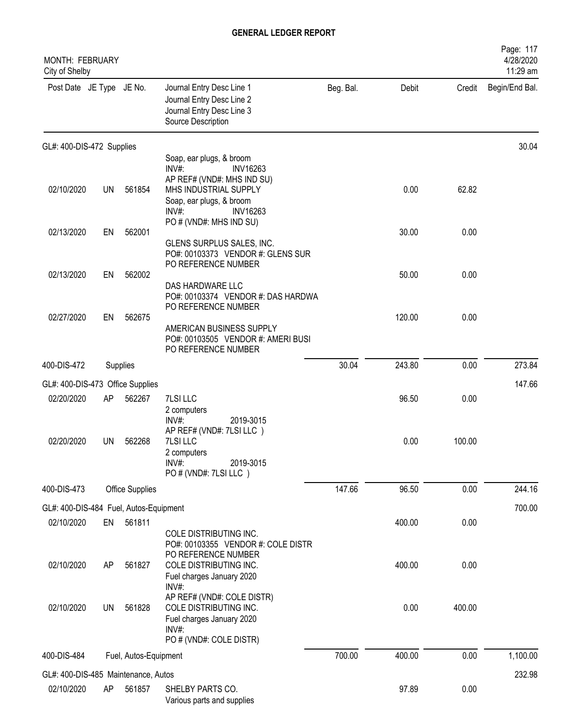| MONTH: FEBRUARY<br>City of Shelby      |           |                       |                                                                                                                                        |           |        |        | Page: 117<br>4/28/2020<br>11:29 am |
|----------------------------------------|-----------|-----------------------|----------------------------------------------------------------------------------------------------------------------------------------|-----------|--------|--------|------------------------------------|
| Post Date JE Type JE No.               |           |                       | Journal Entry Desc Line 1<br>Journal Entry Desc Line 2<br>Journal Entry Desc Line 3<br>Source Description                              | Beg. Bal. | Debit  | Credit | Begin/End Bal.                     |
| GL#: 400-DIS-472 Supplies              |           |                       |                                                                                                                                        |           |        |        | 30.04                              |
|                                        |           |                       | Soap, ear plugs, & broom<br>$INV#$ :<br><b>INV16263</b>                                                                                |           |        |        |                                    |
| 02/10/2020                             | <b>UN</b> | 561854                | AP REF# (VND#: MHS IND SU)<br>MHS INDUSTRIAL SUPPLY<br>Soap, ear plugs, & broom<br>INV#:<br><b>INV16263</b><br>PO # (VND#: MHS IND SU) |           | 0.00   | 62.82  |                                    |
| 02/13/2020                             | EN        | 562001                |                                                                                                                                        |           | 30.00  | 0.00   |                                    |
|                                        |           |                       | GLENS SURPLUS SALES, INC.<br>PO#: 00103373 VENDOR #: GLENS SUR<br>PO REFERENCE NUMBER                                                  |           |        |        |                                    |
| 02/13/2020                             | EN        | 562002                |                                                                                                                                        |           | 50.00  | 0.00   |                                    |
|                                        |           |                       | DAS HARDWARE LLC<br>PO#: 00103374 VENDOR #: DAS HARDWA<br>PO REFERENCE NUMBER                                                          |           |        |        |                                    |
| 02/27/2020                             | EN        | 562675                | AMERICAN BUSINESS SUPPLY<br>PO#: 00103505 VENDOR #: AMERI BUSI<br>PO REFERENCE NUMBER                                                  |           | 120.00 | 0.00   |                                    |
| 400-DIS-472                            |           | Supplies              |                                                                                                                                        | 30.04     | 243.80 | 0.00   | 273.84                             |
| GL#: 400-DIS-473 Office Supplies       |           |                       |                                                                                                                                        |           |        |        | 147.66                             |
| 02/20/2020                             | AP        | 562267                | 7LSI LLC<br>2 computers<br>$INV#$ :<br>2019-3015                                                                                       |           | 96.50  | 0.00   |                                    |
| 02/20/2020                             | <b>UN</b> | 562268                | AP REF# (VND#: 7LSI LLC)<br>7LSI LLC<br>2 computers<br>$INV#$ :<br>2019-3015<br>PO # (VND#: 7LSI LLC)                                  |           | 0.00   | 100.00 |                                    |
| 400-DIS-473                            |           | Office Supplies       |                                                                                                                                        | 147.66    | 96.50  | 0.00   | 244.16                             |
| GL#: 400-DIS-484 Fuel, Autos-Equipment |           |                       |                                                                                                                                        |           |        |        | 700.00                             |
| 02/10/2020                             | EN        | 561811                | COLE DISTRIBUTING INC.<br>PO#: 00103355 VENDOR #: COLE DISTR                                                                           |           | 400.00 | 0.00   |                                    |
| 02/10/2020                             | AP        | 561827                | PO REFERENCE NUMBER<br>COLE DISTRIBUTING INC.<br>Fuel charges January 2020<br>INV#:                                                    |           | 400.00 | 0.00   |                                    |
| 02/10/2020                             | UN        | 561828                | AP REF# (VND#: COLE DISTR)<br>COLE DISTRIBUTING INC.<br>Fuel charges January 2020<br>INV#:<br>PO # (VND#: COLE DISTR)                  |           | 0.00   | 400.00 |                                    |
| 400-DIS-484                            |           | Fuel, Autos-Equipment |                                                                                                                                        | 700.00    | 400.00 | 0.00   | 1,100.00                           |
| GL#: 400-DIS-485 Maintenance, Autos    |           |                       |                                                                                                                                        |           |        |        | 232.98                             |
| 02/10/2020                             | AP        | 561857                | SHELBY PARTS CO.<br>Various parts and supplies                                                                                         |           | 97.89  | 0.00   |                                    |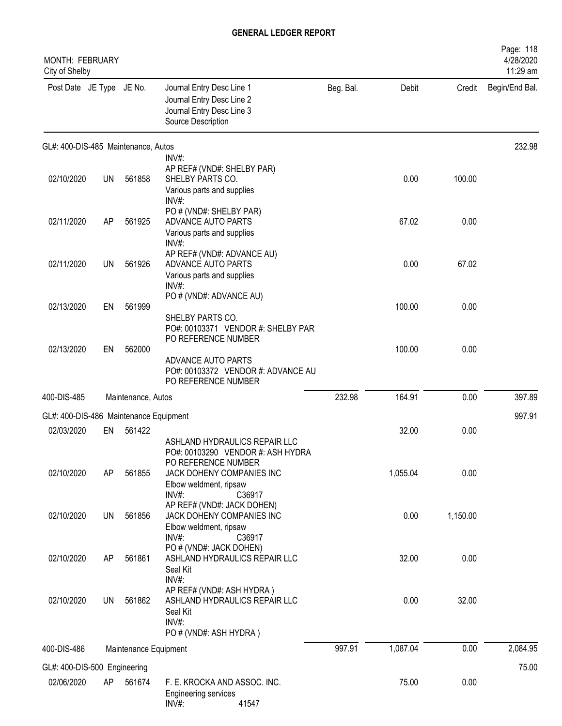| <b>MONTH: FEBRUARY</b><br>City of Shelby |           |                       |                                                                                                                                                                        |           |          |          | Page: 118<br>4/28/2020<br>11:29 am |
|------------------------------------------|-----------|-----------------------|------------------------------------------------------------------------------------------------------------------------------------------------------------------------|-----------|----------|----------|------------------------------------|
| Post Date JE Type JE No.                 |           |                       | Journal Entry Desc Line 1<br>Journal Entry Desc Line 2<br>Journal Entry Desc Line 3<br>Source Description                                                              | Beg. Bal. | Debit    | Credit   | Begin/End Bal.                     |
| GL#: 400-DIS-485 Maintenance, Autos      |           |                       |                                                                                                                                                                        |           |          |          | 232.98                             |
| 02/10/2020                               | <b>UN</b> | 561858                | INV#:<br>AP REF# (VND#: SHELBY PAR)<br>SHELBY PARTS CO.<br>Various parts and supplies<br>INV#:                                                                         |           | 0.00     | 100.00   |                                    |
| 02/11/2020                               | AP        | 561925                | PO # (VND#: SHELBY PAR)<br>ADVANCE AUTO PARTS<br>Various parts and supplies                                                                                            |           | 67.02    | 0.00     |                                    |
| 02/11/2020                               | UN        | 561926                | INV#:<br>AP REF# (VND#: ADVANCE AU)<br>ADVANCE AUTO PARTS<br>Various parts and supplies<br>INV#                                                                        |           | 0.00     | 67.02    |                                    |
| 02/13/2020                               | EN        | 561999                | PO # (VND#: ADVANCE AU)<br>SHELBY PARTS CO.                                                                                                                            |           | 100.00   | 0.00     |                                    |
| 02/13/2020                               | EN        | 562000                | PO#: 00103371 VENDOR #: SHELBY PAR<br>PO REFERENCE NUMBER<br>ADVANCE AUTO PARTS<br>PO#: 00103372 VENDOR #: ADVANCE AU<br>PO REFERENCE NUMBER                           |           | 100.00   | 0.00     |                                    |
| 400-DIS-485                              |           | Maintenance, Autos    |                                                                                                                                                                        | 232.98    | 164.91   | 0.00     | 397.89                             |
| GL#: 400-DIS-486 Maintenance Equipment   |           |                       |                                                                                                                                                                        |           |          |          | 997.91                             |
| 02/03/2020                               | EN        | 561422                |                                                                                                                                                                        |           | 32.00    | 0.00     |                                    |
| 02/10/2020                               | AP        | 561855                | ASHLAND HYDRAULICS REPAIR LLC<br>PO#: 00103290 VENDOR #: ASH HYDRA<br>PO REFERENCE NUMBER<br>JACK DOHENY COMPANIES INC<br>Elbow weldment, ripsaw<br>$INV#$ :<br>C36917 |           | 1,055.04 | 0.00     |                                    |
| 02/10/2020                               | UN        | 561856                | AP REF# (VND#: JACK DOHEN)<br>JACK DOHENY COMPANIES INC<br>Elbow weldment, ripsaw<br>INV#:<br>C36917                                                                   |           | 0.00     | 1,150.00 |                                    |
| 02/10/2020                               | AP        | 561861                | PO # (VND#: JACK DOHEN)<br>ASHLAND HYDRAULICS REPAIR LLC<br>Seal Kit<br>INV#:                                                                                          |           | 32.00    | 0.00     |                                    |
| 02/10/2020                               | <b>UN</b> | 561862                | AP REF# (VND#: ASH HYDRA)<br>ASHLAND HYDRAULICS REPAIR LLC<br>Seal Kit<br>INV#:<br>PO # (VND#: ASH HYDRA)                                                              |           | 0.00     | 32.00    |                                    |
| 400-DIS-486                              |           | Maintenance Equipment |                                                                                                                                                                        | 997.91    | 1,087.04 | 0.00     | 2,084.95                           |
| GL#: 400-DIS-500 Engineering             |           |                       |                                                                                                                                                                        |           |          |          | 75.00                              |
| 02/06/2020                               | AP        | 561674                | F. E. KROCKA AND ASSOC. INC.<br><b>Engineering services</b><br>INV#:<br>41547                                                                                          |           | 75.00    | 0.00     |                                    |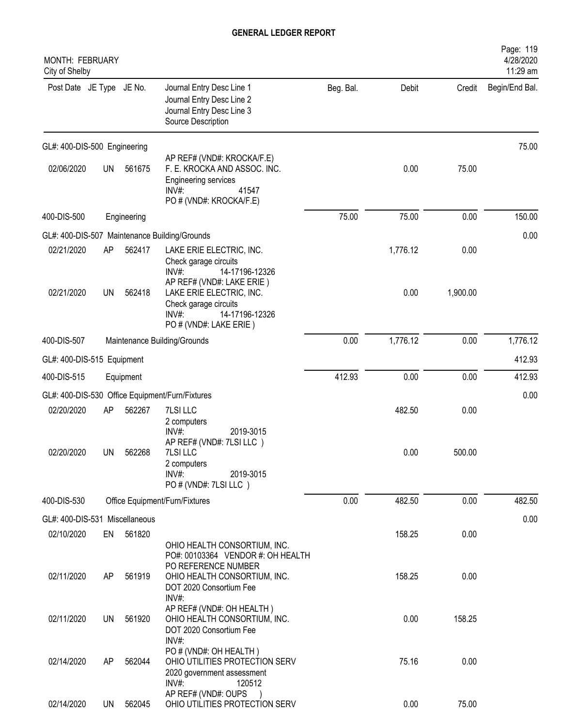| MONTH: FEBRUARY<br>City of Shelby |           |             |                                                                                                                                        |           |          |          | Page: 119<br>4/28/2020<br>11:29 am |
|-----------------------------------|-----------|-------------|----------------------------------------------------------------------------------------------------------------------------------------|-----------|----------|----------|------------------------------------|
| Post Date JE Type JE No.          |           |             | Journal Entry Desc Line 1<br>Journal Entry Desc Line 2<br>Journal Entry Desc Line 3<br>Source Description                              | Beg. Bal. | Debit    | Credit   | Begin/End Bal.                     |
| GL#: 400-DIS-500 Engineering      |           |             |                                                                                                                                        |           |          |          | 75.00                              |
| 02/06/2020                        | <b>UN</b> | 561675      | AP REF# (VND#: KROCKA/F.E)<br>F. E. KROCKA AND ASSOC. INC.<br><b>Engineering services</b><br>INV#<br>41547<br>PO # (VND#: KROCKA/F.E)  |           | 0.00     | 75.00    |                                    |
| 400-DIS-500                       |           | Engineering |                                                                                                                                        | 75.00     | 75.00    | 0.00     | 150.00                             |
|                                   |           |             | GL#: 400-DIS-507 Maintenance Building/Grounds                                                                                          |           |          |          | 0.00                               |
| 02/21/2020                        | AP        | 562417      | LAKE ERIE ELECTRIC, INC.<br>Check garage circuits<br>INV#:<br>14-17196-12326                                                           |           | 1,776.12 | 0.00     |                                    |
| 02/21/2020                        | <b>UN</b> | 562418      | AP REF# (VND#: LAKE ERIE)<br>LAKE ERIE ELECTRIC, INC.<br>Check garage circuits<br>$INV#$ :<br>14-17196-12326<br>PO # (VND#: LAKE ERIE) |           | 0.00     | 1,900.00 |                                    |
| 400-DIS-507                       |           |             | Maintenance Building/Grounds                                                                                                           | 0.00      | 1,776.12 | 0.00     | 1,776.12                           |
| GL#: 400-DIS-515 Equipment        |           |             |                                                                                                                                        |           |          |          | 412.93                             |
| 400-DIS-515                       |           | Equipment   |                                                                                                                                        | 412.93    | 0.00     | 0.00     | 412.93                             |
|                                   |           |             | GL#: 400-DIS-530 Office Equipment/Furn/Fixtures                                                                                        |           |          |          | 0.00                               |
| 02/20/2020                        | AP        | 562267      | 7LSI LLC                                                                                                                               |           | 482.50   | 0.00     |                                    |
|                                   |           |             | 2 computers<br>INV#:<br>2019-3015<br>AP REF# (VND#: 7LSI LLC)                                                                          |           |          |          |                                    |
| 02/20/2020                        | UN        | 562268      | 7LSI LLC<br>2 computers<br>$INV#$ :<br>2019-3015<br>PO # (VND#: 7LSI LLC)                                                              |           | 0.00     | 500.00   |                                    |
| 400-DIS-530                       |           |             | Office Equipment/Furn/Fixtures                                                                                                         | 0.00      | 482.50   | 0.00     | 482.50                             |
| GL#: 400-DIS-531 Miscellaneous    |           |             |                                                                                                                                        |           |          |          | 0.00                               |
| 02/10/2020                        | EN        | 561820      | OHIO HEALTH CONSORTIUM, INC.<br>PO#: 00103364 VENDOR #: OH HEALTH                                                                      |           | 158.25   | 0.00     |                                    |
| 02/11/2020                        | AP        | 561919      | PO REFERENCE NUMBER<br>OHIO HEALTH CONSORTIUM, INC.<br>DOT 2020 Consortium Fee<br>INV#:                                                |           | 158.25   | 0.00     |                                    |
| 02/11/2020                        | UN        | 561920      | AP REF# (VND#: OH HEALTH)<br>OHIO HEALTH CONSORTIUM, INC.<br>DOT 2020 Consortium Fee<br>INV#:                                          |           | 0.00     | 158.25   |                                    |
| 02/14/2020                        | AP        | 562044      | PO # (VND#: OH HEALTH)<br>OHIO UTILITIES PROTECTION SERV<br>2020 government assessment<br>INV#:<br>120512                              |           | 75.16    | 0.00     |                                    |
| 02/14/2020                        | <b>UN</b> | 562045      | AP REF# (VND#: OUPS<br>OHIO UTILITIES PROTECTION SERV                                                                                  |           | 0.00     | 75.00    |                                    |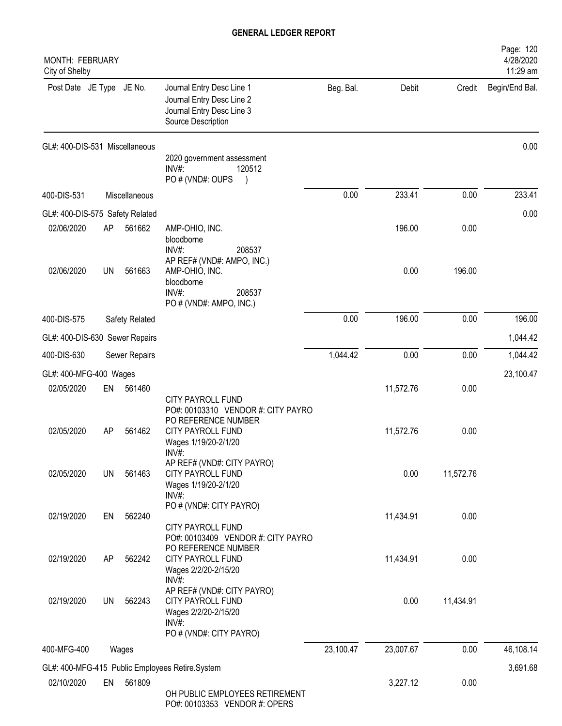| MONTH: FEBRUARY<br>City of Shelby             |           |                |                                                                                                                        |           |           |           | Page: 120<br>4/28/2020<br>11:29 am |
|-----------------------------------------------|-----------|----------------|------------------------------------------------------------------------------------------------------------------------|-----------|-----------|-----------|------------------------------------|
| Post Date JE Type JE No.                      |           |                | Journal Entry Desc Line 1<br>Journal Entry Desc Line 2<br>Journal Entry Desc Line 3<br>Source Description              | Beg. Bal. | Debit     | Credit    | Begin/End Bal.                     |
| GL#: 400-DIS-531 Miscellaneous                |           |                | 2020 government assessment<br>$INV#$ :<br>120512<br>PO # (VND#: OUPS                                                   |           |           |           | 0.00                               |
| 400-DIS-531                                   |           | Miscellaneous  |                                                                                                                        | 0.00      | 233.41    | 0.00      | 233.41                             |
|                                               |           |                |                                                                                                                        |           |           |           |                                    |
| GL#: 400-DIS-575 Safety Related<br>02/06/2020 | AP        | 561662         | AMP-OHIO, INC.<br>bloodborne<br>INV#:<br>208537                                                                        |           | 196.00    | 0.00      | 0.00                               |
| 02/06/2020                                    | UN        | 561663         | AP REF# (VND#: AMPO, INC.)<br>AMP-OHIO, INC.<br>bloodborne<br>INV#:<br>208537<br>PO # (VND#: AMPO, INC.)               |           | 0.00      | 196.00    |                                    |
| 400-DIS-575                                   |           | Safety Related |                                                                                                                        | 0.00      | 196.00    | 0.00      | 196.00                             |
| GL#: 400-DIS-630 Sewer Repairs                |           |                |                                                                                                                        |           |           |           | 1,044.42                           |
| 400-DIS-630                                   |           | Sewer Repairs  |                                                                                                                        | 1,044.42  | 0.00      | 0.00      | 1,044.42                           |
| GL#: 400-MFG-400 Wages                        |           |                |                                                                                                                        |           |           |           | 23,100.47                          |
| 02/05/2020                                    | EN        | 561460         | CITY PAYROLL FUND                                                                                                      |           | 11,572.76 | 0.00      |                                    |
| 02/05/2020                                    | AP        | 561462         | PO#: 00103310 VENDOR #: CITY PAYRO<br>PO REFERENCE NUMBER<br>CITY PAYROLL FUND<br>Wages 1/19/20-2/1/20<br>$INV#$ :     |           | 11,572.76 | 0.00      |                                    |
| 02/05/2020                                    | UN        | 561463         | AP REF# (VND#: CITY PAYRO)<br>CITY PAYROLL FUND<br>Wages 1/19/20-2/1/20<br>$INV#$ :                                    |           | 0.00      | 11,572.76 |                                    |
| 02/19/2020                                    | EN        | 562240         | PO # (VND#: CITY PAYRO)<br><b>CITY PAYROLL FUND</b>                                                                    |           | 11,434.91 | 0.00      |                                    |
| 02/19/2020                                    | AP        | 562242         | PO#: 00103409 VENDOR #: CITY PAYRO<br>PO REFERENCE NUMBER<br><b>CITY PAYROLL FUND</b><br>Wages 2/2/20-2/15/20<br>INV#: |           | 11,434.91 | 0.00      |                                    |
| 02/19/2020                                    | <b>UN</b> | 562243         | AP REF# (VND#: CITY PAYRO)<br>CITY PAYROLL FUND<br>Wages 2/2/20-2/15/20<br>INV#:<br>PO # (VND#: CITY PAYRO)            |           | 0.00      | 11,434.91 |                                    |
| 400-MFG-400                                   |           | Wages          |                                                                                                                        | 23,100.47 | 23,007.67 | 0.00      | 46,108.14                          |
|                                               |           |                | GL#: 400-MFG-415 Public Employees Retire.System                                                                        |           |           |           | 3,691.68                           |
| 02/10/2020                                    | EN        | 561809         | OH PUBLIC EMPLOYEES RETIREMENT<br>PO#: 00103353 VENDOR #: OPERS                                                        |           | 3,227.12  | 0.00      |                                    |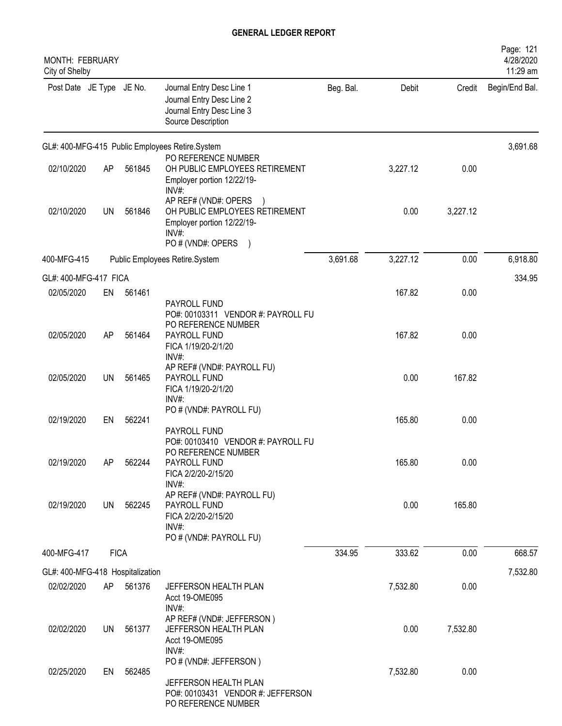| MONTH: FEBRUARY<br>City of Shelby |             |        |                                                                                                                    |           |          |          | Page: 121<br>4/28/2020<br>11:29 am |
|-----------------------------------|-------------|--------|--------------------------------------------------------------------------------------------------------------------|-----------|----------|----------|------------------------------------|
| Post Date JE Type JE No.          |             |        | Journal Entry Desc Line 1<br>Journal Entry Desc Line 2<br>Journal Entry Desc Line 3<br>Source Description          | Beg. Bal. | Debit    | Credit   | Begin/End Bal.                     |
|                                   |             |        | GL#: 400-MFG-415 Public Employees Retire.System                                                                    |           |          |          | 3,691.68                           |
| 02/10/2020                        | AP          | 561845 | PO REFERENCE NUMBER<br>OH PUBLIC EMPLOYEES RETIREMENT<br>Employer portion 12/22/19-<br>INV#:                       |           | 3,227.12 | 0.00     |                                    |
| 02/10/2020                        | <b>UN</b>   | 561846 | AP REF# (VND#: OPERS<br>OH PUBLIC EMPLOYEES RETIREMENT<br>Employer portion 12/22/19-<br>INV#:<br>PO # (VND#: OPERS |           | 0.00     | 3,227.12 |                                    |
| 400-MFG-415                       |             |        | Public Employees Retire.System                                                                                     | 3,691.68  | 3,227.12 | 0.00     | 6,918.80                           |
| GL#: 400-MFG-417 FICA             |             |        |                                                                                                                    |           |          |          | 334.95                             |
| 02/05/2020                        | EN          | 561461 | PAYROLL FUND<br>PO#: 00103311 VENDOR #: PAYROLL FU                                                                 |           | 167.82   | 0.00     |                                    |
| 02/05/2020                        | AP          | 561464 | PO REFERENCE NUMBER<br>PAYROLL FUND<br>FICA 1/19/20-2/1/20<br>$INV#$ :                                             |           | 167.82   | 0.00     |                                    |
| 02/05/2020                        | UN          | 561465 | AP REF# (VND#: PAYROLL FU)<br>PAYROLL FUND<br>FICA 1/19/20-2/1/20<br>INV#:                                         |           | 0.00     | 167.82   |                                    |
| 02/19/2020                        | EN          | 562241 | PO # (VND#: PAYROLL FU)<br>PAYROLL FUND                                                                            |           | 165.80   | 0.00     |                                    |
| 02/19/2020                        | AP          | 562244 | PO#: 00103410 VENDOR #: PAYROLL FU<br>PO REFERENCE NUMBER<br>PAYROLL FUND<br>FICA 2/2/20-2/15/20<br>$INV#$ :       |           | 165.80   | 0.00     |                                    |
| 02/19/2020                        | UN          | 562245 | AP REF# (VND#: PAYROLL FU)<br>PAYROLL FUND<br>FICA 2/2/20-2/15/20<br>$INV#$ :<br>PO # (VND#: PAYROLL FU)           |           | 0.00     | 165.80   |                                    |
| 400-MFG-417                       | <b>FICA</b> |        |                                                                                                                    | 334.95    | 333.62   | 0.00     | 668.57                             |
| GL#: 400-MFG-418 Hospitalization  |             |        |                                                                                                                    |           |          |          | 7,532.80                           |
| 02/02/2020                        | AP          | 561376 | JEFFERSON HEALTH PLAN<br>Acct 19-OME095<br>INV#:                                                                   |           | 7,532.80 | 0.00     |                                    |
| 02/02/2020                        | UN          | 561377 | AP REF# (VND#: JEFFERSON)<br>JEFFERSON HEALTH PLAN<br>Acct 19-OME095<br>$INV#$ :                                   |           | 0.00     | 7,532.80 |                                    |
| 02/25/2020                        | EN          | 562485 | PO # (VND#: JEFFERSON)<br>JEFFERSON HEALTH PLAN<br>PO#: 00103431 VENDOR #: JEFFERSON<br>PO REFERENCE NUMBER        |           | 7,532.80 | 0.00     |                                    |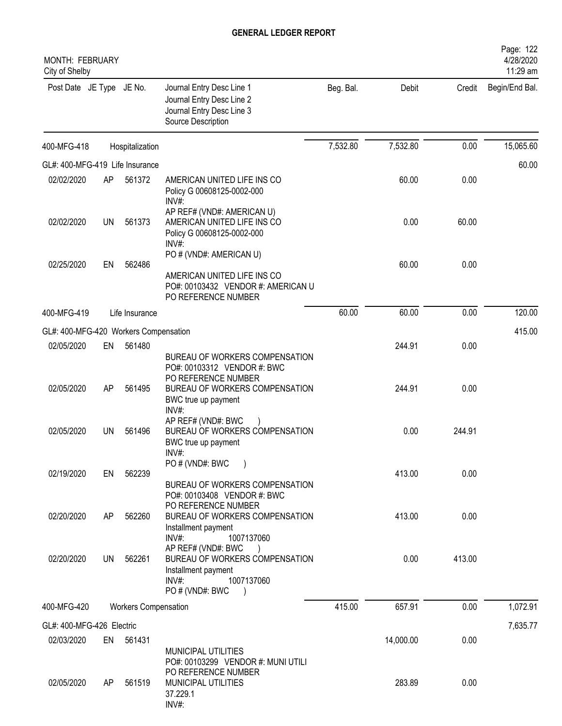| MONTH: FEBRUARY<br>City of Shelby     |           |                             |                                                                                                                                                                                   |           |           |        | Page: 122<br>4/28/2020<br>11:29 am |
|---------------------------------------|-----------|-----------------------------|-----------------------------------------------------------------------------------------------------------------------------------------------------------------------------------|-----------|-----------|--------|------------------------------------|
| Post Date JE Type JE No.              |           |                             | Journal Entry Desc Line 1<br>Journal Entry Desc Line 2<br>Journal Entry Desc Line 3<br>Source Description                                                                         | Beg. Bal. | Debit     | Credit | Begin/End Bal.                     |
| 400-MFG-418                           |           | Hospitalization             |                                                                                                                                                                                   | 7,532.80  | 7,532.80  | 0.00   | 15,065.60                          |
| GL#: 400-MFG-419 Life Insurance       |           |                             |                                                                                                                                                                                   |           |           |        | 60.00                              |
| 02/02/2020                            | AP        | 561372                      | AMERICAN UNITED LIFE INS CO<br>Policy G 00608125-0002-000<br>INV#:                                                                                                                |           | 60.00     | 0.00   |                                    |
| 02/02/2020                            | <b>UN</b> | 561373                      | AP REF# (VND#: AMERICAN U)<br>AMERICAN UNITED LIFE INS CO<br>Policy G 00608125-0002-000<br>$INV#$ :                                                                               |           | 0.00      | 60.00  |                                    |
| 02/25/2020                            | EN        | 562486                      | PO # (VND#: AMERICAN U)<br>AMERICAN UNITED LIFE INS CO                                                                                                                            |           | 60.00     | 0.00   |                                    |
|                                       |           |                             | PO#: 00103432 VENDOR #: AMERICAN U<br>PO REFERENCE NUMBER                                                                                                                         |           |           |        |                                    |
| 400-MFG-419                           |           | Life Insurance              |                                                                                                                                                                                   | 60.00     | 60.00     | 0.00   | 120.00                             |
| GL#: 400-MFG-420 Workers Compensation |           |                             |                                                                                                                                                                                   |           |           |        | 415.00                             |
| 02/05/2020                            | EN        | 561480                      |                                                                                                                                                                                   |           | 244.91    | 0.00   |                                    |
| 02/05/2020                            | AP        | 561495                      | BUREAU OF WORKERS COMPENSATION<br>PO#: 00103312 VENDOR #: BWC<br>PO REFERENCE NUMBER<br>BUREAU OF WORKERS COMPENSATION<br>BWC true up payment                                     |           | 244.91    | 0.00   |                                    |
| 02/05/2020                            | UN        | 561496                      | INV#:<br>AP REF# (VND#: BWC<br>BUREAU OF WORKERS COMPENSATION<br>BWC true up payment<br>$INV#$ :                                                                                  |           | 0.00      | 244.91 |                                    |
| 02/19/2020                            | EN        | 562239                      | PO # (VND#: BWC<br>BUREAU OF WORKERS COMPENSATION<br>PO#: 00103408 VENDOR #: BWC                                                                                                  |           | 413.00    | 0.00   |                                    |
| 02/20/2020                            | AP.       | 562260                      | PO REFERENCE NUMBER<br>BUREAU OF WORKERS COMPENSATION<br>Installment payment                                                                                                      |           | 413.00    | 0.00   |                                    |
| 02/20/2020                            | UN        | 562261                      | $INV#$ :<br>1007137060<br>AP REF# (VND#: BWC<br>$\rightarrow$<br>BUREAU OF WORKERS COMPENSATION<br>Installment payment<br>1007137060<br>INV#:<br>PO # (VND#: BWC<br>$\rightarrow$ |           | 0.00      | 413.00 |                                    |
| 400-MFG-420                           |           | <b>Workers Compensation</b> |                                                                                                                                                                                   | 415.00    | 657.91    | 0.00   | 1,072.91                           |
| GL#: 400-MFG-426 Electric             |           |                             |                                                                                                                                                                                   |           |           |        | 7,635.77                           |
| 02/03/2020                            |           | EN 561431                   |                                                                                                                                                                                   |           | 14,000.00 | 0.00   |                                    |
| 02/05/2020                            | AP.       | 561519                      | MUNICIPAL UTILITIES<br>PO#: 00103299 VENDOR #: MUNI UTILI<br>PO REFERENCE NUMBER<br>MUNICIPAL UTILITIES<br>37.229.1<br>INV#:                                                      |           | 283.89    | 0.00   |                                    |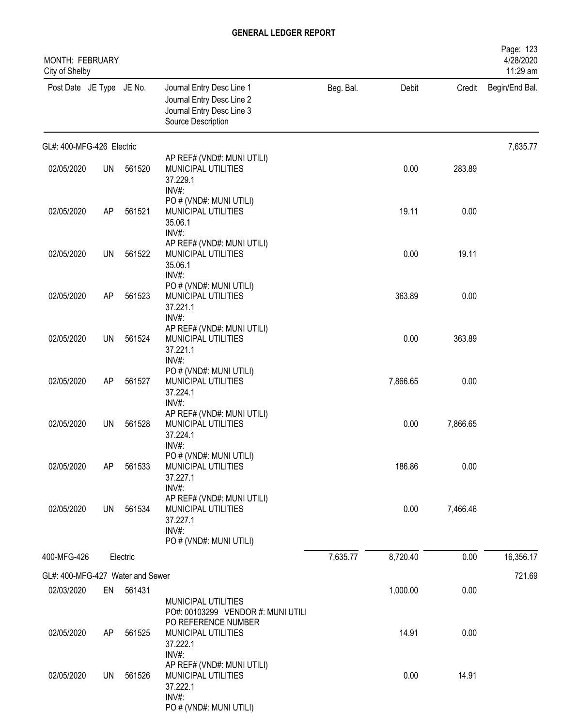| MONTH: FEBRUARY<br>City of Shelby |           |           |                                                                                                           |           |          |          | Page: 123<br>4/28/2020<br>11:29 am |
|-----------------------------------|-----------|-----------|-----------------------------------------------------------------------------------------------------------|-----------|----------|----------|------------------------------------|
| Post Date JE Type JE No.          |           |           | Journal Entry Desc Line 1<br>Journal Entry Desc Line 2<br>Journal Entry Desc Line 3<br>Source Description | Beg. Bal. | Debit    | Credit   | Begin/End Bal.                     |
| GL#: 400-MFG-426 Electric         |           |           |                                                                                                           |           |          |          | 7,635.77                           |
| 02/05/2020                        | <b>UN</b> | 561520    | AP REF# (VND#: MUNI UTILI)<br>MUNICIPAL UTILITIES<br>37.229.1<br>INV#:                                    |           | 0.00     | 283.89   |                                    |
| 02/05/2020                        | AP        | 561521    | PO # (VND#: MUNI UTILI)<br>MUNICIPAL UTILITIES<br>35.06.1<br>INV#:                                        |           | 19.11    | 0.00     |                                    |
| 02/05/2020                        | <b>UN</b> | 561522    | AP REF# (VND#: MUNI UTILI)<br>MUNICIPAL UTILITIES<br>35.06.1<br>INV#:                                     |           | 0.00     | 19.11    |                                    |
| 02/05/2020                        | AP        | 561523    | PO # (VND#: MUNI UTILI)<br>MUNICIPAL UTILITIES<br>37.221.1<br>INV#:                                       |           | 363.89   | 0.00     |                                    |
| 02/05/2020                        | <b>UN</b> | 561524    | AP REF# (VND#: MUNI UTILI)<br>MUNICIPAL UTILITIES<br>37.221.1<br>INV#:                                    |           | 0.00     | 363.89   |                                    |
| 02/05/2020                        | AP        | 561527    | PO # (VND#: MUNI UTILI)<br>MUNICIPAL UTILITIES<br>37.224.1<br>INV#:                                       |           | 7,866.65 | 0.00     |                                    |
| 02/05/2020                        | <b>UN</b> | 561528    | AP REF# (VND#: MUNI UTILI)<br>MUNICIPAL UTILITIES<br>37.224.1<br>INV#:                                    |           | 0.00     | 7,866.65 |                                    |
| 02/05/2020                        | AP        | 561533    | PO # (VND#: MUNI UTILI)<br>MUNICIPAL UTILITIES<br>37.227.1<br>INV#:                                       |           | 186.86   | 0.00     |                                    |
| 02/05/2020                        | UN        | 561534    | AP REF# (VND#: MUNI UTILI)<br>MUNICIPAL UTILITIES<br>37.227.1<br>INV#:<br>PO # (VND#: MUNI UTILI)         |           | 0.00     | 7,466.46 |                                    |
| 400-MFG-426                       |           | Electric  |                                                                                                           | 7,635.77  | 8,720.40 | 0.00     | 16,356.17                          |
| GL#: 400-MFG-427 Water and Sewer  |           |           |                                                                                                           |           |          |          | 721.69                             |
| 02/03/2020                        |           | EN 561431 | MUNICIPAL UTILITIES                                                                                       |           | 1,000.00 | 0.00     |                                    |
| 02/05/2020                        | AP        | 561525    | PO#: 00103299 VENDOR #: MUNI UTILI<br>PO REFERENCE NUMBER<br>MUNICIPAL UTILITIES<br>37.222.1<br>INV#:     |           | 14.91    | 0.00     |                                    |
| 02/05/2020                        | UN        | 561526    | AP REF# (VND#: MUNI UTILI)<br>MUNICIPAL UTILITIES<br>37.222.1<br>INV#:<br>PO # (VND#: MUNI UTILI)         |           | 0.00     | 14.91    |                                    |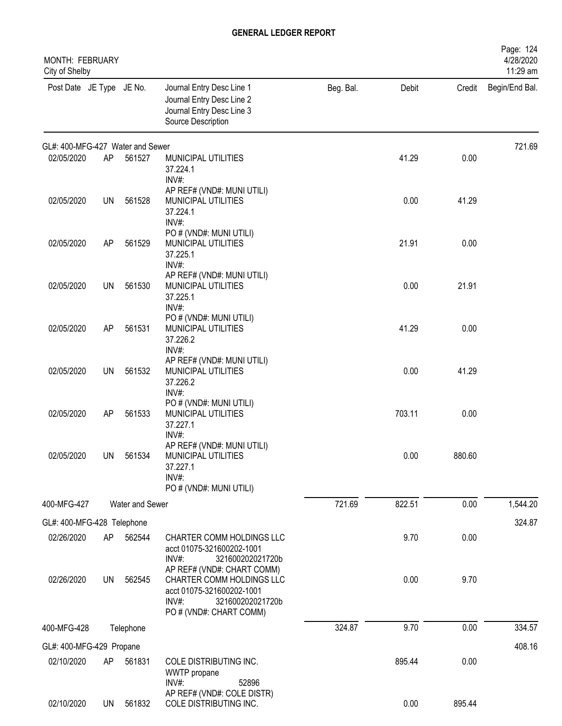| MONTH: FEBRUARY<br>City of Shelby |           |                 |                                                                                                                                              |           |        |        | Page: 124<br>4/28/2020<br>11:29 am |
|-----------------------------------|-----------|-----------------|----------------------------------------------------------------------------------------------------------------------------------------------|-----------|--------|--------|------------------------------------|
| Post Date JE Type JE No.          |           |                 | Journal Entry Desc Line 1<br>Journal Entry Desc Line 2<br>Journal Entry Desc Line 3<br>Source Description                                    | Beg. Bal. | Debit  | Credit | Begin/End Bal.                     |
| GL#: 400-MFG-427 Water and Sewer  |           |                 |                                                                                                                                              |           |        |        | 721.69                             |
| 02/05/2020                        | AP        | 561527          | MUNICIPAL UTILITIES<br>37.224.1<br>INV#:                                                                                                     |           | 41.29  | 0.00   |                                    |
| 02/05/2020                        | UN        | 561528          | AP REF# (VND#: MUNI UTILI)<br>MUNICIPAL UTILITIES<br>37.224.1<br>INV#:                                                                       |           | 0.00   | 41.29  |                                    |
| 02/05/2020                        | AP        | 561529          | PO # (VND#: MUNI UTILI)<br>MUNICIPAL UTILITIES<br>37.225.1<br>INV#:                                                                          |           | 21.91  | 0.00   |                                    |
| 02/05/2020                        | <b>UN</b> | 561530          | AP REF# (VND#: MUNI UTILI)<br>MUNICIPAL UTILITIES<br>37.225.1<br>INV#:                                                                       |           | 0.00   | 21.91  |                                    |
| 02/05/2020                        | AP        | 561531          | PO # (VND#: MUNI UTILI)<br>MUNICIPAL UTILITIES<br>37.226.2<br>INV#:                                                                          |           | 41.29  | 0.00   |                                    |
| 02/05/2020                        | <b>UN</b> | 561532          | AP REF# (VND#: MUNI UTILI)<br>MUNICIPAL UTILITIES<br>37.226.2<br>INV#:                                                                       |           | 0.00   | 41.29  |                                    |
| 02/05/2020                        | AP        | 561533          | PO # (VND#: MUNI UTILI)<br>MUNICIPAL UTILITIES<br>37.227.1<br>INV#:                                                                          |           | 703.11 | 0.00   |                                    |
| 02/05/2020                        | UN        | 561534          | AP REF# (VND#: MUNI UTILI)<br>MUNICIPAL UTILITIES<br>37.227.1<br>INV#:<br>PO # (VND#: MUNI UTILI)                                            |           | 0.00   | 880.60 |                                    |
| 400-MFG-427                       |           | Water and Sewer |                                                                                                                                              | 721.69    | 822.51 | 0.00   | 1,544.20                           |
| GL#: 400-MFG-428 Telephone        |           |                 |                                                                                                                                              |           |        |        | 324.87                             |
| 02/26/2020                        | AP        | 562544          | CHARTER COMM HOLDINGS LLC<br>acct 01075-321600202-1001<br>INV#:<br>321600202021720b                                                          |           | 9.70   | 0.00   |                                    |
| 02/26/2020                        | <b>UN</b> | 562545          | AP REF# (VND#: CHART COMM)<br>CHARTER COMM HOLDINGS LLC<br>acct 01075-321600202-1001<br>INV#:<br>321600202021720b<br>PO # (VND#: CHART COMM) |           | 0.00   | 9.70   |                                    |
| 400-MFG-428                       |           | Telephone       |                                                                                                                                              | 324.87    | 9.70   | 0.00   | 334.57                             |
| GL#: 400-MFG-429 Propane          |           |                 |                                                                                                                                              |           |        |        | 408.16                             |
| 02/10/2020                        | AP        | 561831          | COLE DISTRIBUTING INC.<br>WWTP propane<br>INV#:<br>52896                                                                                     |           | 895.44 | 0.00   |                                    |
| 02/10/2020                        | UN        | 561832          | AP REF# (VND#: COLE DISTR)<br>COLE DISTRIBUTING INC.                                                                                         |           | 0.00   | 895.44 |                                    |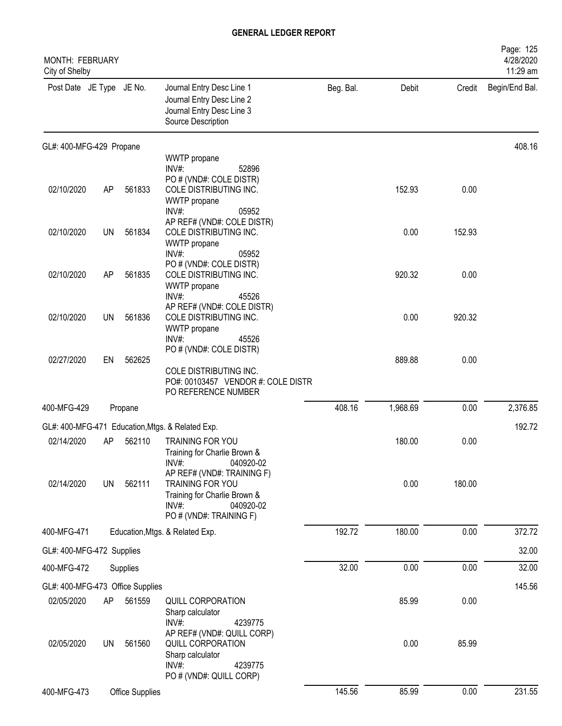| MONTH: FEBRUARY<br>City of Shelby |           |                 |                                                                                                                                    |           |          |        | Page: 125<br>4/28/2020<br>11:29 am |
|-----------------------------------|-----------|-----------------|------------------------------------------------------------------------------------------------------------------------------------|-----------|----------|--------|------------------------------------|
| Post Date JE Type JE No.          |           |                 | Journal Entry Desc Line 1<br>Journal Entry Desc Line 2<br>Journal Entry Desc Line 3<br>Source Description                          | Beg. Bal. | Debit    | Credit | Begin/End Bal.                     |
| GL#: 400-MFG-429 Propane          |           |                 |                                                                                                                                    |           |          |        | 408.16                             |
|                                   |           |                 | WWTP propane<br>INV#:<br>52896                                                                                                     |           |          |        |                                    |
| 02/10/2020                        | AP        | 561833          | PO # (VND#: COLE DISTR)<br>COLE DISTRIBUTING INC.<br>WWTP propane<br>$INV#$ :<br>05952                                             |           | 152.93   | 0.00   |                                    |
| 02/10/2020                        | <b>UN</b> | 561834          | AP REF# (VND#: COLE DISTR)<br>COLE DISTRIBUTING INC.<br>WWTP propane                                                               |           | 0.00     | 152.93 |                                    |
| 02/10/2020                        | AP        | 561835          | INV#:<br>05952<br>PO # (VND#: COLE DISTR)<br>COLE DISTRIBUTING INC.<br>WWTP propane                                                |           | 920.32   | 0.00   |                                    |
| 02/10/2020                        | <b>UN</b> | 561836          | INV#:<br>45526<br>AP REF# (VND#: COLE DISTR)<br>COLE DISTRIBUTING INC.<br>WWTP propane<br>INV#:<br>45526                           |           | 0.00     | 920.32 |                                    |
| 02/27/2020                        | EN        | 562625          | PO # (VND#: COLE DISTR)<br>COLE DISTRIBUTING INC.<br>PO#: 00103457 VENDOR #: COLE DISTR<br>PO REFERENCE NUMBER                     |           | 889.88   | 0.00   |                                    |
| 400-MFG-429                       |           | Propane         |                                                                                                                                    | 408.16    | 1,968.69 | 0.00   | 2,376.85                           |
| GL#: 400-MFG-471                  |           |                 | Education, Mtgs. & Related Exp.                                                                                                    |           |          |        | 192.72                             |
| 02/14/2020                        | AP        | 562110          | TRAINING FOR YOU<br>Training for Charlie Brown &<br>INV#:<br>040920-02                                                             |           | 180.00   | 0.00   |                                    |
| 02/14/2020                        | <b>UN</b> | 562111          | AP REF# (VND#: TRAINING F)<br>TRAINING FOR YOU<br>Training for Charlie Brown &<br>$INV#$ :<br>040920-02<br>PO # (VND#: TRAINING F) |           | 0.00     | 180.00 |                                    |
| 400-MFG-471                       |           |                 | Education, Mtgs. & Related Exp.                                                                                                    | 192.72    | 180.00   | 0.00   | 372.72                             |
| GL#: 400-MFG-472 Supplies         |           |                 |                                                                                                                                    |           |          |        | 32.00                              |
| 400-MFG-472                       |           | Supplies        |                                                                                                                                    | 32.00     | 0.00     | 0.00   | 32.00                              |
| GL#: 400-MFG-473 Office Supplies  |           |                 |                                                                                                                                    |           |          |        | 145.56                             |
| 02/05/2020                        | AP        | 561559          | QUILL CORPORATION<br>Sharp calculator<br>$INV#$ :<br>4239775                                                                       |           | 85.99    | 0.00   |                                    |
| 02/05/2020                        | <b>UN</b> | 561560          | AP REF# (VND#: QUILL CORP)<br>QUILL CORPORATION<br>Sharp calculator<br>$INV#$ :<br>4239775<br>PO # (VND#: QUILL CORP)              |           | 0.00     | 85.99  |                                    |
| 400-MFG-473                       |           | Office Supplies |                                                                                                                                    | 145.56    | 85.99    | 0.00   | 231.55                             |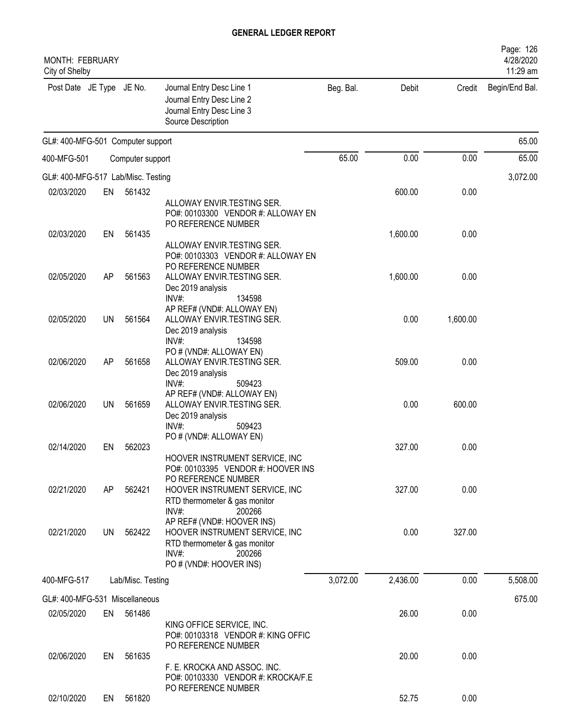| MONTH: FEBRUARY<br>City of Shelby  |    |                   |                                                                                                                                             |           |          |          | Page: 126<br>4/28/2020<br>11:29 am |
|------------------------------------|----|-------------------|---------------------------------------------------------------------------------------------------------------------------------------------|-----------|----------|----------|------------------------------------|
| Post Date JE Type JE No.           |    |                   | Journal Entry Desc Line 1<br>Journal Entry Desc Line 2<br>Journal Entry Desc Line 3<br>Source Description                                   | Beg. Bal. | Debit    | Credit   | Begin/End Bal.                     |
| GL#: 400-MFG-501 Computer support  |    |                   |                                                                                                                                             |           |          |          | 65.00                              |
| 400-MFG-501                        |    | Computer support  |                                                                                                                                             | 65.00     | 0.00     | 0.00     | 65.00                              |
| GL#: 400-MFG-517 Lab/Misc. Testing |    |                   |                                                                                                                                             |           |          |          | 3,072.00                           |
| 02/03/2020                         | EN | 561432            |                                                                                                                                             |           | 600.00   | 0.00     |                                    |
|                                    |    |                   | ALLOWAY ENVIR.TESTING SER.<br>PO#: 00103300 VENDOR #: ALLOWAY EN<br>PO REFERENCE NUMBER                                                     |           |          |          |                                    |
| 02/03/2020                         | EN | 561435            | ALLOWAY ENVIR.TESTING SER.<br>PO#: 00103303 VENDOR #: ALLOWAY EN                                                                            |           | 1,600.00 | 0.00     |                                    |
| 02/05/2020                         | AP | 561563            | PO REFERENCE NUMBER<br>ALLOWAY ENVIR. TESTING SER.<br>Dec 2019 analysis                                                                     |           | 1,600.00 | 0.00     |                                    |
| 02/05/2020                         | UN | 561564            | $INV#$ :<br>134598<br>AP REF# (VND#: ALLOWAY EN)<br>ALLOWAY ENVIR.TESTING SER.<br>Dec 2019 analysis                                         |           | 0.00     | 1,600.00 |                                    |
| 02/06/2020                         | AP | 561658            | INV#:<br>134598<br>PO # (VND#: ALLOWAY EN)<br>ALLOWAY ENVIR.TESTING SER.<br>Dec 2019 analysis                                               |           | 509.00   | 0.00     |                                    |
| 02/06/2020                         | UN | 561659            | INV#:<br>509423<br>AP REF# (VND#: ALLOWAY EN)<br>ALLOWAY ENVIR.TESTING SER.<br>Dec 2019 analysis<br>INV#:<br>509423                         |           | 0.00     | 600.00   |                                    |
| 02/14/2020                         | EN | 562023            | PO # (VND#: ALLOWAY EN)<br>HOOVER INSTRUMENT SERVICE, INC<br>PO#: 00103395 VENDOR #: HOOVER INS                                             |           | 327.00   | 0.00     |                                    |
| 02/21/2020                         | AP | 562421            | PO REFERENCE NUMBER<br>HOOVER INSTRUMENT SERVICE, INC<br>RTD thermometer & gas monitor<br>INV#:<br>200266                                   |           | 327.00   | 0.00     |                                    |
| 02/21/2020                         | UN | 562422            | AP REF# (VND#: HOOVER INS)<br>HOOVER INSTRUMENT SERVICE, INC<br>RTD thermometer & gas monitor<br>INV#:<br>200266<br>PO # (VND#: HOOVER INS) |           | 0.00     | 327.00   |                                    |
| 400-MFG-517                        |    | Lab/Misc. Testing |                                                                                                                                             | 3,072.00  | 2,436.00 | 0.00     | 5,508.00                           |
| GL#: 400-MFG-531 Miscellaneous     |    |                   |                                                                                                                                             |           |          |          | 675.00                             |
| 02/05/2020                         | EN | 561486            |                                                                                                                                             |           | 26.00    | 0.00     |                                    |
|                                    |    |                   | KING OFFICE SERVICE, INC.<br>PO#: 00103318 VENDOR #: KING OFFIC<br>PO REFERENCE NUMBER                                                      |           |          |          |                                    |
| 02/06/2020                         | EN | 561635            | F. E. KROCKA AND ASSOC. INC.<br>PO#: 00103330 VENDOR #: KROCKA/F.E                                                                          |           | 20.00    | 0.00     |                                    |
| 02/10/2020                         | EN | 561820            | PO REFERENCE NUMBER                                                                                                                         |           | 52.75    | 0.00     |                                    |
|                                    |    |                   |                                                                                                                                             |           |          |          |                                    |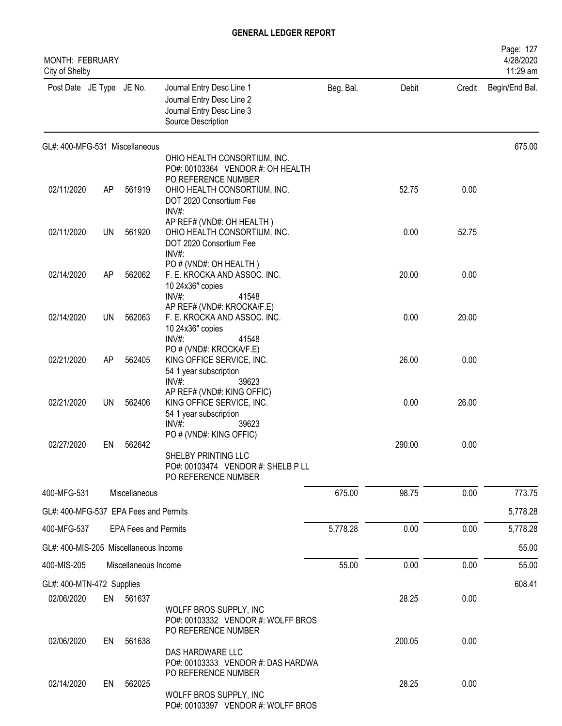| <b>MONTH: FEBRUARY</b><br>City of Shelby |           |                             |                                                                                                                                               |           |        |        | Page: 127<br>4/28/2020<br>11:29 am |
|------------------------------------------|-----------|-----------------------------|-----------------------------------------------------------------------------------------------------------------------------------------------|-----------|--------|--------|------------------------------------|
| Post Date JE Type JE No.                 |           |                             | Journal Entry Desc Line 1<br>Journal Entry Desc Line 2<br>Journal Entry Desc Line 3<br>Source Description                                     | Beg. Bal. | Debit  | Credit | Begin/End Bal.                     |
| GL#: 400-MFG-531 Miscellaneous           |           |                             |                                                                                                                                               |           |        |        | 675.00                             |
|                                          |           |                             | OHIO HEALTH CONSORTIUM, INC.<br>PO#: 00103364 VENDOR #: OH HEALTH                                                                             |           |        |        |                                    |
| 02/11/2020                               | AP        | 561919                      | PO REFERENCE NUMBER<br>OHIO HEALTH CONSORTIUM, INC.<br>DOT 2020 Consortium Fee<br>INV#:                                                       |           | 52.75  | 0.00   |                                    |
| 02/11/2020                               | <b>UN</b> | 561920                      | AP REF# (VND#: OH HEALTH)<br>OHIO HEALTH CONSORTIUM, INC.<br>DOT 2020 Consortium Fee<br>$INV#$ :                                              |           | 0.00   | 52.75  |                                    |
| 02/14/2020                               | AP        | 562062                      | PO # (VND#: OH HEALTH)<br>F. E. KROCKA AND ASSOC. INC.<br>10 24x36" copies<br>INV#:<br>41548                                                  |           | 20.00  | 0.00   |                                    |
| 02/14/2020                               | UN        | 562063                      | AP REF# (VND#: KROCKA/F.E)<br>F. E. KROCKA AND ASSOC. INC.<br>10 24x36" copies<br>INV#:<br>41548                                              |           | 0.00   | 20.00  |                                    |
| 02/21/2020                               | AP        | 562405                      | PO # (VND#: KROCKA/F.E)<br>KING OFFICE SERVICE, INC.<br>54 1 year subscription                                                                |           | 26.00  | 0.00   |                                    |
| 02/21/2020                               | <b>UN</b> | 562406                      | INV#:<br>39623<br>AP REF# (VND#: KING OFFIC)<br>KING OFFICE SERVICE, INC.<br>54 1 year subscription<br>INV#<br>39623                          |           | 0.00   | 26.00  |                                    |
| 02/27/2020                               | EN        | 562642                      | PO # (VND#: KING OFFIC)<br>SHELBY PRINTING LLC<br>PO#: 00103474 VENDOR #: SHELB P LL<br>PO REFERENCE NUMBER                                   |           | 290.00 | 0.00   |                                    |
| 400-MFG-531                              |           | Miscellaneous               |                                                                                                                                               | 675.00    | 98.75  | 0.00   | 773.75                             |
| GL#: 400-MFG-537 EPA Fees and Permits    |           |                             |                                                                                                                                               |           |        |        | 5,778.28                           |
| 400-MFG-537                              |           | <b>EPA Fees and Permits</b> |                                                                                                                                               | 5,778.28  | 0.00   | 0.00   | 5,778.28                           |
| GL#: 400-MIS-205 Miscellaneous Income    |           |                             |                                                                                                                                               |           |        |        | 55.00                              |
| 400-MIS-205                              |           | Miscellaneous Income        |                                                                                                                                               | 55.00     | 0.00   | 0.00   | 55.00                              |
| GL#: 400-MTN-472 Supplies                |           |                             |                                                                                                                                               |           |        |        | 608.41                             |
| 02/06/2020                               |           | EN 561637                   |                                                                                                                                               |           | 28.25  | 0.00   |                                    |
| 02/06/2020                               | EN        | 561638                      | WOLFF BROS SUPPLY, INC<br>PO#: 00103332 VENDOR #: WOLFF BROS<br>PO REFERENCE NUMBER<br>DAS HARDWARE LLC<br>PO#: 00103333 VENDOR #: DAS HARDWA |           | 200.05 | 0.00   |                                    |
| 02/14/2020                               | EN        | 562025                      | PO REFERENCE NUMBER<br>WOLFF BROS SUPPLY, INC<br>PO#: 00103397 VENDOR #: WOLFF BROS                                                           |           | 28.25  | 0.00   |                                    |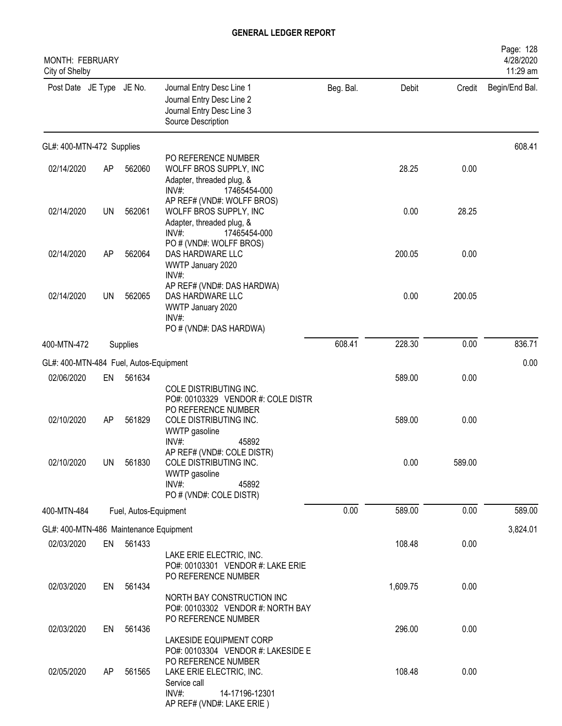| MONTH: FEBRUARY<br>City of Shelby      |           |                       |                                                                                                                            |           |          |        | Page: 128<br>4/28/2020<br>11:29 am |
|----------------------------------------|-----------|-----------------------|----------------------------------------------------------------------------------------------------------------------------|-----------|----------|--------|------------------------------------|
| Post Date JE Type JE No.               |           |                       | Journal Entry Desc Line 1<br>Journal Entry Desc Line 2<br>Journal Entry Desc Line 3<br>Source Description                  | Beg. Bal. | Debit    | Credit | Begin/End Bal.                     |
| GL#: 400-MTN-472 Supplies              |           |                       |                                                                                                                            |           |          |        | 608.41                             |
| 02/14/2020                             | AP        | 562060                | PO REFERENCE NUMBER<br>WOLFF BROS SUPPLY, INC<br>Adapter, threaded plug, &<br>$INV#$ :<br>17465454-000                     |           | 28.25    | 0.00   |                                    |
| 02/14/2020                             | <b>UN</b> | 562061                | AP REF# (VND#: WOLFF BROS)<br>WOLFF BROS SUPPLY, INC<br>Adapter, threaded plug, &<br>$INV#$ :<br>17465454-000              |           | 0.00     | 28.25  |                                    |
| 02/14/2020                             | AP        | 562064                | PO # (VND#: WOLFF BROS)<br>DAS HARDWARE LLC<br>WWTP January 2020<br>$INV#$ :                                               |           | 200.05   | 0.00   |                                    |
| 02/14/2020                             | UN        | 562065                | AP REF# (VND#: DAS HARDWA)<br>DAS HARDWARE LLC<br>WWTP January 2020<br>INV#:<br>PO # (VND#: DAS HARDWA)                    |           | 0.00     | 200.05 |                                    |
| 400-MTN-472                            |           | Supplies              |                                                                                                                            | 608.41    | 228.30   | 0.00   | 836.71                             |
| GL#: 400-MTN-484 Fuel, Autos-Equipment |           |                       |                                                                                                                            |           |          |        | 0.00                               |
| 02/06/2020                             | EN        | 561634                | COLE DISTRIBUTING INC.<br>PO#: 00103329 VENDOR #: COLE DISTR                                                               |           | 589.00   | 0.00   |                                    |
| 02/10/2020                             | AP        | 561829                | PO REFERENCE NUMBER<br>COLE DISTRIBUTING INC.<br>WWTP gasoline<br>INV#:<br>45892                                           |           | 589.00   | 0.00   |                                    |
| 02/10/2020                             | <b>UN</b> | 561830                | AP REF# (VND#: COLE DISTR)<br>COLE DISTRIBUTING INC.<br>WWTP gasoline<br>$INV#$ :<br>45892<br>PO # (VND#: COLE DISTR)      |           | 0.00     | 589.00 |                                    |
| 400-MTN-484                            |           | Fuel, Autos-Equipment |                                                                                                                            | 0.00      | 589.00   | 0.00   | 589.00                             |
| GL#: 400-MTN-486 Maintenance Equipment |           |                       |                                                                                                                            |           |          |        | 3,824.01                           |
| 02/03/2020                             | EN        | 561433                | LAKE ERIE ELECTRIC, INC.<br>PO#: 00103301 VENDOR #: LAKE ERIE                                                              |           | 108.48   | 0.00   |                                    |
| 02/03/2020                             | EN        | 561434                | PO REFERENCE NUMBER<br>NORTH BAY CONSTRUCTION INC<br>PO#: 00103302 VENDOR #: NORTH BAY                                     |           | 1,609.75 | 0.00   |                                    |
| 02/03/2020                             | EN        | 561436                | PO REFERENCE NUMBER<br>LAKESIDE EQUIPMENT CORP<br>PO#: 00103304 VENDOR #: LAKESIDE E                                       |           | 296.00   | 0.00   |                                    |
| 02/05/2020                             | AP        | 561565                | PO REFERENCE NUMBER<br>LAKE ERIE ELECTRIC, INC.<br>Service call<br>$INV#$ :<br>14-17196-12301<br>AP REF# (VND#: LAKE ERIE) |           | 108.48   | 0.00   |                                    |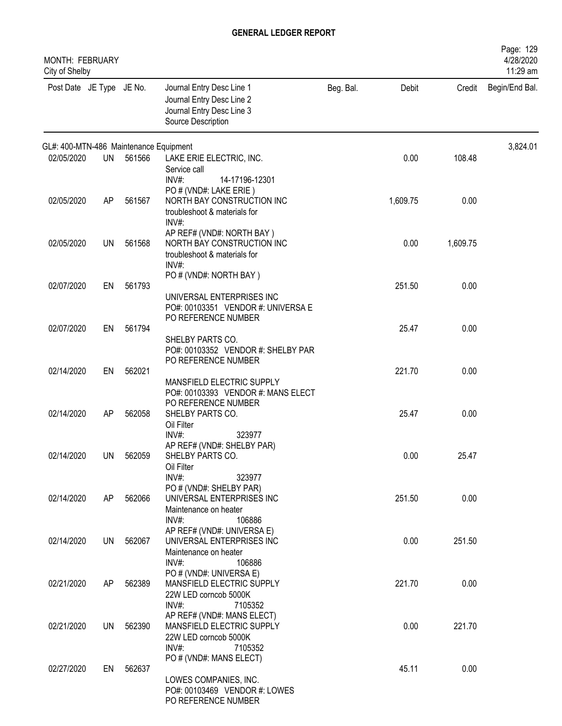| MONTH: FEBRUARY<br>City of Shelby      |     |           |                                                                                                           |           |          |          | Page: 129<br>4/28/2020<br>11:29 am |
|----------------------------------------|-----|-----------|-----------------------------------------------------------------------------------------------------------|-----------|----------|----------|------------------------------------|
| Post Date JE Type JE No.               |     |           | Journal Entry Desc Line 1<br>Journal Entry Desc Line 2<br>Journal Entry Desc Line 3<br>Source Description | Beg. Bal. | Debit    | Credit   | Begin/End Bal.                     |
| GL#: 400-MTN-486 Maintenance Equipment |     |           |                                                                                                           |           |          |          | 3,824.01                           |
| 02/05/2020                             | UN  | 561566    | LAKE ERIE ELECTRIC, INC.<br>Service call<br>$INV#$ :<br>14-17196-12301                                    |           | 0.00     | 108.48   |                                    |
| 02/05/2020                             | AP  | 561567    | PO # (VND#: LAKE ERIE)<br>NORTH BAY CONSTRUCTION INC<br>troubleshoot & materials for<br>$INV#$ :          |           | 1,609.75 | 0.00     |                                    |
| 02/05/2020                             | UN  | 561568    | AP REF# (VND#: NORTH BAY)<br>NORTH BAY CONSTRUCTION INC<br>troubleshoot & materials for<br>$INV#$ :       |           | 0.00     | 1,609.75 |                                    |
| 02/07/2020                             | EN  | 561793    | PO # (VND#: NORTH BAY)<br>UNIVERSAL ENTERPRISES INC<br>PO#: 00103351 VENDOR #: UNIVERSA E                 |           | 251.50   | 0.00     |                                    |
| 02/07/2020                             | EN  | 561794    | PO REFERENCE NUMBER<br>SHELBY PARTS CO.<br>PO#: 00103352 VENDOR #: SHELBY PAR                             |           | 25.47    | 0.00     |                                    |
| 02/14/2020                             | EN  | 562021    | PO REFERENCE NUMBER<br>MANSFIELD ELECTRIC SUPPLY                                                          |           | 221.70   | 0.00     |                                    |
| 02/14/2020                             | AP  | 562058    | PO#: 00103393 VENDOR #: MANS ELECT<br>PO REFERENCE NUMBER<br>SHELBY PARTS CO.<br>Oil Filter               |           | 25.47    | 0.00     |                                    |
| 02/14/2020                             |     | UN 562059 | $INV#$ :<br>323977<br>AP REF# (VND#: SHELBY PAR)<br>SHELBY PARTS CO.<br>Oil Filter                        |           | 0.00     | 25.47    |                                    |
| 02/14/2020                             | AP  | 562066    | INV#:<br>323977<br>PO # (VND#: SHELBY PAR)<br>UNIVERSAL ENTERPRISES INC<br>Maintenance on heater          |           | 251.50   | 0.00     |                                    |
| 02/14/2020                             | UN  | 562067    | INV#:<br>106886<br>AP REF# (VND#: UNIVERSA E)<br>UNIVERSAL ENTERPRISES INC<br>Maintenance on heater       |           | 0.00     | 251.50   |                                    |
| 02/21/2020                             | AP. | 562389    | $INV#$ :<br>106886<br>PO # (VND#: UNIVERSA E)<br>MANSFIELD ELECTRIC SUPPLY<br>22W LED corncob 5000K       |           | 221.70   | 0.00     |                                    |
| 02/21/2020                             |     | UN 562390 | $INV#$ :<br>7105352<br>AP REF# (VND#: MANS ELECT)<br>MANSFIELD ELECTRIC SUPPLY<br>22W LED corncob 5000K   |           | 0.00     | 221.70   |                                    |
| 02/27/2020                             | EN  | 562637    | INV#:<br>7105352<br>PO # (VND#: MANS ELECT)<br>LOWES COMPANIES, INC.<br>PO#: 00103469 VENDOR #: LOWES     |           | 45.11    | 0.00     |                                    |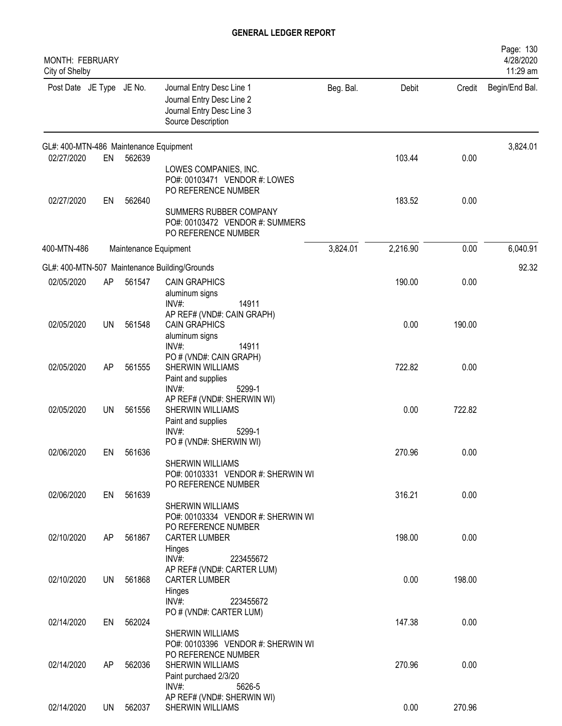| MONTH: FEBRUARY<br>City of Shelby      |           |                       |                                                                                                                   |           |          |        | Page: 130<br>4/28/2020<br>11:29 am |
|----------------------------------------|-----------|-----------------------|-------------------------------------------------------------------------------------------------------------------|-----------|----------|--------|------------------------------------|
| Post Date JE Type JE No.               |           |                       | Journal Entry Desc Line 1<br>Journal Entry Desc Line 2<br>Journal Entry Desc Line 3<br>Source Description         | Beg. Bal. | Debit    | Credit | Begin/End Bal.                     |
| GL#: 400-MTN-486 Maintenance Equipment |           |                       |                                                                                                                   |           |          |        | 3,824.01                           |
| 02/27/2020                             | EN        | 562639                | LOWES COMPANIES, INC.<br>PO#: 00103471 VENDOR #: LOWES<br>PO REFERENCE NUMBER                                     |           | 103.44   | 0.00   |                                    |
| 02/27/2020                             | EN        | 562640                | SUMMERS RUBBER COMPANY<br>PO#: 00103472 VENDOR #: SUMMERS<br>PO REFERENCE NUMBER                                  |           | 183.52   | 0.00   |                                    |
| 400-MTN-486                            |           | Maintenance Equipment |                                                                                                                   | 3,824.01  | 2,216.90 | 0.00   | 6,040.91                           |
|                                        |           |                       | GL#: 400-MTN-507 Maintenance Building/Grounds                                                                     |           |          |        | 92.32                              |
| 02/05/2020                             | AP        | 561547                | <b>CAIN GRAPHICS</b><br>aluminum signs<br>$INV#$ :<br>14911                                                       |           | 190.00   | 0.00   |                                    |
| 02/05/2020                             | UN        | 561548                | AP REF# (VND#: CAIN GRAPH)<br><b>CAIN GRAPHICS</b><br>aluminum signs<br>INV#<br>14911                             |           | 0.00     | 190.00 |                                    |
| 02/05/2020                             | <b>AP</b> | 561555                | PO # (VND#: CAIN GRAPH)<br><b>SHERWIN WILLIAMS</b><br>Paint and supplies                                          |           | 722.82   | 0.00   |                                    |
| 02/05/2020                             | <b>UN</b> | 561556                | INV#:<br>5299-1<br>AP REF# (VND#: SHERWIN WI)<br><b>SHERWIN WILLIAMS</b><br>Paint and supplies<br>INV#:<br>5299-1 |           | 0.00     | 722.82 |                                    |
| 02/06/2020                             | EN        | 561636                | PO # (VND#: SHERWIN WI)<br>SHERWIN WILLIAMS<br>PO#: 00103331 VENDOR #: SHERWIN WI                                 |           | 270.96   | 0.00   |                                    |
| 02/06/2020                             |           | EN 561639             | PO REFERENCE NUMBER<br><b>SHERWIN WILLIAMS</b>                                                                    |           | 316.21   | 0.00   |                                    |
| 02/10/2020                             | AP        | 561867                | PO#: 00103334 VENDOR #: SHERWIN WI<br>PO REFERENCE NUMBER<br><b>CARTER LUMBER</b><br>Hinges                       |           | 198.00   | 0.00   |                                    |
| 02/10/2020                             | <b>UN</b> | 561868                | $INV#$ :<br>223455672<br>AP REF# (VND#: CARTER LUM)<br><b>CARTER LUMBER</b><br>Hinges                             |           | 0.00     | 198.00 |                                    |
| 02/14/2020                             | EN        | 562024                | $INV#$ :<br>223455672<br>PO # (VND#: CARTER LUM)                                                                  |           | 147.38   | 0.00   |                                    |
|                                        |           |                       | <b>SHERWIN WILLIAMS</b><br>PO#: 00103396 VENDOR #: SHERWIN WI<br>PO REFERENCE NUMBER                              |           |          |        |                                    |
| 02/14/2020                             | AP        | 562036                | SHERWIN WILLIAMS<br>Paint purchaed 2/3/20<br>$INV#$ :<br>5626-5                                                   |           | 270.96   | 0.00   |                                    |
| 02/14/2020                             | UN        | 562037                | AP REF# (VND#: SHERWIN WI)<br>SHERWIN WILLIAMS                                                                    |           | 0.00     | 270.96 |                                    |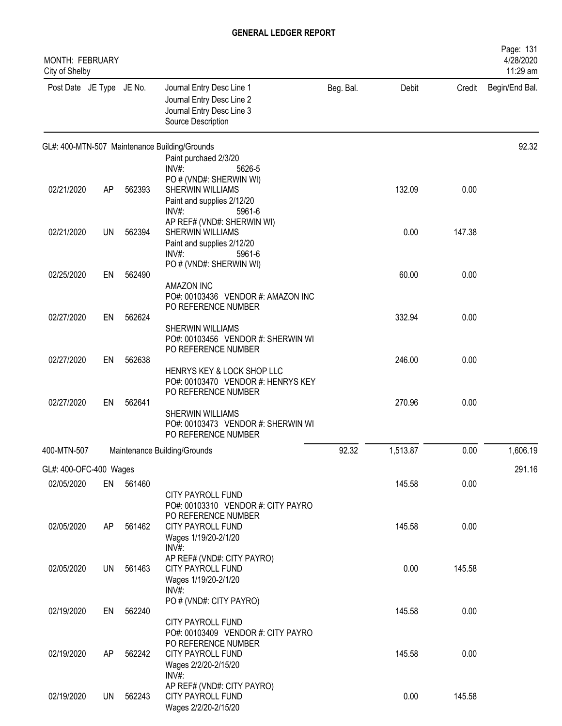| MONTH: FEBRUARY<br>City of Shelby |           |           |                                                                                                           |           |          |        | Page: 131<br>4/28/2020<br>11:29 am |
|-----------------------------------|-----------|-----------|-----------------------------------------------------------------------------------------------------------|-----------|----------|--------|------------------------------------|
| Post Date JE Type JE No.          |           |           | Journal Entry Desc Line 1<br>Journal Entry Desc Line 2<br>Journal Entry Desc Line 3<br>Source Description | Beg. Bal. | Debit    | Credit | Begin/End Bal.                     |
|                                   |           |           | GL#: 400-MTN-507 Maintenance Building/Grounds                                                             |           |          |        | 92.32                              |
|                                   |           |           | Paint purchaed 2/3/20<br>$INV#$ :                                                                         |           |          |        |                                    |
|                                   |           |           | 5626-5<br>PO # (VND#: SHERWIN WI)                                                                         |           |          |        |                                    |
| 02/21/2020                        | AP        | 562393    | SHERWIN WILLIAMS                                                                                          |           | 132.09   | 0.00   |                                    |
|                                   |           |           | Paint and supplies 2/12/20                                                                                |           |          |        |                                    |
|                                   |           |           | INV#:<br>5961-6<br>AP REF# (VND#: SHERWIN WI)                                                             |           |          |        |                                    |
| 02/21/2020                        | <b>UN</b> | 562394    | SHERWIN WILLIAMS                                                                                          |           | 0.00     | 147.38 |                                    |
|                                   |           |           | Paint and supplies 2/12/20                                                                                |           |          |        |                                    |
|                                   |           |           | $INV#$ :<br>5961-6<br>PO # (VND#: SHERWIN WI)                                                             |           |          |        |                                    |
| 02/25/2020                        | EN        | 562490    |                                                                                                           |           | 60.00    | 0.00   |                                    |
|                                   |           |           | <b>AMAZON INC</b>                                                                                         |           |          |        |                                    |
|                                   |           |           | PO#: 00103436 VENDOR #: AMAZON INC<br>PO REFERENCE NUMBER                                                 |           |          |        |                                    |
| 02/27/2020                        | EN        | 562624    |                                                                                                           |           | 332.94   | 0.00   |                                    |
|                                   |           |           | SHERWIN WILLIAMS                                                                                          |           |          |        |                                    |
|                                   |           |           | PO#: 00103456 VENDOR #: SHERWIN WI<br>PO REFERENCE NUMBER                                                 |           |          |        |                                    |
| 02/27/2020                        | EN        | 562638    |                                                                                                           |           | 246.00   | 0.00   |                                    |
|                                   |           |           | HENRYS KEY & LOCK SHOP LLC                                                                                |           |          |        |                                    |
|                                   |           |           | PO#: 00103470 VENDOR #: HENRYS KEY<br>PO REFERENCE NUMBER                                                 |           |          |        |                                    |
| 02/27/2020                        | EN        | 562641    |                                                                                                           |           | 270.96   | 0.00   |                                    |
|                                   |           |           | <b>SHERWIN WILLIAMS</b>                                                                                   |           |          |        |                                    |
|                                   |           |           | PO#: 00103473 VENDOR #: SHERWIN WI<br>PO REFERENCE NUMBER                                                 |           |          |        |                                    |
| 400-MTN-507                       |           |           | Maintenance Building/Grounds                                                                              | 92.32     | 1,513.87 | 0.00   | 1,606.19                           |
| GL#: 400-OFC-400 Wages            |           |           |                                                                                                           |           |          |        | 291.16                             |
| 02/05/2020                        |           | EN 561460 |                                                                                                           |           | 145.58   | 0.00   |                                    |
|                                   |           |           | <b>CITY PAYROLL FUND</b>                                                                                  |           |          |        |                                    |
|                                   |           |           | PO#: 00103310 VENDOR #: CITY PAYRO<br>PO REFERENCE NUMBER                                                 |           |          |        |                                    |
| 02/05/2020                        | AP        | 561462    | <b>CITY PAYROLL FUND</b>                                                                                  |           | 145.58   | 0.00   |                                    |
|                                   |           |           | Wages 1/19/20-2/1/20                                                                                      |           |          |        |                                    |
|                                   |           |           | INV#:<br>AP REF# (VND#: CITY PAYRO)                                                                       |           |          |        |                                    |
| 02/05/2020                        | UN        | 561463    | <b>CITY PAYROLL FUND</b>                                                                                  |           | 0.00     | 145.58 |                                    |
|                                   |           |           | Wages 1/19/20-2/1/20                                                                                      |           |          |        |                                    |
|                                   |           |           | INV#:<br>PO # (VND#: CITY PAYRO)                                                                          |           |          |        |                                    |
| 02/19/2020                        | EN        | 562240    |                                                                                                           |           | 145.58   | 0.00   |                                    |
|                                   |           |           | CITY PAYROLL FUND                                                                                         |           |          |        |                                    |
|                                   |           |           | PO#: 00103409 VENDOR #: CITY PAYRO<br>PO REFERENCE NUMBER                                                 |           |          |        |                                    |
| 02/19/2020                        | AP        | 562242    | <b>CITY PAYROLL FUND</b>                                                                                  |           | 145.58   | 0.00   |                                    |
|                                   |           |           | Wages 2/2/20-2/15/20                                                                                      |           |          |        |                                    |
|                                   |           |           | $INV#$ :<br>AP REF# (VND#: CITY PAYRO)                                                                    |           |          |        |                                    |
| 02/19/2020                        | UN        | 562243    | CITY PAYROLL FUND                                                                                         |           | 0.00     | 145.58 |                                    |
|                                   |           |           | Wages 2/2/20-2/15/20                                                                                      |           |          |        |                                    |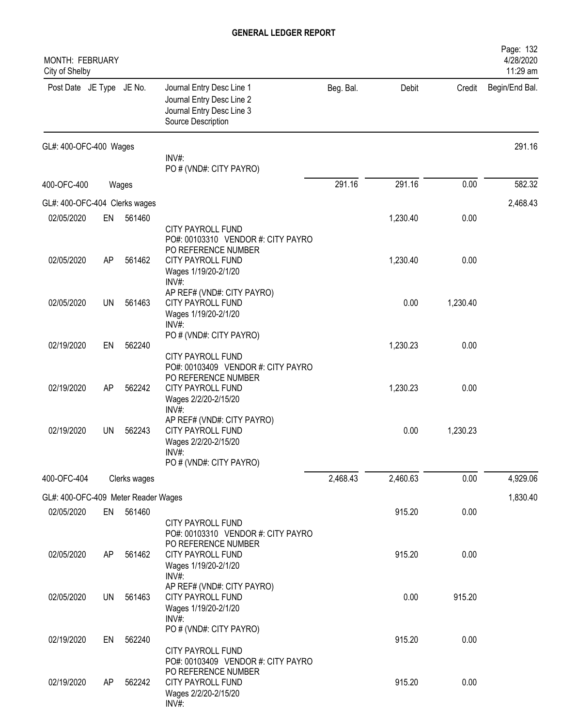| <b>MONTH: FEBRUARY</b><br>City of Shelby |           |              |                                                                                                                                |           |          |          | Page: 132<br>4/28/2020<br>11:29 am |
|------------------------------------------|-----------|--------------|--------------------------------------------------------------------------------------------------------------------------------|-----------|----------|----------|------------------------------------|
| Post Date JE Type JE No.                 |           |              | Journal Entry Desc Line 1<br>Journal Entry Desc Line 2<br>Journal Entry Desc Line 3<br>Source Description                      | Beg. Bal. | Debit    | Credit   | Begin/End Bal.                     |
| GL#: 400-OFC-400 Wages                   |           |              | INV#:                                                                                                                          |           |          |          | 291.16                             |
|                                          |           |              | PO # (VND#: CITY PAYRO)                                                                                                        |           |          |          |                                    |
| 400-OFC-400                              |           | Wages        |                                                                                                                                | 291.16    | 291.16   | 0.00     | 582.32                             |
| GL#: 400-OFC-404 Clerks wages            |           |              |                                                                                                                                |           |          |          | 2,468.43                           |
| 02/05/2020                               | EN        | 561460       |                                                                                                                                |           | 1,230.40 | 0.00     |                                    |
| 02/05/2020                               | AP        | 561462       | CITY PAYROLL FUND<br>PO#: 00103310 VENDOR #: CITY PAYRO<br>PO REFERENCE NUMBER<br>CITY PAYROLL FUND                            |           | 1,230.40 | 0.00     |                                    |
| 02/05/2020                               | <b>UN</b> | 561463       | Wages 1/19/20-2/1/20<br>INV#<br>AP REF# (VND#: CITY PAYRO)<br>CITY PAYROLL FUND<br>Wages 1/19/20-2/1/20<br>$INV#$ :            |           | 0.00     | 1,230.40 |                                    |
| 02/19/2020                               | EN        | 562240       | PO # (VND#: CITY PAYRO)<br>CITY PAYROLL FUND                                                                                   |           | 1,230.23 | 0.00     |                                    |
| 02/19/2020                               | AP        | 562242       | PO#: 00103409 VENDOR #: CITY PAYRO<br>PO REFERENCE NUMBER<br><b>CITY PAYROLL FUND</b><br>Wages 2/2/20-2/15/20                  |           | 1,230.23 | 0.00     |                                    |
| 02/19/2020                               | UN        | 562243       | $INV#$ :<br>AP REF# (VND#: CITY PAYRO)<br><b>CITY PAYROLL FUND</b><br>Wages 2/2/20-2/15/20<br>INV#:<br>PO # (VND#: CITY PAYRO) |           | 0.00     | 1,230.23 |                                    |
| 400-OFC-404                              |           | Clerks wages |                                                                                                                                | 2,468.43  | 2,460.63 | 0.00     | 4,929.06                           |
| GL#: 400-OFC-409 Meter Reader Wages      |           |              |                                                                                                                                |           |          |          | 1,830.40                           |
| 02/05/2020                               | EN        | 561460       | CITY PAYROLL FUND                                                                                                              |           | 915.20   | 0.00     |                                    |
| 02/05/2020                               | AP        | 561462       | PO#: 00103310 VENDOR #: CITY PAYRO<br>PO REFERENCE NUMBER<br>CITY PAYROLL FUND<br>Wages 1/19/20-2/1/20<br>$INV#$ :             |           | 915.20   | 0.00     |                                    |
| 02/05/2020                               | <b>UN</b> | 561463       | AP REF# (VND#: CITY PAYRO)<br>CITY PAYROLL FUND<br>Wages 1/19/20-2/1/20<br>INV#:                                               |           | 0.00     | 915.20   |                                    |
| 02/19/2020                               | EN        | 562240       | PO # (VND#: CITY PAYRO)<br>CITY PAYROLL FUND                                                                                   |           | 915.20   | 0.00     |                                    |
| 02/19/2020                               | AP        | 562242       | PO#: 00103409 VENDOR #: CITY PAYRO<br>PO REFERENCE NUMBER<br>CITY PAYROLL FUND<br>Wages 2/2/20-2/15/20<br>$INV#$ :             |           | 915.20   | 0.00     |                                    |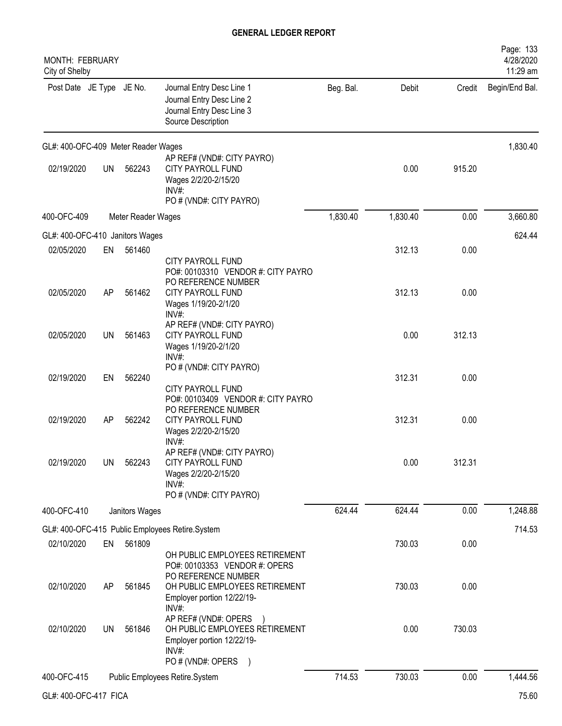| MONTH: FEBRUARY<br>City of Shelby   |           |                    |                                                                                                                                           |           |          |        | Page: 133<br>4/28/2020<br>11:29 am |
|-------------------------------------|-----------|--------------------|-------------------------------------------------------------------------------------------------------------------------------------------|-----------|----------|--------|------------------------------------|
| Post Date JE Type JE No.            |           |                    | Journal Entry Desc Line 1<br>Journal Entry Desc Line 2<br>Journal Entry Desc Line 3<br>Source Description                                 | Beg. Bal. | Debit    | Credit | Begin/End Bal.                     |
| GL#: 400-OFC-409 Meter Reader Wages |           |                    |                                                                                                                                           |           |          |        | 1,830.40                           |
| 02/19/2020                          | <b>UN</b> | 562243             | AP REF# (VND#: CITY PAYRO)<br>CITY PAYROLL FUND<br>Wages 2/2/20-2/15/20<br>INV#<br>PO # (VND#: CITY PAYRO)                                |           | 0.00     | 915.20 |                                    |
| 400-OFC-409                         |           | Meter Reader Wages |                                                                                                                                           | 1,830.40  | 1,830.40 | 0.00   | 3,660.80                           |
| GL#: 400-OFC-410 Janitors Wages     |           |                    |                                                                                                                                           |           |          |        | 624.44                             |
| 02/05/2020                          | EN        | 561460             | <b>CITY PAYROLL FUND</b><br>PO#: 00103310 VENDOR #: CITY PAYRO                                                                            |           | 312.13   | 0.00   |                                    |
| 02/05/2020                          | AP        | 561462             | PO REFERENCE NUMBER<br><b>CITY PAYROLL FUND</b><br>Wages 1/19/20-2/1/20<br>$INV#$ :                                                       |           | 312.13   | 0.00   |                                    |
| 02/05/2020                          | UN        | 561463             | AP REF# (VND#: CITY PAYRO)<br><b>CITY PAYROLL FUND</b><br>Wages 1/19/20-2/1/20<br>INV#                                                    |           | 0.00     | 312.13 |                                    |
| 02/19/2020                          | EN        | 562240             | PO # (VND#: CITY PAYRO)<br><b>CITY PAYROLL FUND</b>                                                                                       |           | 312.31   | 0.00   |                                    |
| 02/19/2020                          | AP        | 562242             | PO#: 00103409 VENDOR #: CITY PAYRO<br>PO REFERENCE NUMBER<br>CITY PAYROLL FUND<br>Wages 2/2/20-2/15/20                                    |           | 312.31   | 0.00   |                                    |
| 02/19/2020                          | <b>UN</b> | 562243             | INV#:<br>AP REF# (VND#: CITY PAYRO)<br>CITY PAYROLL FUND<br>Wages 2/2/20-2/15/20<br>$INV#$ :<br>PO # (VND#: CITY PAYRO)                   |           | 0.00     | 312.31 |                                    |
| 400-OFC-410                         |           | Janitors Wages     |                                                                                                                                           | 624.44    | 624.44   | 0.00   | 1,248.88                           |
|                                     |           |                    | GL#: 400-OFC-415 Public Employees Retire.System                                                                                           |           |          |        | 714.53                             |
| 02/10/2020                          | EN        | 561809             | OH PUBLIC EMPLOYEES RETIREMENT<br>PO#: 00103353 VENDOR #: OPERS                                                                           |           | 730.03   | 0.00   |                                    |
| 02/10/2020                          | AP        | 561845             | PO REFERENCE NUMBER<br>OH PUBLIC EMPLOYEES RETIREMENT<br>Employer portion 12/22/19-<br>INV#                                               |           | 730.03   | 0.00   |                                    |
| 02/10/2020                          | UN        | 561846             | AP REF# (VND#: OPERS<br>OH PUBLIC EMPLOYEES RETIREMENT<br>Employer portion 12/22/19-<br>$INV#$ :<br>PO # (VND#: OPERS<br>$\left( \right)$ |           | 0.00     | 730.03 |                                    |
| 400-OFC-415                         |           |                    | Public Employees Retire.System                                                                                                            | 714.53    | 730.03   | 0.00   | 1,444.56                           |
| GL#: 400-OFC-417 FICA               |           |                    |                                                                                                                                           |           |          |        | 75.60                              |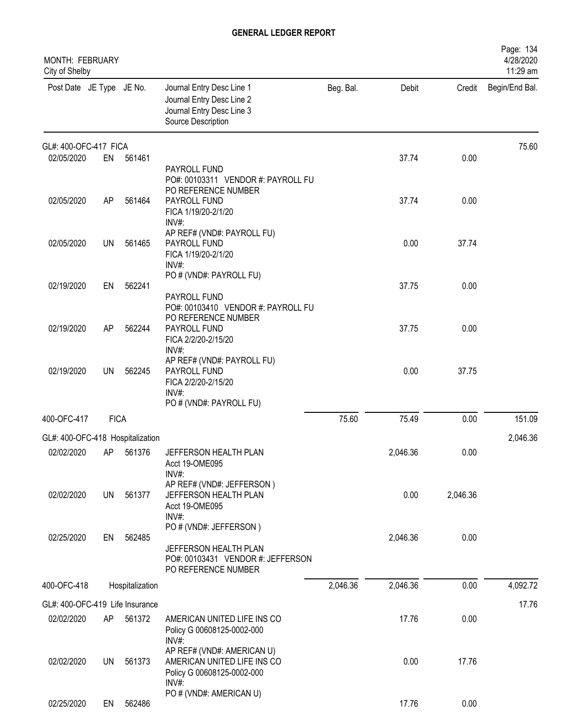| <b>MONTH: FEBRUARY</b><br>City of Shelby |             |                                  |                                                                                                             |           |          |          | Page: 134<br>4/28/2020<br>11:29 am |
|------------------------------------------|-------------|----------------------------------|-------------------------------------------------------------------------------------------------------------|-----------|----------|----------|------------------------------------|
| Post Date JE Type JE No.                 |             |                                  | Journal Entry Desc Line 1<br>Journal Entry Desc Line 2<br>Journal Entry Desc Line 3<br>Source Description   | Beg. Bal. | Debit    | Credit   | Begin/End Bal.                     |
| GL#: 400-OFC-417 FICA                    |             |                                  |                                                                                                             |           |          |          | 75.60                              |
| 02/05/2020                               | EN          | 561461                           | PAYROLL FUND<br>PO#: 00103311 VENDOR #: PAYROLL FU<br>PO REFERENCE NUMBER                                   |           | 37.74    | 0.00     |                                    |
| 02/05/2020                               | AP          | 561464                           | PAYROLL FUND<br>FICA 1/19/20-2/1/20<br>INV#:                                                                |           | 37.74    | 0.00     |                                    |
| 02/05/2020                               | UN          | 561465                           | AP REF# (VND#: PAYROLL FU)<br>PAYROLL FUND<br>FICA 1/19/20-2/1/20<br>$INV#$ :                               |           | 0.00     | 37.74    |                                    |
| 02/19/2020                               | EN          | 562241                           | PO # (VND#: PAYROLL FU)<br>PAYROLL FUND<br>PO#: 00103410 VENDOR #: PAYROLL FU                               |           | 37.75    | 0.00     |                                    |
| 02/19/2020                               | AP          | 562244                           | PO REFERENCE NUMBER<br>PAYROLL FUND<br>FICA 2/2/20-2/15/20<br>INV#:                                         |           | 37.75    | 0.00     |                                    |
| 02/19/2020                               | <b>UN</b>   | 562245                           | AP REF# (VND#: PAYROLL FU)<br>PAYROLL FUND<br>FICA 2/2/20-2/15/20<br>$INV#$ :                               |           | 0.00     | 37.75    |                                    |
| 400-OFC-417                              | <b>FICA</b> |                                  | PO # (VND#: PAYROLL FU)                                                                                     | 75.60     | 75.49    | 0.00     | 151.09                             |
|                                          |             | GL#: 400-OFC-418 Hospitalization |                                                                                                             |           |          |          | 2,046.36                           |
| 02/02/2020                               |             | AP 561376                        | JEFFERSON HEALTH PLAN<br>Acct 19-OME095<br>INV#:                                                            |           | 2,046.36 | 0.00     |                                    |
| 02/02/2020                               | <b>UN</b>   | 561377                           | AP REF# (VND#: JEFFERSON)<br>JEFFERSON HEALTH PLAN<br>Acct 19-OME095<br>$INV#$ :                            |           | 0.00     | 2,046.36 |                                    |
| 02/25/2020                               | EN          | 562485                           | PO # (VND#: JEFFERSON)<br>JEFFERSON HEALTH PLAN<br>PO#: 00103431 VENDOR #: JEFFERSON<br>PO REFERENCE NUMBER |           | 2,046.36 | 0.00     |                                    |
| 400-OFC-418                              |             | Hospitalization                  |                                                                                                             | 2,046.36  | 2,046.36 | 0.00     | 4,092.72                           |
| GL#: 400-OFC-419 Life Insurance          |             |                                  |                                                                                                             |           |          |          | 17.76                              |
| 02/02/2020                               | AP          | 561372                           | AMERICAN UNITED LIFE INS CO<br>Policy G 00608125-0002-000<br>INV#:                                          |           | 17.76    | 0.00     |                                    |
| 02/02/2020                               | <b>UN</b>   | 561373                           | AP REF# (VND#: AMERICAN U)<br>AMERICAN UNITED LIFE INS CO<br>Policy G 00608125-0002-000<br>$INV#$ :         |           | 0.00     | 17.76    |                                    |
| 02/25/2020                               | EN          | 562486                           | PO # (VND#: AMERICAN U)                                                                                     |           | 17.76    | 0.00     |                                    |
|                                          |             |                                  |                                                                                                             |           |          |          |                                    |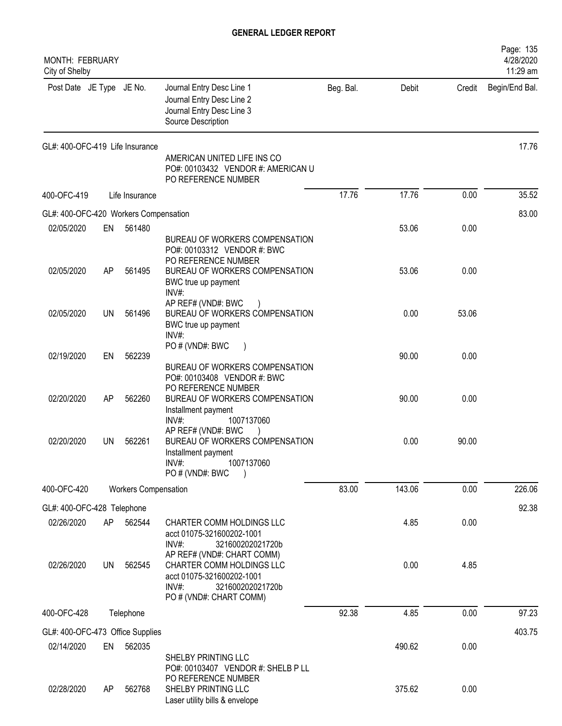| MONTH: FEBRUARY<br>City of Shelby     |    |                             |                                                                                                                                                    |           |        |        | Page: 135<br>4/28/2020<br>11:29 am |
|---------------------------------------|----|-----------------------------|----------------------------------------------------------------------------------------------------------------------------------------------------|-----------|--------|--------|------------------------------------|
| Post Date JE Type JE No.              |    |                             | Journal Entry Desc Line 1<br>Journal Entry Desc Line 2<br>Journal Entry Desc Line 3<br>Source Description                                          | Beg. Bal. | Debit  | Credit | Begin/End Bal.                     |
| GL#: 400-OFC-419 Life Insurance       |    |                             | AMERICAN UNITED LIFE INS CO<br>PO#: 00103432 VENDOR #: AMERICAN U<br>PO REFERENCE NUMBER                                                           |           |        |        | 17.76                              |
| 400-OFC-419                           |    | Life Insurance              |                                                                                                                                                    | 17.76     | 17.76  | 0.00   | 35.52                              |
| GL#: 400-OFC-420 Workers Compensation |    |                             |                                                                                                                                                    |           |        |        | 83.00                              |
| 02/05/2020                            | EN | 561480                      |                                                                                                                                                    |           | 53.06  | 0.00   |                                    |
|                                       |    |                             | BUREAU OF WORKERS COMPENSATION<br>PO#: 00103312 VENDOR #: BWC<br>PO REFERENCE NUMBER                                                               |           |        |        |                                    |
| 02/05/2020                            | AP | 561495                      | BUREAU OF WORKERS COMPENSATION<br>BWC true up payment<br>INV#:                                                                                     |           | 53.06  | 0.00   |                                    |
| 02/05/2020                            | UN | 561496                      | AP REF# (VND#: BWC<br>BUREAU OF WORKERS COMPENSATION<br>BWC true up payment<br>$INV#$ :                                                            |           | 0.00   | 53.06  |                                    |
| 02/19/2020                            | EN | 562239                      | PO # (VND#: BWC<br>BUREAU OF WORKERS COMPENSATION<br>PO#: 00103408 VENDOR #: BWC                                                                   |           | 90.00  | 0.00   |                                    |
| 02/20/2020                            | AP | 562260                      | PO REFERENCE NUMBER<br>BUREAU OF WORKERS COMPENSATION<br>Installment payment                                                                       |           | 90.00  | 0.00   |                                    |
| 02/20/2020                            | UN | 562261                      | $INV#$ :<br>1007137060<br>AP REF# (VND#: BWC<br>BUREAU OF WORKERS COMPENSATION<br>Installment payment<br>$INV#$ :<br>1007137060<br>PO # (VND#: BWC |           | 0.00   | 90.00  |                                    |
| 400-OFC-420                           |    | <b>Workers Compensation</b> |                                                                                                                                                    | 83.00     | 143.06 | 0.00   | 226.06                             |
| GL#: 400-OFC-428 Telephone            |    |                             |                                                                                                                                                    |           |        |        | 92.38                              |
| 02/26/2020                            | AP | 562544                      | CHARTER COMM HOLDINGS LLC<br>acct 01075-321600202-1001<br>$INV#$ :<br>321600202021720b                                                             |           | 4.85   | 0.00   |                                    |
| 02/26/2020                            | UN | 562545                      | AP REF# (VND#: CHART COMM)<br>CHARTER COMM HOLDINGS LLC<br>acct 01075-321600202-1001<br>INV#:<br>321600202021720b<br>PO # (VND#: CHART COMM)       |           | 0.00   | 4.85   |                                    |
| 400-OFC-428                           |    | Telephone                   |                                                                                                                                                    | 92.38     | 4.85   | 0.00   | 97.23                              |
| GL#: 400-OFC-473 Office Supplies      |    |                             |                                                                                                                                                    |           |        |        | 403.75                             |
| 02/14/2020                            | EN | 562035                      |                                                                                                                                                    |           | 490.62 | 0.00   |                                    |
| 02/28/2020                            | AP | 562768                      | SHELBY PRINTING LLC<br>PO#: 00103407 VENDOR #: SHELB P LL<br>PO REFERENCE NUMBER<br>SHELBY PRINTING LLC<br>Laser utility bills & envelope          |           | 375.62 | 0.00   |                                    |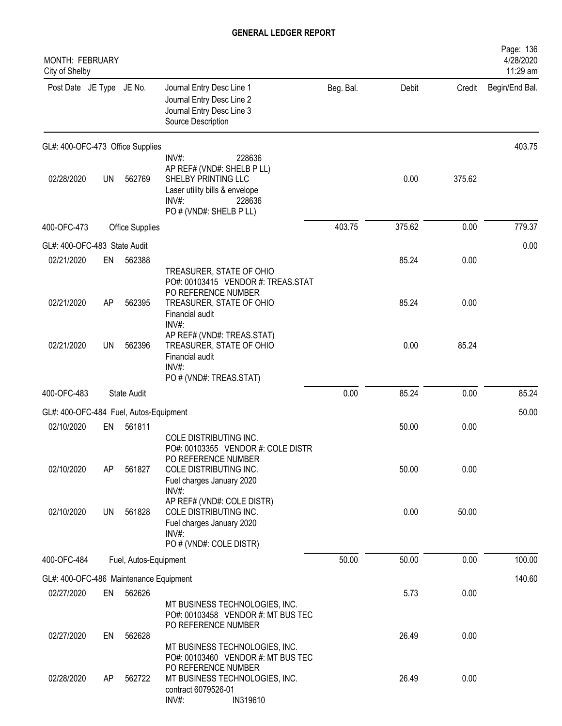| MONTH: FEBRUARY<br>City of Shelby      |           |                       |                                                                                                                                                         |           |        |        | Page: 136<br>4/28/2020<br>11:29 am |
|----------------------------------------|-----------|-----------------------|---------------------------------------------------------------------------------------------------------------------------------------------------------|-----------|--------|--------|------------------------------------|
| Post Date JE Type JE No.               |           |                       | Journal Entry Desc Line 1<br>Journal Entry Desc Line 2<br>Journal Entry Desc Line 3<br>Source Description                                               | Beg. Bal. | Debit  | Credit | Begin/End Bal.                     |
| GL#: 400-OFC-473 Office Supplies       |           |                       |                                                                                                                                                         |           |        |        | 403.75                             |
| 02/28/2020                             | <b>UN</b> | 562769                | 228636<br>INV#:<br>AP REF# (VND#: SHELB P LL)<br>SHELBY PRINTING LLC<br>Laser utility bills & envelope<br>$INV#$ :<br>228636<br>PO # (VND#: SHELB P LL) |           | 0.00   | 375.62 |                                    |
| 400-OFC-473                            |           | Office Supplies       |                                                                                                                                                         | 403.75    | 375.62 | 0.00   | 779.37                             |
| GL#: 400-OFC-483 State Audit           |           |                       |                                                                                                                                                         |           |        |        | 0.00                               |
| 02/21/2020                             | EN        | 562388                | TREASURER, STATE OF OHIO<br>PO#: 00103415 VENDOR #: TREAS.STAT                                                                                          |           | 85.24  | 0.00   |                                    |
| 02/21/2020                             | AP        | 562395                | PO REFERENCE NUMBER<br>TREASURER, STATE OF OHIO<br>Financial audit<br>INV#:                                                                             |           | 85.24  | 0.00   |                                    |
| 02/21/2020                             | UN        | 562396                | AP REF# (VND#: TREAS.STAT)<br>TREASURER, STATE OF OHIO<br>Financial audit<br>$INV#$ :<br>PO # (VND#: TREAS.STAT)                                        |           | 0.00   | 85.24  |                                    |
| 400-OFC-483                            |           | <b>State Audit</b>    |                                                                                                                                                         | 0.00      | 85.24  | 0.00   | 85.24                              |
| GL#: 400-OFC-484 Fuel, Autos-Equipment |           |                       |                                                                                                                                                         |           |        |        | 50.00                              |
| 02/10/2020                             | EN        | 561811                |                                                                                                                                                         |           | 50.00  | 0.00   |                                    |
| 02/10/2020                             | AP        | 561827                | COLE DISTRIBUTING INC.<br>PO#: 00103355 VENDOR #: COLE DISTR<br>PO REFERENCE NUMBER<br>COLE DISTRIBUTING INC.<br>Fuel charges January 2020<br>$INV#$ :  |           | 50.00  | 0.00   |                                    |
| 02/10/2020                             | UN        | 561828                | AP REF# (VND#: COLE DISTR)<br>COLE DISTRIBUTING INC.<br>Fuel charges January 2020<br>$INV#$ :<br>PO # (VND#: COLE DISTR)                                |           | 0.00   | 50.00  |                                    |
| 400-OFC-484                            |           | Fuel, Autos-Equipment |                                                                                                                                                         | 50.00     | 50.00  | 0.00   | 100.00                             |
| GL#: 400-OFC-486 Maintenance Equipment |           |                       |                                                                                                                                                         |           |        |        | 140.60                             |
| 02/27/2020                             | EN        | 562626                | MT BUSINESS TECHNOLOGIES, INC.<br>PO#: 00103458 VENDOR #: MT BUS TEC                                                                                    |           | 5.73   | 0.00   |                                    |
| 02/27/2020                             | EN        | 562628                | PO REFERENCE NUMBER<br>MT BUSINESS TECHNOLOGIES, INC.<br>PO#: 00103460 VENDOR #: MT BUS TEC                                                             |           | 26.49  | 0.00   |                                    |
| 02/28/2020                             | AP        | 562722                | PO REFERENCE NUMBER<br>MT BUSINESS TECHNOLOGIES, INC.<br>contract 6079526-01<br>IN319610<br>INV#:                                                       |           | 26.49  | 0.00   |                                    |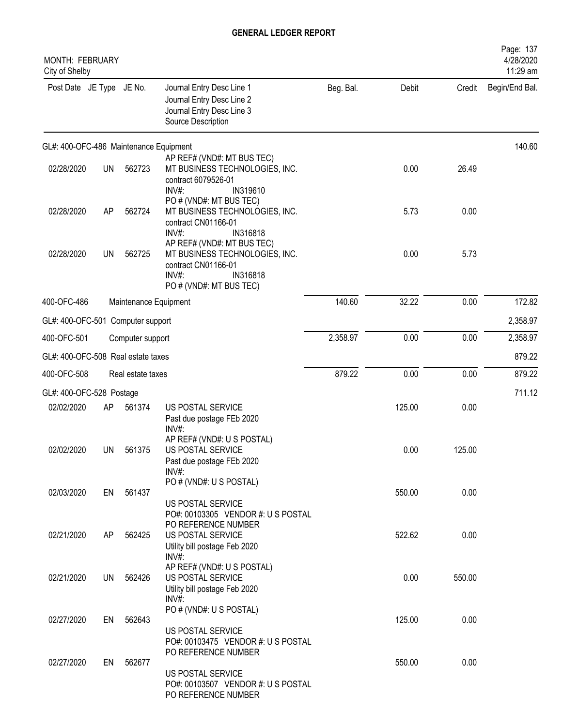| MONTH: FEBRUARY<br>City of Shelby      |           |                       |                                                                                                                                   |           |        |        | Page: 137<br>4/28/2020<br>11:29 am |
|----------------------------------------|-----------|-----------------------|-----------------------------------------------------------------------------------------------------------------------------------|-----------|--------|--------|------------------------------------|
| Post Date JE Type JE No.               |           |                       | Journal Entry Desc Line 1<br>Journal Entry Desc Line 2<br>Journal Entry Desc Line 3<br>Source Description                         | Beg. Bal. | Debit  | Credit | Begin/End Bal.                     |
| GL#: 400-OFC-486 Maintenance Equipment |           |                       |                                                                                                                                   |           |        |        | 140.60                             |
| 02/28/2020                             | <b>UN</b> | 562723                | AP REF# (VND#: MT BUS TEC)<br>MT BUSINESS TECHNOLOGIES, INC.<br>contract 6079526-01<br>$INV#$ :<br>IN319610                       |           | 0.00   | 26.49  |                                    |
| 02/28/2020                             | AP        | 562724                | PO # (VND#: MT BUS TEC)<br>MT BUSINESS TECHNOLOGIES, INC.<br>contract CN01166-01<br>$INV#$ :<br>IN316818                          |           | 5.73   | 0.00   |                                    |
| 02/28/2020                             | <b>UN</b> | 562725                | AP REF# (VND#: MT BUS TEC)<br>MT BUSINESS TECHNOLOGIES, INC.<br>contract CN01166-01<br>IN316818<br>INV#<br>PO# (VND#: MT BUS TEC) |           | 0.00   | 5.73   |                                    |
| 400-OFC-486                            |           | Maintenance Equipment |                                                                                                                                   | 140.60    | 32.22  | 0.00   | 172.82                             |
| GL#: 400-OFC-501 Computer support      |           |                       |                                                                                                                                   |           |        |        | 2,358.97                           |
| 400-OFC-501                            |           | Computer support      |                                                                                                                                   | 2,358.97  | 0.00   | 0.00   | 2,358.97                           |
| GL#: 400-OFC-508 Real estate taxes     |           |                       |                                                                                                                                   |           |        |        | 879.22                             |
| 400-OFC-508                            |           | Real estate taxes     |                                                                                                                                   | 879.22    | 0.00   | 0.00   | 879.22                             |
| GL#: 400-OFC-528 Postage               |           |                       |                                                                                                                                   |           |        |        | 711.12                             |
| 02/02/2020                             | AP        | 561374                | US POSTAL SERVICE<br>Past due postage FEb 2020<br>INV#:                                                                           |           | 125.00 | 0.00   |                                    |
| 02/02/2020                             | UN        | 561375                | AP REF# (VND#: U S POSTAL)<br>US POSTAL SERVICE<br>Past due postage FEb 2020<br>INV#:                                             |           | 0.00   | 125.00 |                                    |
| 02/03/2020                             | EN        | 561437                | PO # (VND#: U S POSTAL)<br>US POSTAL SERVICE<br>PO#: 00103305 VENDOR #: U S POSTAL                                                |           | 550.00 | 0.00   |                                    |
| 02/21/2020                             | AP        | 562425                | PO REFERENCE NUMBER<br>US POSTAL SERVICE<br>Utility bill postage Feb 2020<br>INV#:                                                |           | 522.62 | 0.00   |                                    |
| 02/21/2020                             | UN        | 562426                | AP REF# (VND#: U S POSTAL)<br>US POSTAL SERVICE<br>Utility bill postage Feb 2020                                                  |           | 0.00   | 550.00 |                                    |
| 02/27/2020                             | EN        | 562643                | INV#:<br>PO # (VND#: U S POSTAL)<br>US POSTAL SERVICE                                                                             |           | 125.00 | 0.00   |                                    |
| 02/27/2020                             | EN        | 562677                | PO#: 00103475 VENDOR #: U S POSTAL<br>PO REFERENCE NUMBER<br>US POSTAL SERVICE                                                    |           | 550.00 | 0.00   |                                    |
|                                        |           |                       | PO#: 00103507 VENDOR #: U S POSTAL<br>PO REFERENCE NUMBER                                                                         |           |        |        |                                    |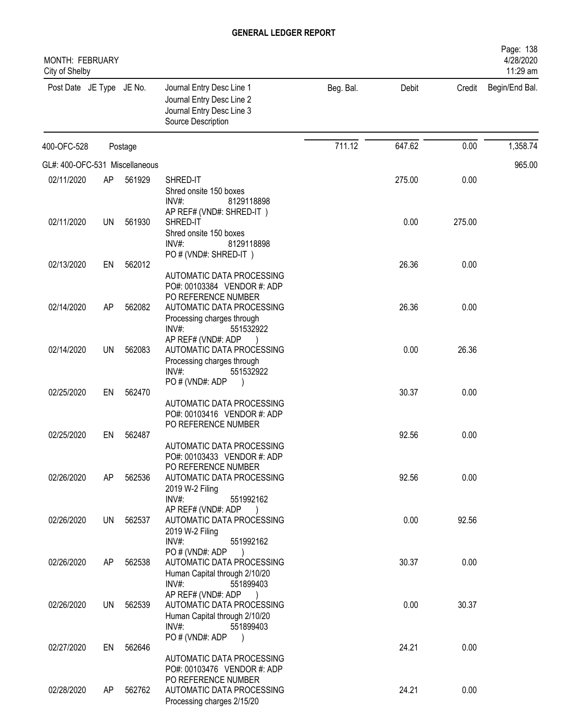| <b>MONTH: FEBRUARY</b><br>City of Shelby |    |         |                                                                                                              |           |        |        | Page: 138<br>4/28/2020<br>11:29 am |
|------------------------------------------|----|---------|--------------------------------------------------------------------------------------------------------------|-----------|--------|--------|------------------------------------|
| Post Date JE Type JE No.                 |    |         | Journal Entry Desc Line 1<br>Journal Entry Desc Line 2<br>Journal Entry Desc Line 3<br>Source Description    | Beg. Bal. | Debit  | Credit | Begin/End Bal.                     |
| 400-OFC-528                              |    | Postage |                                                                                                              | 711.12    | 647.62 | 0.00   | 1,358.74                           |
| GL#: 400-OFC-531 Miscellaneous           |    |         |                                                                                                              |           |        |        | 965.00                             |
| 02/11/2020                               | AP | 561929  | SHRED-IT                                                                                                     |           | 275.00 | 0.00   |                                    |
|                                          |    |         | Shred onsite 150 boxes<br>$INV#$ :<br>8129118898<br>AP REF# (VND#: SHRED-IT)                                 |           |        |        |                                    |
| 02/11/2020                               | UN | 561930  | SHRED-IT<br>Shred onsite 150 boxes<br>INV#<br>8129118898<br>PO # (VND#: SHRED-IT)                            |           | 0.00   | 275.00 |                                    |
| 02/13/2020                               | EN | 562012  |                                                                                                              |           | 26.36  | 0.00   |                                    |
| 02/14/2020                               | AP | 562082  | AUTOMATIC DATA PROCESSING<br>PO#: 00103384 VENDOR #: ADP<br>PO REFERENCE NUMBER<br>AUTOMATIC DATA PROCESSING |           | 26.36  | 0.00   |                                    |
|                                          |    |         | Processing charges through<br>INV#:<br>551532922<br>AP REF# (VND#: ADP                                       |           |        |        |                                    |
| 02/14/2020                               | UN | 562083  | AUTOMATIC DATA PROCESSING<br>Processing charges through<br>$INV#$ :<br>551532922<br>PO#(VND#: ADP            |           | 0.00   | 26.36  |                                    |
| 02/25/2020                               | EN | 562470  | AUTOMATIC DATA PROCESSING<br>PO#: 00103416 VENDOR #: ADP                                                     |           | 30.37  | 0.00   |                                    |
| 02/25/2020                               | EN | 562487  | PO REFERENCE NUMBER<br>AUTOMATIC DATA PROCESSING<br>PO#: 00103433 VENDOR #: ADP                              |           | 92.56  | 0.00   |                                    |
| 02/26/2020                               | AP | 562536  | PO REFERENCE NUMBER<br>AUTOMATIC DATA PROCESSING<br>2019 W-2 Filing<br>INV#:<br>551992162                    |           | 92.56  | 0.00   |                                    |
| 02/26/2020                               | UN | 562537  | AP REF# (VND#: ADP<br>AUTOMATIC DATA PROCESSING<br>2019 W-2 Filing<br>$INV#$ :<br>551992162                  |           | 0.00   | 92.56  |                                    |
| 02/26/2020                               | AP | 562538  | PO # (VND#: ADP<br>AUTOMATIC DATA PROCESSING<br>Human Capital through 2/10/20<br>$INV#$ :<br>551899403       |           | 30.37  | 0.00   |                                    |
| 02/26/2020                               | UN | 562539  | AP REF# (VND#: ADP<br>AUTOMATIC DATA PROCESSING<br>Human Capital through 2/10/20<br>$INV#$ :<br>551899403    |           | 0.00   | 30.37  |                                    |
|                                          |    |         | PO # (VND#: ADP<br>$\big)$                                                                                   |           |        |        |                                    |
| 02/27/2020                               | EN | 562646  | AUTOMATIC DATA PROCESSING<br>PO#: 00103476 VENDOR #: ADP<br>PO REFERENCE NUMBER                              |           | 24.21  | 0.00   |                                    |
| 02/28/2020                               | AP | 562762  | AUTOMATIC DATA PROCESSING<br>Processing charges 2/15/20                                                      |           | 24.21  | 0.00   |                                    |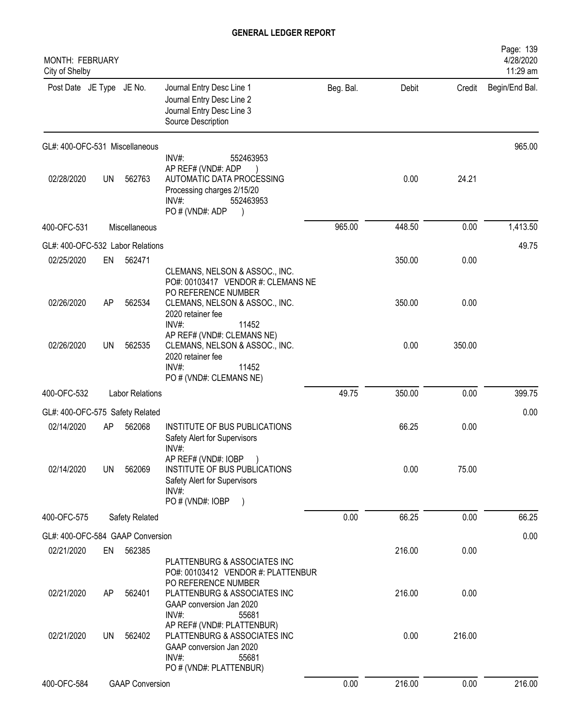| <b>MONTH: FEBRUARY</b><br>City of Shelby |           |                        |                                                                                                                                                                      |           |        |        | Page: 139<br>4/28/2020<br>11:29 am |
|------------------------------------------|-----------|------------------------|----------------------------------------------------------------------------------------------------------------------------------------------------------------------|-----------|--------|--------|------------------------------------|
| Post Date JE Type JE No.                 |           |                        | Journal Entry Desc Line 1<br>Journal Entry Desc Line 2<br>Journal Entry Desc Line 3<br>Source Description                                                            | Beg. Bal. | Debit  | Credit | Begin/End Bal.                     |
| GL#: 400-OFC-531 Miscellaneous           |           |                        |                                                                                                                                                                      |           |        |        | 965.00                             |
| 02/28/2020                               | <b>UN</b> | 562763                 | INV#:<br>552463953<br>AP REF# (VND#: ADP<br>AUTOMATIC DATA PROCESSING<br>Processing charges 2/15/20<br>$INV#$ :<br>552463953<br>PO # (VND#: ADP                      |           | 0.00   | 24.21  |                                    |
| 400-OFC-531                              |           | Miscellaneous          |                                                                                                                                                                      | 965.00    | 448.50 | 0.00   | 1,413.50                           |
| GL#: 400-OFC-532 Labor Relations         |           |                        |                                                                                                                                                                      |           |        |        | 49.75                              |
| 02/25/2020                               | EN        | 562471                 |                                                                                                                                                                      |           | 350.00 | 0.00   |                                    |
| 02/26/2020                               | AP        | 562534                 | CLEMANS, NELSON & ASSOC., INC.<br>PO#: 00103417 VENDOR #: CLEMANS NE<br>PO REFERENCE NUMBER<br>CLEMANS, NELSON & ASSOC., INC.<br>2020 retainer fee<br>INV#:<br>11452 |           | 350.00 | 0.00   |                                    |
| 02/26/2020                               | UN        | 562535                 | AP REF# (VND#: CLEMANS NE)<br>CLEMANS, NELSON & ASSOC., INC.<br>2020 retainer fee<br>INV#:<br>11452<br>PO # (VND#: CLEMANS NE)                                       |           | 0.00   | 350.00 |                                    |
| 400-OFC-532                              |           | <b>Labor Relations</b> |                                                                                                                                                                      | 49.75     | 350.00 | 0.00   | 399.75                             |
| GL#: 400-OFC-575 Safety Related          |           |                        |                                                                                                                                                                      |           |        |        | 0.00                               |
| 02/14/2020                               | AP        | 562068                 | INSTITUTE OF BUS PUBLICATIONS<br>Safety Alert for Supervisors<br>INV#:                                                                                               |           | 66.25  | 0.00   |                                    |
| 02/14/2020                               | <b>UN</b> | 562069                 | AP REF# (VND#: IOBP<br>INSTITUTE OF BUS PUBLICATIONS<br>Safety Alert for Supervisors<br>$INV#$ :<br>PO # (VND#: IOBP<br>$\left( \right)$                             |           | 0.00   | 75.00  |                                    |
| 400-OFC-575                              |           | Safety Related         |                                                                                                                                                                      | 0.00      | 66.25  | 0.00   | 66.25                              |
| GL#: 400-OFC-584 GAAP Conversion         |           |                        |                                                                                                                                                                      |           |        |        | 0.00                               |
| 02/21/2020                               | EN        | 562385                 |                                                                                                                                                                      |           | 216.00 | 0.00   |                                    |
| 02/21/2020                               | AP        | 562401                 | PLATTENBURG & ASSOCIATES INC<br>PO#: 00103412 VENDOR #: PLATTENBUR<br>PO REFERENCE NUMBER<br>PLATTENBURG & ASSOCIATES INC<br>GAAP conversion Jan 2020                |           | 216.00 | 0.00   |                                    |
| 02/21/2020                               | <b>UN</b> | 562402                 | INV#:<br>55681<br>AP REF# (VND#: PLATTENBUR)<br>PLATTENBURG & ASSOCIATES INC<br>GAAP conversion Jan 2020<br>$INV#$ :<br>55681                                        |           | 0.00   | 216.00 |                                    |
| 400-OFC-584                              |           | <b>GAAP Conversion</b> | PO # (VND#: PLATTENBUR)                                                                                                                                              | 0.00      | 216.00 | 0.00   | 216.00                             |
|                                          |           |                        |                                                                                                                                                                      |           |        |        |                                    |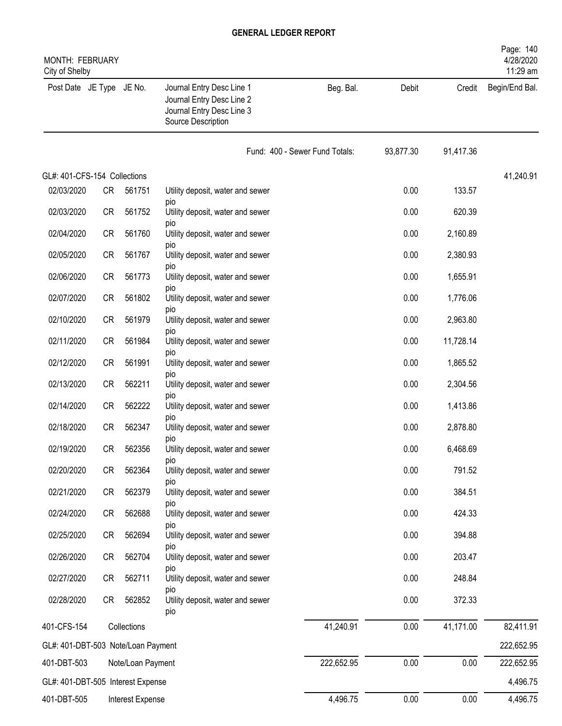| <b>MONTH: FEBRUARY</b><br>City of Shelby |           |                   |                                                                                                           |                                |           |           | Page: 140<br>4/28/2020<br>11:29 am |
|------------------------------------------|-----------|-------------------|-----------------------------------------------------------------------------------------------------------|--------------------------------|-----------|-----------|------------------------------------|
| Post Date JE Type JE No.                 |           |                   | Journal Entry Desc Line 1<br>Journal Entry Desc Line 2<br>Journal Entry Desc Line 3<br>Source Description | Beg. Bal.                      | Debit     | Credit    | Begin/End Bal.                     |
|                                          |           |                   |                                                                                                           | Fund: 400 - Sewer Fund Totals: | 93,877.30 | 91,417.36 |                                    |
| GL#: 401-CFS-154 Collections             |           |                   |                                                                                                           |                                |           |           | 41,240.91                          |
| 02/03/2020                               | <b>CR</b> | 561751            | Utility deposit, water and sewer                                                                          |                                | 0.00      | 133.57    |                                    |
| 02/03/2020                               | <b>CR</b> | 561752            | <b>DIO</b><br>Utility deposit, water and sewer                                                            |                                | 0.00      | 620.39    |                                    |
| 02/04/2020                               | <b>CR</b> | 561760            | <b>DIO</b><br>Utility deposit, water and sewer                                                            |                                | 0.00      | 2,160.89  |                                    |
| 02/05/2020                               | <b>CR</b> | 561767            | pio<br>Utility deposit, water and sewer                                                                   |                                | 0.00      | 2,380.93  |                                    |
| 02/06/2020                               | <b>CR</b> | 561773            | pio<br>Utility deposit, water and sewer                                                                   |                                | 0.00      | 1,655.91  |                                    |
| 02/07/2020                               | <b>CR</b> | 561802            | pio<br>Utility deposit, water and sewer                                                                   |                                | 0.00      | 1,776.06  |                                    |
| 02/10/2020                               | <b>CR</b> | 561979            | pio<br>Utility deposit, water and sewer                                                                   |                                | 0.00      | 2,963.80  |                                    |
| 02/11/2020                               | <b>CR</b> | 561984            | <b>DIO</b><br>Utility deposit, water and sewer                                                            |                                | 0.00      | 11,728.14 |                                    |
| 02/12/2020                               | <b>CR</b> | 561991            | <b>DIO</b><br>Utility deposit, water and sewer                                                            |                                | 0.00      | 1,865.52  |                                    |
| 02/13/2020                               | <b>CR</b> | 562211            | pio<br>Utility deposit, water and sewer                                                                   |                                | 0.00      | 2,304.56  |                                    |
| 02/14/2020                               | <b>CR</b> | 562222            | pio<br>Utility deposit, water and sewer                                                                   |                                | 0.00      | 1,413.86  |                                    |
| 02/18/2020                               | <b>CR</b> | 562347            | pio<br>Utility deposit, water and sewer                                                                   |                                | 0.00      | 2,878.80  |                                    |
| 02/19/2020                               | <b>CR</b> | 562356            | pio                                                                                                       |                                | 0.00      | 6,468.69  |                                    |
|                                          |           |                   | Utility deposit, water and sewer<br>pio                                                                   |                                |           |           |                                    |
| 02/20/2020                               | CR        | 562364            | Utility deposit, water and sewer<br><b>DIO</b>                                                            |                                | 0.00      | 791.52    |                                    |
| 02/21/2020                               | <b>CR</b> | 562379            | Utility deposit, water and sewer<br>pio                                                                   |                                | 0.00      | 384.51    |                                    |
| 02/24/2020                               | <b>CR</b> | 562688            | Utility deposit, water and sewer<br>pio                                                                   |                                | 0.00      | 424.33    |                                    |
| 02/25/2020                               | CR        | 562694            | Utility deposit, water and sewer<br>pio                                                                   |                                | 0.00      | 394.88    |                                    |
| 02/26/2020                               | CR        | 562704            | Utility deposit, water and sewer<br>pio                                                                   |                                | 0.00      | 203.47    |                                    |
| 02/27/2020                               | <b>CR</b> | 562711            | Utility deposit, water and sewer                                                                          |                                | 0.00      | 248.84    |                                    |
| 02/28/2020                               | CR        | 562852            | <b>DIO</b><br>Utility deposit, water and sewer<br>pio                                                     |                                | 0.00      | 372.33    |                                    |
| 401-CFS-154                              |           | Collections       |                                                                                                           | 41,240.91                      | 0.00      | 41,171.00 | 82,411.91                          |
| GL#: 401-DBT-503 Note/Loan Payment       |           |                   |                                                                                                           |                                |           |           | 222,652.95                         |
| 401-DBT-503                              |           | Note/Loan Payment |                                                                                                           | 222,652.95                     | 0.00      | 0.00      | 222,652.95                         |
| GL#: 401-DBT-505 Interest Expense        |           |                   |                                                                                                           |                                |           |           | 4,496.75                           |
| 401-DBT-505                              |           | Interest Expense  |                                                                                                           | 4,496.75                       | 0.00      | 0.00      | 4,496.75                           |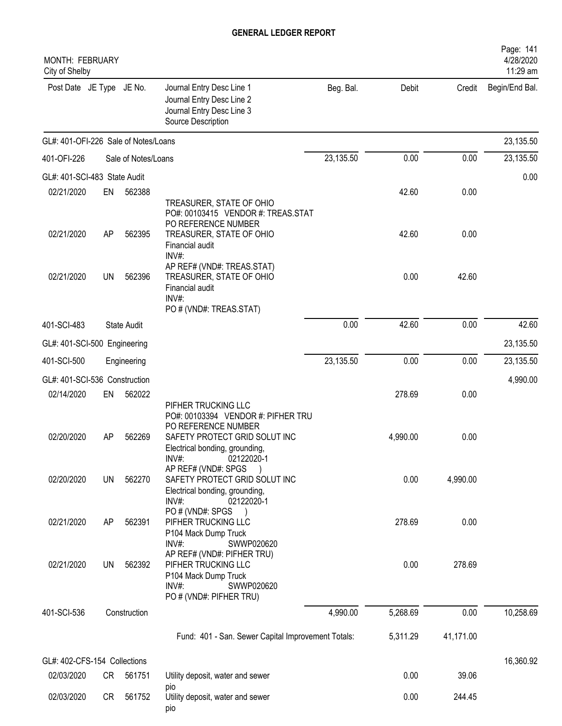| MONTH: FEBRUARY<br>City of Shelby    |           |                     |                                                                                                                                                     |           |          |           | Page: 141<br>4/28/2020<br>11:29 am |
|--------------------------------------|-----------|---------------------|-----------------------------------------------------------------------------------------------------------------------------------------------------|-----------|----------|-----------|------------------------------------|
| Post Date JE Type JE No.             |           |                     | Journal Entry Desc Line 1<br>Journal Entry Desc Line 2<br>Journal Entry Desc Line 3<br>Source Description                                           | Beg. Bal. | Debit    | Credit    | Begin/End Bal.                     |
| GL#: 401-OFI-226 Sale of Notes/Loans |           |                     |                                                                                                                                                     |           |          |           | 23,135.50                          |
| 401-OFI-226                          |           | Sale of Notes/Loans |                                                                                                                                                     | 23,135.50 | 0.00     | 0.00      | 23,135.50                          |
| GL#: 401-SCI-483 State Audit         |           |                     |                                                                                                                                                     |           |          |           | 0.00                               |
| 02/21/2020                           | EN        | 562388              | TREASURER, STATE OF OHIO<br>PO#: 00103415 VENDOR #: TREAS.STAT<br>PO REFERENCE NUMBER                                                               |           | 42.60    | 0.00      |                                    |
| 02/21/2020                           | AP        | 562395              | TREASURER, STATE OF OHIO<br>Financial audit<br>INV#:                                                                                                |           | 42.60    | 0.00      |                                    |
| 02/21/2020                           | <b>UN</b> | 562396              | AP REF# (VND#: TREAS.STAT)<br>TREASURER, STATE OF OHIO<br>Financial audit<br>INV#:<br>PO # (VND#: TREAS.STAT)                                       |           | 0.00     | 42.60     |                                    |
| 401-SCI-483                          |           | <b>State Audit</b>  |                                                                                                                                                     | 0.00      | 42.60    | 0.00      | 42.60                              |
| GL#: 401-SCI-500 Engineering         |           |                     |                                                                                                                                                     |           |          |           | 23,135.50                          |
| 401-SCI-500                          |           | Engineering         |                                                                                                                                                     | 23,135.50 | 0.00     | 0.00      | 23,135.50                          |
| GL#: 401-SCI-536 Construction        |           |                     |                                                                                                                                                     |           |          |           | 4,990.00                           |
| 02/14/2020                           | EN        | 562022              | PIFHER TRUCKING LLC                                                                                                                                 |           | 278.69   | 0.00      |                                    |
| 02/20/2020                           | AP        | 562269              | PO#: 00103394 VENDOR #: PIFHER TRU<br>PO REFERENCE NUMBER<br>SAFETY PROTECT GRID SOLUT INC<br>Electrical bonding, grounding,<br>INV#:<br>02122020-1 |           | 4,990.00 | 0.00      |                                    |
| 02/20/2020                           | UN        | 562270              | AP REF# (VND#: SPGS<br>SAFETY PROTECT GRID SOLUT INC<br>Electrical bonding, grounding,<br>$INV#$ :<br>02122020-1                                    |           | 0.00     | 4,990.00  |                                    |
| 02/21/2020                           | AP        | 562391              | PO # (VND#: SPGS<br>PIFHER TRUCKING LLC<br>P104 Mack Dump Truck<br>INV#<br>SWWP020620                                                               |           | 278.69   | 0.00      |                                    |
| 02/21/2020                           | <b>UN</b> | 562392              | AP REF# (VND#: PIFHER TRU)<br>PIFHER TRUCKING LLC<br>P104 Mack Dump Truck<br>INV#:<br>SWWP020620<br>PO # (VND#: PIFHER TRU)                         |           | 0.00     | 278.69    |                                    |
| 401-SCI-536                          |           | Construction        |                                                                                                                                                     | 4,990.00  | 5,268.69 | 0.00      | 10,258.69                          |
|                                      |           |                     | Fund: 401 - San. Sewer Capital Improvement Totals:                                                                                                  |           | 5,311.29 | 41,171.00 |                                    |
| GL#: 402-CFS-154 Collections         |           |                     |                                                                                                                                                     |           |          |           | 16,360.92                          |
| 02/03/2020                           | CR        | 561751              | Utility deposit, water and sewer<br>pio                                                                                                             |           | 0.00     | 39.06     |                                    |
| 02/03/2020                           | CR        | 561752              | Utility deposit, water and sewer<br>pio                                                                                                             |           | 0.00     | 244.45    |                                    |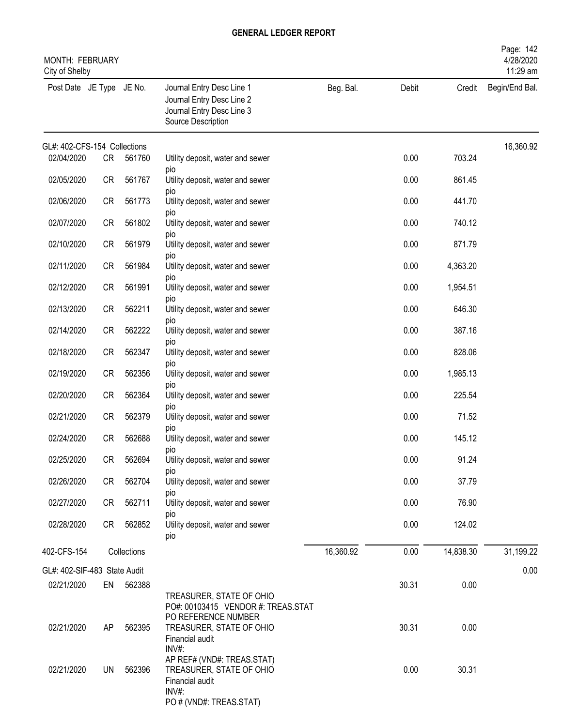| <b>MONTH: FEBRUARY</b><br>City of Shelby |           |             |                                                                                                                   |           |       |           | Page: 142<br>4/28/2020<br>11:29 am |
|------------------------------------------|-----------|-------------|-------------------------------------------------------------------------------------------------------------------|-----------|-------|-----------|------------------------------------|
| Post Date JE Type JE No.                 |           |             | Journal Entry Desc Line 1<br>Journal Entry Desc Line 2<br>Journal Entry Desc Line 3<br>Source Description         | Beg. Bal. | Debit | Credit    | Begin/End Bal.                     |
| GL#: 402-CFS-154 Collections             |           |             |                                                                                                                   |           |       |           | 16,360.92                          |
| 02/04/2020                               | <b>CR</b> | 561760      | Utility deposit, water and sewer<br>pio                                                                           |           | 0.00  | 703.24    |                                    |
| 02/05/2020                               | <b>CR</b> | 561767      | Utility deposit, water and sewer                                                                                  |           | 0.00  | 861.45    |                                    |
| 02/06/2020                               | <b>CR</b> | 561773      | pio<br>Utility deposit, water and sewer                                                                           |           | 0.00  | 441.70    |                                    |
| 02/07/2020                               | <b>CR</b> | 561802      | pio<br>Utility deposit, water and sewer<br><b>DIO</b>                                                             |           | 0.00  | 740.12    |                                    |
| 02/10/2020                               | <b>CR</b> | 561979      | Utility deposit, water and sewer                                                                                  |           | 0.00  | 871.79    |                                    |
| 02/11/2020                               | <b>CR</b> | 561984      | pio<br>Utility deposit, water and sewer                                                                           |           | 0.00  | 4,363.20  |                                    |
| 02/12/2020                               | <b>CR</b> | 561991      | pio<br>Utility deposit, water and sewer                                                                           |           | 0.00  | 1,954.51  |                                    |
| 02/13/2020                               | <b>CR</b> | 562211      | pio<br>Utility deposit, water and sewer                                                                           |           | 0.00  | 646.30    |                                    |
| 02/14/2020                               | <b>CR</b> | 562222      | pio<br>Utility deposit, water and sewer                                                                           |           | 0.00  | 387.16    |                                    |
| 02/18/2020                               | <b>CR</b> | 562347      | pio<br>Utility deposit, water and sewer                                                                           |           | 0.00  | 828.06    |                                    |
| 02/19/2020                               | <b>CR</b> | 562356      | <b>DIO</b><br>Utility deposit, water and sewer                                                                    |           | 0.00  | 1,985.13  |                                    |
| 02/20/2020                               | <b>CR</b> | 562364      | pio<br>Utility deposit, water and sewer                                                                           |           | 0.00  | 225.54    |                                    |
| 02/21/2020                               | <b>CR</b> | 562379      | pio<br>Utility deposit, water and sewer                                                                           |           | 0.00  | 71.52     |                                    |
| 02/24/2020                               | <b>CR</b> | 562688      | pio<br>Utility deposit, water and sewer                                                                           |           | 0.00  | 145.12    |                                    |
| 02/25/2020                               | <b>CR</b> | 562694      | pio<br>Utility deposit, water and sewer                                                                           |           | 0.00  | 91.24     |                                    |
| 02/26/2020                               | <b>CR</b> | 562704      | pio<br>Utility deposit, water and sewer                                                                           |           | 0.00  | 37.79     |                                    |
| 02/27/2020                               | <b>CR</b> | 562711      | pio<br>Utility deposit, water and sewer                                                                           |           | 0.00  | 76.90     |                                    |
| 02/28/2020                               | <b>CR</b> | 562852      | pio<br>Utility deposit, water and sewer<br>pio                                                                    |           | 0.00  | 124.02    |                                    |
| 402-CFS-154                              |           | Collections |                                                                                                                   | 16,360.92 | 0.00  | 14,838.30 | 31,199.22                          |
| GL#: 402-SIF-483 State Audit             |           |             |                                                                                                                   |           |       |           | 0.00                               |
| 02/21/2020                               | EN        | 562388      | TREASURER, STATE OF OHIO                                                                                          |           | 30.31 | 0.00      |                                    |
| 02/21/2020                               | AP        | 562395      | PO#: 00103415 VENDOR #: TREAS.STAT<br>PO REFERENCE NUMBER<br>TREASURER, STATE OF OHIO<br>Financial audit<br>INV#: |           | 30.31 | 0.00      |                                    |
| 02/21/2020                               | <b>UN</b> | 562396      | AP REF# (VND#: TREAS.STAT)<br>TREASURER, STATE OF OHIO<br>Financial audit<br>INV#:<br>PO # (VND#: TREAS.STAT)     |           | 0.00  | 30.31     |                                    |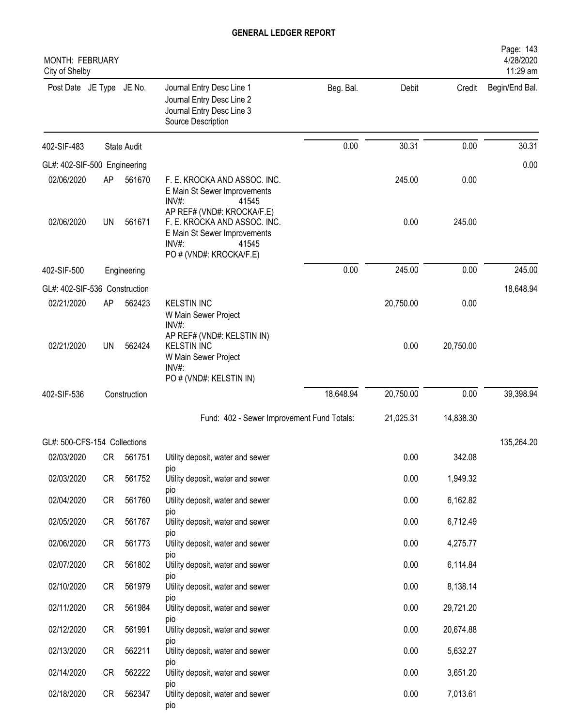| MONTH: FEBRUARY<br>City of Shelby |           |                    |                                                                                                                                         |           |           |           | Page: 143<br>4/28/2020<br>11:29 am |
|-----------------------------------|-----------|--------------------|-----------------------------------------------------------------------------------------------------------------------------------------|-----------|-----------|-----------|------------------------------------|
| Post Date JE Type JE No.          |           |                    | Journal Entry Desc Line 1<br>Journal Entry Desc Line 2<br>Journal Entry Desc Line 3<br>Source Description                               | Beg. Bal. | Debit     | Credit    | Begin/End Bal.                     |
| 402-SIF-483                       |           | <b>State Audit</b> |                                                                                                                                         | 0.00      | 30.31     | 0.00      | 30.31                              |
| GL#: 402-SIF-500 Engineering      |           |                    |                                                                                                                                         |           |           |           | 0.00                               |
| 02/06/2020                        | AP        | 561670             | F. E. KROCKA AND ASSOC. INC.<br>E Main St Sewer Improvements<br>INV#:<br>41545                                                          |           | 245.00    | 0.00      |                                    |
| 02/06/2020                        | <b>UN</b> | 561671             | AP REF# (VND#: KROCKA/F.E)<br>F. E. KROCKA AND ASSOC. INC.<br>E Main St Sewer Improvements<br>INV#:<br>41545<br>PO # (VND#: KROCKA/F.E) |           | 0.00      | 245.00    |                                    |
| 402-SIF-500                       |           | Engineering        |                                                                                                                                         | 0.00      | 245.00    | 0.00      | 245.00                             |
| GL#: 402-SIF-536 Construction     |           |                    |                                                                                                                                         |           |           |           | 18,648.94                          |
| 02/21/2020                        | AP        | 562423             | <b>KELSTIN INC</b><br>W Main Sewer Project<br>INV#:                                                                                     |           | 20,750.00 | 0.00      |                                    |
| 02/21/2020                        | UN        | 562424             | AP REF# (VND#: KELSTIN IN)<br><b>KELSTIN INC</b><br>W Main Sewer Project<br>INV#<br>PO # (VND#: KELSTIN IN)                             |           | 0.00      | 20,750.00 |                                    |
| 402-SIF-536                       |           | Construction       |                                                                                                                                         | 18,648.94 | 20,750.00 | 0.00      | 39,398.94                          |
|                                   |           |                    | Fund: 402 - Sewer Improvement Fund Totals:                                                                                              |           | 21,025.31 | 14,838.30 |                                    |
| GL#: 500-CFS-154 Collections      |           |                    |                                                                                                                                         |           |           |           | 135,264.20                         |
| 02/03/2020                        | CR        | 561751             | Utility deposit, water and sewer                                                                                                        |           | 0.00      | 342.08    |                                    |
| 02/03/2020                        | CR        | 561752             | pio<br>Utility deposit, water and sewer                                                                                                 |           | 0.00      | 1,949.32  |                                    |
| 02/04/2020                        | CR        | 561760             | <b>DIO</b><br>Utility deposit, water and sewer                                                                                          |           | 0.00      | 6,162.82  |                                    |
| 02/05/2020                        | CR        | 561767             | pio<br>Utility deposit, water and sewer                                                                                                 |           | 0.00      | 6,712.49  |                                    |
| 02/06/2020                        | CR        | 561773             | pio<br>Utility deposit, water and sewer                                                                                                 |           | 0.00      | 4,275.77  |                                    |
| 02/07/2020                        | CR        | 561802             | pio<br>Utility deposit, water and sewer                                                                                                 |           | 0.00      | 6,114.84  |                                    |
| 02/10/2020                        | CR        | 561979             | pio<br>Utility deposit, water and sewer                                                                                                 |           | 0.00      | 8,138.14  |                                    |
| 02/11/2020                        | CR        | 561984             | pio<br>Utility deposit, water and sewer                                                                                                 |           | 0.00      | 29,721.20 |                                    |
| 02/12/2020                        | CR        | 561991             | DIO<br>Utility deposit, water and sewer                                                                                                 |           | 0.00      | 20,674.88 |                                    |
| 02/13/2020                        | CR        | 562211             | pio<br>Utility deposit, water and sewer                                                                                                 |           | 0.00      | 5,632.27  |                                    |
| 02/14/2020                        | CR        | 562222             | pio<br>Utility deposit, water and sewer                                                                                                 |           | 0.00      | 3,651.20  |                                    |
| 02/18/2020                        | CR        | 562347             | pio<br>Utility deposit, water and sewer<br>pio                                                                                          |           | 0.00      | 7,013.61  |                                    |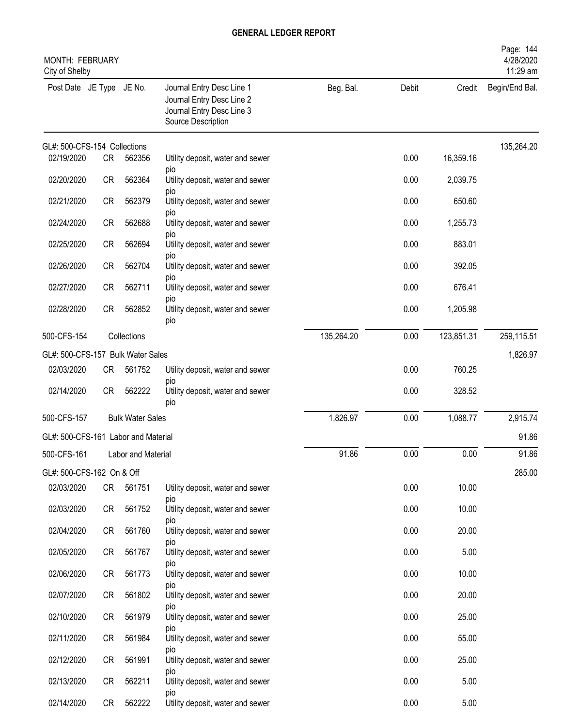| MONTH: FEBRUARY<br>City of Shelby   |           |                         |                                                                                                           |            |          |            | Page: 144<br>4/28/2020<br>11:29 am |
|-------------------------------------|-----------|-------------------------|-----------------------------------------------------------------------------------------------------------|------------|----------|------------|------------------------------------|
| Post Date JE Type JE No.            |           |                         | Journal Entry Desc Line 1<br>Journal Entry Desc Line 2<br>Journal Entry Desc Line 3<br>Source Description | Beg. Bal.  | Debit    | Credit     | Begin/End Bal.                     |
| GL#: 500-CFS-154 Collections        |           |                         |                                                                                                           |            |          |            | 135,264.20                         |
| 02/19/2020                          | CR        | 562356                  | Utility deposit, water and sewer<br><b>DIO</b>                                                            |            | 0.00     | 16,359.16  |                                    |
| 02/20/2020                          | <b>CR</b> | 562364                  | Utility deposit, water and sewer                                                                          |            | 0.00     | 2,039.75   |                                    |
| 02/21/2020                          | <b>CR</b> | 562379                  | pio<br>Utility deposit, water and sewer                                                                   |            | 0.00     | 650.60     |                                    |
| 02/24/2020                          | <b>CR</b> | 562688                  | DIO<br>Utility deposit, water and sewer                                                                   |            | 0.00     | 1,255.73   |                                    |
| 02/25/2020                          | <b>CR</b> | 562694                  | DIO<br>Utility deposit, water and sewer                                                                   |            | 0.00     | 883.01     |                                    |
| 02/26/2020                          | <b>CR</b> | 562704                  | pio<br>Utility deposit, water and sewer                                                                   |            | 0.00     | 392.05     |                                    |
| 02/27/2020                          | <b>CR</b> | 562711                  | DIO<br>Utility deposit, water and sewer                                                                   |            | 0.00     | 676.41     |                                    |
| 02/28/2020                          | <b>CR</b> | 562852                  | <b>DIO</b><br>Utility deposit, water and sewer<br>pio                                                     |            | 0.00     | 1,205.98   |                                    |
| 500-CFS-154                         |           | Collections             |                                                                                                           | 135,264.20 | 0.00     | 123,851.31 | 259,115.51                         |
| GL#: 500-CFS-157 Bulk Water Sales   |           |                         |                                                                                                           |            |          |            | 1,826.97                           |
| 02/03/2020                          | <b>CR</b> | 561752                  | Utility deposit, water and sewer                                                                          |            | 0.00     | 760.25     |                                    |
| 02/14/2020                          | <b>CR</b> | 562222                  | pio<br>Utility deposit, water and sewer<br>pio                                                            |            | 0.00     | 328.52     |                                    |
| 500-CFS-157                         |           | <b>Bulk Water Sales</b> |                                                                                                           | 1,826.97   | 0.00     | 1,088.77   | 2,915.74                           |
| GL#: 500-CFS-161 Labor and Material |           |                         |                                                                                                           |            |          |            | 91.86                              |
| 500-CFS-161                         |           | Labor and Material      |                                                                                                           | 91.86      | $0.00\,$ | $0.00\,$   | 91.86                              |
| GL#: 500-CFS-162 On & Off           |           |                         |                                                                                                           |            |          |            | 285.00                             |
| 02/03/2020                          | CR        | 561751                  | Utility deposit, water and sewer<br>pio                                                                   |            | 0.00     | 10.00      |                                    |
| 02/03/2020                          | <b>CR</b> | 561752                  | Utility deposit, water and sewer                                                                          |            | 0.00     | 10.00      |                                    |
| 02/04/2020                          | <b>CR</b> | 561760                  | pio<br>Utility deposit, water and sewer                                                                   |            | 0.00     | 20.00      |                                    |
| 02/05/2020                          | <b>CR</b> | 561767                  | pio<br>Utility deposit, water and sewer                                                                   |            | 0.00     | 5.00       |                                    |
| 02/06/2020                          | <b>CR</b> | 561773                  | pio<br>Utility deposit, water and sewer                                                                   |            | 0.00     | 10.00      |                                    |
| 02/07/2020                          | <b>CR</b> | 561802                  | pio<br>Utility deposit, water and sewer                                                                   |            | 0.00     | 20.00      |                                    |
| 02/10/2020                          | <b>CR</b> | 561979                  | pio<br>Utility deposit, water and sewer                                                                   |            | 0.00     | 25.00      |                                    |
| 02/11/2020                          | <b>CR</b> | 561984                  | pio<br>Utility deposit, water and sewer                                                                   |            | 0.00     | 55.00      |                                    |
| 02/12/2020                          | <b>CR</b> | 561991                  | pio<br>Utility deposit, water and sewer                                                                   |            | 0.00     | 25.00      |                                    |
| 02/13/2020                          | CR        | 562211                  | pio<br>Utility deposit, water and sewer                                                                   |            | 0.00     | 5.00       |                                    |
| 02/14/2020                          | CR        | 562222                  | pio<br>Utility deposit, water and sewer                                                                   |            | 0.00     | 5.00       |                                    |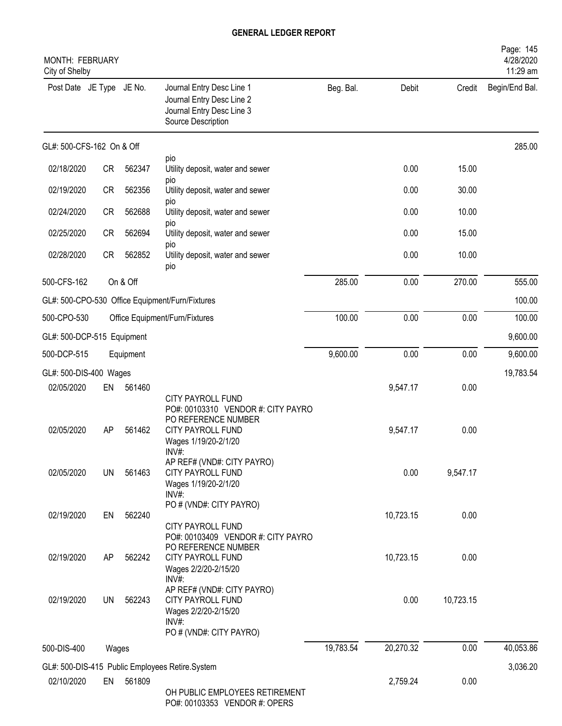| MONTH: FEBRUARY<br>City of Shelby |           |           |                                                                                                                 |           |           |           | Page: 145<br>4/28/2020<br>11:29 am |
|-----------------------------------|-----------|-----------|-----------------------------------------------------------------------------------------------------------------|-----------|-----------|-----------|------------------------------------|
| Post Date JE Type JE No.          |           |           | Journal Entry Desc Line 1<br>Journal Entry Desc Line 2<br>Journal Entry Desc Line 3<br>Source Description       | Beg. Bal. | Debit     | Credit    | Begin/End Bal.                     |
| GL#: 500-CFS-162 On & Off         |           |           |                                                                                                                 |           |           |           | 285.00                             |
| 02/18/2020                        | <b>CR</b> | 562347    | pio<br>Utility deposit, water and sewer                                                                         |           | 0.00      | 15.00     |                                    |
| 02/19/2020                        | <b>CR</b> | 562356    | pio<br>Utility deposit, water and sewer                                                                         |           | 0.00      | 30.00     |                                    |
| 02/24/2020                        | <b>CR</b> | 562688    | pio<br>Utility deposit, water and sewer                                                                         |           | 0.00      | 10.00     |                                    |
| 02/25/2020                        | <b>CR</b> | 562694    | pio<br>Utility deposit, water and sewer                                                                         |           | 0.00      | 15.00     |                                    |
| 02/28/2020                        | <b>CR</b> | 562852    | <b>DIO</b><br>Utility deposit, water and sewer<br>pio                                                           |           | 0.00      | 10.00     |                                    |
| 500-CFS-162                       |           | On & Off  |                                                                                                                 | 285.00    | 0.00      | 270.00    | 555.00                             |
|                                   |           |           | GL#: 500-CPO-530 Office Equipment/Furn/Fixtures                                                                 |           |           |           | 100.00                             |
| 500-CPO-530                       |           |           | Office Equipment/Furn/Fixtures                                                                                  | 100.00    | 0.00      | 0.00      | 100.00                             |
| GL#: 500-DCP-515 Equipment        |           |           |                                                                                                                 |           |           |           | 9,600.00                           |
| 500-DCP-515                       |           | Equipment |                                                                                                                 | 9,600.00  | 0.00      | 0.00      | 9,600.00                           |
| GL#: 500-DIS-400 Wages            |           |           |                                                                                                                 |           |           |           | 19,783.54                          |
| 02/05/2020                        | EN        | 561460    | <b>CITY PAYROLL FUND</b>                                                                                        |           | 9,547.17  | 0.00      |                                    |
| 02/05/2020                        | AP        | 561462    | PO#: 00103310 VENDOR #: CITY PAYRO<br>PO REFERENCE NUMBER<br>CITY PAYROLL FUND<br>Wages 1/19/20-2/1/20<br>INV#: |           | 9,547.17  | 0.00      |                                    |
| 02/05/2020                        | <b>UN</b> | 561463    | AP REF# (VND#: CITY PAYRO)<br><b>CITY PAYROLL FUND</b><br>Wages 1/19/20-2/1/20<br>INV#                          |           | 0.00      | 9,547.17  |                                    |
| 02/19/2020                        | EN        | 562240    | PO # (VND#: CITY PAYRO)<br>CITY PAYROLL FUND                                                                    |           | 10,723.15 | 0.00      |                                    |
| 02/19/2020                        | AP        | 562242    | PO#: 00103409 VENDOR #: CITY PAYRO<br>PO REFERENCE NUMBER<br>CITY PAYROLL FUND<br>Wages 2/2/20-2/15/20<br>INV#: |           | 10,723.15 | 0.00      |                                    |
| 02/19/2020                        | <b>UN</b> | 562243    | AP REF# (VND#: CITY PAYRO)<br>CITY PAYROLL FUND<br>Wages 2/2/20-2/15/20<br>INV#:<br>PO # (VND#: CITY PAYRO)     |           | 0.00      | 10,723.15 |                                    |
| 500-DIS-400                       | Wages     |           |                                                                                                                 | 19,783.54 | 20,270.32 | 0.00      | 40,053.86                          |
|                                   |           |           | GL#: 500-DIS-415 Public Employees Retire.System                                                                 |           |           |           | 3,036.20                           |
| 02/10/2020                        | EN        | 561809    |                                                                                                                 |           | 2,759.24  | 0.00      |                                    |
|                                   |           |           | OH PUBLIC EMPLOYEES RETIREMENT<br>PO#: 00103353 VENDOR #: OPERS                                                 |           |           |           |                                    |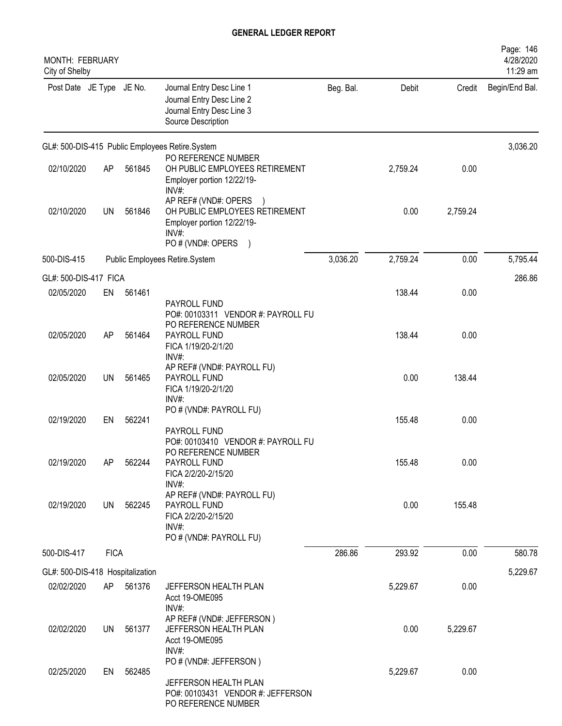| MONTH: FEBRUARY<br>City of Shelby |             |        |                                                                                                                         |           |          |          | Page: 146<br>4/28/2020<br>11:29 am |
|-----------------------------------|-------------|--------|-------------------------------------------------------------------------------------------------------------------------|-----------|----------|----------|------------------------------------|
| Post Date JE Type JE No.          |             |        | Journal Entry Desc Line 1<br>Journal Entry Desc Line 2<br>Journal Entry Desc Line 3<br>Source Description               | Beg. Bal. | Debit    | Credit   | Begin/End Bal.                     |
|                                   |             |        | GL#: 500-DIS-415 Public Employees Retire.System                                                                         |           |          |          | 3,036.20                           |
| 02/10/2020                        | AP          | 561845 | PO REFERENCE NUMBER<br>OH PUBLIC EMPLOYEES RETIREMENT<br>Employer portion 12/22/19-<br>INV#:                            |           | 2,759.24 | 0.00     |                                    |
| 02/10/2020                        | UN          | 561846 | AP REF# (VND#: OPERS )<br>OH PUBLIC EMPLOYEES RETIREMENT<br>Employer portion 12/22/19-<br>$INV#$ :<br>PO # (VND#: OPERS |           | 0.00     | 2,759.24 |                                    |
| 500-DIS-415                       |             |        | Public Employees Retire.System                                                                                          | 3,036.20  | 2,759.24 | 0.00     | 5,795.44                           |
| GL#: 500-DIS-417 FICA             |             |        |                                                                                                                         |           |          |          | 286.86                             |
| 02/05/2020                        | EN          | 561461 | PAYROLL FUND<br>PO#: 00103311 VENDOR #: PAYROLL FU                                                                      |           | 138.44   | 0.00     |                                    |
| 02/05/2020                        | AP          | 561464 | PO REFERENCE NUMBER<br>PAYROLL FUND<br>FICA 1/19/20-2/1/20<br>$INV#$ :                                                  |           | 138.44   | 0.00     |                                    |
| 02/05/2020                        | <b>UN</b>   | 561465 | AP REF# (VND#: PAYROLL FU)<br>PAYROLL FUND<br>FICA 1/19/20-2/1/20<br>INV#:                                              |           | 0.00     | 138.44   |                                    |
| 02/19/2020                        | EN          | 562241 | PO # (VND#: PAYROLL FU)<br>PAYROLL FUND<br>PO#: 00103410 VENDOR #: PAYROLL FU                                           |           | 155.48   | 0.00     |                                    |
| 02/19/2020                        | AP          | 562244 | PO REFERENCE NUMBER<br>PAYROLL FUND<br>FICA 2/2/20-2/15/20<br>$INV#$ :                                                  |           | 155.48   | 0.00     |                                    |
| 02/19/2020                        | UN          | 562245 | AP REF# (VND#: PAYROLL FU)<br>PAYROLL FUND<br>FICA 2/2/20-2/15/20<br>INV#:<br>PO # (VND#: PAYROLL FU)                   |           | 0.00     | 155.48   |                                    |
| 500-DIS-417                       | <b>FICA</b> |        |                                                                                                                         | 286.86    | 293.92   | 0.00     | 580.78                             |
| GL#: 500-DIS-418 Hospitalization  |             |        |                                                                                                                         |           |          |          | 5,229.67                           |
| 02/02/2020                        | AP          | 561376 | JEFFERSON HEALTH PLAN<br>Acct 19-OME095<br>INV#:                                                                        |           | 5,229.67 | 0.00     |                                    |
| 02/02/2020                        | <b>UN</b>   | 561377 | AP REF# (VND#: JEFFERSON)<br>JEFFERSON HEALTH PLAN<br>Acct 19-OME095<br>INV#:                                           |           | 0.00     | 5,229.67 |                                    |
| 02/25/2020                        | EN          | 562485 | PO # (VND#: JEFFERSON)<br>JEFFERSON HEALTH PLAN<br>PO#: 00103431 VENDOR #: JEFFERSON<br>PO REFERENCE NUMBER             |           | 5,229.67 | 0.00     |                                    |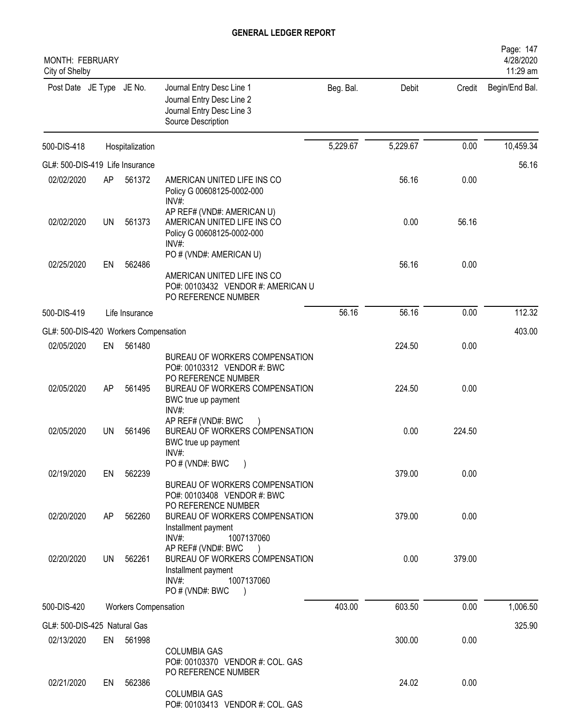| MONTH: FEBRUARY<br>City of Shelby     |           |                             |                                                                                                                                                            |           |          |        | Page: 147<br>4/28/2020<br>11:29 am |
|---------------------------------------|-----------|-----------------------------|------------------------------------------------------------------------------------------------------------------------------------------------------------|-----------|----------|--------|------------------------------------|
| Post Date JE Type JE No.              |           |                             | Journal Entry Desc Line 1<br>Journal Entry Desc Line 2<br>Journal Entry Desc Line 3<br>Source Description                                                  | Beg. Bal. | Debit    | Credit | Begin/End Bal.                     |
| 500-DIS-418                           |           | Hospitalization             |                                                                                                                                                            | 5,229.67  | 5,229.67 | 0.00   | 10,459.34                          |
| GL#: 500-DIS-419 Life Insurance       |           |                             |                                                                                                                                                            |           |          |        | 56.16                              |
| 02/02/2020                            | AP        | 561372                      | AMERICAN UNITED LIFE INS CO<br>Policy G 00608125-0002-000<br>INV#:                                                                                         |           | 56.16    | 0.00   |                                    |
| 02/02/2020                            | <b>UN</b> | 561373                      | AP REF# (VND#: AMERICAN U)<br>AMERICAN UNITED LIFE INS CO<br>Policy G 00608125-0002-000<br>INV#:                                                           |           | 0.00     | 56.16  |                                    |
| 02/25/2020                            | EN        | 562486                      | PO # (VND#: AMERICAN U)<br>AMERICAN UNITED LIFE INS CO<br>PO#: 00103432 VENDOR #: AMERICAN U<br>PO REFERENCE NUMBER                                        |           | 56.16    | 0.00   |                                    |
| 500-DIS-419                           |           | Life Insurance              |                                                                                                                                                            | 56.16     | 56.16    | 0.00   | 112.32                             |
| GL#: 500-DIS-420 Workers Compensation |           |                             |                                                                                                                                                            |           |          |        | 403.00                             |
| 02/05/2020                            | EN        | 561480                      |                                                                                                                                                            |           | 224.50   | 0.00   |                                    |
| 02/05/2020                            | AP        | 561495                      | BUREAU OF WORKERS COMPENSATION<br>PO#: 00103312 VENDOR #: BWC<br>PO REFERENCE NUMBER<br>BUREAU OF WORKERS COMPENSATION<br>BWC true up payment              |           | 224.50   | 0.00   |                                    |
| 02/05/2020                            | UN        | 561496                      | INV#:<br>AP REF# (VND#: BWC<br>BUREAU OF WORKERS COMPENSATION<br>BWC true up payment<br>INV#:<br>PO # (VND#: BWC                                           |           | 0.00     | 224.50 |                                    |
| 02/19/2020                            | EN        | 562239                      | BUREAU OF WORKERS COMPENSATION<br>PO#: 00103408 VENDOR #: BWC                                                                                              |           | 379.00   | 0.00   |                                    |
| 02/20/2020                            | AP        | 562260                      | PO REFERENCE NUMBER<br>BUREAU OF WORKERS COMPENSATION<br>Installment payment<br>$INV#$ :<br>1007137060                                                     |           | 379.00   | 0.00   |                                    |
| 02/20/2020                            | UN        | 562261                      | AP REF# (VND#: BWC<br>$\rightarrow$<br>BUREAU OF WORKERS COMPENSATION<br>Installment payment<br>$INV#$ :<br>1007137060<br>PO # (VND#: BWC<br>$\rightarrow$ |           | 0.00     | 379.00 |                                    |
| 500-DIS-420                           |           | <b>Workers Compensation</b> |                                                                                                                                                            | 403.00    | 603.50   | 0.00   | 1,006.50                           |
| GL#: 500-DIS-425 Natural Gas          |           |                             |                                                                                                                                                            |           |          |        | 325.90                             |
| 02/13/2020                            |           | EN 561998                   |                                                                                                                                                            |           | 300.00   | 0.00   |                                    |
|                                       |           |                             | <b>COLUMBIA GAS</b><br>PO#: 00103370 VENDOR #: COL. GAS<br>PO REFERENCE NUMBER                                                                             |           |          |        |                                    |
| 02/21/2020                            | EN        | 562386                      | <b>COLUMBIA GAS</b><br>PO#: 00103413 VENDOR #: COL. GAS                                                                                                    |           | 24.02    | 0.00   |                                    |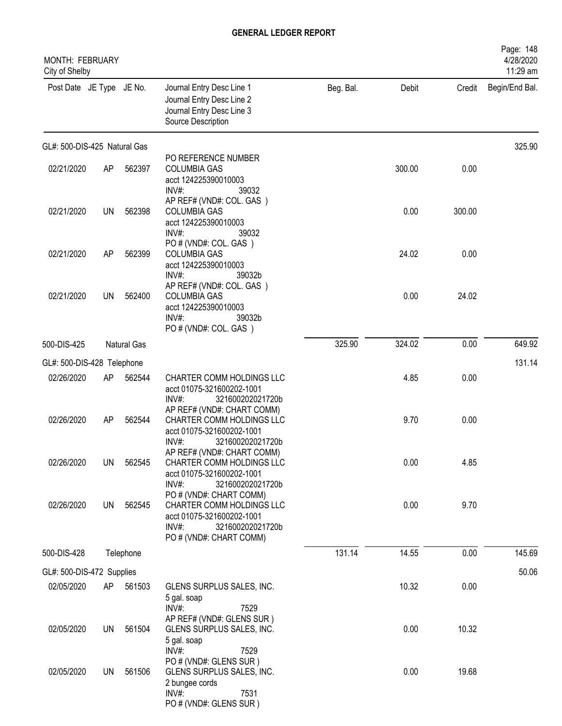| MONTH: FEBRUARY<br>City of Shelby |           |             |                                                                                                                                           |           |        |        | Page: 148<br>4/28/2020<br>11:29 am |
|-----------------------------------|-----------|-------------|-------------------------------------------------------------------------------------------------------------------------------------------|-----------|--------|--------|------------------------------------|
| Post Date JE Type JE No.          |           |             | Journal Entry Desc Line 1<br>Journal Entry Desc Line 2<br>Journal Entry Desc Line 3<br>Source Description                                 | Beg. Bal. | Debit  | Credit | Begin/End Bal.                     |
| GL#: 500-DIS-425 Natural Gas      |           |             |                                                                                                                                           |           |        |        | 325.90                             |
| 02/21/2020                        | AP        | 562397      | PO REFERENCE NUMBER<br><b>COLUMBIA GAS</b><br>acct 124225390010003<br>INV#:<br>39032                                                      |           | 300.00 | 0.00   |                                    |
| 02/21/2020                        | <b>UN</b> | 562398      | AP REF# (VND#: COL. GAS)<br><b>COLUMBIA GAS</b><br>acct 124225390010003<br>$INV#$ :<br>39032                                              |           | 0.00   | 300.00 |                                    |
| 02/21/2020                        | AP        | 562399      | PO#(VND#: COL. GAS)<br><b>COLUMBIA GAS</b><br>acct 124225390010003<br>INV#:<br>39032b                                                     |           | 24.02  | 0.00   |                                    |
| 02/21/2020                        | UN        | 562400      | AP REF# (VND#: COL. GAS)<br><b>COLUMBIA GAS</b><br>acct 124225390010003<br>$INV#$ :<br>39032b<br>PO#(VND#: COL. GAS)                      |           | 0.00   | 24.02  |                                    |
| 500-DIS-425                       |           | Natural Gas |                                                                                                                                           | 325.90    | 324.02 | 0.00   | 649.92                             |
| GL#: 500-DIS-428 Telephone        |           |             |                                                                                                                                           |           |        |        | 131.14                             |
| 02/26/2020                        | AP        | 562544      | CHARTER COMM HOLDINGS LLC<br>acct 01075-321600202-1001<br>INV#:<br>321600202021720b                                                       |           | 4.85   | 0.00   |                                    |
| 02/26/2020                        | AP        | 562544      | AP REF# (VND#: CHART COMM)<br>CHARTER COMM HOLDINGS LLC<br>acct 01075-321600202-1001<br>$INV#$ :<br>321600202021720b                      |           | 9.70   | 0.00   |                                    |
| 02/26/2020                        | <b>UN</b> | 562545      | AP REF# (VND#: CHART COMM)<br>CHARTER COMM HOLDINGS LLC<br>acct 01075-321600202-1001<br>$INV#$ :<br>321600202021720b                      |           | 0.00   | 4.85   |                                    |
| 02/26/2020                        | UN        | 562545      | PO # (VND#: CHART COMM)<br>CHARTER COMM HOLDINGS LLC<br>acct 01075-321600202-1001<br>INV#:<br>321600202021720b<br>PO # (VND#: CHART COMM) |           | 0.00   | 9.70   |                                    |
| 500-DIS-428                       |           | Telephone   |                                                                                                                                           | 131.14    | 14.55  | 0.00   | 145.69                             |
| GL#: 500-DIS-472 Supplies         |           |             |                                                                                                                                           |           |        |        | 50.06                              |
| 02/05/2020                        | AP        | 561503      | GLENS SURPLUS SALES, INC.<br>5 gal. soap<br>INV#:<br>7529                                                                                 |           | 10.32  | 0.00   |                                    |
| 02/05/2020                        | UN        | 561504      | AP REF# (VND#: GLENS SUR)<br>GLENS SURPLUS SALES, INC.<br>5 gal. soap<br>$INV#$ :<br>7529                                                 |           | 0.00   | 10.32  |                                    |
| 02/05/2020                        | UN        | 561506      | PO # (VND#: GLENS SUR)<br>GLENS SURPLUS SALES, INC.<br>2 bungee cords<br>$INV#$ :<br>7531<br>PO # (VND#: GLENS SUR)                       |           | 0.00   | 19.68  |                                    |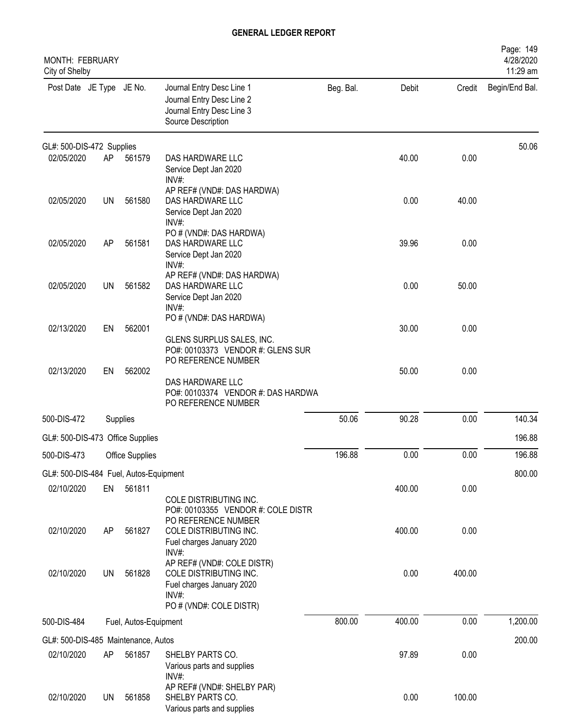| <b>MONTH: FEBRUARY</b><br>City of Shelby |           |                       |                                                                                                                       |           |        |        | Page: 149<br>4/28/2020<br>11:29 am |
|------------------------------------------|-----------|-----------------------|-----------------------------------------------------------------------------------------------------------------------|-----------|--------|--------|------------------------------------|
| Post Date JE Type JE No.                 |           |                       | Journal Entry Desc Line 1<br>Journal Entry Desc Line 2<br>Journal Entry Desc Line 3<br>Source Description             | Beg. Bal. | Debit  | Credit | Begin/End Bal.                     |
| GL#: 500-DIS-472 Supplies                |           |                       |                                                                                                                       |           |        |        | 50.06                              |
| 02/05/2020                               | AP        | 561579                | DAS HARDWARE LLC<br>Service Dept Jan 2020<br>$INV#$ :                                                                 |           | 40.00  | 0.00   |                                    |
| 02/05/2020                               | <b>UN</b> | 561580                | AP REF# (VND#: DAS HARDWA)<br>DAS HARDWARE LLC<br>Service Dept Jan 2020<br>INV#:                                      |           | 0.00   | 40.00  |                                    |
| 02/05/2020                               | AP        | 561581                | PO # (VND#: DAS HARDWA)<br>DAS HARDWARE LLC<br>Service Dept Jan 2020<br>INV#:                                         |           | 39.96  | 0.00   |                                    |
| 02/05/2020                               | <b>UN</b> | 561582                | AP REF# (VND#: DAS HARDWA)<br>DAS HARDWARE LLC<br>Service Dept Jan 2020<br>$INV#$ :                                   |           | 0.00   | 50.00  |                                    |
| 02/13/2020                               | EN        | 562001                | PO # (VND#: DAS HARDWA)<br>GLENS SURPLUS SALES, INC.<br>PO#: 00103373 VENDOR #: GLENS SUR                             |           | 30.00  | 0.00   |                                    |
| 02/13/2020                               | EN        | 562002                | PO REFERENCE NUMBER<br>DAS HARDWARE LLC<br>PO#: 00103374 VENDOR #: DAS HARDWA<br>PO REFERENCE NUMBER                  |           | 50.00  | 0.00   |                                    |
| 500-DIS-472                              |           | Supplies              |                                                                                                                       | 50.06     | 90.28  | 0.00   | 140.34                             |
| GL#: 500-DIS-473 Office Supplies         |           |                       |                                                                                                                       |           |        |        | 196.88                             |
| 500-DIS-473                              |           | Office Supplies       |                                                                                                                       | 196.88    | 0.00   | 0.00   | 196.88                             |
| GL#: 500-DIS-484 Fuel, Autos-Equipment   |           |                       |                                                                                                                       |           |        |        | 800.00                             |
| 02/10/2020                               | EN        | 561811                | COLE DISTRIBUTING INC.<br>PO#: 00103355 VENDOR #: COLE DISTR                                                          |           | 400.00 | 0.00   |                                    |
| 02/10/2020                               | AP        | 561827                | PO REFERENCE NUMBER<br>COLE DISTRIBUTING INC.<br>Fuel charges January 2020<br>INV#:                                   |           | 400.00 | 0.00   |                                    |
| 02/10/2020                               | <b>UN</b> | 561828                | AP REF# (VND#: COLE DISTR)<br>COLE DISTRIBUTING INC.<br>Fuel charges January 2020<br>INV#:<br>PO # (VND#: COLE DISTR) |           | 0.00   | 400.00 |                                    |
| 500-DIS-484                              |           | Fuel, Autos-Equipment |                                                                                                                       | 800.00    | 400.00 | 0.00   | 1,200.00                           |
| GL#: 500-DIS-485 Maintenance, Autos      |           |                       |                                                                                                                       |           |        |        | 200.00                             |
| 02/10/2020                               | AP        | 561857                | SHELBY PARTS CO.<br>Various parts and supplies<br>$INV#$ :                                                            |           | 97.89  | 0.00   |                                    |
| 02/10/2020                               | <b>UN</b> | 561858                | AP REF# (VND#: SHELBY PAR)<br>SHELBY PARTS CO.<br>Various parts and supplies                                          |           | 0.00   | 100.00 |                                    |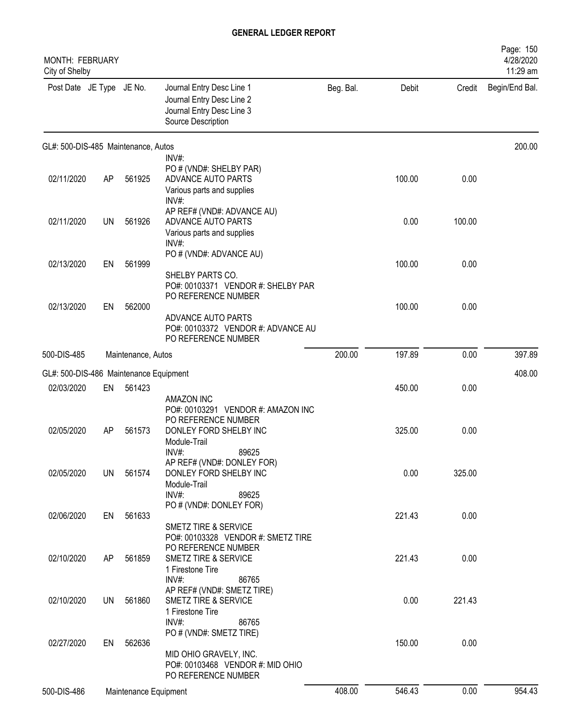| <b>MONTH: FEBRUARY</b><br>City of Shelby |           |                       |                                                                                                                                              |           |        |        | Page: 150<br>4/28/2020<br>11:29 am |
|------------------------------------------|-----------|-----------------------|----------------------------------------------------------------------------------------------------------------------------------------------|-----------|--------|--------|------------------------------------|
| Post Date JE Type JE No.                 |           |                       | Journal Entry Desc Line 1<br>Journal Entry Desc Line 2<br>Journal Entry Desc Line 3<br>Source Description                                    | Beg. Bal. | Debit  | Credit | Begin/End Bal.                     |
| GL#: 500-DIS-485 Maintenance, Autos      |           |                       |                                                                                                                                              |           |        |        | 200.00                             |
| 02/11/2020                               | AP        | 561925                | $INV#$ :<br>PO # (VND#: SHELBY PAR)<br>ADVANCE AUTO PARTS<br>Various parts and supplies<br>INV#:                                             |           | 100.00 | 0.00   |                                    |
| 02/11/2020                               | <b>UN</b> | 561926                | AP REF# (VND#: ADVANCE AU)<br>ADVANCE AUTO PARTS<br>Various parts and supplies<br>$INV#$ :                                                   |           | 0.00   | 100.00 |                                    |
| 02/13/2020                               | EN        | 561999                | PO # (VND#: ADVANCE AU)<br>SHELBY PARTS CO.                                                                                                  |           | 100.00 | 0.00   |                                    |
| 02/13/2020                               | EN        | 562000                | PO#: 00103371 VENDOR #: SHELBY PAR<br>PO REFERENCE NUMBER<br>ADVANCE AUTO PARTS<br>PO#: 00103372 VENDOR #: ADVANCE AU<br>PO REFERENCE NUMBER |           | 100.00 | 0.00   |                                    |
| 500-DIS-485                              |           | Maintenance, Autos    |                                                                                                                                              | 200.00    | 197.89 | 0.00   | 397.89                             |
| GL#: 500-DIS-486 Maintenance Equipment   |           |                       |                                                                                                                                              |           |        |        | 408.00                             |
| 02/03/2020                               | EN        | 561423                | <b>AMAZON INC</b>                                                                                                                            |           | 450.00 | 0.00   |                                    |
| 02/05/2020                               | AP        | 561573                | PO#: 00103291 VENDOR #: AMAZON INC<br>PO REFERENCE NUMBER<br>DONLEY FORD SHELBY INC<br>Module-Trail<br>89625<br>$INV#$ :                     |           | 325.00 | 0.00   |                                    |
| 02/05/2020                               | UN.       | 561574                | AP REF# (VND#: DONLEY FOR)<br>DONLEY FORD SHELBY INC<br>Module-Trail<br>$INV#$ :<br>89625                                                    |           | 0.00   | 325.00 |                                    |
| 02/06/2020                               | EN        | 561633                | PO # (VND#: DONLEY FOR)<br>SMETZ TIRE & SERVICE<br>PO#: 00103328 VENDOR #: SMETZ TIRE                                                        |           | 221.43 | 0.00   |                                    |
| 02/10/2020                               | AP        | 561859                | PO REFERENCE NUMBER<br>SMETZ TIRE & SERVICE<br>1 Firestone Tire<br>INV#:<br>86765                                                            |           | 221.43 | 0.00   |                                    |
| 02/10/2020                               | UN        | 561860                | AP REF# (VND#: SMETZ TIRE)<br>SMETZ TIRE & SERVICE<br>1 Firestone Tire<br>$INV#$ :<br>86765                                                  |           | 0.00   | 221.43 |                                    |
| 02/27/2020                               | EN        | 562636                | PO # (VND#: SMETZ TIRE)<br>MID OHIO GRAVELY, INC.<br>PO#: 00103468 VENDOR #: MID OHIO<br>PO REFERENCE NUMBER                                 |           | 150.00 | 0.00   |                                    |
| 500-DIS-486                              |           | Maintenance Equipment |                                                                                                                                              | 408.00    | 546.43 | 0.00   | 954.43                             |
|                                          |           |                       |                                                                                                                                              |           |        |        |                                    |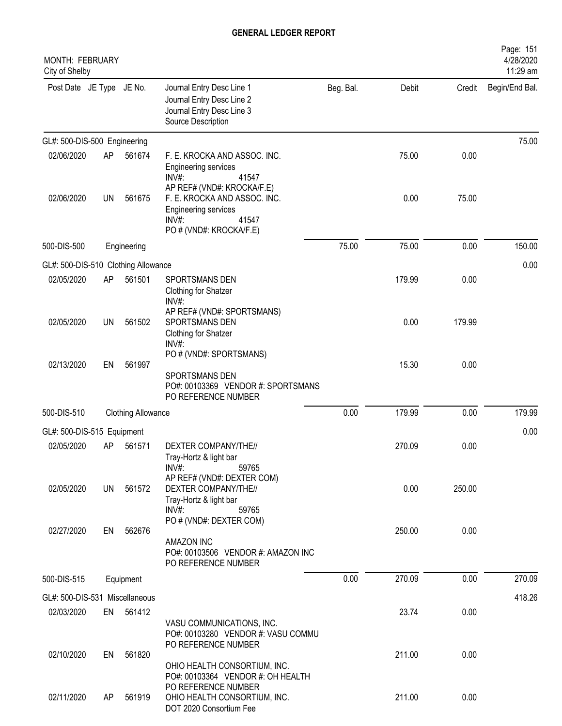| MONTH: FEBRUARY<br>City of Shelby   |           |                           |                                                                                                                                                   |           |        |        | Page: 151<br>4/28/2020<br>11:29 am |
|-------------------------------------|-----------|---------------------------|---------------------------------------------------------------------------------------------------------------------------------------------------|-----------|--------|--------|------------------------------------|
| Post Date JE Type JE No.            |           |                           | Journal Entry Desc Line 1<br>Journal Entry Desc Line 2<br>Journal Entry Desc Line 3<br>Source Description                                         | Beg. Bal. | Debit  | Credit | Begin/End Bal.                     |
| GL#: 500-DIS-500 Engineering        |           |                           |                                                                                                                                                   |           |        |        | 75.00                              |
| 02/06/2020                          | AP        | 561674                    | F. E. KROCKA AND ASSOC. INC.<br><b>Engineering services</b><br>41547<br>INV#                                                                      |           | 75.00  | 0.00   |                                    |
| 02/06/2020                          | UN        | 561675                    | AP REF# (VND#: KROCKA/F.E)<br>F. E. KROCKA AND ASSOC. INC.<br><b>Engineering services</b><br>$INV#$ :<br>41547<br>PO # (VND#: KROCKA/F.E)         |           | 0.00   | 75.00  |                                    |
| 500-DIS-500                         |           | Engineering               |                                                                                                                                                   | 75.00     | 75.00  | 0.00   | 150.00                             |
| GL#: 500-DIS-510 Clothing Allowance |           |                           |                                                                                                                                                   |           |        |        | 0.00                               |
| 02/05/2020                          | AP        | 561501                    | SPORTSMANS DEN<br>Clothing for Shatzer<br>INV#:                                                                                                   |           | 179.99 | 0.00   |                                    |
| 02/05/2020                          | <b>UN</b> | 561502                    | AP REF# (VND#: SPORTSMANS)<br>SPORTSMANS DEN<br>Clothing for Shatzer<br>INV#:                                                                     |           | 0.00   | 179.99 |                                    |
| 02/13/2020                          | EN        | 561997                    | PO # (VND#: SPORTSMANS)<br>SPORTSMANS DEN<br>PO#: 00103369 VENDOR #: SPORTSMANS<br>PO REFERENCE NUMBER                                            |           | 15.30  | 0.00   |                                    |
| 500-DIS-510                         |           | <b>Clothing Allowance</b> |                                                                                                                                                   | 0.00      | 179.99 | 0.00   | 179.99                             |
| GL#: 500-DIS-515 Equipment          |           |                           |                                                                                                                                                   |           |        |        | 0.00                               |
| 02/05/2020                          | AP        | 561571                    | DEXTER COMPANY/THE//<br>Tray-Hortz & light bar                                                                                                    |           | 270.09 | 0.00   |                                    |
| 02/05/2020                          | UN        | 561572                    | $INV#$ :<br>59765<br>AP REF# (VND#: DEXTER COM)<br>DEXTER COMPANY/THE//<br>Tray-Hortz & light bar<br>$INV#$ :<br>59765<br>PO # (VND#: DEXTER COM) |           | 0.00   | 250.00 |                                    |
| 02/27/2020                          | EN        | 562676                    | <b>AMAZON INC</b><br>PO#: 00103506 VENDOR #: AMAZON INC<br>PO REFERENCE NUMBER                                                                    |           | 250.00 | 0.00   |                                    |
| 500-DIS-515                         |           | Equipment                 |                                                                                                                                                   | 0.00      | 270.09 | 0.00   | 270.09                             |
| GL#: 500-DIS-531 Miscellaneous      |           |                           |                                                                                                                                                   |           |        |        | 418.26                             |
| 02/03/2020                          |           | EN 561412                 | VASU COMMUNICATIONS, INC.<br>PO#: 00103280 VENDOR #: VASU COMMU<br>PO REFERENCE NUMBER                                                            |           | 23.74  | 0.00   |                                    |
| 02/10/2020                          | EN        | 561820                    | OHIO HEALTH CONSORTIUM, INC.<br>PO#: 00103364 VENDOR #: OH HEALTH                                                                                 |           | 211.00 | 0.00   |                                    |
| 02/11/2020                          | AP        | 561919                    | PO REFERENCE NUMBER<br>OHIO HEALTH CONSORTIUM, INC.<br>DOT 2020 Consortium Fee                                                                    |           | 211.00 | 0.00   |                                    |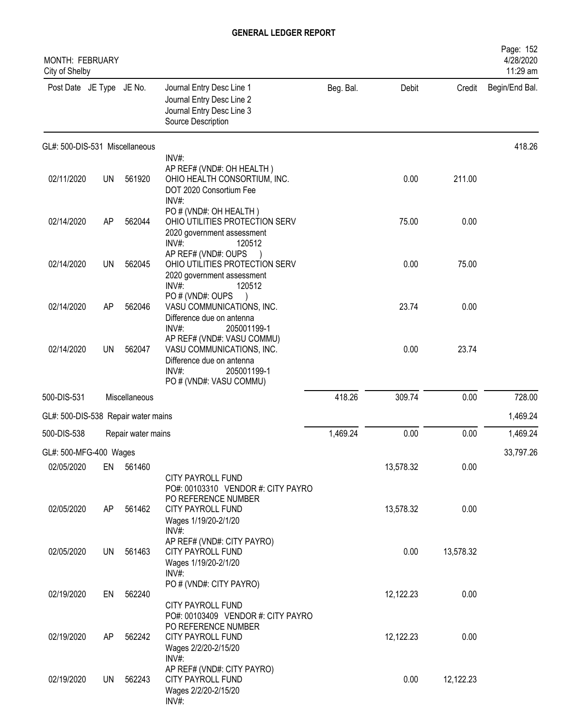| MONTH: FEBRUARY<br>City of Shelby   |           |                    |                                                                                                                                            |           |           |           | Page: 152<br>4/28/2020<br>11:29 am |
|-------------------------------------|-----------|--------------------|--------------------------------------------------------------------------------------------------------------------------------------------|-----------|-----------|-----------|------------------------------------|
| Post Date JE Type JE No.            |           |                    | Journal Entry Desc Line 1<br>Journal Entry Desc Line 2<br>Journal Entry Desc Line 3<br>Source Description                                  | Beg. Bal. | Debit     | Credit    | Begin/End Bal.                     |
| GL#: 500-DIS-531 Miscellaneous      |           |                    |                                                                                                                                            |           |           |           | 418.26                             |
| 02/11/2020                          | <b>UN</b> | 561920             | INV#:<br>AP REF# (VND#: OH HEALTH)<br>OHIO HEALTH CONSORTIUM, INC.<br>DOT 2020 Consortium Fee<br>INV#:                                     |           | 0.00      | 211.00    |                                    |
| 02/14/2020                          | AP        | 562044             | PO # (VND#: OH HEALTH)<br>OHIO UTILITIES PROTECTION SERV<br>2020 government assessment<br>$INV#$ :<br>120512                               |           | 75.00     | 0.00      |                                    |
| 02/14/2020                          | <b>UN</b> | 562045             | AP REF# (VND#: OUPS<br>OHIO UTILITIES PROTECTION SERV<br>2020 government assessment<br>$INV#$ :<br>120512                                  |           | 0.00      | 75.00     |                                    |
| 02/14/2020                          | AP        | 562046             | PO#(VND#: OUPS<br>VASU COMMUNICATIONS, INC.<br>Difference due on antenna<br>INV#:<br>205001199-1                                           |           | 23.74     | 0.00      |                                    |
| 02/14/2020                          | <b>UN</b> | 562047             | AP REF# (VND#: VASU COMMU)<br>VASU COMMUNICATIONS, INC.<br>Difference due on antenna<br>$INV#$ :<br>205001199-1<br>PO # (VND#: VASU COMMU) |           | 0.00      | 23.74     |                                    |
| 500-DIS-531                         |           | Miscellaneous      |                                                                                                                                            | 418.26    | 309.74    | 0.00      | 728.00                             |
| GL#: 500-DIS-538 Repair water mains |           |                    |                                                                                                                                            |           |           |           | 1,469.24                           |
| 500-DIS-538                         |           | Repair water mains |                                                                                                                                            | 1,469.24  | 0.00      | 0.00      | 1,469.24                           |
| GL#: 500-MFG-400 Wages              |           |                    |                                                                                                                                            |           |           |           | 33,797.26                          |
| 02/05/2020                          | EN        | 561460             | CITY PAYROLL FUND<br>PO#: 00103310 VENDOR #: CITY PAYRO                                                                                    |           | 13,578.32 | 0.00      |                                    |
| 02/05/2020                          | AP        | 561462             | PO REFERENCE NUMBER<br>CITY PAYROLL FUND<br>Wages 1/19/20-2/1/20<br>INV#:                                                                  |           | 13,578.32 | 0.00      |                                    |
| 02/05/2020                          | UN        | 561463             | AP REF# (VND#: CITY PAYRO)<br>CITY PAYROLL FUND<br>Wages 1/19/20-2/1/20<br>INV#:                                                           |           | 0.00      | 13,578.32 |                                    |
| 02/19/2020                          | EN        | 562240             | PO # (VND#: CITY PAYRO)<br>CITY PAYROLL FUND                                                                                               |           | 12,122.23 | 0.00      |                                    |
| 02/19/2020                          | AP        | 562242             | PO#: 00103409 VENDOR #: CITY PAYRO<br>PO REFERENCE NUMBER<br>CITY PAYROLL FUND<br>Wages 2/2/20-2/15/20                                     |           | 12,122.23 | 0.00      |                                    |
| 02/19/2020                          | UN        | 562243             | $INV#$ :<br>AP REF# (VND#: CITY PAYRO)<br>CITY PAYROLL FUND<br>Wages 2/2/20-2/15/20<br>INV#:                                               |           | 0.00      | 12,122.23 |                                    |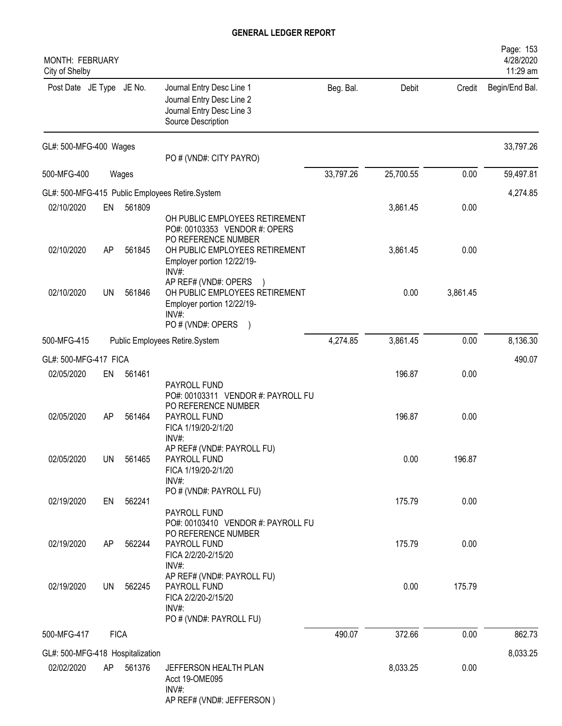| MONTH: FEBRUARY<br>City of Shelby |             |        |                                                                                                                                                        |           |           |          | Page: 153<br>4/28/2020<br>11:29 am |
|-----------------------------------|-------------|--------|--------------------------------------------------------------------------------------------------------------------------------------------------------|-----------|-----------|----------|------------------------------------|
| Post Date JE Type JE No.          |             |        | Journal Entry Desc Line 1<br>Journal Entry Desc Line 2<br>Journal Entry Desc Line 3<br>Source Description                                              | Beg. Bal. | Debit     | Credit   | Begin/End Bal.                     |
| GL#: 500-MFG-400 Wages            |             |        | PO # (VND#: CITY PAYRO)                                                                                                                                |           |           |          | 33,797.26                          |
| 500-MFG-400                       |             | Wages  |                                                                                                                                                        | 33,797.26 | 25,700.55 | 0.00     | 59,497.81                          |
|                                   |             |        | GL#: 500-MFG-415 Public Employees Retire.System                                                                                                        |           |           |          | 4,274.85                           |
| 02/10/2020                        | EN          | 561809 |                                                                                                                                                        |           | 3,861.45  | 0.00     |                                    |
| 02/10/2020                        | AP          | 561845 | OH PUBLIC EMPLOYEES RETIREMENT<br>PO#: 00103353 VENDOR #: OPERS<br>PO REFERENCE NUMBER<br>OH PUBLIC EMPLOYEES RETIREMENT<br>Employer portion 12/22/19- |           | 3,861.45  | 0.00     |                                    |
| 02/10/2020                        | UN          | 561846 | INV#:<br>AP REF# (VND#: OPERS<br>OH PUBLIC EMPLOYEES RETIREMENT<br>Employer portion 12/22/19-<br>INV#<br>PO # (VND#: OPERS<br>$\overline{\phantom{a}}$ |           | 0.00      | 3,861.45 |                                    |
| 500-MFG-415                       |             |        | Public Employees Retire.System                                                                                                                         | 4,274.85  | 3,861.45  | 0.00     | 8,136.30                           |
| GL#: 500-MFG-417 FICA             |             |        |                                                                                                                                                        |           |           |          | 490.07                             |
| 02/05/2020                        | EN          | 561461 |                                                                                                                                                        |           | 196.87    | 0.00     |                                    |
| 02/05/2020                        | AP          | 561464 | PAYROLL FUND<br>PO#: 00103311 VENDOR #: PAYROLL FU<br>PO REFERENCE NUMBER<br>PAYROLL FUND<br>FICA 1/19/20-2/1/20<br>INV#                               |           | 196.87    | 0.00     |                                    |
| 02/05/2020                        | UN          | 561465 | AP REF# (VND#: PAYROLL FU)<br>PAYROLL FUND<br>FICA 1/19/20-2/1/20<br>INV#:                                                                             |           | 0.00      | 196.87   |                                    |
| 02/19/2020                        | EN          | 562241 | PO # (VND#: PAYROLL FU)<br>PAYROLL FUND                                                                                                                |           | 175.79    | 0.00     |                                    |
| 02/19/2020                        | AP          | 562244 | PO#: 00103410 VENDOR #: PAYROLL FU<br>PO REFERENCE NUMBER<br>PAYROLL FUND<br>FICA 2/2/20-2/15/20<br>$INV#$ :                                           |           | 175.79    | 0.00     |                                    |
| 02/19/2020                        | <b>UN</b>   | 562245 | AP REF# (VND#: PAYROLL FU)<br>PAYROLL FUND<br>FICA 2/2/20-2/15/20<br>INV#:<br>PO # (VND#: PAYROLL FU)                                                  |           | 0.00      | 175.79   |                                    |
| 500-MFG-417                       | <b>FICA</b> |        |                                                                                                                                                        | 490.07    | 372.66    | 0.00     | 862.73                             |
| GL#: 500-MFG-418 Hospitalization  |             |        |                                                                                                                                                        |           |           |          | 8,033.25                           |
| 02/02/2020                        | AP          | 561376 | JEFFERSON HEALTH PLAN<br>Acct 19-OME095<br>INV#:<br>AP REF# (VND#: JEFFERSON)                                                                          |           | 8,033.25  | 0.00     |                                    |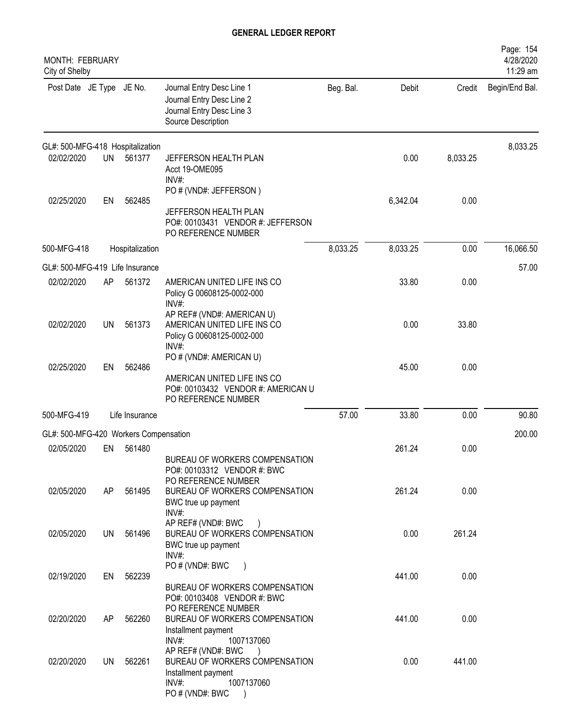| <b>MONTH: FEBRUARY</b><br>City of Shelby |           |                 |                                                                                                                                                                     |           |          |          | Page: 154<br>4/28/2020<br>11:29 am |
|------------------------------------------|-----------|-----------------|---------------------------------------------------------------------------------------------------------------------------------------------------------------------|-----------|----------|----------|------------------------------------|
| Post Date JE Type JE No.                 |           |                 | Journal Entry Desc Line 1<br>Journal Entry Desc Line 2<br>Journal Entry Desc Line 3<br>Source Description                                                           | Beg. Bal. | Debit    | Credit   | Begin/End Bal.                     |
| GL#: 500-MFG-418 Hospitalization         |           |                 |                                                                                                                                                                     |           |          |          | 8,033.25                           |
| 02/02/2020                               | <b>UN</b> | 561377          | JEFFERSON HEALTH PLAN<br>Acct 19-OME095<br>INV#:                                                                                                                    |           | 0.00     | 8,033.25 |                                    |
| 02/25/2020                               | EN        | 562485          | PO # (VND#: JEFFERSON)<br>JEFFERSON HEALTH PLAN<br>PO#: 00103431 VENDOR #: JEFFERSON                                                                                |           | 6,342.04 | 0.00     |                                    |
|                                          |           |                 | PO REFERENCE NUMBER                                                                                                                                                 |           |          |          |                                    |
| 500-MFG-418                              |           | Hospitalization |                                                                                                                                                                     | 8,033.25  | 8,033.25 | 0.00     | 16,066.50                          |
| GL#: 500-MFG-419 Life Insurance          |           |                 |                                                                                                                                                                     |           |          |          | 57.00                              |
| 02/02/2020                               | AP        | 561372          | AMERICAN UNITED LIFE INS CO<br>Policy G 00608125-0002-000<br>$INV#$ :                                                                                               |           | 33.80    | 0.00     |                                    |
| 02/02/2020                               | UN        | 561373          | AP REF# (VND#: AMERICAN U)<br>AMERICAN UNITED LIFE INS CO<br>Policy G 00608125-0002-000<br>$INV#$ :                                                                 |           | 0.00     | 33.80    |                                    |
|                                          |           |                 | PO # (VND#: AMERICAN U)                                                                                                                                             |           |          |          |                                    |
| 02/25/2020                               | EN        | 562486          | AMERICAN UNITED LIFE INS CO<br>PO#: 00103432 VENDOR #: AMERICAN U<br>PO REFERENCE NUMBER                                                                            |           | 45.00    | 0.00     |                                    |
| 500-MFG-419                              |           | Life Insurance  |                                                                                                                                                                     | 57.00     | 33.80    | 0.00     | 90.80                              |
| GL#: 500-MFG-420 Workers Compensation    |           |                 |                                                                                                                                                                     |           |          |          | 200.00                             |
| 02/05/2020                               | EN        | 561480          | BUREAU OF WORKERS COMPENSATION<br>PO#: 00103312 VENDOR #: BWC                                                                                                       |           | 261.24   | 0.00     |                                    |
| 02/05/2020                               | AP        | 561495          | PO REFERENCE NUMBER<br>BUREAU OF WORKERS COMPENSATION<br>BWC true up payment                                                                                        |           | 261.24   | 0.00     |                                    |
| 02/05/2020                               | UN        | 561496          | INV#:<br>AP REF# (VND#: BWC<br>BUREAU OF WORKERS COMPENSATION<br>BWC true up payment<br>INV#                                                                        |           | 0.00     | 261.24   |                                    |
| 02/19/2020                               | EN        | 562239          | PO#(VND#: BWC<br>BUREAU OF WORKERS COMPENSATION                                                                                                                     |           | 441.00   | 0.00     |                                    |
| 02/20/2020                               | AP.       | 562260          | PO#: 00103408 VENDOR #: BWC<br>PO REFERENCE NUMBER<br>BUREAU OF WORKERS COMPENSATION                                                                                |           | 441.00   | 0.00     |                                    |
| 02/20/2020                               | UN        | 562261          | Installment payment<br>INV#:<br>1007137060<br>AP REF# (VND#: BWC<br>BUREAU OF WORKERS COMPENSATION<br>Installment payment<br>INV#:<br>1007137060<br>PO # (VND#: BWC |           | 0.00     | 441.00   |                                    |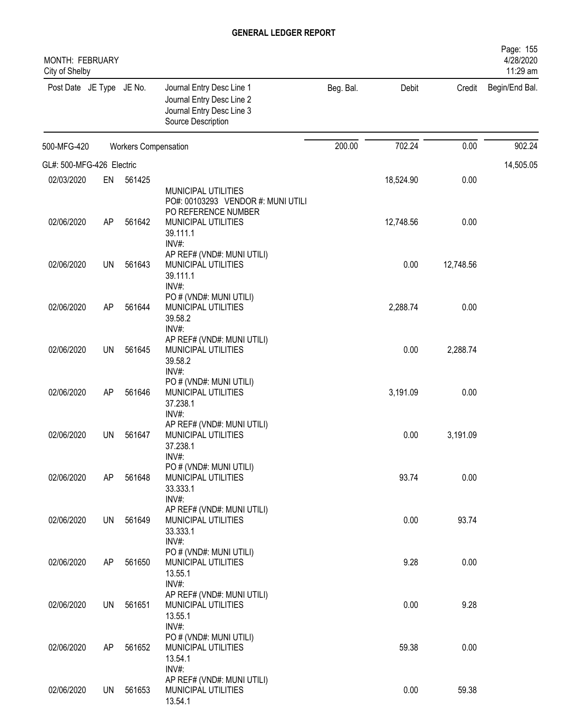| MONTH: FEBRUARY<br>City of Shelby |           |                             |                                                                                                                     |           |           |           | Page: 155<br>4/28/2020<br>11:29 am |
|-----------------------------------|-----------|-----------------------------|---------------------------------------------------------------------------------------------------------------------|-----------|-----------|-----------|------------------------------------|
| Post Date JE Type JE No.          |           |                             | Journal Entry Desc Line 1<br>Journal Entry Desc Line 2<br>Journal Entry Desc Line 3<br>Source Description           | Beg. Bal. | Debit     | Credit    | Begin/End Bal.                     |
| 500-MFG-420                       |           | <b>Workers Compensation</b> |                                                                                                                     | 200.00    | 702.24    | 0.00      | 902.24                             |
| GL#: 500-MFG-426 Electric         |           |                             |                                                                                                                     |           |           |           | 14,505.05                          |
| 02/03/2020                        | EN        | 561425                      |                                                                                                                     |           | 18,524.90 | 0.00      |                                    |
| 02/06/2020                        | AP        | 561642                      | MUNICIPAL UTILITIES<br>PO#: 00103293 VENDOR #: MUNI UTILI<br>PO REFERENCE NUMBER<br>MUNICIPAL UTILITIES<br>39.111.1 |           | 12,748.56 | 0.00      |                                    |
| 02/06/2020                        | <b>UN</b> | 561643                      | INV#:<br>AP REF# (VND#: MUNI UTILI)<br>MUNICIPAL UTILITIES<br>39.111.1                                              |           | 0.00      | 12,748.56 |                                    |
| 02/06/2020                        | AP        | 561644                      | INV#:<br>PO # (VND#: MUNI UTILI)<br>MUNICIPAL UTILITIES<br>39.58.2<br>INV#:                                         |           | 2,288.74  | 0.00      |                                    |
| 02/06/2020                        | UN        | 561645                      | AP REF# (VND#: MUNI UTILI)<br>MUNICIPAL UTILITIES<br>39.58.2<br>INV#:                                               |           | 0.00      | 2,288.74  |                                    |
| 02/06/2020                        | AP        | 561646                      | PO # (VND#: MUNI UTILI)<br>MUNICIPAL UTILITIES<br>37.238.1<br>INV#:                                                 |           | 3,191.09  | 0.00      |                                    |
| 02/06/2020                        | UN        | 561647                      | AP REF# (VND#: MUNI UTILI)<br>MUNICIPAL UTILITIES<br>37.238.1<br>INV#                                               |           | 0.00      | 3,191.09  |                                    |
| 02/06/2020                        | AP        | 561648                      | PO # (VND#: MUNI UTILI)<br>MUNICIPAL UTILITIES<br>33.333.1<br>INV#:                                                 |           | 93.74     | 0.00      |                                    |
| 02/06/2020                        | <b>UN</b> | 561649                      | AP REF# (VND#: MUNI UTILI)<br>MUNICIPAL UTILITIES<br>33.333.1<br>INV#:                                              |           | 0.00      | 93.74     |                                    |
| 02/06/2020                        | AP        | 561650                      | PO # (VND#: MUNI UTILI)<br>MUNICIPAL UTILITIES<br>13.55.1                                                           |           | 9.28      | 0.00      |                                    |
| 02/06/2020                        | <b>UN</b> | 561651                      | INV#:<br>AP REF# (VND#: MUNI UTILI)<br>MUNICIPAL UTILITIES<br>13.55.1                                               |           | 0.00      | 9.28      |                                    |
| 02/06/2020                        | AP        | 561652                      | INV#:<br>PO # (VND#: MUNI UTILI)<br>MUNICIPAL UTILITIES<br>13.54.1                                                  |           | 59.38     | 0.00      |                                    |
| 02/06/2020                        | UN        | 561653                      | INV#:<br>AP REF# (VND#: MUNI UTILI)<br>MUNICIPAL UTILITIES<br>13.54.1                                               |           | 0.00      | 59.38     |                                    |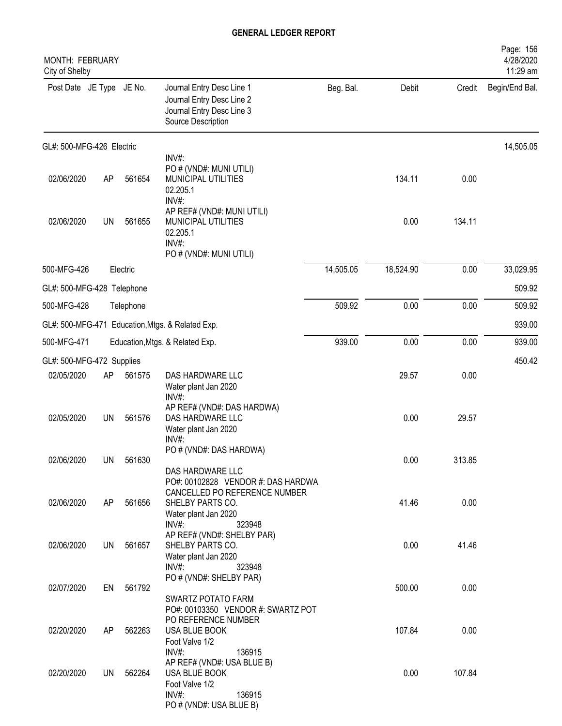| MONTH: FEBRUARY<br>City of Shelby |           |           |                                                                                                                                    |           |           |        | Page: 156<br>4/28/2020<br>11:29 am |
|-----------------------------------|-----------|-----------|------------------------------------------------------------------------------------------------------------------------------------|-----------|-----------|--------|------------------------------------|
| Post Date JE Type JE No.          |           |           | Journal Entry Desc Line 1<br>Journal Entry Desc Line 2<br>Journal Entry Desc Line 3<br>Source Description                          | Beg. Bal. | Debit     | Credit | Begin/End Bal.                     |
| GL#: 500-MFG-426 Electric         |           |           |                                                                                                                                    |           |           |        | 14,505.05                          |
| 02/06/2020                        | AP        | 561654    | INV#:<br>PO # (VND#: MUNI UTILI)<br>MUNICIPAL UTILITIES<br>02.205.1<br>INV#:                                                       |           | 134.11    | 0.00   |                                    |
| 02/06/2020                        | <b>UN</b> | 561655    | AP REF# (VND#: MUNI UTILI)<br>MUNICIPAL UTILITIES<br>02.205.1<br>INV#:<br>PO # (VND#: MUNI UTILI)                                  |           | 0.00      | 134.11 |                                    |
| 500-MFG-426                       |           | Electric  |                                                                                                                                    | 14,505.05 | 18,524.90 | 0.00   | 33,029.95                          |
| GL#: 500-MFG-428 Telephone        |           |           |                                                                                                                                    |           |           |        | 509.92                             |
| 500-MFG-428                       |           | Telephone |                                                                                                                                    | 509.92    | 0.00      | 0.00   | 509.92                             |
|                                   |           |           | GL#: 500-MFG-471 Education, Mtgs. & Related Exp.                                                                                   |           |           |        | 939.00                             |
| 500-MFG-471                       |           |           | Education, Mtgs. & Related Exp.                                                                                                    | 939.00    | 0.00      | 0.00   | 939.00                             |
| GL#: 500-MFG-472 Supplies         |           |           |                                                                                                                                    |           |           |        | 450.42                             |
| 02/05/2020                        | AP        | 561575    | DAS HARDWARE LLC<br>Water plant Jan 2020<br>$INV#$ :                                                                               |           | 29.57     | 0.00   |                                    |
| 02/05/2020                        | <b>UN</b> | 561576    | AP REF# (VND#: DAS HARDWA)<br>DAS HARDWARE LLC<br>Water plant Jan 2020<br>INV#                                                     |           | 0.00      | 29.57  |                                    |
| 02/06/2020                        | UN        | 561630    | PO # (VND#: DAS HARDWA)<br>DAS HARDWARE LLC                                                                                        |           | 0.00      | 313.85 |                                    |
| 02/06/2020                        | AP        | 561656    | PO#: 00102828 VENDOR #: DAS HARDWA<br>CANCELLED PO REFERENCE NUMBER<br>SHELBY PARTS CO.<br>Water plant Jan 2020<br>INV#:<br>323948 |           | 41.46     | 0.00   |                                    |
| 02/06/2020                        | <b>UN</b> | 561657    | AP REF# (VND#: SHELBY PAR)<br>SHELBY PARTS CO.<br>Water plant Jan 2020<br>INV#:<br>323948                                          |           | 0.00      | 41.46  |                                    |
| 02/07/2020                        | EN        | 561792    | PO # (VND#: SHELBY PAR)<br>SWARTZ POTATO FARM<br>PO#: 00103350 VENDOR #: SWARTZ POT                                                |           | 500.00    | 0.00   |                                    |
| 02/20/2020                        | AP        | 562263    | PO REFERENCE NUMBER<br>USA BLUE BOOK<br>Foot Valve 1/2                                                                             |           | 107.84    | 0.00   |                                    |
| 02/20/2020                        | <b>UN</b> | 562264    | INV#:<br>136915<br>AP REF# (VND#: USA BLUE B)<br>USA BLUE BOOK<br>Foot Valve 1/2<br>INV#:<br>136915<br>PO # (VND#: USA BLUE B)     |           | 0.00      | 107.84 |                                    |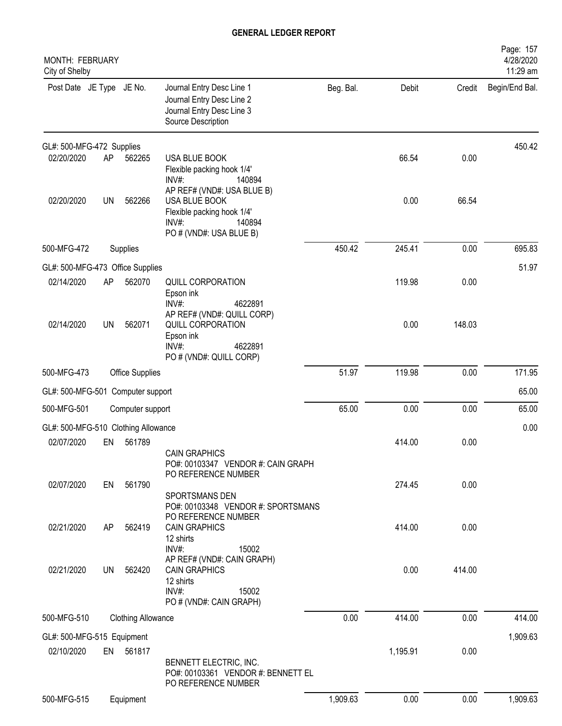| MONTH: FEBRUARY<br>City of Shelby   |           |                           |                                                                                                                            |           |          |        | Page: 157<br>4/28/2020<br>11:29 am |
|-------------------------------------|-----------|---------------------------|----------------------------------------------------------------------------------------------------------------------------|-----------|----------|--------|------------------------------------|
| Post Date JE Type JE No.            |           |                           | Journal Entry Desc Line 1<br>Journal Entry Desc Line 2<br>Journal Entry Desc Line 3<br>Source Description                  | Beg. Bal. | Debit    | Credit | Begin/End Bal.                     |
| GL#: 500-MFG-472 Supplies           |           |                           |                                                                                                                            |           |          |        | 450.42                             |
| 02/20/2020                          | AP        | 562265                    | USA BLUE BOOK<br>Flexible packing hook 1/4'<br>INV#:<br>140894                                                             |           | 66.54    | 0.00   |                                    |
| 02/20/2020                          | <b>UN</b> | 562266                    | AP REF# (VND#: USA BLUE B)<br>USA BLUE BOOK<br>Flexible packing hook 1/4'<br>$INV#$ :<br>140894<br>PO # (VND#: USA BLUE B) |           | 0.00     | 66.54  |                                    |
| 500-MFG-472                         |           | Supplies                  |                                                                                                                            | 450.42    | 245.41   | 0.00   | 695.83                             |
| GL#: 500-MFG-473 Office Supplies    |           |                           |                                                                                                                            |           |          |        | 51.97                              |
| 02/14/2020                          | AP        | 562070                    | QUILL CORPORATION<br>Epson ink<br>4622891<br>$INV#$ :                                                                      |           | 119.98   | 0.00   |                                    |
| 02/14/2020                          | UN        | 562071                    | AP REF# (VND#: QUILL CORP)<br>QUILL CORPORATION<br>Epson ink<br>INV#:<br>4622891<br>PO # (VND#: QUILL CORP)                |           | 0.00     | 148.03 |                                    |
| 500-MFG-473                         |           | Office Supplies           |                                                                                                                            | 51.97     | 119.98   | 0.00   | 171.95                             |
| GL#: 500-MFG-501 Computer support   |           |                           |                                                                                                                            |           |          |        | 65.00                              |
| 500-MFG-501                         |           | Computer support          |                                                                                                                            | 65.00     | 0.00     | 0.00   | 65.00                              |
| GL#: 500-MFG-510 Clothing Allowance |           |                           |                                                                                                                            |           |          |        | 0.00                               |
| 02/07/2020                          | EN        | 561789                    |                                                                                                                            |           | 414.00   | 0.00   |                                    |
|                                     |           |                           | <b>CAIN GRAPHICS</b><br>PO#: 00103347 VENDOR #: CAIN GRAPH<br>PO REFERENCE NUMBER                                          |           |          |        |                                    |
| 02/07/2020                          | EN        | 561790                    | SPORTSMANS DEN<br>PO#: 00103348 VENDOR #: SPORTSMANS<br>PO REFERENCE NUMBER                                                |           | 274.45   | 0.00   |                                    |
| 02/21/2020                          | AP        | 562419                    | <b>CAIN GRAPHICS</b><br>12 shirts<br>INV#:<br>15002                                                                        |           | 414.00   | 0.00   |                                    |
| 02/21/2020                          | <b>UN</b> | 562420                    | AP REF# (VND#: CAIN GRAPH)<br><b>CAIN GRAPHICS</b><br>12 shirts<br>INV#:<br>15002<br>PO # (VND#: CAIN GRAPH)               |           | 0.00     | 414.00 |                                    |
| 500-MFG-510                         |           | <b>Clothing Allowance</b> |                                                                                                                            | 0.00      | 414.00   | 0.00   | 414.00                             |
| GL#: 500-MFG-515 Equipment          |           |                           |                                                                                                                            |           |          |        | 1,909.63                           |
| 02/10/2020                          |           | EN 561817                 | BENNETT ELECTRIC, INC.<br>PO#: 00103361 VENDOR #: BENNETT EL<br>PO REFERENCE NUMBER                                        |           | 1,195.91 | 0.00   |                                    |
| 500-MFG-515                         |           | Equipment                 |                                                                                                                            | 1,909.63  | 0.00     | 0.00   | 1,909.63                           |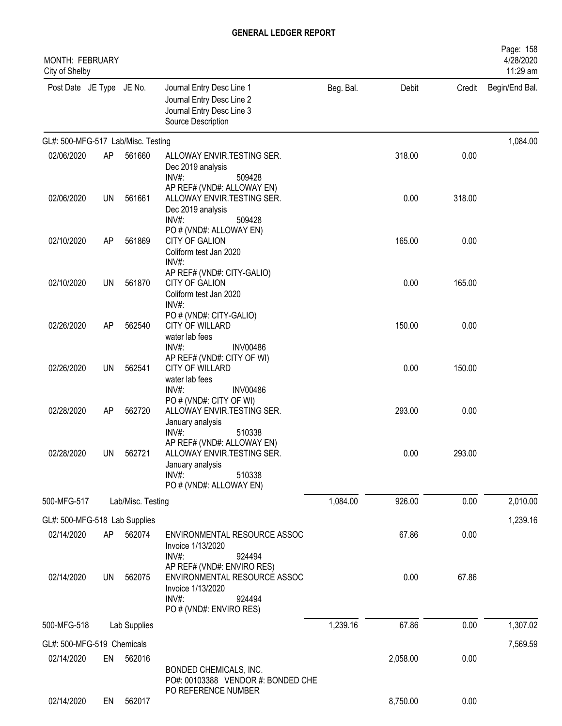| <b>MONTH: FEBRUARY</b><br>City of Shelby |           |                   |                                                                                                                                  |           |          |        | Page: 158<br>4/28/2020<br>11:29 am |
|------------------------------------------|-----------|-------------------|----------------------------------------------------------------------------------------------------------------------------------|-----------|----------|--------|------------------------------------|
| Post Date JE Type JE No.                 |           |                   | Journal Entry Desc Line 1<br>Journal Entry Desc Line 2<br>Journal Entry Desc Line 3<br>Source Description                        | Beg. Bal. | Debit    | Credit | Begin/End Bal.                     |
| GL#: 500-MFG-517 Lab/Misc. Testing       |           |                   |                                                                                                                                  |           |          |        | 1,084.00                           |
| 02/06/2020                               | AP        | 561660            | ALLOWAY ENVIR.TESTING SER.<br>Dec 2019 analysis<br>$INV#$ :<br>509428                                                            |           | 318.00   | 0.00   |                                    |
| 02/06/2020                               | UN        | 561661            | AP REF# (VND#: ALLOWAY EN)<br>ALLOWAY ENVIR.TESTING SER.<br>Dec 2019 analysis<br>INV#:<br>509428                                 |           | 0.00     | 318.00 |                                    |
| 02/10/2020                               | AP        | 561869            | PO # (VND#: ALLOWAY EN)<br><b>CITY OF GALION</b><br>Coliform test Jan 2020<br>INV#:                                              |           | 165.00   | 0.00   |                                    |
| 02/10/2020                               | <b>UN</b> | 561870            | AP REF# (VND#: CITY-GALIO)<br><b>CITY OF GALION</b><br>Coliform test Jan 2020<br>INV#:                                           |           | 0.00     | 165.00 |                                    |
| 02/26/2020                               | AP        | 562540            | PO # (VND#: CITY-GALIO)<br><b>CITY OF WILLARD</b><br>water lab fees<br>INV#<br><b>INV00486</b>                                   |           | 150.00   | 0.00   |                                    |
| 02/26/2020                               | <b>UN</b> | 562541            | AP REF# (VND#: CITY OF WI)<br><b>CITY OF WILLARD</b><br>water lab fees<br>$INV#$ :<br><b>INV00486</b>                            |           | 0.00     | 150.00 |                                    |
| 02/28/2020                               | AP        | 562720            | PO # (VND#: CITY OF WI)<br>ALLOWAY ENVIR.TESTING SER.<br>January analysis<br>INV#:<br>510338                                     |           | 293.00   | 0.00   |                                    |
| 02/28/2020                               | UN        | 562721            | AP REF# (VND#: ALLOWAY EN)<br>ALLOWAY ENVIR.TESTING SER.<br>January analysis<br>INV#:<br>510338<br>PO # (VND#: ALLOWAY EN)       |           | 0.00     | 293.00 |                                    |
| 500-MFG-517                              |           | Lab/Misc. Testing |                                                                                                                                  | 1,084.00  | 926.00   | 0.00   | 2,010.00                           |
| GL#: 500-MFG-518 Lab Supplies            |           |                   |                                                                                                                                  |           |          |        | 1,239.16                           |
| 02/14/2020                               | AP        | 562074            | ENVIRONMENTAL RESOURCE ASSOC<br>Invoice 1/13/2020<br>$INV#$ :<br>924494                                                          |           | 67.86    | 0.00   |                                    |
| 02/14/2020                               | <b>UN</b> | 562075            | AP REF# (VND#: ENVIRO RES)<br>ENVIRONMENTAL RESOURCE ASSOC<br>Invoice 1/13/2020<br>$INV#$ :<br>924494<br>PO # (VND#: ENVIRO RES) |           | 0.00     | 67.86  |                                    |
| 500-MFG-518                              |           | Lab Supplies      |                                                                                                                                  | 1,239.16  | 67.86    | 0.00   | 1,307.02                           |
| GL#: 500-MFG-519 Chemicals               |           |                   |                                                                                                                                  |           |          |        | 7,569.59                           |
| 02/14/2020                               | EN        | 562016            | BONDED CHEMICALS, INC.<br>PO#: 00103388 VENDOR #: BONDED CHE                                                                     |           | 2,058.00 | 0.00   |                                    |
| 02/14/2020                               | EN        | 562017            | PO REFERENCE NUMBER                                                                                                              |           | 8,750.00 | 0.00   |                                    |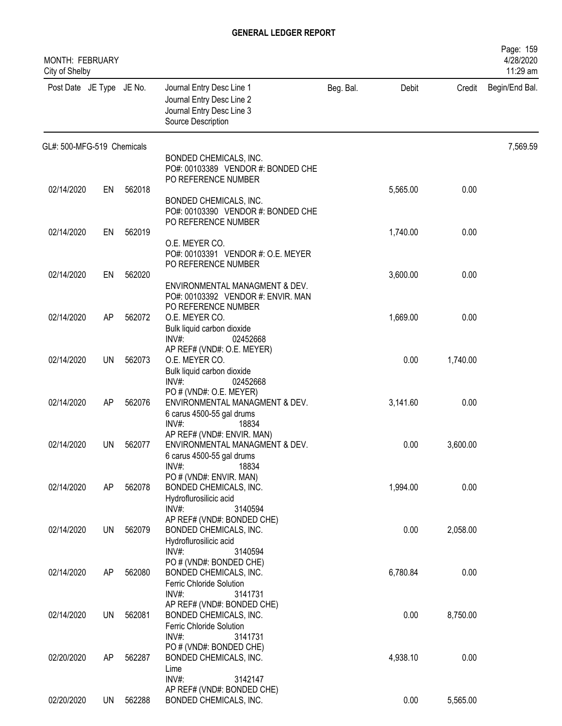| MONTH: FEBRUARY<br>City of Shelby |           |        |                                                                                                               |           |          |          | Page: 159<br>4/28/2020<br>11:29 am |
|-----------------------------------|-----------|--------|---------------------------------------------------------------------------------------------------------------|-----------|----------|----------|------------------------------------|
| Post Date JE Type JE No.          |           |        | Journal Entry Desc Line 1<br>Journal Entry Desc Line 2<br>Journal Entry Desc Line 3<br>Source Description     | Beg. Bal. | Debit    | Credit   | Begin/End Bal.                     |
| GL#: 500-MFG-519 Chemicals        |           |        |                                                                                                               |           |          |          | 7,569.59                           |
|                                   |           |        | BONDED CHEMICALS, INC.<br>PO#: 00103389 VENDOR #: BONDED CHE<br>PO REFERENCE NUMBER                           |           |          |          |                                    |
| 02/14/2020                        | EN        | 562018 | BONDED CHEMICALS, INC.<br>PO#: 00103390 VENDOR #: BONDED CHE<br>PO REFERENCE NUMBER                           |           | 5,565.00 | 0.00     |                                    |
| 02/14/2020                        | EN        | 562019 |                                                                                                               |           | 1,740.00 | 0.00     |                                    |
|                                   |           |        | O.E. MEYER CO.<br>PO#: 00103391 VENDOR #: O.E. MEYER<br>PO REFERENCE NUMBER                                   |           |          |          |                                    |
| 02/14/2020                        | EN        | 562020 |                                                                                                               |           | 3,600.00 | 0.00     |                                    |
| 02/14/2020                        | AP        | 562072 | ENVIRONMENTAL MANAGMENT & DEV.<br>PO#: 00103392 VENDOR #: ENVIR. MAN<br>PO REFERENCE NUMBER<br>O.E. MEYER CO. |           | 1,669.00 | 0.00     |                                    |
| 02/14/2020                        | UN        | 562073 | Bulk liquid carbon dioxide<br>$INV#$ :<br>02452668<br>AP REF# (VND#: O.E. MEYER)<br>O.E. MEYER CO.            |           | 0.00     | 1,740.00 |                                    |
|                                   |           |        | Bulk liquid carbon dioxide<br>$INV#$ :<br>02452668<br>PO # (VND#: O.E. MEYER)                                 |           |          |          |                                    |
| 02/14/2020                        | AP        | 562076 | ENVIRONMENTAL MANAGMENT & DEV.<br>6 carus 4500-55 gal drums<br>INV#<br>18834<br>AP REF# (VND#: ENVIR. MAN)    |           | 3,141.60 | 0.00     |                                    |
| 02/14/2020                        | UN        | 562077 | ENVIRONMENTAL MANAGMENT & DEV.<br>6 carus 4500-55 gal drums<br>INV#:<br>18834                                 |           | 0.00     | 3,600.00 |                                    |
| 02/14/2020                        | AP        | 562078 | PO # (VND#: ENVIR. MAN)<br>BONDED CHEMICALS, INC.<br>Hydroflurosilicic acid<br>INV#:<br>3140594               |           | 1,994.00 | 0.00     |                                    |
| 02/14/2020                        | <b>UN</b> | 562079 | AP REF# (VND#: BONDED CHE)<br>BONDED CHEMICALS, INC.<br>Hydroflurosilicic acid<br>INV#:<br>3140594            |           | 0.00     | 2,058.00 |                                    |
| 02/14/2020                        | AP        | 562080 | PO # (VND#: BONDED CHE)<br>BONDED CHEMICALS, INC.<br>Ferric Chloride Solution<br>$INV#$ :<br>3141731          |           | 6,780.84 | 0.00     |                                    |
| 02/14/2020                        | <b>UN</b> | 562081 | AP REF# (VND#: BONDED CHE)<br>BONDED CHEMICALS, INC.<br>Ferric Chloride Solution<br>INV#:<br>3141731          |           | 0.00     | 8,750.00 |                                    |
| 02/20/2020                        | AP        | 562287 | PO # (VND#: BONDED CHE)<br>BONDED CHEMICALS, INC.<br>Lime<br>INV#:<br>3142147                                 |           | 4,938.10 | 0.00     |                                    |
| 02/20/2020                        | UN        | 562288 | AP REF# (VND#: BONDED CHE)<br>BONDED CHEMICALS, INC.                                                          |           | 0.00     | 5,565.00 |                                    |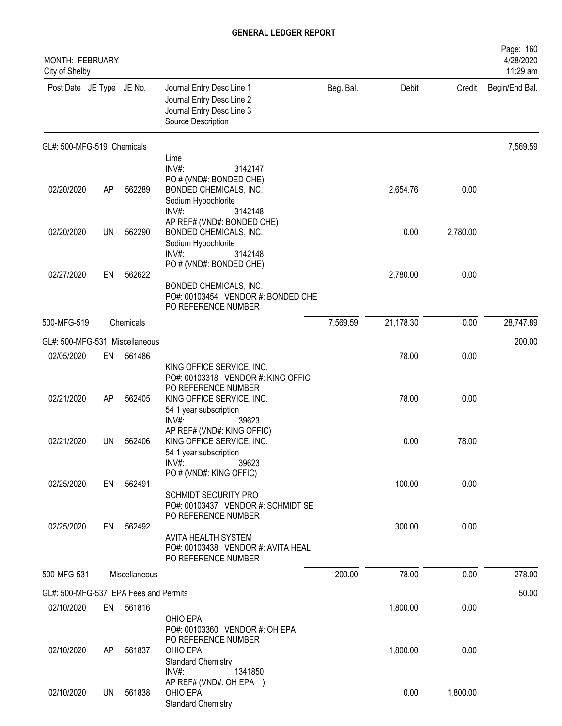| MONTH: FEBRUARY<br>City of Shelby     |     |               |                                                                                                                |           |           |          | Page: 160<br>4/28/2020<br>11:29 am |
|---------------------------------------|-----|---------------|----------------------------------------------------------------------------------------------------------------|-----------|-----------|----------|------------------------------------|
| Post Date JE Type JE No.              |     |               | Journal Entry Desc Line 1<br>Journal Entry Desc Line 2<br>Journal Entry Desc Line 3<br>Source Description      | Beg. Bal. | Debit     | Credit   | Begin/End Bal.                     |
| GL#: 500-MFG-519 Chemicals            |     |               |                                                                                                                |           |           |          | 7,569.59                           |
|                                       |     |               | Lime<br>INV#:<br>3142147                                                                                       |           |           |          |                                    |
| 02/20/2020                            | AP  | 562289        | PO # (VND#: BONDED CHE)<br>BONDED CHEMICALS, INC.<br>Sodium Hypochlorite<br>INV#:<br>3142148                   |           | 2,654.76  | 0.00     |                                    |
| 02/20/2020                            | UN  | 562290        | AP REF# (VND#: BONDED CHE)<br>BONDED CHEMICALS, INC.<br>Sodium Hypochlorite<br>$INV#$ :<br>3142148             |           | 0.00      | 2,780.00 |                                    |
| 02/27/2020                            | EN  | 562622        | PO # (VND#: BONDED CHE)<br>BONDED CHEMICALS, INC.<br>PO#: 00103454 VENDOR #: BONDED CHE<br>PO REFERENCE NUMBER |           | 2,780.00  | 0.00     |                                    |
| 500-MFG-519                           |     | Chemicals     |                                                                                                                | 7,569.59  | 21,178.30 | 0.00     | 28,747.89                          |
| GL#: 500-MFG-531 Miscellaneous        |     |               |                                                                                                                |           |           |          | 200.00                             |
| 02/05/2020                            | EN  | 561486        | KING OFFICE SERVICE, INC.<br>PO#: 00103318 VENDOR #: KING OFFIC                                                |           | 78.00     | 0.00     |                                    |
| 02/21/2020                            | AP  | 562405        | PO REFERENCE NUMBER<br>KING OFFICE SERVICE, INC.<br>54 1 year subscription<br>INV#:<br>39623                   |           | 78.00     | 0.00     |                                    |
| 02/21/2020                            | UN  | 562406        | AP REF# (VND#: KING OFFIC)<br>KING OFFICE SERVICE, INC.<br>54 1 year subscription<br>INV#<br>39623             |           | 0.00      | 78.00    |                                    |
| 02/25/2020                            | EN  | 562491        | PO # (VND#: KING OFFIC)<br>SCHMIDT SECURITY PRO<br>PO#: 00103437 VENDOR #: SCHMIDT SE                          |           | 100.00    | 0.00     |                                    |
| 02/25/2020                            | EN  | 562492        | PO REFERENCE NUMBER<br>AVITA HEALTH SYSTEM<br>PO#: 00103438 VENDOR #: AVITA HEAL<br>PO REFERENCE NUMBER        |           | 300.00    | 0.00     |                                    |
| 500-MFG-531                           |     | Miscellaneous |                                                                                                                | 200.00    | 78.00     | 0.00     | 278.00                             |
| GL#: 500-MFG-537 EPA Fees and Permits |     |               |                                                                                                                |           |           |          | 50.00                              |
| 02/10/2020                            | EN  | 561816        | OHIO EPA<br>PO#: 00103360 VENDOR #: OH EPA                                                                     |           | 1,800.00  | 0.00     |                                    |
| 02/10/2020                            | AP. | 561837        | PO REFERENCE NUMBER<br>OHIO EPA<br><b>Standard Chemistry</b><br>INV#:<br>1341850                               |           | 1,800.00  | 0.00     |                                    |
| 02/10/2020                            | UN  | 561838        | AP REF# (VND#: OH EPA )<br>OHIO EPA<br><b>Standard Chemistry</b>                                               |           | 0.00      | 1,800.00 |                                    |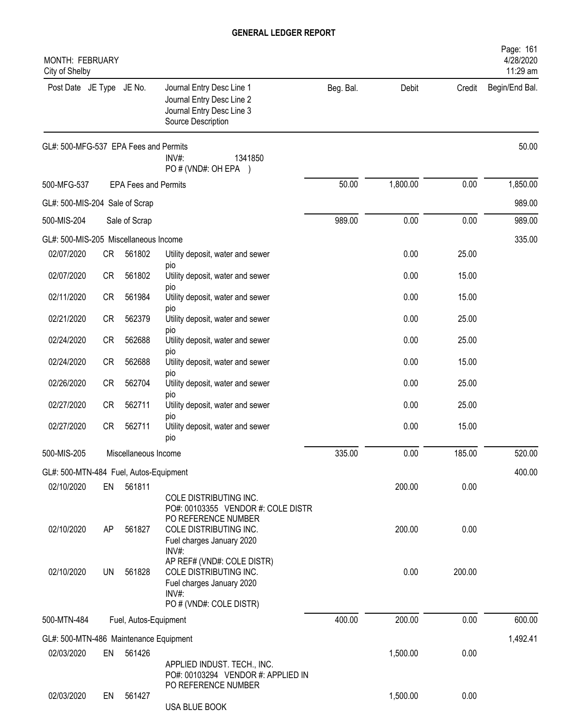| MONTH: FEBRUARY<br>City of Shelby      |           |                             |                                                                                                                              |           |          |        | Page: 161<br>4/28/2020<br>11:29 am |
|----------------------------------------|-----------|-----------------------------|------------------------------------------------------------------------------------------------------------------------------|-----------|----------|--------|------------------------------------|
| Post Date JE Type JE No.               |           |                             | Journal Entry Desc Line 1<br>Journal Entry Desc Line 2<br>Journal Entry Desc Line 3<br>Source Description                    | Beg. Bal. | Debit    | Credit | Begin/End Bal.                     |
| GL#: 500-MFG-537 EPA Fees and Permits  |           |                             | INV#:<br>1341850<br>PO#(VND#: OH EPA )                                                                                       |           |          |        | 50.00                              |
| 500-MFG-537                            |           | <b>EPA Fees and Permits</b> |                                                                                                                              | 50.00     | 1,800.00 | 0.00   | 1,850.00                           |
| GL#: 500-MIS-204 Sale of Scrap         |           |                             |                                                                                                                              |           |          |        | 989.00                             |
| 500-MIS-204                            |           | Sale of Scrap               |                                                                                                                              | 989.00    | 0.00     | 0.00   | 989.00                             |
| GL#: 500-MIS-205 Miscellaneous Income  |           |                             |                                                                                                                              |           |          |        | 335.00                             |
| 02/07/2020                             | CR        | 561802                      | Utility deposit, water and sewer                                                                                             |           | 0.00     | 25.00  |                                    |
| 02/07/2020                             | <b>CR</b> | 561802                      | pio<br>Utility deposit, water and sewer<br><b>DIO</b>                                                                        |           | 0.00     | 15.00  |                                    |
| 02/11/2020                             | CR        | 561984                      | Utility deposit, water and sewer                                                                                             |           | 0.00     | 15.00  |                                    |
| 02/21/2020                             | CR        | 562379                      | pio<br>Utility deposit, water and sewer<br>pio                                                                               |           | 0.00     | 25.00  |                                    |
| 02/24/2020                             | <b>CR</b> | 562688                      | Utility deposit, water and sewer                                                                                             |           | 0.00     | 25.00  |                                    |
| 02/24/2020                             | <b>CR</b> | 562688                      | pio<br>Utility deposit, water and sewer<br>pio                                                                               |           | 0.00     | 15.00  |                                    |
| 02/26/2020                             | <b>CR</b> | 562704                      | Utility deposit, water and sewer                                                                                             |           | 0.00     | 25.00  |                                    |
| 02/27/2020                             | <b>CR</b> | 562711                      | <b>DIO</b><br>Utility deposit, water and sewer<br><b>DIO</b>                                                                 |           | 0.00     | 25.00  |                                    |
| 02/27/2020                             | CR        | 562711                      | Utility deposit, water and sewer<br>pio                                                                                      |           | 0.00     | 15.00  |                                    |
| 500-MIS-205                            |           | Miscellaneous Income        |                                                                                                                              | 335.00    | 0.00     | 185.00 | 520.00                             |
| GL#: 500-MTN-484 Fuel, Autos-Equipment |           |                             |                                                                                                                              |           |          |        | 400.00                             |
| 02/10/2020                             | EN        | 561811                      | COLE DISTRIBUTING INC.                                                                                                       |           | 200.00   | 0.00   |                                    |
| 02/10/2020                             | AP        | 561827                      | PO#: 00103355 VENDOR #: COLE DISTR<br>PO REFERENCE NUMBER<br>COLE DISTRIBUTING INC.<br>Fuel charges January 2020<br>$INV#$ : |           | 200.00   | 0.00   |                                    |
| 02/10/2020                             | UN        | 561828                      | AP REF# (VND#: COLE DISTR)<br>COLE DISTRIBUTING INC.<br>Fuel charges January 2020<br>INV#:<br>PO # (VND#: COLE DISTR)        |           | 0.00     | 200.00 |                                    |
| 500-MTN-484                            |           | Fuel, Autos-Equipment       |                                                                                                                              | 400.00    | 200.00   | 0.00   | 600.00                             |
| GL#: 500-MTN-486 Maintenance Equipment |           |                             |                                                                                                                              |           |          |        | 1,492.41                           |
| 02/03/2020                             | EN        | 561426                      |                                                                                                                              |           | 1,500.00 | 0.00   |                                    |
|                                        |           |                             | APPLIED INDUST. TECH., INC.<br>PO#: 00103294 VENDOR #: APPLIED IN<br>PO REFERENCE NUMBER                                     |           |          |        |                                    |
| 02/03/2020                             | EN        | 561427                      | USA BLUE BOOK                                                                                                                |           | 1,500.00 | 0.00   |                                    |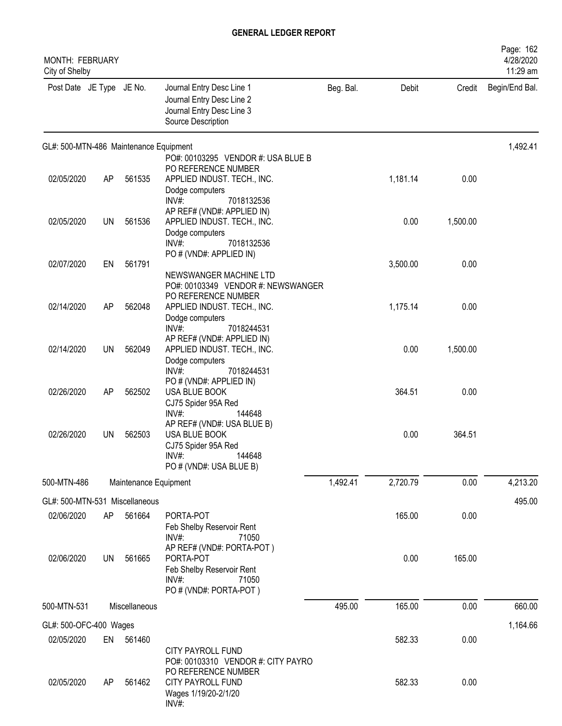| <b>MONTH: FEBRUARY</b><br>City of Shelby |           |                       |                                                                                                                                       |           |          |          | Page: 162<br>4/28/2020<br>11:29 am |
|------------------------------------------|-----------|-----------------------|---------------------------------------------------------------------------------------------------------------------------------------|-----------|----------|----------|------------------------------------|
| Post Date JE Type JE No.                 |           |                       | Journal Entry Desc Line 1<br>Journal Entry Desc Line 2<br>Journal Entry Desc Line 3<br>Source Description                             | Beg. Bal. | Debit    | Credit   | Begin/End Bal.                     |
| GL#: 500-MTN-486 Maintenance Equipment   |           |                       |                                                                                                                                       |           |          |          | 1,492.41                           |
| 02/05/2020                               | AP        | 561535                | PO#: 00103295 VENDOR #: USA BLUE B<br>PO REFERENCE NUMBER<br>APPLIED INDUST. TECH., INC.<br>Dodge computers                           |           | 1,181.14 | 0.00     |                                    |
| 02/05/2020                               | <b>UN</b> | 561536                | $INV#$ :<br>7018132536<br>AP REF# (VND#: APPLIED IN)<br>APPLIED INDUST. TECH., INC.<br>Dodge computers                                |           | 0.00     | 1,500.00 |                                    |
| 02/07/2020                               | EN        | 561791                | INV#:<br>7018132536<br>PO # (VND#: APPLIED IN)                                                                                        |           | 3,500.00 | 0.00     |                                    |
| 02/14/2020                               | AP        | 562048                | NEWSWANGER MACHINE LTD<br>PO#: 00103349 VENDOR #: NEWSWANGER<br>PO REFERENCE NUMBER<br>APPLIED INDUST. TECH., INC.<br>Dodge computers |           | 1,175.14 | 0.00     |                                    |
| 02/14/2020                               | <b>UN</b> | 562049                | INV#:<br>7018244531<br>AP REF# (VND#: APPLIED IN)<br>APPLIED INDUST. TECH., INC.<br>Dodge computers                                   |           | 0.00     | 1,500.00 |                                    |
| 02/26/2020                               | AP        | 562502                | INV#:<br>7018244531<br>PO # (VND#: APPLIED IN)<br>USA BLUE BOOK<br>CJ75 Spider 95A Red                                                |           | 364.51   | 0.00     |                                    |
| 02/26/2020                               | UN        | 562503                | INV#:<br>144648<br>AP REF# (VND#: USA BLUE B)<br>USA BLUE BOOK<br>CJ75 Spider 95A Red<br>144648<br>INV#:<br>PO # (VND#: USA BLUE B)   |           | 0.00     | 364.51   |                                    |
| 500-MTN-486                              |           | Maintenance Equipment |                                                                                                                                       | 1,492.41  | 2,720.79 | 0.00     | 4,213.20                           |
| GL#: 500-MTN-531 Miscellaneous           |           |                       |                                                                                                                                       |           |          |          | 495.00                             |
| 02/06/2020                               | AP        | 561664                | PORTA-POT<br>Feb Shelby Reservoir Rent<br>INV#:<br>71050                                                                              |           | 165.00   | 0.00     |                                    |
| 02/06/2020                               | <b>UN</b> | 561665                | AP REF# (VND#: PORTA-POT)<br>PORTA-POT<br>Feb Shelby Reservoir Rent<br>$INV#$ :<br>71050<br>PO # (VND#: PORTA-POT)                    |           | 0.00     | 165.00   |                                    |
| 500-MTN-531                              |           | Miscellaneous         |                                                                                                                                       | 495.00    | 165.00   | 0.00     | 660.00                             |
| GL#: 500-OFC-400 Wages                   |           |                       |                                                                                                                                       |           |          |          | 1,164.66                           |
| 02/05/2020                               | EN        | 561460                |                                                                                                                                       |           | 582.33   | 0.00     |                                    |
| 02/05/2020                               | AP        | 561462                | CITY PAYROLL FUND<br>PO#: 00103310 VENDOR #: CITY PAYRO<br>PO REFERENCE NUMBER<br>CITY PAYROLL FUND<br>Wages 1/19/20-2/1/20<br>INV#:  |           | 582.33   | 0.00     |                                    |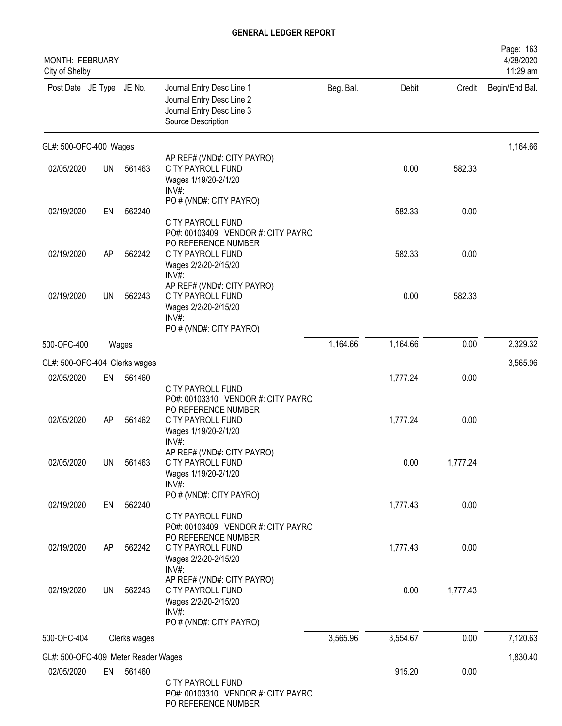| <b>MONTH: FEBRUARY</b><br>City of Shelby          |           |              |                                                                                                                 |           |          |          | Page: 163<br>4/28/2020<br>11:29 am |
|---------------------------------------------------|-----------|--------------|-----------------------------------------------------------------------------------------------------------------|-----------|----------|----------|------------------------------------|
| Post Date JE Type JE No.                          |           |              | Journal Entry Desc Line 1<br>Journal Entry Desc Line 2<br>Journal Entry Desc Line 3<br>Source Description       | Beg. Bal. | Debit    | Credit   | Begin/End Bal.                     |
| GL#: 500-OFC-400 Wages                            |           |              |                                                                                                                 |           |          |          | 1,164.66                           |
| 02/05/2020                                        | <b>UN</b> | 561463       | AP REF# (VND#: CITY PAYRO)<br>CITY PAYROLL FUND<br>Wages 1/19/20-2/1/20<br>INV#:                                |           | 0.00     | 582.33   |                                    |
| 02/19/2020                                        | EN        | 562240       | PO # (VND#: CITY PAYRO)<br><b>CITY PAYROLL FUND</b><br>PO#: 00103409 VENDOR #: CITY PAYRO                       |           | 582.33   | 0.00     |                                    |
| 02/19/2020                                        | AP        | 562242       | PO REFERENCE NUMBER<br>CITY PAYROLL FUND<br>Wages 2/2/20-2/15/20<br>$INV#$ :                                    |           | 582.33   | 0.00     |                                    |
| 02/19/2020                                        | UN        | 562243       | AP REF# (VND#: CITY PAYRO)<br><b>CITY PAYROLL FUND</b><br>Wages 2/2/20-2/15/20<br>$INV#$ :                      |           | 0.00     | 582.33   |                                    |
| 500-OFC-400                                       |           | Wages        | PO # (VND#: CITY PAYRO)                                                                                         | 1,164.66  | 1,164.66 | 0.00     | 2,329.32                           |
| GL#: 500-OFC-404 Clerks wages                     |           |              |                                                                                                                 |           |          |          | 3,565.96                           |
| 02/05/2020                                        | EN        | 561460       | CITY PAYROLL FUND                                                                                               |           | 1,777.24 | 0.00     |                                    |
| 02/05/2020                                        | AP        | 561462       | PO#: 00103310 VENDOR #: CITY PAYRO<br>PO REFERENCE NUMBER<br>CITY PAYROLL FUND<br>Wages 1/19/20-2/1/20<br>INV#: |           | 1,777.24 | 0.00     |                                    |
| 02/05/2020                                        | <b>UN</b> | 561463       | AP REF# (VND#: CITY PAYRO)<br>CITY PAYROLL FUND<br>Wages 1/19/20-2/1/20<br>$INV#$ :                             |           | 0.00     | 1,777.24 |                                    |
| 02/19/2020                                        | EN        | 562240       | PO # (VND#: CITY PAYRO)<br>CITY PAYROLL FUND<br>PO#: 00103409 VENDOR #: CITY PAYRO                              |           | 1,777.43 | 0.00     |                                    |
| 02/19/2020                                        | AP        | 562242       | PO REFERENCE NUMBER<br>CITY PAYROLL FUND<br>Wages 2/2/20-2/15/20<br>INV#:                                       |           | 1,777.43 | 0.00     |                                    |
| 02/19/2020                                        | <b>UN</b> | 562243       | AP REF# (VND#: CITY PAYRO)<br>CITY PAYROLL FUND<br>Wages 2/2/20-2/15/20<br>$INV#$ :                             |           | 0.00     | 1,777.43 |                                    |
| 500-OFC-404                                       |           | Clerks wages | PO # (VND#: CITY PAYRO)                                                                                         | 3,565.96  | 3,554.67 | 0.00     | 7,120.63                           |
|                                                   |           |              |                                                                                                                 |           |          |          | 1,830.40                           |
| GL#: 500-OFC-409 Meter Reader Wages<br>02/05/2020 |           | EN 561460    | CITY PAYROLL FUND<br>PO#: 00103310 VENDOR #: CITY PAYRO<br>PO REFERENCE NUMBER                                  |           | 915.20   | 0.00     |                                    |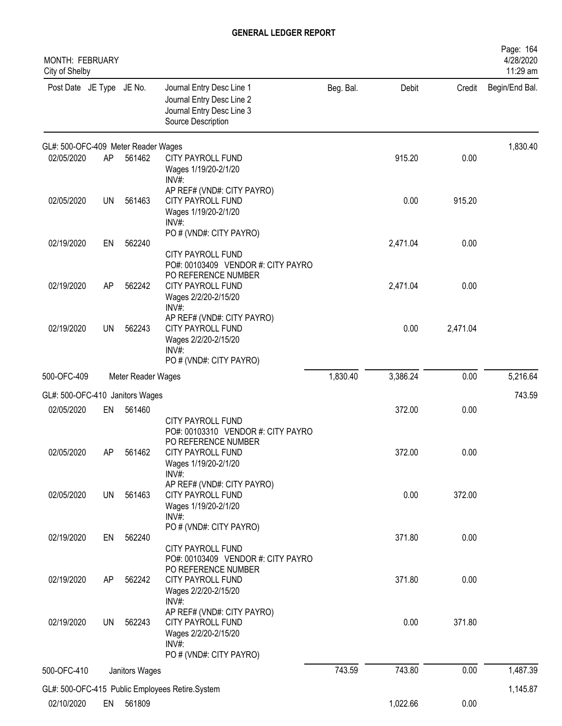| <b>MONTH: FEBRUARY</b><br>City of Shelby |           |                    |                                                                                                                       |           |          |          | 4/28/2020<br>11:29 am |
|------------------------------------------|-----------|--------------------|-----------------------------------------------------------------------------------------------------------------------|-----------|----------|----------|-----------------------|
| Post Date JE Type JE No.                 |           |                    | Journal Entry Desc Line 1<br>Journal Entry Desc Line 2<br>Journal Entry Desc Line 3<br>Source Description             | Beg. Bal. | Debit    | Credit   | Begin/End Bal.        |
| GL#: 500-OFC-409 Meter Reader Wages      |           |                    |                                                                                                                       |           |          |          | 1,830.40              |
| 02/05/2020                               | AP        | 561462             | <b>CITY PAYROLL FUND</b><br>Wages 1/19/20-2/1/20<br>INV#                                                              |           | 915.20   | 0.00     |                       |
| 02/05/2020                               | UN        | 561463             | AP REF# (VND#: CITY PAYRO)<br>CITY PAYROLL FUND<br>Wages 1/19/20-2/1/20<br>INV#:                                      |           | 0.00     | 915.20   |                       |
| 02/19/2020                               | EN        | 562240             | PO # (VND#: CITY PAYRO)<br><b>CITY PAYROLL FUND</b><br>PO#: 00103409 VENDOR #: CITY PAYRO<br>PO REFERENCE NUMBER      |           | 2,471.04 | 0.00     |                       |
| 02/19/2020                               | AP        | 562242             | <b>CITY PAYROLL FUND</b><br>Wages 2/2/20-2/15/20<br>$INV#$ :                                                          |           | 2,471.04 | 0.00     |                       |
| 02/19/2020                               | <b>UN</b> | 562243             | AP REF# (VND#: CITY PAYRO)<br><b>CITY PAYROLL FUND</b><br>Wages 2/2/20-2/15/20<br>$INV#$ :<br>PO # (VND#: CITY PAYRO) |           | 0.00     | 2,471.04 |                       |
| 500-OFC-409                              |           | Meter Reader Wages |                                                                                                                       | 1,830.40  | 3,386.24 | 0.00     | 5,216.64              |
| GL#: 500-OFC-410 Janitors Wages          |           |                    |                                                                                                                       |           |          |          | 743.59                |
| 02/05/2020                               | EN        | 561460             | CITY PAYROLL FUND<br>PO#: 00103310 VENDOR #: CITY PAYRO<br>PO REFERENCE NUMBER                                        |           | 372.00   | 0.00     |                       |
| 02/05/2020                               | AP        | 561462             | CITY PAYROLL FUND<br>Wages 1/19/20-2/1/20<br>INV#:<br>AP REF# (VND#: CITY PAYRO)                                      |           | 372.00   | 0.00     |                       |
| 02/05/2020                               | <b>UN</b> | 561463             | CITY PAYROLL FUND<br>Wages 1/19/20-2/1/20<br>$INV#$ :                                                                 |           | 0.00     | 372.00   |                       |
| 02/19/2020                               | EN        | 562240             | PO # (VND#: CITY PAYRO)<br>CITY PAYROLL FUND<br>PO#: 00103409 VENDOR #: CITY PAYRO                                    |           | 371.80   | 0.00     |                       |
| 02/19/2020                               | AP        | 562242             | PO REFERENCE NUMBER<br>CITY PAYROLL FUND<br>Wages 2/2/20-2/15/20<br>$INV#$ :                                          |           | 371.80   | 0.00     |                       |
| 02/19/2020                               | <b>UN</b> | 562243             | AP REF# (VND#: CITY PAYRO)<br>CITY PAYROLL FUND<br>Wages 2/2/20-2/15/20<br>INV#:<br>PO # (VND#: CITY PAYRO)           |           | 0.00     | 371.80   |                       |
| 500-OFC-410                              |           | Janitors Wages     |                                                                                                                       | 743.59    | 743.80   | 0.00     | 1,487.39              |
|                                          |           |                    | GL#: 500-OFC-415 Public Employees Retire.System                                                                       |           |          |          | 1,145.87              |
| 02/10/2020                               | EN        | 561809             |                                                                                                                       |           | 1,022.66 | 0.00     |                       |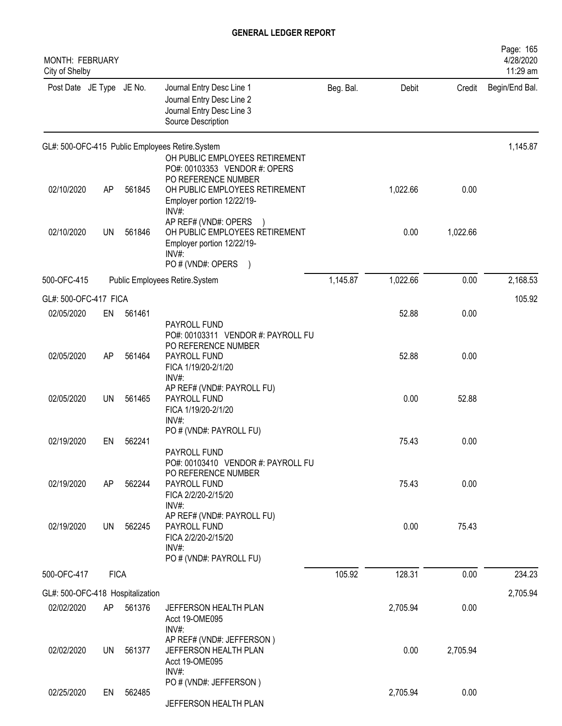| <b>MONTH: FEBRUARY</b><br>City of Shelby |             |        |                                                                                                                       |           |          |          | Page: 165<br>4/28/2020<br>11:29 am |
|------------------------------------------|-------------|--------|-----------------------------------------------------------------------------------------------------------------------|-----------|----------|----------|------------------------------------|
| Post Date JE Type JE No.                 |             |        | Journal Entry Desc Line 1<br>Journal Entry Desc Line 2<br>Journal Entry Desc Line 3<br>Source Description             | Beg. Bal. | Debit    | Credit   | Begin/End Bal.                     |
|                                          |             |        | GL#: 500-OFC-415 Public Employees Retire.System<br>OH PUBLIC EMPLOYEES RETIREMENT<br>PO#: 00103353 VENDOR #: OPERS    |           |          |          | 1,145.87                           |
| 02/10/2020                               | AP          | 561845 | PO REFERENCE NUMBER<br>OH PUBLIC EMPLOYEES RETIREMENT<br>Employer portion 12/22/19-<br>INV#:                          |           | 1,022.66 | 0.00     |                                    |
| 02/10/2020                               | <b>UN</b>   | 561846 | AP REF# (VND#: OPERS<br>OH PUBLIC EMPLOYEES RETIREMENT<br>Employer portion 12/22/19-<br>$INV#$ :<br>PO # (VND#: OPERS |           | 0.00     | 1,022.66 |                                    |
| 500-OFC-415                              |             |        | Public Employees Retire.System                                                                                        | 1,145.87  | 1,022.66 | 0.00     | 2,168.53                           |
| GL#: 500-OFC-417 FICA                    |             |        |                                                                                                                       |           |          |          | 105.92                             |
| 02/05/2020                               | EN          | 561461 | PAYROLL FUND<br>PO#: 00103311 VENDOR #: PAYROLL FU                                                                    |           | 52.88    | 0.00     |                                    |
| 02/05/2020                               | AP          | 561464 | PO REFERENCE NUMBER<br>PAYROLL FUND<br>FICA 1/19/20-2/1/20<br>$INV#$ :                                                |           | 52.88    | 0.00     |                                    |
| 02/05/2020                               | UN          | 561465 | AP REF# (VND#: PAYROLL FU)<br>PAYROLL FUND<br>FICA 1/19/20-2/1/20<br>$INV#$ :                                         |           | 0.00     | 52.88    |                                    |
| 02/19/2020                               | EN          | 562241 | PO # (VND#: PAYROLL FU)<br>PAYROLL FUND                                                                               |           | 75.43    | 0.00     |                                    |
| 02/19/2020                               | AP          | 562244 | PO#: 00103410 VENDOR #: PAYROLL FU<br>PO REFERENCE NUMBER<br>PAYROLL FUND<br>FICA 2/2/20-2/15/20<br>$INV#$ :          |           | 75.43    | 0.00     |                                    |
| 02/19/2020                               | <b>UN</b>   | 562245 | AP REF# (VND#: PAYROLL FU)<br>PAYROLL FUND<br>FICA 2/2/20-2/15/20<br>$INV#$ :<br>PO # (VND#: PAYROLL FU)              |           | 0.00     | 75.43    |                                    |
| 500-OFC-417                              | <b>FICA</b> |        |                                                                                                                       | 105.92    | 128.31   | 0.00     | 234.23                             |
| GL#: 500-OFC-418 Hospitalization         |             |        |                                                                                                                       |           |          |          | 2,705.94                           |
| 02/02/2020                               | AP          | 561376 | JEFFERSON HEALTH PLAN<br>Acct 19-OME095                                                                               |           | 2,705.94 | 0.00     |                                    |
| 02/02/2020                               | UN          | 561377 | INV#:<br>AP REF# (VND#: JEFFERSON)<br>JEFFERSON HEALTH PLAN<br>Acct 19-OME095<br>INV#:                                |           | 0.00     | 2,705.94 |                                    |
| 02/25/2020                               | EN          | 562485 | PO # (VND#: JEFFERSON)<br>JEFFERSON HEALTH PLAN                                                                       |           | 2,705.94 | 0.00     |                                    |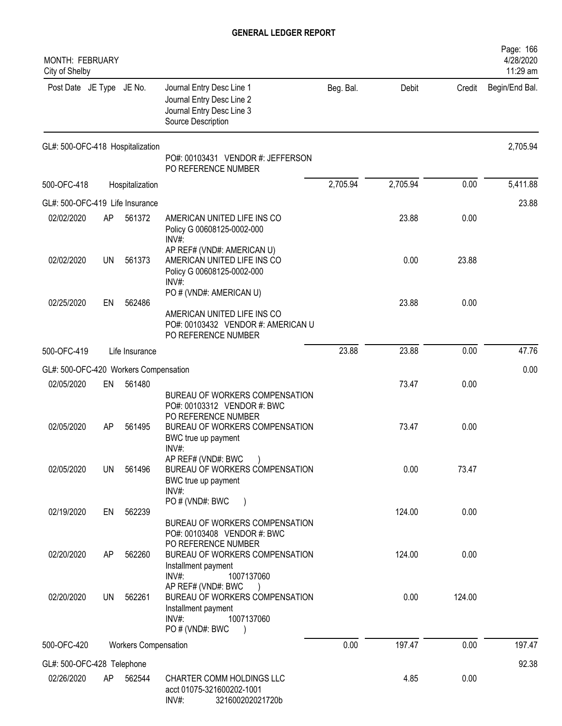| MONTH: FEBRUARY<br>City of Shelby     |    |                             |                                                                                                                                                |           |          |        | Page: 166<br>4/28/2020<br>11:29 am |
|---------------------------------------|----|-----------------------------|------------------------------------------------------------------------------------------------------------------------------------------------|-----------|----------|--------|------------------------------------|
| Post Date JE Type JE No.              |    |                             | Journal Entry Desc Line 1<br>Journal Entry Desc Line 2<br>Journal Entry Desc Line 3<br>Source Description                                      | Beg. Bal. | Debit    | Credit | Begin/End Bal.                     |
| GL#: 500-OFC-418 Hospitalization      |    |                             | PO#: 00103431 VENDOR #: JEFFERSON<br>PO REFERENCE NUMBER                                                                                       |           |          |        | 2,705.94                           |
| 500-OFC-418                           |    | Hospitalization             |                                                                                                                                                | 2,705.94  | 2,705.94 | 0.00   | 5,411.88                           |
| GL#: 500-OFC-419 Life Insurance       |    |                             |                                                                                                                                                |           |          |        | 23.88                              |
| 02/02/2020                            | AP | 561372                      | AMERICAN UNITED LIFE INS CO<br>Policy G 00608125-0002-000<br>INV#:                                                                             |           | 23.88    | 0.00   |                                    |
| 02/02/2020                            | UN | 561373                      | AP REF# (VND#: AMERICAN U)<br>AMERICAN UNITED LIFE INS CO<br>Policy G 00608125-0002-000<br>INV#:                                               |           | 0.00     | 23.88  |                                    |
| 02/25/2020                            | EN | 562486                      | PO # (VND#: AMERICAN U)<br>AMERICAN UNITED LIFE INS CO<br>PO#: 00103432 VENDOR #: AMERICAN U<br>PO REFERENCE NUMBER                            |           | 23.88    | 0.00   |                                    |
| 500-OFC-419                           |    | Life Insurance              |                                                                                                                                                | 23.88     | 23.88    | 0.00   | 47.76                              |
| GL#: 500-OFC-420 Workers Compensation |    |                             |                                                                                                                                                |           |          |        | 0.00                               |
| 02/05/2020                            | EN | 561480                      | BUREAU OF WORKERS COMPENSATION                                                                                                                 |           | 73.47    | 0.00   |                                    |
| 02/05/2020                            | AP | 561495                      | PO#: 00103312 VENDOR #: BWC<br>PO REFERENCE NUMBER<br>BUREAU OF WORKERS COMPENSATION<br>BWC true up payment<br>INV#:                           |           | 73.47    | 0.00   |                                    |
| 02/05/2020                            | UN | 561496                      | AP REF# (VND#: BWC<br>BUREAU OF WORKERS COMPENSATION<br>BWC true up payment<br>INV#:                                                           |           | 0.00     | 73.47  |                                    |
| 02/19/2020                            | EN | 562239                      | PO# (VND#: BWC<br>BUREAU OF WORKERS COMPENSATION<br>PO#: 00103408 VENDOR #: BWC                                                                |           | 124.00   | 0.00   |                                    |
| 02/20/2020                            | AP | 562260                      | PO REFERENCE NUMBER<br>BUREAU OF WORKERS COMPENSATION<br>Installment payment                                                                   |           | 124.00   | 0.00   |                                    |
| 02/20/2020                            | UN | 562261                      | 1007137060<br>INV#<br>AP REF# (VND#: BWC<br>BUREAU OF WORKERS COMPENSATION<br>Installment payment<br>1007137060<br>$INV#$ :<br>PO # (VND#: BWC |           | 0.00     | 124.00 |                                    |
| 500-OFC-420                           |    | <b>Workers Compensation</b> |                                                                                                                                                | 0.00      | 197.47   | 0.00   | 197.47                             |
| GL#: 500-OFC-428 Telephone            |    |                             |                                                                                                                                                |           |          |        | 92.38                              |
| 02/26/2020                            | AP | 562544                      | CHARTER COMM HOLDINGS LLC<br>acct 01075-321600202-1001<br>INV#:<br>321600202021720b                                                            |           | 4.85     | 0.00   |                                    |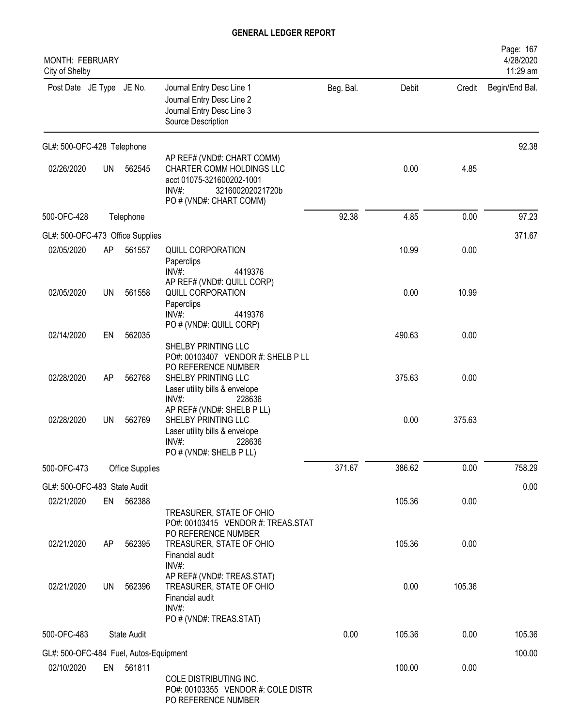| <b>MONTH: FEBRUARY</b><br>City of Shelby             |           |                        |                                                                                                                                              |           |        |        | Page: 167<br>4/28/2020<br>11:29 am |
|------------------------------------------------------|-----------|------------------------|----------------------------------------------------------------------------------------------------------------------------------------------|-----------|--------|--------|------------------------------------|
| Post Date JE Type JE No.                             |           |                        | Journal Entry Desc Line 1<br>Journal Entry Desc Line 2<br>Journal Entry Desc Line 3<br>Source Description                                    | Beg. Bal. | Debit  | Credit | Begin/End Bal.                     |
| GL#: 500-OFC-428 Telephone                           |           |                        |                                                                                                                                              |           |        |        | 92.38                              |
| 02/26/2020                                           | <b>UN</b> | 562545                 | AP REF# (VND#: CHART COMM)<br>CHARTER COMM HOLDINGS LLC<br>acct 01075-321600202-1001<br>INV#:<br>321600202021720b<br>PO # (VND#: CHART COMM) |           | 0.00   | 4.85   |                                    |
| 500-OFC-428                                          |           | Telephone              |                                                                                                                                              | 92.38     | 4.85   | 0.00   | 97.23                              |
| GL#: 500-OFC-473 Office Supplies                     |           |                        |                                                                                                                                              |           |        |        | 371.67                             |
| 02/05/2020                                           | AP        | 561557                 | <b>QUILL CORPORATION</b><br>Paperclips<br>$INV#$ :<br>4419376                                                                                |           | 10.99  | 0.00   |                                    |
| 02/05/2020                                           | <b>UN</b> | 561558                 | AP REF# (VND#: QUILL CORP)<br><b>QUILL CORPORATION</b><br>Paperclips<br>INV#<br>4419376                                                      |           | 0.00   | 10.99  |                                    |
| 02/14/2020                                           | EN        | 562035                 | PO # (VND#: QUILL CORP)<br>SHELBY PRINTING LLC                                                                                               |           | 490.63 | 0.00   |                                    |
| 02/28/2020                                           | AP        | 562768                 | PO#: 00103407 VENDOR #: SHELB P LL<br>PO REFERENCE NUMBER<br>SHELBY PRINTING LLC<br>Laser utility bills & envelope<br>INV#:<br>228636        |           | 375.63 | 0.00   |                                    |
| 02/28/2020                                           | <b>UN</b> | 562769                 | AP REF# (VND#: SHELB P LL)<br>SHELBY PRINTING LLC<br>Laser utility bills & envelope<br>$INV#$ :<br>228636<br>PO # (VND#: SHELB P LL)         |           | 0.00   | 375.63 |                                    |
| 500-OFC-473                                          |           | <b>Office Supplies</b> |                                                                                                                                              | 371.67    | 386.62 | 0.00   | 758.29                             |
| GL#: 500-OFC-483 State Audit                         |           |                        |                                                                                                                                              |           |        |        | 0.00                               |
| 02/21/2020                                           | EN        | 562388                 | TREASURER, STATE OF OHIO<br>PO#: 00103415 VENDOR #: TREAS.STAT                                                                               |           | 105.36 | 0.00   |                                    |
| 02/21/2020                                           | AP        | 562395                 | PO REFERENCE NUMBER<br>TREASURER, STATE OF OHIO<br>Financial audit<br>INV#:                                                                  |           | 105.36 | 0.00   |                                    |
| 02/21/2020                                           | <b>UN</b> | 562396                 | AP REF# (VND#: TREAS.STAT)<br>TREASURER, STATE OF OHIO<br>Financial audit<br>INV#:                                                           |           | 0.00   | 105.36 |                                    |
| 500-OFC-483                                          |           | <b>State Audit</b>     | PO # (VND#: TREAS.STAT)                                                                                                                      | 0.00      | 105.36 | 0.00   | 105.36                             |
|                                                      |           |                        |                                                                                                                                              |           |        |        |                                    |
| GL#: 500-OFC-484 Fuel, Autos-Equipment<br>02/10/2020 | EN        | 561811                 | COLE DISTRIBUTING INC.<br>PO#: 00103355 VENDOR #: COLE DISTR<br>PO REFERENCE NUMBER                                                          |           | 100.00 | 0.00   | 100.00                             |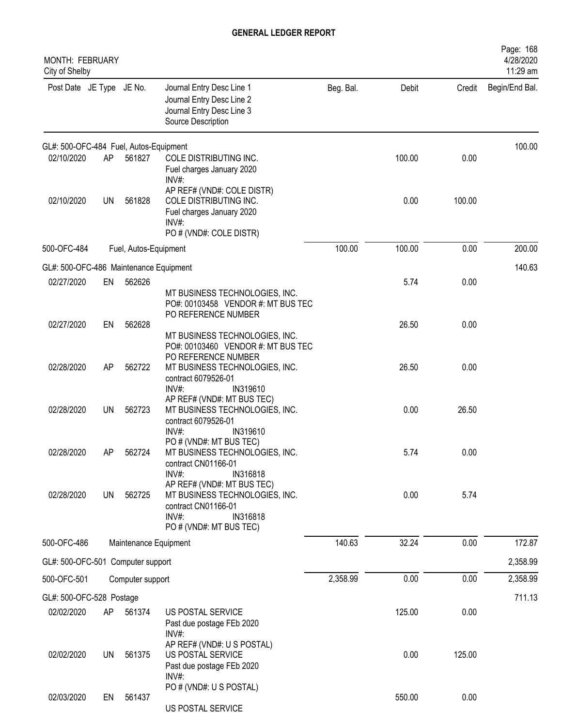| <b>MONTH: FEBRUARY</b><br>City of Shelby |           |                       |                                                                                                                                     |           |        |        | Page: 168<br>4/28/2020<br>11:29 am |
|------------------------------------------|-----------|-----------------------|-------------------------------------------------------------------------------------------------------------------------------------|-----------|--------|--------|------------------------------------|
| Post Date JE Type JE No.                 |           |                       | Journal Entry Desc Line 1<br>Journal Entry Desc Line 2<br>Journal Entry Desc Line 3<br>Source Description                           | Beg. Bal. | Debit  | Credit | Begin/End Bal.                     |
| GL#: 500-OFC-484 Fuel, Autos-Equipment   |           |                       |                                                                                                                                     |           |        |        | 100.00                             |
| 02/10/2020                               | AP        | 561827                | COLE DISTRIBUTING INC.<br>Fuel charges January 2020<br>INV#:                                                                        |           | 100.00 | 0.00   |                                    |
| 02/10/2020                               | <b>UN</b> | 561828                | AP REF# (VND#: COLE DISTR)<br>COLE DISTRIBUTING INC.<br>Fuel charges January 2020<br>$INV#$ :<br>PO # (VND#: COLE DISTR)            |           | 0.00   | 100.00 |                                    |
| 500-OFC-484                              |           | Fuel, Autos-Equipment |                                                                                                                                     | 100.00    | 100.00 | 0.00   | 200.00                             |
| GL#: 500-OFC-486 Maintenance Equipment   |           |                       |                                                                                                                                     |           |        |        | 140.63                             |
| 02/27/2020                               | EN        | 562626                | MT BUSINESS TECHNOLOGIES, INC.<br>PO#: 00103458 VENDOR #: MT BUS TEC                                                                |           | 5.74   | 0.00   |                                    |
| 02/27/2020                               | EN        | 562628                | PO REFERENCE NUMBER<br>MT BUSINESS TECHNOLOGIES, INC.<br>PO#: 00103460 VENDOR #: MT BUS TEC                                         |           | 26.50  | 0.00   |                                    |
| 02/28/2020                               | AP        | 562722                | PO REFERENCE NUMBER<br>MT BUSINESS TECHNOLOGIES, INC.<br>contract 6079526-01<br>$INV#$ :<br>IN319610                                |           | 26.50  | 0.00   |                                    |
| 02/28/2020                               | <b>UN</b> | 562723                | AP REF# (VND#: MT BUS TEC)<br>MT BUSINESS TECHNOLOGIES, INC.<br>contract 6079526-01<br>$INV#$ :<br>IN319610                         |           | 0.00   | 26.50  |                                    |
| 02/28/2020                               | AP        | 562724                | PO # (VND#: MT BUS TEC)<br>MT BUSINESS TECHNOLOGIES, INC.<br>contract CN01166-01<br>$INV#$ :<br>IN316818                            |           | 5.74   | 0.00   |                                    |
| 02/28/2020                               | <b>UN</b> | 562725                | AP REF# (VND#: MT BUS TEC)<br>MT BUSINESS TECHNOLOGIES, INC.<br>contract CN01166-01<br>INV#:<br>IN316818<br>PO # (VND#: MT BUS TEC) |           | 0.00   | 5.74   |                                    |
| 500-OFC-486                              |           | Maintenance Equipment |                                                                                                                                     | 140.63    | 32.24  | 0.00   | 172.87                             |
| GL#: 500-OFC-501 Computer support        |           |                       |                                                                                                                                     |           |        |        | 2,358.99                           |
| 500-OFC-501                              |           | Computer support      |                                                                                                                                     | 2,358.99  | 0.00   | 0.00   | 2,358.99                           |
| GL#: 500-OFC-528 Postage                 |           |                       |                                                                                                                                     |           |        |        | 711.13                             |
| 02/02/2020                               | AP        | 561374                | US POSTAL SERVICE<br>Past due postage FEb 2020<br>$INV#$ :                                                                          |           | 125.00 | 0.00   |                                    |
| 02/02/2020                               | <b>UN</b> | 561375                | AP REF# (VND#: U S POSTAL)<br>US POSTAL SERVICE<br>Past due postage FEb 2020<br>INV#                                                |           | 0.00   | 125.00 |                                    |
| 02/03/2020                               | EN        | 561437                | PO # (VND#: U S POSTAL)<br>US POSTAL SERVICE                                                                                        |           | 550.00 | 0.00   |                                    |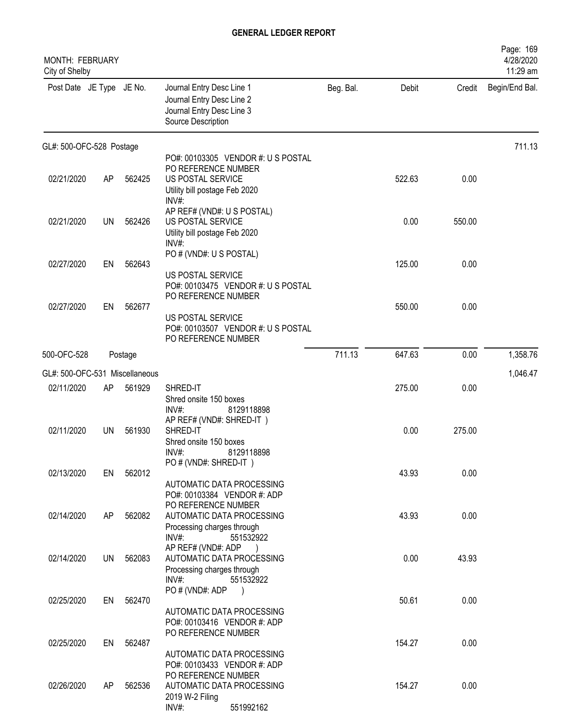| MONTH: FEBRUARY<br>City of Shelby |           |         |                                                                                                                                             |           |        |        | Page: 169<br>4/28/2020<br>11:29 am |
|-----------------------------------|-----------|---------|---------------------------------------------------------------------------------------------------------------------------------------------|-----------|--------|--------|------------------------------------|
| Post Date JE Type JE No.          |           |         | Journal Entry Desc Line 1<br>Journal Entry Desc Line 2<br>Journal Entry Desc Line 3<br>Source Description                                   | Beg. Bal. | Debit  | Credit | Begin/End Bal.                     |
| GL#: 500-OFC-528 Postage          |           |         |                                                                                                                                             |           |        |        | 711.13                             |
| 02/21/2020                        | AP        | 562425  | PO#: 00103305 VENDOR #: U S POSTAL<br>PO REFERENCE NUMBER<br>US POSTAL SERVICE<br>Utility bill postage Feb 2020<br>INV#:                    |           | 522.63 | 0.00   |                                    |
| 02/21/2020                        | <b>UN</b> | 562426  | AP REF# (VND#: U S POSTAL)<br>US POSTAL SERVICE<br>Utility bill postage Feb 2020<br>INV#:                                                   |           | 0.00   | 550.00 |                                    |
| 02/27/2020                        | EN        | 562643  | PO # (VND#: U S POSTAL)<br>US POSTAL SERVICE                                                                                                |           | 125.00 | 0.00   |                                    |
| 02/27/2020                        | EN        | 562677  | PO#: 00103475 VENDOR #: U S POSTAL<br>PO REFERENCE NUMBER<br>US POSTAL SERVICE<br>PO#: 00103507 VENDOR #: U S POSTAL<br>PO REFERENCE NUMBER |           | 550.00 | 0.00   |                                    |
| 500-OFC-528                       |           | Postage |                                                                                                                                             | 711.13    | 647.63 | 0.00   | 1,358.76                           |
| GL#: 500-OFC-531 Miscellaneous    |           |         |                                                                                                                                             |           |        |        | 1,046.47                           |
| 02/11/2020                        | AP        | 561929  | SHRED-IT<br>Shred onsite 150 boxes<br>$INV#$ :<br>8129118898                                                                                |           | 275.00 | 0.00   |                                    |
| 02/11/2020                        | <b>UN</b> | 561930  | AP REF# (VND#: SHRED-IT)<br>SHRED-IT<br>Shred onsite 150 boxes<br>8129118898<br>$INV#$ :                                                    |           | 0.00   | 275.00 |                                    |
| 02/13/2020                        | EN        | 562012  | PO # (VND#: SHRED-IT)<br>AUTOMATIC DATA PROCESSING<br>PO#: 00103384 VENDOR #: ADP                                                           |           | 43.93  | 0.00   |                                    |
| 02/14/2020                        | AP        | 562082  | PO REFERENCE NUMBER<br>AUTOMATIC DATA PROCESSING<br>Processing charges through<br>INV#:<br>551532922                                        |           | 43.93  | 0.00   |                                    |
| 02/14/2020                        | <b>UN</b> | 562083  | AP REF# (VND#: ADP<br>AUTOMATIC DATA PROCESSING<br>Processing charges through                                                               |           | 0.00   | 43.93  |                                    |
| 02/25/2020                        | EN        | 562470  | INV#:<br>551532922<br>PO # (VND#: ADP<br>AUTOMATIC DATA PROCESSING                                                                          |           | 50.61  | 0.00   |                                    |
| 02/25/2020                        | EN        | 562487  | PO#: 00103416 VENDOR #: ADP<br>PO REFERENCE NUMBER<br>AUTOMATIC DATA PROCESSING                                                             |           | 154.27 | 0.00   |                                    |
| 02/26/2020                        | AP        | 562536  | PO#: 00103433 VENDOR #: ADP<br>PO REFERENCE NUMBER<br>AUTOMATIC DATA PROCESSING<br>2019 W-2 Filing<br>$INV#$ :<br>551992162                 |           | 154.27 | 0.00   |                                    |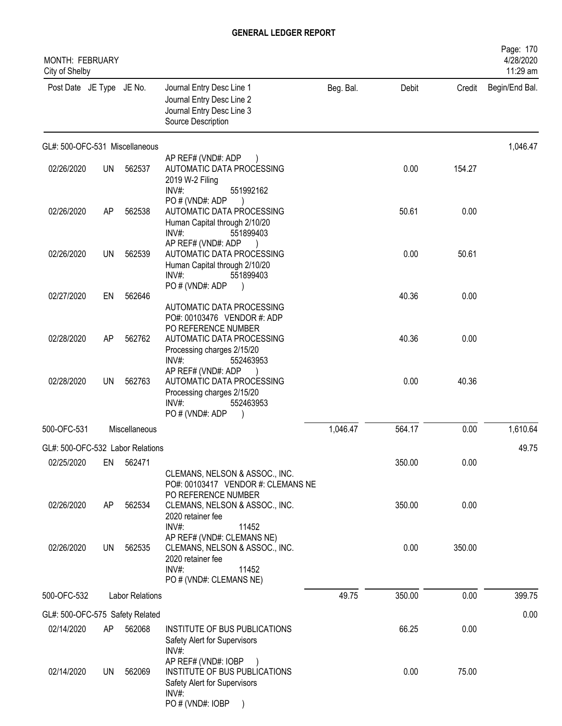| <b>MONTH: FEBRUARY</b><br>City of Shelby |           |                        |                                                                                                                                |           |        |        | Page: 170<br>4/28/2020<br>11:29 am |
|------------------------------------------|-----------|------------------------|--------------------------------------------------------------------------------------------------------------------------------|-----------|--------|--------|------------------------------------|
| Post Date JE Type JE No.                 |           |                        | Journal Entry Desc Line 1<br>Journal Entry Desc Line 2<br>Journal Entry Desc Line 3<br>Source Description                      | Beg. Bal. | Debit  | Credit | Begin/End Bal.                     |
| GL#: 500-OFC-531 Miscellaneous           |           |                        |                                                                                                                                |           |        |        | 1,046.47                           |
| 02/26/2020                               | <b>UN</b> | 562537                 | AP REF# (VND#: ADP<br>AUTOMATIC DATA PROCESSING<br>2019 W-2 Filing<br>INV#:<br>551992162                                       |           | 0.00   | 154.27 |                                    |
| 02/26/2020                               | AP        | 562538                 | PO # (VND#: ADP<br>AUTOMATIC DATA PROCESSING<br>Human Capital through 2/10/20<br>INV#:<br>551899403                            |           | 50.61  | 0.00   |                                    |
| 02/26/2020                               | UN        | 562539                 | AP REF# (VND#: ADP<br>AUTOMATIC DATA PROCESSING<br>Human Capital through 2/10/20<br>$INV#$ :<br>551899403                      |           | 0.00   | 50.61  |                                    |
| 02/27/2020                               | EN        | 562646                 | PO # (VND#: ADP<br>AUTOMATIC DATA PROCESSING<br>PO#: 00103476 VENDOR #: ADP                                                    |           | 40.36  | 0.00   |                                    |
| 02/28/2020                               | AP        | 562762                 | PO REFERENCE NUMBER<br>AUTOMATIC DATA PROCESSING<br>Processing charges 2/15/20<br>INV#:<br>552463953                           |           | 40.36  | 0.00   |                                    |
| 02/28/2020                               | UN        | 562763                 | AP REF# (VND#: ADP<br>AUTOMATIC DATA PROCESSING<br>Processing charges 2/15/20<br>INV#:<br>552463953<br>PO # (VND#: ADP         |           | 0.00   | 40.36  |                                    |
| 500-OFC-531                              |           | Miscellaneous          |                                                                                                                                | 1,046.47  | 564.17 | 0.00   | 1,610.64                           |
| GL#: 500-OFC-532 Labor Relations         |           |                        |                                                                                                                                |           |        |        | 49.75                              |
| 02/25/2020                               | EN        | 562471                 | CLEMANS, NELSON & ASSOC., INC.<br>PO#: 00103417 VENDOR #: CLEMANS NE<br>PO REFERENCE NUMBER                                    |           | 350.00 | 0.00   |                                    |
| 02/26/2020                               | AP        | 562534                 | CLEMANS, NELSON & ASSOC., INC.<br>2020 retainer fee<br>INV#:<br>11452                                                          |           | 350.00 | 0.00   |                                    |
| 02/26/2020                               | UN        | 562535                 | AP REF# (VND#: CLEMANS NE)<br>CLEMANS, NELSON & ASSOC., INC.<br>2020 retainer fee<br>INV#:<br>11452<br>PO # (VND#: CLEMANS NE) |           | 0.00   | 350.00 |                                    |
| 500-OFC-532                              |           | <b>Labor Relations</b> |                                                                                                                                | 49.75     | 350.00 | 0.00   | 399.75                             |
| GL#: 500-OFC-575 Safety Related          |           |                        |                                                                                                                                |           |        |        | 0.00                               |
| 02/14/2020                               | AP        | 562068                 | INSTITUTE OF BUS PUBLICATIONS<br>Safety Alert for Supervisors<br>INV#:                                                         |           | 66.25  | 0.00   |                                    |
| 02/14/2020                               | UN        | 562069                 | AP REF# (VND#: IOBP<br>INSTITUTE OF BUS PUBLICATIONS<br>Safety Alert for Supervisors<br>$INV#$ :<br>PO # (VND#: IOBP           |           | 0.00   | 75.00  |                                    |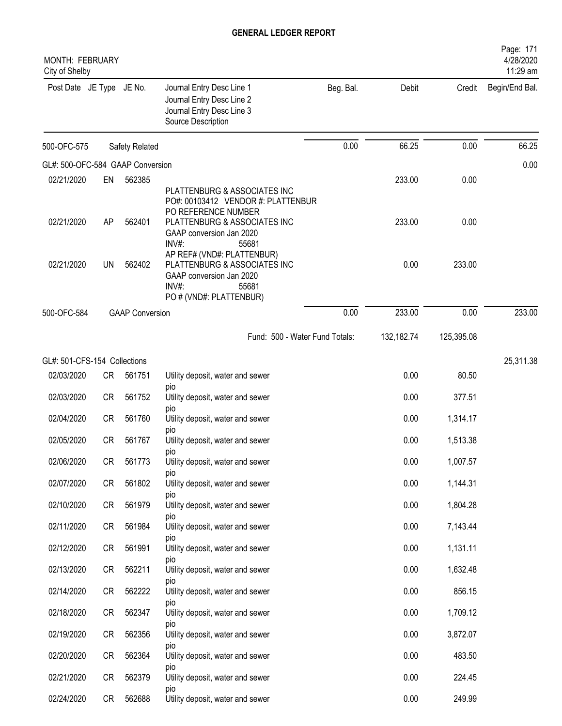| <b>MONTH: FEBRUARY</b><br>City of Shelby |           |                        |                                                                                                                                                                         |           |            |            | Page: 171<br>4/28/2020<br>11:29 am |
|------------------------------------------|-----------|------------------------|-------------------------------------------------------------------------------------------------------------------------------------------------------------------------|-----------|------------|------------|------------------------------------|
| Post Date JE Type JE No.                 |           |                        | Journal Entry Desc Line 1<br>Journal Entry Desc Line 2<br>Journal Entry Desc Line 3<br>Source Description                                                               | Beg. Bal. | Debit      | Credit     | Begin/End Bal.                     |
| 500-OFC-575                              |           | Safety Related         |                                                                                                                                                                         | 0.00      | 66.25      | 0.00       | 66.25                              |
| GL#: 500-OFC-584 GAAP Conversion         |           |                        |                                                                                                                                                                         |           |            |            | 0.00                               |
| 02/21/2020                               | EN        | 562385                 |                                                                                                                                                                         |           | 233.00     | 0.00       |                                    |
| 02/21/2020                               | AP        | 562401                 | PLATTENBURG & ASSOCIATES INC<br>PO#: 00103412 VENDOR #: PLATTENBUR<br>PO REFERENCE NUMBER<br>PLATTENBURG & ASSOCIATES INC<br>GAAP conversion Jan 2020<br>INV#:<br>55681 |           | 233.00     | 0.00       |                                    |
| 02/21/2020                               | <b>UN</b> | 562402                 | AP REF# (VND#: PLATTENBUR)<br>PLATTENBURG & ASSOCIATES INC<br>GAAP conversion Jan 2020<br>$INV#$ :<br>55681<br>PO # (VND#: PLATTENBUR)                                  |           | 0.00       | 233.00     |                                    |
| 500-OFC-584                              |           | <b>GAAP Conversion</b> |                                                                                                                                                                         | 0.00      | 233.00     | 0.00       | 233.00                             |
|                                          |           |                        | Fund: 500 - Water Fund Totals:                                                                                                                                          |           | 132,182.74 | 125,395.08 |                                    |
| GL#: 501-CFS-154 Collections             |           |                        |                                                                                                                                                                         |           |            |            | 25,311.38                          |
| 02/03/2020                               | CR        | 561751                 | Utility deposit, water and sewer                                                                                                                                        |           | 0.00       | 80.50      |                                    |
| 02/03/2020                               | <b>CR</b> | 561752                 | pio<br>Utility deposit, water and sewer<br>pio                                                                                                                          |           | 0.00       | 377.51     |                                    |
| 02/04/2020                               | <b>CR</b> | 561760                 | Utility deposit, water and sewer                                                                                                                                        |           | 0.00       | 1,314.17   |                                    |
| 02/05/2020                               | <b>CR</b> | 561767                 | pio<br>Utility deposit, water and sewer                                                                                                                                 |           | 0.00       | 1,513.38   |                                    |
| 02/06/2020                               | <b>CR</b> | 561773                 | pio<br>Utility deposit, water and sewer                                                                                                                                 |           | 0.00       | 1,007.57   |                                    |
| 02/07/2020                               | <b>CR</b> | 561802                 | <b>DIO</b><br>Utility deposit, water and sewer                                                                                                                          |           | 0.00       | 1,144.31   |                                    |
|                                          |           |                        | DIO                                                                                                                                                                     |           |            |            |                                    |
| 02/10/2020                               | CR        | 561979                 | Utility deposit, water and sewer<br>DIO                                                                                                                                 |           | 0.00       | 1,804.28   |                                    |
| 02/11/2020                               | <b>CR</b> | 561984                 | Utility deposit, water and sewer<br>DIO                                                                                                                                 |           | 0.00       | 7,143.44   |                                    |
| 02/12/2020                               | CR        | 561991                 | Utility deposit, water and sewer                                                                                                                                        |           | 0.00       | 1,131.11   |                                    |
| 02/13/2020                               | <b>CR</b> | 562211                 | pio<br>Utility deposit, water and sewer                                                                                                                                 |           | 0.00       | 1,632.48   |                                    |
| 02/14/2020                               | <b>CR</b> | 562222                 | pio<br>Utility deposit, water and sewer                                                                                                                                 |           | 0.00       | 856.15     |                                    |
| 02/18/2020                               | <b>CR</b> | 562347                 | pio<br>Utility deposit, water and sewer                                                                                                                                 |           | 0.00       | 1,709.12   |                                    |
| 02/19/2020                               | CR        | 562356                 | pio<br>Utility deposit, water and sewer                                                                                                                                 |           | 0.00       | 3,872.07   |                                    |
| 02/20/2020                               | CR        | 562364                 | pio<br>Utility deposit, water and sewer                                                                                                                                 |           | 0.00       | 483.50     |                                    |
| 02/21/2020                               | <b>CR</b> | 562379                 | pio<br>Utility deposit, water and sewer                                                                                                                                 |           | 0.00       | 224.45     |                                    |
| 02/24/2020                               | CR        | 562688                 | pio<br>Utility deposit, water and sewer                                                                                                                                 |           | 0.00       | 249.99     |                                    |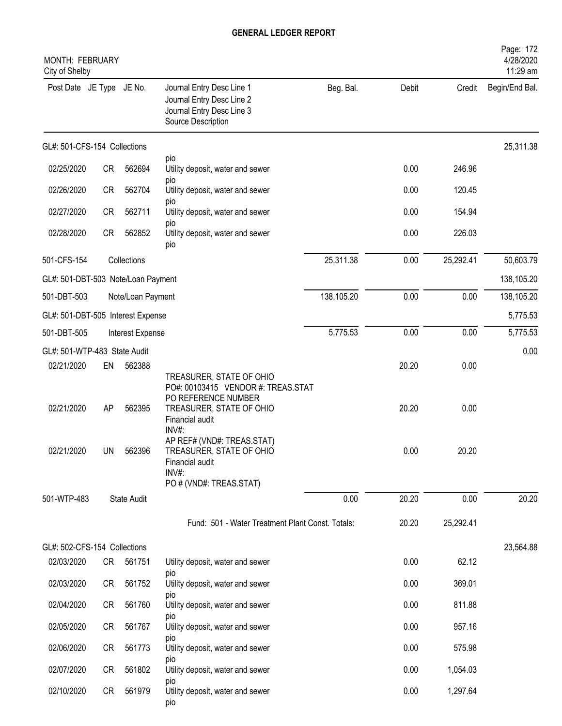| MONTH: FEBRUARY<br>City of Shelby  |           |                    |                                                                                                           |            |       |           | Page: 172<br>4/28/2020<br>11:29 am |
|------------------------------------|-----------|--------------------|-----------------------------------------------------------------------------------------------------------|------------|-------|-----------|------------------------------------|
| Post Date JE Type JE No.           |           |                    | Journal Entry Desc Line 1<br>Journal Entry Desc Line 2<br>Journal Entry Desc Line 3<br>Source Description | Beg. Bal.  | Debit | Credit    | Begin/End Bal.                     |
| GL#: 501-CFS-154 Collections       |           |                    |                                                                                                           |            |       |           | 25,311.38                          |
| 02/25/2020                         | CR        | 562694             | pio<br>Utility deposit, water and sewer                                                                   |            | 0.00  | 246.96    |                                    |
| 02/26/2020                         | <b>CR</b> | 562704             | pio<br>Utility deposit, water and sewer                                                                   |            | 0.00  | 120.45    |                                    |
| 02/27/2020                         | <b>CR</b> | 562711             | pio<br>Utility deposit, water and sewer                                                                   |            | 0.00  | 154.94    |                                    |
| 02/28/2020                         | <b>CR</b> | 562852             | pio<br>Utility deposit, water and sewer<br>pio                                                            |            | 0.00  | 226.03    |                                    |
| 501-CFS-154                        |           | Collections        |                                                                                                           | 25,311.38  | 0.00  | 25,292.41 | 50,603.79                          |
| GL#: 501-DBT-503 Note/Loan Payment |           |                    |                                                                                                           |            |       |           | 138,105.20                         |
| 501-DBT-503                        |           | Note/Loan Payment  |                                                                                                           | 138,105.20 | 0.00  | 0.00      | 138,105.20                         |
| GL#: 501-DBT-505 Interest Expense  |           |                    |                                                                                                           |            |       |           | 5,775.53                           |
| 501-DBT-505                        |           | Interest Expense   |                                                                                                           | 5,775.53   | 0.00  | 0.00      | 5,775.53                           |
| GL#: 501-WTP-483 State Audit       |           |                    |                                                                                                           |            |       |           | 0.00                               |
| 02/21/2020                         | EN        | 562388             | TREASURER, STATE OF OHIO<br>PO#: 00103415 VENDOR #: TREAS.STAT                                            |            | 20.20 | 0.00      |                                    |
| 02/21/2020                         | AP        | 562395             | PO REFERENCE NUMBER<br>TREASURER, STATE OF OHIO<br>Financial audit<br>INV#:                               |            | 20.20 | 0.00      |                                    |
| 02/21/2020                         | UN.       | 562396             | AP REF# (VND#: TREAS.STAT)<br>TREASURER, STATE OF OHIO<br>Financial audit<br>INV#:                        |            | 0.00  | 20.20     |                                    |
|                                    |           |                    | PO # (VND#: TREAS.STAT)                                                                                   |            |       |           |                                    |
| 501-WTP-483                        |           | <b>State Audit</b> |                                                                                                           | 0.00       | 20.20 | 0.00      | 20.20                              |
|                                    |           |                    | Fund: 501 - Water Treatment Plant Const. Totals:                                                          |            | 20.20 | 25,292.41 |                                    |
| GL#: 502-CFS-154 Collections       |           |                    |                                                                                                           |            |       |           | 23,564.88                          |
| 02/03/2020                         | CR        | 561751             | Utility deposit, water and sewer                                                                          |            | 0.00  | 62.12     |                                    |
| 02/03/2020                         | CR        | 561752             | pio<br>Utility deposit, water and sewer<br>pio                                                            |            | 0.00  | 369.01    |                                    |
| 02/04/2020                         | CR        | 561760             | Utility deposit, water and sewer                                                                          |            | 0.00  | 811.88    |                                    |
| 02/05/2020                         | CR        | 561767             | DIO<br>Utility deposit, water and sewer                                                                   |            | 0.00  | 957.16    |                                    |
| 02/06/2020                         | CR        | 561773             | pio<br>Utility deposit, water and sewer                                                                   |            | 0.00  | 575.98    |                                    |
| 02/07/2020                         | CR        | 561802             | pio<br>Utility deposit, water and sewer                                                                   |            | 0.00  | 1,054.03  |                                    |
| 02/10/2020                         | CR        | 561979             | pio<br>Utility deposit, water and sewer<br>pio                                                            |            | 0.00  | 1,297.64  |                                    |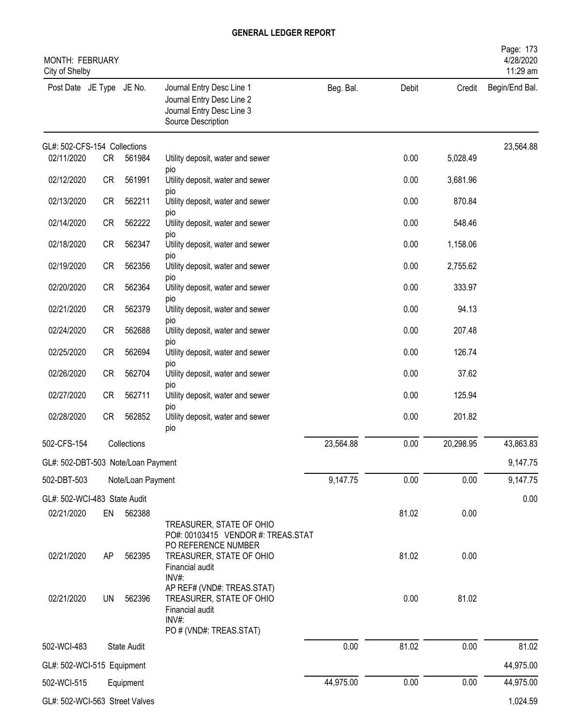| MONTH: FEBRUARY<br>City of Shelby  |           |                   |                                                                                                               |           |       |           | Page: 173<br>4/28/2020<br>11:29 am |
|------------------------------------|-----------|-------------------|---------------------------------------------------------------------------------------------------------------|-----------|-------|-----------|------------------------------------|
| Post Date JE Type JE No.           |           |                   | Journal Entry Desc Line 1<br>Journal Entry Desc Line 2<br>Journal Entry Desc Line 3<br>Source Description     | Beg. Bal. | Debit | Credit    | Begin/End Bal.                     |
| GL#: 502-CFS-154 Collections       |           |                   |                                                                                                               |           |       |           | 23,564.88                          |
| 02/11/2020                         | CR        | 561984            | Utility deposit, water and sewer<br>pio                                                                       |           | 0.00  | 5,028.49  |                                    |
| 02/12/2020                         | CR        | 561991            | Utility deposit, water and sewer                                                                              |           | 0.00  | 3,681.96  |                                    |
| 02/13/2020                         | <b>CR</b> | 562211            | pio<br>Utility deposit, water and sewer                                                                       |           | 0.00  | 870.84    |                                    |
| 02/14/2020                         | CR        | 562222            | pio<br>Utility deposit, water and sewer<br>pio                                                                |           | 0.00  | 548.46    |                                    |
| 02/18/2020                         | <b>CR</b> | 562347            | Utility deposit, water and sewer                                                                              |           | 0.00  | 1,158.06  |                                    |
| 02/19/2020                         | CR        | 562356            | pio<br>Utility deposit, water and sewer                                                                       |           | 0.00  | 2,755.62  |                                    |
| 02/20/2020                         | <b>CR</b> | 562364            | pio<br>Utility deposit, water and sewer                                                                       |           | 0.00  | 333.97    |                                    |
| 02/21/2020                         | CR        | 562379            | pio<br>Utility deposit, water and sewer                                                                       |           | 0.00  | 94.13     |                                    |
| 02/24/2020                         | CR        | 562688            | pio<br>Utility deposit, water and sewer                                                                       |           | 0.00  | 207.48    |                                    |
| 02/25/2020                         | CR        | 562694            | pio<br>Utility deposit, water and sewer                                                                       |           | 0.00  | 126.74    |                                    |
| 02/26/2020                         | <b>CR</b> | 562704            | pio<br>Utility deposit, water and sewer                                                                       |           | 0.00  | 37.62     |                                    |
| 02/27/2020                         | <b>CR</b> | 562711            | <b>DIO</b><br>Utility deposit, water and sewer                                                                |           | 0.00  | 125.94    |                                    |
| 02/28/2020                         | <b>CR</b> | 562852            | pio<br>Utility deposit, water and sewer<br>pio                                                                |           | 0.00  | 201.82    |                                    |
| 502-CFS-154                        |           | Collections       |                                                                                                               | 23,564.88 | 0.00  | 20,298.95 | 43,863.83                          |
| GL#: 502-DBT-503 Note/Loan Payment |           |                   |                                                                                                               |           |       |           | 9,147.75                           |
| 502-DBT-503                        |           | Note/Loan Payment |                                                                                                               | 9,147.75  | 0.00  | 0.00      | 9,147.75                           |
| GL#: 502-WCI-483 State Audit       |           |                   |                                                                                                               |           |       |           | 0.00                               |
| 02/21/2020                         | EN        | 562388            | TREASURER, STATE OF OHIO<br>PO#: 00103415 VENDOR #: TREAS.STAT                                                |           | 81.02 | 0.00      |                                    |
| 02/21/2020                         | AP        | 562395            | PO REFERENCE NUMBER<br>TREASURER, STATE OF OHIO<br>Financial audit<br>$INV#$ :                                |           | 81.02 | 0.00      |                                    |
| 02/21/2020                         | UN        | 562396            | AP REF# (VND#: TREAS.STAT)<br>TREASURER, STATE OF OHIO<br>Financial audit<br>INV#:<br>PO # (VND#: TREAS.STAT) |           | 0.00  | 81.02     |                                    |
| 502-WCI-483                        |           | State Audit       |                                                                                                               | 0.00      | 81.02 | 0.00      | 81.02                              |
| GL#: 502-WCI-515 Equipment         |           |                   |                                                                                                               |           |       |           | 44,975.00                          |
| 502-WCI-515                        |           | Equipment         |                                                                                                               | 44,975.00 | 0.00  | 0.00      | 44,975.00                          |
| GL#: 502-WCI-563 Street Valves     |           |                   |                                                                                                               |           |       |           | 1,024.59                           |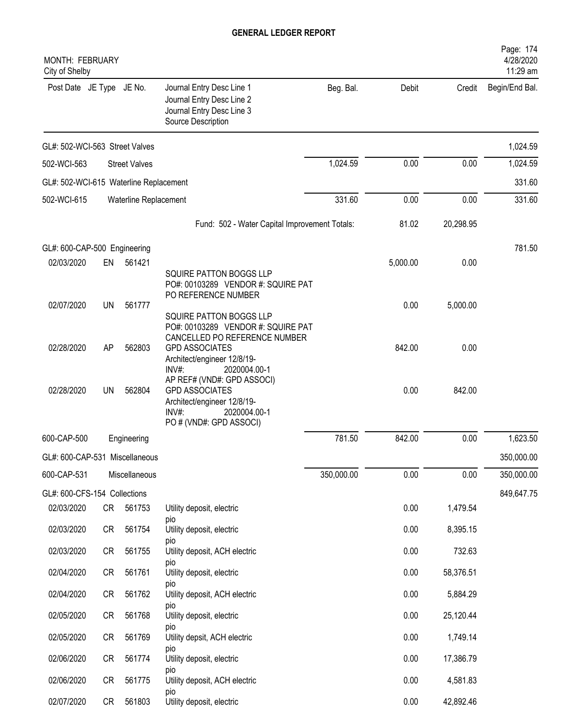| <b>MONTH: FEBRUARY</b><br>City of Shelby |           |                       |                                                                                                                                                      |            |          |           | Page: 174<br>4/28/2020<br>11:29 am |
|------------------------------------------|-----------|-----------------------|------------------------------------------------------------------------------------------------------------------------------------------------------|------------|----------|-----------|------------------------------------|
| Post Date JE Type JE No.                 |           |                       | Journal Entry Desc Line 1<br>Journal Entry Desc Line 2<br>Journal Entry Desc Line 3<br>Source Description                                            | Beg. Bal.  | Debit    | Credit    | Begin/End Bal.                     |
| GL#: 502-WCI-563 Street Valves           |           |                       |                                                                                                                                                      |            |          |           | 1,024.59                           |
| 502-WCI-563                              |           | <b>Street Valves</b>  |                                                                                                                                                      | 1,024.59   | 0.00     | 0.00      | 1,024.59                           |
| GL#: 502-WCI-615 Waterline Replacement   |           |                       |                                                                                                                                                      |            |          |           | 331.60                             |
| 502-WCI-615                              |           | Waterline Replacement |                                                                                                                                                      | 331.60     | 0.00     | 0.00      | 331.60                             |
|                                          |           |                       | Fund: 502 - Water Capital Improvement Totals:                                                                                                        |            | 81.02    | 20,298.95 |                                    |
| GL#: 600-CAP-500 Engineering             |           |                       |                                                                                                                                                      |            |          |           | 781.50                             |
| 02/03/2020                               | EN        | 561421                |                                                                                                                                                      |            | 5,000.00 | 0.00      |                                    |
| 02/07/2020                               | UN        | 561777                | <b>SQUIRE PATTON BOGGS LLP</b><br>PO#: 00103289 VENDOR #: SQUIRE PAT<br>PO REFERENCE NUMBER<br>SQUIRE PATTON BOGGS LLP                               |            | 0.00     | 5,000.00  |                                    |
| 02/28/2020                               | AP        | 562803                | PO#: 00103289 VENDOR #: SQUIRE PAT<br>CANCELLED PO REFERENCE NUMBER<br><b>GPD ASSOCIATES</b><br>Architect/engineer 12/8/19-<br>INV#:<br>2020004.00-1 |            | 842.00   | 0.00      |                                    |
| 02/28/2020                               | <b>UN</b> | 562804                | AP REF# (VND#: GPD ASSOCI)<br><b>GPD ASSOCIATES</b><br>Architect/engineer 12/8/19-<br>$INV#$ :<br>2020004.00-1<br>PO # (VND#: GPD ASSOCI)            |            | 0.00     | 842.00    |                                    |
| 600-CAP-500                              |           | Engineering           |                                                                                                                                                      | 781.50     | 842.00   | 0.00      | 1,623.50                           |
| GL#: 600-CAP-531 Miscellaneous           |           |                       |                                                                                                                                                      |            |          |           | 350,000.00                         |
| 600-CAP-531                              |           | Miscellaneous         |                                                                                                                                                      | 350,000.00 | 0.00     | 0.00      | 350,000.00                         |
| GL#: 600-CFS-154 Collections             |           |                       |                                                                                                                                                      |            |          |           | 849,647.75                         |
| 02/03/2020                               | CR        | 561753                | Utility deposit, electric<br>pio                                                                                                                     |            | 0.00     | 1,479.54  |                                    |
| 02/03/2020                               | <b>CR</b> | 561754                | Utility deposit, electric                                                                                                                            |            | 0.00     | 8,395.15  |                                    |
| 02/03/2020                               | <b>CR</b> | 561755                | pio<br>Utility deposit, ACH electric                                                                                                                 |            | 0.00     | 732.63    |                                    |
| 02/04/2020                               | <b>CR</b> | 561761                | pio<br>Utility deposit, electric                                                                                                                     |            | 0.00     | 58,376.51 |                                    |
| 02/04/2020                               | CR        | 561762                | pio<br>Utility deposit, ACH electric                                                                                                                 |            | 0.00     | 5,884.29  |                                    |
| 02/05/2020                               | CR        | 561768                | pio<br>Utility deposit, electric                                                                                                                     |            | 0.00     | 25,120.44 |                                    |
| 02/05/2020                               | CR        | 561769                | <b>DIO</b><br>Utility depsit, ACH electric                                                                                                           |            | 0.00     | 1,749.14  |                                    |
| 02/06/2020                               | CR        | 561774                | pio<br>Utility deposit, electric                                                                                                                     |            | 0.00     | 17,386.79 |                                    |
| 02/06/2020                               | CR        | 561775                | DIO<br>Utility deposit, ACH electric                                                                                                                 |            | 0.00     | 4,581.83  |                                    |
| 02/07/2020                               | <b>CR</b> | 561803                | pio<br>Utility deposit, electric                                                                                                                     |            | 0.00     | 42,892.46 |                                    |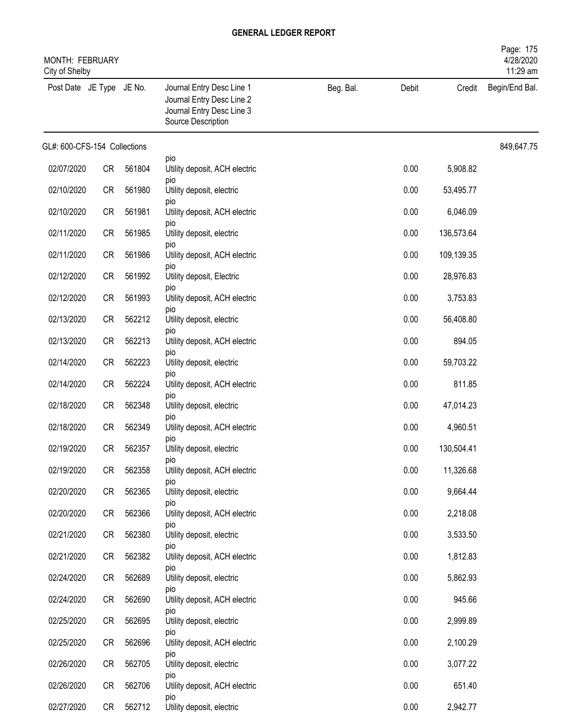| MONTH: FEBRUARY<br>City of Shelby |           |        |                                                                                                           |           |       |            | Page: 175<br>4/28/2020<br>11:29 am |
|-----------------------------------|-----------|--------|-----------------------------------------------------------------------------------------------------------|-----------|-------|------------|------------------------------------|
| Post Date JE Type JE No.          |           |        | Journal Entry Desc Line 1<br>Journal Entry Desc Line 2<br>Journal Entry Desc Line 3<br>Source Description | Beg. Bal. | Debit | Credit     | Begin/End Bal.                     |
| GL#: 600-CFS-154 Collections      |           |        |                                                                                                           |           |       |            | 849,647.75                         |
| 02/07/2020                        | CR        | 561804 | pio<br>Utility deposit, ACH electric                                                                      |           | 0.00  | 5,908.82   |                                    |
| 02/10/2020                        | CR        | 561980 | pio<br>Utility deposit, electric                                                                          |           | 0.00  | 53,495.77  |                                    |
| 02/10/2020                        | CR        | 561981 | pio<br>Utility deposit, ACH electric                                                                      |           | 0.00  | 6,046.09   |                                    |
| 02/11/2020                        | <b>CR</b> | 561985 | pio<br>Utility deposit, electric                                                                          |           | 0.00  | 136,573.64 |                                    |
| 02/11/2020                        | <b>CR</b> | 561986 | pio<br>Utility deposit, ACH electric                                                                      |           | 0.00  | 109,139.35 |                                    |
| 02/12/2020                        | <b>CR</b> | 561992 | pio<br>Utility deposit, Electric                                                                          |           | 0.00  | 28,976.83  |                                    |
| 02/12/2020                        | CR        | 561993 | pio<br>Utility deposit, ACH electric                                                                      |           | 0.00  | 3,753.83   |                                    |
| 02/13/2020                        | CR        | 562212 | <b>DIO</b><br>Utility deposit, electric                                                                   |           | 0.00  | 56,408.80  |                                    |
| 02/13/2020                        | CR        | 562213 | pio<br>Utility deposit, ACH electric                                                                      |           | 0.00  | 894.05     |                                    |
| 02/14/2020                        | CR        | 562223 | pio<br>Utility deposit, electric                                                                          |           | 0.00  | 59,703.22  |                                    |
| 02/14/2020                        | <b>CR</b> | 562224 | pio<br>Utility deposit, ACH electric                                                                      |           | 0.00  | 811.85     |                                    |
| 02/18/2020                        | <b>CR</b> | 562348 | pio<br>Utility deposit, electric                                                                          |           | 0.00  | 47,014.23  |                                    |
| 02/18/2020                        | <b>CR</b> | 562349 | pio<br>Utility deposit, ACH electric                                                                      |           | 0.00  | 4,960.51   |                                    |
| 02/19/2020                        | CR        | 562357 | pio<br>Utility deposit, electric                                                                          |           | 0.00  | 130,504.41 |                                    |
| 02/19/2020                        | <b>CR</b> | 562358 | pio<br>Utility deposit, ACH electric                                                                      |           | 0.00  | 11,326.68  |                                    |
| 02/20/2020                        | CR        | 562365 | pio<br>Utility deposit, electric                                                                          |           | 0.00  | 9,664.44   |                                    |
| 02/20/2020                        | <b>CR</b> | 562366 | pio<br>Utility deposit, ACH electric                                                                      |           | 0.00  | 2,218.08   |                                    |
| 02/21/2020                        | CR        | 562380 | pio<br>Utility deposit, electric                                                                          |           | 0.00  | 3,533.50   |                                    |
| 02/21/2020                        | CR        | 562382 | pio<br>Utility deposit, ACH electric                                                                      |           | 0.00  | 1,812.83   |                                    |
| 02/24/2020                        | CR        | 562689 | pio<br>Utility deposit, electric                                                                          |           | 0.00  | 5,862.93   |                                    |
| 02/24/2020                        | CR        | 562690 | pio<br>Utility deposit, ACH electric                                                                      |           | 0.00  | 945.66     |                                    |
| 02/25/2020                        | CR        | 562695 | pio<br>Utility deposit, electric                                                                          |           | 0.00  | 2,999.89   |                                    |
| 02/25/2020                        | CR        | 562696 | pio<br>Utility deposit, ACH electric                                                                      |           | 0.00  | 2,100.29   |                                    |
| 02/26/2020                        | CR        | 562705 | pio<br>Utility deposit, electric                                                                          |           | 0.00  | 3,077.22   |                                    |
| 02/26/2020                        | CR        | 562706 | pio<br>Utility deposit, ACH electric                                                                      |           | 0.00  | 651.40     |                                    |
| 02/27/2020                        | CR        | 562712 | pio<br>Utility deposit, electric                                                                          |           | 0.00  | 2,942.77   |                                    |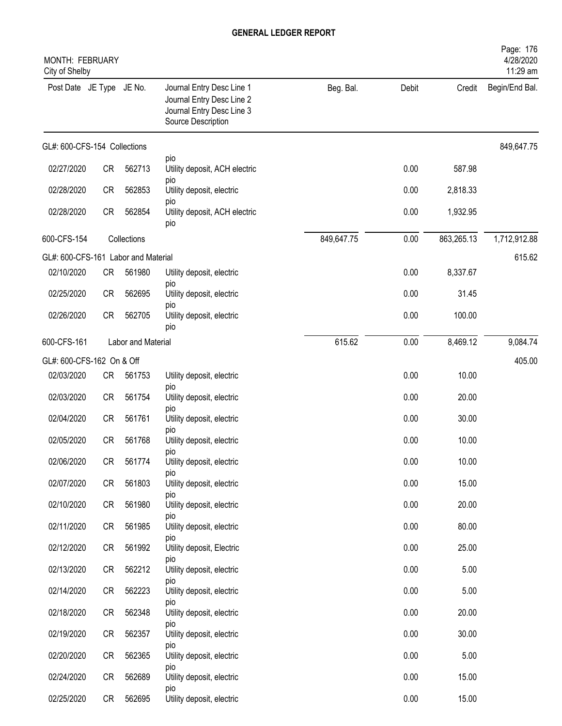| MONTH: FEBRUARY<br>City of Shelby   |           |                    |                                                                                                           |            |       |            | Page: 176<br>4/28/2020<br>11:29 am |
|-------------------------------------|-----------|--------------------|-----------------------------------------------------------------------------------------------------------|------------|-------|------------|------------------------------------|
| Post Date JE Type JE No.            |           |                    | Journal Entry Desc Line 1<br>Journal Entry Desc Line 2<br>Journal Entry Desc Line 3<br>Source Description | Beg. Bal.  | Debit | Credit     | Begin/End Bal.                     |
| GL#: 600-CFS-154 Collections        |           |                    |                                                                                                           |            |       |            | 849,647.75                         |
| 02/27/2020                          | <b>CR</b> | 562713             | pio<br>Utility deposit, ACH electric                                                                      |            | 0.00  | 587.98     |                                    |
| 02/28/2020                          | <b>CR</b> | 562853             | pio<br>Utility deposit, electric                                                                          |            | 0.00  | 2,818.33   |                                    |
| 02/28/2020                          | <b>CR</b> | 562854             | pio<br>Utility deposit, ACH electric<br>pio                                                               |            | 0.00  | 1,932.95   |                                    |
| 600-CFS-154                         |           | Collections        |                                                                                                           | 849,647.75 | 0.00  | 863,265.13 | 1,712,912.88                       |
| GL#: 600-CFS-161 Labor and Material |           |                    |                                                                                                           |            |       |            | 615.62                             |
| 02/10/2020                          | <b>CR</b> | 561980             | Utility deposit, electric<br>pio                                                                          |            | 0.00  | 8,337.67   |                                    |
| 02/25/2020                          | <b>CR</b> | 562695             | Utility deposit, electric<br>pio                                                                          |            | 0.00  | 31.45      |                                    |
| 02/26/2020                          | <b>CR</b> | 562705             | Utility deposit, electric<br>pio                                                                          |            | 0.00  | 100.00     |                                    |
| 600-CFS-161                         |           | Labor and Material |                                                                                                           | 615.62     | 0.00  | 8,469.12   | 9,084.74                           |
| GL#: 600-CFS-162 On & Off           |           |                    |                                                                                                           |            |       |            | 405.00                             |
| 02/03/2020                          | <b>CR</b> | 561753             | Utility deposit, electric<br>pio                                                                          |            | 0.00  | 10.00      |                                    |
| 02/03/2020                          | CR        | 561754             | Utility deposit, electric<br>pio                                                                          |            | 0.00  | 20.00      |                                    |
| 02/04/2020                          | <b>CR</b> | 561761             | Utility deposit, electric                                                                                 |            | 0.00  | 30.00      |                                    |
| 02/05/2020                          | <b>CR</b> | 561768             | pio<br>Utility deposit, electric                                                                          |            | 0.00  | 10.00      |                                    |
| 02/06/2020                          | CR        | 561774             | pio<br>Utility deposit, electric                                                                          |            | 0.00  | 10.00      |                                    |
| 02/07/2020                          | CR        | 561803             | <b>DIO</b><br>Utility deposit, electric                                                                   |            | 0.00  | 15.00      |                                    |
| 02/10/2020                          | <b>CR</b> | 561980             | pio<br>Utility deposit, electric                                                                          |            | 0.00  | 20.00      |                                    |
| 02/11/2020                          | <b>CR</b> | 561985             | pio<br>Utility deposit, electric                                                                          |            | 0.00  | 80.00      |                                    |
| 02/12/2020                          | <b>CR</b> | 561992             | pio<br>Utility deposit, Electric                                                                          |            | 0.00  | 25.00      |                                    |
| 02/13/2020                          | <b>CR</b> | 562212             | pio<br>Utility deposit, electric                                                                          |            | 0.00  | 5.00       |                                    |
| 02/14/2020                          | CR        | 562223             | <b>DIO</b><br>Utility deposit, electric                                                                   |            | 0.00  | 5.00       |                                    |
| 02/18/2020                          | CR        | 562348             | pio<br>Utility deposit, electric                                                                          |            | 0.00  | 20.00      |                                    |
| 02/19/2020                          | CR        | 562357             | pio<br>Utility deposit, electric                                                                          |            | 0.00  | 30.00      |                                    |
| 02/20/2020                          | CR        | 562365             | pio<br>Utility deposit, electric                                                                          |            | 0.00  | 5.00       |                                    |
| 02/24/2020                          | CR        | 562689             | pio<br>Utility deposit, electric                                                                          |            | 0.00  | 15.00      |                                    |
| 02/25/2020                          | CR        | 562695             | pio<br>Utility deposit, electric                                                                          |            | 0.00  | 15.00      |                                    |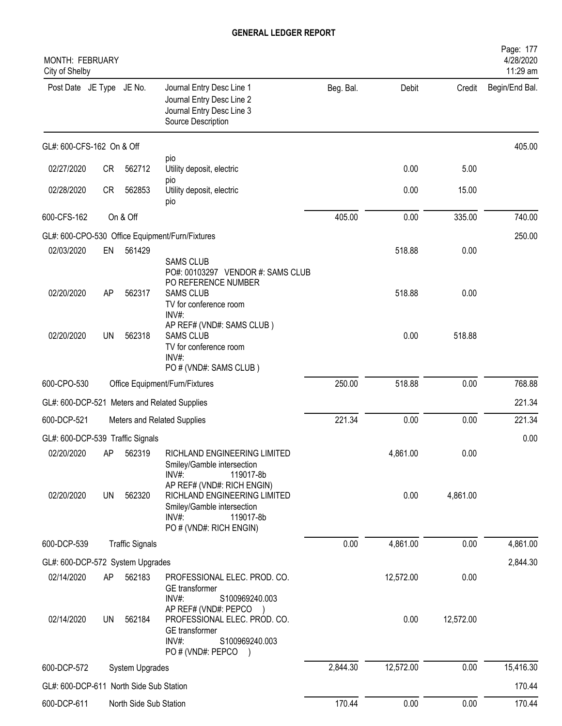| MONTH: FEBRUARY<br>City of Shelby       |    |                        |                                                                                                                                              |           |           |           | Page: 177<br>4/28/2020<br>11:29 am |
|-----------------------------------------|----|------------------------|----------------------------------------------------------------------------------------------------------------------------------------------|-----------|-----------|-----------|------------------------------------|
| Post Date JE Type JE No.                |    |                        | Journal Entry Desc Line 1<br>Journal Entry Desc Line 2<br>Journal Entry Desc Line 3<br>Source Description                                    | Beg. Bal. | Debit     | Credit    | Begin/End Bal.                     |
| GL#: 600-CFS-162 On & Off               |    |                        |                                                                                                                                              |           |           |           | 405.00                             |
| 02/27/2020                              | CR | 562712                 | pio<br>Utility deposit, electric                                                                                                             |           | 0.00      | 5.00      |                                    |
| 02/28/2020                              | CR | 562853                 | pio<br>Utility deposit, electric<br>pio                                                                                                      |           | 0.00      | 15.00     |                                    |
| 600-CFS-162                             |    | On & Off               |                                                                                                                                              | 405.00    | 0.00      | 335.00    | 740.00                             |
|                                         |    |                        | GL#: 600-CPO-530 Office Equipment/Furn/Fixtures                                                                                              |           |           |           | 250.00                             |
| 02/03/2020                              | EN | 561429                 |                                                                                                                                              |           | 518.88    | 0.00      |                                    |
| 02/20/2020                              | AP | 562317                 | <b>SAMS CLUB</b><br>PO#: 00103297 VENDOR #: SAMS CLUB<br>PO REFERENCE NUMBER<br><b>SAMS CLUB</b><br>TV for conference room<br>INV#:          |           | 518.88    | 0.00      |                                    |
| 02/20/2020                              | UN | 562318                 | AP REF# (VND#: SAMS CLUB)<br><b>SAMS CLUB</b><br>TV for conference room<br>INV#:<br>PO # (VND#: SAMS CLUB)                                   |           | 0.00      | 518.88    |                                    |
| 600-CPO-530                             |    |                        | Office Equipment/Furn/Fixtures                                                                                                               | 250.00    | 518.88    | 0.00      | 768.88                             |
|                                         |    |                        | GL#: 600-DCP-521 Meters and Related Supplies                                                                                                 |           |           |           | 221.34                             |
| 600-DCP-521                             |    |                        | Meters and Related Supplies                                                                                                                  | 221.34    | 0.00      | 0.00      | 221.34                             |
| GL#: 600-DCP-539 Traffic Signals        |    |                        |                                                                                                                                              |           |           |           | 0.00                               |
| 02/20/2020 AP 562319                    |    |                        | RICHLAND ENGINEERING LIMITED<br>Smiley/Gamble intersection<br>INV#:<br>119017-8b                                                             |           | 4,861.00  | 0.00      |                                    |
| 02/20/2020                              | UN | 562320                 | AP REF# (VND#: RICH ENGIN)<br>RICHLAND ENGINEERING LIMITED<br>Smiley/Gamble intersection<br>$INV#$ :<br>119017-8b<br>PO # (VND#: RICH ENGIN) |           | 0.00      | 4,861.00  |                                    |
| 600-DCP-539                             |    | <b>Traffic Signals</b> |                                                                                                                                              | 0.00      | 4,861.00  | 0.00      | 4,861.00                           |
| GL#: 600-DCP-572 System Upgrades        |    |                        |                                                                                                                                              |           |           |           | 2,844.30                           |
| 02/14/2020                              | AP | 562183                 | PROFESSIONAL ELEC. PROD. CO.<br>GE transformer<br>$INV#$ :<br>S100969240.003<br>AP REF# (VND#: PEPCO )                                       |           | 12,572.00 | 0.00      |                                    |
| 02/14/2020                              | UN | 562184                 | PROFESSIONAL ELEC. PROD. CO.<br>GE transformer<br>INV#:<br>S100969240.003<br>PO # (VND#: PEPCO)                                              |           | 0.00      | 12,572.00 |                                    |
| 600-DCP-572                             |    | System Upgrades        |                                                                                                                                              | 2,844.30  | 12,572.00 | 0.00      | 15,416.30                          |
| GL#: 600-DCP-611 North Side Sub Station |    |                        |                                                                                                                                              |           |           |           | 170.44                             |
| 600-DCP-611                             |    | North Side Sub Station |                                                                                                                                              | 170.44    | 0.00      | 0.00      | 170.44                             |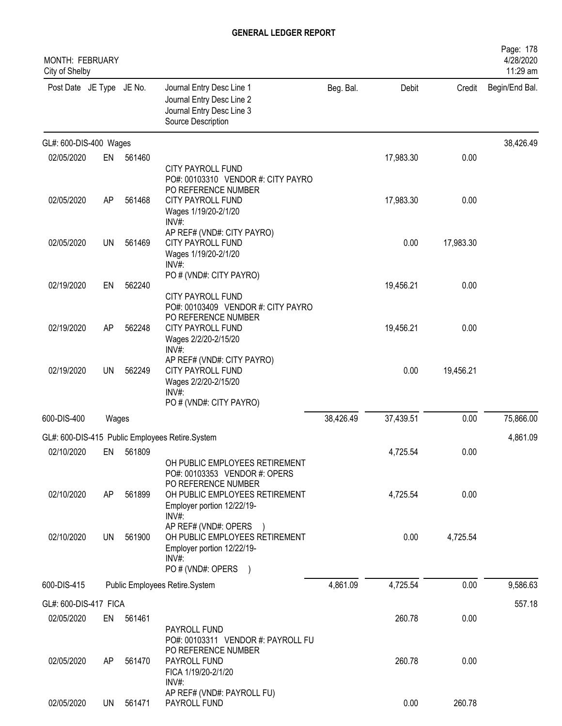| <b>MONTH: FEBRUARY</b><br>City of Shelby |           |           |                                                                                                                                        |           |           |           | Page: 178<br>4/28/2020<br>11:29 am |
|------------------------------------------|-----------|-----------|----------------------------------------------------------------------------------------------------------------------------------------|-----------|-----------|-----------|------------------------------------|
| Post Date JE Type JE No.                 |           |           | Journal Entry Desc Line 1<br>Journal Entry Desc Line 2<br>Journal Entry Desc Line 3<br>Source Description                              | Beg. Bal. | Debit     | Credit    | Begin/End Bal.                     |
| GL#: 600-DIS-400 Wages                   |           |           |                                                                                                                                        |           |           |           | 38,426.49                          |
| 02/05/2020                               | EN        | 561460    | CITY PAYROLL FUND<br>PO#: 00103310 VENDOR #: CITY PAYRO<br>PO REFERENCE NUMBER                                                         |           | 17,983.30 | 0.00      |                                    |
| 02/05/2020                               | AP        | 561468    | CITY PAYROLL FUND<br>Wages 1/19/20-2/1/20<br>INV#:                                                                                     |           | 17,983.30 | 0.00      |                                    |
| 02/05/2020                               | <b>UN</b> | 561469    | AP REF# (VND#: CITY PAYRO)<br>CITY PAYROLL FUND<br>Wages 1/19/20-2/1/20<br>$INV#$ :                                                    |           | 0.00      | 17,983.30 |                                    |
| 02/19/2020                               | EN        | 562240    | PO # (VND#: CITY PAYRO)<br>CITY PAYROLL FUND<br>PO#: 00103409 VENDOR #: CITY PAYRO                                                     |           | 19,456.21 | 0.00      |                                    |
| 02/19/2020                               | AP        | 562248    | PO REFERENCE NUMBER<br>CITY PAYROLL FUND<br>Wages 2/2/20-2/15/20<br>INV#:                                                              |           | 19,456.21 | 0.00      |                                    |
| 02/19/2020                               | <b>UN</b> | 562249    | AP REF# (VND#: CITY PAYRO)<br>CITY PAYROLL FUND<br>Wages 2/2/20-2/15/20<br>INV#:<br>PO # (VND#: CITY PAYRO)                            |           | 0.00      | 19,456.21 |                                    |
| 600-DIS-400                              | Wages     |           |                                                                                                                                        | 38,426.49 | 37,439.51 | 0.00      | 75,866.00                          |
|                                          |           |           | GL#: 600-DIS-415 Public Employees Retire.System                                                                                        |           |           |           | 4,861.09                           |
| 02/10/2020                               |           | EN 561809 | OH PUBLIC EMPLOYEES RETIREMENT<br>PO#: 00103353 VENDOR #: OPERS                                                                        |           | 4,725.54  | 0.00      |                                    |
| 02/10/2020                               | AP        | 561899    | PO REFERENCE NUMBER<br>OH PUBLIC EMPLOYEES RETIREMENT<br>Employer portion 12/22/19-<br>INV#:                                           |           | 4,725.54  | 0.00      |                                    |
| 02/10/2020                               | UN        | 561900    | AP REF# (VND#: OPERS<br>OH PUBLIC EMPLOYEES RETIREMENT<br>Employer portion 12/22/19-<br>$INV#$ :<br>PO # (VND#: OPERS<br>$\rightarrow$ |           | 0.00      | 4,725.54  |                                    |
| 600-DIS-415                              |           |           | Public Employees Retire.System                                                                                                         | 4,861.09  | 4,725.54  | 0.00      | 9,586.63                           |
| GL#: 600-DIS-417 FICA                    |           |           |                                                                                                                                        |           |           |           | 557.18                             |
| 02/05/2020                               | EN        | 561461    | PAYROLL FUND<br>PO#: 00103311 VENDOR #: PAYROLL FU                                                                                     |           | 260.78    | 0.00      |                                    |
| 02/05/2020                               | AP        | 561470    | PO REFERENCE NUMBER<br>PAYROLL FUND<br>FICA 1/19/20-2/1/20<br>$INV#$ :                                                                 |           | 260.78    | 0.00      |                                    |
| 02/05/2020                               | UN        | 561471    | AP REF# (VND#: PAYROLL FU)<br>PAYROLL FUND                                                                                             |           | 0.00      | 260.78    |                                    |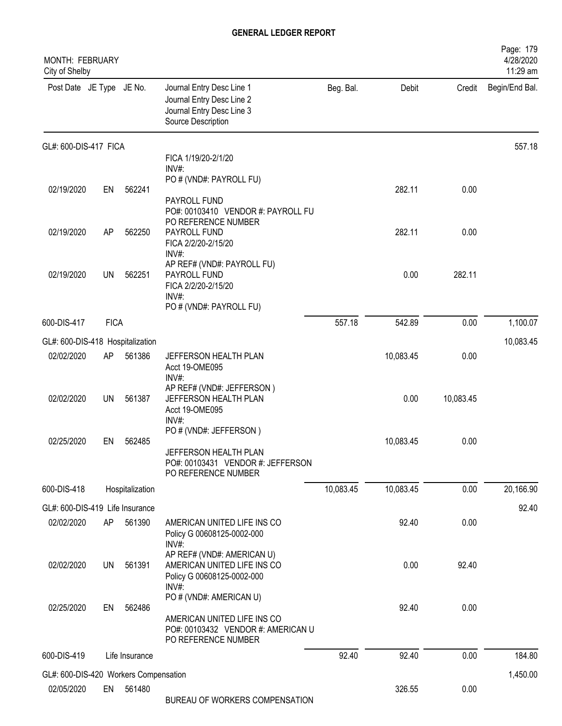| MONTH: FEBRUARY<br>City of Shelby     |             |                 |                                                                                                           |           |           |           | Page: 179<br>4/28/2020<br>11:29 am |
|---------------------------------------|-------------|-----------------|-----------------------------------------------------------------------------------------------------------|-----------|-----------|-----------|------------------------------------|
| Post Date JE Type JE No.              |             |                 | Journal Entry Desc Line 1<br>Journal Entry Desc Line 2<br>Journal Entry Desc Line 3<br>Source Description | Beg. Bal. | Debit     | Credit    | Begin/End Bal.                     |
| GL#: 600-DIS-417 FICA                 |             |                 |                                                                                                           |           |           |           | 557.18                             |
|                                       |             |                 | FICA 1/19/20-2/1/20<br>INV#:                                                                              |           |           |           |                                    |
|                                       |             |                 | PO # (VND#: PAYROLL FU)                                                                                   |           |           |           |                                    |
| 02/19/2020                            | EN          | 562241          | PAYROLL FUND                                                                                              |           | 282.11    | 0.00      |                                    |
|                                       |             |                 | PO#: 00103410 VENDOR #: PAYROLL FU                                                                        |           |           |           |                                    |
| 02/19/2020                            | AP          | 562250          | PO REFERENCE NUMBER<br>PAYROLL FUND                                                                       |           | 282.11    | 0.00      |                                    |
|                                       |             |                 | FICA 2/2/20-2/15/20                                                                                       |           |           |           |                                    |
|                                       |             |                 | INV#:<br>AP REF# (VND#: PAYROLL FU)                                                                       |           |           |           |                                    |
| 02/19/2020                            | UN          | 562251          | PAYROLL FUND<br>FICA 2/2/20-2/15/20                                                                       |           | 0.00      | 282.11    |                                    |
|                                       |             |                 | INV#                                                                                                      |           |           |           |                                    |
|                                       |             |                 | PO # (VND#: PAYROLL FU)                                                                                   |           |           |           |                                    |
| 600-DIS-417                           | <b>FICA</b> |                 |                                                                                                           | 557.18    | 542.89    | 0.00      | 1,100.07                           |
| GL#: 600-DIS-418 Hospitalization      |             |                 |                                                                                                           |           |           |           | 10,083.45                          |
| 02/02/2020                            | AP          | 561386          | JEFFERSON HEALTH PLAN<br>Acct 19-OME095                                                                   |           | 10,083.45 | 0.00      |                                    |
|                                       |             |                 | INV#:                                                                                                     |           |           |           |                                    |
| 02/02/2020                            | UN          | 561387          | AP REF# (VND#: JEFFERSON)<br>JEFFERSON HEALTH PLAN                                                        |           | 0.00      | 10,083.45 |                                    |
|                                       |             |                 | Acct 19-OME095                                                                                            |           |           |           |                                    |
|                                       |             |                 | INV#:<br>PO # (VND#: JEFFERSON)                                                                           |           |           |           |                                    |
| 02/25/2020                            | EN          | 562485          | JEFFERSON HEALTH PLAN                                                                                     |           | 10,083.45 | 0.00      |                                    |
|                                       |             |                 | PO#: 00103431 VENDOR #: JEFFERSON                                                                         |           |           |           |                                    |
|                                       |             |                 | PO REFERENCE NUMBER                                                                                       |           |           |           |                                    |
| 600-DIS-418                           |             | Hospitalization |                                                                                                           | 10,083.45 | 10,083.45 | 0.00      | 20,166.90                          |
| GL#: 600-DIS-419 Life Insurance       |             |                 |                                                                                                           |           |           |           | 92.40                              |
| 02/02/2020                            | AP          | 561390          | AMERICAN UNITED LIFE INS CO<br>Policy G 00608125-0002-000                                                 |           | 92.40     | 0.00      |                                    |
|                                       |             |                 | $INV#$ :                                                                                                  |           |           |           |                                    |
| 02/02/2020                            | UN          | 561391          | AP REF# (VND#: AMERICAN U)<br>AMERICAN UNITED LIFE INS CO                                                 |           | 0.00      | 92.40     |                                    |
|                                       |             |                 | Policy G 00608125-0002-000                                                                                |           |           |           |                                    |
|                                       |             |                 | INV#:<br>PO # (VND#: AMERICAN U)                                                                          |           |           |           |                                    |
| 02/25/2020                            | EN          | 562486          |                                                                                                           |           | 92.40     | 0.00      |                                    |
|                                       |             |                 | AMERICAN UNITED LIFE INS CO<br>PO#: 00103432 VENDOR #: AMERICAN U                                         |           |           |           |                                    |
|                                       |             |                 | PO REFERENCE NUMBER                                                                                       |           |           |           |                                    |
| 600-DIS-419                           |             | Life Insurance  |                                                                                                           | 92.40     | 92.40     | 0.00      | 184.80                             |
| GL#: 600-DIS-420 Workers Compensation |             |                 |                                                                                                           |           |           |           | 1,450.00                           |
| 02/05/2020                            |             | EN 561480       | BUREAU OF WORKERS COMPENSATION                                                                            |           | 326.55    | 0.00      |                                    |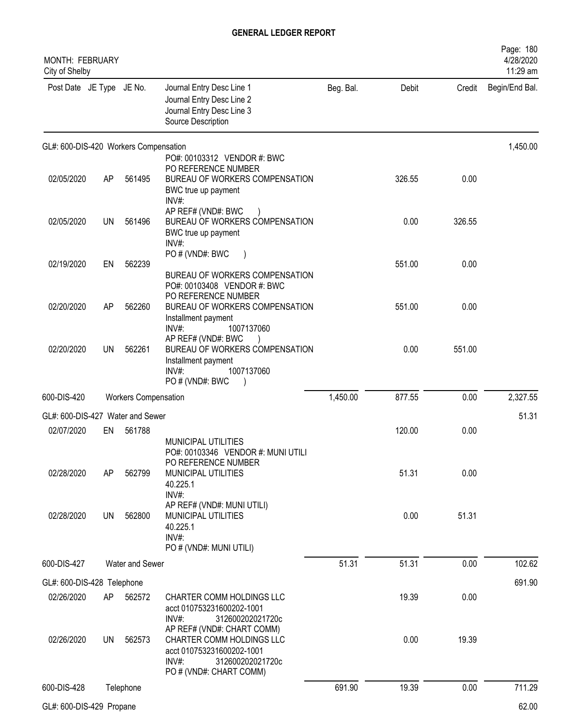| <b>MONTH: FEBRUARY</b><br>City of Shelby |           |                             |                                                                                                                                    |           |        |        | Page: 180<br>4/28/2020<br>11:29 am |
|------------------------------------------|-----------|-----------------------------|------------------------------------------------------------------------------------------------------------------------------------|-----------|--------|--------|------------------------------------|
| Post Date JE Type JE No.                 |           |                             | Journal Entry Desc Line 1<br>Journal Entry Desc Line 2<br>Journal Entry Desc Line 3<br>Source Description                          | Beg. Bal. | Debit  | Credit | Begin/End Bal.                     |
| GL#: 600-DIS-420 Workers Compensation    |           |                             |                                                                                                                                    |           |        |        | 1,450.00                           |
| 02/05/2020                               | AP        | 561495                      | PO#: 00103312 VENDOR #: BWC<br>PO REFERENCE NUMBER<br>BUREAU OF WORKERS COMPENSATION<br>BWC true up payment<br>INV#:               |           | 326.55 | 0.00   |                                    |
| 02/05/2020                               | <b>UN</b> | 561496                      | AP REF# (VND#: BWC<br>BUREAU OF WORKERS COMPENSATION<br>BWC true up payment<br>$INV#$ :                                            |           | 0.00   | 326.55 |                                    |
| 02/19/2020                               | EN        | 562239                      | PO # (VND#: BWC<br>BUREAU OF WORKERS COMPENSATION                                                                                  |           | 551.00 | 0.00   |                                    |
| 02/20/2020                               | AP        | 562260                      | PO#: 00103408 VENDOR #: BWC<br>PO REFERENCE NUMBER<br>BUREAU OF WORKERS COMPENSATION<br>Installment payment<br>INV#:<br>1007137060 |           | 551.00 | 0.00   |                                    |
| 02/20/2020                               | <b>UN</b> | 562261                      | AP REF# (VND#: BWC<br>BUREAU OF WORKERS COMPENSATION<br>Installment payment<br>$INV#$ :<br>1007137060                              |           | 0.00   | 551.00 |                                    |
| 600-DIS-420                              |           | <b>Workers Compensation</b> | PO # (VND#: BWC                                                                                                                    | 1,450.00  | 877.55 | 0.00   | 2,327.55                           |
| GL#: 600-DIS-427 Water and Sewer         |           |                             |                                                                                                                                    |           |        |        | 51.31                              |
| 02/07/2020                               | EN        | 561788                      |                                                                                                                                    |           | 120.00 | 0.00   |                                    |
| 02/28/2020                               | AP        | 562799                      | MUNICIPAL UTILITIES<br>PO#: 00103346 VENDOR #: MUNI UTILI<br>PO REFERENCE NUMBER<br>MUNICIPAL UTILITIES<br>40.225.1<br>$INV#$ :    |           | 51.31  | 0.00   |                                    |
| 02/28/2020                               | <b>UN</b> | 562800                      | AP REF# (VND#: MUNI UTILI)<br>MUNICIPAL UTILITIES<br>40.225.1<br>INV#:<br>PO # (VND#: MUNI UTILI)                                  |           | 0.00   | 51.31  |                                    |
| 600-DIS-427                              |           | Water and Sewer             |                                                                                                                                    | 51.31     | 51.31  | 0.00   | 102.62                             |
| GL#: 600-DIS-428 Telephone               |           |                             |                                                                                                                                    |           |        |        | 691.90                             |
| 02/26/2020                               | AP        | 562572                      | CHARTER COMM HOLDINGS LLC<br>acct 010753231600202-1001<br>$INV#$ :<br>312600202021720c<br>AP REF# (VND#: CHART COMM)               |           | 19.39  | 0.00   |                                    |
| 02/26/2020                               | <b>UN</b> | 562573                      | CHARTER COMM HOLDINGS LLC<br>acct 010753231600202-1001<br>$INV#$ :<br>312600202021720c<br>PO # (VND#: CHART COMM)                  |           | 0.00   | 19.39  |                                    |
| 600-DIS-428                              |           | Telephone                   |                                                                                                                                    | 691.90    | 19.39  | 0.00   | 711.29                             |
| GL#: 600-DIS-429 Propane                 |           |                             |                                                                                                                                    |           |        |        | 62.00                              |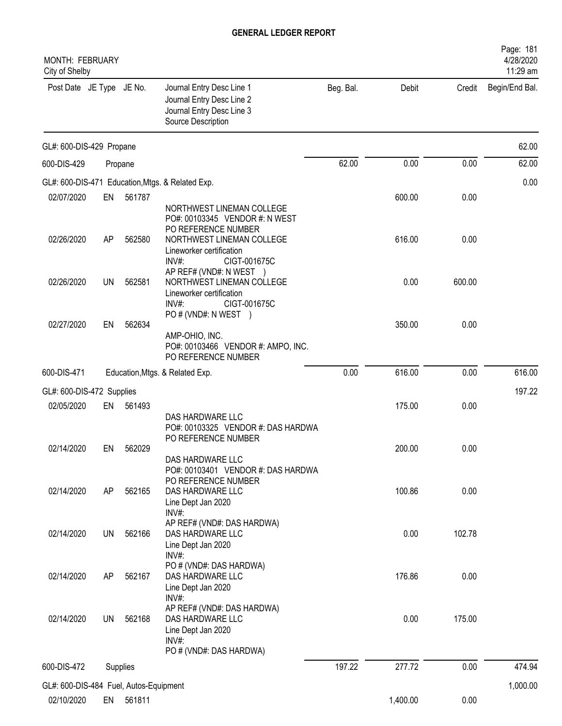| MONTH: FEBRUARY<br>City of Shelby                    |           |          |                                                                                                           |           |          |        | 4/28/2020<br>11:29 am |
|------------------------------------------------------|-----------|----------|-----------------------------------------------------------------------------------------------------------|-----------|----------|--------|-----------------------|
| Post Date JE Type JE No.                             |           |          | Journal Entry Desc Line 1<br>Journal Entry Desc Line 2<br>Journal Entry Desc Line 3<br>Source Description | Beg. Bal. | Debit    | Credit | Begin/End Bal.        |
| GL#: 600-DIS-429 Propane                             |           |          |                                                                                                           |           |          |        | 62.00                 |
| 600-DIS-429                                          |           | Propane  |                                                                                                           | 62.00     | 0.00     | 0.00   | 62.00                 |
|                                                      |           |          | GL#: 600-DIS-471 Education, Mtgs. & Related Exp.                                                          |           |          |        | 0.00                  |
| 02/07/2020                                           | EN        | 561787   |                                                                                                           |           | 600.00   | 0.00   |                       |
|                                                      |           |          | NORTHWEST LINEMAN COLLEGE<br>PO#: 00103345 VENDOR #: N WEST<br>PO REFERENCE NUMBER                        |           |          |        |                       |
| 02/26/2020                                           | AP        | 562580   | NORTHWEST LINEMAN COLLEGE<br>Lineworker certification<br>INV#:<br>CIGT-001675C                            |           | 616.00   | 0.00   |                       |
| 02/26/2020                                           | UN        | 562581   | AP REF# (VND#: N WEST )<br>NORTHWEST LINEMAN COLLEGE                                                      |           | 0.00     | 600.00 |                       |
|                                                      |           |          | Lineworker certification<br>INV#:<br>CIGT-001675C<br>PO # (VND#: N WEST )                                 |           |          |        |                       |
| 02/27/2020                                           | EN        | 562634   | AMP-OHIO, INC.                                                                                            |           | 350.00   | 0.00   |                       |
|                                                      |           |          | PO#: 00103466 VENDOR #: AMPO, INC.<br>PO REFERENCE NUMBER                                                 |           |          |        |                       |
| 600-DIS-471                                          |           |          | Education, Mtgs. & Related Exp.                                                                           | 0.00      | 616.00   | 0.00   | 616.00                |
| GL#: 600-DIS-472 Supplies                            |           |          |                                                                                                           |           |          |        | 197.22                |
| 02/05/2020                                           | EN        | 561493   |                                                                                                           |           | 175.00   | 0.00   |                       |
|                                                      |           |          | DAS HARDWARE LLC<br>PO#: 00103325 VENDOR #: DAS HARDWA<br>PO REFERENCE NUMBER                             |           |          |        |                       |
| 02/14/2020                                           | EN        | 562029   | DAS HARDWARE LLC                                                                                          |           | 200.00   | 0.00   |                       |
| 02/14/2020                                           | AP        | 562165   | PO#: 00103401 VENDOR #: DAS HARDWA<br>PO REFERENCE NUMBER<br>DAS HARDWARE LLC                             |           | 100.86   | 0.00   |                       |
|                                                      |           |          | Line Dept Jan 2020<br>INV#:                                                                               |           |          |        |                       |
| 02/14/2020                                           | <b>UN</b> | 562166   | AP REF# (VND#: DAS HARDWA)<br>DAS HARDWARE LLC                                                            |           | 0.00     | 102.78 |                       |
|                                                      |           |          | Line Dept Jan 2020<br>$INV#$ :                                                                            |           |          |        |                       |
| 02/14/2020                                           | AP        | 562167   | PO # (VND#: DAS HARDWA)<br>DAS HARDWARE LLC                                                               |           | 176.86   | 0.00   |                       |
|                                                      |           |          | Line Dept Jan 2020<br>INV#:                                                                               |           |          |        |                       |
| 02/14/2020                                           | UN        | 562168   | AP REF# (VND#: DAS HARDWA)<br>DAS HARDWARE LLC                                                            |           | 0.00     | 175.00 |                       |
|                                                      |           |          | Line Dept Jan 2020<br>INV#:                                                                               |           |          |        |                       |
| 600-DIS-472                                          |           | Supplies | PO # (VND#: DAS HARDWA)                                                                                   | 197.22    | 277.72   | 0.00   | 474.94                |
|                                                      |           |          |                                                                                                           |           |          |        |                       |
| GL#: 600-DIS-484 Fuel, Autos-Equipment<br>02/10/2020 | EN        | 561811   |                                                                                                           |           | 1,400.00 | 0.00   | 1,000.00              |
|                                                      |           |          |                                                                                                           |           |          |        |                       |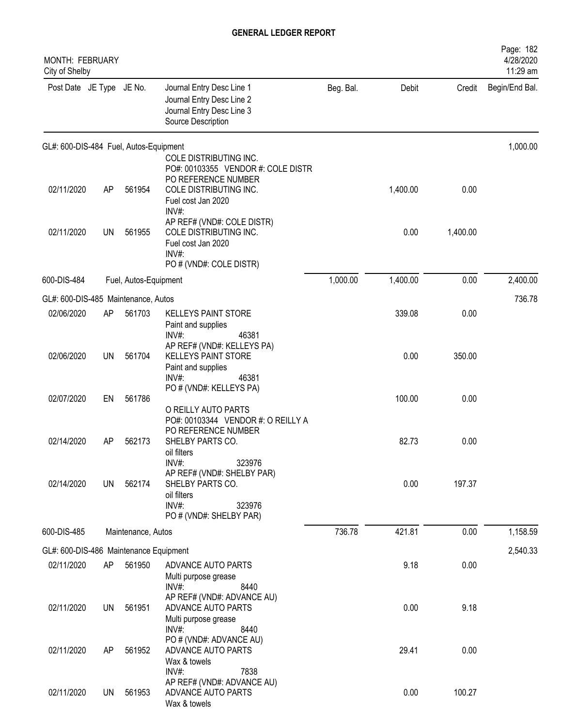| MONTH: FEBRUARY<br>City of Shelby      |           |                       |                                                                                                                   |           |          |          | Page: 182<br>4/28/2020<br>11:29 am |
|----------------------------------------|-----------|-----------------------|-------------------------------------------------------------------------------------------------------------------|-----------|----------|----------|------------------------------------|
| Post Date JE Type JE No.               |           |                       | Journal Entry Desc Line 1<br>Journal Entry Desc Line 2<br>Journal Entry Desc Line 3<br>Source Description         | Beg. Bal. | Debit    | Credit   | Begin/End Bal.                     |
| GL#: 600-DIS-484 Fuel, Autos-Equipment |           |                       |                                                                                                                   |           |          |          | 1,000.00                           |
| 02/11/2020                             | AP        | 561954                | COLE DISTRIBUTING INC.<br>PO#: 00103355 VENDOR #: COLE DISTR<br>PO REFERENCE NUMBER<br>COLE DISTRIBUTING INC.     |           | 1,400.00 | 0.00     |                                    |
|                                        |           |                       | Fuel cost Jan 2020<br>INV#:                                                                                       |           |          |          |                                    |
| 02/11/2020                             | <b>UN</b> | 561955                | AP REF# (VND#: COLE DISTR)<br>COLE DISTRIBUTING INC.<br>Fuel cost Jan 2020<br>$INV#$ :<br>PO # (VND#: COLE DISTR) |           | 0.00     | 1,400.00 |                                    |
| 600-DIS-484                            |           | Fuel, Autos-Equipment |                                                                                                                   | 1,000.00  | 1,400.00 | 0.00     | 2,400.00                           |
| GL#: 600-DIS-485 Maintenance, Autos    |           |                       |                                                                                                                   |           |          |          | 736.78                             |
| 02/06/2020                             | AP        | 561703                | <b>KELLEYS PAINT STORE</b><br>Paint and supplies<br>46381<br>INV#                                                 |           | 339.08   | 0.00     |                                    |
| 02/06/2020                             | UN        | 561704                | AP REF# (VND#: KELLEYS PA)<br><b>KELLEYS PAINT STORE</b><br>Paint and supplies<br>INV#:<br>46381                  |           | 0.00     | 350.00   |                                    |
| 02/07/2020                             | EN        | 561786                | PO # (VND#: KELLEYS PA)                                                                                           |           | 100.00   | 0.00     |                                    |
|                                        |           |                       | O REILLY AUTO PARTS<br>PO#: 00103344 VENDOR #: O REILLY A<br>PO REFERENCE NUMBER                                  |           |          |          |                                    |
| 02/14/2020                             | AP        | 562173                | SHELBY PARTS CO.<br>oil filters<br>$INV#$ :<br>323976                                                             |           | 82.73    | 0.00     |                                    |
| 02/14/2020                             | UN        | 562174                | AP REF# (VND#: SHELBY PAR)<br>SHELBY PARTS CO.<br>oil filters<br>INV#:<br>323976<br>PO # (VND#: SHELBY PAR)       |           | 0.00     | 197.37   |                                    |
| 600-DIS-485                            |           | Maintenance, Autos    |                                                                                                                   | 736.78    | 421.81   | 0.00     | 1,158.59                           |
| GL#: 600-DIS-486 Maintenance Equipment |           |                       |                                                                                                                   |           |          |          | 2,540.33                           |
| 02/11/2020                             | AP        | 561950                | ADVANCE AUTO PARTS<br>Multi purpose grease<br>INV#:<br>8440                                                       |           | 9.18     | 0.00     |                                    |
| 02/11/2020                             | UN        | 561951                | AP REF# (VND#: ADVANCE AU)<br>ADVANCE AUTO PARTS<br>Multi purpose grease<br>INV#:<br>8440                         |           | 0.00     | 9.18     |                                    |
| 02/11/2020                             | AP        | 561952                | PO # (VND#: ADVANCE AU)<br>ADVANCE AUTO PARTS<br>Wax & towels<br>$INV#$ :<br>7838                                 |           | 29.41    | 0.00     |                                    |
| 02/11/2020                             | UN        | 561953                | AP REF# (VND#: ADVANCE AU)<br>ADVANCE AUTO PARTS<br>Wax & towels                                                  |           | 0.00     | 100.27   |                                    |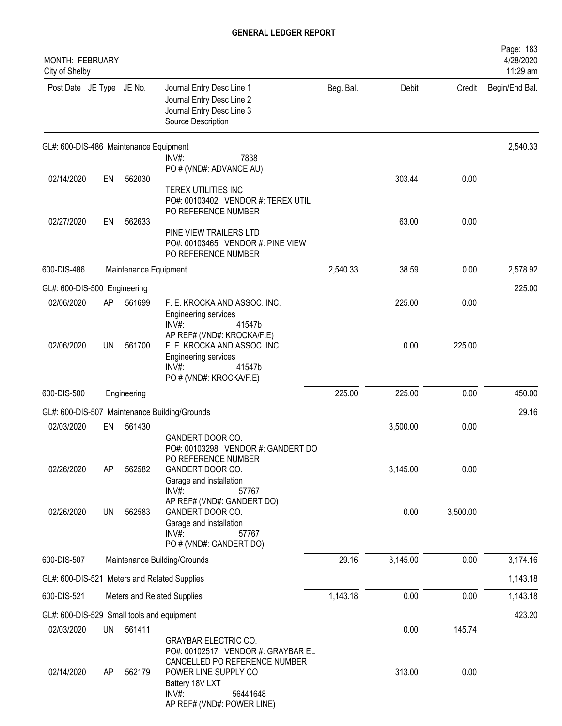| <b>MONTH: FEBRUARY</b><br>City of Shelby   |           |                       |                                                                                                                                                                                                     |           |          |          | Page: 183<br>4/28/2020<br>11:29 am |
|--------------------------------------------|-----------|-----------------------|-----------------------------------------------------------------------------------------------------------------------------------------------------------------------------------------------------|-----------|----------|----------|------------------------------------|
| Post Date JE Type JE No.                   |           |                       | Journal Entry Desc Line 1<br>Journal Entry Desc Line 2<br>Journal Entry Desc Line 3<br>Source Description                                                                                           | Beg. Bal. | Debit    | Credit   | Begin/End Bal.                     |
| GL#: 600-DIS-486 Maintenance Equipment     |           |                       |                                                                                                                                                                                                     |           |          |          | 2,540.33                           |
|                                            |           |                       | INV#:<br>7838<br>PO # (VND#: ADVANCE AU)                                                                                                                                                            |           |          |          |                                    |
| 02/14/2020                                 | EN        | 562030                |                                                                                                                                                                                                     |           | 303.44   | 0.00     |                                    |
|                                            |           |                       | TEREX UTILITIES INC<br>PO#: 00103402 VENDOR #: TEREX UTIL<br>PO REFERENCE NUMBER                                                                                                                    |           |          |          |                                    |
| 02/27/2020                                 | EN        | 562633                | PINE VIEW TRAILERS LTD<br>PO#: 00103465 VENDOR #: PINE VIEW<br>PO REFERENCE NUMBER                                                                                                                  |           | 63.00    | 0.00     |                                    |
| 600-DIS-486                                |           | Maintenance Equipment |                                                                                                                                                                                                     | 2,540.33  | 38.59    | 0.00     | 2,578.92                           |
| GL#: 600-DIS-500 Engineering               |           |                       |                                                                                                                                                                                                     |           |          |          | 225.00                             |
| 02/06/2020                                 | AP        | 561699                | F. E. KROCKA AND ASSOC. INC.<br><b>Engineering services</b><br>$INV#$ :<br>41547b                                                                                                                   |           | 225.00   | 0.00     |                                    |
| 02/06/2020                                 | UN        | 561700                | AP REF# (VND#: KROCKA/F.E)<br>F. E. KROCKA AND ASSOC. INC.<br>Engineering services<br>INV#:<br>41547b<br>PO # (VND#: KROCKA/F.E)                                                                    |           | 0.00     | 225.00   |                                    |
| 600-DIS-500                                |           | Engineering           |                                                                                                                                                                                                     | 225.00    | 225.00   | 0.00     | 450.00                             |
|                                            |           |                       | GL#: 600-DIS-507 Maintenance Building/Grounds                                                                                                                                                       |           |          |          | 29.16                              |
| 02/03/2020                                 | EN        | 561430                | GANDERT DOOR CO.<br>PO#: 00103298 VENDOR #: GANDERT DO                                                                                                                                              |           | 3,500.00 | 0.00     |                                    |
| 02/26/2020                                 | AP        | 562582                | PO REFERENCE NUMBER<br>GANDERT DOOR CO.<br>Garage and installation<br>INV#:<br>57767                                                                                                                |           | 3,145.00 | 0.00     |                                    |
| 02/26/2020                                 | <b>UN</b> | 562583                | AP REF# (VND#: GANDERT DO)<br>GANDERT DOOR CO.<br>Garage and installation<br>INV#:<br>57767<br>PO # (VND#: GANDERT DO)                                                                              |           | 0.00     | 3,500.00 |                                    |
| 600-DIS-507                                |           |                       | Maintenance Building/Grounds                                                                                                                                                                        | 29.16     | 3,145.00 | 0.00     | 3,174.16                           |
|                                            |           |                       | GL#: 600-DIS-521 Meters and Related Supplies                                                                                                                                                        |           |          |          | 1,143.18                           |
| 600-DIS-521                                |           |                       | Meters and Related Supplies                                                                                                                                                                         | 1,143.18  | 0.00     | 0.00     | 1,143.18                           |
| GL#: 600-DIS-529 Small tools and equipment |           |                       |                                                                                                                                                                                                     |           |          |          | 423.20                             |
| 02/03/2020                                 | <b>UN</b> | 561411                |                                                                                                                                                                                                     |           | 0.00     | 145.74   |                                    |
| 02/14/2020                                 | AP        | 562179                | <b>GRAYBAR ELECTRIC CO.</b><br>PO#: 00102517 VENDOR #: GRAYBAR EL<br>CANCELLED PO REFERENCE NUMBER<br>POWER LINE SUPPLY CO<br>Battery 18V LXT<br>$INV#$ :<br>56441648<br>AP REF# (VND#: POWER LINE) |           | 313.00   | 0.00     |                                    |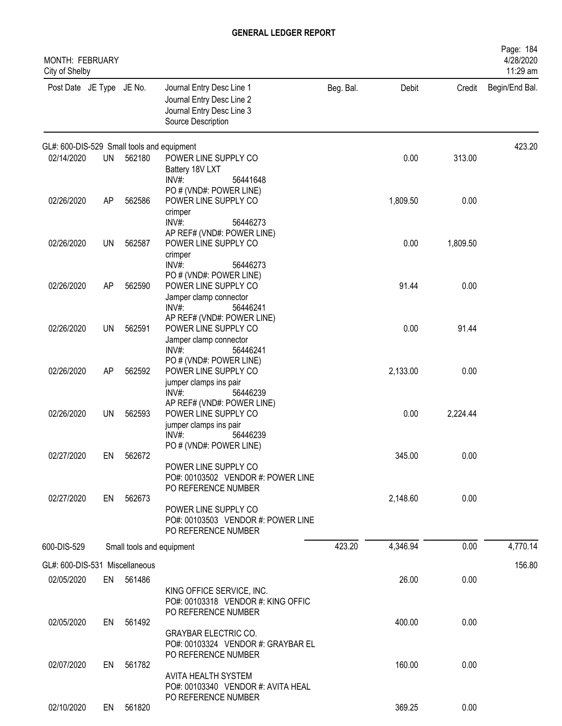| <b>MONTH: FEBRUARY</b><br>City of Shelby   |           |           |                                                                                                                                 |           |          |          | Page: 184<br>4/28/2020<br>11:29 am |
|--------------------------------------------|-----------|-----------|---------------------------------------------------------------------------------------------------------------------------------|-----------|----------|----------|------------------------------------|
| Post Date JE Type JE No.                   |           |           | Journal Entry Desc Line 1<br>Journal Entry Desc Line 2<br>Journal Entry Desc Line 3<br>Source Description                       | Beg. Bal. | Debit    | Credit   | Begin/End Bal.                     |
| GL#: 600-DIS-529 Small tools and equipment |           |           |                                                                                                                                 |           |          |          | 423.20                             |
| 02/14/2020                                 | <b>UN</b> | 562180    | POWER LINE SUPPLY CO<br>Battery 18V LXT<br>$INV#$ :<br>56441648                                                                 |           | 0.00     | 313.00   |                                    |
| 02/26/2020                                 | AP        | 562586    | PO # (VND#: POWER LINE)<br>POWER LINE SUPPLY CO<br>crimper<br>INV#:<br>56446273                                                 |           | 1,809.50 | 0.00     |                                    |
| 02/26/2020                                 | <b>UN</b> | 562587    | AP REF# (VND#: POWER LINE)<br>POWER LINE SUPPLY CO<br>crimper<br>$INV#$ :<br>56446273                                           |           | 0.00     | 1,809.50 |                                    |
| 02/26/2020                                 | AP        | 562590    | PO # (VND#: POWER LINE)<br>POWER LINE SUPPLY CO<br>Jamper clamp connector<br>$INV#$ :<br>56446241                               |           | 91.44    | 0.00     |                                    |
| 02/26/2020                                 | <b>UN</b> | 562591    | AP REF# (VND#: POWER LINE)<br>POWER LINE SUPPLY CO<br>Jamper clamp connector<br>INV#:<br>56446241                               |           | 0.00     | 91.44    |                                    |
| 02/26/2020                                 | AP        | 562592    | PO # (VND#: POWER LINE)<br>POWER LINE SUPPLY CO<br>jumper clamps ins pair<br>INV#:<br>56446239                                  |           | 2,133.00 | 0.00     |                                    |
| 02/26/2020                                 | <b>UN</b> | 562593    | AP REF# (VND#: POWER LINE)<br>POWER LINE SUPPLY CO<br>jumper clamps ins pair<br>$INV#$ :<br>56446239<br>PO # (VND#: POWER LINE) |           | 0.00     | 2,224.44 |                                    |
| 02/27/2020                                 | EN        | 562672    | POWER LINE SUPPLY CO<br>PO#: 00103502 VENDOR #: POWER LINE                                                                      |           | 345.00   | 0.00     |                                    |
| 02/27/2020                                 | EN        | 562673    | PO REFERENCE NUMBER<br>POWER LINE SUPPLY CO<br>PO#: 00103503 VENDOR #: POWER LINE<br>PO REFERENCE NUMBER                        |           | 2,148.60 | 0.00     |                                    |
| 600-DIS-529                                |           |           | Small tools and equipment                                                                                                       | 423.20    | 4,346.94 | 0.00     | 4,770.14                           |
| GL#: 600-DIS-531 Miscellaneous             |           |           |                                                                                                                                 |           |          |          | 156.80                             |
| 02/05/2020                                 |           | EN 561486 | KING OFFICE SERVICE, INC.<br>PO#: 00103318 VENDOR #: KING OFFIC<br>PO REFERENCE NUMBER                                          |           | 26.00    | 0.00     |                                    |
| 02/05/2020                                 | EN        | 561492    | <b>GRAYBAR ELECTRIC CO.</b><br>PO#: 00103324 VENDOR #: GRAYBAR EL<br>PO REFERENCE NUMBER                                        |           | 400.00   | 0.00     |                                    |
| 02/07/2020                                 | EN        | 561782    | AVITA HEALTH SYSTEM<br>PO#: 00103340 VENDOR #: AVITA HEAL                                                                       |           | 160.00   | 0.00     |                                    |
| 02/10/2020                                 | EN        | 561820    | PO REFERENCE NUMBER                                                                                                             |           | 369.25   | 0.00     |                                    |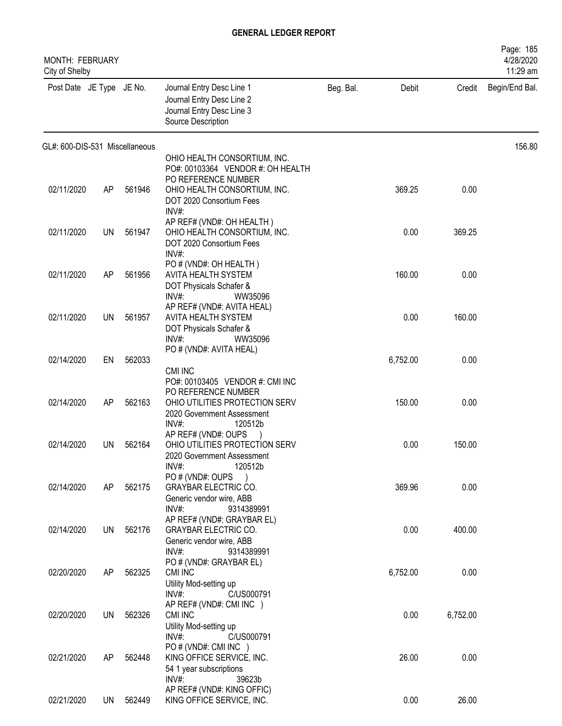| MONTH: FEBRUARY<br>City of Shelby |           |        |                                                                                                                                               |           |          |          | Page: 185<br>4/28/2020<br>11:29 am |
|-----------------------------------|-----------|--------|-----------------------------------------------------------------------------------------------------------------------------------------------|-----------|----------|----------|------------------------------------|
| Post Date JE Type JE No.          |           |        | Journal Entry Desc Line 1<br>Journal Entry Desc Line 2<br>Journal Entry Desc Line 3<br>Source Description                                     | Beg. Bal. | Debit    | Credit   | Begin/End Bal.                     |
| GL#: 600-DIS-531 Miscellaneous    |           |        |                                                                                                                                               |           |          |          | 156.80                             |
|                                   |           |        | OHIO HEALTH CONSORTIUM, INC.<br>PO#: 00103364 VENDOR #: OH HEALTH                                                                             |           |          |          |                                    |
| 02/11/2020                        | AP        | 561946 | PO REFERENCE NUMBER<br>OHIO HEALTH CONSORTIUM, INC.<br>DOT 2020 Consortium Fees<br>$INV#$ :                                                   |           | 369.25   | 0.00     |                                    |
| 02/11/2020                        | UN        | 561947 | AP REF# (VND#: OH HEALTH)<br>OHIO HEALTH CONSORTIUM, INC.<br>DOT 2020 Consortium Fees<br>INV#                                                 |           | 0.00     | 369.25   |                                    |
| 02/11/2020                        | AP        | 561956 | PO # (VND#: OH HEALTH)<br>AVITA HEALTH SYSTEM<br>DOT Physicals Schafer &<br>INV#:<br>WW35096                                                  |           | 160.00   | 0.00     |                                    |
| 02/11/2020                        | <b>UN</b> | 561957 | AP REF# (VND#: AVITA HEAL)<br>AVITA HEALTH SYSTEM<br>DOT Physicals Schafer &<br>INV#:<br>WW35096                                              |           | 0.00     | 160.00   |                                    |
| 02/14/2020                        |           | 562033 | PO # (VND#: AVITA HEAL)                                                                                                                       |           |          |          |                                    |
|                                   | EN        |        | CMI INC                                                                                                                                       |           | 6,752.00 | 0.00     |                                    |
| 02/14/2020                        | AP        | 562163 | PO#: 00103405 VENDOR #: CMI INC<br>PO REFERENCE NUMBER<br>OHIO UTILITIES PROTECTION SERV<br>2020 Government Assessment<br>$INV#$ :<br>120512b |           | 150.00   | 0.00     |                                    |
| 02/14/2020                        | UN        | 562164 | AP REF# (VND#: OUPS<br>OHIO UTILITIES PROTECTION SERV<br>2020 Government Assessment<br>INV#:<br>120512b                                       |           | 0.00     | 150.00   |                                    |
| 02/14/2020                        | AP        | 562175 | PO # (VND#: OUPS<br><b>GRAYBAR ELECTRIC CO.</b><br>Generic vendor wire, ABB<br>INV#:<br>9314389991                                            |           | 369.96   | 0.00     |                                    |
| 02/14/2020                        | UN        | 562176 | AP REF# (VND#: GRAYBAR EL)<br><b>GRAYBAR ELECTRIC CO.</b><br>Generic vendor wire, ABB<br>$INV#$ :<br>9314389991                               |           | 0.00     | 400.00   |                                    |
| 02/20/2020                        | AP        | 562325 | PO # (VND#: GRAYBAR EL)<br>CMI INC<br>Utility Mod-setting up<br>$INV#$ :<br>C/US000791                                                        |           | 6,752.00 | 0.00     |                                    |
| 02/20/2020                        | UN        | 562326 | AP REF# (VND#: CMI INC )<br>CMI INC<br>Utility Mod-setting up<br>$INV#$ :<br>C/US000791                                                       |           | 0.00     | 6,752.00 |                                    |
| 02/21/2020                        | AP        | 562448 | PO # (VND#: CMI INC )<br>KING OFFICE SERVICE, INC.<br>54 1 year subscriptions<br>$INV#$ :<br>39623b                                           |           | 26.00    | 0.00     |                                    |
| 02/21/2020                        | UN        | 562449 | AP REF# (VND#: KING OFFIC)<br>KING OFFICE SERVICE, INC.                                                                                       |           | 0.00     | 26.00    |                                    |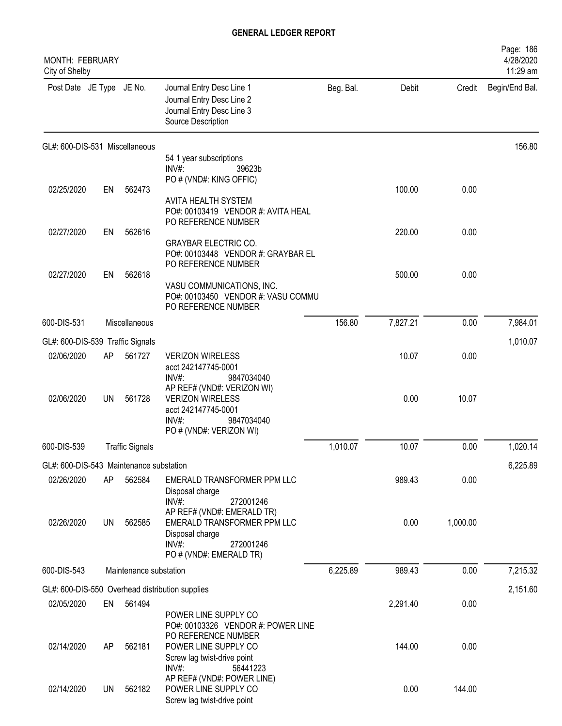| <b>MONTH: FEBRUARY</b><br>City of Shelby |           |                        |                                                                                                                                                       |           |          |          | Page: 186<br>4/28/2020<br>11:29 am |
|------------------------------------------|-----------|------------------------|-------------------------------------------------------------------------------------------------------------------------------------------------------|-----------|----------|----------|------------------------------------|
| Post Date JE Type JE No.                 |           |                        | Journal Entry Desc Line 1<br>Journal Entry Desc Line 2<br>Journal Entry Desc Line 3<br>Source Description                                             | Beg. Bal. | Debit    | Credit   | Begin/End Bal.                     |
| GL#: 600-DIS-531 Miscellaneous           |           |                        |                                                                                                                                                       |           |          |          | 156.80                             |
|                                          |           |                        | 54 1 year subscriptions<br>INV#:<br>39623b                                                                                                            |           |          |          |                                    |
|                                          |           |                        | PO # (VND#: KING OFFIC)                                                                                                                               |           |          |          |                                    |
| 02/25/2020                               | EN        | 562473                 |                                                                                                                                                       |           | 100.00   | 0.00     |                                    |
|                                          |           |                        | AVITA HEALTH SYSTEM<br>PO#: 00103419 VENDOR #: AVITA HEAL<br>PO REFERENCE NUMBER                                                                      |           |          |          |                                    |
| 02/27/2020                               | EN        | 562616                 |                                                                                                                                                       |           | 220.00   | 0.00     |                                    |
|                                          |           |                        | <b>GRAYBAR ELECTRIC CO.</b><br>PO#: 00103448 VENDOR #: GRAYBAR EL<br>PO REFERENCE NUMBER                                                              |           |          |          |                                    |
| 02/27/2020                               | EN        | 562618                 |                                                                                                                                                       |           | 500.00   | 0.00     |                                    |
|                                          |           |                        | VASU COMMUNICATIONS, INC.<br>PO#: 00103450 VENDOR #: VASU COMMU<br>PO REFERENCE NUMBER                                                                |           |          |          |                                    |
| 600-DIS-531                              |           | Miscellaneous          |                                                                                                                                                       | 156.80    | 7,827.21 | 0.00     | 7,984.01                           |
| GL#: 600-DIS-539 Traffic Signals         |           |                        |                                                                                                                                                       |           |          |          | 1,010.07                           |
| 02/06/2020                               | AP        | 561727                 | <b>VERIZON WIRELESS</b><br>acct 242147745-0001                                                                                                        |           | 10.07    | 0.00     |                                    |
| 02/06/2020                               | <b>UN</b> | 561728                 | INV#:<br>9847034040<br>AP REF# (VND#: VERIZON WI)<br><b>VERIZON WIRELESS</b><br>acct 242147745-0001<br>INV#:<br>9847034040<br>PO # (VND#: VERIZON WI) |           | 0.00     | 10.07    |                                    |
| 600-DIS-539                              |           | <b>Traffic Signals</b> |                                                                                                                                                       | 1,010.07  | 10.07    | 0.00     | 1,020.14                           |
| GL#: 600-DIS-543 Maintenance substation  |           |                        |                                                                                                                                                       |           |          |          | 6,225.89                           |
| 02/26/2020                               | AP        | 562584                 | EMERALD TRANSFORMER PPM LLC                                                                                                                           |           | 989.43   | 0.00     |                                    |
|                                          |           |                        | Disposal charge<br>INV#:<br>272001246<br>AP REF# (VND#: EMERALD TR)                                                                                   |           |          |          |                                    |
| 02/26/2020                               | <b>UN</b> | 562585                 | EMERALD TRANSFORMER PPM LLC<br>Disposal charge<br>INV#:<br>272001246<br>PO # (VND#: EMERALD TR)                                                       |           | 0.00     | 1,000.00 |                                    |
| 600-DIS-543                              |           | Maintenance substation |                                                                                                                                                       | 6,225.89  | 989.43   | 0.00     | 7,215.32                           |
|                                          |           |                        | GL#: 600-DIS-550 Overhead distribution supplies                                                                                                       |           |          |          | 2,151.60                           |
| 02/05/2020                               | EN        | 561494                 |                                                                                                                                                       |           | 2,291.40 | 0.00     |                                    |
| 02/14/2020                               | AP        | 562181                 | POWER LINE SUPPLY CO<br>PO#: 00103326 VENDOR #: POWER LINE<br>PO REFERENCE NUMBER<br>POWER LINE SUPPLY CO                                             |           | 144.00   | 0.00     |                                    |
|                                          |           |                        | Screw lag twist-drive point<br>INV#:<br>56441223                                                                                                      |           |          |          |                                    |
| 02/14/2020                               | UN.       | 562182                 | AP REF# (VND#: POWER LINE)<br>POWER LINE SUPPLY CO<br>Screw lag twist-drive point                                                                     |           | 0.00     | 144.00   |                                    |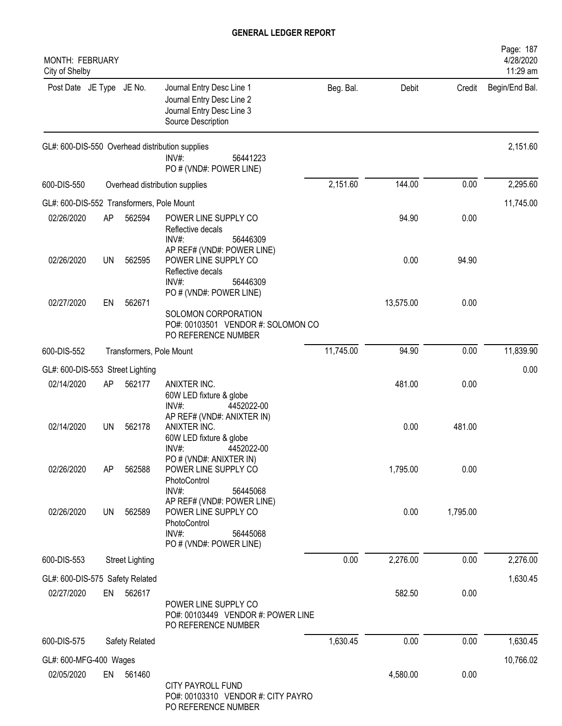| MONTH: FEBRUARY<br>City of Shelby         |           |                          |                                                                                                                    |           |           |          | Page: 187<br>4/28/2020<br>11:29 am |
|-------------------------------------------|-----------|--------------------------|--------------------------------------------------------------------------------------------------------------------|-----------|-----------|----------|------------------------------------|
| Post Date JE Type JE No.                  |           |                          | Journal Entry Desc Line 1<br>Journal Entry Desc Line 2<br>Journal Entry Desc Line 3<br>Source Description          | Beg. Bal. | Debit     | Credit   | Begin/End Bal.                     |
|                                           |           |                          | GL#: 600-DIS-550 Overhead distribution supplies<br>INV#:<br>56441223<br>PO # (VND#: POWER LINE)                    |           |           |          | 2,151.60                           |
| 600-DIS-550                               |           |                          | Overhead distribution supplies                                                                                     | 2,151.60  | 144.00    | 0.00     | 2,295.60                           |
| GL#: 600-DIS-552 Transformers, Pole Mount |           |                          |                                                                                                                    |           |           |          | 11,745.00                          |
| 02/26/2020                                | AP        | 562594                   | POWER LINE SUPPLY CO<br>Reflective decals<br>INV#:<br>56446309                                                     |           | 94.90     | 0.00     |                                    |
| 02/26/2020                                | UN        | 562595                   | AP REF# (VND#: POWER LINE)<br>POWER LINE SUPPLY CO<br>Reflective decals<br>INV#:<br>56446309                       |           | 0.00      | 94.90    |                                    |
| 02/27/2020                                | EN        | 562671                   | PO # (VND#: POWER LINE)<br>SOLOMON CORPORATION<br>PO#: 00103501 VENDOR #: SOLOMON CO<br>PO REFERENCE NUMBER        |           | 13,575.00 | 0.00     |                                    |
| 600-DIS-552                               |           | Transformers, Pole Mount |                                                                                                                    | 11,745.00 | 94.90     | 0.00     | 11,839.90                          |
| GL#: 600-DIS-553 Street Lighting          |           |                          |                                                                                                                    |           |           |          | 0.00                               |
| 02/14/2020                                | AP        | 562177                   | ANIXTER INC.<br>60W LED fixture & globe<br>INV#:<br>4452022-00                                                     |           | 481.00    | 0.00     |                                    |
| 02/14/2020                                | UN        | 562178                   | AP REF# (VND#: ANIXTER IN)<br>ANIXTER INC.<br>60W LED fixture & globe<br>INV#:<br>4452022-00                       |           | 0.00      | 481.00   |                                    |
| 02/26/2020                                | AP        | 562588                   | PO # (VND#: ANIXTER IN)<br>POWER LINE SUPPLY CO<br>PhotoControl<br>INV#:<br>56445068                               |           | 1,795.00  | 0.00     |                                    |
| 02/26/2020                                | <b>UN</b> | 562589                   | AP REF# (VND#: POWER LINE)<br>POWER LINE SUPPLY CO<br>PhotoControl<br>INV#:<br>56445068<br>PO # (VND#: POWER LINE) |           | 0.00      | 1,795.00 |                                    |
| 600-DIS-553                               |           | <b>Street Lighting</b>   |                                                                                                                    | 0.00      | 2,276.00  | 0.00     | 2,276.00                           |
| GL#: 600-DIS-575 Safety Related           |           |                          |                                                                                                                    |           |           |          | 1,630.45                           |
| 02/27/2020                                | EN        | 562617                   | POWER LINE SUPPLY CO<br>PO#: 00103449 VENDOR #: POWER LINE<br>PO REFERENCE NUMBER                                  |           | 582.50    | 0.00     |                                    |
| 600-DIS-575                               |           | Safety Related           |                                                                                                                    | 1,630.45  | 0.00      | 0.00     | 1,630.45                           |
| GL#: 600-MFG-400 Wages                    |           |                          |                                                                                                                    |           |           |          | 10,766.02                          |
| 02/05/2020                                | EN        | 561460                   | <b>CITY PAYROLL FUND</b><br>PO#: 00103310 VENDOR #: CITY PAYRO<br>PO REFERENCE NUMBER                              |           | 4,580.00  | 0.00     |                                    |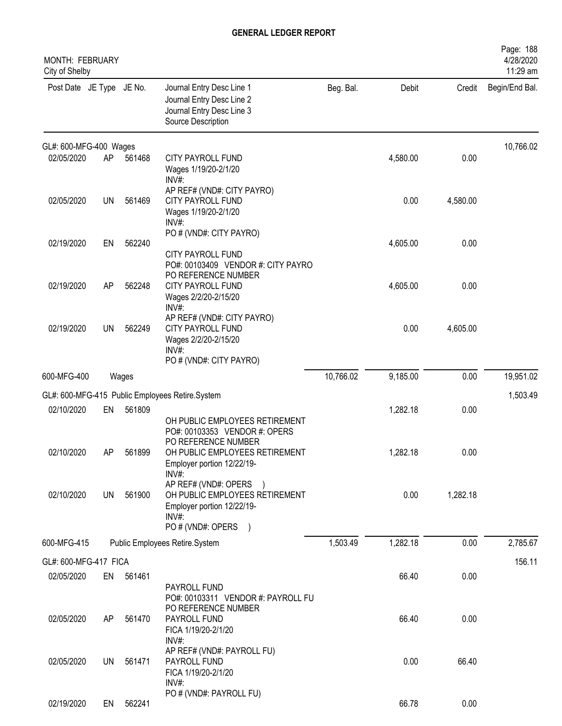| <b>MONTH: FEBRUARY</b><br>City of Shelby |           |           |                                                                                                                   |           |          |          | Page: 188<br>4/28/2020<br>11:29 am |
|------------------------------------------|-----------|-----------|-------------------------------------------------------------------------------------------------------------------|-----------|----------|----------|------------------------------------|
| Post Date JE Type JE No.                 |           |           | Journal Entry Desc Line 1<br>Journal Entry Desc Line 2<br>Journal Entry Desc Line 3<br>Source Description         | Beg. Bal. | Debit    | Credit   | Begin/End Bal.                     |
| GL#: 600-MFG-400 Wages                   |           |           |                                                                                                                   |           |          |          | 10,766.02                          |
| 02/05/2020                               | AP        | 561468    | <b>CITY PAYROLL FUND</b><br>Wages 1/19/20-2/1/20<br>INV#:                                                         |           | 4,580.00 | 0.00     |                                    |
| 02/05/2020                               | <b>UN</b> | 561469    | AP REF# (VND#: CITY PAYRO)<br><b>CITY PAYROLL FUND</b><br>Wages 1/19/20-2/1/20<br>INV#:                           |           | 0.00     | 4,580.00 |                                    |
| 02/19/2020                               | EN        | 562240    | PO # (VND#: CITY PAYRO)<br><b>CITY PAYROLL FUND</b><br>PO#: 00103409 VENDOR #: CITY PAYRO                         |           | 4,605.00 | 0.00     |                                    |
| 02/19/2020                               | AP        | 562248    | PO REFERENCE NUMBER<br><b>CITY PAYROLL FUND</b><br>Wages 2/2/20-2/15/20<br>INV#:                                  |           | 4,605.00 | 0.00     |                                    |
| 02/19/2020                               | UN        | 562249    | AP REF# (VND#: CITY PAYRO)<br><b>CITY PAYROLL FUND</b><br>Wages 2/2/20-2/15/20<br>INV#<br>PO # (VND#: CITY PAYRO) |           | 0.00     | 4,605.00 |                                    |
| 600-MFG-400                              |           | Wages     |                                                                                                                   | 10,766.02 | 9,185.00 | 0.00     | 19,951.02                          |
|                                          |           |           | GL#: 600-MFG-415 Public Employees Retire.System                                                                   |           |          |          | 1,503.49                           |
| 02/10/2020                               | EN        | 561809    | OH PUBLIC EMPLOYEES RETIREMENT<br>PO#: 00103353 VENDOR #: OPERS                                                   |           | 1,282.18 | 0.00     |                                    |
| 02/10/2020                               | AP        | 561899    | PO REFERENCE NUMBER<br>OH PUBLIC EMPLOYEES RETIREMENT<br>Employer portion 12/22/19-<br>INV#:                      |           | 1,282.18 | 0.00     |                                    |
| 02/10/2020                               | UN        | 561900    | AP REF# (VND#: OPERS<br>OH PUBLIC EMPLOYEES RETIREMENT<br>Employer portion 12/22/19-<br>$INV#$ :                  |           | 0.00     | 1,282.18 |                                    |
| 600-MFG-415                              |           |           | PO # (VND#: OPERS<br>$\lambda$<br>Public Employees Retire.System                                                  | 1,503.49  | 1,282.18 | 0.00     | 2,785.67                           |
| GL#: 600-MFG-417 FICA                    |           |           |                                                                                                                   |           |          |          | 156.11                             |
| 02/05/2020                               | EN        | 561461    | PAYROLL FUND<br>PO#: 00103311 VENDOR #: PAYROLL FU                                                                |           | 66.40    | 0.00     |                                    |
| 02/05/2020                               | AP        | 561470    | PO REFERENCE NUMBER<br>PAYROLL FUND<br>FICA 1/19/20-2/1/20<br>INV#:                                               |           | 66.40    | 0.00     |                                    |
| 02/05/2020                               | UN        | 561471    | AP REF# (VND#: PAYROLL FU)<br>PAYROLL FUND<br>FICA 1/19/20-2/1/20<br>INV#:                                        |           | 0.00     | 66.40    |                                    |
| 02/19/2020                               |           | EN 562241 | PO # (VND#: PAYROLL FU)                                                                                           |           | 66.78    | 0.00     |                                    |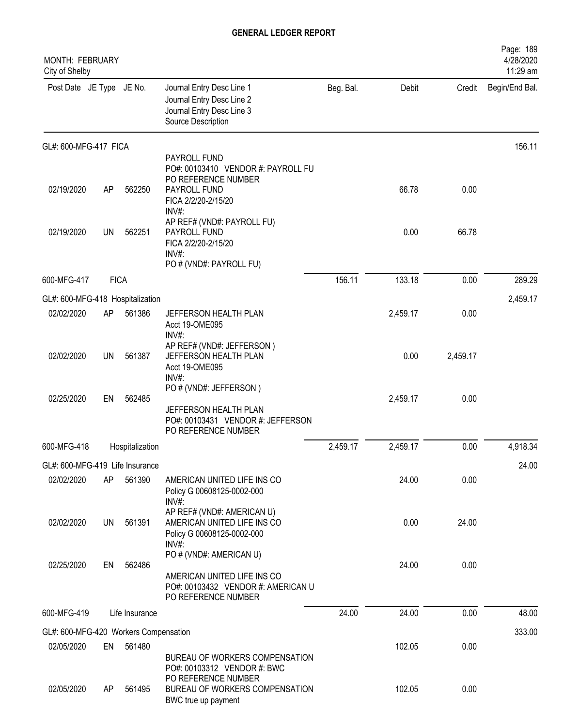| MONTH: FEBRUARY<br>City of Shelby             |             |                 |                                                                                                                     |           |          |          | Page: 189<br>4/28/2020<br>11:29 am |
|-----------------------------------------------|-------------|-----------------|---------------------------------------------------------------------------------------------------------------------|-----------|----------|----------|------------------------------------|
| Post Date JE Type JE No.                      |             |                 | Journal Entry Desc Line 1<br>Journal Entry Desc Line 2<br>Journal Entry Desc Line 3<br>Source Description           | Beg. Bal. | Debit    | Credit   | Begin/End Bal.                     |
| GL#: 600-MFG-417 FICA                         |             |                 |                                                                                                                     |           |          |          | 156.11                             |
| 02/19/2020                                    | AP          | 562250          | PAYROLL FUND<br>PO#: 00103410 VENDOR #: PAYROLL FU<br>PO REFERENCE NUMBER<br>PAYROLL FUND                           |           | 66.78    | 0.00     |                                    |
| 02/19/2020                                    | <b>UN</b>   | 562251          | FICA 2/2/20-2/15/20<br>INV#:<br>AP REF# (VND#: PAYROLL FU)<br>PAYROLL FUND<br>FICA 2/2/20-2/15/20                   |           | 0.00     | 66.78    |                                    |
|                                               |             |                 | $INV#$ :<br>PO # (VND#: PAYROLL FU)                                                                                 |           |          |          |                                    |
| 600-MFG-417                                   | <b>FICA</b> |                 |                                                                                                                     | 156.11    | 133.18   | 0.00     | 289.29                             |
| GL#: 600-MFG-418 Hospitalization              |             |                 |                                                                                                                     |           |          |          | 2,459.17                           |
| 02/02/2020                                    | AP          | 561386          | JEFFERSON HEALTH PLAN<br>Acct 19-OME095<br>INV#:                                                                    |           | 2,459.17 | 0.00     |                                    |
| 02/02/2020                                    | UN          | 561387          | AP REF# (VND#: JEFFERSON)<br>JEFFERSON HEALTH PLAN<br>Acct 19-OME095<br>INV#:                                       |           | 0.00     | 2,459.17 |                                    |
| 02/25/2020                                    | EN          | 562485          | PO # (VND#: JEFFERSON)<br>JEFFERSON HEALTH PLAN<br>PO#: 00103431 VENDOR #: JEFFERSON                                |           | 2,459.17 | 0.00     |                                    |
| 600-MFG-418                                   |             | Hospitalization | PO REFERENCE NUMBER                                                                                                 | 2,459.17  | 2,459.17 | 0.00     | 4,918.34                           |
|                                               |             |                 |                                                                                                                     |           |          |          |                                    |
| GL#: 600-MFG-419 Life Insurance<br>02/02/2020 | AP          | 561390          | AMERICAN UNITED LIFE INS CO<br>Policy G 00608125-0002-000                                                           |           | 24.00    | 0.00     | 24.00                              |
| 02/02/2020                                    | UN          | 561391          | $INV#$ :<br>AP REF# (VND#: AMERICAN U)<br>AMERICAN UNITED LIFE INS CO<br>Policy G 00608125-0002-000<br>INV#:        |           | 0.00     | 24.00    |                                    |
| 02/25/2020                                    | EN          | 562486          | PO # (VND#: AMERICAN U)<br>AMERICAN UNITED LIFE INS CO<br>PO#: 00103432 VENDOR #: AMERICAN U<br>PO REFERENCE NUMBER |           | 24.00    | 0.00     |                                    |
| 600-MFG-419                                   |             | Life Insurance  |                                                                                                                     | 24.00     | 24.00    | 0.00     | 48.00                              |
| GL#: 600-MFG-420 Workers Compensation         |             |                 |                                                                                                                     |           |          |          | 333.00                             |
| 02/05/2020                                    | EN          | 561480          |                                                                                                                     |           | 102.05   | 0.00     |                                    |
|                                               |             |                 | BUREAU OF WORKERS COMPENSATION<br>PO#: 00103312 VENDOR #: BWC<br>PO REFERENCE NUMBER                                |           |          |          |                                    |
| 02/05/2020                                    | AP          | 561495          | BUREAU OF WORKERS COMPENSATION<br>BWC true up payment                                                               |           | 102.05   | 0.00     |                                    |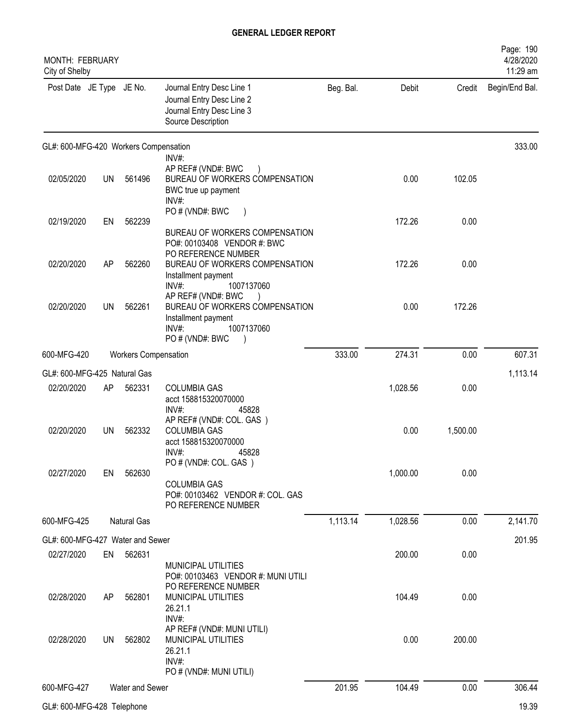| MONTH: FEBRUARY<br>City of Shelby     |           |                             |                                                                                                                                           |           |          |          | Page: 190<br>4/28/2020<br>11:29 am |
|---------------------------------------|-----------|-----------------------------|-------------------------------------------------------------------------------------------------------------------------------------------|-----------|----------|----------|------------------------------------|
| Post Date JE Type JE No.              |           |                             | Journal Entry Desc Line 1<br>Journal Entry Desc Line 2<br>Journal Entry Desc Line 3<br>Source Description                                 | Beg. Bal. | Debit    | Credit   | Begin/End Bal.                     |
| GL#: 600-MFG-420 Workers Compensation |           |                             |                                                                                                                                           |           |          |          | 333.00                             |
| 02/05/2020                            | UN        | 561496                      | $INV#$ :<br>AP REF# (VND#: BWC<br>BUREAU OF WORKERS COMPENSATION<br>BWC true up payment<br>INV#:                                          |           | 0.00     | 102.05   |                                    |
| 02/19/2020                            | EN        | 562239                      | PO # (VND#: BWC<br>BUREAU OF WORKERS COMPENSATION<br>PO#: 00103408 VENDOR #: BWC                                                          |           | 172.26   | 0.00     |                                    |
| 02/20/2020                            | AP        | 562260                      | PO REFERENCE NUMBER<br>BUREAU OF WORKERS COMPENSATION<br>Installment payment                                                              |           | 172.26   | 0.00     |                                    |
| 02/20/2020                            | <b>UN</b> | 562261                      | INV#:<br>1007137060<br>AP REF# (VND#: BWC<br>BUREAU OF WORKERS COMPENSATION<br>Installment payment<br>1007137060<br>INV#<br>PO#(VND#: BWC |           | 0.00     | 172.26   |                                    |
| 600-MFG-420                           |           | <b>Workers Compensation</b> |                                                                                                                                           | 333.00    | 274.31   | 0.00     | 607.31                             |
| GL#: 600-MFG-425 Natural Gas          |           |                             |                                                                                                                                           |           |          |          | 1,113.14                           |
| 02/20/2020                            | AP        | 562331                      | <b>COLUMBIA GAS</b><br>acct 158815320070000<br>$INV#$ :<br>45828                                                                          |           | 1,028.56 | 0.00     |                                    |
| 02/20/2020                            | UN.       | 562332                      | AP REF# (VND#: COL. GAS)<br><b>COLUMBIA GAS</b><br>acct 158815320070000<br>45828<br>INV#:                                                 |           | 0.00     | 1,500.00 |                                    |
| 02/27/2020                            | EN        | 562630                      | PO # (VND#: COL. GAS)<br><b>COLUMBIA GAS</b><br>PO#: 00103462 VENDOR #: COL. GAS<br>PO REFERENCE NUMBER                                   |           | 1,000.00 | 0.00     |                                    |
| 600-MFG-425                           |           | Natural Gas                 |                                                                                                                                           | 1,113.14  | 1,028.56 | 0.00     | 2,141.70                           |
| GL#: 600-MFG-427 Water and Sewer      |           |                             |                                                                                                                                           |           |          |          | 201.95                             |
| 02/27/2020                            | EN        | 562631                      | <b>MUNICIPAL UTILITIES</b><br>PO#: 00103463 VENDOR #: MUNI UTILI                                                                          |           | 200.00   | 0.00     |                                    |
| 02/28/2020                            | AP        | 562801                      | PO REFERENCE NUMBER<br>MUNICIPAL UTILITIES<br>26.21.1<br>INV#:                                                                            |           | 104.49   | 0.00     |                                    |
| 02/28/2020                            | UN        | 562802                      | AP REF# (VND#: MUNI UTILI)<br>MUNICIPAL UTILITIES<br>26.21.1<br>INV#:<br>PO # (VND#: MUNI UTILI)                                          |           | 0.00     | 200.00   |                                    |
| 600-MFG-427                           |           | Water and Sewer             |                                                                                                                                           | 201.95    | 104.49   | 0.00     | 306.44                             |
| GL#: 600-MFG-428 Telephone            |           |                             |                                                                                                                                           |           |          |          | 19.39                              |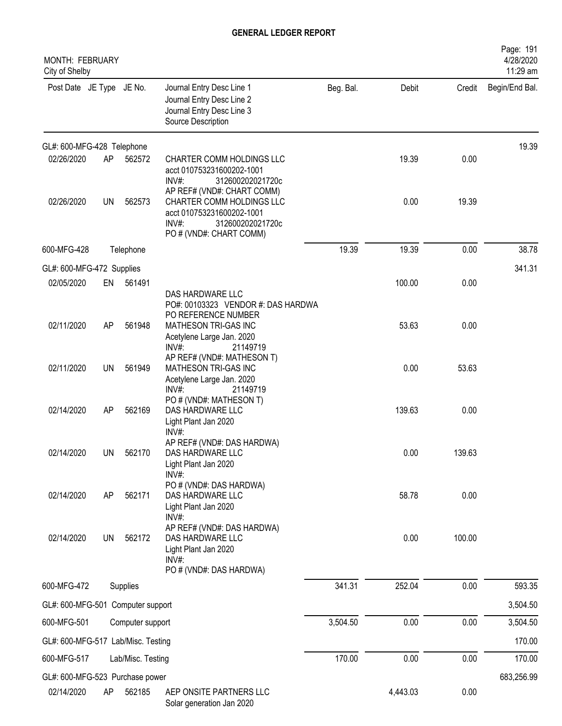| <b>MONTH: FEBRUARY</b><br>City of Shelby |           |                   |                                                                                                                                                 |           |          |        | Page: 191<br>4/28/2020<br>11:29 am |
|------------------------------------------|-----------|-------------------|-------------------------------------------------------------------------------------------------------------------------------------------------|-----------|----------|--------|------------------------------------|
| Post Date JE Type JE No.                 |           |                   | Journal Entry Desc Line 1<br>Journal Entry Desc Line 2<br>Journal Entry Desc Line 3<br>Source Description                                       | Beg. Bal. | Debit    | Credit | Begin/End Bal.                     |
| GL#: 600-MFG-428 Telephone               |           |                   |                                                                                                                                                 |           |          |        | 19.39                              |
| 02/26/2020                               | AP        | 562572            | CHARTER COMM HOLDINGS LLC<br>acct 010753231600202-1001<br>INV#:<br>312600202021720c                                                             |           | 19.39    | 0.00   |                                    |
| 02/26/2020                               | UN        | 562573            | AP REF# (VND#: CHART COMM)<br>CHARTER COMM HOLDINGS LLC<br>acct 010753231600202-1001<br>$INV#$ :<br>312600202021720c<br>PO # (VND#: CHART COMM) |           | 0.00     | 19.39  |                                    |
| 600-MFG-428                              |           | Telephone         |                                                                                                                                                 | 19.39     | 19.39    | 0.00   | 38.78                              |
| GL#: 600-MFG-472 Supplies                |           |                   |                                                                                                                                                 |           |          |        | 341.31                             |
| 02/05/2020                               | EN        | 561491            | DAS HARDWARE LLC<br>PO#: 00103323 VENDOR #: DAS HARDWA                                                                                          |           | 100.00   | 0.00   |                                    |
| 02/11/2020                               | AP        | 561948            | PO REFERENCE NUMBER<br>MATHESON TRI-GAS INC<br>Acetylene Large Jan. 2020<br>$INV#$ :<br>21149719                                                |           | 53.63    | 0.00   |                                    |
| 02/11/2020                               | UN        | 561949            | AP REF# (VND#: MATHESON T)<br>MATHESON TRI-GAS INC<br>Acetylene Large Jan. 2020<br>$INV#$ :<br>21149719                                         |           | 0.00     | 53.63  |                                    |
| 02/14/2020                               | AP        | 562169            | PO # (VND#: MATHESON T)<br>DAS HARDWARE LLC<br>Light Plant Jan 2020<br>$INV#$ :                                                                 |           | 139.63   | 0.00   |                                    |
| 02/14/2020                               | <b>UN</b> | 562170            | AP REF# (VND#: DAS HARDWA)<br>DAS HARDWARE LLC<br>Light Plant Jan 2020<br>INV#:                                                                 |           | 0.00     | 139.63 |                                    |
| 02/14/2020                               | AP        | 562171            | PO # (VND#: DAS HARDWA)<br>DAS HARDWARE LLC<br>Light Plant Jan 2020<br>INV#:                                                                    |           | 58.78    | 0.00   |                                    |
| 02/14/2020                               | <b>UN</b> | 562172            | AP REF# (VND#: DAS HARDWA)<br>DAS HARDWARE LLC<br>Light Plant Jan 2020<br>INV#:<br>PO # (VND#: DAS HARDWA)                                      |           | 0.00     | 100.00 |                                    |
| 600-MFG-472                              |           | Supplies          |                                                                                                                                                 | 341.31    | 252.04   | 0.00   | 593.35                             |
| GL#: 600-MFG-501 Computer support        |           |                   |                                                                                                                                                 |           |          |        | 3,504.50                           |
| 600-MFG-501                              |           | Computer support  |                                                                                                                                                 | 3,504.50  | 0.00     | 0.00   | 3,504.50                           |
| GL#: 600-MFG-517 Lab/Misc. Testing       |           |                   |                                                                                                                                                 |           |          |        | 170.00                             |
| 600-MFG-517                              |           | Lab/Misc. Testing |                                                                                                                                                 | 170.00    | 0.00     | 0.00   | 170.00                             |
| GL#: 600-MFG-523 Purchase power          |           |                   |                                                                                                                                                 |           |          |        | 683,256.99                         |
| 02/14/2020                               | AP        | 562185            | AEP ONSITE PARTNERS LLC<br>Solar generation Jan 2020                                                                                            |           | 4,443.03 | 0.00   |                                    |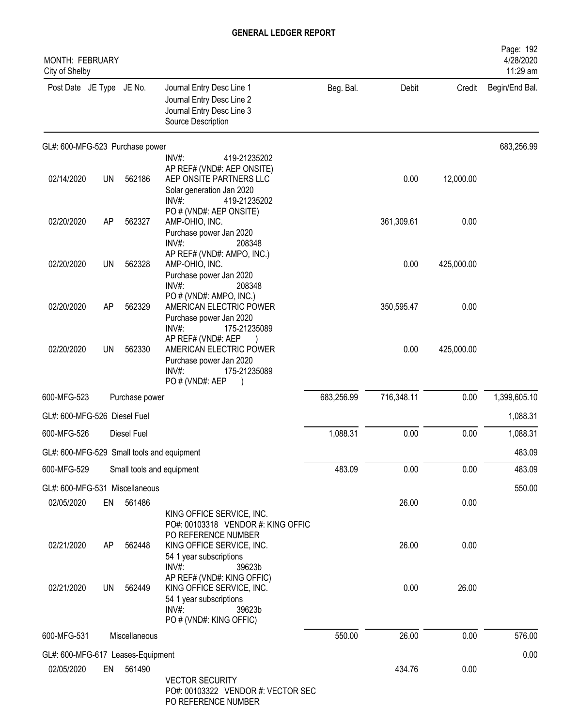| <b>MONTH: FEBRUARY</b><br>City of Shelby   |           |                           |                                                                                                                                      |            |            |            | Page: 192<br>4/28/2020<br>11:29 am |
|--------------------------------------------|-----------|---------------------------|--------------------------------------------------------------------------------------------------------------------------------------|------------|------------|------------|------------------------------------|
| Post Date JE Type JE No.                   |           |                           | Journal Entry Desc Line 1<br>Journal Entry Desc Line 2<br>Journal Entry Desc Line 3<br>Source Description                            | Beg. Bal.  | Debit      | Credit     | Begin/End Bal.                     |
| GL#: 600-MFG-523 Purchase power            |           |                           |                                                                                                                                      |            |            |            | 683,256.99                         |
| 02/14/2020                                 | <b>UN</b> | 562186                    | INV#:<br>419-21235202<br>AP REF# (VND#: AEP ONSITE)<br>AEP ONSITE PARTNERS LLC<br>Solar generation Jan 2020<br>INV#:<br>419-21235202 |            | 0.00       | 12,000.00  |                                    |
| 02/20/2020                                 | AP        | 562327                    | PO # (VND#: AEP ONSITE)<br>AMP-OHIO, INC.<br>Purchase power Jan 2020<br>$INV#$ :<br>208348                                           |            | 361,309.61 | 0.00       |                                    |
| 02/20/2020                                 | <b>UN</b> | 562328                    | AP REF# (VND#: AMPO, INC.)<br>AMP-OHIO, INC.<br>Purchase power Jan 2020<br>$INV#$ :<br>208348                                        |            | 0.00       | 425,000.00 |                                    |
| 02/20/2020                                 | AP        | 562329                    | PO # (VND#: AMPO, INC.)<br>AMERICAN ELECTRIC POWER<br>Purchase power Jan 2020<br>INV#:<br>175-21235089                               |            | 350,595.47 | 0.00       |                                    |
| 02/20/2020                                 | <b>UN</b> | 562330                    | AP REF# (VND#: AEP<br>AMERICAN ELECTRIC POWER<br>Purchase power Jan 2020<br>INV#:<br>175-21235089                                    |            | 0.00       | 425,000.00 |                                    |
| 600-MFG-523                                |           | Purchase power            | PO # (VND#: AEP                                                                                                                      | 683,256.99 | 716,348.11 | 0.00       | 1,399,605.10                       |
| GL#: 600-MFG-526 Diesel Fuel               |           |                           |                                                                                                                                      |            |            |            | 1,088.31                           |
| 600-MFG-526                                |           | Diesel Fuel               |                                                                                                                                      | 1,088.31   | 0.00       | 0.00       | 1,088.31                           |
| GL#: 600-MFG-529 Small tools and equipment |           |                           |                                                                                                                                      |            |            |            | 483.09                             |
| 600-MFG-529                                |           | Small tools and equipment |                                                                                                                                      | 483.09     | 0.00       | 0.00       | 483.09                             |
| GL#: 600-MFG-531 Miscellaneous             |           |                           |                                                                                                                                      |            |            |            | 550.00                             |
| 02/05/2020                                 | EN        | 561486                    | KING OFFICE SERVICE, INC.<br>PO#: 00103318 VENDOR #: KING OFFIC                                                                      |            | 26.00      | 0.00       |                                    |
| 02/21/2020                                 | AP        | 562448                    | PO REFERENCE NUMBER<br>KING OFFICE SERVICE, INC.<br>54 1 year subscriptions<br>39623b<br>$INV#$ :                                    |            | 26.00      | 0.00       |                                    |
| 02/21/2020                                 | UN        | 562449                    | AP REF# (VND#: KING OFFIC)<br>KING OFFICE SERVICE, INC.<br>54 1 year subscriptions<br>$INV#$ :<br>39623b<br>PO # (VND#: KING OFFIC)  |            | 0.00       | 26.00      |                                    |
| 600-MFG-531                                |           | Miscellaneous             |                                                                                                                                      | 550.00     | 26.00      | 0.00       | 576.00                             |
| GL#: 600-MFG-617 Leases-Equipment          |           |                           |                                                                                                                                      |            |            |            | 0.00                               |
| 02/05/2020                                 |           | EN 561490                 | <b>VECTOR SECURITY</b><br>PO#: 00103322 VENDOR #: VECTOR SEC<br>PO REFERENCE NUMBER                                                  |            | 434.76     | 0.00       |                                    |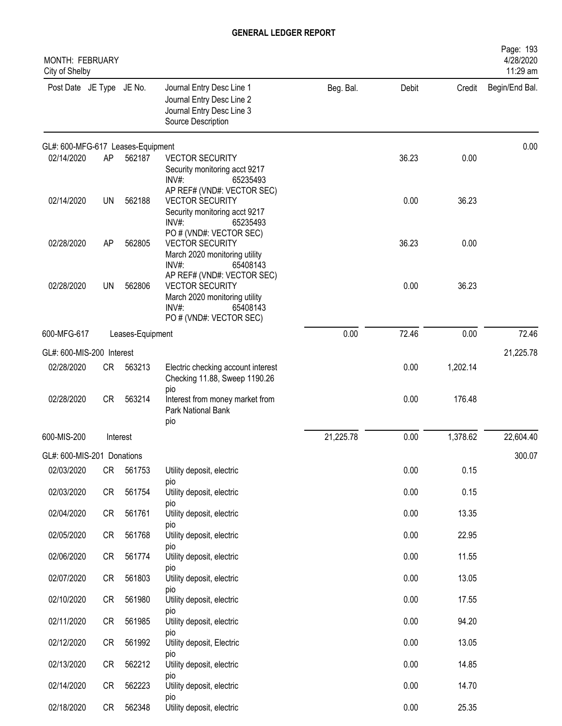| <b>MONTH: FEBRUARY</b><br>City of Shelby |           |                  |                                                                                                                                          |           |       |          | Page: 193<br>4/28/2020<br>11:29 am |
|------------------------------------------|-----------|------------------|------------------------------------------------------------------------------------------------------------------------------------------|-----------|-------|----------|------------------------------------|
| Post Date JE Type JE No.                 |           |                  | Journal Entry Desc Line 1<br>Journal Entry Desc Line 2<br>Journal Entry Desc Line 3<br>Source Description                                | Beg. Bal. | Debit | Credit   | Begin/End Bal.                     |
| GL#: 600-MFG-617 Leases-Equipment        |           |                  |                                                                                                                                          |           |       |          | 0.00                               |
| 02/14/2020                               | AP        | 562187           | <b>VECTOR SECURITY</b><br>Security monitoring acct 9217<br>INV#:<br>65235493                                                             |           | 36.23 | 0.00     |                                    |
| 02/14/2020                               | <b>UN</b> | 562188           | AP REF# (VND#: VECTOR SEC)<br><b>VECTOR SECURITY</b><br>Security monitoring acct 9217<br>INV#:<br>65235493                               |           | 0.00  | 36.23    |                                    |
| 02/28/2020                               | AP        | 562805           | PO # (VND#: VECTOR SEC)<br><b>VECTOR SECURITY</b><br>March 2020 monitoring utility<br>$INV#$ :<br>65408143                               |           | 36.23 | 0.00     |                                    |
| 02/28/2020                               | <b>UN</b> | 562806           | AP REF# (VND#: VECTOR SEC)<br><b>VECTOR SECURITY</b><br>March 2020 monitoring utility<br>$INV#$ :<br>65408143<br>PO # (VND#: VECTOR SEC) |           | 0.00  | 36.23    |                                    |
| 600-MFG-617                              |           | Leases-Equipment |                                                                                                                                          | 0.00      | 72.46 | 0.00     | 72.46                              |
| GL#: 600-MIS-200 Interest                |           |                  |                                                                                                                                          |           |       |          | 21,225.78                          |
| 02/28/2020                               | CR        | 563213           | Electric checking account interest<br>Checking 11.88, Sweep 1190.26<br>pio                                                               |           | 0.00  | 1,202.14 |                                    |
| 02/28/2020                               | CR        | 563214           | Interest from money market from<br>Park National Bank<br>pio                                                                             |           | 0.00  | 176.48   |                                    |
| 600-MIS-200                              |           | Interest         |                                                                                                                                          | 21,225.78 | 0.00  | 1,378.62 | 22,604.40                          |
| GL#: 600-MIS-201 Donations               |           |                  |                                                                                                                                          |           |       |          | 300.07                             |
| 02/03/2020                               | CR        | 561753           | Utility deposit, electric                                                                                                                |           | 0.00  | 0.15     |                                    |
| 02/03/2020                               | CR        | 561754           | pio<br>Utility deposit, electric                                                                                                         |           | 0.00  | 0.15     |                                    |
| 02/04/2020                               | CR        | 561761           | pio<br>Utility deposit, electric                                                                                                         |           | 0.00  | 13.35    |                                    |
| 02/05/2020                               | CR        | 561768           | pio<br>Utility deposit, electric                                                                                                         |           | 0.00  | 22.95    |                                    |
| 02/06/2020                               | CR        | 561774           | pio<br>Utility deposit, electric                                                                                                         |           | 0.00  | 11.55    |                                    |
| 02/07/2020                               | CR        | 561803           | pio<br>Utility deposit, electric                                                                                                         |           | 0.00  | 13.05    |                                    |
| 02/10/2020                               | CR        | 561980           | pio<br>Utility deposit, electric                                                                                                         |           | 0.00  | 17.55    |                                    |
| 02/11/2020                               | CR        | 561985           | pio<br>Utility deposit, electric                                                                                                         |           | 0.00  | 94.20    |                                    |
| 02/12/2020                               | CR        | 561992           | pio<br>Utility deposit, Electric                                                                                                         |           | 0.00  | 13.05    |                                    |
| 02/13/2020                               | <b>CR</b> | 562212           | pio<br>Utility deposit, electric                                                                                                         |           | 0.00  | 14.85    |                                    |
| 02/14/2020                               | CR        | 562223           | pio<br>Utility deposit, electric                                                                                                         |           | 0.00  | 14.70    |                                    |
| 02/18/2020                               | CR        | 562348           | pio<br>Utility deposit, electric                                                                                                         |           | 0.00  | 25.35    |                                    |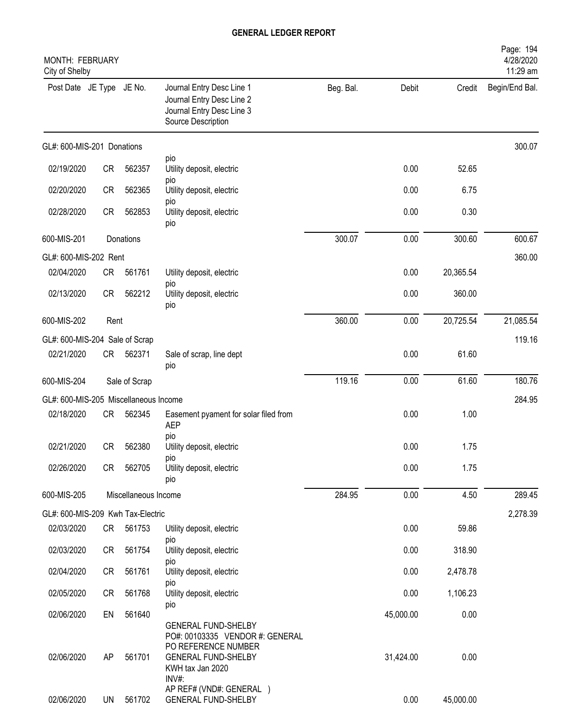| <b>MONTH: FEBRUARY</b><br>City of Shelby |           |                      |                                                                                                                                                 |           |           |           | Page: 194<br>4/28/2020<br>11:29 am |
|------------------------------------------|-----------|----------------------|-------------------------------------------------------------------------------------------------------------------------------------------------|-----------|-----------|-----------|------------------------------------|
| Post Date JE Type JE No.                 |           |                      | Journal Entry Desc Line 1<br>Journal Entry Desc Line 2<br>Journal Entry Desc Line 3<br>Source Description                                       | Beg. Bal. | Debit     | Credit    | Begin/End Bal.                     |
| GL#: 600-MIS-201 Donations               |           |                      |                                                                                                                                                 |           |           |           | 300.07                             |
| 02/19/2020                               | <b>CR</b> | 562357               | pio<br>Utility deposit, electric                                                                                                                |           | 0.00      | 52.65     |                                    |
| 02/20/2020                               | <b>CR</b> | 562365               | pio<br>Utility deposit, electric                                                                                                                |           | 0.00      | 6.75      |                                    |
| 02/28/2020                               | <b>CR</b> | 562853               | pio<br>Utility deposit, electric<br>pio                                                                                                         |           | 0.00      | 0.30      |                                    |
| 600-MIS-201                              |           | Donations            |                                                                                                                                                 | 300.07    | 0.00      | 300.60    | 600.67                             |
| GL#: 600-MIS-202 Rent                    |           |                      |                                                                                                                                                 |           |           |           | 360.00                             |
| 02/04/2020                               | CR        | 561761               | Utility deposit, electric<br>pio                                                                                                                |           | 0.00      | 20,365.54 |                                    |
| 02/13/2020                               | <b>CR</b> | 562212               | Utility deposit, electric<br>pio                                                                                                                |           | 0.00      | 360.00    |                                    |
| 600-MIS-202                              | Rent      |                      |                                                                                                                                                 | 360.00    | 0.00      | 20,725.54 | 21,085.54                          |
| GL#: 600-MIS-204 Sale of Scrap           |           |                      |                                                                                                                                                 |           |           |           | 119.16                             |
| 02/21/2020                               | CR        | 562371               | Sale of scrap, line dept<br>pio                                                                                                                 |           | 0.00      | 61.60     |                                    |
| 600-MIS-204                              |           | Sale of Scrap        |                                                                                                                                                 | 119.16    | 0.00      | 61.60     | 180.76                             |
| GL#: 600-MIS-205 Miscellaneous Income    |           |                      |                                                                                                                                                 |           |           |           | 284.95                             |
| 02/18/2020                               | CR        | 562345               | Easement pyament for solar filed from<br><b>AEP</b>                                                                                             |           | 0.00      | 1.00      |                                    |
| 02/21/2020                               | <b>CR</b> | 562380               | pio<br>Utility deposit, electric                                                                                                                |           | 0.00      | 1.75      |                                    |
| 02/26/2020                               | CR        | 562705               | pio<br>Utility deposit, electric<br>pio                                                                                                         |           | 0.00      | 1.75      |                                    |
| 600-MIS-205                              |           | Miscellaneous Income |                                                                                                                                                 | 284.95    | 0.00      | 4.50      | 289.45                             |
| GL#: 600-MIS-209 Kwh Tax-Electric        |           |                      |                                                                                                                                                 |           |           |           | 2,278.39                           |
| 02/03/2020                               | CR        | 561753               | Utility deposit, electric                                                                                                                       |           | 0.00      | 59.86     |                                    |
| 02/03/2020                               | CR        | 561754               | pio<br>Utility deposit, electric<br>pio                                                                                                         |           | 0.00      | 318.90    |                                    |
| 02/04/2020                               | CR        | 561761               | Utility deposit, electric                                                                                                                       |           | 0.00      | 2,478.78  |                                    |
| 02/05/2020                               | CR        | 561768               | pio<br>Utility deposit, electric                                                                                                                |           | 0.00      | 1,106.23  |                                    |
| 02/06/2020                               | EN        | 561640               | pio                                                                                                                                             |           | 45,000.00 | 0.00      |                                    |
| 02/06/2020                               | AP        | 561701               | <b>GENERAL FUND-SHELBY</b><br>PO#: 00103335 VENDOR #: GENERAL<br>PO REFERENCE NUMBER<br><b>GENERAL FUND-SHELBY</b><br>KWH tax Jan 2020<br>INV#: |           | 31,424.00 | 0.00      |                                    |
| 02/06/2020                               | UN        | 561702               | AP REF# (VND#: GENERAL)<br><b>GENERAL FUND-SHELBY</b>                                                                                           |           | 0.00      | 45,000.00 |                                    |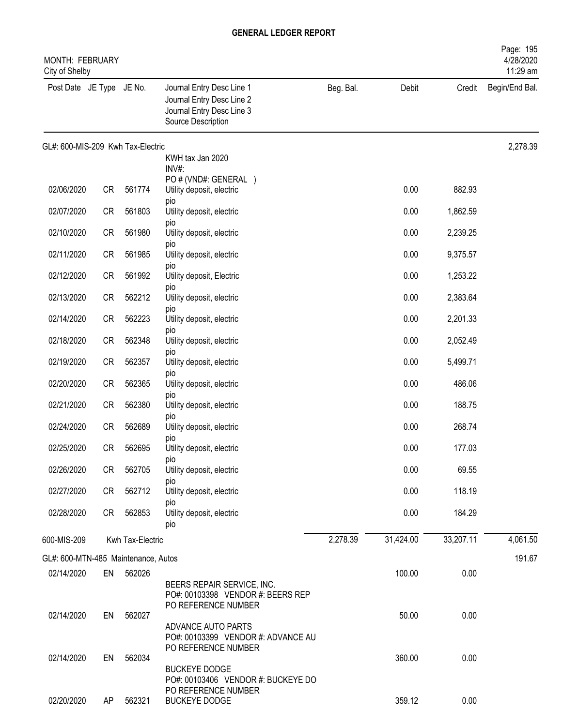| <b>MONTH: FEBRUARY</b><br>City of Shelby |           |                  |                                                                                                           |           |           |           | Page: 195<br>4/28/2020<br>11:29 am |
|------------------------------------------|-----------|------------------|-----------------------------------------------------------------------------------------------------------|-----------|-----------|-----------|------------------------------------|
| Post Date JE Type JE No.                 |           |                  | Journal Entry Desc Line 1<br>Journal Entry Desc Line 2<br>Journal Entry Desc Line 3<br>Source Description | Beg. Bal. | Debit     | Credit    | Begin/End Bal.                     |
| GL#: 600-MIS-209 Kwh Tax-Electric        |           |                  |                                                                                                           |           |           |           | 2,278.39                           |
|                                          |           |                  | KWH tax Jan 2020<br>INV#:                                                                                 |           |           |           |                                    |
| 02/06/2020                               | <b>CR</b> | 561774           | PO # (VND#: GENERAL )<br>Utility deposit, electric<br>pio                                                 |           | 0.00      | 882.93    |                                    |
| 02/07/2020                               | <b>CR</b> | 561803           | Utility deposit, electric                                                                                 |           | 0.00      | 1,862.59  |                                    |
| 02/10/2020                               | <b>CR</b> | 561980           | pio<br>Utility deposit, electric<br>pio                                                                   |           | 0.00      | 2,239.25  |                                    |
| 02/11/2020                               | <b>CR</b> | 561985           | Utility deposit, electric                                                                                 |           | 0.00      | 9,375.57  |                                    |
| 02/12/2020                               | <b>CR</b> | 561992           | pio<br>Utility deposit, Electric                                                                          |           | 0.00      | 1,253.22  |                                    |
| 02/13/2020                               | <b>CR</b> | 562212           | pio<br>Utility deposit, electric                                                                          |           | 0.00      | 2,383.64  |                                    |
| 02/14/2020                               | <b>CR</b> | 562223           | pio<br>Utility deposit, electric                                                                          |           | 0.00      | 2,201.33  |                                    |
| 02/18/2020                               | <b>CR</b> | 562348           | <b>DIO</b><br>Utility deposit, electric                                                                   |           | 0.00      | 2,052.49  |                                    |
| 02/19/2020                               | <b>CR</b> | 562357           | pio<br>Utility deposit, electric                                                                          |           | 0.00      | 5,499.71  |                                    |
| 02/20/2020                               | <b>CR</b> | 562365           | pio<br>Utility deposit, electric                                                                          |           | 0.00      | 486.06    |                                    |
| 02/21/2020                               | <b>CR</b> | 562380           | pio<br>Utility deposit, electric                                                                          |           | 0.00      | 188.75    |                                    |
| 02/24/2020                               | <b>CR</b> | 562689           | pio<br>Utility deposit, electric                                                                          |           | 0.00      | 268.74    |                                    |
| 02/25/2020                               | <b>CR</b> | 562695           | pio<br>Utility deposit, electric                                                                          |           | 0.00      | 177.03    |                                    |
| 02/26/2020                               | <b>CR</b> | 562705           | pio<br>Utility deposit, electric<br>pio                                                                   |           | 0.00      | 69.55     |                                    |
| 02/27/2020                               | CR        | 562712           | Utility deposit, electric                                                                                 |           | 0.00      | 118.19    |                                    |
| 02/28/2020                               | CR        | 562853           | pio<br>Utility deposit, electric<br>pio                                                                   |           | 0.00      | 184.29    |                                    |
| 600-MIS-209                              |           | Kwh Tax-Electric |                                                                                                           | 2,278.39  | 31,424.00 | 33,207.11 | 4,061.50                           |
| GL#: 600-MTN-485 Maintenance, Autos      |           |                  |                                                                                                           |           |           |           | 191.67                             |
| 02/14/2020                               | EN        | 562026           | BEERS REPAIR SERVICE, INC.<br>PO#: 00103398 VENDOR #: BEERS REP<br>PO REFERENCE NUMBER                    |           | 100.00    | 0.00      |                                    |
| 02/14/2020                               | EN        | 562027           | ADVANCE AUTO PARTS<br>PO#: 00103399 VENDOR #: ADVANCE AU                                                  |           | 50.00     | 0.00      |                                    |
| 02/14/2020                               | EN        | 562034           | PO REFERENCE NUMBER<br><b>BUCKEYE DODGE</b><br>PO#: 00103406 VENDOR #: BUCKEYE DO                         |           | 360.00    | 0.00      |                                    |
| 02/20/2020                               | AP        | 562321           | PO REFERENCE NUMBER<br><b>BUCKEYE DODGE</b>                                                               |           | 359.12    | 0.00      |                                    |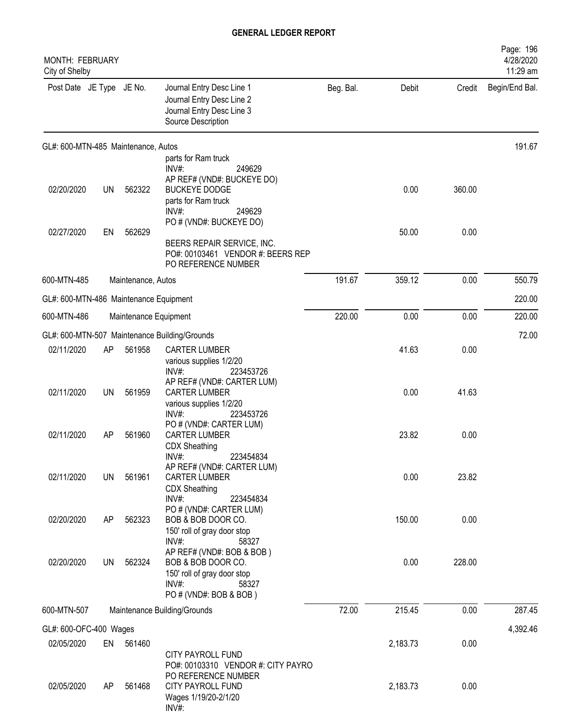| <b>MONTH: FEBRUARY</b><br>City of Shelby |           |                       |                                                                                                                                                 |           |          |        | Page: 196<br>4/28/2020<br>11:29 am |
|------------------------------------------|-----------|-----------------------|-------------------------------------------------------------------------------------------------------------------------------------------------|-----------|----------|--------|------------------------------------|
| Post Date JE Type JE No.                 |           |                       | Journal Entry Desc Line 1<br>Journal Entry Desc Line 2<br>Journal Entry Desc Line 3<br>Source Description                                       | Beg. Bal. | Debit    | Credit | Begin/End Bal.                     |
| GL#: 600-MTN-485 Maintenance, Autos      |           |                       |                                                                                                                                                 |           |          |        | 191.67                             |
|                                          |           |                       | parts for Ram truck<br>$INV#$ :<br>249629                                                                                                       |           |          |        |                                    |
| 02/20/2020                               | <b>UN</b> | 562322                | AP REF# (VND#: BUCKEYE DO)<br><b>BUCKEYE DODGE</b><br>parts for Ram truck<br>INV#:<br>249629<br>PO # (VND#: BUCKEYE DO)                         |           | 0.00     | 360.00 |                                    |
| 02/27/2020                               | EN        | 562629                | BEERS REPAIR SERVICE, INC.<br>PO#: 00103461 VENDOR #: BEERS REP<br>PO REFERENCE NUMBER                                                          |           | 50.00    | 0.00   |                                    |
| 600-MTN-485                              |           | Maintenance, Autos    |                                                                                                                                                 | 191.67    | 359.12   | 0.00   | 550.79                             |
| GL#: 600-MTN-486 Maintenance Equipment   |           |                       |                                                                                                                                                 |           |          |        | 220.00                             |
| 600-MTN-486                              |           | Maintenance Equipment |                                                                                                                                                 | 220.00    | 0.00     | 0.00   | 220.00                             |
|                                          |           |                       | GL#: 600-MTN-507 Maintenance Building/Grounds                                                                                                   |           |          |        | 72.00                              |
| 02/11/2020                               | AP        | 561958                | <b>CARTER LUMBER</b><br>various supplies 1/2/20<br>INV#:<br>223453726                                                                           |           | 41.63    | 0.00   |                                    |
| 02/11/2020                               | UN        | 561959                | AP REF# (VND#: CARTER LUM)<br><b>CARTER LUMBER</b><br>various supplies 1/2/20                                                                   |           | 0.00     | 41.63  |                                    |
| 02/11/2020                               | AP        | 561960                | $INV#$ :<br>223453726<br>PO # (VND#: CARTER LUM)<br><b>CARTER LUMBER</b><br><b>CDX Sheathing</b>                                                |           | 23.82    | 0.00   |                                    |
| 02/11/2020                               | <b>UN</b> | 561961                | 223454834<br>INV#<br>AP REF# (VND#: CARTER LUM)<br><b>CARTER LUMBER</b><br><b>CDX Sheathing</b>                                                 |           | 0.00     | 23.82  |                                    |
| 02/20/2020                               | AP        | 562323                | INV#:<br>223454834<br>PO # (VND#: CARTER LUM)<br>BOB & BOB DOOR CO.<br>150' roll of gray door stop                                              |           | 150.00   | 0.00   |                                    |
| 02/20/2020                               | <b>UN</b> | 562324                | INV#:<br>58327<br>AP REF# (VND#: BOB & BOB)<br>BOB & BOB DOOR CO.<br>150' roll of gray door stop<br>$INV#$ :<br>58327<br>PO # (VND#: BOB & BOB) |           | 0.00     | 228.00 |                                    |
| 600-MTN-507                              |           |                       | Maintenance Building/Grounds                                                                                                                    | 72.00     | 215.45   | 0.00   | 287.45                             |
| GL#: 600-OFC-400 Wages                   |           |                       |                                                                                                                                                 |           |          |        | 4,392.46                           |
| 02/05/2020                               | EN        | 561460                |                                                                                                                                                 |           | 2,183.73 | 0.00   |                                    |
| 02/05/2020                               | AP        | 561468                | <b>CITY PAYROLL FUND</b><br>PO#: 00103310 VENDOR #: CITY PAYRO<br>PO REFERENCE NUMBER<br>CITY PAYROLL FUND<br>Wages 1/19/20-2/1/20<br>INV#:     |           | 2,183.73 | 0.00   |                                    |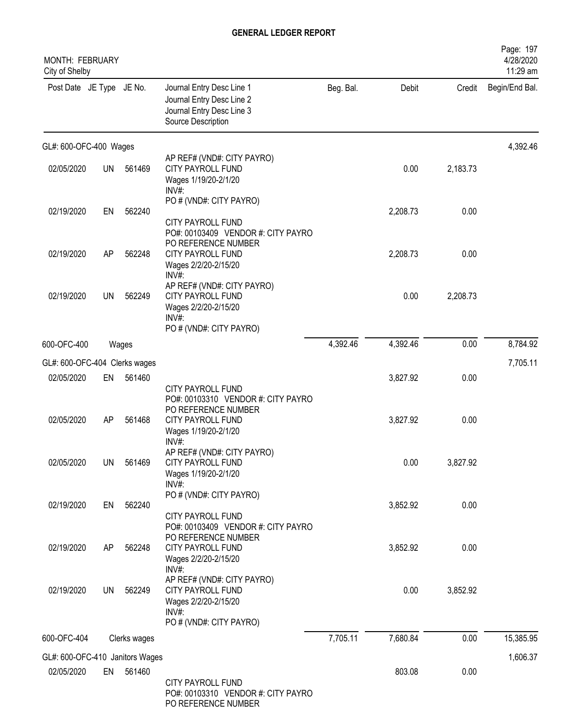| <b>MONTH: FEBRUARY</b><br>City of Shelby      |           |              |                                                                                                                       |           |          |          | Page: 197<br>4/28/2020<br>11:29 am |
|-----------------------------------------------|-----------|--------------|-----------------------------------------------------------------------------------------------------------------------|-----------|----------|----------|------------------------------------|
| Post Date JE Type JE No.                      |           |              | Journal Entry Desc Line 1<br>Journal Entry Desc Line 2<br>Journal Entry Desc Line 3<br>Source Description             | Beg. Bal. | Debit    | Credit   | Begin/End Bal.                     |
| GL#: 600-OFC-400 Wages                        |           |              |                                                                                                                       |           |          |          | 4,392.46                           |
| 02/05/2020                                    | UN        | 561469       | AP REF# (VND#: CITY PAYRO)<br>CITY PAYROLL FUND<br>Wages 1/19/20-2/1/20<br>INV#:                                      |           | 0.00     | 2,183.73 |                                    |
| 02/19/2020                                    | EN        | 562240       | PO # (VND#: CITY PAYRO)<br>CITY PAYROLL FUND<br>PO#: 00103409 VENDOR #: CITY PAYRO                                    |           | 2,208.73 | 0.00     |                                    |
| 02/19/2020                                    | AP        | 562248       | PO REFERENCE NUMBER<br>CITY PAYROLL FUND<br>Wages 2/2/20-2/15/20<br>$INV#$ :                                          |           | 2,208.73 | 0.00     |                                    |
| 02/19/2020                                    | <b>UN</b> | 562249       | AP REF# (VND#: CITY PAYRO)<br><b>CITY PAYROLL FUND</b><br>Wages 2/2/20-2/15/20<br>$INV#$ :<br>PO # (VND#: CITY PAYRO) |           | 0.00     | 2,208.73 |                                    |
| 600-OFC-400                                   |           | Wages        |                                                                                                                       | 4,392.46  | 4,392.46 | 0.00     | 8,784.92                           |
| GL#: 600-OFC-404 Clerks wages                 |           |              |                                                                                                                       |           |          |          | 7,705.11                           |
| 02/05/2020                                    | EN        | 561460       | CITY PAYROLL FUND                                                                                                     |           | 3,827.92 | 0.00     |                                    |
| 02/05/2020                                    | AP        | 561468       | PO#: 00103310 VENDOR #: CITY PAYRO<br>PO REFERENCE NUMBER<br>CITY PAYROLL FUND<br>Wages 1/19/20-2/1/20<br>INV#:       |           | 3,827.92 | 0.00     |                                    |
| 02/05/2020                                    | <b>UN</b> | 561469       | AP REF# (VND#: CITY PAYRO)<br>CITY PAYROLL FUND<br>Wages 1/19/20-2/1/20<br>$INV#$ :                                   |           | 0.00     | 3,827.92 |                                    |
| 02/19/2020                                    | EN        | 562240       | PO # (VND#: CITY PAYRO)<br>CITY PAYROLL FUND                                                                          |           | 3,852.92 | 0.00     |                                    |
| 02/19/2020                                    | AP        | 562248       | PO#: 00103409 VENDOR #: CITY PAYRO<br>PO REFERENCE NUMBER<br>CITY PAYROLL FUND<br>Wages 2/2/20-2/15/20<br>$INV#$ :    |           | 3,852.92 | 0.00     |                                    |
| 02/19/2020                                    | <b>UN</b> | 562249       | AP REF# (VND#: CITY PAYRO)<br>CITY PAYROLL FUND<br>Wages 2/2/20-2/15/20<br>$INV#$ :                                   |           | 0.00     | 3,852.92 |                                    |
| 600-OFC-404                                   |           | Clerks wages | PO # (VND#: CITY PAYRO)                                                                                               | 7,705.11  | 7,680.84 | 0.00     | 15,385.95                          |
|                                               |           |              |                                                                                                                       |           |          |          |                                    |
| GL#: 600-OFC-410 Janitors Wages<br>02/05/2020 | EN        | 561460       | CITY PAYROLL FUND<br>PO#: 00103310 VENDOR #: CITY PAYRO<br>PO REFERENCE NUMBER                                        |           | 803.08   | 0.00     | 1,606.37                           |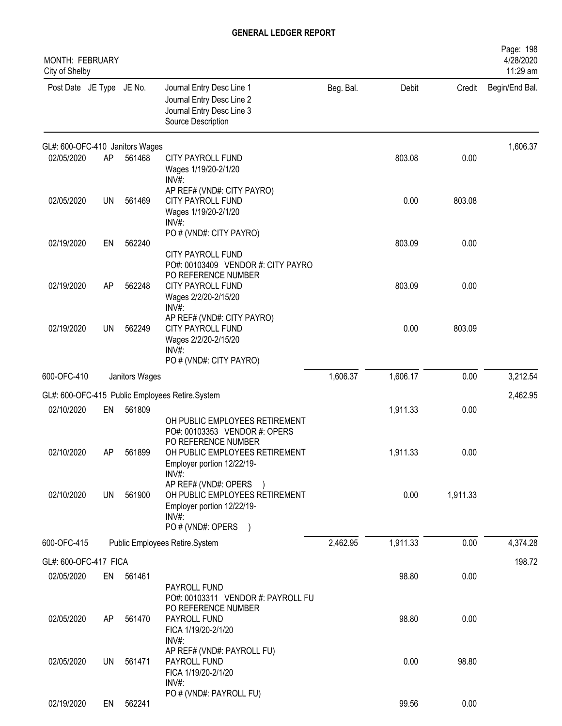| <b>MONTH: FEBRUARY</b><br>City of Shelby |           |                |                                                                                                                  |           |          |          | Page: 198<br>4/28/2020<br>11:29 am |
|------------------------------------------|-----------|----------------|------------------------------------------------------------------------------------------------------------------|-----------|----------|----------|------------------------------------|
| Post Date JE Type JE No.                 |           |                | Journal Entry Desc Line 1<br>Journal Entry Desc Line 2<br>Journal Entry Desc Line 3<br>Source Description        | Beg. Bal. | Debit    | Credit   | Begin/End Bal.                     |
| GL#: 600-OFC-410 Janitors Wages          |           |                |                                                                                                                  |           |          |          | 1,606.37                           |
| 02/05/2020                               | AP        | 561468         | CITY PAYROLL FUND<br>Wages 1/19/20-2/1/20<br>INV#:                                                               |           | 803.08   | 0.00     |                                    |
| 02/05/2020                               | <b>UN</b> | 561469         | AP REF# (VND#: CITY PAYRO)<br>CITY PAYROLL FUND<br>Wages 1/19/20-2/1/20<br>INV#:                                 |           | 0.00     | 803.08   |                                    |
| 02/19/2020                               | EN        | 562240         | PO # (VND#: CITY PAYRO)<br><b>CITY PAYROLL FUND</b><br>PO#: 00103409 VENDOR #: CITY PAYRO<br>PO REFERENCE NUMBER |           | 803.09   | 0.00     |                                    |
| 02/19/2020                               | AP        | 562248         | CITY PAYROLL FUND<br>Wages 2/2/20-2/15/20<br>INV#:                                                               |           | 803.09   | 0.00     |                                    |
| 02/19/2020                               | UN        | 562249         | AP REF# (VND#: CITY PAYRO)<br>CITY PAYROLL FUND<br>Wages 2/2/20-2/15/20<br>$INV#$ :<br>PO # (VND#: CITY PAYRO)   |           | 0.00     | 803.09   |                                    |
| 600-OFC-410                              |           | Janitors Wages |                                                                                                                  | 1,606.37  | 1,606.17 | 0.00     | 3,212.54                           |
|                                          |           |                | GL#: 600-OFC-415 Public Employees Retire.System                                                                  |           |          |          | 2,462.95                           |
| 02/10/2020                               | EN        | 561809         | OH PUBLIC EMPLOYEES RETIREMENT<br>PO#: 00103353 VENDOR #: OPERS                                                  |           | 1,911.33 | 0.00     |                                    |
| 02/10/2020                               | AP        | 561899         | PO REFERENCE NUMBER<br>OH PUBLIC EMPLOYEES RETIREMENT<br>Employer portion 12/22/19-<br>$INV#$ :                  |           | 1,911.33 | 0.00     |                                    |
| 02/10/2020                               | UN        | 561900         | AP REF# (VND#: OPERS<br>OH PUBLIC EMPLOYEES RETIREMENT<br>Employer portion 12/22/19-<br>$INV#$ :                 |           | 0.00     | 1,911.33 |                                    |
| 600-OFC-415                              |           |                | PO # (VND#: OPERS<br>$\rightarrow$<br>Public Employees Retire.System                                             | 2,462.95  | 1,911.33 | 0.00     | 4,374.28                           |
| GL#: 600-OFC-417 FICA                    |           |                |                                                                                                                  |           |          |          | 198.72                             |
| 02/05/2020                               | EN        | 561461         | PAYROLL FUND<br>PO#: 00103311 VENDOR #: PAYROLL FU                                                               |           | 98.80    | 0.00     |                                    |
| 02/05/2020                               | AP        | 561470         | PO REFERENCE NUMBER<br>PAYROLL FUND<br>FICA 1/19/20-2/1/20<br>INV#:                                              |           | 98.80    | 0.00     |                                    |
| 02/05/2020                               | UN        | 561471         | AP REF# (VND#: PAYROLL FU)<br>PAYROLL FUND<br>FICA 1/19/20-2/1/20<br>INV#:                                       |           | 0.00     | 98.80    |                                    |
| 02/19/2020                               | EN        | 562241         | PO # (VND#: PAYROLL FU)                                                                                          |           | 99.56    | 0.00     |                                    |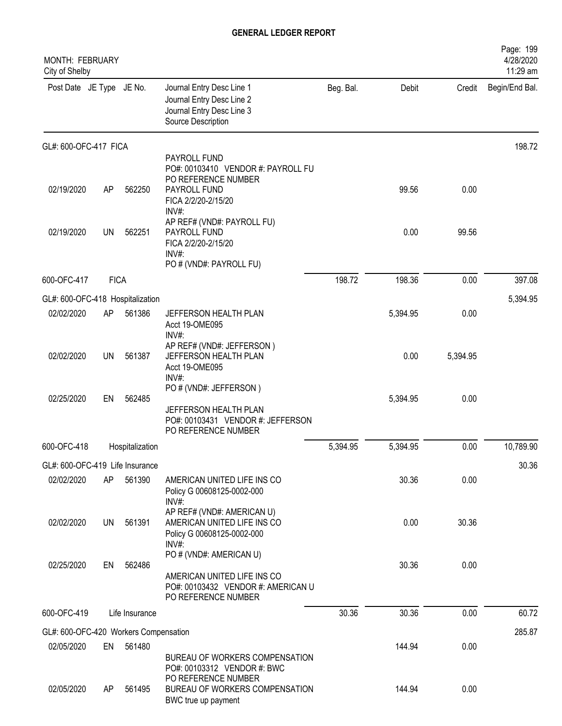| <b>MONTH: FEBRUARY</b><br>City of Shelby            |             |                 |                                                                                                                     |           |          |          | Page: 199<br>4/28/2020<br>11:29 am |
|-----------------------------------------------------|-------------|-----------------|---------------------------------------------------------------------------------------------------------------------|-----------|----------|----------|------------------------------------|
| Post Date JE Type JE No.                            |             |                 | Journal Entry Desc Line 1<br>Journal Entry Desc Line 2<br>Journal Entry Desc Line 3<br>Source Description           | Beg. Bal. | Debit    | Credit   | Begin/End Bal.                     |
| GL#: 600-OFC-417 FICA                               |             |                 |                                                                                                                     |           |          |          | 198.72                             |
| 02/19/2020                                          | AP          | 562250          | PAYROLL FUND<br>PO#: 00103410 VENDOR #: PAYROLL FU<br>PO REFERENCE NUMBER<br>PAYROLL FUND                           |           | 99.56    | 0.00     |                                    |
| 02/19/2020                                          | <b>UN</b>   | 562251          | FICA 2/2/20-2/15/20<br>INV#:<br>AP REF# (VND#: PAYROLL FU)<br>PAYROLL FUND<br>FICA 2/2/20-2/15/20<br>INV#           |           | 0.00     | 99.56    |                                    |
|                                                     |             |                 | PO # (VND#: PAYROLL FU)                                                                                             |           |          |          |                                    |
| 600-OFC-417                                         | <b>FICA</b> |                 |                                                                                                                     | 198.72    | 198.36   | 0.00     | 397.08                             |
| GL#: 600-OFC-418 Hospitalization                    |             |                 |                                                                                                                     |           |          |          | 5,394.95                           |
| 02/02/2020                                          | AP          | 561386          | JEFFERSON HEALTH PLAN<br>Acct 19-OME095<br>INV#:                                                                    |           | 5,394.95 | 0.00     |                                    |
| 02/02/2020                                          | UN          | 561387          | AP REF# (VND#: JEFFERSON)<br>JEFFERSON HEALTH PLAN<br>Acct 19-OME095<br>INV#:                                       |           | 0.00     | 5,394.95 |                                    |
| 02/25/2020                                          | EN          | 562485          | PO # (VND#: JEFFERSON)<br>JEFFERSON HEALTH PLAN<br>PO#: 00103431 VENDOR #: JEFFERSON                                |           | 5,394.95 | 0.00     |                                    |
| 600-OFC-418                                         |             | Hospitalization | PO REFERENCE NUMBER                                                                                                 | 5,394.95  | 5,394.95 | 0.00     | 10,789.90                          |
| GL#: 600-OFC-419 Life Insurance                     |             |                 |                                                                                                                     |           |          |          | 30.36                              |
| 02/02/2020                                          | AP          | 561390          | AMERICAN UNITED LIFE INS CO<br>Policy G 00608125-0002-000<br>INV#:                                                  |           | 30.36    | 0.00     |                                    |
| 02/02/2020                                          | UN          | 561391          | AP REF# (VND#: AMERICAN U)<br>AMERICAN UNITED LIFE INS CO<br>Policy G 00608125-0002-000<br>INV#:                    |           | 0.00     | 30.36    |                                    |
| 02/25/2020                                          | EN          | 562486          | PO # (VND#: AMERICAN U)<br>AMERICAN UNITED LIFE INS CO<br>PO#: 00103432 VENDOR #: AMERICAN U<br>PO REFERENCE NUMBER |           | 30.36    | 0.00     |                                    |
| 600-OFC-419                                         |             | Life Insurance  |                                                                                                                     | 30.36     | 30.36    | 0.00     | 60.72                              |
|                                                     |             |                 |                                                                                                                     |           |          |          |                                    |
| GL#: 600-OFC-420 Workers Compensation<br>02/05/2020 | EN          | 561480          |                                                                                                                     |           | 144.94   | 0.00     | 285.87                             |
|                                                     |             |                 | BUREAU OF WORKERS COMPENSATION<br>PO#: 00103312 VENDOR #: BWC<br>PO REFERENCE NUMBER                                |           |          |          |                                    |
| 02/05/2020                                          | AP          | 561495          | BUREAU OF WORKERS COMPENSATION<br>BWC true up payment                                                               |           | 144.94   | 0.00     |                                    |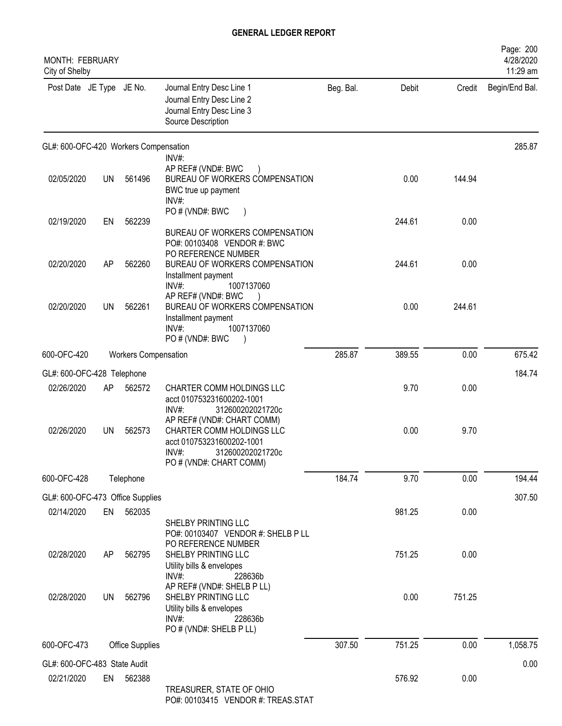| <b>MONTH: FEBRUARY</b><br>City of Shelby |           |                             |                                                                                                                                                 |           |        |        | Page: 200<br>4/28/2020<br>11:29 am |
|------------------------------------------|-----------|-----------------------------|-------------------------------------------------------------------------------------------------------------------------------------------------|-----------|--------|--------|------------------------------------|
| Post Date JE Type JE No.                 |           |                             | Journal Entry Desc Line 1<br>Journal Entry Desc Line 2<br>Journal Entry Desc Line 3<br>Source Description                                       | Beg. Bal. | Debit  | Credit | Begin/End Bal.                     |
| GL#: 600-OFC-420 Workers Compensation    |           |                             |                                                                                                                                                 |           |        |        | 285.87                             |
| 02/05/2020                               | UN        | 561496                      | $INV#$ :<br>AP REF# (VND#: BWC<br>BUREAU OF WORKERS COMPENSATION<br>BWC true up payment<br>INV#:                                                |           | 0.00   | 144.94 |                                    |
| 02/19/2020                               | EN        | 562239                      | PO # (VND#: BWC<br>BUREAU OF WORKERS COMPENSATION<br>PO#: 00103408 VENDOR #: BWC                                                                |           | 244.61 | 0.00   |                                    |
| 02/20/2020                               | AP        | 562260                      | PO REFERENCE NUMBER<br>BUREAU OF WORKERS COMPENSATION<br>Installment payment<br>$INV#$ :<br>1007137060                                          |           | 244.61 | 0.00   |                                    |
| 02/20/2020                               | <b>UN</b> | 562261                      | AP REF# (VND#: BWC<br>BUREAU OF WORKERS COMPENSATION<br>Installment payment<br>INV#:<br>1007137060<br>PO#(VND#: BWC                             |           | 0.00   | 244.61 |                                    |
| 600-OFC-420                              |           | <b>Workers Compensation</b> |                                                                                                                                                 | 285.87    | 389.55 | 0.00   | 675.42                             |
| GL#: 600-OFC-428 Telephone               |           |                             |                                                                                                                                                 |           |        |        | 184.74                             |
| 02/26/2020                               | AP        | 562572                      | CHARTER COMM HOLDINGS LLC<br>acct 010753231600202-1001<br>$INV#$ :<br>312600202021720c                                                          |           | 9.70   | 0.00   |                                    |
| 02/26/2020                               | UN        | 562573                      | AP REF# (VND#: CHART COMM)<br>CHARTER COMM HOLDINGS LLC<br>acct 010753231600202-1001<br>312600202021720c<br>$INV#$ :<br>PO # (VND#: CHART COMM) |           | 0.00   | 9.70   |                                    |
| 600-OFC-428                              |           | Telephone                   |                                                                                                                                                 | 184.74    | 9.70   | 0.00   | 194.44                             |
| GL#: 600-OFC-473 Office Supplies         |           |                             |                                                                                                                                                 |           |        |        | 307.50                             |
| 02/14/2020                               | EN        | 562035                      | SHELBY PRINTING LLC<br>PO#: 00103407 VENDOR #: SHELB P LL<br>PO REFERENCE NUMBER                                                                |           | 981.25 | 0.00   |                                    |
| 02/28/2020                               | AP        | 562795                      | SHELBY PRINTING LLC<br>Utility bills & envelopes<br>$INV#$ :<br>228636b<br>AP REF# (VND#: SHELB P LL)                                           |           | 751.25 | 0.00   |                                    |
| 02/28/2020                               | <b>UN</b> | 562796                      | SHELBY PRINTING LLC<br>Utility bills & envelopes<br>INV#:<br>228636b<br>PO # (VND#: SHELB P LL)                                                 |           | 0.00   | 751.25 |                                    |
| 600-OFC-473                              |           | <b>Office Supplies</b>      |                                                                                                                                                 | 307.50    | 751.25 | 0.00   | 1,058.75                           |
| GL#: 600-OFC-483 State Audit             |           |                             |                                                                                                                                                 |           |        |        | 0.00                               |
| 02/21/2020                               | EN        | 562388                      | TREASURER, STATE OF OHIO<br>$0.44.0010244E$ VENDOD # TDEAR CTAT                                                                                 |           | 576.92 | 0.00   |                                    |

PO#: 00103415 VENDOR #: TREAS.STAT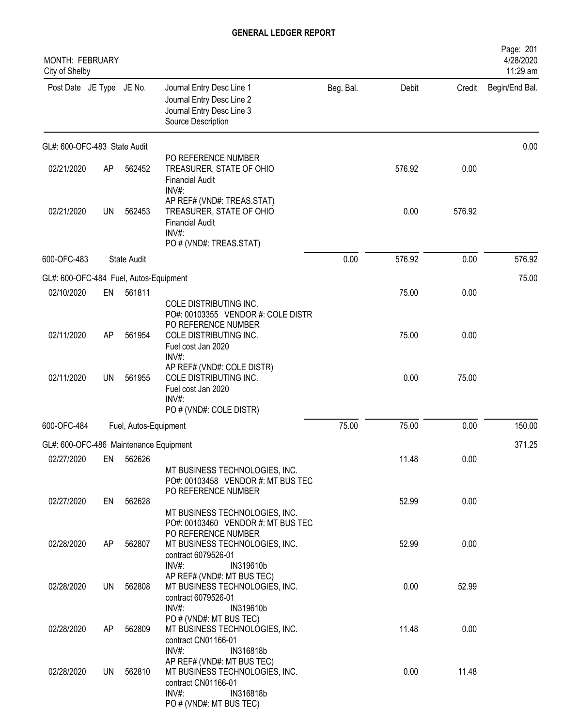| MONTH: FEBRUARY<br>City of Shelby      |           |                       |                                                                                                                                      |           |        |        | Page: 201<br>4/28/2020<br>11:29 am |
|----------------------------------------|-----------|-----------------------|--------------------------------------------------------------------------------------------------------------------------------------|-----------|--------|--------|------------------------------------|
| Post Date JE Type JE No.               |           |                       | Journal Entry Desc Line 1<br>Journal Entry Desc Line 2<br>Journal Entry Desc Line 3<br>Source Description                            | Beg. Bal. | Debit  | Credit | Begin/End Bal.                     |
| GL#: 600-OFC-483 State Audit           |           |                       |                                                                                                                                      |           |        |        | 0.00                               |
| 02/21/2020                             | AP        | 562452                | PO REFERENCE NUMBER<br>TREASURER, STATE OF OHIO<br><b>Financial Audit</b><br>$INV#$ :                                                |           | 576.92 | 0.00   |                                    |
| 02/21/2020                             | <b>UN</b> | 562453                | AP REF# (VND#: TREAS.STAT)<br>TREASURER, STATE OF OHIO<br><b>Financial Audit</b><br>INV#:<br>PO # (VND#: TREAS.STAT)                 |           | 0.00   | 576.92 |                                    |
| 600-OFC-483                            |           | <b>State Audit</b>    |                                                                                                                                      | 0.00      | 576.92 | 0.00   | 576.92                             |
| GL#: 600-OFC-484 Fuel, Autos-Equipment |           |                       |                                                                                                                                      |           |        |        | 75.00                              |
| 02/10/2020                             | EN        | 561811                |                                                                                                                                      |           | 75.00  | 0.00   |                                    |
|                                        |           |                       | COLE DISTRIBUTING INC.<br>PO#: 00103355 VENDOR #: COLE DISTR<br>PO REFERENCE NUMBER                                                  |           |        |        |                                    |
| 02/11/2020                             | AP        | 561954                | COLE DISTRIBUTING INC.<br>Fuel cost Jan 2020<br>$INV#$ :                                                                             |           | 75.00  | 0.00   |                                    |
| 02/11/2020                             | UN        | 561955                | AP REF# (VND#: COLE DISTR)<br>COLE DISTRIBUTING INC.<br>Fuel cost Jan 2020<br>INV#:<br>PO # (VND#: COLE DISTR)                       |           | 0.00   | 75.00  |                                    |
| 600-OFC-484                            |           | Fuel, Autos-Equipment |                                                                                                                                      | 75.00     | 75.00  | 0.00   | 150.00                             |
| GL#: 600-OFC-486 Maintenance Equipment |           |                       |                                                                                                                                      |           |        |        | 371.25                             |
| 02/27/2020                             | EN        | 562626                |                                                                                                                                      |           | 11.48  | 0.00   |                                    |
|                                        |           |                       | MT BUSINESS TECHNOLOGIES, INC.<br>PO#: 00103458 VENDOR #: MT BUS TEC<br>PO REFERENCE NUMBER                                          |           |        |        |                                    |
| 02/27/2020                             | EN        | 562628                |                                                                                                                                      |           | 52.99  | 0.00   |                                    |
| 02/28/2020                             | AP        | 562807                | MT BUSINESS TECHNOLOGIES, INC.<br>PO#: 00103460 VENDOR #: MT BUS TEC<br>PO REFERENCE NUMBER<br>MT BUSINESS TECHNOLOGIES, INC.        |           | 52.99  | 0.00   |                                    |
| 02/28/2020                             | UN        | 562808                | contract 6079526-01<br>INV#:<br>IN319610b<br>AP REF# (VND#: MT BUS TEC)<br>MT BUSINESS TECHNOLOGIES, INC.                            |           | 0.00   | 52.99  |                                    |
|                                        |           |                       | contract 6079526-01<br>INV#:<br>IN319610b<br>PO # (VND#: MT BUS TEC)                                                                 |           |        |        |                                    |
| 02/28/2020                             | AP        | 562809                | MT BUSINESS TECHNOLOGIES, INC.<br>contract CN01166-01<br>INV#:<br>IN316818b                                                          |           | 11.48  | 0.00   |                                    |
| 02/28/2020                             | UN        | 562810                | AP REF# (VND#: MT BUS TEC)<br>MT BUSINESS TECHNOLOGIES, INC.<br>contract CN01166-01<br>INV#:<br>IN316818b<br>PO # (VND#: MT BUS TEC) |           | 0.00   | 11.48  |                                    |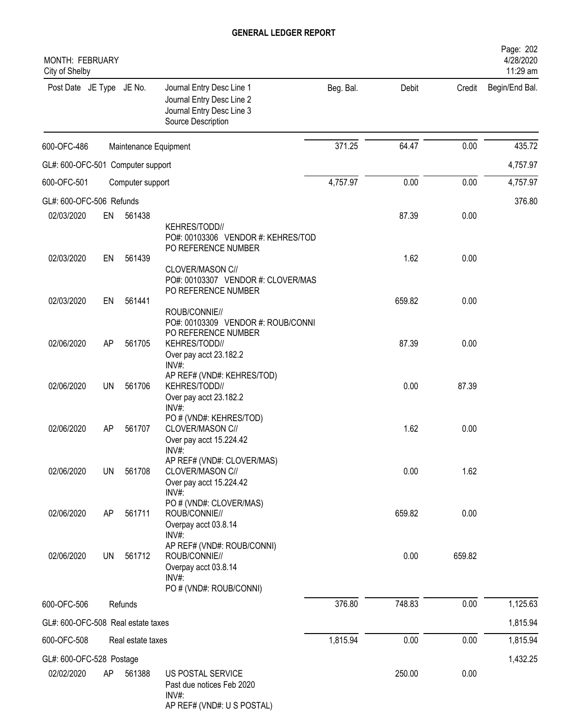| <b>MONTH: FEBRUARY</b><br>City of Shelby |           |                       |                                                                                                           |           |        |        | Page: 202<br>4/28/2020<br>11:29 am |
|------------------------------------------|-----------|-----------------------|-----------------------------------------------------------------------------------------------------------|-----------|--------|--------|------------------------------------|
| Post Date JE Type JE No.                 |           |                       | Journal Entry Desc Line 1<br>Journal Entry Desc Line 2<br>Journal Entry Desc Line 3<br>Source Description | Beg. Bal. | Debit  | Credit | Begin/End Bal.                     |
| 600-OFC-486                              |           | Maintenance Equipment |                                                                                                           | 371.25    | 64.47  | 0.00   | 435.72                             |
| GL#: 600-OFC-501 Computer support        |           |                       |                                                                                                           |           |        |        | 4,757.97                           |
| 600-OFC-501                              |           | Computer support      |                                                                                                           | 4,757.97  | 0.00   | 0.00   | 4,757.97                           |
| GL#: 600-OFC-506 Refunds                 |           |                       |                                                                                                           |           |        |        | 376.80                             |
| 02/03/2020                               | EN        | 561438                | KEHRES/TODD//<br>PO#: 00103306 VENDOR #: KEHRES/TOD<br>PO REFERENCE NUMBER                                |           | 87.39  | 0.00   |                                    |
| 02/03/2020                               | EN        | 561439                | CLOVER/MASON C//<br>PO#: 00103307 VENDOR #: CLOVER/MAS                                                    |           | 1.62   | 0.00   |                                    |
| 02/03/2020                               | EN        | 561441                | PO REFERENCE NUMBER<br>ROUB/CONNIE//<br>PO#: 00103309 VENDOR #: ROUB/CONNI                                |           | 659.82 | 0.00   |                                    |
| 02/06/2020                               | AP        | 561705                | PO REFERENCE NUMBER<br>KEHRES/TODD//<br>Over pay acct 23.182.2<br>INV#:                                   |           | 87.39  | 0.00   |                                    |
| 02/06/2020                               | <b>UN</b> | 561706                | AP REF# (VND#: KEHRES/TOD)<br>KEHRES/TODD//<br>Over pay acct 23.182.2<br>$INV#$ :                         |           | 0.00   | 87.39  |                                    |
| 02/06/2020                               | AP        | 561707                | PO # (VND#: KEHRES/TOD)<br>CLOVER/MASON C//<br>Over pay acct 15.224.42<br>INV#:                           |           | 1.62   | 0.00   |                                    |
| 02/06/2020                               | UN        | 561708                | AP REF# (VND#: CLOVER/MAS)<br>CLOVER/MASON C//<br>Over pay acct 15.224.42<br>INV#:                        |           | 0.00   | 1.62   |                                    |
| 02/06/2020                               | AP        | 561711                | PO # (VND#: CLOVER/MAS)<br>ROUB/CONNIE//<br>Overpay acct 03.8.14<br>INV#:                                 |           | 659.82 | 0.00   |                                    |
| 02/06/2020                               | <b>UN</b> | 561712                | AP REF# (VND#: ROUB/CONNI)<br>ROUB/CONNIE//<br>Overpay acct 03.8.14<br>INV#<br>PO # (VND#: ROUB/CONNI)    |           | 0.00   | 659.82 |                                    |
| 600-OFC-506                              |           | Refunds               |                                                                                                           | 376.80    | 748.83 | 0.00   | 1,125.63                           |
| GL#: 600-OFC-508 Real estate taxes       |           |                       |                                                                                                           |           |        |        | 1,815.94                           |
| 600-OFC-508                              |           | Real estate taxes     |                                                                                                           | 1,815.94  | 0.00   | 0.00   | 1,815.94                           |
| GL#: 600-OFC-528 Postage                 |           |                       |                                                                                                           |           |        |        | 1,432.25                           |
| 02/02/2020                               | AP        | 561388                | US POSTAL SERVICE<br>Past due notices Feb 2020<br>INV#:<br>AP REF# (VND#: U S POSTAL)                     |           | 250.00 | 0.00   |                                    |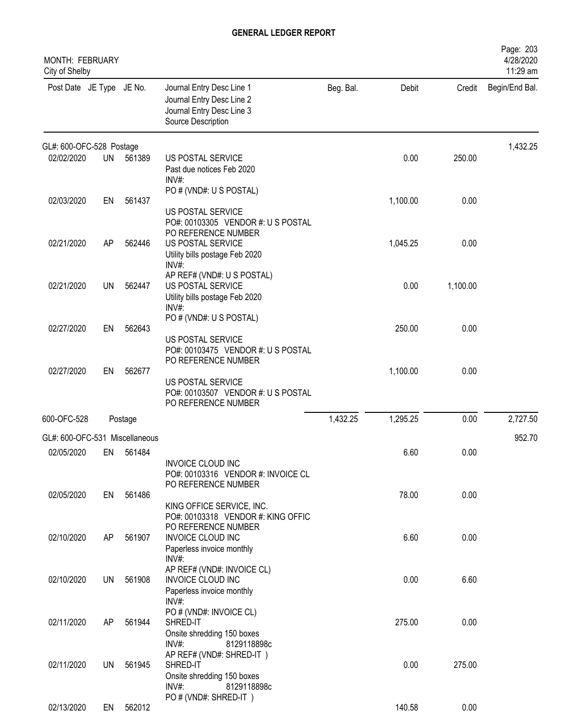| MONTH: FEBRUARY<br>City of Shelby |           |           |                                                                                                           |           |          |          | Page: 203<br>4/28/2020<br>11:29 am |
|-----------------------------------|-----------|-----------|-----------------------------------------------------------------------------------------------------------|-----------|----------|----------|------------------------------------|
| Post Date JE Type JE No.          |           |           | Journal Entry Desc Line 1<br>Journal Entry Desc Line 2<br>Journal Entry Desc Line 3<br>Source Description | Beg. Bal. | Debit    | Credit   | Begin/End Bal.                     |
| GL#: 600-OFC-528 Postage          |           |           |                                                                                                           |           |          |          | 1,432.25                           |
| 02/02/2020                        | <b>UN</b> | 561389    | US POSTAL SERVICE<br>Past due notices Feb 2020<br>INV#                                                    |           | 0.00     | 250.00   |                                    |
| 02/03/2020                        | EN        | 561437    | PO # (VND#: U S POSTAL)<br>US POSTAL SERVICE<br>PO#: 00103305 VENDOR #: U S POSTAL                        |           | 1,100.00 | 0.00     |                                    |
| 02/21/2020                        | AP        | 562446    | PO REFERENCE NUMBER<br>US POSTAL SERVICE<br>Utility bills postage Feb 2020<br>INV#:                       |           | 1,045.25 | 0.00     |                                    |
| 02/21/2020                        | <b>UN</b> | 562447    | AP REF# (VND#: U S POSTAL)<br>US POSTAL SERVICE<br>Utility bills postage Feb 2020<br>INV#:                |           | 0.00     | 1,100.00 |                                    |
| 02/27/2020                        | EN        | 562643    | PO # (VND#: U S POSTAL)<br>US POSTAL SERVICE<br>PO#: 00103475 VENDOR #: U S POSTAL                        |           | 250.00   | 0.00     |                                    |
| 02/27/2020                        | EN        | 562677    | PO REFERENCE NUMBER<br>US POSTAL SERVICE<br>PO#: 00103507 VENDOR #: U S POSTAL<br>PO REFERENCE NUMBER     |           | 1,100.00 | 0.00     |                                    |
| 600-OFC-528                       |           | Postage   |                                                                                                           | 1,432.25  | 1,295.25 | 0.00     | 2,727.50                           |
| GL#: 600-OFC-531 Miscellaneous    |           |           |                                                                                                           |           |          |          | 952.70                             |
| 02/05/2020                        |           | EN 561484 | <b>INVOICE CLOUD INC</b><br>PO#: 00103316 VENDOR #: INVOICE CL<br>PO REFERENCE NUMBER                     |           | 6.60     | 0.00     |                                    |
| 02/05/2020                        | EN        | 561486    | KING OFFICE SERVICE, INC.<br>PO#: 00103318 VENDOR #: KING OFFIC<br>PO REFERENCE NUMBER                    |           | 78.00    | 0.00     |                                    |
| 02/10/2020                        | AP        | 561907    | <b>INVOICE CLOUD INC</b><br>Paperless invoice monthly<br>$INV#$ :<br>AP REF# (VND#: INVOICE CL)           |           | 6.60     | 0.00     |                                    |
| 02/10/2020                        | UN        | 561908    | <b>INVOICE CLOUD INC</b><br>Paperless invoice monthly<br>INV#:                                            |           | 0.00     | 6.60     |                                    |
| 02/11/2020                        | AP        | 561944    | PO # (VND#: INVOICE CL)<br>SHRED-IT<br>Onsite shredding 150 boxes<br>INV#:<br>8129118898c                 |           | 275.00   | 0.00     |                                    |
| 02/11/2020                        | <b>UN</b> | 561945    | AP REF# (VND#: SHRED-IT)<br>SHRED-IT<br>Onsite shredding 150 boxes<br>$INV#$ :<br>8129118898c             |           | 0.00     | 275.00   |                                    |
| 02/13/2020                        | EN        | 562012    | PO # (VND#: SHRED-IT)                                                                                     |           | 140.58   | 0.00     |                                    |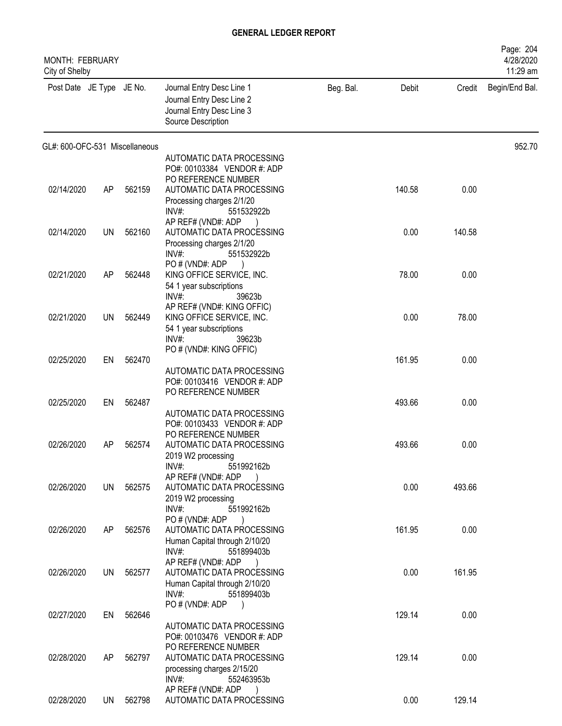| <b>MONTH: FEBRUARY</b><br>City of Shelby |           |        |                                                                                                                              |           |        |        | Page: 204<br>4/28/2020<br>11:29 am |
|------------------------------------------|-----------|--------|------------------------------------------------------------------------------------------------------------------------------|-----------|--------|--------|------------------------------------|
| Post Date JE Type JE No.                 |           |        | Journal Entry Desc Line 1<br>Journal Entry Desc Line 2<br>Journal Entry Desc Line 3<br>Source Description                    | Beg. Bal. | Debit  | Credit | Begin/End Bal.                     |
| GL#: 600-OFC-531 Miscellaneous           |           |        |                                                                                                                              |           |        |        | 952.70                             |
|                                          |           |        | AUTOMATIC DATA PROCESSING<br>PO#: 00103384 VENDOR #: ADP                                                                     |           |        |        |                                    |
| 02/14/2020                               | AP        | 562159 | PO REFERENCE NUMBER<br>AUTOMATIC DATA PROCESSING<br>Processing charges 2/1/20<br>$INV#$ :<br>551532922b                      |           | 140.58 | 0.00   |                                    |
| 02/14/2020                               | UN        | 562160 | AP REF# (VND#: ADP<br>AUTOMATIC DATA PROCESSING<br>Processing charges 2/1/20<br>INV#:<br>551532922b                          |           | 0.00   | 140.58 |                                    |
| 02/21/2020                               | AP        | 562448 | PO # (VND#: ADP<br>KING OFFICE SERVICE, INC.<br>54 1 year subscriptions                                                      |           | 78.00  | 0.00   |                                    |
| 02/21/2020                               | <b>UN</b> | 562449 | INV#:<br>39623b<br>AP REF# (VND#: KING OFFIC)<br>KING OFFICE SERVICE, INC.<br>54 1 year subscriptions<br>INV#:<br>39623b     |           | 0.00   | 78.00  |                                    |
|                                          |           |        | PO # (VND#: KING OFFIC)                                                                                                      |           |        |        |                                    |
| 02/25/2020                               | EN        | 562470 | AUTOMATIC DATA PROCESSING<br>PO#: 00103416 VENDOR #: ADP<br>PO REFERENCE NUMBER                                              |           | 161.95 | 0.00   |                                    |
| 02/25/2020                               | EN        | 562487 | AUTOMATIC DATA PROCESSING                                                                                                    |           | 493.66 | 0.00   |                                    |
| 02/26/2020                               | AP        | 562574 | PO#: 00103433 VENDOR #: ADP<br>PO REFERENCE NUMBER<br>AUTOMATIC DATA PROCESSING<br>2019 W2 processing<br>INV#:<br>551992162b |           | 493.66 | 0.00   |                                    |
| 02/26/2020                               | UN        | 562575 | AP REF# (VND#: ADP<br>AUTOMATIC DATA PROCESSING<br>2019 W2 processing                                                        |           | 0.00   | 493.66 |                                    |
| 02/26/2020                               | AP        | 562576 | INV#:<br>551992162b<br>PO#(VND#: ADP<br>AUTOMATIC DATA PROCESSING<br>Human Capital through 2/10/20<br>551899403b<br>$INV#$ : |           | 161.95 | 0.00   |                                    |
| 02/26/2020                               | UN        | 562577 | AP REF# (VND#: ADP<br>AUTOMATIC DATA PROCESSING<br>Human Capital through 2/10/20<br>$INV#$ :<br>551899403b                   |           | 0.00   | 161.95 |                                    |
| 02/27/2020                               | EN        | 562646 | PO # (VND#: ADP<br>$\rightarrow$                                                                                             |           | 129.14 | 0.00   |                                    |
|                                          |           |        | AUTOMATIC DATA PROCESSING<br>PO#: 00103476 VENDOR #: ADP<br>PO REFERENCE NUMBER                                              |           |        |        |                                    |
| 02/28/2020                               | AP        | 562797 | AUTOMATIC DATA PROCESSING<br>processing charges 2/15/20<br>INV#:<br>552463953b                                               |           | 129.14 | 0.00   |                                    |
| 02/28/2020                               | UN        | 562798 | AP REF# (VND#: ADP<br>AUTOMATIC DATA PROCESSING                                                                              |           | 0.00   | 129.14 |                                    |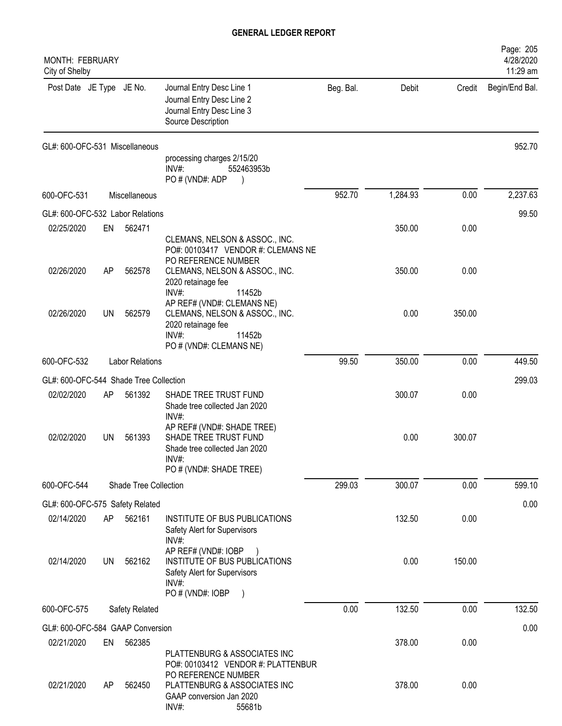| <b>MONTH: FEBRUARY</b><br>City of Shelby |    |                        |                                                                                                                                     |           |          |        | Page: 205<br>4/28/2020<br>11:29 am |
|------------------------------------------|----|------------------------|-------------------------------------------------------------------------------------------------------------------------------------|-----------|----------|--------|------------------------------------|
| Post Date JE Type JE No.                 |    |                        | Journal Entry Desc Line 1<br>Journal Entry Desc Line 2<br>Journal Entry Desc Line 3<br>Source Description                           | Beg. Bal. | Debit    | Credit | Begin/End Bal.                     |
| GL#: 600-OFC-531 Miscellaneous           |    |                        | processing charges 2/15/20<br>$INV#$ :<br>552463953b<br>PO # (VND#: ADP                                                             |           |          |        | 952.70                             |
| 600-OFC-531                              |    | Miscellaneous          |                                                                                                                                     | 952.70    | 1,284.93 | 0.00   | 2,237.63                           |
| GL#: 600-OFC-532 Labor Relations         |    |                        |                                                                                                                                     |           |          |        | 99.50                              |
| 02/25/2020                               | EN | 562471                 | CLEMANS, NELSON & ASSOC., INC.<br>PO#: 00103417 VENDOR #: CLEMANS NE                                                                |           | 350.00   | 0.00   |                                    |
| 02/26/2020                               | AP | 562578                 | PO REFERENCE NUMBER<br>CLEMANS, NELSON & ASSOC., INC.<br>2020 retainage fee<br>$INV#$ :<br>11452b                                   |           | 350.00   | 0.00   |                                    |
| 02/26/2020                               | UN | 562579                 | AP REF# (VND#: CLEMANS NE)<br>CLEMANS, NELSON & ASSOC., INC.<br>2020 retainage fee<br>$INV#$ :<br>11452b<br>PO # (VND#: CLEMANS NE) |           | 0.00     | 350.00 |                                    |
| 600-OFC-532                              |    | <b>Labor Relations</b> |                                                                                                                                     | 99.50     | 350.00   | 0.00   | 449.50                             |
| GL#: 600-OFC-544 Shade Tree Collection   |    |                        |                                                                                                                                     |           |          |        | 299.03                             |
| 02/02/2020                               | AP | 561392                 | SHADE TREE TRUST FUND<br>Shade tree collected Jan 2020<br>INV#:                                                                     |           | 300.07   | 0.00   |                                    |
| 02/02/2020                               | UN | 561393                 | AP REF# (VND#: SHADE TREE)<br>SHADE TREE TRUST FUND<br>Shade tree collected Jan 2020<br>INV#:<br>PO # (VND#: SHADE TREE)            |           | 0.00     | 300.07 |                                    |
| 600-OFC-544                              |    | Shade Tree Collection  |                                                                                                                                     | 299.03    | 300.07   | 0.00   | 599.10                             |
| GL#: 600-OFC-575 Safety Related          |    |                        |                                                                                                                                     |           |          |        | 0.00                               |
| 02/14/2020                               | AP | 562161                 | INSTITUTE OF BUS PUBLICATIONS<br>Safety Alert for Supervisors<br>INV#:                                                              |           | 132.50   | 0.00   |                                    |
| 02/14/2020                               | UN | 562162                 | AP REF# (VND#: IOBP<br>INSTITUTE OF BUS PUBLICATIONS<br>Safety Alert for Supervisors<br>INV#:<br>PO # (VND#: IOBP<br>$\rightarrow$  |           | 0.00     | 150.00 |                                    |
| 600-OFC-575                              |    | Safety Related         |                                                                                                                                     | 0.00      | 132.50   | 0.00   | 132.50                             |
| GL#: 600-OFC-584 GAAP Conversion         |    |                        |                                                                                                                                     |           |          |        | 0.00                               |
| 02/21/2020                               | EN | 562385                 |                                                                                                                                     |           | 378.00   | 0.00   |                                    |
| 02/21/2020                               | AP | 562450                 | PLATTENBURG & ASSOCIATES INC<br>PO#: 00103412 VENDOR #: PLATTENBUR<br>PO REFERENCE NUMBER<br>PLATTENBURG & ASSOCIATES INC           |           | 378.00   | 0.00   |                                    |
|                                          |    |                        | GAAP conversion Jan 2020<br>INV#:<br>55681b                                                                                         |           |          |        |                                    |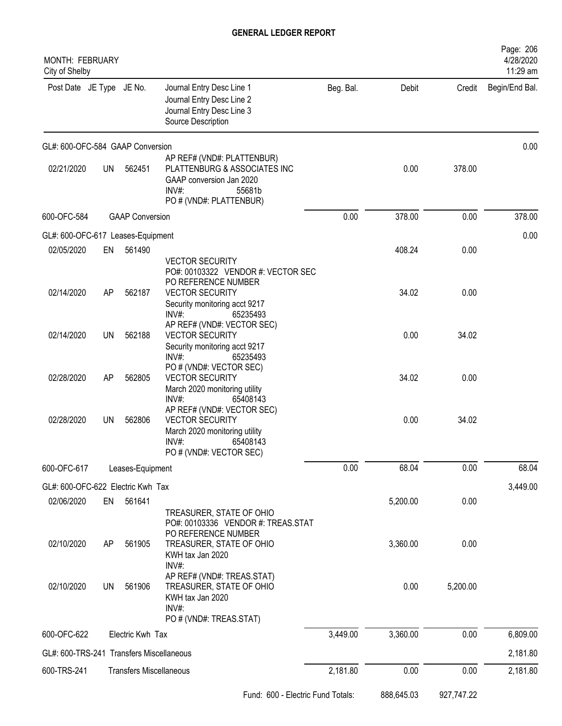| <b>MONTH: FEBRUARY</b><br>City of Shelby |           |                  |                                                                                                                                              |           |            |            | Page: 206<br>4/28/2020<br>11:29 am |
|------------------------------------------|-----------|------------------|----------------------------------------------------------------------------------------------------------------------------------------------|-----------|------------|------------|------------------------------------|
| Post Date JE Type JE No.                 |           |                  | Journal Entry Desc Line 1<br>Journal Entry Desc Line 2<br>Journal Entry Desc Line 3<br>Source Description                                    | Beg. Bal. | Debit      | Credit     | Begin/End Bal.                     |
| GL#: 600-OFC-584 GAAP Conversion         |           |                  |                                                                                                                                              |           |            |            | 0.00                               |
| 02/21/2020                               | UN        | 562451           | AP REF# (VND#: PLATTENBUR)<br>PLATTENBURG & ASSOCIATES INC<br>GAAP conversion Jan 2020<br>INV#:<br>55681b<br>PO # (VND#: PLATTENBUR)         |           | 0.00       | 378.00     |                                    |
| 600-OFC-584<br><b>GAAP Conversion</b>    |           |                  |                                                                                                                                              | 0.00      | 378.00     | 0.00       | 378.00                             |
| GL#: 600-OFC-617 Leases-Equipment        |           |                  |                                                                                                                                              |           |            |            | 0.00                               |
| 02/05/2020                               | EN        | 561490           | <b>VECTOR SECURITY</b>                                                                                                                       |           | 408.24     | 0.00       |                                    |
| 02/14/2020                               | AP        | 562187           | PO#: 00103322 VENDOR #: VECTOR SEC<br>PO REFERENCE NUMBER<br><b>VECTOR SECURITY</b><br>Security monitoring acct 9217<br>$INV#$ :<br>65235493 |           | 34.02      | 0.00       |                                    |
| 02/14/2020                               | UN        | 562188           | AP REF# (VND#: VECTOR SEC)<br><b>VECTOR SECURITY</b><br>Security monitoring acct 9217<br>$INV#$ :<br>65235493                                |           | 0.00       | 34.02      |                                    |
| 02/28/2020                               | AP        | 562805           | PO # (VND#: VECTOR SEC)<br><b>VECTOR SECURITY</b><br>March 2020 monitoring utility<br>$INV#$ :<br>65408143                                   |           | 34.02      | 0.00       |                                    |
| 02/28/2020                               | UN        | 562806           | AP REF# (VND#: VECTOR SEC)<br><b>VECTOR SECURITY</b><br>March 2020 monitoring utility<br>$INV#$ :<br>65408143<br>PO # (VND#: VECTOR SEC)     |           | 0.00       | 34.02      |                                    |
| 600-OFC-617                              |           | Leases-Equipment |                                                                                                                                              | 0.00      | 68.04      | 0.00       | 68.04                              |
| GL#: 600-OFC-622 Electric Kwh Tax        |           |                  |                                                                                                                                              |           |            |            | 3,449.00                           |
| 02/06/2020                               | EN        | 561641           | TREASURER, STATE OF OHIO<br>PO#: 00103336 VENDOR #: TREAS.STAT                                                                               |           | 5,200.00   | 0.00       |                                    |
| 02/10/2020                               | AP        | 561905           | PO REFERENCE NUMBER<br>TREASURER, STATE OF OHIO<br>KWH tax Jan 2020<br>INV#:                                                                 |           | 3,360.00   | 0.00       |                                    |
| 02/10/2020                               | <b>UN</b> | 561906           | AP REF# (VND#: TREAS.STAT)<br>TREASURER, STATE OF OHIO<br>KWH tax Jan 2020<br>INV#:<br>PO # (VND#: TREAS.STAT)                               |           | 0.00       | 5,200.00   |                                    |
| 600-OFC-622                              |           | Electric Kwh Tax |                                                                                                                                              | 3,449.00  | 3,360.00   | 0.00       | 6,809.00                           |
| GL#: 600-TRS-241 Transfers Miscellaneous |           |                  |                                                                                                                                              |           |            |            | 2,181.80                           |
| 600-TRS-241                              |           |                  | <b>Transfers Miscellaneous</b>                                                                                                               | 2,181.80  | 0.00       | 0.00       | 2,181.80                           |
|                                          |           |                  | Fund: 600 - Electric Fund Totals:                                                                                                            |           | 888,645.03 | 927,747.22 |                                    |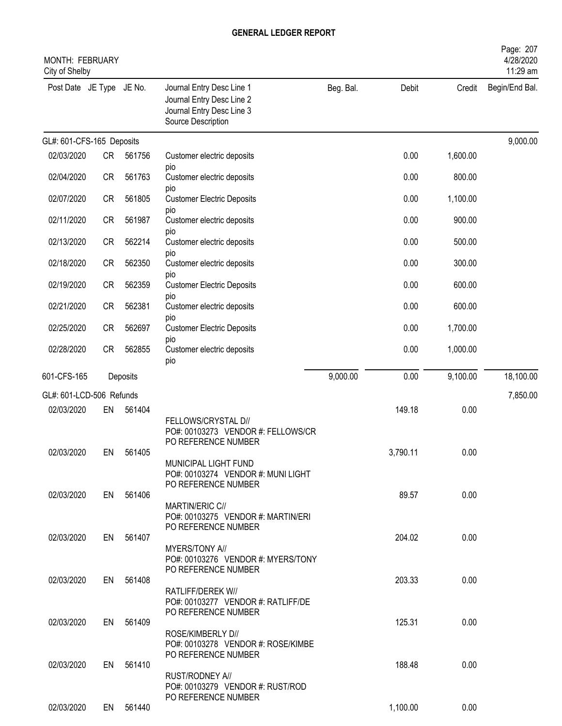| <b>MONTH: FEBRUARY</b><br>City of Shelby |           |           |                                                                                                           |           |          |          | Page: 207<br>4/28/2020<br>11:29 am |
|------------------------------------------|-----------|-----------|-----------------------------------------------------------------------------------------------------------|-----------|----------|----------|------------------------------------|
| Post Date JE Type JE No.                 |           |           | Journal Entry Desc Line 1<br>Journal Entry Desc Line 2<br>Journal Entry Desc Line 3<br>Source Description | Beg. Bal. | Debit    | Credit   | Begin/End Bal.                     |
| GL#: 601-CFS-165 Deposits                |           |           |                                                                                                           |           |          |          | 9,000.00                           |
| 02/03/2020                               | <b>CR</b> | 561756    | Customer electric deposits                                                                                |           | 0.00     | 1,600.00 |                                    |
| 02/04/2020                               | <b>CR</b> | 561763    | pio<br>Customer electric deposits<br>pio                                                                  |           | 0.00     | 800.00   |                                    |
| 02/07/2020                               | <b>CR</b> | 561805    | <b>Customer Electric Deposits</b><br>pio                                                                  |           | 0.00     | 1,100.00 |                                    |
| 02/11/2020                               | <b>CR</b> | 561987    | Customer electric deposits<br>pio                                                                         |           | 0.00     | 900.00   |                                    |
| 02/13/2020                               | <b>CR</b> | 562214    | Customer electric deposits<br>pio                                                                         |           | 0.00     | 500.00   |                                    |
| 02/18/2020                               | <b>CR</b> | 562350    | Customer electric deposits<br>pio                                                                         |           | 0.00     | 300.00   |                                    |
| 02/19/2020                               | <b>CR</b> | 562359    | <b>Customer Electric Deposits</b><br>pio                                                                  |           | 0.00     | 600.00   |                                    |
| 02/21/2020                               | <b>CR</b> | 562381    | Customer electric deposits<br>pio                                                                         |           | 0.00     | 600.00   |                                    |
| 02/25/2020                               | <b>CR</b> | 562697    | <b>Customer Electric Deposits</b><br>pio                                                                  |           | 0.00     | 1,700.00 |                                    |
| 02/28/2020                               | <b>CR</b> | 562855    | Customer electric deposits<br>pio                                                                         |           | 0.00     | 1,000.00 |                                    |
| 601-CFS-165                              |           | Deposits  |                                                                                                           | 9,000.00  | 0.00     | 9,100.00 | 18,100.00                          |
| GL#: 601-LCD-506 Refunds                 |           |           |                                                                                                           |           |          |          | 7,850.00                           |
| 02/03/2020                               | EN        | 561404    | FELLOWS/CRYSTAL D//<br>PO#: 00103273 VENDOR #: FELLOWS/CR<br>PO REFERENCE NUMBER                          |           | 149.18   | 0.00     |                                    |
| 02/03/2020                               | EN        | 561405    | MUNICIPAL LIGHT FUND<br>PO#: 00103274 VENDOR #: MUNI LIGHT<br>PO REFERENCE NUMBER                         |           | 3,790.11 | 0.00     |                                    |
| 02/03/2020                               |           | EN 561406 | MARTIN/ERIC C//<br>PO#: 00103275 VENDOR #: MARTIN/ERI<br>PO REFERENCE NUMBER                              |           | 89.57    | 0.00     |                                    |
| 02/03/2020                               |           | EN 561407 | MYERS/TONY A//<br>PO#: 00103276 VENDOR #: MYERS/TONY<br>PO REFERENCE NUMBER                               |           | 204.02   | 0.00     |                                    |
| 02/03/2020                               |           | EN 561408 | RATLIFF/DEREK W//<br>PO#: 00103277 VENDOR #: RATLIFF/DE<br>PO REFERENCE NUMBER                            |           | 203.33   | 0.00     |                                    |
| 02/03/2020                               |           | EN 561409 | ROSE/KIMBERLY D//<br>PO#: 00103278 VENDOR #: ROSE/KIMBE                                                   |           | 125.31   | 0.00     |                                    |
| 02/03/2020                               |           | EN 561410 | PO REFERENCE NUMBER<br>RUST/RODNEY A//<br>PO#: 00103279 VENDOR #: RUST/ROD                                |           | 188.48   | 0.00     |                                    |
| 02/03/2020                               |           | EN 561440 | PO REFERENCE NUMBER                                                                                       |           | 1,100.00 | 0.00     |                                    |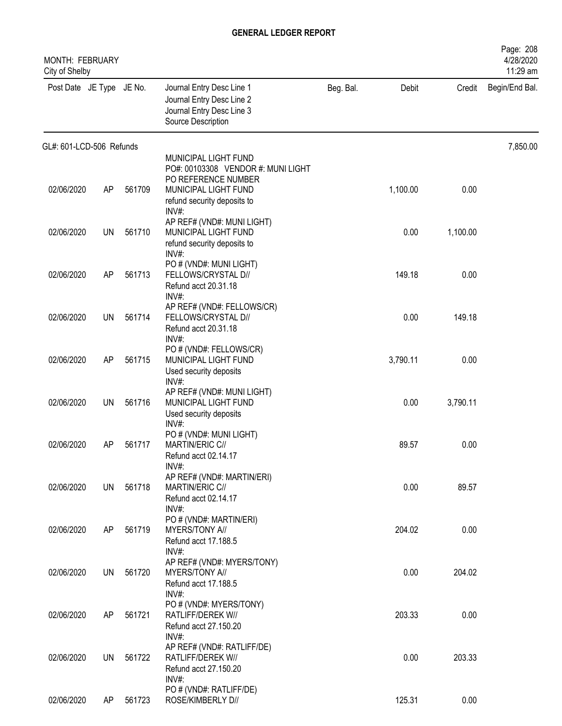| MONTH: FEBRUARY<br>City of Shelby |           |        |                                                                                                           |           |          |          | Page: 208<br>4/28/2020<br>11:29 am |
|-----------------------------------|-----------|--------|-----------------------------------------------------------------------------------------------------------|-----------|----------|----------|------------------------------------|
| Post Date JE Type JE No.          |           |        | Journal Entry Desc Line 1<br>Journal Entry Desc Line 2<br>Journal Entry Desc Line 3<br>Source Description | Beg. Bal. | Debit    | Credit   | Begin/End Bal.                     |
| GL#: 601-LCD-506 Refunds          |           |        |                                                                                                           |           |          |          | 7,850.00                           |
|                                   |           |        | MUNICIPAL LIGHT FUND<br>PO#: 00103308 VENDOR #: MUNI LIGHT                                                |           |          |          |                                    |
| 02/06/2020                        | AP        | 561709 | PO REFERENCE NUMBER<br>MUNICIPAL LIGHT FUND<br>refund security deposits to<br>INV#:                       |           | 1,100.00 | 0.00     |                                    |
| 02/06/2020                        | UN        | 561710 | AP REF# (VND#: MUNI LIGHT)<br>MUNICIPAL LIGHT FUND<br>refund security deposits to                         |           | 0.00     | 1,100.00 |                                    |
| 02/06/2020                        | AP        | 561713 | INV#:<br>PO # (VND#: MUNI LIGHT)<br>FELLOWS/CRYSTAL D//<br>Refund acct 20.31.18                           |           | 149.18   | 0.00     |                                    |
| 02/06/2020                        | UN        | 561714 | INV#:<br>AP REF# (VND#: FELLOWS/CR)<br>FELLOWS/CRYSTAL D//<br>Refund acct 20.31.18                        |           | 0.00     | 149.18   |                                    |
| 02/06/2020                        | AP        | 561715 | INV#:<br>PO # (VND#: FELLOWS/CR)<br>MUNICIPAL LIGHT FUND<br>Used security deposits                        |           | 3,790.11 | 0.00     |                                    |
| 02/06/2020                        | UN        | 561716 | $INV#$ :<br>AP REF# (VND#: MUNI LIGHT)<br>MUNICIPAL LIGHT FUND<br>Used security deposits                  |           | 0.00     | 3,790.11 |                                    |
| 02/06/2020                        | AP        | 561717 | $INV#$ :<br>PO # (VND#: MUNI LIGHT)<br>MARTIN/ERIC C//<br>Refund acct 02.14.17                            |           | 89.57    | 0.00     |                                    |
| 02/06/2020                        | UN        | 561718 | INV#:<br>AP REF# (VND#: MARTIN/ERI)<br>MARTIN/ERIC C//<br>Refund acct 02.14.17                            |           | 0.00     | 89.57    |                                    |
| 02/06/2020                        | AP        | 561719 | INV#:<br>PO # (VND#: MARTIN/ERI)<br>MYERS/TONY A//<br>Refund acct 17.188.5                                |           | 204.02   | 0.00     |                                    |
| 02/06/2020                        | <b>UN</b> | 561720 | INV#:<br>AP REF# (VND#: MYERS/TONY)<br>MYERS/TONY A//<br>Refund acct 17.188.5                             |           | 0.00     | 204.02   |                                    |
| 02/06/2020                        | AP        | 561721 | $INV#$ :<br>PO # (VND#: MYERS/TONY)<br>RATLIFF/DEREK W//<br>Refund acct 27.150.20                         |           | 203.33   | 0.00     |                                    |
| 02/06/2020                        | <b>UN</b> | 561722 | INV#:<br>AP REF# (VND#: RATLIFF/DE)<br>RATLIFF/DEREK W//<br>Refund acct 27.150.20                         |           | 0.00     | 203.33   |                                    |
| 02/06/2020                        | AP        | 561723 | INV#:<br>PO # (VND#: RATLIFF/DE)<br>ROSE/KIMBERLY D//                                                     |           | 125.31   | 0.00     |                                    |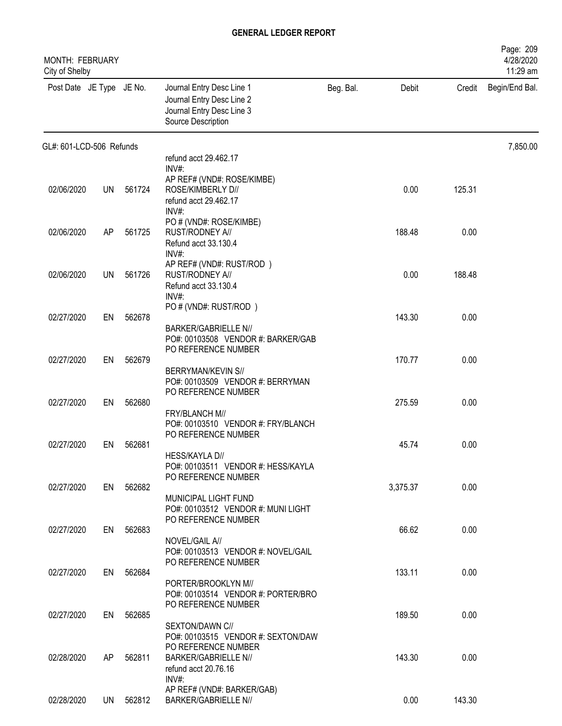| MONTH: FEBRUARY<br>City of Shelby |           |           |                                                                                                           |           |          |        | Page: 209<br>4/28/2020<br>11:29 am |
|-----------------------------------|-----------|-----------|-----------------------------------------------------------------------------------------------------------|-----------|----------|--------|------------------------------------|
| Post Date JE Type JE No.          |           |           | Journal Entry Desc Line 1<br>Journal Entry Desc Line 2<br>Journal Entry Desc Line 3<br>Source Description | Beg. Bal. | Debit    | Credit | Begin/End Bal.                     |
| GL#: 601-LCD-506 Refunds          |           |           |                                                                                                           |           |          |        | 7,850.00                           |
|                                   |           |           | refund acct 29.462.17<br>INV#:                                                                            |           |          |        |                                    |
| 02/06/2020                        | <b>UN</b> | 561724    | AP REF# (VND#: ROSE/KIMBE)<br>ROSE/KIMBERLY D//<br>refund acct 29.462.17<br>$INV#$ :                      |           | 0.00     | 125.31 |                                    |
| 02/06/2020                        | AP        | 561725    | PO # (VND#: ROSE/KIMBE)<br>RUST/RODNEY A//<br>Refund acct 33.130.4                                        |           | 188.48   | 0.00   |                                    |
| 02/06/2020                        | <b>UN</b> | 561726    | INV#<br>AP REF# (VND#: RUST/ROD)<br>RUST/RODNEY A//<br>Refund acct 33.130.4<br>INV#                       |           | 0.00     | 188.48 |                                    |
| 02/27/2020                        | EN        | 562678    | PO # (VND#: RUST/ROD)<br><b>BARKER/GABRIELLE N//</b>                                                      |           | 143.30   | 0.00   |                                    |
| 02/27/2020                        | EN        | 562679    | PO#: 00103508 VENDOR #: BARKER/GAB<br>PO REFERENCE NUMBER<br><b>BERRYMAN/KEVIN S//</b>                    |           | 170.77   | 0.00   |                                    |
| 02/27/2020                        | EN        | 562680    | PO#: 00103509 VENDOR #: BERRYMAN<br>PO REFERENCE NUMBER<br>FRY/BLANCH M//                                 |           | 275.59   | 0.00   |                                    |
| 02/27/2020                        | EN        | 562681    | PO#: 00103510 VENDOR #: FRY/BLANCH<br>PO REFERENCE NUMBER<br>HESS/KAYLA D//                               |           | 45.74    | 0.00   |                                    |
| 02/27/2020                        |           | EN 562682 | PO#: 00103511 VENDOR #: HESS/KAYLA<br>PO REFERENCE NUMBER                                                 |           | 3,375.37 | 0.00   |                                    |
| 02/27/2020                        | EN        | 562683    | MUNICIPAL LIGHT FUND<br>PO#: 00103512 VENDOR #: MUNI LIGHT<br>PO REFERENCE NUMBER                         |           | 66.62    | 0.00   |                                    |
|                                   |           |           | NOVEL/GAIL A//<br>PO#: 00103513 VENDOR #: NOVEL/GAIL<br>PO REFERENCE NUMBER                               |           |          |        |                                    |
| 02/27/2020                        |           | EN 562684 | PORTER/BROOKLYN M//<br>PO#: 00103514 VENDOR #: PORTER/BRO<br>PO REFERENCE NUMBER                          |           | 133.11   | 0.00   |                                    |
| 02/27/2020                        | EN        | 562685    | SEXTON/DAWN C//<br>PO#: 00103515 VENDOR #: SEXTON/DAW                                                     |           | 189.50   | 0.00   |                                    |
| 02/28/2020                        | AP        | 562811    | PO REFERENCE NUMBER<br><b>BARKER/GABRIELLE N//</b><br>refund acct 20.76.16<br>INV#:                       |           | 143.30   | 0.00   |                                    |
| 02/28/2020                        |           | UN 562812 | AP REF# (VND#: BARKER/GAB)<br><b>BARKER/GABRIELLE N//</b>                                                 |           | 0.00     | 143.30 |                                    |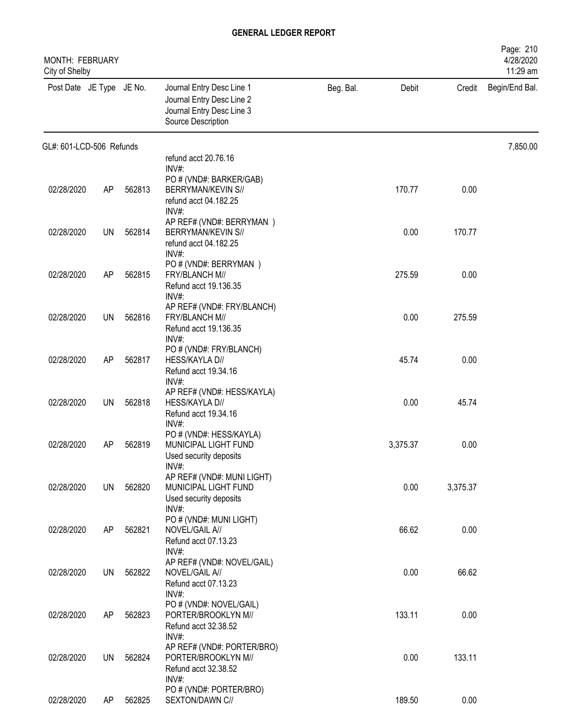| MONTH: FEBRUARY<br>City of Shelby |           |        |                                                                                                           |           |          |          | Page: 210<br>4/28/2020<br>11:29 am |
|-----------------------------------|-----------|--------|-----------------------------------------------------------------------------------------------------------|-----------|----------|----------|------------------------------------|
| Post Date JE Type JE No.          |           |        | Journal Entry Desc Line 1<br>Journal Entry Desc Line 2<br>Journal Entry Desc Line 3<br>Source Description | Beg. Bal. | Debit    | Credit   | Begin/End Bal.                     |
| GL#: 601-LCD-506 Refunds          |           |        |                                                                                                           |           |          |          | 7,850.00                           |
|                                   |           |        | refund acct 20.76.16<br>$INV#$ :                                                                          |           |          |          |                                    |
| 02/28/2020                        | AP        | 562813 | PO # (VND#: BARKER/GAB)<br>BERRYMAN/KEVIN S//<br>refund acct 04.182.25<br>INV#:                           |           | 170.77   | 0.00     |                                    |
| 02/28/2020                        | UN        | 562814 | AP REF# (VND#: BERRYMAN)<br>BERRYMAN/KEVIN S//<br>refund acct 04.182.25<br>INV#:                          |           | 0.00     | 170.77   |                                    |
| 02/28/2020                        | AP        | 562815 | PO # (VND#: BERRYMAN)<br>FRY/BLANCH M//<br>Refund acct 19.136.35                                          |           | 275.59   | 0.00     |                                    |
| 02/28/2020                        | <b>UN</b> | 562816 | INV#:<br>AP REF# (VND#: FRY/BLANCH)<br>FRY/BLANCH M//<br>Refund acct 19.136.35                            |           | 0.00     | 275.59   |                                    |
| 02/28/2020                        | AP        | 562817 | INV#:<br>PO # (VND#: FRY/BLANCH)<br>HESS/KAYLA D//<br>Refund acct 19.34.16                                |           | 45.74    | 0.00     |                                    |
| 02/28/2020                        | UN        | 562818 | $INV#$ :<br>AP REF# (VND#: HESS/KAYLA)<br>HESS/KAYLA D//<br>Refund acct 19.34.16                          |           | 0.00     | 45.74    |                                    |
| 02/28/2020                        | AP        | 562819 | INV#:<br>PO # (VND#: HESS/KAYLA)<br>MUNICIPAL LIGHT FUND<br>Used security deposits                        |           | 3,375.37 | 0.00     |                                    |
| 02/28/2020                        | <b>UN</b> | 562820 | INV#:<br>AP REF# (VND#: MUNI LIGHT)<br>MUNICIPAL LIGHT FUND<br>Used security deposits                     |           | 0.00     | 3,375.37 |                                    |
| 02/28/2020                        | AP        | 562821 | INV#:<br>PO # (VND#: MUNI LIGHT)<br>NOVEL/GAIL A//<br>Refund acct 07.13.23                                |           | 66.62    | 0.00     |                                    |
| 02/28/2020                        | UN        | 562822 | $INV#$ :<br>AP REF# (VND#: NOVEL/GAIL)<br>NOVEL/GAIL A//<br>Refund acct 07.13.23                          |           | 0.00     | 66.62    |                                    |
| 02/28/2020                        | AP        | 562823 | $INV#$ :<br>PO # (VND#: NOVEL/GAIL)<br>PORTER/BROOKLYN M//<br>Refund acct 32.38.52                        |           | 133.11   | 0.00     |                                    |
| 02/28/2020                        | UN        | 562824 | INV#:<br>AP REF# (VND#: PORTER/BRO)<br>PORTER/BROOKLYN M//<br>Refund acct 32.38.52                        |           | 0.00     | 133.11   |                                    |
| 02/28/2020                        | AP        | 562825 | $INV#$ :<br>PO # (VND#: PORTER/BRO)<br>SEXTON/DAWN C//                                                    |           | 189.50   | 0.00     |                                    |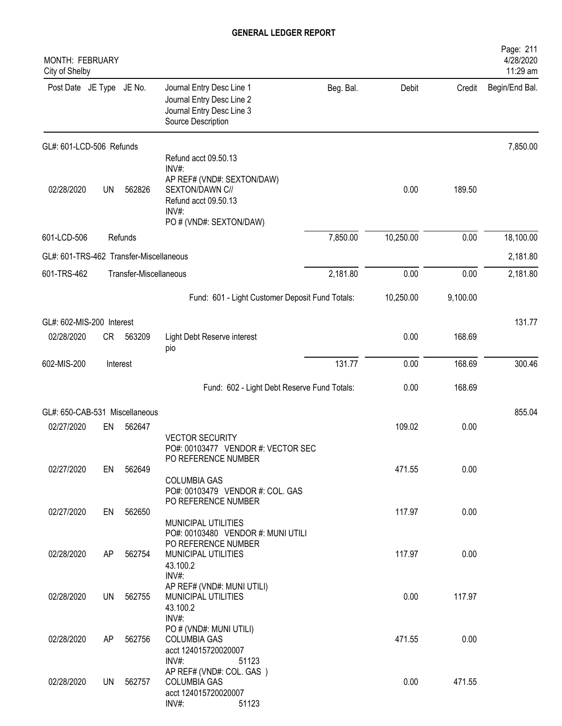| MONTH: FEBRUARY<br>City of Shelby       |           |                        |                                                                                                                                            |           |           |          | Page: 211<br>4/28/2020<br>11:29 am |
|-----------------------------------------|-----------|------------------------|--------------------------------------------------------------------------------------------------------------------------------------------|-----------|-----------|----------|------------------------------------|
| Post Date JE Type JE No.                |           |                        | Journal Entry Desc Line 1<br>Journal Entry Desc Line 2<br>Journal Entry Desc Line 3<br>Source Description                                  | Beg. Bal. | Debit     | Credit   | Begin/End Bal.                     |
| GL#: 601-LCD-506 Refunds                |           |                        |                                                                                                                                            |           |           |          | 7,850.00                           |
| 02/28/2020                              | <b>UN</b> | 562826                 | Refund acct 09.50.13<br>INV#:<br>AP REF# (VND#: SEXTON/DAW)<br>SEXTON/DAWN C//<br>Refund acct 09.50.13<br>INV#:<br>PO # (VND#: SEXTON/DAW) |           | 0.00      | 189.50   |                                    |
| 601-LCD-506                             |           | Refunds                |                                                                                                                                            | 7,850.00  | 10,250.00 | 0.00     | 18,100.00                          |
| GL#: 601-TRS-462 Transfer-Miscellaneous |           |                        |                                                                                                                                            |           |           |          | 2,181.80                           |
| 601-TRS-462                             |           | Transfer-Miscellaneous |                                                                                                                                            | 2,181.80  | 0.00      | 0.00     | 2,181.80                           |
|                                         |           |                        | Fund: 601 - Light Customer Deposit Fund Totals:                                                                                            |           | 10,250.00 | 9,100.00 |                                    |
| GL#: 602-MIS-200 Interest               |           |                        |                                                                                                                                            |           |           |          | 131.77                             |
| 02/28/2020                              | CR        | 563209                 | Light Debt Reserve interest<br>pio                                                                                                         |           | 0.00      | 168.69   |                                    |
| 602-MIS-200                             |           | Interest               |                                                                                                                                            | 131.77    | 0.00      | 168.69   | 300.46                             |
|                                         |           |                        | Fund: 602 - Light Debt Reserve Fund Totals:                                                                                                |           | 0.00      | 168.69   |                                    |
| GL#: 650-CAB-531 Miscellaneous          |           |                        |                                                                                                                                            |           |           |          | 855.04                             |
| 02/27/2020                              | EN        | 562647                 | <b>VECTOR SECURITY</b><br>PO#: 00103477 VENDOR #: VECTOR SEC                                                                               |           | 109.02    | 0.00     |                                    |
| 02/27/2020                              | EN        | 562649                 | PO REFERENCE NUMBER<br><b>COLUMBIA GAS</b><br>PO#: 00103479 VENDOR #: COL. GAS                                                             |           | 471.55    | 0.00     |                                    |
| 02/27/2020                              | EN        | 562650                 | PO REFERENCE NUMBER<br>MUNICIPAL UTILITIES<br>PO#: 00103480 VENDOR #: MUNI UTILI                                                           |           | 117.97    | 0.00     |                                    |
| 02/28/2020                              | AP        | 562754                 | PO REFERENCE NUMBER<br>MUNICIPAL UTILITIES<br>43.100.2<br>INV#:                                                                            |           | 117.97    | 0.00     |                                    |
| 02/28/2020                              | UN        | 562755                 | AP REF# (VND#: MUNI UTILI)<br>MUNICIPAL UTILITIES<br>43.100.2<br>INV#:                                                                     |           | 0.00      | 117.97   |                                    |
| 02/28/2020                              | AP.       | 562756                 | PO # (VND#: MUNI UTILI)<br><b>COLUMBIA GAS</b><br>acct 124015720020007                                                                     |           | 471.55    | 0.00     |                                    |
| 02/28/2020                              | UN        | 562757                 | INV#:<br>51123<br>AP REF# (VND#: COL. GAS)<br><b>COLUMBIA GAS</b><br>acct 124015720020007<br>INV#:<br>51123                                |           | 0.00      | 471.55   |                                    |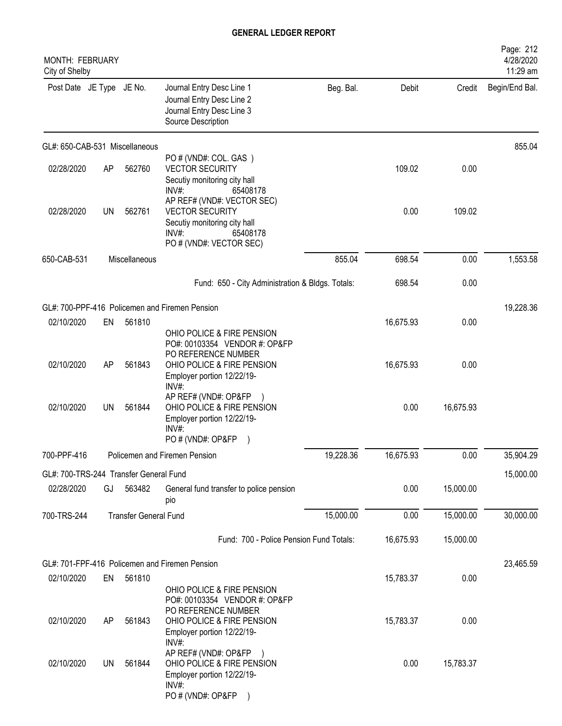| MONTH: FEBRUARY<br>City of Shelby      |           |                              |                                                                                                                                         |           |           |           | Page: 212<br>4/28/2020<br>11:29 am |
|----------------------------------------|-----------|------------------------------|-----------------------------------------------------------------------------------------------------------------------------------------|-----------|-----------|-----------|------------------------------------|
| Post Date JE Type JE No.               |           |                              | Journal Entry Desc Line 1<br>Journal Entry Desc Line 2<br>Journal Entry Desc Line 3<br>Source Description                               | Beg. Bal. | Debit     | Credit    | Begin/End Bal.                     |
| GL#: 650-CAB-531 Miscellaneous         |           |                              |                                                                                                                                         |           |           |           | 855.04                             |
| 02/28/2020                             | AP        | 562760                       | PO#(VND#: COL. GAS)<br><b>VECTOR SECURITY</b><br>Secutiy monitoring city hall<br>$INV#$ :<br>65408178                                   |           | 109.02    | 0.00      |                                    |
| 02/28/2020                             | <b>UN</b> | 562761                       | AP REF# (VND#: VECTOR SEC)<br><b>VECTOR SECURITY</b><br>Secutiy monitoring city hall<br>$INV#$ :<br>65408178<br>PO # (VND#: VECTOR SEC) |           | 0.00      | 109.02    |                                    |
| 650-CAB-531                            |           | Miscellaneous                |                                                                                                                                         | 855.04    | 698.54    | 0.00      | 1,553.58                           |
|                                        |           |                              | Fund: 650 - City Administration & Bldgs. Totals:                                                                                        |           | 698.54    | 0.00      |                                    |
|                                        |           |                              | GL#: 700-PPF-416 Policemen and Firemen Pension                                                                                          |           |           |           | 19,228.36                          |
| 02/10/2020                             | EN        | 561810                       | OHIO POLICE & FIRE PENSION<br>PO#: 00103354 VENDOR #: OP&FP                                                                             |           | 16,675.93 | 0.00      |                                    |
| 02/10/2020                             | AP        | 561843                       | PO REFERENCE NUMBER<br>OHIO POLICE & FIRE PENSION<br>Employer portion 12/22/19-<br>$INV#$ :                                             |           | 16,675.93 | 0.00      |                                    |
| 02/10/2020                             | <b>UN</b> | 561844                       | AP REF# (VND#: OP&FP<br>OHIO POLICE & FIRE PENSION<br>Employer portion 12/22/19-<br>$INV#$ :<br>PO # (VND#: OP&FP                       |           | 0.00      | 16,675.93 |                                    |
| 700-PPF-416                            |           |                              | Policemen and Firemen Pension                                                                                                           | 19,228.36 | 16,675.93 | 0.00      | 35,904.29                          |
| GL#: 700-TRS-244 Transfer General Fund |           |                              |                                                                                                                                         |           |           |           | 15,000.00                          |
| 02/28/2020                             | GJ        | 563482                       | General fund transfer to police pension<br>pio                                                                                          |           | 0.00      | 15,000.00 |                                    |
| 700-TRS-244                            |           | <b>Transfer General Fund</b> |                                                                                                                                         | 15,000.00 | 0.00      | 15,000.00 | 30,000.00                          |
|                                        |           |                              | Fund: 700 - Police Pension Fund Totals:                                                                                                 |           | 16,675.93 | 15,000.00 |                                    |
|                                        |           |                              | GL#: 701-FPF-416 Policemen and Firemen Pension                                                                                          |           |           |           | 23,465.59                          |
| 02/10/2020                             | EN        | 561810                       | OHIO POLICE & FIRE PENSION                                                                                                              |           | 15,783.37 | 0.00      |                                    |
| 02/10/2020                             | AP        | 561843                       | PO#: 00103354 VENDOR #: OP&FP<br>PO REFERENCE NUMBER<br>OHIO POLICE & FIRE PENSION<br>Employer portion 12/22/19-<br>$INV#$ :            |           | 15,783.37 | 0.00      |                                    |
| 02/10/2020                             | UN        | 561844                       | AP REF# (VND#: OP&FP)<br>OHIO POLICE & FIRE PENSION<br>Employer portion 12/22/19-<br>INV#:<br>PO # (VND#: OP&FP                         |           | 0.00      | 15,783.37 |                                    |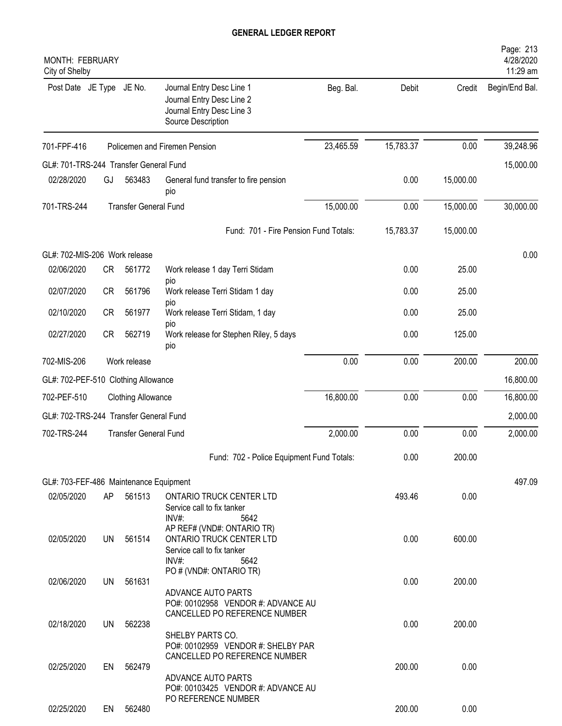| <b>MONTH: FEBRUARY</b><br>City of Shelby |           |                              |                                                                                                           |           |           |           | Page: 213<br>4/28/2020<br>11:29 am |
|------------------------------------------|-----------|------------------------------|-----------------------------------------------------------------------------------------------------------|-----------|-----------|-----------|------------------------------------|
| Post Date JE Type JE No.                 |           |                              | Journal Entry Desc Line 1<br>Journal Entry Desc Line 2<br>Journal Entry Desc Line 3<br>Source Description | Beg. Bal. | Debit     | Credit    | Begin/End Bal.                     |
| 701-FPF-416                              |           |                              | Policemen and Firemen Pension                                                                             | 23,465.59 | 15,783.37 | 0.00      | 39,248.96                          |
| GL#: 701-TRS-244 Transfer General Fund   |           |                              |                                                                                                           |           |           |           | 15,000.00                          |
| 02/28/2020                               | GJ        | 563483                       | General fund transfer to fire pension<br>pio                                                              |           | 0.00      | 15,000.00 |                                    |
| 701-TRS-244                              |           | <b>Transfer General Fund</b> |                                                                                                           | 15,000.00 | 0.00      | 15,000.00 | 30,000.00                          |
|                                          |           |                              | Fund: 701 - Fire Pension Fund Totals:                                                                     |           | 15,783.37 | 15,000.00 |                                    |
| GL#: 702-MIS-206 Work release            |           |                              |                                                                                                           |           |           |           | 0.00                               |
| 02/06/2020                               | CR        | 561772                       | Work release 1 day Terri Stidam                                                                           |           | 0.00      | 25.00     |                                    |
| 02/07/2020                               | <b>CR</b> | 561796                       | pio<br>Work release Terri Stidam 1 day                                                                    |           | 0.00      | 25.00     |                                    |
| 02/10/2020                               | <b>CR</b> | 561977                       | <b>DIO</b><br>Work release Terri Stidam, 1 day                                                            |           | 0.00      | 25.00     |                                    |
| 02/27/2020                               | <b>CR</b> | 562719                       | pio<br>Work release for Stephen Riley, 5 days<br>pio                                                      |           | 0.00      | 125.00    |                                    |
| 702-MIS-206                              |           | Work release                 |                                                                                                           | 0.00      | 0.00      | 200.00    | 200.00                             |
| GL#: 702-PEF-510 Clothing Allowance      |           |                              |                                                                                                           |           |           |           | 16,800.00                          |
| 702-PEF-510                              |           | <b>Clothing Allowance</b>    |                                                                                                           | 16,800.00 | 0.00      | 0.00      | 16,800.00                          |
| GL#: 702-TRS-244 Transfer General Fund   |           |                              |                                                                                                           |           |           |           | 2,000.00                           |
| 702-TRS-244                              |           | <b>Transfer General Fund</b> |                                                                                                           | 2,000.00  | 0.00      | 0.00      | 2,000.00                           |
|                                          |           |                              | Fund: 702 - Police Equipment Fund Totals:                                                                 |           | 0.00      | 200.00    |                                    |
| GL#: 703-FEF-486 Maintenance Equipment   |           |                              |                                                                                                           |           |           |           | 497.09                             |
| 02/05/2020                               | AP        | 561513                       | <b>ONTARIO TRUCK CENTER LTD</b><br>Service call to fix tanker<br>INV#:<br>5642                            |           | 493.46    | 0.00      |                                    |
| 02/05/2020                               | UN        | 561514                       | AP REF# (VND#: ONTARIO TR)<br>ONTARIO TRUCK CENTER LTD<br>Service call to fix tanker<br>$INV#$ :<br>5642  |           | 0.00      | 600.00    |                                    |
| 02/06/2020                               | UN        | 561631                       | PO # (VND#: ONTARIO TR)<br>ADVANCE AUTO PARTS<br>PO#: 00102958 VENDOR #: ADVANCE AU                       |           | 0.00      | 200.00    |                                    |
|                                          |           |                              | CANCELLED PO REFERENCE NUMBER                                                                             |           |           |           |                                    |
| 02/18/2020                               | UN        | 562238                       | SHELBY PARTS CO.<br>PO#: 00102959 VENDOR #: SHELBY PAR<br>CANCELLED PO REFERENCE NUMBER                   |           | 0.00      | 200.00    |                                    |
| 02/25/2020                               | EN        | 562479                       | ADVANCE AUTO PARTS<br>PO#: 00103425 VENDOR #: ADVANCE AU                                                  |           | 200.00    | 0.00      |                                    |
| 02/25/2020                               |           | EN 562480                    | PO REFERENCE NUMBER                                                                                       |           | 200.00    | 0.00      |                                    |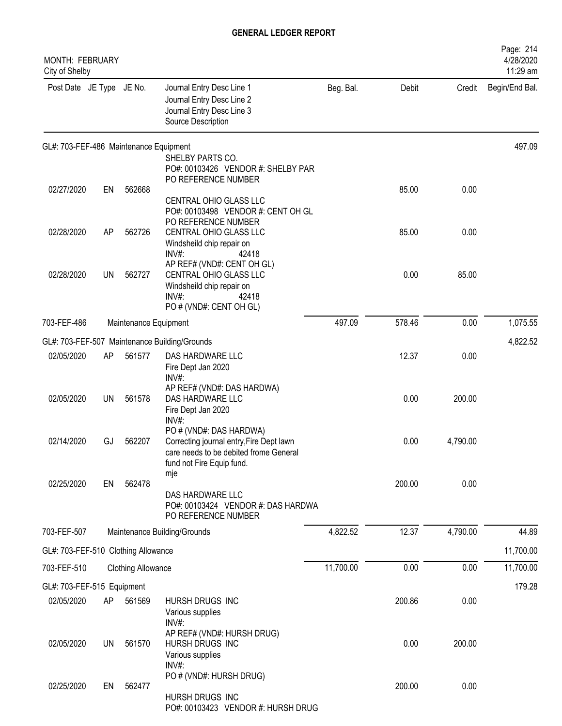| <b>MONTH: FEBRUARY</b><br>City of Shelby |           |                           |                                                                                                                                                   |           |        |          | Page: 214<br>4/28/2020<br>11:29 am |
|------------------------------------------|-----------|---------------------------|---------------------------------------------------------------------------------------------------------------------------------------------------|-----------|--------|----------|------------------------------------|
| Post Date JE Type JE No.                 |           |                           | Journal Entry Desc Line 1<br>Journal Entry Desc Line 2<br>Journal Entry Desc Line 3<br>Source Description                                         | Beg. Bal. | Debit  | Credit   | Begin/End Bal.                     |
| GL#: 703-FEF-486 Maintenance Equipment   |           |                           |                                                                                                                                                   |           |        |          | 497.09                             |
|                                          |           |                           | SHELBY PARTS CO.<br>PO#: 00103426 VENDOR #: SHELBY PAR                                                                                            |           |        |          |                                    |
| 02/27/2020                               | EN        | 562668                    | PO REFERENCE NUMBER                                                                                                                               |           | 85.00  | 0.00     |                                    |
|                                          |           |                           | CENTRAL OHIO GLASS LLC<br>PO#: 00103498 VENDOR #: CENT OH GL<br>PO REFERENCE NUMBER                                                               |           |        |          |                                    |
| 02/28/2020                               | AP        | 562726                    | CENTRAL OHIO GLASS LLC<br>Windsheild chip repair on<br>INV#:<br>42418                                                                             |           | 85.00  | 0.00     |                                    |
| 02/28/2020                               | <b>UN</b> | 562727                    | AP REF# (VND#: CENT OH GL)<br>CENTRAL OHIO GLASS LLC<br>Windsheild chip repair on<br>$INV#$ :<br>42418<br>PO # (VND#: CENT OH GL)                 |           | 0.00   | 85.00    |                                    |
| 703-FEF-486                              |           | Maintenance Equipment     |                                                                                                                                                   | 497.09    | 578.46 | 0.00     | 1,075.55                           |
|                                          |           |                           | GL#: 703-FEF-507 Maintenance Building/Grounds                                                                                                     |           |        |          | 4,822.52                           |
| 02/05/2020                               | AP        | 561577                    | DAS HARDWARE LLC<br>Fire Dept Jan 2020<br>INV#:                                                                                                   |           | 12.37  | 0.00     |                                    |
| 02/05/2020                               | UN        | 561578                    | AP REF# (VND#: DAS HARDWA)<br>DAS HARDWARE LLC<br>Fire Dept Jan 2020<br>INV#:                                                                     |           | 0.00   | 200.00   |                                    |
| 02/14/2020                               | GJ        | 562207                    | PO # (VND#: DAS HARDWA)<br>Correcting journal entry, Fire Dept lawn<br>care needs to be debited frome General<br>fund not Fire Equip fund.<br>mje |           | 0.00   | 4,790.00 |                                    |
| 02/25/2020                               | EN        | 562478                    | DAS HARDWARE LLC<br>PO#: 00103424 VENDOR #: DAS HARDWA<br>PO REFERENCE NUMBER                                                                     |           | 200.00 | 0.00     |                                    |
| 703-FEF-507                              |           |                           | Maintenance Building/Grounds                                                                                                                      | 4,822.52  | 12.37  | 4,790.00 | 44.89                              |
| GL#: 703-FEF-510 Clothing Allowance      |           |                           |                                                                                                                                                   |           |        |          | 11,700.00                          |
| 703-FEF-510                              |           | <b>Clothing Allowance</b> |                                                                                                                                                   | 11,700.00 | 0.00   | 0.00     | 11,700.00                          |
| GL#: 703-FEF-515 Equipment               |           |                           |                                                                                                                                                   |           |        |          | 179.28                             |
| 02/05/2020                               | AP        | 561569                    | HURSH DRUGS INC<br>Various supplies<br>$INV#$ :                                                                                                   |           | 200.86 | 0.00     |                                    |
| 02/05/2020                               | <b>UN</b> | 561570                    | AP REF# (VND#: HURSH DRUG)<br>HURSH DRUGS INC<br>Various supplies<br>INV#                                                                         |           | 0.00   | 200.00   |                                    |
| 02/25/2020                               | EN        | 562477                    | PO # (VND#: HURSH DRUG)<br>HURSH DRUGS INC<br>PO#: 00103423 VENDOR #: HURSH DRUG                                                                  |           | 200.00 | 0.00     |                                    |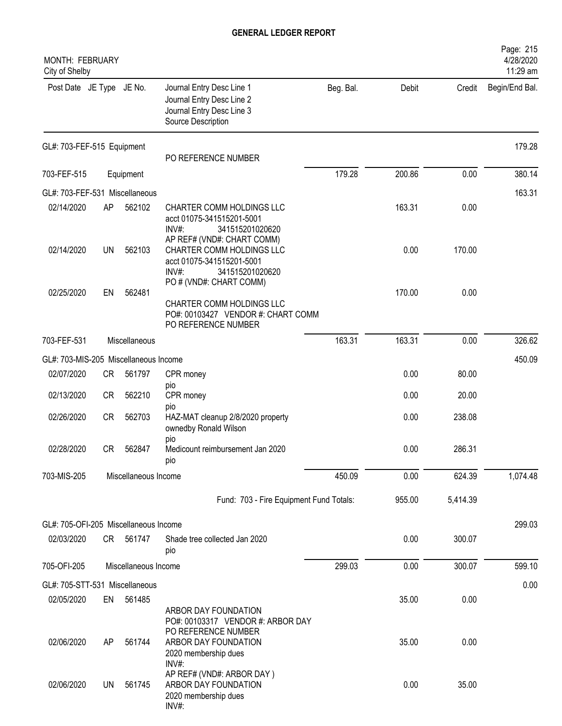| MONTH: FEBRUARY<br>City of Shelby     |           |                      |                                                                                                                                             |           |        |          | Page: 215<br>4/28/2020<br>11:29 am |
|---------------------------------------|-----------|----------------------|---------------------------------------------------------------------------------------------------------------------------------------------|-----------|--------|----------|------------------------------------|
| Post Date JE Type JE No.              |           |                      | Journal Entry Desc Line 1<br>Journal Entry Desc Line 2<br>Journal Entry Desc Line 3<br>Source Description                                   | Beg. Bal. | Debit  | Credit   | Begin/End Bal.                     |
| GL#: 703-FEF-515 Equipment            |           |                      | PO REFERENCE NUMBER                                                                                                                         |           |        |          | 179.28                             |
| 703-FEF-515                           |           | Equipment            |                                                                                                                                             | 179.28    | 200.86 | 0.00     | 380.14                             |
| GL#: 703-FEF-531 Miscellaneous        |           |                      |                                                                                                                                             |           |        |          | 163.31                             |
| 02/14/2020                            | AP        | 562102               | CHARTER COMM HOLDINGS LLC<br>acct 01075-341515201-5001<br>$INV#$ :<br>341515201020620                                                       |           | 163.31 | 0.00     |                                    |
| 02/14/2020                            | UN        | 562103               | AP REF# (VND#: CHART COMM)<br>CHARTER COMM HOLDINGS LLC<br>acct 01075-341515201-5001<br>INV#:<br>341515201020620<br>PO # (VND#: CHART COMM) |           | 0.00   | 170.00   |                                    |
| 02/25/2020                            | EN        | 562481               |                                                                                                                                             |           | 170.00 | 0.00     |                                    |
|                                       |           |                      | CHARTER COMM HOLDINGS LLC<br>PO#: 00103427 VENDOR #: CHART COMM<br>PO REFERENCE NUMBER                                                      |           |        |          |                                    |
| 703-FEF-531                           |           | Miscellaneous        |                                                                                                                                             | 163.31    | 163.31 | 0.00     | 326.62                             |
| GL#: 703-MIS-205 Miscellaneous Income |           |                      |                                                                                                                                             |           |        |          | 450.09                             |
| 02/07/2020                            | CR        | 561797               | CPR money                                                                                                                                   |           | 0.00   | 80.00    |                                    |
| 02/13/2020                            | <b>CR</b> | 562210               | pio<br>CPR money<br>pio                                                                                                                     |           | 0.00   | 20.00    |                                    |
| 02/26/2020                            | CR        | 562703               | HAZ-MAT cleanup 2/8/2020 property<br>ownedby Ronald Wilson<br>pio                                                                           |           | 0.00   | 238.08   |                                    |
| 02/28/2020                            | CR        | 562847               | Medicount reimbursement Jan 2020<br>pio                                                                                                     |           | 0.00   | 286.31   |                                    |
| 703-MIS-205                           |           | Miscellaneous Income |                                                                                                                                             | 450.09    | 0.00   | 624.39   | 1,074.48                           |
|                                       |           |                      | Fund: 703 - Fire Equipment Fund Totals:                                                                                                     |           | 955.00 | 5,414.39 |                                    |
| GL#: 705-OFI-205 Miscellaneous Income |           |                      |                                                                                                                                             |           |        |          | 299.03                             |
| 02/03/2020                            | CR —      | 561747               | Shade tree collected Jan 2020<br>pio                                                                                                        |           | 0.00   | 300.07   |                                    |
| 705-OFI-205                           |           | Miscellaneous Income |                                                                                                                                             | 299.03    | 0.00   | 300.07   | 599.10                             |
| GL#: 705-STT-531 Miscellaneous        |           |                      |                                                                                                                                             |           |        |          | 0.00                               |
| 02/05/2020                            | EN        | 561485               |                                                                                                                                             |           | 35.00  | 0.00     |                                    |
| 02/06/2020                            | AP        | 561744               | ARBOR DAY FOUNDATION<br>PO#: 00103317 VENDOR #: ARBOR DAY<br>PO REFERENCE NUMBER<br>ARBOR DAY FOUNDATION<br>2020 membership dues<br>INV#:   |           | 35.00  | 0.00     |                                    |
| 02/06/2020                            | UN        | 561745               | AP REF# (VND#: ARBOR DAY)<br>ARBOR DAY FOUNDATION<br>2020 membership dues<br>INV#:                                                          |           | 0.00   | 35.00    |                                    |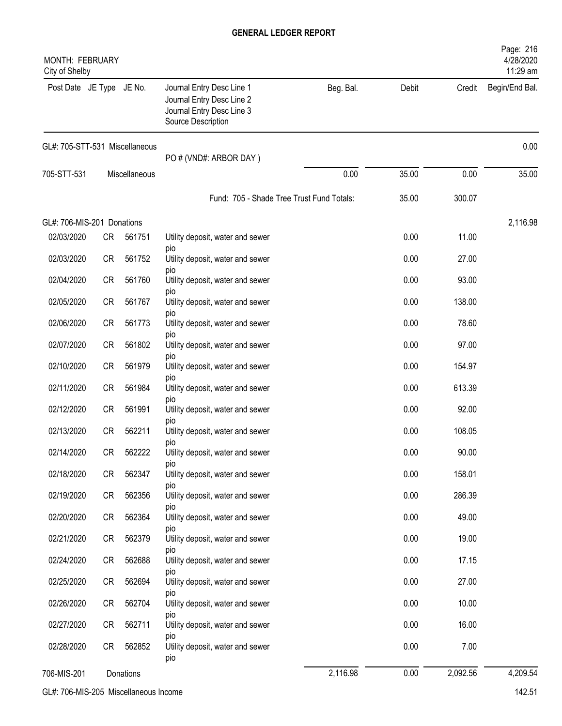| <b>MONTH: FEBRUARY</b><br>City of Shelby |           |               |                                                                                                           |           |       |          | Page: 216<br>4/28/2020<br>11:29 am |
|------------------------------------------|-----------|---------------|-----------------------------------------------------------------------------------------------------------|-----------|-------|----------|------------------------------------|
| Post Date JE Type JE No.                 |           |               | Journal Entry Desc Line 1<br>Journal Entry Desc Line 2<br>Journal Entry Desc Line 3<br>Source Description | Beg. Bal. | Debit | Credit   | Begin/End Bal.                     |
| GL#: 705-STT-531 Miscellaneous           |           |               | PO # (VND#: ARBOR DAY)                                                                                    |           |       |          | 0.00                               |
| 705-STT-531                              |           | Miscellaneous |                                                                                                           | 0.00      | 35.00 | 0.00     | 35.00                              |
|                                          |           |               | Fund: 705 - Shade Tree Trust Fund Totals:                                                                 |           | 35.00 | 300.07   |                                    |
|                                          |           |               |                                                                                                           |           |       |          |                                    |
| GL#: 706-MIS-201 Donations<br>02/03/2020 | <b>CR</b> | 561751        | Utility deposit, water and sewer                                                                          |           | 0.00  | 11.00    | 2,116.98                           |
| 02/03/2020                               | <b>CR</b> | 561752        | pio<br>Utility deposit, water and sewer                                                                   |           | 0.00  | 27.00    |                                    |
| 02/04/2020                               | <b>CR</b> | 561760        | pio<br>Utility deposit, water and sewer                                                                   |           | 0.00  | 93.00    |                                    |
| 02/05/2020                               | <b>CR</b> | 561767        | DIO<br>Utility deposit, water and sewer                                                                   |           | 0.00  | 138.00   |                                    |
| 02/06/2020                               | <b>CR</b> | 561773        | pio<br>Utility deposit, water and sewer                                                                   |           | 0.00  | 78.60    |                                    |
| 02/07/2020                               | <b>CR</b> | 561802        | DIO<br>Utility deposit, water and sewer                                                                   |           | 0.00  | 97.00    |                                    |
| 02/10/2020                               | <b>CR</b> | 561979        | pio<br>Utility deposit, water and sewer                                                                   |           | 0.00  | 154.97   |                                    |
| 02/11/2020                               | <b>CR</b> | 561984        | DIO<br>Utility deposit, water and sewer                                                                   |           | 0.00  | 613.39   |                                    |
| 02/12/2020                               | <b>CR</b> | 561991        | DIO<br>Utility deposit, water and sewer                                                                   |           | 0.00  | 92.00    |                                    |
| 02/13/2020                               | <b>CR</b> | 562211        | DIO<br>Utility deposit, water and sewer                                                                   |           | 0.00  | 108.05   |                                    |
| 02/14/2020                               | CR        | 562222        | pio<br>Utility deposit, water and sewer                                                                   |           | 0.00  | 90.00    |                                    |
| 02/18/2020                               | <b>CR</b> | 562347        | pio<br>Utility deposit, water and sewer                                                                   |           | 0.00  | 158.01   |                                    |
| 02/19/2020                               | CR        | 562356        | DIO<br>Utility deposit, water and sewer                                                                   |           | 0.00  | 286.39   |                                    |
| 02/20/2020                               | CR        | 562364        | <b>DIO</b><br>Utility deposit, water and sewer                                                            |           | 0.00  | 49.00    |                                    |
| 02/21/2020                               | CR        | 562379        | pio<br>Utility deposit, water and sewer                                                                   |           | 0.00  | 19.00    |                                    |
| 02/24/2020                               | CR        | 562688        | DIO<br>Utility deposit, water and sewer                                                                   |           | 0.00  | 17.15    |                                    |
| 02/25/2020                               | CR        | 562694        | DIO<br>Utility deposit, water and sewer                                                                   |           | 0.00  | 27.00    |                                    |
| 02/26/2020                               | CR        | 562704        | DIO<br>Utility deposit, water and sewer                                                                   |           | 0.00  | 10.00    |                                    |
| 02/27/2020                               | <b>CR</b> | 562711        | DIO<br>Utility deposit, water and sewer                                                                   |           | 0.00  | 16.00    |                                    |
| 02/28/2020                               | CR        | 562852        | DIO<br>Utility deposit, water and sewer<br>pio                                                            |           | 0.00  | 7.00     |                                    |
| 706-MIS-201                              |           | Donations     |                                                                                                           | 2,116.98  | 0.00  | 2,092.56 | 4,209.54                           |